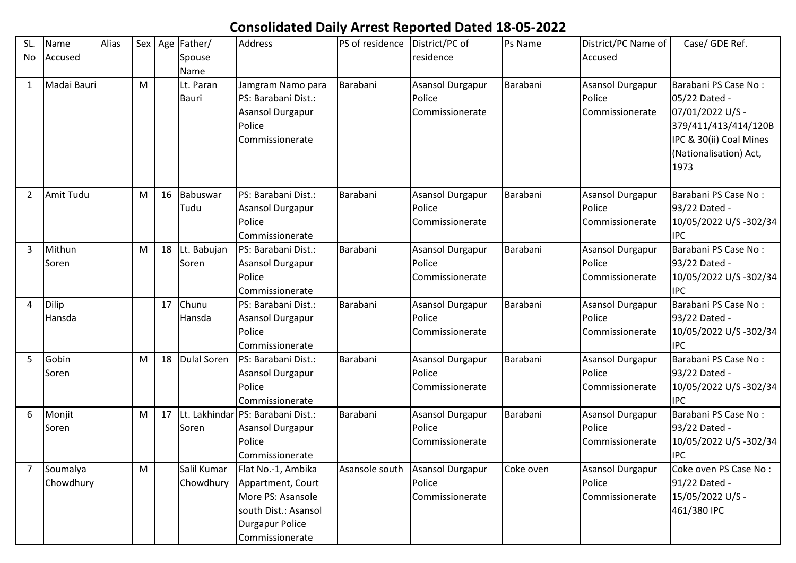## **Consolidated Daily Arrest Reported Dated 18-05-2022**

| SL.            | Name        | Alias |   |    | Sex   Age   Father/ | <b>Address</b>                    | PS of residence | District/PC of          | Ps Name   | District/PC Name of     | Case/ GDE Ref.          |
|----------------|-------------|-------|---|----|---------------------|-----------------------------------|-----------------|-------------------------|-----------|-------------------------|-------------------------|
| No             | Accused     |       |   |    | Spouse              |                                   |                 | residence               |           | Accused                 |                         |
|                |             |       |   |    | Name                |                                   |                 |                         |           |                         |                         |
| $\mathbf{1}$   | Madai Bauri |       | M |    | Lt. Paran           | Jamgram Namo para                 | Barabani        | <b>Asansol Durgapur</b> | Barabani  | Asansol Durgapur        | Barabani PS Case No:    |
|                |             |       |   |    | <b>Bauri</b>        | PS: Barabani Dist.:               |                 | Police                  |           | Police                  | 05/22 Dated -           |
|                |             |       |   |    |                     | <b>Asansol Durgapur</b>           |                 | Commissionerate         |           | Commissionerate         | 07/01/2022 U/S -        |
|                |             |       |   |    |                     | Police                            |                 |                         |           |                         | 379/411/413/414/120B    |
|                |             |       |   |    |                     | Commissionerate                   |                 |                         |           |                         | IPC & 30(ii) Coal Mines |
|                |             |       |   |    |                     |                                   |                 |                         |           |                         | (Nationalisation) Act,  |
|                |             |       |   |    |                     |                                   |                 |                         |           |                         | 1973                    |
|                |             |       |   |    |                     |                                   |                 |                         |           |                         |                         |
| $\overline{2}$ | Amit Tudu   |       | M | 16 | Babuswar            | PS: Barabani Dist.:               | Barabani        | <b>Asansol Durgapur</b> | Barabani  | <b>Asansol Durgapur</b> | Barabani PS Case No:    |
|                |             |       |   |    | Tudu                | <b>Asansol Durgapur</b>           |                 | Police                  |           | Police                  | 93/22 Dated -           |
|                |             |       |   |    |                     | Police                            |                 | Commissionerate         |           | Commissionerate         | 10/05/2022 U/S-302/34   |
|                |             |       |   |    |                     | Commissionerate                   |                 |                         |           |                         | <b>IPC</b>              |
| 3              | Mithun      |       | M | 18 | Lt. Babujan         | PS: Barabani Dist.:               | Barabani        | <b>Asansol Durgapur</b> | Barabani  | <b>Asansol Durgapur</b> | Barabani PS Case No:    |
|                | Soren       |       |   |    | Soren               | <b>Asansol Durgapur</b>           |                 | Police                  |           | Police                  | 93/22 Dated -           |
|                |             |       |   |    |                     | Police                            |                 | Commissionerate         |           | Commissionerate         | 10/05/2022 U/S-302/34   |
|                |             |       |   |    |                     | Commissionerate                   |                 |                         |           |                         | <b>IPC</b>              |
| 4              | Dilip       |       |   | 17 | Chunu               | PS: Barabani Dist.:               | Barabani        | Asansol Durgapur        | Barabani  | <b>Asansol Durgapur</b> | Barabani PS Case No:    |
|                | Hansda      |       |   |    | Hansda              | Asansol Durgapur                  |                 | Police                  |           | Police                  | 93/22 Dated -           |
|                |             |       |   |    |                     | Police                            |                 | Commissionerate         |           | Commissionerate         | 10/05/2022 U/S-302/34   |
|                |             |       |   |    |                     | Commissionerate                   |                 |                         |           |                         | <b>IPC</b>              |
| 5              | Gobin       |       | M | 18 | Dulal Soren         | PS: Barabani Dist.:               | Barabani        | <b>Asansol Durgapur</b> | Barabani  | <b>Asansol Durgapur</b> | Barabani PS Case No:    |
|                | Soren       |       |   |    |                     | Asansol Durgapur                  |                 | Police                  |           | Police                  | 93/22 Dated -           |
|                |             |       |   |    |                     | Police                            |                 | Commissionerate         |           | Commissionerate         | 10/05/2022 U/S-302/34   |
|                |             |       |   |    |                     | Commissionerate                   |                 |                         |           |                         | <b>IPC</b>              |
| 6              | Monjit      |       | M | 17 |                     | Lt. Lakhindar PS: Barabani Dist.: | Barabani        | <b>Asansol Durgapur</b> | Barabani  | <b>Asansol Durgapur</b> | Barabani PS Case No:    |
|                | Soren       |       |   |    | Soren               | Asansol Durgapur                  |                 | Police                  |           | Police                  | 93/22 Dated -           |
|                |             |       |   |    |                     | Police                            |                 | Commissionerate         |           | Commissionerate         | 10/05/2022 U/S-302/34   |
|                |             |       |   |    |                     | Commissionerate                   |                 |                         |           |                         | <b>IPC</b>              |
| 7              | Soumalya    |       | M |    | Salil Kumar         | Flat No.-1, Ambika                | Asansole south  | Asansol Durgapur        | Coke oven | <b>Asansol Durgapur</b> | Coke oven PS Case No:   |
|                | Chowdhury   |       |   |    | Chowdhury           | Appartment, Court                 |                 | Police                  |           | Police                  | 91/22 Dated -           |
|                |             |       |   |    |                     | More PS: Asansole                 |                 | Commissionerate         |           | Commissionerate         | 15/05/2022 U/S -        |
|                |             |       |   |    |                     | south Dist.: Asansol              |                 |                         |           |                         | 461/380 IPC             |
|                |             |       |   |    |                     | <b>Durgapur Police</b>            |                 |                         |           |                         |                         |
|                |             |       |   |    |                     | Commissionerate                   |                 |                         |           |                         |                         |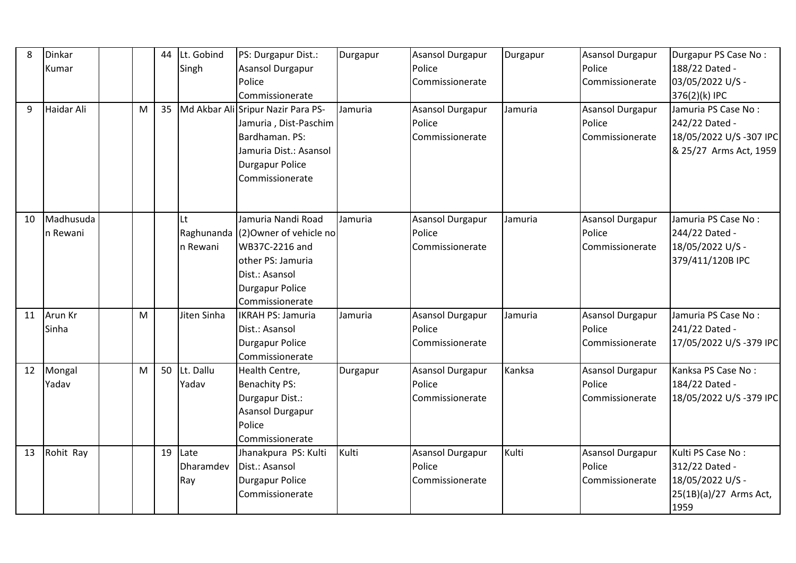| 8  | Dinkar     |   | 44 | Lt. Gobind   | PS: Durgapur Dist.:                | Durgapur | <b>Asansol Durgapur</b> | Durgapur | Asansol Durgapur | Durgapur PS Case No:   |
|----|------------|---|----|--------------|------------------------------------|----------|-------------------------|----------|------------------|------------------------|
|    | Kumar      |   |    | Singh        | Asansol Durgapur                   |          | Police                  |          | Police           | 188/22 Dated -         |
|    |            |   |    |              | Police                             |          | Commissionerate         |          | Commissionerate  | 03/05/2022 U/S -       |
|    |            |   |    |              | Commissionerate                    |          |                         |          |                  | 376(2)(k) IPC          |
| 9  | Haidar Ali | M | 35 |              | Md Akbar Ali Sripur Nazir Para PS- | Jamuria  | Asansol Durgapur        | Jamuria  | Asansol Durgapur | Jamuria PS Case No:    |
|    |            |   |    |              | Jamuria, Dist-Paschim              |          | Police                  |          | Police           | 242/22 Dated -         |
|    |            |   |    |              | Bardhaman. PS:                     |          | Commissionerate         |          | Commissionerate  | 18/05/2022 U/S-307 IPC |
|    |            |   |    |              | Jamuria Dist.: Asansol             |          |                         |          |                  | & 25/27 Arms Act, 1959 |
|    |            |   |    |              | <b>Durgapur Police</b>             |          |                         |          |                  |                        |
|    |            |   |    |              | Commissionerate                    |          |                         |          |                  |                        |
|    |            |   |    |              |                                    |          |                         |          |                  |                        |
| 10 | Madhusuda  |   |    | Lt           | Jamuria Nandi Road                 | Jamuria  | Asansol Durgapur        | Jamuria  | Asansol Durgapur | Jamuria PS Case No:    |
|    | n Rewani   |   |    |              | Raghunanda (2) Owner of vehicle no |          | Police                  |          | Police           | 244/22 Dated -         |
|    |            |   |    | n Rewani     | WB37C-2216 and                     |          | Commissionerate         |          | Commissionerate  | 18/05/2022 U/S -       |
|    |            |   |    |              | other PS: Jamuria                  |          |                         |          |                  | 379/411/120B IPC       |
|    |            |   |    |              | Dist.: Asansol                     |          |                         |          |                  |                        |
|    |            |   |    |              | <b>Durgapur Police</b>             |          |                         |          |                  |                        |
|    |            |   |    |              | Commissionerate                    |          |                         |          |                  |                        |
| 11 | Arun Kr    | M |    | Jiten Sinha  | <b>IKRAH PS: Jamuria</b>           | Jamuria  | Asansol Durgapur        | Jamuria  | Asansol Durgapur | Jamuria PS Case No:    |
|    | Sinha      |   |    |              | Dist.: Asansol                     |          | Police                  |          | Police           | 241/22 Dated -         |
|    |            |   |    |              | <b>Durgapur Police</b>             |          | Commissionerate         |          | Commissionerate  | 17/05/2022 U/S-379 IPC |
|    |            |   |    |              | Commissionerate                    |          |                         |          |                  |                        |
| 12 | Mongal     | M |    | 50 Lt. Dallu | Health Centre,                     | Durgapur | <b>Asansol Durgapur</b> | Kanksa   | Asansol Durgapur | Kanksa PS Case No:     |
|    | Yadav      |   |    | Yadav        | <b>Benachity PS:</b>               |          | Police                  |          | Police           | 184/22 Dated -         |
|    |            |   |    |              | Durgapur Dist.:                    |          | Commissionerate         |          | Commissionerate  | 18/05/2022 U/S-379 IPC |
|    |            |   |    |              | <b>Asansol Durgapur</b>            |          |                         |          |                  |                        |
|    |            |   |    |              | Police                             |          |                         |          |                  |                        |
|    |            |   |    |              | Commissionerate                    |          |                         |          |                  |                        |
| 13 | Rohit Ray  |   | 19 | Late         | Jhanakpura PS: Kulti               | Kulti    | <b>Asansol Durgapur</b> | Kulti    | Asansol Durgapur | Kulti PS Case No:      |
|    |            |   |    | Dharamdev    | Dist.: Asansol                     |          | Police                  |          | Police           | 312/22 Dated -         |
|    |            |   |    | Ray          | <b>Durgapur Police</b>             |          | Commissionerate         |          | Commissionerate  | 18/05/2022 U/S -       |
|    |            |   |    |              | Commissionerate                    |          |                         |          |                  | 25(1B)(a)/27 Arms Act, |
|    |            |   |    |              |                                    |          |                         |          |                  | 1959                   |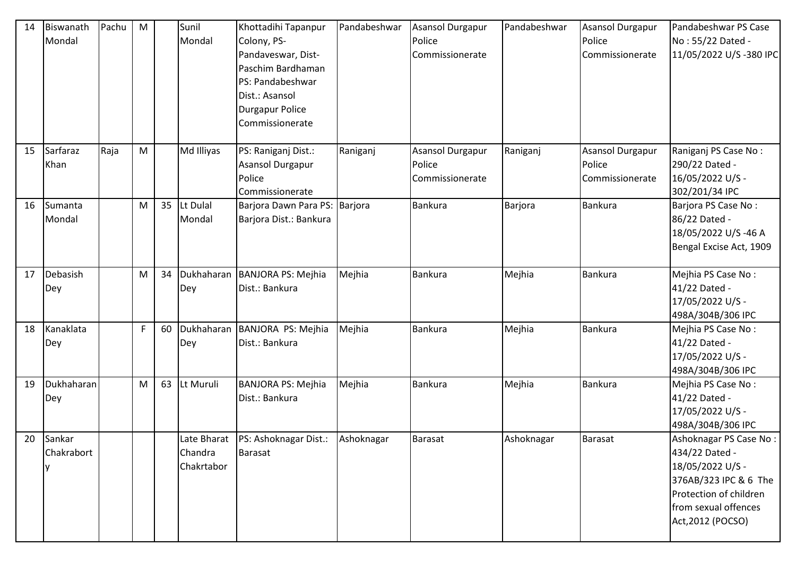| 14 | Biswanath<br>Mondal  | Pachu | M           |    | Sunil<br>Mondal       | Khottadihi Tapanpur<br>Colony, PS-<br>Pandaveswar, Dist-<br>Paschim Bardhaman<br>PS: Pandabeshwar<br>Dist.: Asansol<br><b>Durgapur Police</b><br>Commissionerate | Pandabeshwar | <b>Asansol Durgapur</b><br>Police<br>Commissionerate | Pandabeshwar | Asansol Durgapur<br>Police<br>Commissionerate | Pandabeshwar PS Case<br>No: 55/22 Dated -<br>11/05/2022 U/S-380 IPC                                                                                          |
|----|----------------------|-------|-------------|----|-----------------------|------------------------------------------------------------------------------------------------------------------------------------------------------------------|--------------|------------------------------------------------------|--------------|-----------------------------------------------|--------------------------------------------------------------------------------------------------------------------------------------------------------------|
| 15 | Sarfaraz<br>Khan     | Raja  | M           |    | Md Illiyas            | PS: Raniganj Dist.:<br>Asansol Durgapur<br>Police<br>Commissionerate                                                                                             | Raniganj     | Asansol Durgapur<br>Police<br>Commissionerate        | Raniganj     | Asansol Durgapur<br>Police<br>Commissionerate | Raniganj PS Case No:<br>290/22 Dated -<br>16/05/2022 U/S -<br>302/201/34 IPC                                                                                 |
| 16 | Sumanta<br>Mondal    |       | M           | 35 | Lt Dulal<br>Mondal    | Barjora Dawn Para PS: Barjora<br>Barjora Dist.: Bankura                                                                                                          |              | <b>Bankura</b>                                       | Barjora      | Bankura                                       | Barjora PS Case No:<br>86/22 Dated -<br>18/05/2022 U/S-46 A<br>Bengal Excise Act, 1909                                                                       |
| 17 | Debasish<br>Dey      |       | M           | 34 | Dey                   | Dukhaharan BANJORA PS: Mejhia<br>Dist.: Bankura                                                                                                                  | Mejhia       | <b>Bankura</b>                                       | Mejhia       | <b>Bankura</b>                                | Mejhia PS Case No:<br>41/22 Dated -<br>17/05/2022 U/S -<br>498A/304B/306 IPC                                                                                 |
| 18 | Kanaklata<br>Dey     |       | $\mathsf F$ | 60 | Dey                   | Dukhaharan BANJORA PS: Mejhia<br>Dist.: Bankura                                                                                                                  | Mejhia       | <b>Bankura</b>                                       | Mejhia       | Bankura                                       | Mejhia PS Case No:<br>41/22 Dated -<br>17/05/2022 U/S -<br>498A/304B/306 IPC                                                                                 |
| 19 | Dukhaharan<br>Dey    |       | ${\sf M}$   | 63 | Lt Muruli             | <b>BANJORA PS: Mejhia</b><br>Dist.: Bankura                                                                                                                      | Mejhia       | <b>Bankura</b>                                       | Mejhia       | <b>Bankura</b>                                | Mejhia PS Case No:<br>41/22 Dated -<br>17/05/2022 U/S -<br>498A/304B/306 IPC                                                                                 |
| 20 | Sankar<br>Chakrabort |       |             |    | Chandra<br>Chakrtabor | Late Bharat   PS: Ashoknagar Dist.:<br><b>Barasat</b>                                                                                                            | Ashoknagar   | Barasat                                              | Ashoknagar   | <b>Barasat</b>                                | Ashoknagar PS Case No:<br>434/22 Dated -<br>18/05/2022 U/S -<br>376AB/323 IPC & 6 The<br>Protection of children<br>from sexual offences<br>Act, 2012 (POCSO) |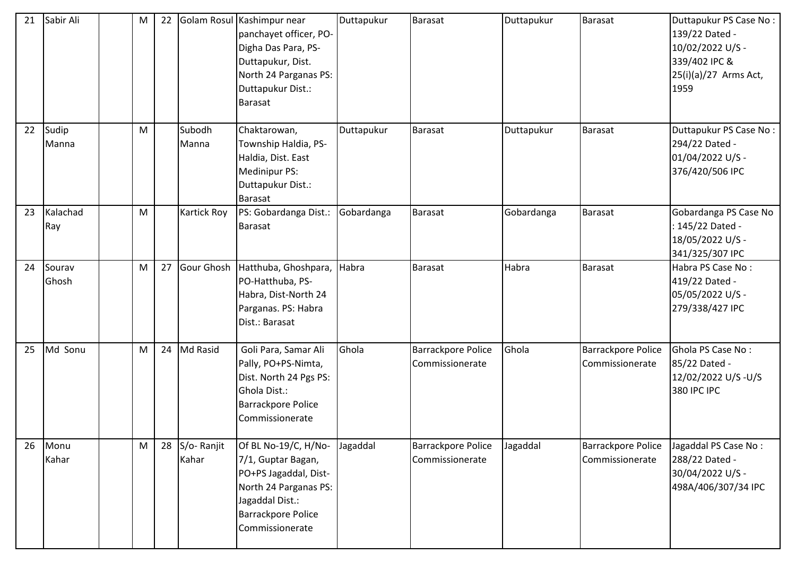| 21 | Sabir Ali       | M | 22 |                        | Golam Rosul Kashimpur near<br>panchayet officer, PO-<br>Digha Das Para, PS-<br>Duttapukur, Dist.<br>North 24 Parganas PS:<br>Duttapukur Dist.:<br><b>Barasat</b> | Duttapukur | Barasat                               | Duttapukur | Barasat                                      | Duttapukur PS Case No:<br>139/22 Dated -<br>10/02/2022 U/S -<br>339/402 IPC &<br>$25(i)(a)/27$ Arms Act,<br>1959 |
|----|-----------------|---|----|------------------------|------------------------------------------------------------------------------------------------------------------------------------------------------------------|------------|---------------------------------------|------------|----------------------------------------------|------------------------------------------------------------------------------------------------------------------|
| 22 | Sudip<br>Manna  | M |    | Subodh<br>Manna        | Chaktarowan,<br>Township Haldia, PS-<br>Haldia, Dist. East<br>Medinipur PS:<br>Duttapukur Dist.:<br><b>Barasat</b>                                               | Duttapukur | <b>Barasat</b>                        | Duttapukur | <b>Barasat</b>                               | Duttapukur PS Case No:<br>294/22 Dated -<br>01/04/2022 U/S -<br>376/420/506 IPC                                  |
| 23 | Kalachad<br>Ray | M |    | Kartick Roy            | PS: Gobardanga Dist.:<br><b>Barasat</b>                                                                                                                          | Gobardanga | <b>Barasat</b>                        | Gobardanga | <b>Barasat</b>                               | Gobardanga PS Case No<br>: 145/22 Dated -<br>18/05/2022 U/S -<br>341/325/307 IPC                                 |
| 24 | Sourav<br>Ghosh | M | 27 |                        | Gour Ghosh Hatthuba, Ghoshpara,<br>PO-Hatthuba, PS-<br>Habra, Dist-North 24<br>Parganas. PS: Habra<br>Dist.: Barasat                                             | Habra      | Barasat                               | Habra      | <b>Barasat</b>                               | Habra PS Case No:<br>419/22 Dated -<br>05/05/2022 U/S -<br>279/338/427 IPC                                       |
| 25 | Md Sonu         | M |    | 24 Md Rasid            | Goli Para, Samar Ali<br>Pally, PO+PS-Nimta,<br>Dist. North 24 Pgs PS:<br>Ghola Dist.:<br><b>Barrackpore Police</b><br>Commissionerate                            | Ghola      | Barrackpore Police<br>Commissionerate | Ghola      | Barrackpore Police<br>Commissionerate        | Ghola PS Case No:<br>85/22 Dated -<br>12/02/2022 U/S-U/S<br>380 IPC IPC                                          |
| 26 | Monu<br>Kahar   | M |    | 28 S/o-Ranjit<br>Kahar | Of BL No-19/C, H/No-<br>7/1, Guptar Bagan,<br>PO+PS Jagaddal, Dist-<br>North 24 Parganas PS:<br>Jagaddal Dist.:<br><b>Barrackpore Police</b><br>Commissionerate  | Jagaddal   | Barrackpore Police<br>Commissionerate | Jagaddal   | <b>Barrackpore Police</b><br>Commissionerate | Jagaddal PS Case No:<br>288/22 Dated -<br>30/04/2022 U/S -<br>498A/406/307/34 IPC                                |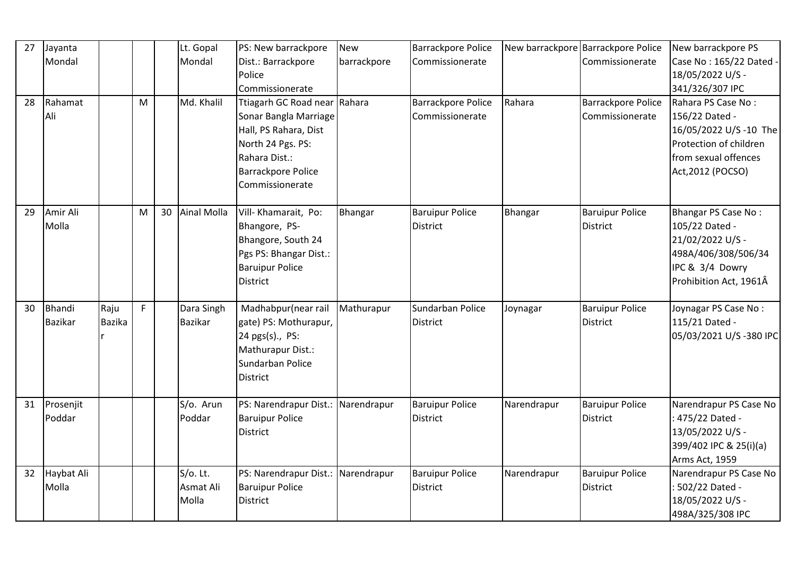| 27 | Jayanta        |               |    |    | Lt. Gopal      | PS: New barrackpore                | <b>New</b>  | <b>Barrackpore Police</b> |                | New barrackpore Barrackpore Police | New barrackpore PS     |
|----|----------------|---------------|----|----|----------------|------------------------------------|-------------|---------------------------|----------------|------------------------------------|------------------------|
|    | Mondal         |               |    |    | Mondal         | Dist.: Barrackpore                 | barrackpore | Commissionerate           |                | Commissionerate                    | Case No: 165/22 Dated  |
|    |                |               |    |    |                | Police                             |             |                           |                |                                    | 18/05/2022 U/S -       |
|    |                |               |    |    |                | Commissionerate                    |             |                           |                |                                    | 341/326/307 IPC        |
| 28 | Rahamat        |               | M  |    | Md. Khalil     | Ttiagarh GC Road near Rahara       |             | <b>Barrackpore Police</b> | Rahara         | Barrackpore Police                 | Rahara PS Case No:     |
|    | Ali            |               |    |    |                | Sonar Bangla Marriage              |             | Commissionerate           |                | Commissionerate                    | 156/22 Dated -         |
|    |                |               |    |    |                | Hall, PS Rahara, Dist              |             |                           |                |                                    | 16/05/2022 U/S -10 The |
|    |                |               |    |    |                | North 24 Pgs. PS:                  |             |                           |                |                                    | Protection of children |
|    |                |               |    |    |                | Rahara Dist.:                      |             |                           |                |                                    | from sexual offences   |
|    |                |               |    |    |                | <b>Barrackpore Police</b>          |             |                           |                |                                    | Act, 2012 (POCSO)      |
|    |                |               |    |    |                | Commissionerate                    |             |                           |                |                                    |                        |
|    |                |               |    |    |                |                                    |             |                           |                |                                    |                        |
| 29 | Amir Ali       |               | M  | 30 | Ainal Molla    | Vill-Khamarait, Po:                | Bhangar     | <b>Baruipur Police</b>    | <b>Bhangar</b> | <b>Baruipur Police</b>             | Bhangar PS Case No:    |
|    | Molla          |               |    |    |                | Bhangore, PS-                      |             | <b>District</b>           |                | <b>District</b>                    | 105/22 Dated -         |
|    |                |               |    |    |                | Bhangore, South 24                 |             |                           |                |                                    | 21/02/2022 U/S -       |
|    |                |               |    |    |                | Pgs PS: Bhangar Dist.:             |             |                           |                |                                    | 498A/406/308/506/34    |
|    |                |               |    |    |                | <b>Baruipur Police</b>             |             |                           |                |                                    | IPC & 3/4 Dowry        |
|    |                |               |    |    |                | <b>District</b>                    |             |                           |                |                                    | Prohibition Act, 1961Â |
| 30 | <b>Bhandi</b>  | Raju          | F. |    | Dara Singh     | Madhabpur(near rail                | Mathurapur  | Sundarban Police          | Joynagar       | <b>Baruipur Police</b>             | Joynagar PS Case No:   |
|    | <b>Bazikar</b> | <b>Bazika</b> |    |    | <b>Bazikar</b> | gate) PS: Mothurapur,              |             | <b>District</b>           |                | <b>District</b>                    | 115/21 Dated -         |
|    |                |               |    |    |                | 24 pgs(s)., PS:                    |             |                           |                |                                    | 05/03/2021 U/S-380 IPC |
|    |                |               |    |    |                | Mathurapur Dist.:                  |             |                           |                |                                    |                        |
|    |                |               |    |    |                | Sundarban Police                   |             |                           |                |                                    |                        |
|    |                |               |    |    |                | <b>District</b>                    |             |                           |                |                                    |                        |
|    |                |               |    |    |                |                                    |             |                           |                |                                    |                        |
| 31 | Prosenjit      |               |    |    | S/o. Arun      | PS: Narendrapur Dist.: Narendrapur |             | <b>Baruipur Police</b>    | Narendrapur    | <b>Baruipur Police</b>             | Narendrapur PS Case No |
|    | Poddar         |               |    |    | Poddar         | <b>Baruipur Police</b>             |             | <b>District</b>           |                | <b>District</b>                    | : 475/22 Dated -       |
|    |                |               |    |    |                | <b>District</b>                    |             |                           |                |                                    | 13/05/2022 U/S -       |
|    |                |               |    |    |                |                                    |             |                           |                |                                    | 399/402 IPC & 25(i)(a) |
|    |                |               |    |    |                |                                    |             |                           |                |                                    | Arms Act, 1959         |
| 32 | Haybat Ali     |               |    |    | S/o. Lt.       | PS: Narendrapur Dist.: Narendrapur |             | <b>Baruipur Police</b>    | Narendrapur    | <b>Baruipur Police</b>             | Narendrapur PS Case No |
|    | Molla          |               |    |    | Asmat Ali      | <b>Baruipur Police</b>             |             | <b>District</b>           |                | <b>District</b>                    | : 502/22 Dated -       |
|    |                |               |    |    | Molla          | <b>District</b>                    |             |                           |                |                                    | 18/05/2022 U/S -       |
|    |                |               |    |    |                |                                    |             |                           |                |                                    | 498A/325/308 IPC       |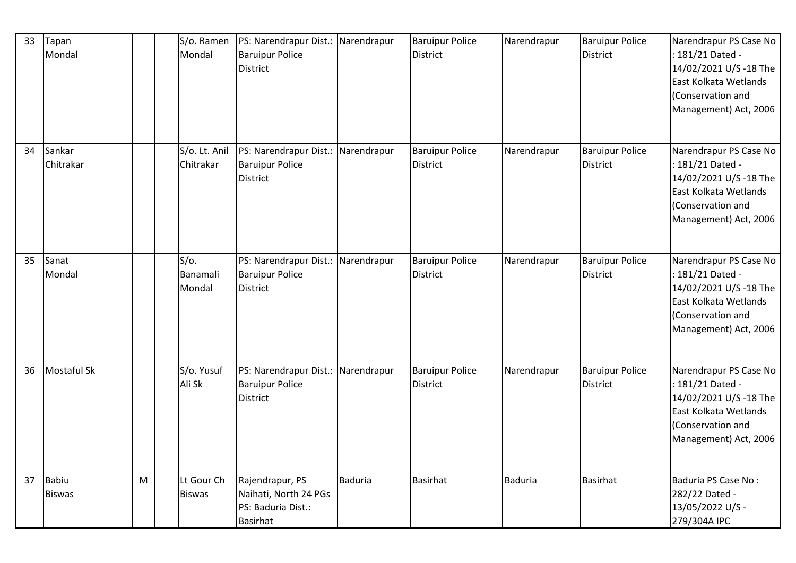| 33 | Tapan<br>Mondal               |   | S/o. Ramen<br>Mondal          | PS: Narendrapur Dist.: Narendrapur<br><b>Baruipur Police</b><br><b>District</b>   |                | <b>Baruipur Police</b><br>District        | Narendrapur    | <b>Baruipur Police</b><br><b>District</b> | Narendrapur PS Case No<br>: 181/21 Dated -<br>14/02/2021 U/S -18 The<br>East Kolkata Wetlands<br>(Conservation and<br>Management) Act, 2006 |
|----|-------------------------------|---|-------------------------------|-----------------------------------------------------------------------------------|----------------|-------------------------------------------|----------------|-------------------------------------------|---------------------------------------------------------------------------------------------------------------------------------------------|
| 34 | Sankar<br>Chitrakar           |   | S/o. Lt. Anil<br>Chitrakar    | PS: Narendrapur Dist.: Narendrapur<br><b>Baruipur Police</b><br><b>District</b>   |                | <b>Baruipur Police</b><br><b>District</b> | Narendrapur    | <b>Baruipur Police</b><br><b>District</b> | Narendrapur PS Case No<br>: 181/21 Dated -<br>14/02/2021 U/S -18 The<br>East Kolkata Wetlands<br>(Conservation and<br>Management) Act, 2006 |
| 35 | Sanat<br>Mondal               |   | $S/O$ .<br>Banamali<br>Mondal | PS: Narendrapur Dist.: Narendrapur<br><b>Baruipur Police</b><br><b>District</b>   |                | <b>Baruipur Police</b><br>District        | Narendrapur    | <b>Baruipur Police</b><br><b>District</b> | Narendrapur PS Case No<br>: 181/21 Dated -<br>14/02/2021 U/S -18 The<br>East Kolkata Wetlands<br>(Conservation and<br>Management) Act, 2006 |
| 36 | <b>Mostaful Sk</b>            |   | S/o. Yusuf<br>Ali Sk          | PS: Narendrapur Dist.: Narendrapur<br><b>Baruipur Police</b><br><b>District</b>   |                | <b>Baruipur Police</b><br>District        | Narendrapur    | <b>Baruipur Police</b><br><b>District</b> | Narendrapur PS Case No<br>: 181/21 Dated -<br>14/02/2021 U/S -18 The<br>East Kolkata Wetlands<br>(Conservation and<br>Management) Act, 2006 |
| 37 | <b>Babiu</b><br><b>Biswas</b> | M | Lt Gour Ch<br><b>Biswas</b>   | Rajendrapur, PS<br>Naihati, North 24 PGs<br>PS: Baduria Dist.:<br><b>Basirhat</b> | <b>Baduria</b> | <b>Basirhat</b>                           | <b>Baduria</b> | <b>Basirhat</b>                           | Baduria PS Case No:<br>282/22 Dated -<br>13/05/2022 U/S -<br>279/304A IPC                                                                   |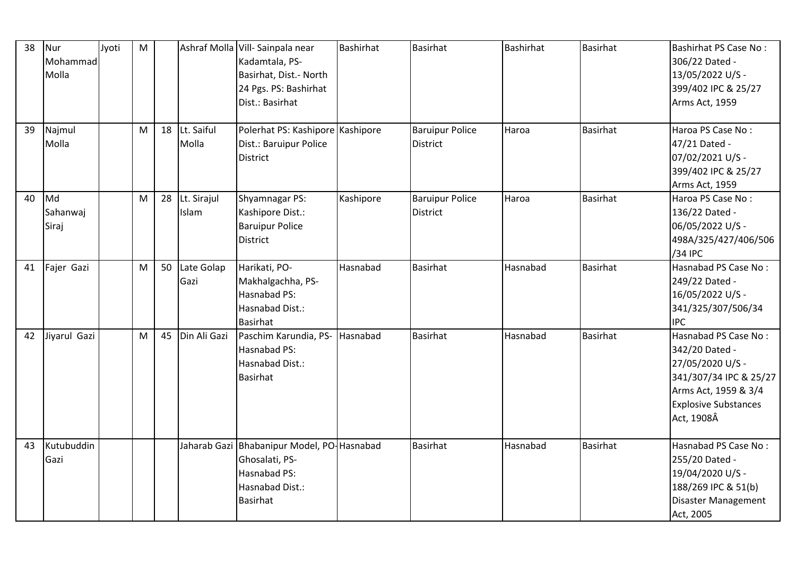| 38 | Nur<br>Mohammad<br>Molla | Jyoti | M |    |                         | Ashraf Molla Vill-Sainpala near<br>Kadamtala, PS-<br>Basirhat, Dist.- North<br>24 Pgs. PS: Bashirhat<br>Dist.: Basirhat | Bashirhat | Basirhat                                  | <b>Bashirhat</b> | Basirhat        | Bashirhat PS Case No:<br>306/22 Dated -<br>13/05/2022 U/S -<br>399/402 IPC & 25/27<br>Arms Act, 1959                                                      |
|----|--------------------------|-------|---|----|-------------------------|-------------------------------------------------------------------------------------------------------------------------|-----------|-------------------------------------------|------------------|-----------------|-----------------------------------------------------------------------------------------------------------------------------------------------------------|
| 39 | Najmul<br>Molla          |       | M | 18 | Lt. Saiful<br>Molla     | Polerhat PS: Kashipore Kashipore<br>Dist.: Baruipur Police<br><b>District</b>                                           |           | <b>Baruipur Police</b><br><b>District</b> | Haroa            | <b>Basirhat</b> | Haroa PS Case No:<br>47/21 Dated -<br>07/02/2021 U/S -<br>399/402 IPC & 25/27<br>Arms Act, 1959                                                           |
| 40 | Md<br>Sahanwaj<br>Siraj  |       | M |    | 28 Lt. Sirajul<br>Islam | Shyamnagar PS:<br>Kashipore Dist.:<br><b>Baruipur Police</b><br><b>District</b>                                         | Kashipore | <b>Baruipur Police</b><br>District        | Haroa            | <b>Basirhat</b> | Haroa PS Case No:<br>136/22 Dated -<br>06/05/2022 U/S -<br>498A/325/427/406/506<br>/34 IPC                                                                |
| 41 | Fajer Gazi               |       | M |    | 50 Late Golap<br>Gazi   | Harikati, PO-<br>Makhalgachha, PS-<br>Hasnabad PS:<br>Hasnabad Dist.:<br><b>Basirhat</b>                                | Hasnabad  | <b>Basirhat</b>                           | Hasnabad         | Basirhat        | Hasnabad PS Case No:<br>249/22 Dated -<br>16/05/2022 U/S -<br>341/325/307/506/34<br><b>IPC</b>                                                            |
| 42 | Jiyarul Gazi             |       | M | 45 | Din Ali Gazi            | Paschim Karundia, PS- Hasnabad<br>Hasnabad PS:<br>Hasnabad Dist.:<br><b>Basirhat</b>                                    |           | Basirhat                                  | Hasnabad         | <b>Basirhat</b> | Hasnabad PS Case No:<br>342/20 Dated -<br>27/05/2020 U/S -<br>341/307/34 IPC & 25/27<br>Arms Act, 1959 & 3/4<br><b>Explosive Substances</b><br>Act, 1908Â |
| 43 | Kutubuddin<br>Gazi       |       |   |    |                         | Jaharab Gazi Bhabanipur Model, PO-Hasnabad<br>Ghosalati, PS-<br>Hasnabad PS:<br>Hasnabad Dist.:<br><b>Basirhat</b>      |           | <b>Basirhat</b>                           | Hasnabad         | <b>Basirhat</b> | Hasnabad PS Case No:<br>255/20 Dated -<br>19/04/2020 U/S -<br>188/269 IPC & 51(b)<br>Disaster Management<br>Act, 2005                                     |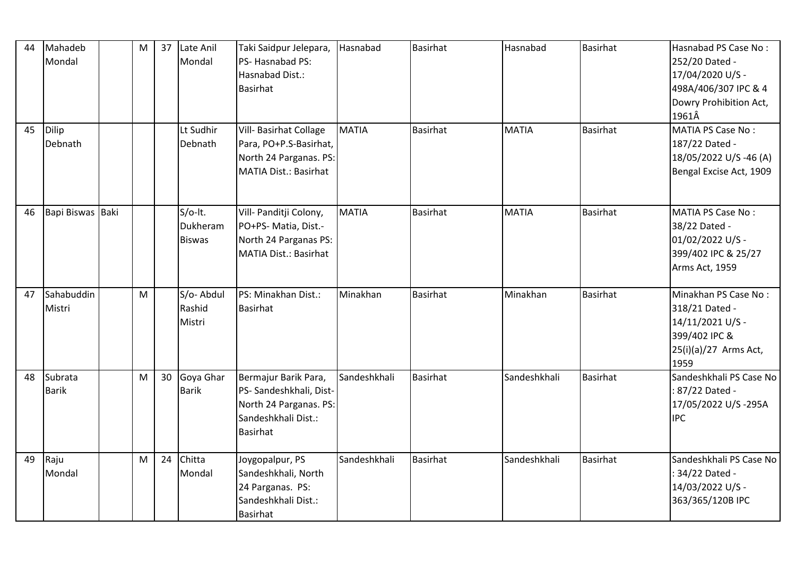| 44 | Mahadeb<br>Mondal       | M | 37 Late Anil<br>Mondal               | Taki Saidpur Jelepara,<br>PS- Hasnabad PS:<br>Hasnabad Dist.:<br>Basirhat                                    | Hasnabad     | <b>Basirhat</b> | Hasnabad     | Basirhat        | Hasnabad PS Case No:<br>252/20 Dated -<br>17/04/2020 U/S -<br>498A/406/307 IPC & 4<br>Dowry Prohibition Act,<br>1961Â |
|----|-------------------------|---|--------------------------------------|--------------------------------------------------------------------------------------------------------------|--------------|-----------------|--------------|-----------------|-----------------------------------------------------------------------------------------------------------------------|
| 45 | Dilip<br>Debnath        |   | Lt Sudhir<br>Debnath                 | Vill- Basirhat Collage<br>Para, PO+P.S-Basirhat,<br>North 24 Parganas. PS:<br>MATIA Dist.: Basirhat          | <b>MATIA</b> | <b>Basirhat</b> | <b>MATIA</b> | <b>Basirhat</b> | <b>MATIA PS Case No:</b><br>187/22 Dated -<br>18/05/2022 U/S -46 (A)<br>Bengal Excise Act, 1909                       |
| 46 | Bapi Biswas Baki        |   | S/o-lt.<br>Dukheram<br><b>Biswas</b> | Vill- Panditji Colony,<br>PO+PS- Matia, Dist.-<br>North 24 Parganas PS:<br><b>MATIA Dist.: Basirhat</b>      | <b>MATIA</b> | <b>Basirhat</b> | <b>MATIA</b> | <b>Basirhat</b> | MATIA PS Case No:<br>38/22 Dated -<br>01/02/2022 U/S -<br>399/402 IPC & 25/27<br>Arms Act, 1959                       |
| 47 | Sahabuddin<br>Mistri    | M | S/o-Abdul<br>Rashid<br>Mistri        | PS: Minakhan Dist.:<br><b>Basirhat</b>                                                                       | Minakhan     | <b>Basirhat</b> | Minakhan     | <b>Basirhat</b> | Minakhan PS Case No:<br>318/21 Dated -<br>14/11/2021 U/S -<br>399/402 IPC &<br>25(i)(a)/27 Arms Act,<br>1959          |
| 48 | Subrata<br><b>Barik</b> | M | 30 Goya Ghar<br><b>Barik</b>         | Bermajur Barik Para,<br>PS- Sandeshkhali, Dist-<br>North 24 Parganas. PS:<br>Sandeshkhali Dist.:<br>Basirhat | Sandeshkhali | <b>Basirhat</b> | Sandeshkhali | <b>Basirhat</b> | Sandeshkhali PS Case No<br>: 87/22 Dated -<br>17/05/2022 U/S-295A<br><b>IPC</b>                                       |
| 49 | Raju<br>Mondal          | M | 24 Chitta<br>Mondal                  | Joygopalpur, PS<br>Sandeshkhali, North<br>24 Parganas. PS:<br>Sandeshkhali Dist.:<br><b>Basirhat</b>         | Sandeshkhali | <b>Basirhat</b> | Sandeshkhali | <b>Basirhat</b> | Sandeshkhali PS Case No<br>34/22 Dated -<br>14/03/2022 U/S -<br>363/365/120B IPC                                      |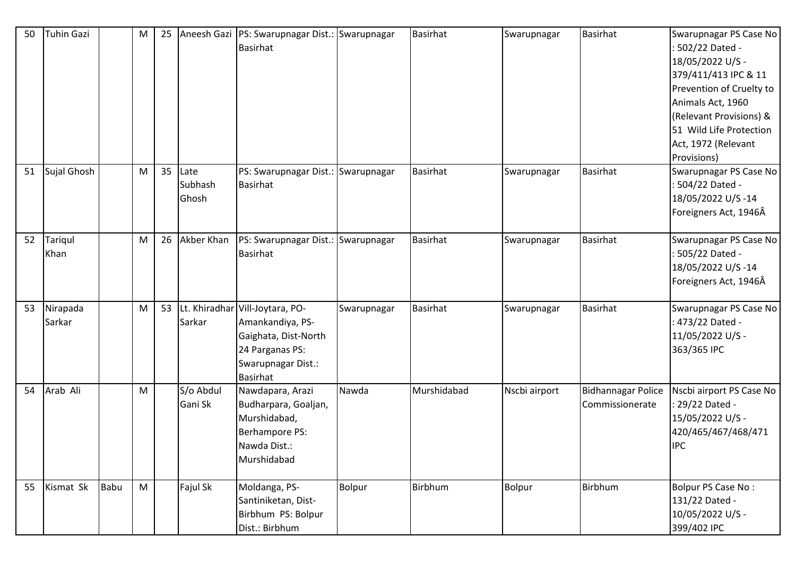| 50 | <b>Tuhin Gazi</b>  |      | M | 25 |                          | Aneesh Gazi   PS: Swarupnagar Dist.: Swarupnagar<br><b>Basirhat</b>                                                                     |               | <b>Basirhat</b> | Swarupnagar   | <b>Basirhat</b>                              | Swarupnagar PS Case No<br>: 502/22 Dated -<br>18/05/2022 U/S -<br>379/411/413 IPC & 11<br>Prevention of Cruelty to<br>Animals Act, 1960<br>(Relevant Provisions) & |
|----|--------------------|------|---|----|--------------------------|-----------------------------------------------------------------------------------------------------------------------------------------|---------------|-----------------|---------------|----------------------------------------------|--------------------------------------------------------------------------------------------------------------------------------------------------------------------|
|    |                    |      |   |    |                          |                                                                                                                                         |               |                 |               |                                              | 51 Wild Life Protection<br>Act, 1972 (Relevant<br>Provisions)                                                                                                      |
| 51 | Sujal Ghosh        |      | M | 35 | Late<br>Subhash<br>Ghosh | PS: Swarupnagar Dist.: Swarupnagar<br><b>Basirhat</b>                                                                                   |               | <b>Basirhat</b> | Swarupnagar   | <b>Basirhat</b>                              | Swarupnagar PS Case No<br>: 504/22 Dated -<br>18/05/2022 U/S-14<br>Foreigners Act, 1946Â                                                                           |
| 52 | Tariqul<br>Khan    |      | M | 26 | Akber Khan               | PS: Swarupnagar Dist.: Swarupnagar<br><b>Basirhat</b>                                                                                   |               | <b>Basirhat</b> | Swarupnagar   | Basirhat                                     | Swarupnagar PS Case No<br>: 505/22 Dated -<br>18/05/2022 U/S-14<br>Foreigners Act, 1946Â                                                                           |
| 53 | Nirapada<br>Sarkar |      | M | 53 | Sarkar                   | Lt. Khiradhar Vill-Joytara, PO-<br>Amankandiya, PS-<br>Gaighata, Dist-North<br>24 Parganas PS:<br>Swarupnagar Dist.:<br><b>Basirhat</b> | Swarupnagar   | <b>Basirhat</b> | Swarupnagar   | <b>Basirhat</b>                              | Swarupnagar PS Case No<br>: 473/22 Dated -<br>11/05/2022 U/S -<br>363/365 IPC                                                                                      |
| 54 | Arab Ali           |      | M |    | S/o Abdul<br>Gani Sk     | Nawdapara, Arazi<br>Budharpara, Goaljan,<br>Murshidabad,<br>Berhampore PS:<br>Nawda Dist.:<br>Murshidabad                               | Nawda         | Murshidabad     | Nscbi airport | <b>Bidhannagar Police</b><br>Commissionerate | Nscbi airport PS Case No<br>: 29/22 Dated -<br>15/05/2022 U/S -<br>420/465/467/468/471<br><b>IPC</b>                                                               |
| 55 | Kismat Sk          | Babu | M |    | Fajul Sk                 | Moldanga, PS-<br>Santiniketan, Dist-<br>Birbhum PS: Bolpur<br>Dist.: Birbhum                                                            | <b>Bolpur</b> | Birbhum         | Bolpur        | Birbhum                                      | Bolpur PS Case No:<br>131/22 Dated -<br>10/05/2022 U/S -<br>399/402 IPC                                                                                            |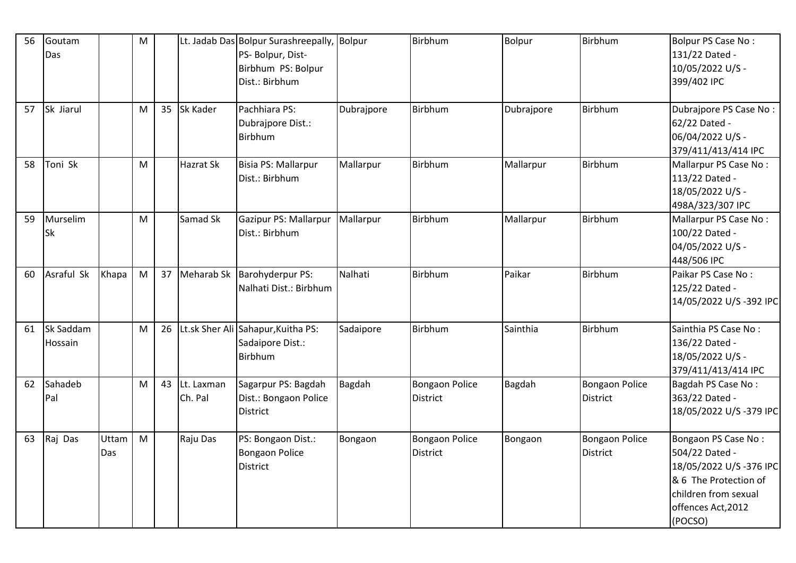| 56 | Goutam     |       | M |    |            | Lt. Jadab Das Bolpur Surashreepally, Bolpur |            | <b>Birbhum</b>        | <b>Bolpur</b> | <b>Birbhum</b>        | <b>Bolpur PS Case No:</b> |
|----|------------|-------|---|----|------------|---------------------------------------------|------------|-----------------------|---------------|-----------------------|---------------------------|
|    | Das        |       |   |    |            | PS- Bolpur, Dist-                           |            |                       |               |                       | 131/22 Dated -            |
|    |            |       |   |    |            | Birbhum PS: Bolpur                          |            |                       |               |                       | 10/05/2022 U/S -          |
|    |            |       |   |    |            | Dist.: Birbhum                              |            |                       |               |                       | 399/402 IPC               |
|    |            |       |   |    |            |                                             |            |                       |               |                       |                           |
| 57 | Sk Jiarul  |       | M | 35 | Sk Kader   | Pachhiara PS:                               | Dubrajpore | <b>Birbhum</b>        | Dubrajpore    | <b>Birbhum</b>        | Dubrajpore PS Case No:    |
|    |            |       |   |    |            | Dubrajpore Dist.:                           |            |                       |               |                       | 62/22 Dated -             |
|    |            |       |   |    |            | <b>Birbhum</b>                              |            |                       |               |                       | 06/04/2022 U/S -          |
|    |            |       |   |    |            |                                             |            |                       |               |                       | 379/411/413/414 IPC       |
| 58 | Toni Sk    |       | M |    | Hazrat Sk  | Bisia PS: Mallarpur                         | Mallarpur  | Birbhum               | Mallarpur     | <b>Birbhum</b>        | Mallarpur PS Case No:     |
|    |            |       |   |    |            | Dist.: Birbhum                              |            |                       |               |                       | 113/22 Dated -            |
|    |            |       |   |    |            |                                             |            |                       |               |                       | 18/05/2022 U/S -          |
|    |            |       |   |    |            |                                             |            |                       |               |                       | 498A/323/307 IPC          |
| 59 | Murselim   |       | M |    | Samad Sk   | Gazipur PS: Mallarpur                       | Mallarpur  | <b>Birbhum</b>        | Mallarpur     | <b>Birbhum</b>        | Mallarpur PS Case No:     |
|    | <b>Sk</b>  |       |   |    |            | Dist.: Birbhum                              |            |                       |               |                       | 100/22 Dated -            |
|    |            |       |   |    |            |                                             |            |                       |               |                       | 04/05/2022 U/S -          |
|    |            |       |   |    |            |                                             |            |                       |               |                       | 448/506 IPC               |
| 60 | Asraful Sk | Khapa | M |    |            | 37 Meharab Sk Barohyderpur PS:              | Nalhati    | <b>Birbhum</b>        | Paikar        | <b>Birbhum</b>        | Paikar PS Case No:        |
|    |            |       |   |    |            | Nalhati Dist.: Birbhum                      |            |                       |               |                       | 125/22 Dated -            |
|    |            |       |   |    |            |                                             |            |                       |               |                       | 14/05/2022 U/S-392 IPC    |
|    |            |       |   |    |            |                                             |            |                       |               |                       |                           |
| 61 | Sk Saddam  |       | M |    |            | 26 Lt.sk Sher Ali Sahapur, Kuitha PS:       | Sadaipore  | <b>Birbhum</b>        | Sainthia      | <b>Birbhum</b>        | Sainthia PS Case No:      |
|    | Hossain    |       |   |    |            | Sadaipore Dist.:                            |            |                       |               |                       | 136/22 Dated -            |
|    |            |       |   |    |            | <b>Birbhum</b>                              |            |                       |               |                       | 18/05/2022 U/S -          |
|    |            |       |   |    |            |                                             |            |                       |               |                       | 379/411/413/414 IPC       |
| 62 | Sahadeb    |       | M | 43 | Lt. Laxman | Sagarpur PS: Bagdah                         | Bagdah     | <b>Bongaon Police</b> | <b>Bagdah</b> | Bongaon Police        | Bagdah PS Case No:        |
|    | Pal        |       |   |    | Ch. Pal    | Dist.: Bongaon Police                       |            | <b>District</b>       |               | <b>District</b>       | 363/22 Dated -            |
|    |            |       |   |    |            | <b>District</b>                             |            |                       |               |                       | 18/05/2022 U/S-379 IPC    |
|    |            |       |   |    |            |                                             |            |                       |               |                       |                           |
| 63 | Raj Das    | Uttam | M |    | Raju Das   | PS: Bongaon Dist.:                          | Bongaon    | <b>Bongaon Police</b> | Bongaon       | <b>Bongaon Police</b> | Bongaon PS Case No:       |
|    |            | Das   |   |    |            | Bongaon Police                              |            | <b>District</b>       |               | <b>District</b>       | 504/22 Dated -            |
|    |            |       |   |    |            | <b>District</b>                             |            |                       |               |                       | 18/05/2022 U/S-376 IPC    |
|    |            |       |   |    |            |                                             |            |                       |               |                       | & 6 The Protection of     |
|    |            |       |   |    |            |                                             |            |                       |               |                       | children from sexual      |
|    |            |       |   |    |            |                                             |            |                       |               |                       | offences Act, 2012        |
|    |            |       |   |    |            |                                             |            |                       |               |                       | (POCSO)                   |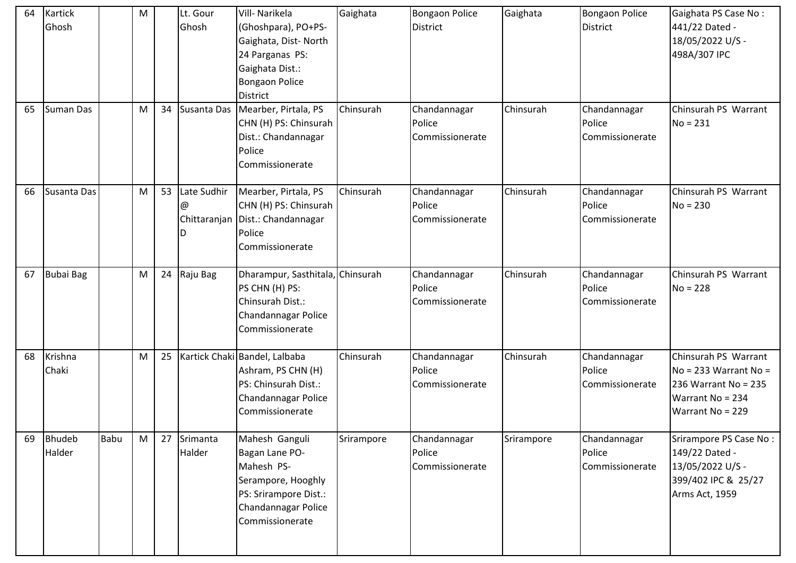| 64 | Kartick<br>Ghosh        |      | M |    | Lt. Gour<br>Ghosh                     | Vill- Narikela<br>(Ghoshpara), PO+PS-<br>Gaighata, Dist-North<br>24 Parganas PS:<br>Gaighata Dist.:<br><b>Bongaon Police</b><br><b>District</b> | Gaighata   | <b>Bongaon Police</b><br><b>District</b>  | Gaighata   | <b>Bongaon Police</b><br><b>District</b>  | Gaighata PS Case No:<br>441/22 Dated -<br>18/05/2022 U/S -<br>498A/307 IPC                                             |
|----|-------------------------|------|---|----|---------------------------------------|-------------------------------------------------------------------------------------------------------------------------------------------------|------------|-------------------------------------------|------------|-------------------------------------------|------------------------------------------------------------------------------------------------------------------------|
| 65 | <b>Suman Das</b>        |      | M | 34 | Susanta Das                           | Mearber, Pirtala, PS<br>CHN (H) PS: Chinsurah<br>Dist.: Chandannagar<br>Police<br>Commissionerate                                               | Chinsurah  | Chandannagar<br>Police<br>Commissionerate | Chinsurah  | Chandannagar<br>Police<br>Commissionerate | Chinsurah PS Warrant<br>$No = 231$                                                                                     |
| 66 | Susanta Das             |      | M | 53 | Late Sudhir<br>@<br>Chittaranjan<br>D | Mearber, Pirtala, PS<br>CHN (H) PS: Chinsurah<br>Dist.: Chandannagar<br>Police<br>Commissionerate                                               | Chinsurah  | Chandannagar<br>Police<br>Commissionerate | Chinsurah  | Chandannagar<br>Police<br>Commissionerate | Chinsurah PS Warrant<br>$No = 230$                                                                                     |
| 67 | <b>Bubai Bag</b>        |      | M | 24 | Raju Bag                              | Dharampur, Sasthitala, Chinsurah<br>PS CHN (H) PS:<br>Chinsurah Dist.:<br>Chandannagar Police<br>Commissionerate                                |            | Chandannagar<br>Police<br>Commissionerate | Chinsurah  | Chandannagar<br>Police<br>Commissionerate | Chinsurah PS Warrant<br>$No = 228$                                                                                     |
| 68 | Krishna<br>Chaki        |      | M | 25 |                                       | Kartick Chaki Bandel, Lalbaba<br>Ashram, PS CHN (H)<br>PS: Chinsurah Dist.:<br>Chandannagar Police<br>Commissionerate                           | Chinsurah  | Chandannagar<br>Police<br>Commissionerate | Chinsurah  | Chandannagar<br>Police<br>Commissionerate | Chinsurah PS Warrant<br>$No = 233 Warren$ Marrant No =<br>236 Warrant No = 235<br>Warrant No = 234<br>Warrant No = 229 |
| 69 | <b>Bhudeb</b><br>Halder | Babu | M | 27 | Srimanta<br>Halder                    | Mahesh Ganguli<br>Bagan Lane PO-<br>Mahesh PS-<br>Serampore, Hooghly<br>PS: Srirampore Dist.:<br>Chandannagar Police<br>Commissionerate         | Srirampore | Chandannagar<br>Police<br>Commissionerate | Srirampore | Chandannagar<br>Police<br>Commissionerate | Srirampore PS Case No:<br>149/22 Dated -<br>13/05/2022 U/S -<br>399/402 IPC & 25/27<br>Arms Act, 1959                  |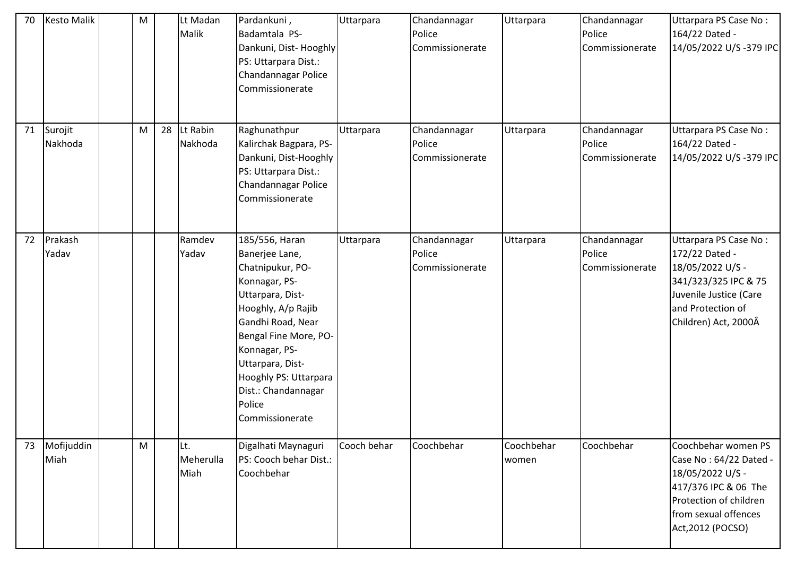| 70 | <b>Kesto Malik</b> | M         | Lt Madan<br>Malik        | Pardankuni,<br>Badamtala PS-<br>Dankuni, Dist-Hooghly<br>PS: Uttarpara Dist.:<br>Chandannagar Police<br>Commissionerate                                                                                                                                                         | Uttarpara   | Chandannagar<br>Police<br>Commissionerate | Uttarpara           | Chandannagar<br>Police<br>Commissionerate | Uttarpara PS Case No:<br>164/22 Dated -<br>14/05/2022 U/S-379 IPC                                                                                                |
|----|--------------------|-----------|--------------------------|---------------------------------------------------------------------------------------------------------------------------------------------------------------------------------------------------------------------------------------------------------------------------------|-------------|-------------------------------------------|---------------------|-------------------------------------------|------------------------------------------------------------------------------------------------------------------------------------------------------------------|
| 71 | Surojit<br>Nakhoda | M         | 28 Lt Rabin<br>Nakhoda   | Raghunathpur<br>Kalirchak Bagpara, PS-<br>Dankuni, Dist-Hooghly<br>PS: Uttarpara Dist.:<br>Chandannagar Police<br>Commissionerate                                                                                                                                               | Uttarpara   | Chandannagar<br>Police<br>Commissionerate | Uttarpara           | Chandannagar<br>Police<br>Commissionerate | Uttarpara PS Case No:<br>164/22 Dated -<br>14/05/2022 U/S-379 IPC                                                                                                |
| 72 | Prakash<br>Yadav   |           | Ramdev<br>Yadav          | 185/556, Haran<br>Banerjee Lane,<br>Chatnipukur, PO-<br>Konnagar, PS-<br>Uttarpara, Dist-<br>Hooghly, A/p Rajib<br>Gandhi Road, Near<br>Bengal Fine More, PO-<br>Konnagar, PS-<br>Uttarpara, Dist-<br>Hooghly PS: Uttarpara<br>Dist.: Chandannagar<br>Police<br>Commissionerate | Uttarpara   | Chandannagar<br>Police<br>Commissionerate | Uttarpara           | Chandannagar<br>Police<br>Commissionerate | Uttarpara PS Case No:<br>172/22 Dated -<br>18/05/2022 U/S -<br>341/323/325 IPC & 75<br>Juvenile Justice (Care<br>and Protection of<br>Children) Act, 2000Â       |
| 73 | Mofijuddin<br>Miah | ${\sf M}$ | Lt.<br>Meherulla<br>Miah | Digalhati Maynaguri<br>PS: Cooch behar Dist.:<br>Coochbehar                                                                                                                                                                                                                     | Cooch behar | Coochbehar                                | Coochbehar<br>women | Coochbehar                                | Coochbehar women PS<br>Case No: 64/22 Dated -<br>18/05/2022 U/S -<br>417/376 IPC & 06 The<br>Protection of children<br>from sexual offences<br>Act, 2012 (POCSO) |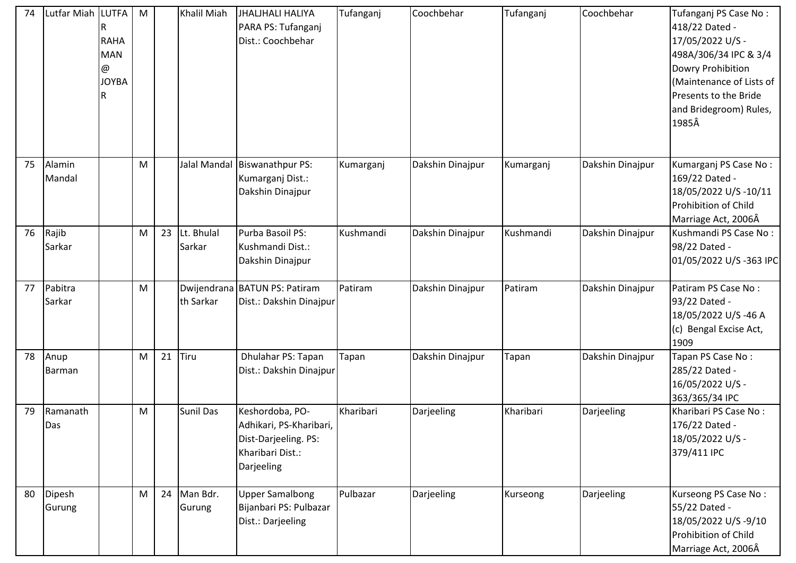| 74 | Lutfar Miah LUTFA | <b>RAHA</b><br><b>MAN</b><br>@<br><b>JOYBA</b> | M         |    | Khalil Miah             | <b>JHALJHALI HALIYA</b><br>PARA PS: Tufanganj<br>Dist.: Coochbehar                                   | Tufanganj | Coochbehar       | Tufanganj | Coochbehar       | Tufanganj PS Case No:<br>418/22 Dated -<br>17/05/2022 U/S -<br>498A/306/34 IPC & 3/4<br>Dowry Prohibition<br>(Maintenance of Lists of<br>Presents to the Bride<br>and Bridegroom) Rules,<br>1985Â |
|----|-------------------|------------------------------------------------|-----------|----|-------------------------|------------------------------------------------------------------------------------------------------|-----------|------------------|-----------|------------------|---------------------------------------------------------------------------------------------------------------------------------------------------------------------------------------------------|
| 75 | Alamin<br>Mandal  |                                                | M         |    |                         | Jalal Mandal Biswanathpur PS:<br>Kumarganj Dist.:<br>Dakshin Dinajpur                                | Kumarganj | Dakshin Dinajpur | Kumarganj | Dakshin Dinajpur | Kumarganj PS Case No:<br>169/22 Dated -<br>18/05/2022 U/S-10/11<br>Prohibition of Child<br>Marriage Act, 2006Â                                                                                    |
| 76 | Rajib<br>Sarkar   |                                                | M         |    | 23 Lt. Bhulal<br>Sarkar | Purba Basoil PS:<br>Kushmandi Dist.:<br>Dakshin Dinajpur                                             | Kushmandi | Dakshin Dinajpur | Kushmandi | Dakshin Dinajpur | Kushmandi PS Case No:<br>98/22 Dated -<br>01/05/2022 U/S-363 IPC                                                                                                                                  |
| 77 | Pabitra<br>Sarkar |                                                | M         |    | th Sarkar               | Dwijendrana BATUN PS: Patiram<br>Dist.: Dakshin Dinajpur                                             | Patiram   | Dakshin Dinajpur | Patiram   | Dakshin Dinajpur | Patiram PS Case No:<br>93/22 Dated -<br>18/05/2022 U/S-46 A<br>(c) Bengal Excise Act,<br>1909                                                                                                     |
| 78 | Anup<br>Barman    |                                                | M         | 21 | Tiru                    | Dhulahar PS: Tapan<br>Dist.: Dakshin Dinajpur                                                        | Tapan     | Dakshin Dinajpur | Tapan     | Dakshin Dinajpur | Tapan PS Case No:<br>285/22 Dated -<br>16/05/2022 U/S -<br>363/365/34 IPC                                                                                                                         |
| 79 | Ramanath<br>Das   |                                                | ${\sf M}$ |    | <b>Sunil Das</b>        | Keshordoba, PO-<br>Adhikari, PS-Kharibari,<br>Dist-Darjeeling. PS:<br>Kharibari Dist.:<br>Darjeeling | Kharibari | Darjeeling       | Kharibari | Darjeeling       | Kharibari PS Case No:<br>176/22 Dated -<br>18/05/2022 U/S -<br>379/411 IPC                                                                                                                        |
| 80 | Dipesh<br>Gurung  |                                                | M         |    | 24 Man Bdr.<br>Gurung   | <b>Upper Samalbong</b><br>Bijanbari PS: Pulbazar<br>Dist.: Darjeeling                                | Pulbazar  | Darjeeling       | Kurseong  | Darjeeling       | Kurseong PS Case No:<br>55/22 Dated -<br>18/05/2022 U/S-9/10<br>Prohibition of Child<br>Marriage Act, 2006Â                                                                                       |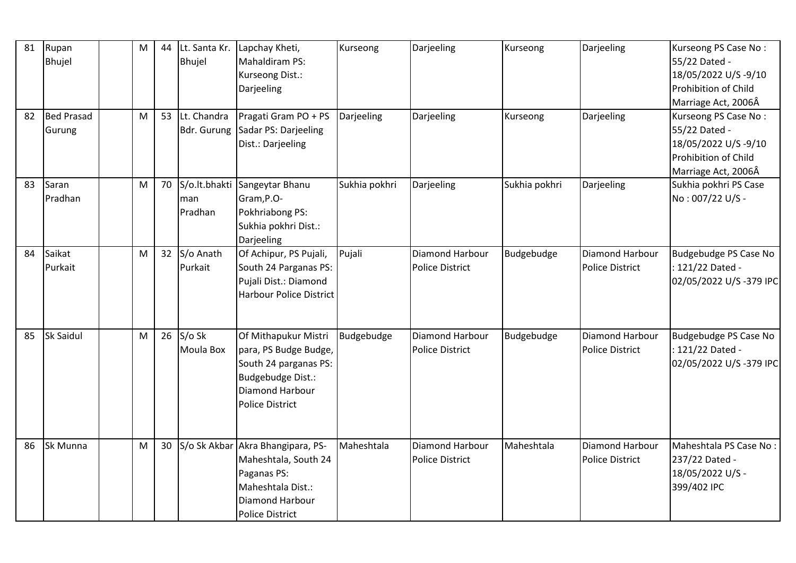| 81 | Rupan<br>Bhujel             | M | 44 | Lt. Santa Kr.<br><b>Bhujel</b> | Lapchay Kheti,<br>Mahaldiram PS:<br>Kurseong Dist.:<br>Darjeeling                                                                          | Kurseong      | Darjeeling                                | Kurseong      | Darjeeling                                | Kurseong PS Case No:<br>55/22 Dated -<br>18/05/2022 U/S-9/10<br>Prohibition of Child<br>Marriage Act, 2006Â |
|----|-----------------------------|---|----|--------------------------------|--------------------------------------------------------------------------------------------------------------------------------------------|---------------|-------------------------------------------|---------------|-------------------------------------------|-------------------------------------------------------------------------------------------------------------|
| 82 | <b>Bed Prasad</b><br>Gurung | M |    | 53 Lt. Chandra<br>Bdr. Gurung  | Pragati Gram PO + PS<br>Sadar PS: Darjeeling<br>Dist.: Darjeeling                                                                          | Darjeeling    | Darjeeling                                | Kurseong      | Darjeeling                                | Kurseong PS Case No:<br>55/22 Dated -<br>18/05/2022 U/S-9/10<br>Prohibition of Child<br>Marriage Act, 2006Â |
| 83 | Saran<br>Pradhan            | M | 70 | man<br>Pradhan                 | S/o.lt.bhakti Sangeytar Bhanu<br>Gram, P.O-<br>Pokhriabong PS:<br>Sukhia pokhri Dist.:<br>Darjeeling                                       | Sukhia pokhri | Darjeeling                                | Sukhia pokhri | Darjeeling                                | Sukhia pokhri PS Case<br>No: 007/22 U/S -                                                                   |
| 84 | Saikat<br>Purkait           | M |    | 32 S/o Anath<br>Purkait        | Of Achipur, PS Pujali,<br>South 24 Parganas PS:<br>Pujali Dist.: Diamond<br><b>Harbour Police District</b>                                 | Pujali        | Diamond Harbour<br><b>Police District</b> | Budgebudge    | Diamond Harbour<br><b>Police District</b> | Budgebudge PS Case No<br>: 121/22 Dated -<br>02/05/2022 U/S-379 IPC                                         |
| 85 | <b>Sk Saidul</b>            | M | 26 | $S/O$ Sk<br>Moula Box          | Of Mithapukur Mistri<br>para, PS Budge Budge,<br>South 24 parganas PS:<br>Budgebudge Dist.:<br>Diamond Harbour<br><b>Police District</b>   | Budgebudge    | Diamond Harbour<br>Police District        | Budgebudge    | Diamond Harbour<br>Police District        | <b>Budgebudge PS Case No</b><br>: 121/22 Dated -<br>02/05/2022 U/S-379 IPC                                  |
| 86 | Sk Munna                    | M | 30 |                                | S/o Sk Akbar Akra Bhangipara, PS-<br>Maheshtala, South 24<br>Paganas PS:<br>Maheshtala Dist.:<br>Diamond Harbour<br><b>Police District</b> | Maheshtala    | Diamond Harbour<br>Police District        | Maheshtala    | Diamond Harbour<br><b>Police District</b> | Maheshtala PS Case No:<br>237/22 Dated -<br>18/05/2022 U/S -<br>399/402 IPC                                 |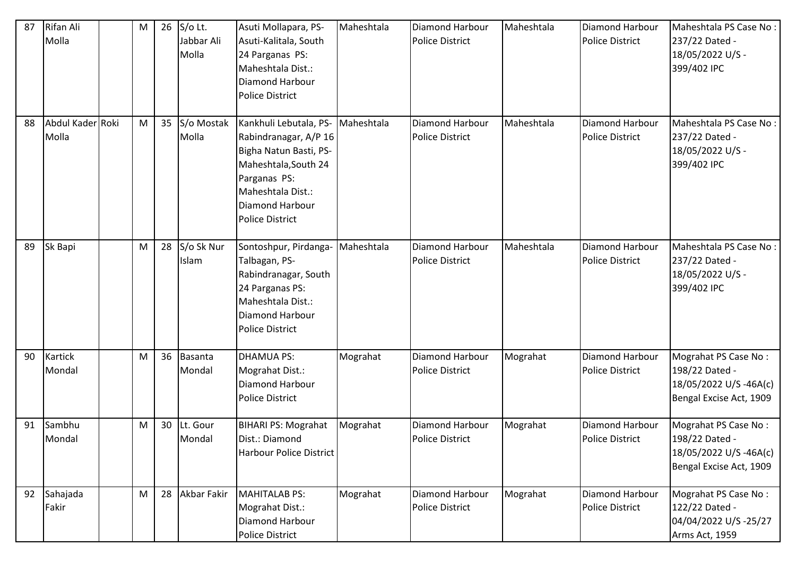| 87 | Rifan Ali<br>Molla        | M |    | 26 S/o Lt.<br>Jabbar Ali<br>Molla | Asuti Mollapara, PS-<br>Asuti-Kalitala, South<br>24 Parganas PS:<br>Maheshtala Dist.:<br><b>Diamond Harbour</b><br><b>Police District</b>                                                      | Maheshtala | <b>Diamond Harbour</b><br><b>Police District</b> | Maheshtala | Diamond Harbour<br><b>Police District</b>        | Maheshtala PS Case No:<br>237/22 Dated -<br>18/05/2022 U/S -<br>399/402 IPC                |
|----|---------------------------|---|----|-----------------------------------|------------------------------------------------------------------------------------------------------------------------------------------------------------------------------------------------|------------|--------------------------------------------------|------------|--------------------------------------------------|--------------------------------------------------------------------------------------------|
| 88 | Abdul Kader Roki<br>Molla | M | 35 | S/o Mostak<br>Molla               | Kankhuli Lebutala, PS- Maheshtala<br>Rabindranagar, A/P 16<br>Bigha Natun Basti, PS-<br>Maheshtala, South 24<br>Parganas PS:<br>Maheshtala Dist.:<br>Diamond Harbour<br><b>Police District</b> |            | Diamond Harbour<br><b>Police District</b>        | Maheshtala | <b>Diamond Harbour</b><br><b>Police District</b> | Maheshtala PS Case No:<br>237/22 Dated -<br>18/05/2022 U/S -<br>399/402 IPC                |
| 89 | Sk Bapi                   | M | 28 | S/o Sk Nur<br>Islam               | Sontoshpur, Pirdanga-<br>Talbagan, PS-<br>Rabindranagar, South<br>24 Parganas PS:<br>Maheshtala Dist.:<br>Diamond Harbour<br><b>Police District</b>                                            | Maheshtala | Diamond Harbour<br><b>Police District</b>        | Maheshtala | <b>Diamond Harbour</b><br><b>Police District</b> | Maheshtala PS Case No:<br>237/22 Dated -<br>18/05/2022 U/S -<br>399/402 IPC                |
| 90 | <b>Kartick</b><br>Mondal  | M | 36 | Basanta<br>Mondal                 | DHAMUA PS:<br>Mograhat Dist.:<br>Diamond Harbour<br><b>Police District</b>                                                                                                                     | Mograhat   | Diamond Harbour<br><b>Police District</b>        | Mograhat   | Diamond Harbour<br>Police District               | Mograhat PS Case No:<br>198/22 Dated -<br>18/05/2022 U/S-46A(c)<br>Bengal Excise Act, 1909 |
| 91 | Sambhu<br>Mondal          | M | 30 | Lt. Gour<br>Mondal                | <b>BIHARI PS: Mograhat</b><br>Dist.: Diamond<br>Harbour Police District                                                                                                                        | Mograhat   | Diamond Harbour<br><b>Police District</b>        | Mograhat   | Diamond Harbour<br><b>Police District</b>        | Mograhat PS Case No:<br>198/22 Dated -<br>18/05/2022 U/S-46A(c)<br>Bengal Excise Act, 1909 |
| 92 | Sahajada<br>Fakir         | M | 28 | Akbar Fakir                       | MAHITALAB PS:<br>Mograhat Dist.:<br>Diamond Harbour<br>Police District                                                                                                                         | Mograhat   | Diamond Harbour<br><b>Police District</b>        | Mograhat   | Diamond Harbour<br>Police District               | Mograhat PS Case No:<br>122/22 Dated -<br>04/04/2022 U/S-25/27<br>Arms Act, 1959           |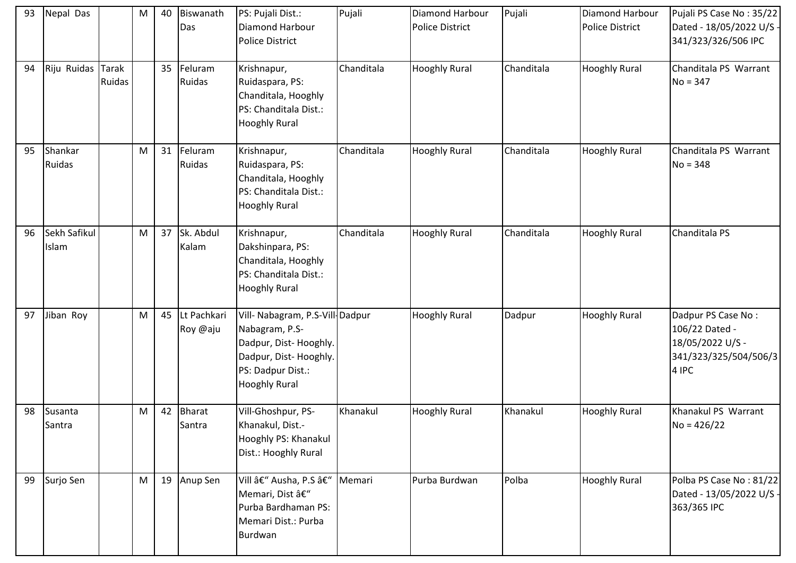| 93 | Nepal Das                |                        | M | 40 | Biswanath<br>Das           | PS: Pujali Dist.:<br>Diamond Harbour<br><b>Police District</b>                                                                                   | Pujali     | <b>Diamond Harbour</b><br><b>Police District</b> | Pujali     | Diamond Harbour<br><b>Police District</b> | Pujali PS Case No: 35/22<br>Dated - 18/05/2022 U/S -<br>341/323/326/506 IPC                |
|----|--------------------------|------------------------|---|----|----------------------------|--------------------------------------------------------------------------------------------------------------------------------------------------|------------|--------------------------------------------------|------------|-------------------------------------------|--------------------------------------------------------------------------------------------|
| 94 | Riju Ruidas              | <b>Tarak</b><br>Ruidas |   | 35 | Feluram<br>Ruidas          | Krishnapur,<br>Ruidaspara, PS:<br>Chanditala, Hooghly<br>PS: Chanditala Dist.:<br><b>Hooghly Rural</b>                                           | Chanditala | <b>Hooghly Rural</b>                             | Chanditala | <b>Hooghly Rural</b>                      | Chanditala PS Warrant<br>$No = 347$                                                        |
| 95 | Shankar<br><b>Ruidas</b> |                        | M | 31 | Feluram<br>Ruidas          | Krishnapur,<br>Ruidaspara, PS:<br>Chanditala, Hooghly<br>PS: Chanditala Dist.:<br><b>Hooghly Rural</b>                                           | Chanditala | <b>Hooghly Rural</b>                             | Chanditala | <b>Hooghly Rural</b>                      | Chanditala PS Warrant<br>$No = 348$                                                        |
| 96 | Sekh Safikul<br>Islam    |                        | M | 37 | Sk. Abdul<br>Kalam         | Krishnapur,<br>Dakshinpara, PS:<br>Chanditala, Hooghly<br>PS: Chanditala Dist.:<br><b>Hooghly Rural</b>                                          | Chanditala | <b>Hooghly Rural</b>                             | Chanditala | <b>Hooghly Rural</b>                      | Chanditala PS                                                                              |
| 97 | Jiban Roy                |                        | M |    | 45 Lt Pachkari<br>Roy @aju | Vill- Nabagram, P.S-Vill-Dadpur<br>Nabagram, P.S-<br>Dadpur, Dist-Hooghly.<br>Dadpur, Dist-Hooghly.<br>PS: Dadpur Dist.:<br><b>Hooghly Rural</b> |            | <b>Hooghly Rural</b>                             | Dadpur     | <b>Hooghly Rural</b>                      | Dadpur PS Case No:<br>106/22 Dated -<br>18/05/2022 U/S -<br>341/323/325/504/506/3<br>4 IPC |
| 98 | Susanta<br>Santra        |                        | M | 42 | <b>Bharat</b><br>Santra    | Vill-Ghoshpur, PS-<br>Khanakul, Dist.-<br>Hooghly PS: Khanakul<br>Dist.: Hooghly Rural                                                           | Khanakul   | <b>Hooghly Rural</b>                             | Khanakul   | <b>Hooghly Rural</b>                      | Khanakul PS Warrant<br>$No = 426/22$                                                       |
| 99 | Surjo Sen                |                        | M |    | 19 Anup Sen                | Vill – Ausha, P.S –<br>Memari, Dist –<br>Purba Bardhaman PS:<br>Memari Dist.: Purba<br>Burdwan                                                   | Memari     | Purba Burdwan                                    | Polba      | <b>Hooghly Rural</b>                      | Polba PS Case No: 81/22<br>Dated - 13/05/2022 U/S -<br>363/365 IPC                         |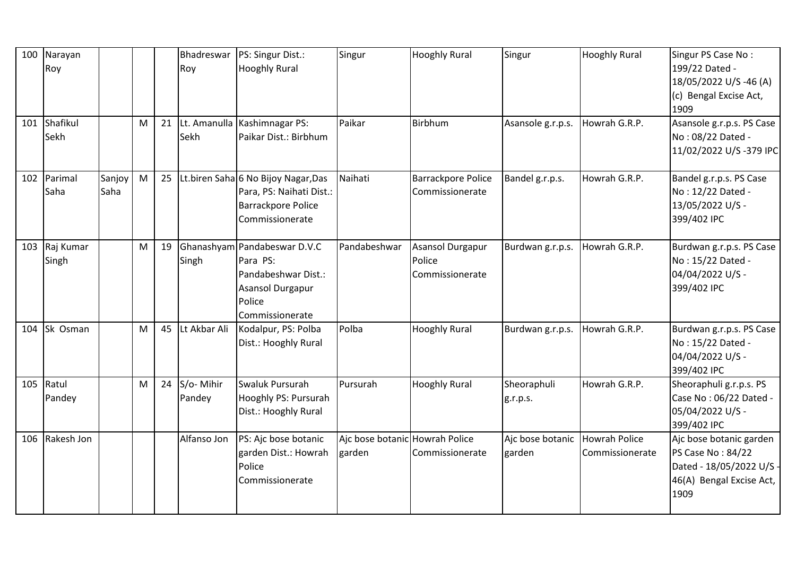| 100 | Narayan<br>Roy     |                |   |    | Bhadreswar<br>Roy   | PS: Singur Dist.:<br><b>Hooghly Rural</b>                                                                               | Singur                                   | <b>Hooghly Rural</b>                          | Singur                     | <b>Hooghly Rural</b>             | Singur PS Case No:<br>199/22 Dated -<br>18/05/2022 U/S -46 (A)<br>(c) Bengal Excise Act,<br>1909             |
|-----|--------------------|----------------|---|----|---------------------|-------------------------------------------------------------------------------------------------------------------------|------------------------------------------|-----------------------------------------------|----------------------------|----------------------------------|--------------------------------------------------------------------------------------------------------------|
| 101 | Shafikul<br>Sekh   |                | M | 21 | Sekh                | Lt. Amanulla Kashimnagar PS:<br>Paikar Dist.: Birbhum                                                                   | Paikar                                   | Birbhum                                       | Asansole g.r.p.s.          | Howrah G.R.P.                    | Asansole g.r.p.s. PS Case<br>No: 08/22 Dated -<br>11/02/2022 U/S-379 IPC                                     |
| 102 | Parimal<br>Saha    | Sanjoy<br>Saha | M | 25 |                     | Lt.biren Saha 6 No Bijoy Nagar, Das<br>Para, PS: Naihati Dist.:<br><b>Barrackpore Police</b><br>Commissionerate         | Naihati                                  | <b>Barrackpore Police</b><br>Commissionerate  | Bandel g.r.p.s.            | Howrah G.R.P.                    | Bandel g.r.p.s. PS Case<br>No: 12/22 Dated -<br>13/05/2022 U/S -<br>399/402 IPC                              |
| 103 | Raj Kumar<br>Singh |                | M | 19 | Singh               | Ghanashyam Pandabeswar D.V.C<br>Para PS:<br>Pandabeshwar Dist.:<br><b>Asansol Durgapur</b><br>Police<br>Commissionerate | Pandabeshwar                             | Asansol Durgapur<br>Police<br>Commissionerate | Burdwan g.r.p.s.           | Howrah G.R.P.                    | Burdwan g.r.p.s. PS Case<br>No: 15/22 Dated -<br>04/04/2022 U/S -<br>399/402 IPC                             |
| 104 | Sk Osman           |                | M | 45 | Lt Akbar Ali        | Kodalpur, PS: Polba<br>Dist.: Hooghly Rural                                                                             | Polba                                    | <b>Hooghly Rural</b>                          | Burdwan g.r.p.s.           | Howrah G.R.P.                    | Burdwan g.r.p.s. PS Case<br>No: 15/22 Dated -<br>04/04/2022 U/S -<br>399/402 IPC                             |
| 105 | Ratul<br>Pandey    |                | M | 24 | S/o-Mihir<br>Pandey | Swaluk Pursurah<br>Hooghly PS: Pursurah<br>Dist.: Hooghly Rural                                                         | Pursurah                                 | <b>Hooghly Rural</b>                          | Sheoraphuli<br>g.r.p.s.    | Howrah G.R.P.                    | Sheoraphuli g.r.p.s. PS<br>Case No: 06/22 Dated -<br>05/04/2022 U/S -<br>399/402 IPC                         |
| 106 | Rakesh Jon         |                |   |    | Alfanso Jon         | PS: Ajc bose botanic<br>garden Dist.: Howrah<br>Police<br>Commissionerate                                               | Ajc bose botanic Howrah Police<br>garden | Commissionerate                               | Ajc bose botanic<br>garden | Howrah Police<br>Commissionerate | Ajc bose botanic garden<br>PS Case No: 84/22<br>Dated - 18/05/2022 U/S -<br>46(A) Bengal Excise Act,<br>1909 |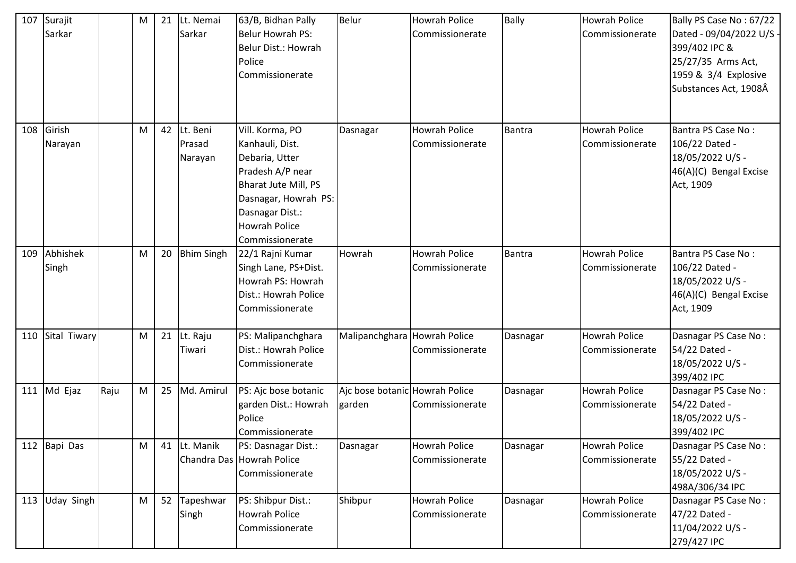| 107 | Surajit<br>Sarkar   |      | M | 21 | Lt. Nemai<br>Sarkar           | 63/B, Bidhan Pally<br>Belur Howrah PS:<br>Belur Dist.: Howrah<br>Police<br>Commissionerate                                                                                             | <b>Belur</b>                             | <b>Howrah Police</b><br>Commissionerate | <b>Bally</b>  | <b>Howrah Police</b><br>Commissionerate | Bally PS Case No: 67/22<br>Dated - 09/04/2022 U/S -<br>399/402 IPC &<br>25/27/35 Arms Act,<br>1959 & 3/4 Explosive<br>Substances Act, 1908Â |
|-----|---------------------|------|---|----|-------------------------------|----------------------------------------------------------------------------------------------------------------------------------------------------------------------------------------|------------------------------------------|-----------------------------------------|---------------|-----------------------------------------|---------------------------------------------------------------------------------------------------------------------------------------------|
| 108 | Girish<br>Narayan   |      | M | 42 | Lt. Beni<br>Prasad<br>Narayan | Vill. Korma, PO<br>Kanhauli, Dist.<br>Debaria, Utter<br>Pradesh A/P near<br>Bharat Jute Mill, PS<br>Dasnagar, Howrah PS:<br>Dasnagar Dist.:<br><b>Howrah Police</b><br>Commissionerate | Dasnagar                                 | <b>Howrah Police</b><br>Commissionerate | <b>Bantra</b> | <b>Howrah Police</b><br>Commissionerate | Bantra PS Case No:<br>106/22 Dated -<br>18/05/2022 U/S -<br>46(A)(C) Bengal Excise<br>Act, 1909                                             |
| 109 | Abhishek<br>Singh   |      | M | 20 | <b>Bhim Singh</b>             | 22/1 Rajni Kumar<br>Singh Lane, PS+Dist.<br>Howrah PS: Howrah<br>Dist.: Howrah Police<br>Commissionerate                                                                               | Howrah                                   | <b>Howrah Police</b><br>Commissionerate | <b>Bantra</b> | <b>Howrah Police</b><br>Commissionerate | Bantra PS Case No:<br>106/22 Dated -<br>18/05/2022 U/S -<br>46(A)(C) Bengal Excise<br>Act, 1909                                             |
| 110 | Sital Tiwary        |      | M | 21 | Lt. Raju<br>Tiwari            | PS: Malipanchghara<br>Dist.: Howrah Police<br>Commissionerate                                                                                                                          | Malipanchghara Howrah Police             | Commissionerate                         | Dasnagar      | Howrah Police<br>Commissionerate        | Dasnagar PS Case No:<br>54/22 Dated -<br>18/05/2022 U/S -<br>399/402 IPC                                                                    |
|     | 111 $\vert$ Md Ejaz | Raju | M | 25 | Md. Amirul                    | PS: Ajc bose botanic<br>garden Dist.: Howrah<br>Police<br>Commissionerate                                                                                                              | Ajc bose botanic Howrah Police<br>garden | Commissionerate                         | Dasnagar      | <b>Howrah Police</b><br>Commissionerate | Dasnagar PS Case No:<br>54/22 Dated -<br>18/05/2022 U/S -<br>399/402 IPC                                                                    |
| 112 | Bapi Das            |      | M | 41 | Lt. Manik                     | PS: Dasnagar Dist.:<br>Chandra Das Howrah Police<br>Commissionerate                                                                                                                    | Dasnagar                                 | Howrah Police<br>Commissionerate        | Dasnagar      | <b>Howrah Police</b><br>Commissionerate | Dasnagar PS Case No:<br>55/22 Dated -<br>18/05/2022 U/S -<br>498A/306/34 IPC                                                                |
| 113 | <b>Uday Singh</b>   |      | M | 52 | Tapeshwar<br>Singh            | PS: Shibpur Dist.:<br>Howrah Police<br>Commissionerate                                                                                                                                 | Shibpur                                  | Howrah Police<br>Commissionerate        | Dasnagar      | Howrah Police<br>Commissionerate        | Dasnagar PS Case No:<br>47/22 Dated -<br>11/04/2022 U/S -<br>279/427 IPC                                                                    |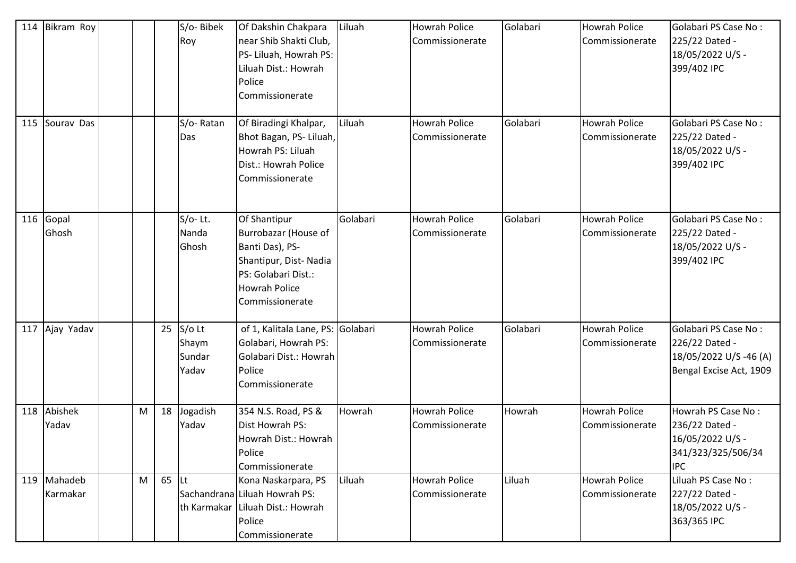| 114 | Bikram Roy          |   |         | S/o-Bibek<br>Roy                     | Of Dakshin Chakpara<br>near Shib Shakti Club,<br>PS- Liluah, Howrah PS:<br>Liluah Dist.: Howrah<br>Police<br>Commissionerate                       | Liluah   | <b>Howrah Police</b><br>Commissionerate | Golabari | <b>Howrah Police</b><br>Commissionerate | Golabari PS Case No:<br>225/22 Dated -<br>18/05/2022 U/S -<br>399/402 IPC                    |
|-----|---------------------|---|---------|--------------------------------------|----------------------------------------------------------------------------------------------------------------------------------------------------|----------|-----------------------------------------|----------|-----------------------------------------|----------------------------------------------------------------------------------------------|
| 115 | Sourav Das          |   |         | S/o-Ratan<br>Das                     | Of Biradingi Khalpar,<br>Bhot Bagan, PS- Liluah,<br>Howrah PS: Liluah<br>Dist.: Howrah Police<br>Commissionerate                                   | Liluah   | <b>Howrah Police</b><br>Commissionerate | Golabari | <b>Howrah Police</b><br>Commissionerate | Golabari PS Case No:<br>225/22 Dated -<br>18/05/2022 U/S -<br>399/402 IPC                    |
| 116 | Gopal<br>Ghosh      |   |         | $S/O-$ Lt.<br>Nanda<br>Ghosh         | Of Shantipur<br>Burrobazar (House of<br>Banti Das), PS-<br>Shantipur, Dist-Nadia<br>PS: Golabari Dist.:<br><b>Howrah Police</b><br>Commissionerate | Golabari | <b>Howrah Police</b><br>Commissionerate | Golabari | Howrah Police<br>Commissionerate        | Golabari PS Case No:<br>225/22 Dated -<br>18/05/2022 U/S -<br>399/402 IPC                    |
| 117 | Ajay Yadav          |   | 25      | $S/O$ Lt<br>Shaym<br>Sundar<br>Yadav | of 1, Kalitala Lane, PS: Golabari<br>Golabari, Howrah PS:<br>Golabari Dist.: Howrah<br>Police<br>Commissionerate                                   |          | <b>Howrah Police</b><br>Commissionerate | Golabari | <b>Howrah Police</b><br>Commissionerate | Golabari PS Case No:<br>226/22 Dated -<br>18/05/2022 U/S-46 (A)<br>Bengal Excise Act, 1909   |
| 118 | Abishek<br>Yadav    | M | 18      | Jogadish<br>Yadav                    | 354 N.S. Road, PS &<br>Dist Howrah PS:<br>Howrah Dist.: Howrah<br>Police<br>Commissionerate                                                        | Howrah   | <b>Howrah Police</b><br>Commissionerate | Howrah   | Howrah Police<br>Commissionerate        | Howrah PS Case No:<br>236/22 Dated -<br>16/05/2022 U/S -<br>341/323/325/506/34<br><b>IPC</b> |
| 119 | Mahadeb<br>Karmakar | M | $65$ Lt |                                      | Kona Naskarpara, PS<br>Sachandrana Liluah Howrah PS:<br>th Karmakar Liluah Dist.: Howrah<br>Police<br>Commissionerate                              | Liluah   | <b>Howrah Police</b><br>Commissionerate | Liluah   | <b>Howrah Police</b><br>Commissionerate | Liluah PS Case No:<br>227/22 Dated -<br>18/05/2022 U/S -<br>363/365 IPC                      |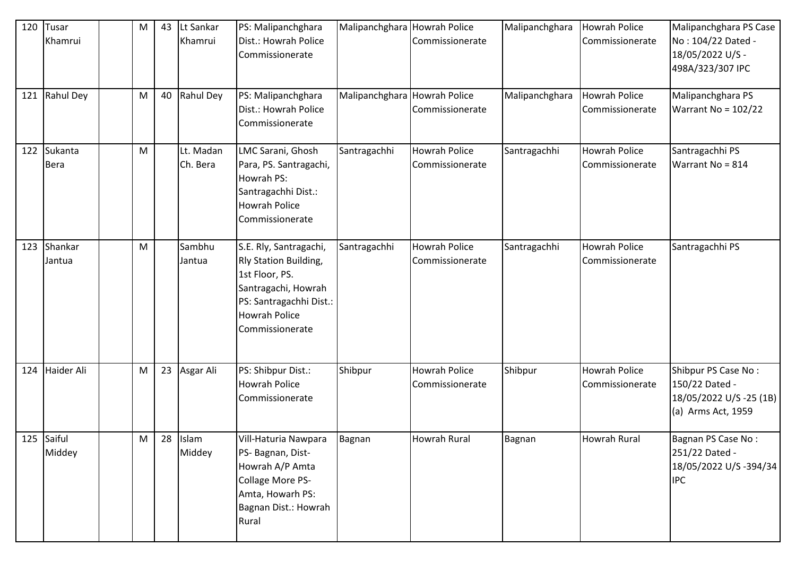| 120 | Tusar<br>Khamrui       | M | 43 | Lt Sankar<br>Khamrui  | PS: Malipanchghara<br>Dist.: Howrah Police<br>Commissionerate                                                                                                  | Malipanchghara Howrah Police | Commissionerate                         | Malipanchghara | Howrah Police<br>Commissionerate        | Malipanchghara PS Case<br>No: 104/22 Dated -<br>18/05/2022 U/S -<br>498A/323/307 IPC   |
|-----|------------------------|---|----|-----------------------|----------------------------------------------------------------------------------------------------------------------------------------------------------------|------------------------------|-----------------------------------------|----------------|-----------------------------------------|----------------------------------------------------------------------------------------|
| 121 | Rahul Dey              | M | 40 | Rahul Dey             | PS: Malipanchghara<br>Dist.: Howrah Police<br>Commissionerate                                                                                                  | Malipanchghara Howrah Police | Commissionerate                         | Malipanchghara | Howrah Police<br>Commissionerate        | Malipanchghara PS<br>Warrant No = $102/22$                                             |
| 122 | Sukanta<br><b>Bera</b> | M |    | Lt. Madan<br>Ch. Bera | LMC Sarani, Ghosh<br>Para, PS. Santragachi,<br>Howrah PS:<br>Santragachhi Dist.:<br>Howrah Police<br>Commissionerate                                           | Santragachhi                 | Howrah Police<br>Commissionerate        | Santragachhi   | <b>Howrah Police</b><br>Commissionerate | Santragachhi PS<br>Warrant No = 814                                                    |
| 123 | Shankar<br>Jantua      | M |    | Sambhu<br>Jantua      | S.E. Rly, Santragachi,<br>Rly Station Building,<br>1st Floor, PS.<br>Santragachi, Howrah<br>PS: Santragachhi Dist.:<br><b>Howrah Police</b><br>Commissionerate | Santragachhi                 | <b>Howrah Police</b><br>Commissionerate | Santragachhi   | <b>Howrah Police</b><br>Commissionerate | Santragachhi PS                                                                        |
| 124 | Haider Ali             | M | 23 | Asgar Ali             | PS: Shibpur Dist.:<br>Howrah Police<br>Commissionerate                                                                                                         | Shibpur                      | <b>Howrah Police</b><br>Commissionerate | Shibpur        | <b>Howrah Police</b><br>Commissionerate | Shibpur PS Case No:<br>150/22 Dated -<br>18/05/2022 U/S -25 (1B)<br>(a) Arms Act, 1959 |
|     | 125 Saiful<br>Middey   | M |    | 28 Islam<br>Middey    | Vill-Haturia Nawpara<br>PS- Bagnan, Dist-<br>Howrah A/P Amta<br>Collage More PS-<br>Amta, Howarh PS:<br>Bagnan Dist.: Howrah<br>Rural                          | Bagnan                       | Howrah Rural                            | Bagnan         | Howrah Rural                            | Bagnan PS Case No:<br>251/22 Dated -<br>18/05/2022 U/S -394/34<br><b>IPC</b>           |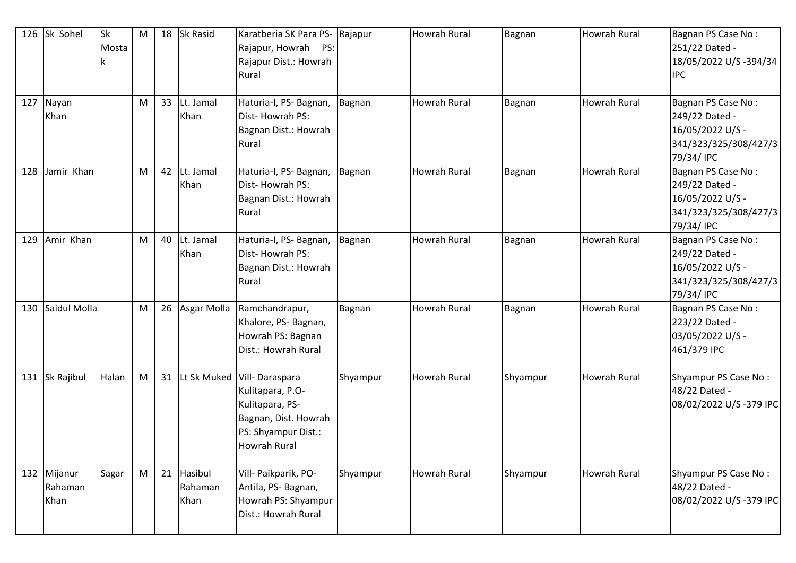| 126 | Sk Sohel                       | <b>Sk</b><br>Mosta | M |    | 18 Sk Rasid                | Karatberia SK Para PS- Rajapur<br>Rajapur, Howrah PS:<br>Rajapur Dist.: Howrah<br>Rural                              |          | <b>Howrah Rural</b> | Bagnan   | <b>Howrah Rural</b> | Bagnan PS Case No:<br>251/22 Dated -<br>18/05/2022 U/S -394/34<br><b>IPC</b>                    |
|-----|--------------------------------|--------------------|---|----|----------------------------|----------------------------------------------------------------------------------------------------------------------|----------|---------------------|----------|---------------------|-------------------------------------------------------------------------------------------------|
| 127 | Nayan<br>Khan                  |                    | M | 33 | Lt. Jamal<br>Khan          | Haturia-I, PS- Bagnan,<br>Dist-Howrah PS:<br>Bagnan Dist.: Howrah<br>Rural                                           | Bagnan   | <b>Howrah Rural</b> | Bagnan   | Howrah Rural        | Bagnan PS Case No:<br>249/22 Dated -<br>16/05/2022 U/S -<br>341/323/325/308/427/3<br>79/34/ IPC |
| 128 | Jamir Khan                     |                    | M | 42 | Lt. Jamal<br>Khan          | Haturia-I, PS- Bagnan,<br>Dist-Howrah PS:<br>Bagnan Dist.: Howrah<br>Rural                                           | Bagnan   | <b>Howrah Rural</b> | Bagnan   | Howrah Rural        | Bagnan PS Case No:<br>249/22 Dated -<br>16/05/2022 U/S -<br>341/323/325/308/427/3<br>79/34/ IPC |
| 129 | Amir Khan                      |                    | M | 40 | Lt. Jamal<br>Khan          | Haturia-I, PS- Bagnan,<br>Dist-Howrah PS:<br>Bagnan Dist.: Howrah<br>Rural                                           | Bagnan   | <b>Howrah Rural</b> | Bagnan   | Howrah Rural        | Bagnan PS Case No:<br>249/22 Dated -<br>16/05/2022 U/S -<br>341/323/325/308/427/3<br>79/34/ IPC |
| 130 | Saidul Molla                   |                    | M | 26 | Asgar Molla                | Ramchandrapur,<br>Khalore, PS-Bagnan,<br>Howrah PS: Bagnan<br>Dist.: Howrah Rural                                    | Bagnan   | <b>Howrah Rural</b> | Bagnan   | <b>Howrah Rural</b> | Bagnan PS Case No:<br>223/22 Dated -<br>03/05/2022 U/S -<br>461/379 IPC                         |
| 131 | Sk Rajibul                     | Halan              | M | 31 | Lt Sk Muked                | Vill-Daraspara<br>Kulitapara, P.O-<br>Kulitapara, PS-<br>Bagnan, Dist. Howrah<br>PS: Shyampur Dist.:<br>Howrah Rural | Shyampur | <b>Howrah Rural</b> | Shyampur | Howrah Rural        | Shyampur PS Case No:<br>48/22 Dated -<br>08/02/2022 U/S-379 IPC                                 |
|     | 132 Mijanur<br>Rahaman<br>Khan | Sagar              | M | 21 | Hasibul<br>Rahaman<br>Khan | Vill- Paikparik, PO-<br>Antila, PS-Bagnan,<br>Howrah PS: Shyampur<br>Dist.: Howrah Rural                             | Shyampur | <b>Howrah Rural</b> | Shyampur | Howrah Rural        | Shyampur PS Case No:<br>48/22 Dated -<br>08/02/2022 U/S-379 IPC                                 |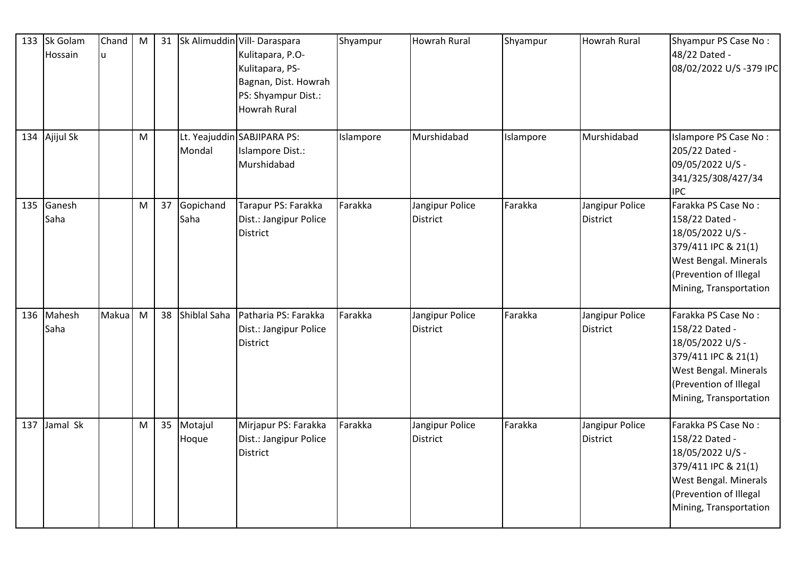| 133 | Sk Golam<br>Hossain | Chand<br>lu | M |    |                     | 31 Sk Alimuddin Vill- Daraspara<br>Kulitapara, P.O-<br>Kulitapara, PS-<br>Bagnan, Dist. Howrah<br>PS: Shyampur Dist.:<br><b>Howrah Rural</b> | Shyampur  | Howrah Rural                       | Shyampur  | <b>Howrah Rural</b>                | Shyampur PS Case No:<br>48/22 Dated -<br>08/02/2022 U/S-379 IPC                                                                                                      |
|-----|---------------------|-------------|---|----|---------------------|----------------------------------------------------------------------------------------------------------------------------------------------|-----------|------------------------------------|-----------|------------------------------------|----------------------------------------------------------------------------------------------------------------------------------------------------------------------|
| 134 | Ajijul Sk           |             | M |    | Mondal              | Lt. Yeajuddin SABJIPARA PS:<br>Islampore Dist.:<br>Murshidabad                                                                               | Islampore | Murshidabad                        | Islampore | Murshidabad                        | Islampore PS Case No:<br>205/22 Dated -<br>09/05/2022 U/S -<br>341/325/308/427/34<br><b>IPC</b>                                                                      |
| 135 | Ganesh<br>Saha      |             | M | 37 | Gopichand<br>Saha   | Tarapur PS: Farakka<br>Dist.: Jangipur Police<br><b>District</b>                                                                             | Farakka   | Jangipur Police<br><b>District</b> | Farakka   | Jangipur Police<br><b>District</b> | Farakka PS Case No:<br>158/22 Dated -<br>18/05/2022 U/S -<br>379/411 IPC & 21(1)<br>West Bengal. Minerals<br>(Prevention of Illegal<br>Mining, Transportation        |
| 136 | Mahesh<br>Saha      | Makua       | M |    | 38 Shiblal Saha     | Patharia PS: Farakka<br>Dist.: Jangipur Police<br><b>District</b>                                                                            | Farakka   | Jangipur Police<br>District        | Farakka   | Jangipur Police<br><b>District</b> | Farakka PS Case No:<br>158/22 Dated -<br>18/05/2022 U/S -<br>379/411 IPC & 21(1)<br>West Bengal. Minerals<br>(Prevention of Illegal<br>Mining, Transportation        |
| 137 | Jamal Sk            |             | M |    | 35 Motajul<br>Hoque | Mirjapur PS: Farakka<br>Dist.: Jangipur Police<br><b>District</b>                                                                            | Farakka   | Jangipur Police<br><b>District</b> | Farakka   | Jangipur Police<br><b>District</b> | Farakka PS Case No:<br>158/22 Dated -<br>18/05/2022 U/S -<br>379/411 IPC & 21(1)<br><b>West Bengal. Minerals</b><br>(Prevention of Illegal<br>Mining, Transportation |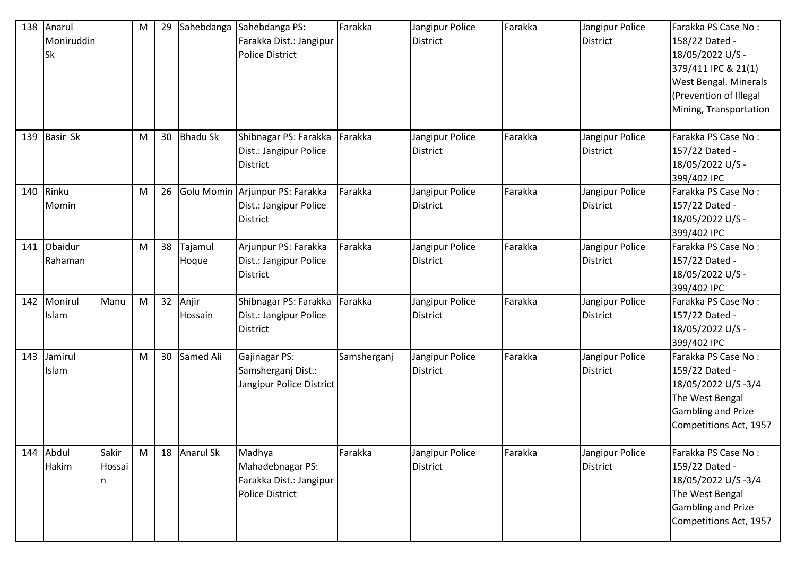| 138 | Anarul<br>Moniruddin<br><b>Sk</b> |                      | M | 29 | Sahebdanga       | Sahebdanga PS:<br>Farakka Dist.: Jangipur<br><b>Police District</b>             | Farakka     | Jangipur Police<br>District | Farakka | Jangipur Police<br><b>District</b> | Farakka PS Case No:<br>158/22 Dated -<br>18/05/2022 U/S -<br>379/411 IPC & 21(1)<br><b>West Bengal. Minerals</b><br>(Prevention of Illegal<br>Mining, Transportation |
|-----|-----------------------------------|----------------------|---|----|------------------|---------------------------------------------------------------------------------|-------------|-----------------------------|---------|------------------------------------|----------------------------------------------------------------------------------------------------------------------------------------------------------------------|
| 139 | Basir Sk                          |                      | M | 30 | <b>Bhadu Sk</b>  | Shibnagar PS: Farakka<br>Dist.: Jangipur Police<br><b>District</b>              | Farakka     | Jangipur Police<br>District | Farakka | Jangipur Police<br><b>District</b> | Farakka PS Case No:<br>157/22 Dated -<br>18/05/2022 U/S -<br>399/402 IPC                                                                                             |
| 140 | Rinku<br>Momin                    |                      | M | 26 |                  | Golu Momin Arjunpur PS: Farakka<br>Dist.: Jangipur Police<br><b>District</b>    | Farakka     | Jangipur Police<br>District | Farakka | Jangipur Police<br><b>District</b> | Farakka PS Case No:<br>157/22 Dated -<br>18/05/2022 U/S -<br>399/402 IPC                                                                                             |
| 141 | Obaidur<br>Rahaman                |                      | M | 38 | Tajamul<br>Hoque | Arjunpur PS: Farakka<br>Dist.: Jangipur Police<br>District                      | Farakka     | Jangipur Police<br>District | Farakka | Jangipur Police<br><b>District</b> | Farakka PS Case No:<br>157/22 Dated -<br>18/05/2022 U/S -<br>399/402 IPC                                                                                             |
| 142 | Monirul<br>Islam                  | Manu                 | M | 32 | Anjir<br>Hossain | Shibnagar PS: Farakka<br>Dist.: Jangipur Police<br><b>District</b>              | Farakka     | Jangipur Police<br>District | Farakka | Jangipur Police<br><b>District</b> | Farakka PS Case No:<br>157/22 Dated -<br>18/05/2022 U/S -<br>399/402 IPC                                                                                             |
| 143 | Jamirul<br>Islam                  |                      | M | 30 | Samed Ali        | Gajinagar PS:<br>Samsherganj Dist.:<br>Jangipur Police District                 | Samsherganj | Jangipur Police<br>District | Farakka | Jangipur Police<br><b>District</b> | Farakka PS Case No:<br>159/22 Dated -<br>18/05/2022 U/S-3/4<br>The West Bengal<br><b>Gambling and Prize</b><br>Competitions Act, 1957                                |
| 144 | Abdul<br>Hakim                    | Sakir<br>Hossai<br>n | M |    | 18 Anarul Sk     | Madhya<br>Mahadebnagar PS:<br>Farakka Dist.: Jangipur<br><b>Police District</b> | Farakka     | Jangipur Police<br>District | Farakka | Jangipur Police<br>District        | Farakka PS Case No:<br>159/22 Dated -<br>18/05/2022 U/S-3/4<br>The West Bengal<br><b>Gambling and Prize</b><br>Competitions Act, 1957                                |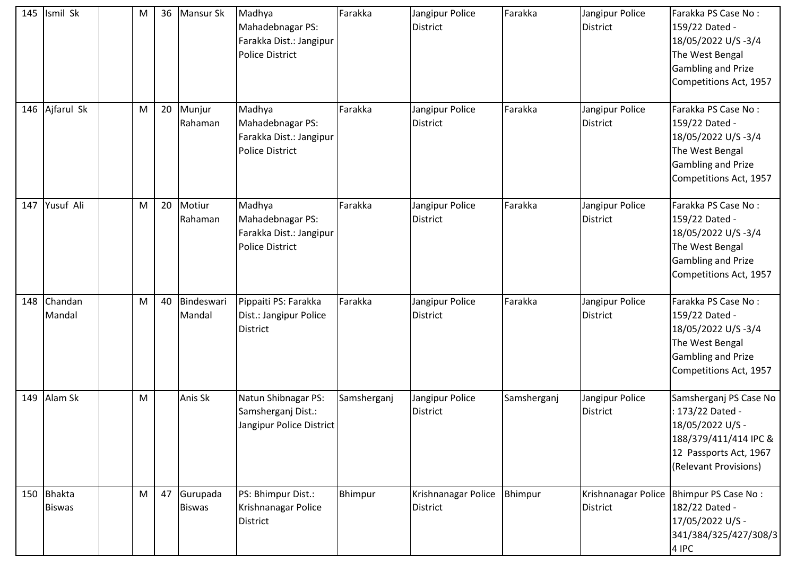| 145 | Ismil Sk                    | M |    | 36 Mansur Sk                 | Madhya<br>Mahadebnagar PS:<br>Farakka Dist.: Jangipur<br><b>Police District</b> | Farakka     | Jangipur Police<br><b>District</b> | Farakka     | Jangipur Police<br><b>District</b>     | Farakka PS Case No:<br>159/22 Dated -<br>18/05/2022 U/S-3/4<br>The West Bengal<br><b>Gambling and Prize</b><br>Competitions Act, 1957      |
|-----|-----------------------------|---|----|------------------------------|---------------------------------------------------------------------------------|-------------|------------------------------------|-------------|----------------------------------------|--------------------------------------------------------------------------------------------------------------------------------------------|
| 146 | Ajfarul Sk                  | M | 20 | Munjur<br>Rahaman            | Madhya<br>Mahadebnagar PS:<br>Farakka Dist.: Jangipur<br><b>Police District</b> | Farakka     | Jangipur Police<br>District        | Farakka     | Jangipur Police<br>District            | Farakka PS Case No:<br>159/22 Dated -<br>18/05/2022 U/S-3/4<br>The West Bengal<br><b>Gambling and Prize</b><br>Competitions Act, 1957      |
| 147 | Yusuf Ali                   | M | 20 | Motiur<br>Rahaman            | Madhya<br>Mahadebnagar PS:<br>Farakka Dist.: Jangipur<br><b>Police District</b> | Farakka     | Jangipur Police<br>District        | Farakka     | Jangipur Police<br><b>District</b>     | Farakka PS Case No:<br>159/22 Dated -<br>18/05/2022 U/S-3/4<br>The West Bengal<br><b>Gambling and Prize</b><br>Competitions Act, 1957      |
| 148 | Chandan<br>Mandal           | M | 40 | Bindeswari<br>Mandal         | Pippaiti PS: Farakka<br>Dist.: Jangipur Police<br><b>District</b>               | Farakka     | Jangipur Police<br>District        | Farakka     | Jangipur Police<br>District            | Farakka PS Case No:<br>159/22 Dated -<br>18/05/2022 U/S-3/4<br>The West Bengal<br><b>Gambling and Prize</b><br>Competitions Act, 1957      |
| 149 | Alam Sk                     | M |    | Anis Sk                      | Natun Shibnagar PS:<br>Samsherganj Dist.:<br>Jangipur Police District           | Samsherganj | Jangipur Police<br>District        | Samsherganj | Jangipur Police<br><b>District</b>     | Samsherganj PS Case No<br>: 173/22 Dated -<br>18/05/2022 U/S -<br>188/379/411/414 IPC &<br>12 Passports Act, 1967<br>(Relevant Provisions) |
|     | 150 Bhakta<br><b>Biswas</b> | M |    | 47 Gurupada<br><b>Biswas</b> | PS: Bhimpur Dist.:<br>Krishnanagar Police<br><b>District</b>                    | Bhimpur     | Krishnanagar Police<br>District    | Bhimpur     | Krishnanagar Police<br><b>District</b> | Bhimpur PS Case No:<br>182/22 Dated -<br>17/05/2022 U/S -<br>341/384/325/427/308/3<br>4 IPC                                                |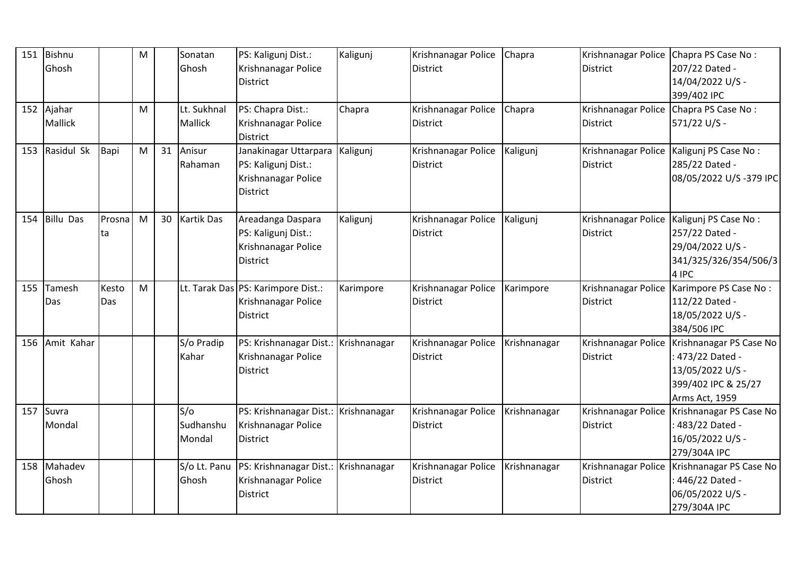| 151 | Bishnu<br>Ghosh   |              | M |    | Sonatan<br>Ghosh           | PS: Kaligunj Dist.:<br>Krishnanagar Police<br><b>District</b>                      | Kaligunj     | Krishnanagar Police<br><b>District</b> | Chapra       | Krishnanagar Police Chapra PS Case No:<br><b>District</b> | 207/22 Dated -<br>14/04/2022 U/S -<br>399/402 IPC                                                                  |
|-----|-------------------|--------------|---|----|----------------------------|------------------------------------------------------------------------------------|--------------|----------------------------------------|--------------|-----------------------------------------------------------|--------------------------------------------------------------------------------------------------------------------|
| 152 | Ajahar<br>Mallick |              | M |    | Lt. Sukhnal<br>Mallick     | PS: Chapra Dist.:<br>Krishnanagar Police<br><b>District</b>                        | Chapra       | Krishnanagar Police<br><b>District</b> | Chapra       | Krishnanagar Police<br><b>District</b>                    | Chapra PS Case No:<br>571/22 U/S -                                                                                 |
| 153 | Rasidul Sk        | Bapi         | M | 31 | Anisur<br>Rahaman          | Janakinagar Uttarpara<br>PS: Kaligunj Dist.:<br>Krishnanagar Police<br>District    | Kaligunj     | Krishnanagar Police<br><b>District</b> | Kaligunj     | <b>District</b>                                           | Krishnanagar Police   Kaligunj PS Case No:<br>285/22 Dated -<br>08/05/2022 U/S-379 IPC                             |
| 154 | <b>Billu Das</b>  | Prosna<br>ta | M | 30 | <b>Kartik Das</b>          | Areadanga Daspara<br>PS: Kaligunj Dist.:<br>Krishnanagar Police<br><b>District</b> | Kaligunj     | Krishnanagar Police<br><b>District</b> | Kaligunj     | <b>District</b>                                           | Krishnanagar Police   Kaligunj PS Case No:<br>257/22 Dated -<br>29/04/2022 U/S -<br>341/325/326/354/506/3<br>4 IPC |
| 155 | Tamesh<br>Das     | Kesto<br>Das | M |    |                            | Lt. Tarak Das PS: Karimpore Dist.:<br>Krishnanagar Police<br><b>District</b>       | Karimpore    | Krishnanagar Police<br><b>District</b> | Karimpore    | <b>District</b>                                           | Krishnanagar Police   Karimpore PS Case No:<br>112/22 Dated -<br>18/05/2022 U/S -<br>384/506 IPC                   |
| 156 | Amit Kahar        |              |   |    | S/o Pradip<br>Kahar        | PS: Krishnanagar Dist.:<br>Krishnanagar Police<br><b>District</b>                  | Krishnanagar | Krishnanagar Police<br><b>District</b> | Krishnanagar | Krishnanagar Police<br><b>District</b>                    | Krishnanagar PS Case No<br>: 473/22 Dated -<br>13/05/2022 U/S -<br>399/402 IPC & 25/27<br>Arms Act, 1959           |
| 157 | Suvra<br>Mondal   |              |   |    | S/O<br>Sudhanshu<br>Mondal | PS: Krishnanagar Dist.:<br>Krishnanagar Police<br><b>District</b>                  | Krishnanagar | Krishnanagar Police<br><b>District</b> | Krishnanagar | Krishnanagar Police<br><b>District</b>                    | Krishnanagar PS Case No<br>: 483/22 Dated -<br>16/05/2022 U/S -<br>279/304A IPC                                    |
| 158 | Mahadev<br>Ghosh  |              |   |    | S/o Lt. Panu<br>Ghosh      | PS: Krishnanagar Dist.: Krishnanagar<br>Krishnanagar Police<br><b>District</b>     |              | Krishnanagar Police<br><b>District</b> | Krishnanagar | Krishnanagar Police<br><b>District</b>                    | Krishnanagar PS Case No<br>446/22 Dated -<br>06/05/2022 U/S -<br>279/304A IPC                                      |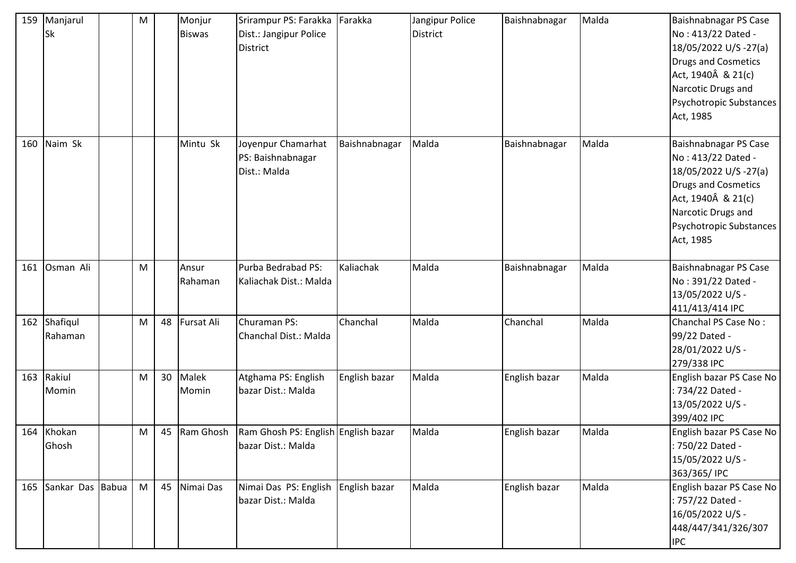| 159 | Manjarul<br><b>Sk</b> | ${\sf M}$ |    | Monjur<br><b>Biswas</b> | Srirampur PS: Farakka<br>Dist.: Jangipur Police<br><b>District</b>     | Farakka       | Jangipur Police<br><b>District</b> | Baishnabnagar | Malda | Baishnabnagar PS Case<br>No: 413/22 Dated -<br>18/05/2022 U/S -27(a)<br><b>Drugs and Cosmetics</b><br>Act, 1940Â & 21(c)<br>Narcotic Drugs and<br>Psychotropic Substances<br>Act, 1985 |
|-----|-----------------------|-----------|----|-------------------------|------------------------------------------------------------------------|---------------|------------------------------------|---------------|-------|----------------------------------------------------------------------------------------------------------------------------------------------------------------------------------------|
| 160 | Naim Sk               |           |    | Mintu Sk                | Joyenpur Chamarhat<br>PS: Baishnabnagar<br>Dist.: Malda                | Baishnabnagar | Malda                              | Baishnabnagar | Malda | Baishnabnagar PS Case<br>No: 413/22 Dated -<br>18/05/2022 U/S -27(a)<br><b>Drugs and Cosmetics</b><br>Act, 1940Â & 21(c)<br>Narcotic Drugs and<br>Psychotropic Substances<br>Act, 1985 |
| 161 | Osman Ali             | M         |    | Ansur<br>Rahaman        | Purba Bedrabad PS:<br>Kaliachak Dist.: Malda                           | Kaliachak     | Malda                              | Baishnabnagar | Malda | Baishnabnagar PS Case<br>No: 391/22 Dated -<br>13/05/2022 U/S -<br>411/413/414 IPC                                                                                                     |
| 162 | Shafiqul<br>Rahaman   | M         |    | 48 Fursat Ali           | Churaman PS:<br>Chanchal Dist.: Malda                                  | Chanchal      | Malda                              | Chanchal      | Malda | Chanchal PS Case No:<br>99/22 Dated -<br>28/01/2022 U/S -<br>279/338 IPC                                                                                                               |
| 163 | Rakiul<br>Momin       | M         | 30 | Malek<br>Momin          | Atghama PS: English<br>bazar Dist.: Malda                              | English bazar | Malda                              | English bazar | Malda | English bazar PS Case No<br>: 734/22 Dated -<br>13/05/2022 U/S -<br>399/402 IPC                                                                                                        |
|     | 164 Khokan<br>Ghosh   | M         |    |                         | 45 Ram Ghosh Ram Ghosh PS: English English bazar<br>bazar Dist.: Malda |               | Malda                              | English bazar | Malda | English bazar PS Case No<br>: 750/22 Dated -<br>15/05/2022 U/S -<br>363/365/IPC                                                                                                        |
| 165 | Sankar Das Babua      | M         |    | 45 Nimai Das            | Nimai Das PS: English English bazar<br>bazar Dist.: Malda              |               | Malda                              | English bazar | Malda | English bazar PS Case No<br>: 757/22 Dated -<br>16/05/2022 U/S -<br>448/447/341/326/307<br><b>IPC</b>                                                                                  |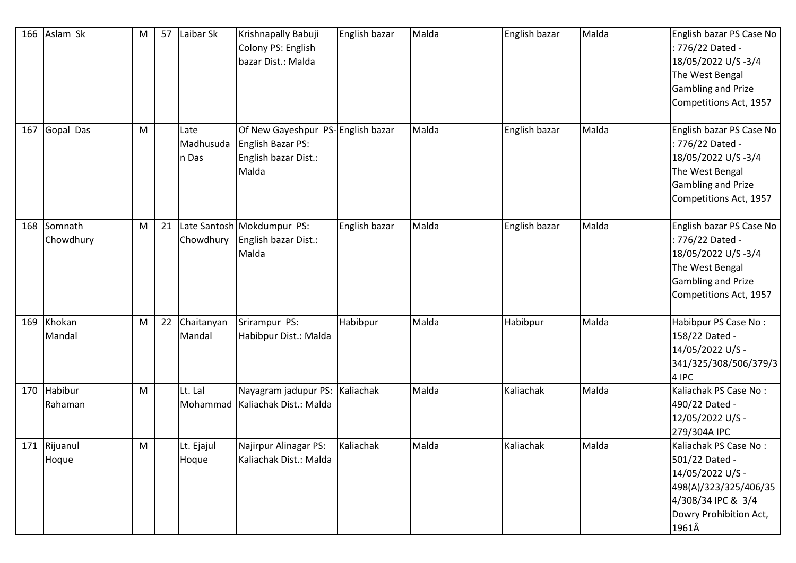| 166 | Aslam Sk              | M         | 57 | Laibar Sk                  | Krishnapally Babuji<br>Colony PS: English<br>bazar Dist.: Malda                                | English bazar | Malda | English bazar | Malda | English bazar PS Case No<br>: 776/22 Dated -<br>18/05/2022 U/S-3/4<br>The West Bengal                                                         |
|-----|-----------------------|-----------|----|----------------------------|------------------------------------------------------------------------------------------------|---------------|-------|---------------|-------|-----------------------------------------------------------------------------------------------------------------------------------------------|
|     |                       |           |    |                            |                                                                                                |               |       |               |       | Gambling and Prize<br>Competitions Act, 1957                                                                                                  |
| 167 | Gopal Das             | M         |    | Late<br>Madhusuda<br>n Das | Of New Gayeshpur PS-English bazar<br><b>English Bazar PS:</b><br>English bazar Dist.:<br>Malda |               | Malda | English bazar | Malda | English bazar PS Case No<br>: 776/22 Dated -<br>18/05/2022 U/S-3/4<br>The West Bengal<br><b>Gambling and Prize</b><br>Competitions Act, 1957  |
| 168 | Somnath<br>Chowdhury  | M         | 21 | Chowdhury                  | Late Santosh Mokdumpur PS:<br>English bazar Dist.:<br>Malda                                    | English bazar | Malda | English bazar | Malda | English bazar PS Case No<br>: 776/22 Dated -<br>18/05/2022 U/S-3/4<br>The West Bengal<br><b>Gambling and Prize</b><br>Competitions Act, 1957  |
| 169 | Khokan<br>Mandal      | M         | 22 | Chaitanyan<br>Mandal       | Srirampur PS:<br>Habibpur Dist.: Malda                                                         | Habibpur      | Malda | Habibpur      | Malda | Habibpur PS Case No:<br>158/22 Dated -<br>14/05/2022 U/S -<br>341/325/308/506/379/3<br>4 IPC                                                  |
| 170 | Habibur<br>Rahaman    | ${\sf M}$ |    | Lt. Lal<br>Mohammad        | Nayagram jadupur PS: Kaliachak<br>Kaliachak Dist.: Malda                                       |               | Malda | Kaliachak     | Malda | Kaliachak PS Case No:<br>490/22 Dated -<br>12/05/2022 U/S -<br>279/304A IPC                                                                   |
|     | 171 Rijuanul<br>Hoque | M         |    | Lt. Ejajul<br>Hoque        | Najirpur Alinagar PS:<br>Kaliachak Dist.: Malda                                                | Kaliachak     | Malda | Kaliachak     | Malda | Kaliachak PS Case No:<br>501/22 Dated -<br>14/05/2022 U/S -<br>498(A)/323/325/406/35<br>4/308/34 IPC & 3/4<br>Dowry Prohibition Act,<br>1961Â |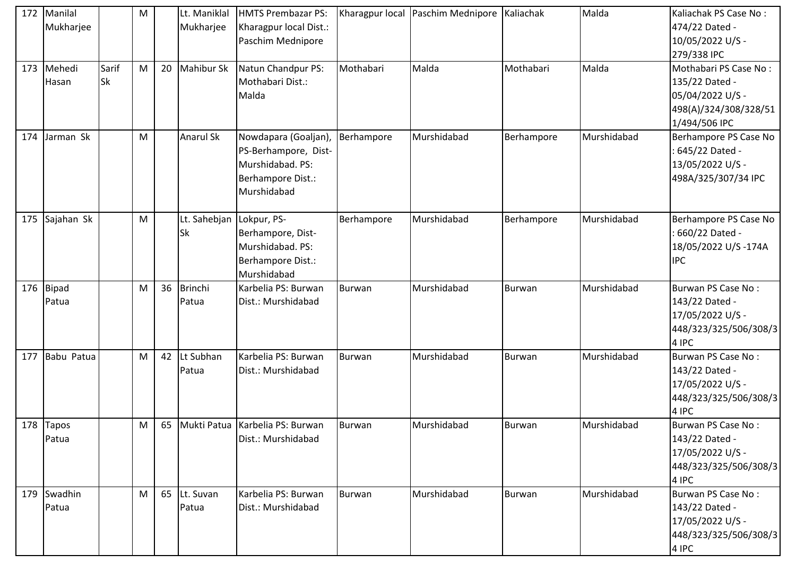|     | 172 Manilal<br>Mukharjee |             | M |    | Lt. Maniklal<br>Mukharjee | <b>HMTS Prembazar PS:</b><br>Kharagpur local Dist.:                                                  |               | Kharagpur local Paschim Mednipore Kaliachak |               | Malda       | Kaliachak PS Case No:<br>474/22 Dated -                                                               |
|-----|--------------------------|-------------|---|----|---------------------------|------------------------------------------------------------------------------------------------------|---------------|---------------------------------------------|---------------|-------------|-------------------------------------------------------------------------------------------------------|
|     |                          |             |   |    |                           | Paschim Mednipore                                                                                    |               |                                             |               |             | 10/05/2022 U/S -<br>279/338 IPC                                                                       |
| 173 | Mehedi<br>Hasan          | Sarif<br>Sk | M | 20 | Mahibur Sk                | Natun Chandpur PS:<br>Mothabari Dist.:<br>Malda                                                      | Mothabari     | Malda                                       | Mothabari     | Malda       | Mothabari PS Case No:<br>135/22 Dated -<br>05/04/2022 U/S -<br>498(A)/324/308/328/51<br>1/494/506 IPC |
| 174 | Jarman Sk                |             | M |    | <b>Anarul Sk</b>          | Nowdapara (Goaljan),<br>PS-Berhampore, Dist-<br>Murshidabad. PS:<br>Berhampore Dist.:<br>Murshidabad | Berhampore    | Murshidabad                                 | Berhampore    | Murshidabad | Berhampore PS Case No<br>645/22 Dated -<br>13/05/2022 U/S -<br>498A/325/307/34 IPC                    |
| 175 | Sajahan Sk               |             | M |    | Lt. Sahebjan<br><b>Sk</b> | Lokpur, PS-<br>Berhampore, Dist-<br>Murshidabad. PS:<br>Berhampore Dist.:<br>Murshidabad             | Berhampore    | Murshidabad                                 | Berhampore    | Murshidabad | Berhampore PS Case No<br>660/22 Dated -<br>18/05/2022 U/S-174A<br><b>IPC</b>                          |
|     | 176 Bipad<br>Patua       |             | M |    | 36 Brinchi<br>Patua       | Karbelia PS: Burwan<br>Dist.: Murshidabad                                                            | <b>Burwan</b> | Murshidabad                                 | <b>Burwan</b> | Murshidabad | Burwan PS Case No:<br>143/22 Dated -<br>17/05/2022 U/S -<br>448/323/325/506/308/3<br>4 IPC            |
| 177 | Babu Patua               |             | M |    | 42 Lt Subhan<br>Patua     | Karbelia PS: Burwan<br>Dist.: Murshidabad                                                            | <b>Burwan</b> | Murshidabad                                 | Burwan        | Murshidabad | Burwan PS Case No:<br>143/22 Dated -<br>17/05/2022 U/S -<br>448/323/325/506/308/3<br>4 IPC            |
|     | 178 Tapos<br>Patua       |             | M |    |                           | 65 Mukti Patua Karbelia PS: Burwan<br>Dist.: Murshidabad                                             | <b>Burwan</b> | Murshidabad                                 | Burwan        | Murshidabad | Burwan PS Case No:<br>143/22 Dated -<br>17/05/2022 U/S -<br>448/323/325/506/308/3<br>4 IPC            |
| 179 | Swadhin<br>Patua         |             | M |    | 65 Lt. Suvan<br>Patua     | Karbelia PS: Burwan<br>Dist.: Murshidabad                                                            | <b>Burwan</b> | Murshidabad                                 | Burwan        | Murshidabad | Burwan PS Case No:<br>143/22 Dated -<br>17/05/2022 U/S -<br>448/323/325/506/308/3<br>4 IPC            |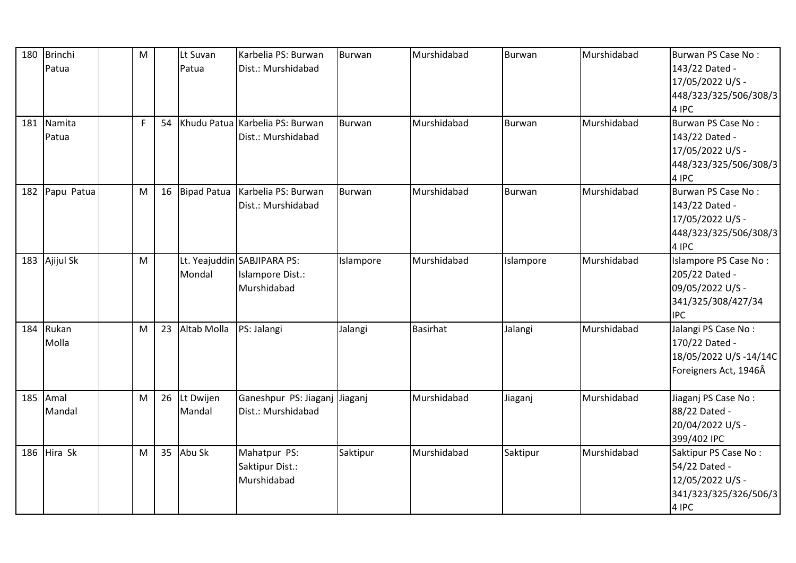| 180 | <b>Brinchi</b><br>Patua | M            |    | Lt Suvan<br>Patua   | Karbelia PS: Burwan<br>Dist.: Murshidabad                      | Burwan        | Murshidabad     | <b>Burwan</b> | Murshidabad | Burwan PS Case No:<br>143/22 Dated -<br>17/05/2022 U/S -<br>448/323/325/506/308/3                   |
|-----|-------------------------|--------------|----|---------------------|----------------------------------------------------------------|---------------|-----------------|---------------|-------------|-----------------------------------------------------------------------------------------------------|
| 181 | Namita<br>Patua         | $\mathsf{F}$ | 54 |                     | Khudu Patua Karbelia PS: Burwan<br>Dist.: Murshidabad          | <b>Burwan</b> | Murshidabad     | <b>Burwan</b> | Murshidabad | 4 IPC<br>Burwan PS Case No:<br>143/22 Dated -<br>17/05/2022 U/S -<br>448/323/325/506/308/3<br>4 IPC |
| 182 | Papu Patua              | M            | 16 | <b>Bipad Patua</b>  | Karbelia PS: Burwan<br>Dist.: Murshidabad                      | <b>Burwan</b> | Murshidabad     | Burwan        | Murshidabad | Burwan PS Case No:<br>143/22 Dated -<br>17/05/2022 U/S -<br>448/323/325/506/308/3<br>4 IPC          |
| 183 | Ajijul Sk               | M            |    | Mondal              | Lt. Yeajuddin SABJIPARA PS:<br>Islampore Dist.:<br>Murshidabad | Islampore     | Murshidabad     | Islampore     | Murshidabad | Islampore PS Case No:<br>205/22 Dated -<br>09/05/2022 U/S -<br>341/325/308/427/34<br><b>IPC</b>     |
| 184 | Rukan<br>Molla          | M            | 23 | Altab Molla         | PS: Jalangi                                                    | Jalangi       | <b>Basirhat</b> | Jalangi       | Murshidabad | Jalangi PS Case No:<br>170/22 Dated -<br>18/05/2022 U/S-14/14C<br>Foreigners Act, 1946Â             |
| 185 | Amal<br>Mandal          | M            | 26 | Lt Dwijen<br>Mandal | Ganeshpur PS: Jiaganj<br>Dist.: Murshidabad                    | Jiaganj       | Murshidabad     | Jiaganj       | Murshidabad | Jiaganj PS Case No:<br>88/22 Dated -<br>20/04/2022 U/S -<br>399/402 IPC                             |
| 186 | Hira Sk                 | M            | 35 | Abu Sk              | Mahatpur PS:<br>Saktipur Dist.:<br>Murshidabad                 | Saktipur      | Murshidabad     | Saktipur      | Murshidabad | Saktipur PS Case No:<br>54/22 Dated -<br>12/05/2022 U/S -<br>341/323/325/326/506/3<br>4 IPC         |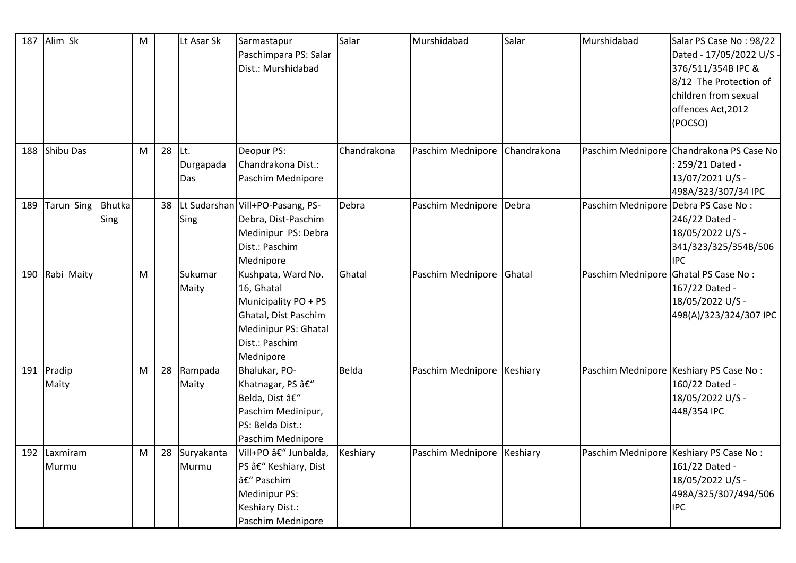| 187 | Alim Sk               |                       | M |    | Lt Asar Sk               | Sarmastapur<br>Paschimpara PS: Salar<br>Dist.: Murshidabad                                                                              | Salar       | Murshidabad                | Salar       | Murshidabad                          | Salar PS Case No: 98/22<br>Dated - 17/05/2022 U/S -<br>376/511/354B IPC &<br>8/12 The Protection of<br>children from sexual<br>offences Act, 2012<br>(POCSO) |
|-----|-----------------------|-----------------------|---|----|--------------------------|-----------------------------------------------------------------------------------------------------------------------------------------|-------------|----------------------------|-------------|--------------------------------------|--------------------------------------------------------------------------------------------------------------------------------------------------------------|
| 188 | <b>Shibu Das</b>      |                       | M | 28 | ILt.<br>Durgapada<br>Das | Deopur PS:<br>Chandrakona Dist.:<br>Paschim Mednipore                                                                                   | Chandrakona | Paschim Mednipore          | Chandrakona |                                      | Paschim Mednipore Chandrakona PS Case No<br>: 259/21 Dated -<br>13/07/2021 U/S -<br>498A/323/307/34 IPC                                                      |
| 189 | Tarun Sing            | <b>Bhutka</b><br>Sing |   |    | Sing                     | 38   Lt Sudarshan   Vill+PO-Pasang, PS-<br>Debra, Dist-Paschim<br>Medinipur PS: Debra<br>Dist.: Paschim<br>Mednipore                    | Debra       | Paschim Mednipore          | Debra       | Paschim Mednipore Debra PS Case No:  | 246/22 Dated -<br>18/05/2022 U/S -<br>341/323/325/354B/506<br><b>IPC</b>                                                                                     |
| 190 | Rabi Maity            |                       | M |    | Sukumar<br>Maity         | Kushpata, Ward No.<br>16, Ghatal<br>Municipality PO + PS<br>Ghatal, Dist Paschim<br>Medinipur PS: Ghatal<br>Dist.: Paschim<br>Mednipore | Ghatal      | Paschim Mednipore          | Ghatal      | Paschim Mednipore Ghatal PS Case No: | 167/22 Dated -<br>18/05/2022 U/S -<br>498(A)/323/324/307 IPC                                                                                                 |
|     | 191 Pradip<br>Maity   |                       | M |    | 28 Rampada<br>Maity      | Bhalukar, PO-<br>Khatnagar, PS â€"<br>Belda, Dist –<br>Paschim Medinipur,<br>PS: Belda Dist.:<br>Paschim Mednipore                      | Belda       | Paschim Mednipore          | Keshiary    |                                      | Paschim Mednipore Keshiary PS Case No:<br>160/22 Dated -<br>18/05/2022 U/S -<br>448/354 IPC                                                                  |
|     | 192 Laxmiram<br>Murmu |                       | M |    | 28 Suryakanta<br>Murmu   | Vill+PO â€" Junbalda,<br>PS – Keshiary, Dist<br>– Paschim<br>Medinipur PS:<br>Keshiary Dist.:<br>Paschim Mednipore                      | Keshiary    | Paschim Mednipore Keshiary |             |                                      | Paschim Mednipore Keshiary PS Case No:<br>161/22 Dated -<br>18/05/2022 U/S -<br>498A/325/307/494/506<br><b>IPC</b>                                           |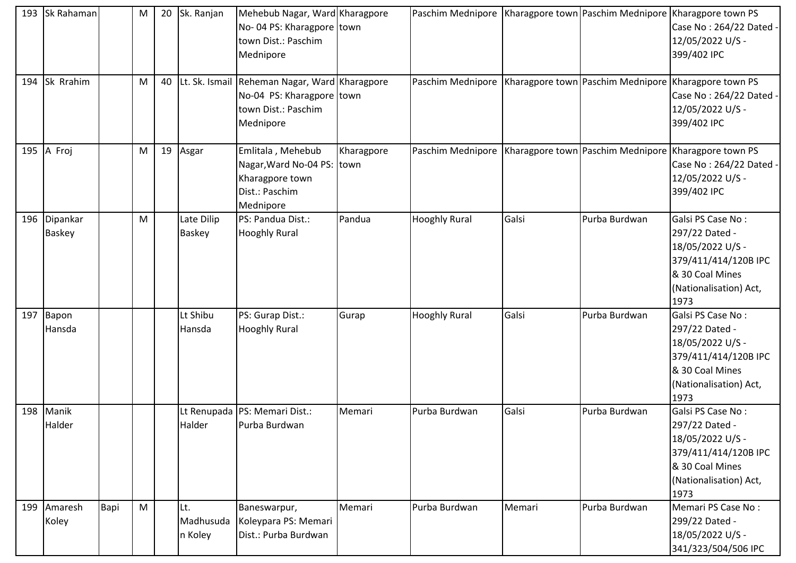| 193 | Sk Rahaman                |      | M | 20 | Sk. Ranjan                  | Mehebub Nagar, Ward Kharagpore<br>No-04 PS: Kharagpore town<br>town Dist.: Paschim<br>Mednipore                |            | Paschim Mednipore   Kharagpore town   Paschim Mednipore   Kharagpore town PS |        |               | Case No: 264/22 Dated .<br>12/05/2022 U/S -<br>399/402 IPC                                                                           |
|-----|---------------------------|------|---|----|-----------------------------|----------------------------------------------------------------------------------------------------------------|------------|------------------------------------------------------------------------------|--------|---------------|--------------------------------------------------------------------------------------------------------------------------------------|
| 194 | Sk Rrahim                 |      | M | 40 |                             | Lt. Sk. Ismail Reheman Nagar, Ward Kharagpore<br>No-04 PS: Kharagpore town<br>town Dist.: Paschim<br>Mednipore |            | Paschim Mednipore                                                            |        |               | Kharagpore town   Paschim Mednipore   Kharagpore town PS<br>Case No: 264/22 Dated<br>12/05/2022 U/S -<br>399/402 IPC                 |
| 195 | A Froj                    |      | M |    | 19 Asgar                    | Emlitala, Mehebub<br>Nagar, Ward No-04 PS: town<br>Kharagpore town<br>Dist.: Paschim<br>Mednipore              | Kharagpore | Paschim Mednipore   Kharagpore town   Paschim Mednipore   Kharagpore town PS |        |               | Case No: 264/22 Dated<br>12/05/2022 U/S -<br>399/402 IPC                                                                             |
| 196 | Dipankar<br><b>Baskey</b> |      | M |    | Late Dilip<br><b>Baskey</b> | PS: Pandua Dist.:<br><b>Hooghly Rural</b>                                                                      | Pandua     | <b>Hooghly Rural</b>                                                         | Galsi  | Purba Burdwan | Galsi PS Case No:<br>297/22 Dated -<br>18/05/2022 U/S -<br>379/411/414/120B IPC<br>& 30 Coal Mines<br>(Nationalisation) Act,<br>1973 |
| 197 | Bapon<br>Hansda           |      |   |    | Lt Shibu<br>Hansda          | PS: Gurap Dist.:<br><b>Hooghly Rural</b>                                                                       | Gurap      | <b>Hooghly Rural</b>                                                         | Galsi  | Purba Burdwan | Galsi PS Case No:<br>297/22 Dated -<br>18/05/2022 U/S -<br>379/411/414/120B IPC<br>& 30 Coal Mines<br>(Nationalisation) Act,<br>1973 |
| 198 | Manik<br>Halder           |      |   |    | Halder                      | Lt Renupada   PS: Memari Dist.:<br>Purba Burdwan                                                               | Memari     | Purba Burdwan                                                                | Galsi  | Purba Burdwan | Galsi PS Case No:<br>297/22 Dated -<br>18/05/2022 U/S -<br>379/411/414/120B IPC<br>& 30 Coal Mines<br>(Nationalisation) Act,<br>1973 |
| 199 | Amaresh<br>Koley          | Bapi | M |    | Lt.<br>Madhusuda<br>n Koley | Baneswarpur,<br>Koleypara PS: Memari<br>Dist.: Purba Burdwan                                                   | Memari     | Purba Burdwan                                                                | Memari | Purba Burdwan | Memari PS Case No:<br>299/22 Dated -<br>18/05/2022 U/S -<br>341/323/504/506 IPC                                                      |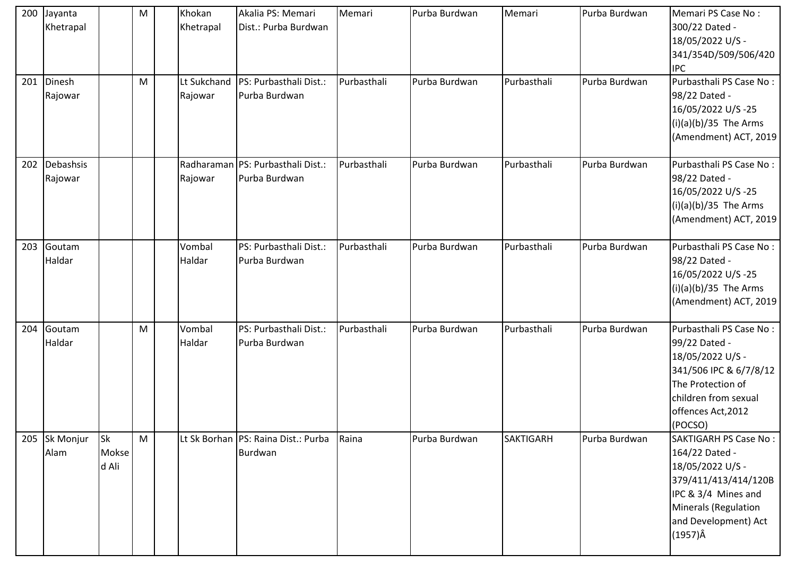|     | 200 Jayanta<br>Khetrapal |                             | M         | Khokan<br>Khetrapal    | Akalia PS: Memari<br>Dist.: Purba Burdwan            | Memari      | Purba Burdwan | Memari           | Purba Burdwan | Memari PS Case No:<br>300/22 Dated -<br>18/05/2022 U/S -<br>341/354D/509/506/420<br><b>IPC</b>                                                                               |
|-----|--------------------------|-----------------------------|-----------|------------------------|------------------------------------------------------|-------------|---------------|------------------|---------------|------------------------------------------------------------------------------------------------------------------------------------------------------------------------------|
| 201 | Dinesh<br>Rajowar        |                             | ${\sf M}$ | Lt Sukchand<br>Rajowar | PS: Purbasthali Dist.:<br>Purba Burdwan              | Purbasthali | Purba Burdwan | Purbasthali      | Purba Burdwan | Purbasthali PS Case No:<br>98/22 Dated -<br>16/05/2022 U/S-25<br>$(i)(a)(b)/35$ The Arms<br>(Amendment) ACT, 2019                                                            |
| 202 | Debashsis<br>Rajowar     |                             |           | Rajowar                | Radharaman   PS: Purbasthali Dist.:<br>Purba Burdwan | Purbasthali | Purba Burdwan | Purbasthali      | Purba Burdwan | Purbasthali PS Case No:<br>98/22 Dated -<br>16/05/2022 U/S-25<br>$(i)(a)(b)/35$ The Arms<br>(Amendment) ACT, 2019                                                            |
| 203 | Goutam<br>Haldar         |                             |           | Vombal<br>Haldar       | PS: Purbasthali Dist.:<br>Purba Burdwan              | Purbasthali | Purba Burdwan | Purbasthali      | Purba Burdwan | Purbasthali PS Case No:<br>98/22 Dated -<br>16/05/2022 U/S-25<br>$(i)(a)(b)/35$ The Arms<br>(Amendment) ACT, 2019                                                            |
| 204 | Goutam<br>Haldar         |                             | M         | Vombal<br>Haldar       | PS: Purbasthali Dist.:<br>Purba Burdwan              | Purbasthali | Purba Burdwan | Purbasthali      | Purba Burdwan | Purbasthali PS Case No:<br>99/22 Dated -<br>18/05/2022 U/S -<br>341/506 IPC & 6/7/8/12<br>The Protection of<br>children from sexual<br>offences Act, 2012<br>(POCSO)         |
| 205 | Sk Monjur<br>Alam        | <b>Sk</b><br>Mokse<br>d Ali | M         |                        | Lt Sk Borhan   PS: Raina Dist.: Purba<br>Burdwan     | Raina       | Purba Burdwan | <b>SAKTIGARH</b> | Purba Burdwan | <b>SAKTIGARH PS Case No:</b><br>164/22 Dated -<br>18/05/2022 U/S -<br>379/411/413/414/120B<br>IPC & 3/4 Mines and<br>Minerals (Regulation<br>and Development) Act<br>(1957)Â |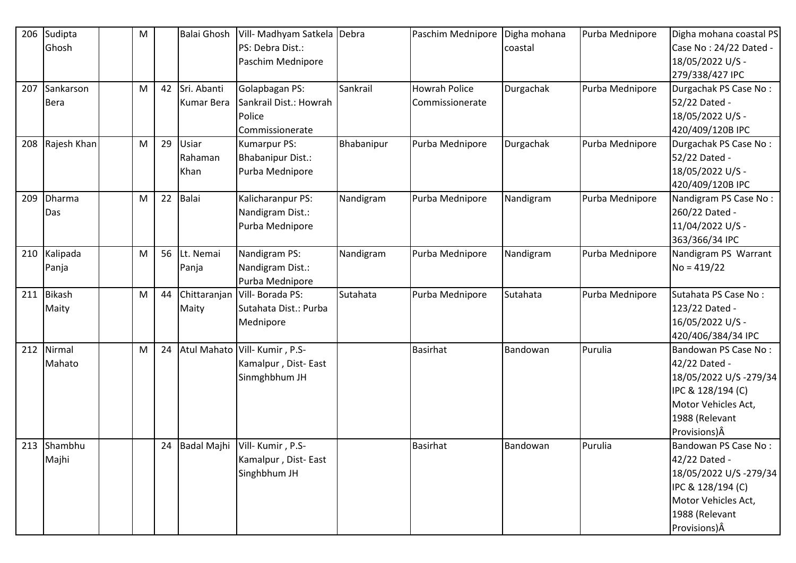| 206 | Sudipta       | M |    | <b>Balai Ghosh</b> | Vill- Madhyam Satkela Debra     |            | Paschim Mednipore    | Digha mohana | Purba Mednipore | Digha mohana coastal PS |
|-----|---------------|---|----|--------------------|---------------------------------|------------|----------------------|--------------|-----------------|-------------------------|
|     | Ghosh         |   |    |                    | PS: Debra Dist.:                |            |                      | coastal      |                 | Case No: 24/22 Dated -  |
|     |               |   |    |                    | Paschim Mednipore               |            |                      |              |                 | 18/05/2022 U/S -        |
|     |               |   |    |                    |                                 |            |                      |              |                 | 279/338/427 IPC         |
| 207 | Sankarson     | M | 42 | Sri. Abanti        | Golapbagan PS:                  | Sankrail   | <b>Howrah Police</b> | Durgachak    | Purba Mednipore | Durgachak PS Case No:   |
|     | <b>Bera</b>   |   |    | <b>Kumar Bera</b>  | Sankrail Dist.: Howrah          |            | Commissionerate      |              |                 | 52/22 Dated -           |
|     |               |   |    |                    | Police                          |            |                      |              |                 | 18/05/2022 U/S -        |
|     |               |   |    |                    | Commissionerate                 |            |                      |              |                 | 420/409/120B IPC        |
| 208 | Rajesh Khan   | M | 29 | Usiar              | Kumarpur PS:                    | Bhabanipur | Purba Mednipore      | Durgachak    | Purba Mednipore | Durgachak PS Case No:   |
|     |               |   |    | Rahaman            | <b>Bhabanipur Dist.:</b>        |            |                      |              |                 | 52/22 Dated -           |
|     |               |   |    | Khan               | Purba Mednipore                 |            |                      |              |                 | 18/05/2022 U/S -        |
|     |               |   |    |                    |                                 |            |                      |              |                 | 420/409/120B IPC        |
| 209 | <b>Dharma</b> | M | 22 | Balai              | Kalicharanpur PS:               | Nandigram  | Purba Mednipore      | Nandigram    | Purba Mednipore | Nandigram PS Case No:   |
|     | Das           |   |    |                    | Nandigram Dist.:                |            |                      |              |                 | 260/22 Dated -          |
|     |               |   |    |                    | Purba Mednipore                 |            |                      |              |                 | 11/04/2022 U/S -        |
|     |               |   |    |                    |                                 |            |                      |              |                 | 363/366/34 IPC          |
| 210 | Kalipada      | M | 56 | Lt. Nemai          | Nandigram PS:                   | Nandigram  | Purba Mednipore      | Nandigram    | Purba Mednipore | Nandigram PS Warrant    |
|     | Panja         |   |    | Panja              | Nandigram Dist.:                |            |                      |              |                 | $No = 419/22$           |
|     |               |   |    |                    | Purba Mednipore                 |            |                      |              |                 |                         |
| 211 | Bikash        | M | 44 | Chittaranjan       | Vill-Borada PS:                 | Sutahata   | Purba Mednipore      | Sutahata     | Purba Mednipore | Sutahata PS Case No:    |
|     | Maity         |   |    | Maity              | Sutahata Dist.: Purba           |            |                      |              |                 | 123/22 Dated -          |
|     |               |   |    |                    | Mednipore                       |            |                      |              |                 | 16/05/2022 U/S -        |
|     |               |   |    |                    |                                 |            |                      |              |                 | 420/406/384/34 IPC      |
| 212 | Nirmal        | M | 24 | <b>Atul Mahato</b> | Vill-Kumir, P.S-                |            | <b>Basirhat</b>      | Bandowan     | Purulia         | Bandowan PS Case No:    |
|     | Mahato        |   |    |                    | Kamalpur, Dist-East             |            |                      |              |                 | 42/22 Dated -           |
|     |               |   |    |                    | Sinmghbhum JH                   |            |                      |              |                 | 18/05/2022 U/S-279/34   |
|     |               |   |    |                    |                                 |            |                      |              |                 | IPC & 128/194 (C)       |
|     |               |   |    |                    |                                 |            |                      |              |                 | Motor Vehicles Act,     |
|     |               |   |    |                    |                                 |            |                      |              |                 | 1988 (Relevant          |
|     |               |   |    |                    |                                 |            |                      |              |                 | Provisions) $\hat{A}$   |
|     | 213 Shambhu   |   | 24 |                    | Badal Majhi   Vill- Kumir, P.S- |            | <b>Basirhat</b>      | Bandowan     | Purulia         | Bandowan PS Case No:    |
|     | Majhi         |   |    |                    | Kamalpur, Dist-East             |            |                      |              |                 | 42/22 Dated -           |
|     |               |   |    |                    | Singhbhum JH                    |            |                      |              |                 | 18/05/2022 U/S-279/34   |
|     |               |   |    |                    |                                 |            |                      |              |                 | IPC & 128/194 (C)       |
|     |               |   |    |                    |                                 |            |                      |              |                 | Motor Vehicles Act,     |
|     |               |   |    |                    |                                 |            |                      |              |                 | 1988 (Relevant          |
|     |               |   |    |                    |                                 |            |                      |              |                 | Provisions) Â           |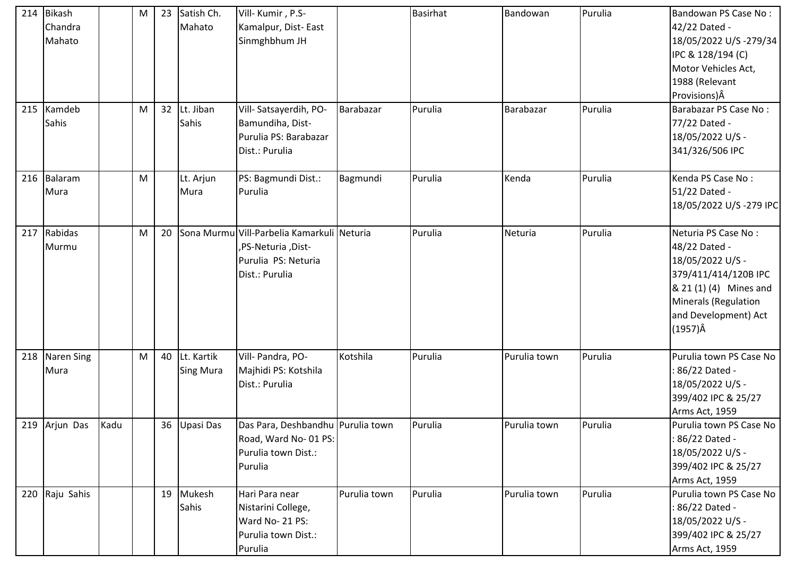| 214 | <b>Bikash</b><br>Chandra<br>Mahato |      | M | 23 | Satish Ch.<br>Mahato              | Vill-Kumir, P.S-<br>Kamalpur, Dist-East<br>Sinmghbhum JH                                                  |              | <b>Basirhat</b> | Bandowan     | Purulia | Bandowan PS Case No:<br>42/22 Dated -<br>18/05/2022 U/S-279/34<br>IPC & 128/194 (C)<br>Motor Vehicles Act,<br>1988 (Relevant<br>Provisions) Â                                 |
|-----|------------------------------------|------|---|----|-----------------------------------|-----------------------------------------------------------------------------------------------------------|--------------|-----------------|--------------|---------|-------------------------------------------------------------------------------------------------------------------------------------------------------------------------------|
| 215 | Kamdeb<br>Sahis                    |      | M |    | 32 Lt. Jiban<br>Sahis             | Vill-Satsayerdih, PO-<br>Bamundiha, Dist-<br>Purulia PS: Barabazar<br>Dist.: Purulia                      | Barabazar    | Purulia         | Barabazar    | Purulia | Barabazar PS Case No:<br>77/22 Dated -<br>18/05/2022 U/S -<br>341/326/506 IPC                                                                                                 |
| 216 | Balaram<br>Mura                    |      | M |    | Lt. Arjun<br>Mura                 | PS: Bagmundi Dist.:<br>Purulia                                                                            | Bagmundi     | Purulia         | Kenda        | Purulia | Kenda PS Case No:<br>51/22 Dated -<br>18/05/2022 U/S-279 IPC                                                                                                                  |
| 217 | Rabidas<br>Murmu                   |      | M | 20 |                                   | Sona Murmu Vill-Parbelia Kamarkuli Neturia<br>-Dist, PS-Neturia,<br>Purulia PS: Neturia<br>Dist.: Purulia |              | Purulia         | Neturia      | Purulia | Neturia PS Case No:<br>48/22 Dated -<br>18/05/2022 U/S -<br>379/411/414/120B IPC<br>& 21 (1) (4) Mines and<br>Minerals (Regulation<br>and Development) Act<br>$(1957)\hat{A}$ |
| 218 | <b>Naren Sing</b><br>Mura          |      | M |    | 40 Lt. Kartik<br><b>Sing Mura</b> | Vill- Pandra, PO-<br>Majhidi PS: Kotshila<br>Dist.: Purulia                                               | Kotshila     | Purulia         | Purulia town | Purulia | Purulia town PS Case No<br>: 86/22 Dated -<br>18/05/2022 U/S -<br>399/402 IPC & 25/27<br>Arms Act, 1959                                                                       |
|     | 219 Arjun Das                      | Kadu |   |    | 36 Upasi Das                      | Das Para, Deshbandhu Purulia town<br>Road, Ward No-01 PS:<br>Purulia town Dist.:<br>Purulia               |              | Purulia         | Purulia town | Purulia | Purulia town PS Case No<br>: 86/22 Dated -<br>18/05/2022 U/S -<br>399/402 IPC & 25/27<br>Arms Act, 1959                                                                       |
|     | 220 Raju Sahis                     |      |   |    | 19 Mukesh<br>Sahis                | Hari Para near<br>Nistarini College,<br>Ward No- 21 PS:<br>Purulia town Dist.:<br>Purulia                 | Purulia town | Purulia         | Purulia town | Purulia | Purulia town PS Case No<br>: 86/22 Dated -<br>18/05/2022 U/S -<br>399/402 IPC & 25/27<br>Arms Act, 1959                                                                       |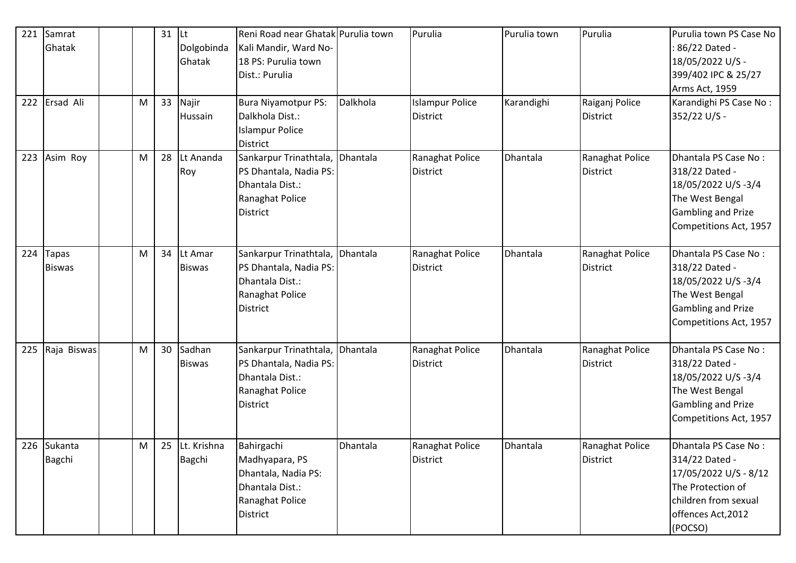| 221 | Samrat<br>Ghatak       |   | 31 | <b>Lt</b><br>Dolgobinda<br>Ghatak | Reni Road near Ghatak Purulia town<br>Kali Mandir, Ward No-<br>18 PS: Purulia town<br>Dist.: Purulia        | Dalkhola | Purulia                                   | Purulia town | Purulia                            | Purulia town PS Case No<br>: 86/22 Dated -<br>18/05/2022 U/S -<br>399/402 IPC & 25/27<br>Arms Act, 1959                                       |
|-----|------------------------|---|----|-----------------------------------|-------------------------------------------------------------------------------------------------------------|----------|-------------------------------------------|--------------|------------------------------------|-----------------------------------------------------------------------------------------------------------------------------------------------|
| 222 | Ersad Ali              | M | 33 | Najir<br>Hussain                  | <b>Bura Niyamotpur PS:</b><br>Dalkhola Dist.:<br><b>Islampur Police</b><br>District                         |          | <b>Islampur Police</b><br><b>District</b> | Karandighi   | Raiganj Police<br>District         | Karandighi PS Case No:<br>352/22 U/S -                                                                                                        |
| 223 | Asim Roy               | M | 28 | Lt Ananda<br>Roy                  | Sankarpur Trinathtala, Dhantala<br>PS Dhantala, Nadia PS:<br>Dhantala Dist.:<br>Ranaghat Police<br>District |          | Ranaghat Police<br><b>District</b>        | Dhantala     | Ranaghat Police<br>District        | Dhantala PS Case No:<br>318/22 Dated -<br>18/05/2022 U/S-3/4<br>The West Bengal<br><b>Gambling and Prize</b><br>Competitions Act, 1957        |
| 224 | Tapas<br><b>Biswas</b> | M | 34 | Lt Amar<br><b>Biswas</b>          | Sankarpur Trinathtala,<br>PS Dhantala, Nadia PS:<br>Dhantala Dist.:<br>Ranaghat Police<br>District          | Dhantala | Ranaghat Police<br><b>District</b>        | Dhantala     | Ranaghat Police<br>District        | Dhantala PS Case No:<br>318/22 Dated -<br>18/05/2022 U/S-3/4<br>The West Bengal<br><b>Gambling and Prize</b><br>Competitions Act, 1957        |
| 225 | Raja Biswas            | M | 30 | Sadhan<br><b>Biswas</b>           | Sankarpur Trinathtala,<br>PS Dhantala, Nadia PS:<br>Dhantala Dist.:<br>Ranaghat Police<br>District          | Dhantala | Ranaghat Police<br><b>District</b>        | Dhantala     | Ranaghat Police<br><b>District</b> | Dhantala PS Case No:<br>318/22 Dated -<br>18/05/2022 U/S-3/4<br>The West Bengal<br><b>Gambling and Prize</b><br>Competitions Act, 1957        |
|     | 226 Sukanta<br>Bagchi  | M |    | 25 Lt. Krishna<br>Bagchi          | Bahirgachi<br>Madhyapara, PS<br>Dhantala, Nadia PS:<br>Dhantala Dist.:<br>Ranaghat Police<br>District       | Dhantala | Ranaghat Police<br><b>District</b>        | Dhantala     | Ranaghat Police<br>District        | Dhantala PS Case No:<br>314/22 Dated -<br>17/05/2022 U/S - 8/12<br>The Protection of<br>children from sexual<br>offences Act, 2012<br>(POCSO) |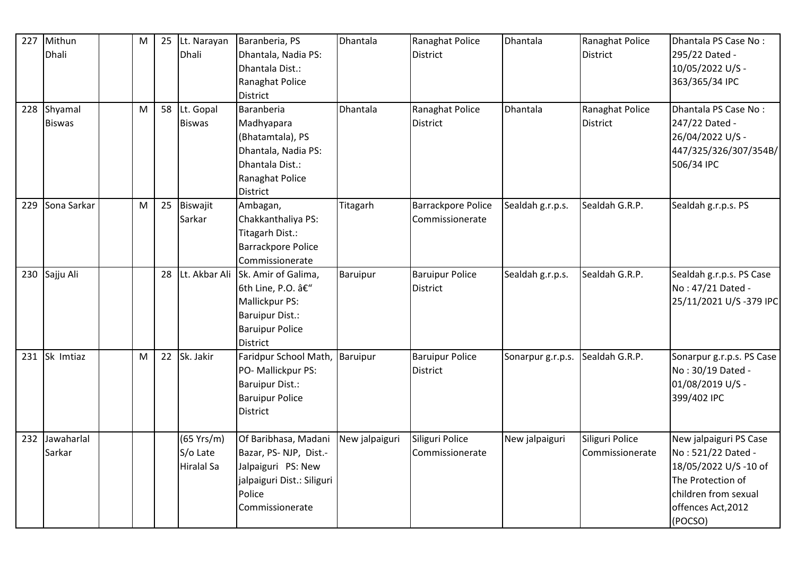| 227 | Mithun<br><b>Dhali</b>   | M | 25 | Lt. Narayan<br>Dhali                 | Baranberia, PS<br>Dhantala, Nadia PS:<br>Dhantala Dist.:<br>Ranaghat Police<br>District                                        | Dhantala        | Ranaghat Police<br><b>District</b>           | Dhantala          | Ranaghat Police<br><b>District</b> | Dhantala PS Case No:<br>295/22 Dated -<br>10/05/2022 U/S -<br>363/365/34 IPC                                                                       |
|-----|--------------------------|---|----|--------------------------------------|--------------------------------------------------------------------------------------------------------------------------------|-----------------|----------------------------------------------|-------------------|------------------------------------|----------------------------------------------------------------------------------------------------------------------------------------------------|
| 228 | Shyamal<br><b>Biswas</b> | M |    | 58 Lt. Gopal<br><b>Biswas</b>        | Baranberia<br>Madhyapara<br>(Bhatamtala), PS<br>Dhantala, Nadia PS:<br>Dhantala Dist.:<br>Ranaghat Police<br>District          | <b>Dhantala</b> | Ranaghat Police<br><b>District</b>           | Dhantala          | Ranaghat Police<br><b>District</b> | Dhantala PS Case No:<br>247/22 Dated -<br>26/04/2022 U/S -<br>447/325/326/307/354B/<br>506/34 IPC                                                  |
| 229 | Sona Sarkar              | M | 25 | Biswajit<br>Sarkar                   | Ambagan,<br>Chakkanthaliya PS:<br>Titagarh Dist.:<br><b>Barrackpore Police</b><br>Commissionerate                              | Titagarh        | <b>Barrackpore Police</b><br>Commissionerate | Sealdah g.r.p.s.  | Sealdah G.R.P.                     | Sealdah g.r.p.s. PS                                                                                                                                |
| 230 | Sajju Ali                |   | 28 | Lt. Akbar Ali                        | Sk. Amir of Galima,<br>6th Line, P.O. –<br>Mallickpur PS:<br><b>Baruipur Dist.:</b><br><b>Baruipur Police</b><br>District      | Baruipur        | <b>Baruipur Police</b><br><b>District</b>    | Sealdah g.r.p.s.  | Sealdah G.R.P.                     | Sealdah g.r.p.s. PS Case<br>No: 47/21 Dated -<br>25/11/2021 U/S-379 IPC                                                                            |
| 231 | Sk Imtiaz                | M | 22 | Sk. Jakir                            | Faridpur School Math, Baruipur<br>PO- Mallickpur PS:<br><b>Baruipur Dist.:</b><br><b>Baruipur Police</b><br>District           |                 | <b>Baruipur Police</b><br><b>District</b>    | Sonarpur g.r.p.s. | Sealdah G.R.P.                     | Sonarpur g.r.p.s. PS Case<br>No: 30/19 Dated -<br>01/08/2019 U/S -<br>399/402 IPC                                                                  |
| 232 | Jawaharlal<br>Sarkar     |   |    | (65 Yrs/m)<br>S/o Late<br>Hiralal Sa | Of Baribhasa, Madani<br>Bazar, PS-NJP, Dist.-<br>Jalpaiguri PS: New<br>jalpaiguri Dist.: Siliguri<br>Police<br>Commissionerate | New jalpaiguri  | Siliguri Police<br>Commissionerate           | New jalpaiguri    | Siliguri Police<br>Commissionerate | New jalpaiguri PS Case<br>No: 521/22 Dated -<br>18/05/2022 U/S-10 of<br>The Protection of<br>children from sexual<br>offences Act, 2012<br>(POCSO) |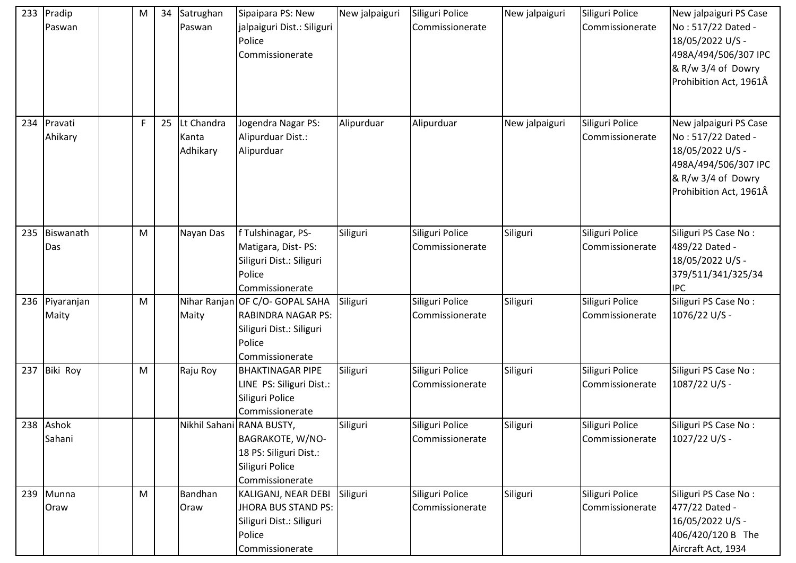| 233 | Pradip<br>Paswan   | M | 34 | Satrughan<br>Paswan             | Sipaipara PS: New<br>jalpaiguri Dist.: Siliguri<br>Police<br>Commissionerate       | New jalpaiguri | Siliguri Police<br>Commissionerate | New jalpaiguri | Siliguri Police<br>Commissionerate | New jalpaiguri PS Case<br>No: 517/22 Dated -<br>18/05/2022 U/S -<br>498A/494/506/307 IPC<br>& R/w 3/4 of Dowry<br>Prohibition Act, 1961Â |
|-----|--------------------|---|----|---------------------------------|------------------------------------------------------------------------------------|----------------|------------------------------------|----------------|------------------------------------|------------------------------------------------------------------------------------------------------------------------------------------|
| 234 | Pravati<br>Ahikary | F | 25 | Lt Chandra<br>Kanta<br>Adhikary | Jogendra Nagar PS:<br>Alipurduar Dist.:<br>Alipurduar                              | Alipurduar     | Alipurduar                         | New jalpaiguri | Siliguri Police<br>Commissionerate | New jalpaiguri PS Case<br>No: 517/22 Dated -<br>18/05/2022 U/S -<br>498A/494/506/307 IPC<br>& R/w 3/4 of Dowry<br>Prohibition Act, 1961Â |
| 235 | Biswanath          | M |    | Nayan Das                       | f Tulshinagar, PS-                                                                 | Siliguri       | Siliguri Police                    | Siliguri       | Siliguri Police                    | Siliguri PS Case No:                                                                                                                     |
|     | Das                |   |    |                                 | Matigara, Dist-PS:<br>Siliguri Dist.: Siliguri<br>Police<br>Commissionerate        |                | Commissionerate                    |                | Commissionerate                    | 489/22 Dated -<br>18/05/2022 U/S -<br>379/511/341/325/34<br><b>IPC</b>                                                                   |
| 236 | Piyaranjan         | M |    | Nihar Ranjan                    | OF C/O- GOPAL SAHA                                                                 | Siliguri       | Siliguri Police                    | Siliguri       | Siliguri Police                    | Siliguri PS Case No:                                                                                                                     |
|     | Maity              |   |    | Maity                           | <b>RABINDRA NAGAR PS:</b><br>Siliguri Dist.: Siliguri<br>Police<br>Commissionerate |                | Commissionerate                    |                | Commissionerate                    | 1076/22 U/S -                                                                                                                            |
| 237 | Biki Roy           | M |    | Raju Roy                        | <b>BHAKTINAGAR PIPE</b>                                                            | Siliguri       | Siliguri Police                    | Siliguri       | Siliguri Police                    | Siliguri PS Case No:                                                                                                                     |
|     |                    |   |    |                                 | LINE PS: Siliguri Dist.:<br>Siliguri Police<br>Commissionerate                     |                | Commissionerate                    |                | Commissionerate                    | 1087/22 U/S -                                                                                                                            |
|     | 238 Ashok          |   |    |                                 | Nikhil Sahani RANA BUSTY,                                                          | Siliguri       | Siliguri Police                    | Siliguri       | Siliguri Police                    | Siliguri PS Case No:                                                                                                                     |
|     | Sahani             |   |    |                                 | BAGRAKOTE, W/NO-                                                                   |                | Commissionerate                    |                | Commissionerate                    | 1027/22 U/S -                                                                                                                            |
|     |                    |   |    |                                 | 18 PS: Siliguri Dist.:                                                             |                |                                    |                |                                    |                                                                                                                                          |
|     |                    |   |    |                                 | Siliguri Police                                                                    |                |                                    |                |                                    |                                                                                                                                          |
| 239 | Munna              | M |    | Bandhan                         | Commissionerate<br>KALIGANJ, NEAR DEBI                                             | Siliguri       | Siliguri Police                    | Siliguri       | Siliguri Police                    | Siliguri PS Case No:                                                                                                                     |
|     | Oraw               |   |    | Oraw                            | JHORA BUS STAND PS:                                                                |                | Commissionerate                    |                | Commissionerate                    | 477/22 Dated -                                                                                                                           |
|     |                    |   |    |                                 | Siliguri Dist.: Siliguri                                                           |                |                                    |                |                                    | 16/05/2022 U/S -                                                                                                                         |
|     |                    |   |    |                                 | Police                                                                             |                |                                    |                |                                    | 406/420/120 B The                                                                                                                        |
|     |                    |   |    |                                 | Commissionerate                                                                    |                |                                    |                |                                    | Aircraft Act, 1934                                                                                                                       |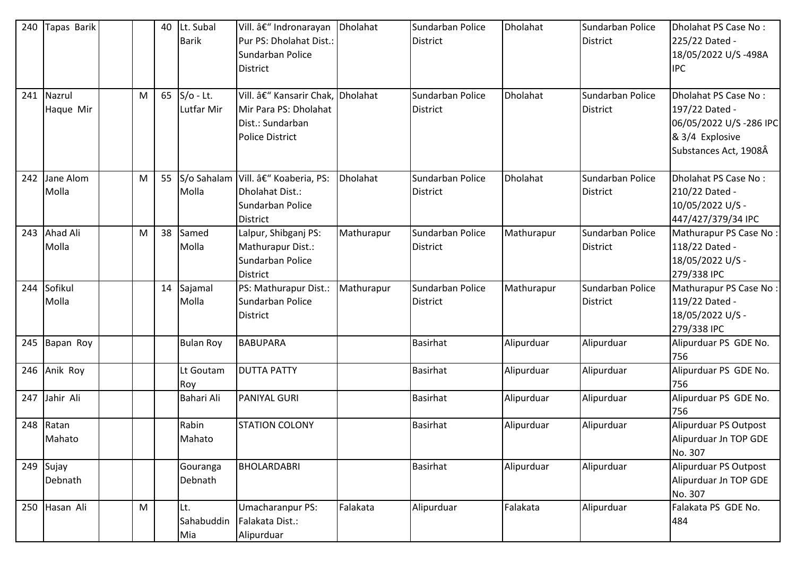| 240<br>241 | Tapas Barik<br>Nazrul<br>Haque Mir | M | 40<br>65 | Lt. Subal<br><b>Barik</b><br>$S/O - Lt.$<br>Lutfar Mir | Vill. – Indronarayan<br>Pur PS: Dholahat Dist.:<br>Sundarban Police<br><b>District</b><br>Vill. – Kansarir Chak, Dholahat<br>Mir Para PS: Dholahat<br>Dist.: Sundarban<br><b>Police District</b> | Dholahat   | Sundarban Police<br><b>District</b><br>Sundarban Police<br><b>District</b> | Dholahat<br><b>Dholahat</b> | Sundarban Police<br><b>District</b><br>Sundarban Police<br><b>District</b> | Dholahat PS Case No:<br>225/22 Dated -<br>18/05/2022 U/S-498A<br><b>IPC</b><br>Dholahat PS Case No:<br>197/22 Dated -<br>06/05/2022 U/S-286 IPC<br>& 3/4 Explosive<br>Substances Act, 1908Â |
|------------|------------------------------------|---|----------|--------------------------------------------------------|--------------------------------------------------------------------------------------------------------------------------------------------------------------------------------------------------|------------|----------------------------------------------------------------------------|-----------------------------|----------------------------------------------------------------------------|---------------------------------------------------------------------------------------------------------------------------------------------------------------------------------------------|
| 242        | Jane Alom<br>Molla                 | M | 55       | Molla                                                  | S/o Sahalam Vill. â€" Koaberia, PS:<br>Dholahat Dist.:<br>Sundarban Police<br><b>District</b>                                                                                                    | Dholahat   | Sundarban Police<br><b>District</b>                                        | Dholahat                    | Sundarban Police<br><b>District</b>                                        | Dholahat PS Case No:<br>210/22 Dated -<br>10/05/2022 U/S -<br>447/427/379/34 IPC                                                                                                            |
| 243        | Ahad Ali<br>Molla                  | M | 38       | Samed<br>Molla                                         | Lalpur, Shibganj PS:<br>Mathurapur Dist.:<br>Sundarban Police<br><b>District</b>                                                                                                                 | Mathurapur | Sundarban Police<br><b>District</b>                                        | Mathurapur                  | Sundarban Police<br><b>District</b>                                        | Mathurapur PS Case No:<br>118/22 Dated -<br>18/05/2022 U/S -<br>279/338 IPC                                                                                                                 |
| 244        | Sofikul<br>Molla                   |   | 14       | Sajamal<br>Molla                                       | PS: Mathurapur Dist.:<br>Sundarban Police<br><b>District</b>                                                                                                                                     | Mathurapur | Sundarban Police<br><b>District</b>                                        | Mathurapur                  | Sundarban Police<br><b>District</b>                                        | Mathurapur PS Case No:<br>119/22 Dated -<br>18/05/2022 U/S -<br>279/338 IPC                                                                                                                 |
| 245        | Bapan Roy                          |   |          | <b>Bulan Roy</b>                                       | <b>BABUPARA</b>                                                                                                                                                                                  |            | <b>Basirhat</b>                                                            | Alipurduar                  | Alipurduar                                                                 | Alipurduar PS GDE No.<br>756                                                                                                                                                                |
| 246        | Anik Roy                           |   |          | Lt Goutam<br>Roy                                       | <b>DUTTA PATTY</b>                                                                                                                                                                               |            | <b>Basirhat</b>                                                            | Alipurduar                  | Alipurduar                                                                 | Alipurduar PS GDE No.<br>756                                                                                                                                                                |
| 247        | Jahir Ali                          |   |          | Bahari Ali                                             | <b>PANIYAL GURI</b>                                                                                                                                                                              |            | <b>Basirhat</b>                                                            | Alipurduar                  | Alipurduar                                                                 | Alipurduar PS GDE No.<br>756                                                                                                                                                                |
| 248        | Ratan<br>Mahato                    |   |          | Rabin<br>Mahato                                        | <b>STATION COLONY</b>                                                                                                                                                                            |            | <b>Basirhat</b>                                                            | Alipurduar                  | Alipurduar                                                                 | Alipurduar PS Outpost<br>Alipurduar Jn TOP GDE<br>No. 307                                                                                                                                   |
| 249        | Sujay<br>Debnath                   |   |          | Gouranga<br>Debnath                                    | BHOLARDABRI                                                                                                                                                                                      |            | <b>Basirhat</b>                                                            | Alipurduar                  | Alipurduar                                                                 | Alipurduar PS Outpost<br>Alipurduar Jn TOP GDE<br>No. 307                                                                                                                                   |
| 250        | Hasan Ali                          | M |          | Lt.<br>Sahabuddin<br>Mia                               | Umacharanpur PS:<br>Falakata Dist.:<br>Alipurduar                                                                                                                                                | Falakata   | Alipurduar                                                                 | Falakata                    | Alipurduar                                                                 | Falakata PS GDE No.<br>484                                                                                                                                                                  |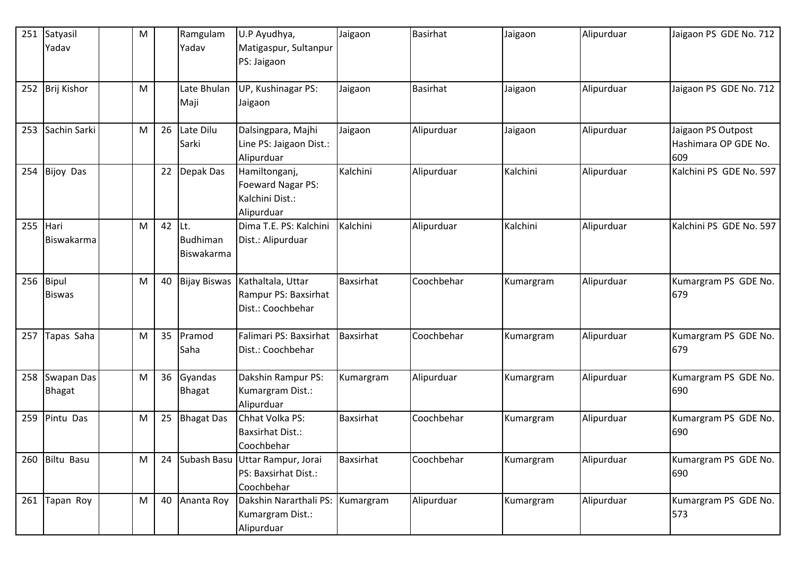| 251 | Satyasil                  | M |    | Ramgulam                       | U.P Ayudhya,                                                        | Jaigaon   | <b>Basirhat</b> | Jaigaon   | Alipurduar | Jaigaon PS GDE No. 712                            |
|-----|---------------------------|---|----|--------------------------------|---------------------------------------------------------------------|-----------|-----------------|-----------|------------|---------------------------------------------------|
|     | Yadav                     |   |    | Yadav                          | Matigaspur, Sultanpur<br>PS: Jaigaon                                |           |                 |           |            |                                                   |
| 252 | Brij Kishor               | M |    | Late Bhulan<br>Maji            | UP, Kushinagar PS:<br>Jaigaon                                       | Jaigaon   | Basirhat        | Jaigaon   | Alipurduar | Jaigaon PS GDE No. 712                            |
| 253 | Sachin Sarki              | M | 26 | Late Dilu<br>Sarki             | Dalsingpara, Majhi<br>Line PS: Jaigaon Dist.:<br>Alipurduar         | Jaigaon   | Alipurduar      | Jaigaon   | Alipurduar | Jaigaon PS Outpost<br>Hashimara OP GDE No.<br>609 |
| 254 | <b>Bijoy Das</b>          |   | 22 | Depak Das                      | Hamiltonganj,<br>Foeward Nagar PS:<br>Kalchini Dist.:<br>Alipurduar | Kalchini  | Alipurduar      | Kalchini  | Alipurduar | Kalchini PS GDE No. 597                           |
| 255 | Hari<br><b>Biswakarma</b> | M | 42 | ILt.<br>Budhiman<br>Biswakarma | Dima T.E. PS: Kalchini<br>Dist.: Alipurduar                         | Kalchini  | Alipurduar      | Kalchini  | Alipurduar | Kalchini PS GDE No. 597                           |
| 256 | Bipul<br><b>Biswas</b>    | M | 40 | <b>Bijay Biswas</b>            | Kathaltala, Uttar<br>Rampur PS: Baxsirhat<br>Dist.: Coochbehar      | Baxsirhat | Coochbehar      | Kumargram | Alipurduar | Kumargram PS GDE No.<br>679                       |
| 257 | Tapas Saha                | M | 35 | Pramod<br>Saha                 | Falimari PS: Baxsirhat<br>Dist.: Coochbehar                         | Baxsirhat | Coochbehar      | Kumargram | Alipurduar | Kumargram PS GDE No.<br>679                       |
| 258 | Swapan Das<br>Bhagat      | M | 36 | Gyandas<br><b>Bhagat</b>       | Dakshin Rampur PS:<br>Kumargram Dist.:<br>Alipurduar                | Kumargram | Alipurduar      | Kumargram | Alipurduar | Kumargram PS GDE No.<br>690                       |
| 259 | Pintu Das                 | M | 25 | <b>Bhagat Das</b>              | Chhat Volka PS:<br><b>Baxsirhat Dist.:</b><br>Coochbehar            | Baxsirhat | Coochbehar      | Kumargram | Alipurduar | Kumargram PS GDE No.<br>690                       |
| 260 | <b>Biltu Basu</b>         | M | 24 | Subash Basu                    | Uttar Rampur, Jorai<br>PS: Baxsirhat Dist.:<br>Coochbehar           | Baxsirhat | Coochbehar      | Kumargram | Alipurduar | Kumargram PS GDE No.<br>690                       |
| 261 | Tapan Roy                 | M | 40 | Ananta Roy                     | Dakshin Nararthali PS: Kumargram<br>Kumargram Dist.:<br>Alipurduar  |           | Alipurduar      | Kumargram | Alipurduar | Kumargram PS GDE No.<br>573                       |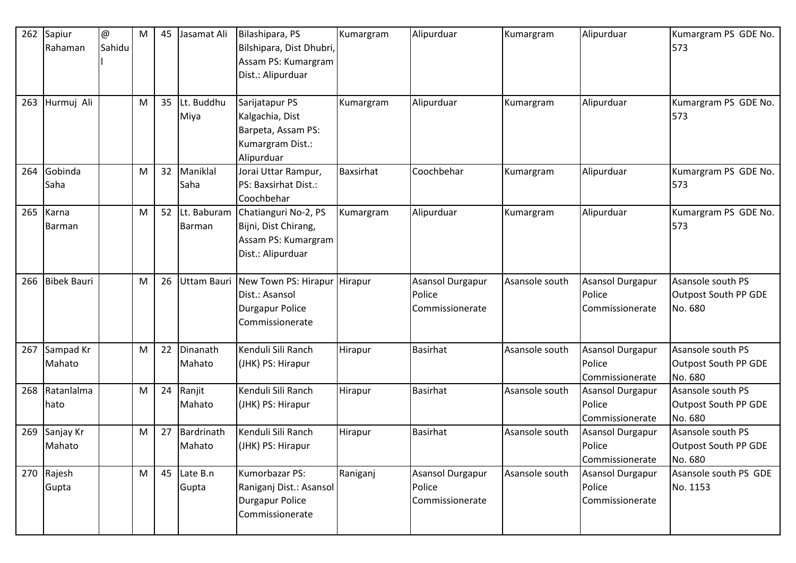| 262 | Sapiur<br>Rahaman   | @<br>Sahidu | M | 45 | Jasamat Ali                  | Bilashipara, PS<br>Bilshipara, Dist Dhubri,<br>Assam PS: Kumargram<br>Dist.: Alipurduar     | Kumargram | Alipurduar                                    | Kumargram      | Alipurduar                                           | Kumargram PS GDE No.<br>573                          |
|-----|---------------------|-------------|---|----|------------------------------|---------------------------------------------------------------------------------------------|-----------|-----------------------------------------------|----------------|------------------------------------------------------|------------------------------------------------------|
| 263 | Hurmuj Ali          |             | M | 35 | Lt. Buddhu<br>Miya           | Sarijatapur PS<br>Kalgachia, Dist<br>Barpeta, Assam PS:<br>Kumargram Dist.:<br>Alipurduar   | Kumargram | Alipurduar                                    | Kumargram      | Alipurduar                                           | Kumargram PS GDE No.<br>573                          |
| 264 | Gobinda<br>Saha     |             | M | 32 | Maniklal<br>Saha             | Jorai Uttar Rampur,<br>PS: Baxsirhat Dist.:<br>Coochbehar                                   | Baxsirhat | Coochbehar                                    | Kumargram      | Alipurduar                                           | Kumargram PS GDE No.<br>573                          |
| 265 | Karna<br>Barman     |             | M | 52 | Lt. Baburam<br>Barman        | Chatianguri No-2, PS<br>Bijni, Dist Chirang,<br>Assam PS: Kumargram<br>Dist.: Alipurduar    | Kumargram | Alipurduar                                    | Kumargram      | Alipurduar                                           | Kumargram PS GDE No.<br>573                          |
| 266 | <b>Bibek Bauri</b>  |             | M | 26 | Uttam Bauri                  | New Town PS: Hirapur Hirapur<br>Dist.: Asansol<br><b>Durgapur Police</b><br>Commissionerate |           | Asansol Durgapur<br>Police<br>Commissionerate | Asansole south | Asansol Durgapur<br>Police<br>Commissionerate        | Asansole south PS<br>Outpost South PP GDE<br>No. 680 |
| 267 | Sampad Kr<br>Mahato |             | M | 22 | Dinanath<br>Mahato           | Kenduli Sili Ranch<br>(JHK) PS: Hirapur                                                     | Hirapur   | <b>Basirhat</b>                               | Asansole south | Asansol Durgapur<br>Police<br>Commissionerate        | Asansole south PS<br>Outpost South PP GDE<br>No. 680 |
| 268 | Ratanlalma<br>hato  |             | M | 24 | Ranjit<br>Mahato             | Kenduli Sili Ranch<br>(JHK) PS: Hirapur                                                     | Hirapur   | <b>Basirhat</b>                               | Asansole south | <b>Asansol Durgapur</b><br>Police<br>Commissionerate | Asansole south PS<br>Outpost South PP GDE<br>No. 680 |
| 269 | Sanjay Kr<br>Mahato |             | M | 27 | Bardrinath<br>Mahato         | Kenduli Sili Ranch<br>(JHK) PS: Hirapur                                                     | Hirapur   | <b>Basirhat</b>                               | Asansole south | Asansol Durgapur<br>Police<br>Commissionerate        | Asansole south PS<br>Outpost South PP GDE<br>No. 680 |
|     | 270 Rajesh<br>Gupta |             | M |    | 45 $\vert$ Late B.n<br>Gupta | Kumorbazar PS:<br>Raniganj Dist.: Asansol<br>Durgapur Police<br>Commissionerate             | Raniganj  | Asansol Durgapur<br>Police<br>Commissionerate | Asansole south | <b>Asansol Durgapur</b><br>Police<br>Commissionerate | Asansole south PS GDE<br>No. 1153                    |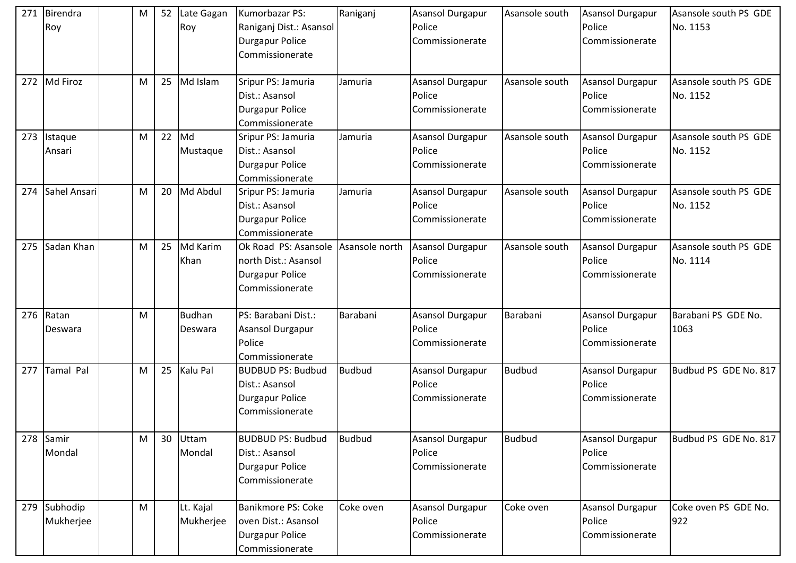| 271 | Birendra<br>Roy       | M |    | 52 Late Gagan<br><b>Roy</b> | Kumorbazar PS:<br>Raniganj Dist.: Asansol<br><b>Durgapur Police</b><br>Commissionerate                   | Raniganj      | <b>Asansol Durgapur</b><br>Police<br>Commissionerate | Asansole south | Asansol Durgapur<br>Police<br>Commissionerate        | Asansole south PS GDE<br>No. 1153 |
|-----|-----------------------|---|----|-----------------------------|----------------------------------------------------------------------------------------------------------|---------------|------------------------------------------------------|----------------|------------------------------------------------------|-----------------------------------|
| 272 | Md Firoz              | M | 25 | Md Islam                    | Sripur PS: Jamuria<br>Dist.: Asansol<br>Durgapur Police<br>Commissionerate                               | Jamuria       | Asansol Durgapur<br>Police<br>Commissionerate        | Asansole south | Asansol Durgapur<br>Police<br>Commissionerate        | Asansole south PS GDE<br>No. 1152 |
| 273 | Istaque<br>Ansari     | M |    | $22$ Md<br>Mustaque         | Sripur PS: Jamuria<br>Dist.: Asansol<br><b>Durgapur Police</b><br>Commissionerate                        | Jamuria       | <b>Asansol Durgapur</b><br>Police<br>Commissionerate | Asansole south | Asansol Durgapur<br>Police<br>Commissionerate        | Asansole south PS GDE<br>No. 1152 |
| 274 | Sahel Ansari          | M |    | 20 Md Abdul                 | Sripur PS: Jamuria<br>Dist.: Asansol<br><b>Durgapur Police</b><br>Commissionerate                        | Jamuria       | Asansol Durgapur<br>Police<br>Commissionerate        | Asansole south | <b>Asansol Durgapur</b><br>Police<br>Commissionerate | Asansole south PS GDE<br>No. 1152 |
| 275 | Sadan Khan            | M | 25 | Md Karim<br>Khan            | Ok Road PS: Asansole Asansole north<br>north Dist.: Asansol<br><b>Durgapur Police</b><br>Commissionerate |               | Asansol Durgapur<br>Police<br>Commissionerate        | Asansole south | Asansol Durgapur<br>Police<br>Commissionerate        | Asansole south PS GDE<br>No. 1114 |
| 276 | Ratan<br>Deswara      | M |    | <b>Budhan</b><br>Deswara    | PS: Barabani Dist.:<br><b>Asansol Durgapur</b><br>Police<br>Commissionerate                              | Barabani      | Asansol Durgapur<br>Police<br>Commissionerate        | Barabani       | <b>Asansol Durgapur</b><br>Police<br>Commissionerate | Barabani PS GDE No.<br>1063       |
| 277 | Tamal Pal             | M | 25 | Kalu Pal                    | <b>BUDBUD PS: Budbud</b><br>Dist.: Asansol<br>Durgapur Police<br>Commissionerate                         | <b>Budbud</b> | <b>Asansol Durgapur</b><br>Police<br>Commissionerate | <b>Budbud</b>  | <b>Asansol Durgapur</b><br>Police<br>Commissionerate | Budbud PS GDE No. 817             |
| 278 | Samir<br>Mondal       | M |    | 30 Uttam<br>Mondal          | <b>BUDBUD PS: Budbud</b><br>Dist.: Asansol<br>Durgapur Police<br>Commissionerate                         | <b>Budbud</b> | Asansol Durgapur<br>Police<br>Commissionerate        | <b>Budbud</b>  | <b>Asansol Durgapur</b><br>Police<br>Commissionerate | Budbud PS GDE No. 817             |
| 279 | Subhodip<br>Mukherjee | M |    | Lt. Kajal<br>Mukherjee      | Banikmore PS: Coke<br>oven Dist.: Asansol<br><b>Durgapur Police</b><br>Commissionerate                   | Coke oven     | Asansol Durgapur<br>Police<br>Commissionerate        | Coke oven      | Asansol Durgapur<br>Police<br>Commissionerate        | Coke oven PS GDE No.<br>922       |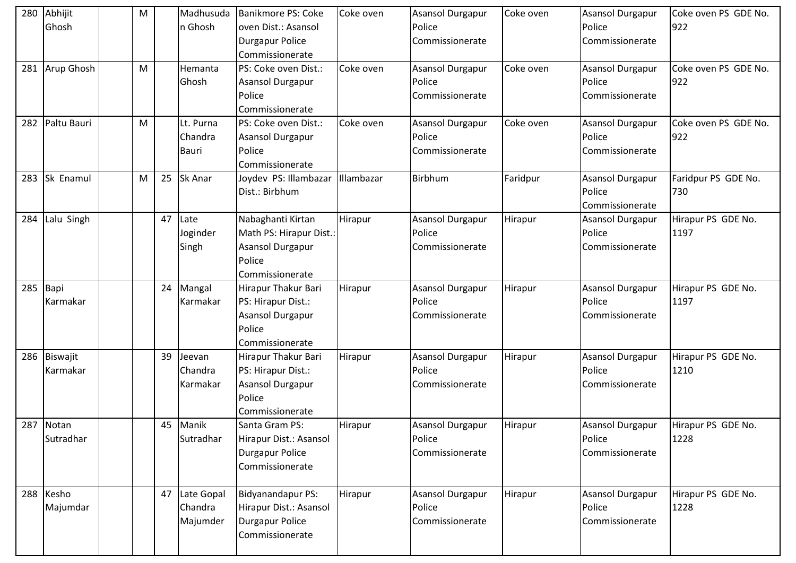| 280 | Abhijit     | M |    | Madhusuda     | Banikmore PS: Coke       | Coke oven  | Asansol Durgapur        | Coke oven | <b>Asansol Durgapur</b> | Coke oven PS GDE No. |
|-----|-------------|---|----|---------------|--------------------------|------------|-------------------------|-----------|-------------------------|----------------------|
|     | Ghosh       |   |    | n Ghosh       | oven Dist.: Asansol      |            | Police                  |           | Police                  | 922                  |
|     |             |   |    |               | <b>Durgapur Police</b>   |            | Commissionerate         |           | Commissionerate         |                      |
|     |             |   |    |               | Commissionerate          |            |                         |           |                         |                      |
| 281 | Arup Ghosh  | M |    | Hemanta       | PS: Coke oven Dist.:     | Coke oven  | Asansol Durgapur        | Coke oven | <b>Asansol Durgapur</b> | Coke oven PS GDE No. |
|     |             |   |    | Ghosh         | Asansol Durgapur         |            | Police                  |           | Police                  | 922                  |
|     |             |   |    |               | Police                   |            | Commissionerate         |           | Commissionerate         |                      |
|     |             |   |    |               | Commissionerate          |            |                         |           |                         |                      |
| 282 | Paltu Bauri | M |    | Lt. Purna     | PS: Coke oven Dist.:     | Coke oven  | Asansol Durgapur        | Coke oven | <b>Asansol Durgapur</b> | Coke oven PS GDE No. |
|     |             |   |    | Chandra       | Asansol Durgapur         |            | Police                  |           | Police                  | 922                  |
|     |             |   |    | <b>Bauri</b>  | Police                   |            | Commissionerate         |           | Commissionerate         |                      |
|     |             |   |    |               | Commissionerate          |            |                         |           |                         |                      |
| 283 | Sk Enamul   | M | 25 | Sk Anar       | Joydev PS: Illambazar    | Illambazar | <b>Birbhum</b>          | Faridpur  | <b>Asansol Durgapur</b> | Faridpur PS GDE No.  |
|     |             |   |    |               | Dist.: Birbhum           |            |                         |           | Police                  | 730                  |
|     |             |   |    |               |                          |            |                         |           | Commissionerate         |                      |
| 284 | Lalu Singh  |   |    | 47 Late       | Nabaghanti Kirtan        | Hirapur    | <b>Asansol Durgapur</b> | Hirapur   | <b>Asansol Durgapur</b> | Hirapur PS GDE No.   |
|     |             |   |    | Joginder      | Math PS: Hirapur Dist.:  |            | Police                  |           | Police                  | 1197                 |
|     |             |   |    | Singh         | <b>Asansol Durgapur</b>  |            | Commissionerate         |           | Commissionerate         |                      |
|     |             |   |    |               | Police                   |            |                         |           |                         |                      |
|     |             |   |    |               | Commissionerate          |            |                         |           |                         |                      |
| 285 | Bapi        |   |    | 24 Mangal     | Hirapur Thakur Bari      | Hirapur    | Asansol Durgapur        | Hirapur   | <b>Asansol Durgapur</b> | Hirapur PS GDE No.   |
|     | Karmakar    |   |    | Karmakar      | PS: Hirapur Dist.:       |            | Police                  |           | Police                  | 1197                 |
|     |             |   |    |               | <b>Asansol Durgapur</b>  |            | Commissionerate         |           | Commissionerate         |                      |
|     |             |   |    |               | Police                   |            |                         |           |                         |                      |
|     |             |   |    |               | Commissionerate          |            |                         |           |                         |                      |
| 286 | Biswajit    |   | 39 | Jeevan        | Hirapur Thakur Bari      | Hirapur    | Asansol Durgapur        | Hirapur   | <b>Asansol Durgapur</b> | Hirapur PS GDE No.   |
|     | Karmakar    |   |    | Chandra       | PS: Hirapur Dist.:       |            | Police                  |           | Police                  | 1210                 |
|     |             |   |    | Karmakar      | Asansol Durgapur         |            | Commissionerate         |           | Commissionerate         |                      |
|     |             |   |    |               | Police                   |            |                         |           |                         |                      |
|     |             |   |    |               | Commissionerate          |            |                         |           |                         |                      |
| 287 | Notan       |   |    | 45 Manik      | Santa Gram PS:           | Hirapur    | Asansol Durgapur        | Hirapur   | <b>Asansol Durgapur</b> | Hirapur PS GDE No.   |
|     | Sutradhar   |   |    | Sutradhar     | Hirapur Dist.: Asansol   |            | Police                  |           | Police                  | 1228                 |
|     |             |   |    |               | <b>Durgapur Police</b>   |            | Commissionerate         |           | Commissionerate         |                      |
|     |             |   |    |               | Commissionerate          |            |                         |           |                         |                      |
|     | 288 Kesho   |   |    | 47 Late Gopal | <b>Bidyanandapur PS:</b> | Hirapur    | Asansol Durgapur        | Hirapur   | <b>Asansol Durgapur</b> | Hirapur PS GDE No.   |
|     | Majumdar    |   |    | Chandra       | Hirapur Dist.: Asansol   |            | Police                  |           | Police                  | 1228                 |
|     |             |   |    | Majumder      | Durgapur Police          |            | Commissionerate         |           | Commissionerate         |                      |
|     |             |   |    |               | Commissionerate          |            |                         |           |                         |                      |
|     |             |   |    |               |                          |            |                         |           |                         |                      |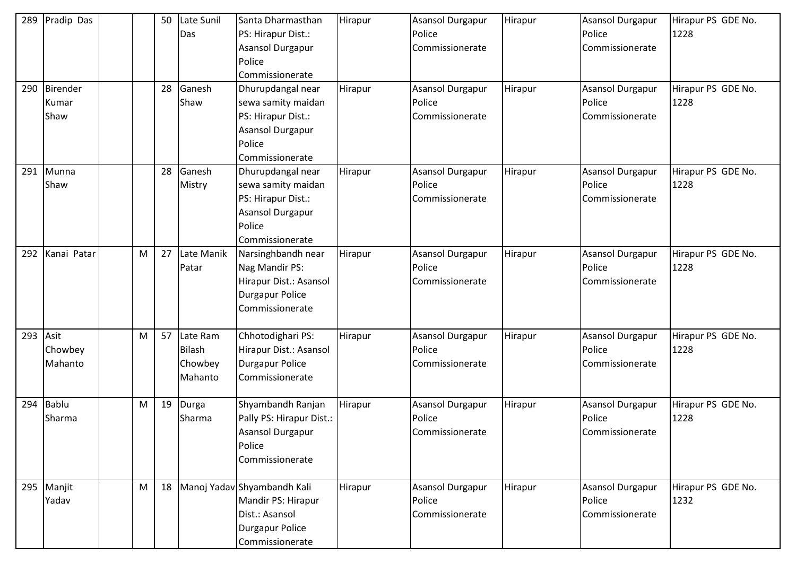| 289 | Pradip Das                 |   | 50 | Late Sunil<br>Das                        | Santa Dharmasthan<br>PS: Hirapur Dist.:<br>Asansol Durgapur<br>Police<br>Commissionerate                              | Hirapur | Asansol Durgapur<br>Police<br>Commissionerate        | Hirapur | <b>Asansol Durgapur</b><br>Police<br>Commissionerate | Hirapur PS GDE No.<br>1228 |
|-----|----------------------------|---|----|------------------------------------------|-----------------------------------------------------------------------------------------------------------------------|---------|------------------------------------------------------|---------|------------------------------------------------------|----------------------------|
| 290 | Birender<br>Kumar<br>Shaw  |   | 28 | Ganesh<br>Shaw                           | Dhurupdangal near<br>sewa samity maidan<br>PS: Hirapur Dist.:<br>Asansol Durgapur<br>Police<br>Commissionerate        | Hirapur | <b>Asansol Durgapur</b><br>Police<br>Commissionerate | Hirapur | Asansol Durgapur<br>Police<br>Commissionerate        | Hirapur PS GDE No.<br>1228 |
| 291 | Munna<br>Shaw              |   | 28 | Ganesh<br>Mistry                         | Dhurupdangal near<br>sewa samity maidan<br>PS: Hirapur Dist.:<br><b>Asansol Durgapur</b><br>Police<br>Commissionerate | Hirapur | Asansol Durgapur<br>Police<br>Commissionerate        | Hirapur | <b>Asansol Durgapur</b><br>Police<br>Commissionerate | Hirapur PS GDE No.<br>1228 |
| 292 | Kanai Patar                | M | 27 | Late Manik<br>Patar                      | Narsinghbandh near<br>Nag Mandir PS:<br>Hirapur Dist.: Asansol<br><b>Durgapur Police</b><br>Commissionerate           | Hirapur | <b>Asansol Durgapur</b><br>Police<br>Commissionerate | Hirapur | <b>Asansol Durgapur</b><br>Police<br>Commissionerate | Hirapur PS GDE No.<br>1228 |
| 293 | Asit<br>Chowbey<br>Mahanto | М | 57 | Late Ram<br>Bilash<br>Chowbey<br>Mahanto | Chhotodighari PS:<br>Hirapur Dist.: Asansol<br><b>Durgapur Police</b><br>Commissionerate                              | Hirapur | Asansol Durgapur<br>Police<br>Commissionerate        | Hirapur | <b>Asansol Durgapur</b><br>Police<br>Commissionerate | Hirapur PS GDE No.<br>1228 |
| 294 | Bablu<br>Sharma            | M | 19 | Durga<br>Sharma                          | Shyambandh Ranjan<br>Pally PS: Hirapur Dist.:<br><b>Asansol Durgapur</b><br>Police<br>Commissionerate                 | Hirapur | Asansol Durgapur<br>Police<br>Commissionerate        | Hirapur | Asansol Durgapur<br>Police<br>Commissionerate        | Hirapur PS GDE No.<br>1228 |
| 295 | Manjit<br>Yadav            | M |    |                                          | 18 Manoj Yadav Shyambandh Kali<br>Mandir PS: Hirapur<br>Dist.: Asansol<br>Durgapur Police<br>Commissionerate          | Hirapur | Asansol Durgapur<br>Police<br>Commissionerate        | Hirapur | <b>Asansol Durgapur</b><br>Police<br>Commissionerate | Hirapur PS GDE No.<br>1232 |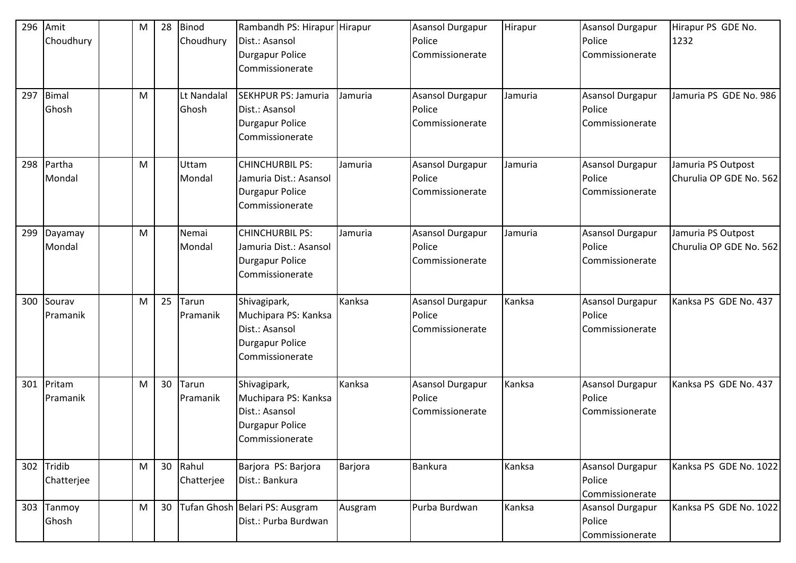| 296<br>297 | Amit<br>Choudhury<br><b>Bimal</b> | M<br>M | 28 | Binod<br>Choudhury<br>Lt Nandalal | Rambandh PS: Hirapur Hirapur<br>Dist.: Asansol<br><b>Durgapur Police</b><br>Commissionerate<br><b>SEKHPUR PS: Jamuria</b> | Jamuria | Asansol Durgapur<br>Police<br>Commissionerate<br>Asansol Durgapur | Hirapur<br>Jamuria | Asansol Durgapur<br>Police<br>Commissionerate<br>Asansol Durgapur | Hirapur PS GDE No.<br>1232<br>Jamuria PS GDE No. 986 |
|------------|-----------------------------------|--------|----|-----------------------------------|---------------------------------------------------------------------------------------------------------------------------|---------|-------------------------------------------------------------------|--------------------|-------------------------------------------------------------------|------------------------------------------------------|
|            | Ghosh                             |        |    | Ghosh                             | Dist.: Asansol<br>Durgapur Police<br>Commissionerate                                                                      |         | Police<br>Commissionerate                                         |                    | Police<br>Commissionerate                                         |                                                      |
| 298        | Partha<br>Mondal                  | M      |    | Uttam<br>Mondal                   | <b>CHINCHURBIL PS:</b><br>Jamuria Dist.: Asansol<br><b>Durgapur Police</b><br>Commissionerate                             | Jamuria | Asansol Durgapur<br>Police<br>Commissionerate                     | Jamuria            | <b>Asansol Durgapur</b><br>Police<br>Commissionerate              | Jamuria PS Outpost<br>Churulia OP GDE No. 562        |
| 299        | Dayamay<br>Mondal                 | M      |    | Nemai<br>Mondal                   | <b>CHINCHURBIL PS:</b><br>Jamuria Dist.: Asansol<br><b>Durgapur Police</b><br>Commissionerate                             | Jamuria | Asansol Durgapur<br>Police<br>Commissionerate                     | Jamuria            | <b>Asansol Durgapur</b><br>Police<br>Commissionerate              | Jamuria PS Outpost<br>Churulia OP GDE No. 562        |
| 300        | Sourav<br>Pramanik                | M      | 25 | Tarun<br>Pramanik                 | Shivagipark,<br>Muchipara PS: Kanksa<br>Dist.: Asansol<br>Durgapur Police<br>Commissionerate                              | Kanksa  | Asansol Durgapur<br>Police<br>Commissionerate                     | Kanksa             | <b>Asansol Durgapur</b><br>Police<br>Commissionerate              | Kanksa PS GDE No. 437                                |
| 301        | Pritam<br>Pramanik                | M      | 30 | Tarun<br>Pramanik                 | Shivagipark,<br>Muchipara PS: Kanksa<br>Dist.: Asansol<br><b>Durgapur Police</b><br>Commissionerate                       | Kanksa  | Asansol Durgapur<br>Police<br>Commissionerate                     | Kanksa             | <b>Asansol Durgapur</b><br>Police<br>Commissionerate              | Kanksa PS GDE No. 437                                |
|            | 302 Tridib<br>Chatterjee          | M      | 30 | Rahul<br>Chatterjee               | Barjora PS: Barjora<br>Dist.: Bankura                                                                                     | Barjora | Bankura                                                           | Kanksa             | <b>Asansol Durgapur</b><br>Police<br>Commissionerate              | Kanksa PS GDE No. 1022                               |
| 303        | Tanmoy<br>Ghosh                   | M      | 30 |                                   | Tufan Ghosh Belari PS: Ausgram<br>Dist.: Purba Burdwan                                                                    | Ausgram | Purba Burdwan                                                     | Kanksa             | <b>Asansol Durgapur</b><br>Police<br>Commissionerate              | Kanksa PS GDE No. 1022                               |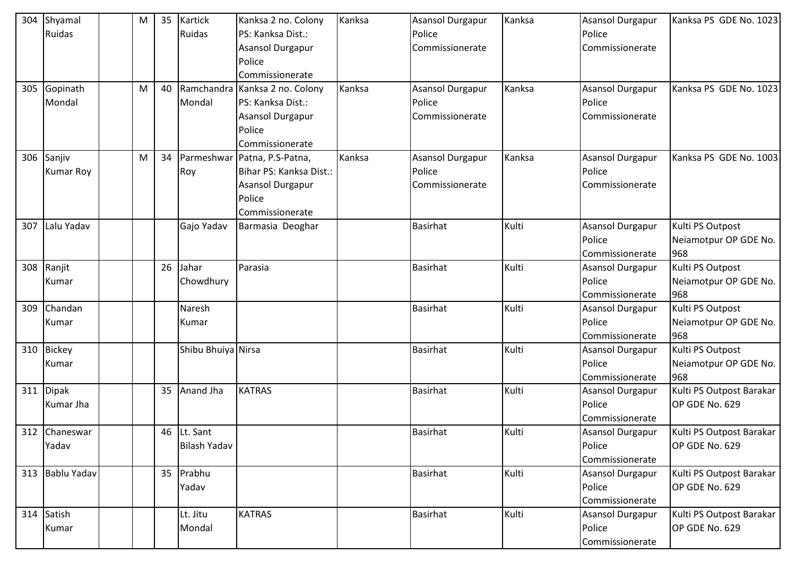| 304 | Shyamal          | M | 35 | <b>Kartick</b>      | Kanksa 2 no. Colony            | Kanksa | <b>Asansol Durgapur</b> | Kanksa | <b>Asansol Durgapur</b> | Kanksa PS GDE No. 1023   |
|-----|------------------|---|----|---------------------|--------------------------------|--------|-------------------------|--------|-------------------------|--------------------------|
|     | <b>Ruidas</b>    |   |    | Ruidas              | PS: Kanksa Dist.:              |        | Police                  |        | Police                  |                          |
|     |                  |   |    |                     | Asansol Durgapur               |        | Commissionerate         |        | Commissionerate         |                          |
|     |                  |   |    |                     | Police                         |        |                         |        |                         |                          |
|     |                  |   |    |                     | Commissionerate                |        |                         |        |                         |                          |
| 305 | Gopinath         | M | 40 |                     | Ramchandra Kanksa 2 no. Colony | Kanksa | <b>Asansol Durgapur</b> | Kanksa | <b>Asansol Durgapur</b> | Kanksa PS GDE No. 1023   |
|     | Mondal           |   |    | Mondal              | PS: Kanksa Dist.:              |        | Police                  |        | Police                  |                          |
|     |                  |   |    |                     | Asansol Durgapur               |        | Commissionerate         |        | Commissionerate         |                          |
|     |                  |   |    |                     | Police                         |        |                         |        |                         |                          |
|     |                  |   |    |                     | Commissionerate                |        |                         |        |                         |                          |
| 306 | Sanjiv           | M | 34 | Parmeshwar          | Patna, P.S-Patna,              | Kanksa | <b>Asansol Durgapur</b> | Kanksa | <b>Asansol Durgapur</b> | Kanksa PS GDE No. 1003   |
|     | <b>Kumar Roy</b> |   |    | Roy                 | Bihar PS: Kanksa Dist.:        |        | Police                  |        | Police                  |                          |
|     |                  |   |    |                     | Asansol Durgapur               |        | Commissionerate         |        | Commissionerate         |                          |
|     |                  |   |    |                     | Police                         |        |                         |        |                         |                          |
|     |                  |   |    |                     | Commissionerate                |        |                         |        |                         |                          |
| 307 | Lalu Yadav       |   |    | Gajo Yadav          | Barmasia Deoghar               |        | <b>Basirhat</b>         | Kulti  | <b>Asansol Durgapur</b> | Kulti PS Outpost         |
|     |                  |   |    |                     |                                |        |                         |        | Police                  | Neiamotpur OP GDE No.    |
|     |                  |   |    |                     |                                |        |                         |        | Commissionerate         | 968                      |
| 308 | Ranjit           |   | 26 | Jahar               | Parasia                        |        | <b>Basirhat</b>         | Kulti  | <b>Asansol Durgapur</b> | Kulti PS Outpost         |
|     | Kumar            |   |    | Chowdhury           |                                |        |                         |        | Police                  | Neiamotpur OP GDE No.    |
|     |                  |   |    |                     |                                |        |                         |        | Commissionerate         | 968                      |
| 309 | Chandan          |   |    | Naresh              |                                |        | <b>Basirhat</b>         | Kulti  | <b>Asansol Durgapur</b> | Kulti PS Outpost         |
|     | Kumar            |   |    | Kumar               |                                |        |                         |        | Police                  | Neiamotpur OP GDE No.    |
|     |                  |   |    |                     |                                |        |                         |        | Commissionerate         | 968                      |
| 310 | <b>Bickey</b>    |   |    | Shibu Bhuiya Nirsa  |                                |        | <b>Basirhat</b>         | Kulti  | <b>Asansol Durgapur</b> | Kulti PS Outpost         |
|     | Kumar            |   |    |                     |                                |        |                         |        | Police                  | Neiamotpur OP GDE No.    |
|     |                  |   |    |                     |                                |        |                         |        | Commissionerate         | 968                      |
| 311 | <b>Dipak</b>     |   | 35 | Anand Jha           | <b>KATRAS</b>                  |        | Basirhat                | Kulti  | <b>Asansol Durgapur</b> | Kulti PS Outpost Barakar |
|     | Kumar Jha        |   |    |                     |                                |        |                         |        | Police                  | OP GDE No. 629           |
|     |                  |   |    |                     |                                |        |                         |        | Commissionerate         |                          |
|     | 312 Chaneswar    |   |    | 46 Lt. Sant         |                                |        | <b>Basirhat</b>         | Kulti  | <b>Asansol Durgapur</b> | Kulti PS Outpost Barakar |
|     | Yadav            |   |    | <b>Bilash Yadav</b> |                                |        |                         |        | Police                  | OP GDE No. 629           |
|     |                  |   |    |                     |                                |        |                         |        | Commissionerate         |                          |
|     | 313 Bablu Yadav  |   |    | 35 Prabhu           |                                |        | <b>Basirhat</b>         | Kulti  | Asansol Durgapur        | Kulti PS Outpost Barakar |
|     |                  |   |    | Yadav               |                                |        |                         |        | Police                  | OP GDE No. 629           |
|     |                  |   |    |                     |                                |        |                         |        | Commissionerate         |                          |
|     | 314 Satish       |   |    | Lt. Jitu            | <b>KATRAS</b>                  |        | <b>Basirhat</b>         | Kulti  | <b>Asansol Durgapur</b> | Kulti PS Outpost Barakar |
|     | Kumar            |   |    | Mondal              |                                |        |                         |        | Police                  | OP GDE No. 629           |
|     |                  |   |    |                     |                                |        |                         |        | Commissionerate         |                          |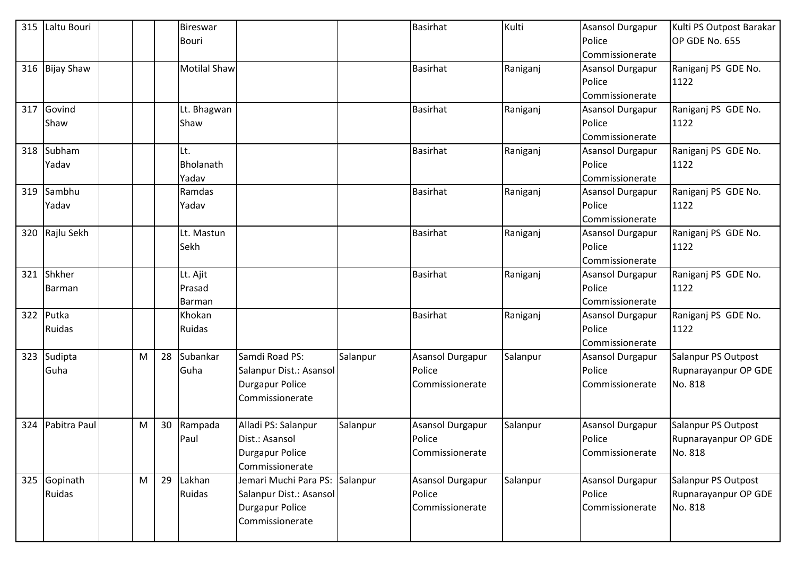| 315 | Laltu Bouri       |           |    | Bireswar            |                         |          | <b>Basirhat</b>  | Kulti    | <b>Asansol Durgapur</b> | Kulti PS Outpost Barakar |
|-----|-------------------|-----------|----|---------------------|-------------------------|----------|------------------|----------|-------------------------|--------------------------|
|     |                   |           |    | <b>Bouri</b>        |                         |          |                  |          | Police                  | OP GDE No. 655           |
|     |                   |           |    |                     |                         |          |                  |          | Commissionerate         |                          |
| 316 | <b>Bijay Shaw</b> |           |    | <b>Motilal Shaw</b> |                         |          | <b>Basirhat</b>  | Raniganj | <b>Asansol Durgapur</b> | Raniganj PS GDE No.      |
|     |                   |           |    |                     |                         |          |                  |          | Police                  | 1122                     |
|     |                   |           |    |                     |                         |          |                  |          | Commissionerate         |                          |
| 317 | Govind            |           |    | Lt. Bhagwan         |                         |          | <b>Basirhat</b>  | Raniganj | Asansol Durgapur        | Raniganj PS GDE No.      |
|     | Shaw              |           |    | Shaw                |                         |          |                  |          | Police                  | 1122                     |
|     |                   |           |    |                     |                         |          |                  |          | Commissionerate         |                          |
| 318 | Subham            |           |    | Lt.                 |                         |          | <b>Basirhat</b>  | Raniganj | <b>Asansol Durgapur</b> | Raniganj PS GDE No.      |
|     | Yadav             |           |    | Bholanath           |                         |          |                  |          | Police                  | 1122                     |
|     |                   |           |    | Yadav               |                         |          |                  |          | Commissionerate         |                          |
| 319 | Sambhu            |           |    | Ramdas              |                         |          | <b>Basirhat</b>  | Raniganj | <b>Asansol Durgapur</b> | Raniganj PS GDE No.      |
|     | Yadav             |           |    | Yadav               |                         |          |                  |          | Police                  | 1122                     |
|     |                   |           |    |                     |                         |          |                  |          | Commissionerate         |                          |
| 320 | Rajlu Sekh        |           |    | Lt. Mastun          |                         |          | <b>Basirhat</b>  | Raniganj | <b>Asansol Durgapur</b> | Raniganj PS GDE No.      |
|     |                   |           |    | Sekh                |                         |          |                  |          | Police                  | 1122                     |
|     |                   |           |    |                     |                         |          |                  |          | Commissionerate         |                          |
| 321 | Shkher            |           |    | Lt. Ajit            |                         |          | <b>Basirhat</b>  | Raniganj | <b>Asansol Durgapur</b> | Raniganj PS GDE No.      |
|     | Barman            |           |    | Prasad              |                         |          |                  |          | Police                  | 1122                     |
|     |                   |           |    | Barman              |                         |          |                  |          | Commissionerate         |                          |
| 322 | Putka             |           |    | Khokan              |                         |          | <b>Basirhat</b>  | Raniganj | <b>Asansol Durgapur</b> | Raniganj PS GDE No.      |
|     | Ruidas            |           |    | Ruidas              |                         |          |                  |          | Police                  | 1122                     |
|     |                   |           |    |                     |                         |          |                  |          | Commissionerate         |                          |
| 323 | Sudipta           | M         | 28 | Subankar            | Samdi Road PS:          | Salanpur | Asansol Durgapur | Salanpur | <b>Asansol Durgapur</b> | Salanpur PS Outpost      |
|     | Guha              |           |    | Guha                | Salanpur Dist.: Asansol |          | Police           |          | Police                  | Rupnarayanpur OP GDE     |
|     |                   |           |    |                     | <b>Durgapur Police</b>  |          | Commissionerate  |          | Commissionerate         | No. 818                  |
|     |                   |           |    |                     | Commissionerate         |          |                  |          |                         |                          |
|     |                   |           |    |                     |                         |          |                  |          |                         |                          |
| 324 | Pabitra Paul      | ${\sf M}$ | 30 | Rampada             | Alladi PS: Salanpur     | Salanpur | Asansol Durgapur | Salanpur | <b>Asansol Durgapur</b> | Salanpur PS Outpost      |
|     |                   |           |    | Paul                | Dist.: Asansol          |          | Police           |          | Police                  | Rupnarayanpur OP GDE     |
|     |                   |           |    |                     | <b>Durgapur Police</b>  |          | Commissionerate  |          | Commissionerate         | No. 818                  |
|     |                   |           |    |                     | Commissionerate         |          |                  |          |                         |                          |
| 325 | Gopinath          | M         | 29 | Lakhan              | Jemari Muchi Para PS:   | Salanpur | Asansol Durgapur | Salanpur | <b>Asansol Durgapur</b> | Salanpur PS Outpost      |
|     | Ruidas            |           |    | Ruidas              | Salanpur Dist.: Asansol |          | Police           |          | Police                  | Rupnarayanpur OP GDE     |
|     |                   |           |    |                     | <b>Durgapur Police</b>  |          | Commissionerate  |          | Commissionerate         | No. 818                  |
|     |                   |           |    |                     | Commissionerate         |          |                  |          |                         |                          |
|     |                   |           |    |                     |                         |          |                  |          |                         |                          |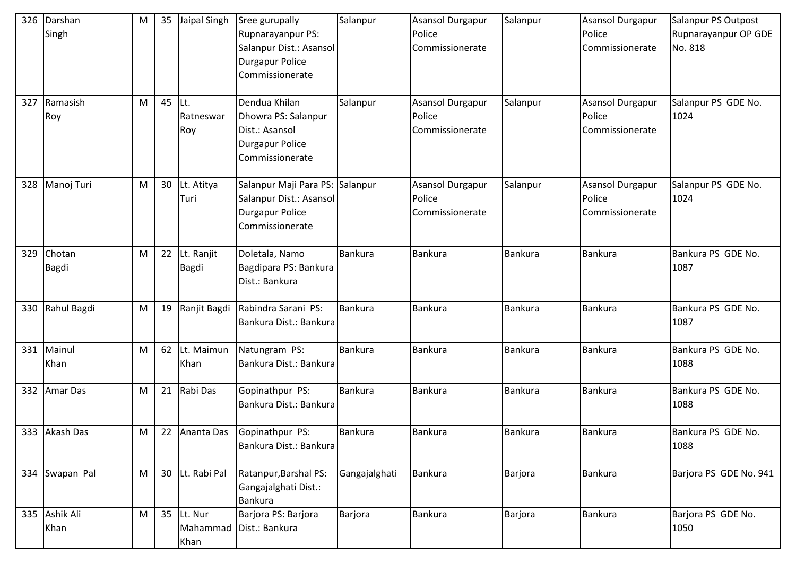| 326 | Darshan<br>Singh       | M         | 35 | Jaipal Singh               | Sree gurupally<br>Rupnarayanpur PS:<br>Salanpur Dist.: Asansol<br><b>Durgapur Police</b><br>Commissionerate | Salanpur       | <b>Asansol Durgapur</b><br>Police<br>Commissionerate | Salanpur       | <b>Asansol Durgapur</b><br>Police<br>Commissionerate | Salanpur PS Outpost<br>Rupnarayanpur OP GDE<br>No. 818 |
|-----|------------------------|-----------|----|----------------------------|-------------------------------------------------------------------------------------------------------------|----------------|------------------------------------------------------|----------------|------------------------------------------------------|--------------------------------------------------------|
| 327 | Ramasish<br>Roy        | M         | 45 | ILt.<br>Ratneswar<br>Roy   | Dendua Khilan<br>Dhowra PS: Salanpur<br>Dist.: Asansol<br><b>Durgapur Police</b><br>Commissionerate         | Salanpur       | Asansol Durgapur<br>Police<br>Commissionerate        | Salanpur       | <b>Asansol Durgapur</b><br>Police<br>Commissionerate | Salanpur PS GDE No.<br>1024                            |
| 328 | Manoj Turi             | M         | 30 | Lt. Atitya<br>Turi         | Salanpur Maji Para PS: Salanpur<br>Salanpur Dist.: Asansol<br><b>Durgapur Police</b><br>Commissionerate     |                | Asansol Durgapur<br>Police<br>Commissionerate        | Salanpur       | <b>Asansol Durgapur</b><br>Police<br>Commissionerate | Salanpur PS GDE No.<br>1024                            |
| 329 | Chotan<br><b>Bagdi</b> | M         | 22 | Lt. Ranjit<br><b>Bagdi</b> | Doletala, Namo<br>Bagdipara PS: Bankura<br>Dist.: Bankura                                                   | <b>Bankura</b> | Bankura                                              | <b>Bankura</b> | Bankura                                              | Bankura PS GDE No.<br>1087                             |
| 330 | Rahul Bagdi            | M         | 19 | Ranjit Bagdi               | Rabindra Sarani PS:<br>Bankura Dist.: Bankura                                                               | Bankura        | <b>Bankura</b>                                       | Bankura        | Bankura                                              | Bankura PS GDE No.<br>1087                             |
| 331 | Mainul<br>Khan         | M         | 62 | Lt. Maimun<br>Khan         | Natungram PS:<br>Bankura Dist.: Bankura                                                                     | Bankura        | <b>Bankura</b>                                       | <b>Bankura</b> | Bankura                                              | Bankura PS GDE No.<br>1088                             |
| 332 | <b>Amar Das</b>        | M         |    | 21 Rabi Das                | Gopinathpur PS:<br>Bankura Dist.: Bankura                                                                   | Bankura        | Bankura                                              | Bankura        | Bankura                                              | Bankura PS GDE No.<br>1088                             |
|     | 333 Akash Das          | M         |    | 22 Ananta Das              | Gopinathpur PS:<br>Bankura Dist.: Bankura                                                                   | Bankura        | <b>Bankura</b>                                       | <b>Bankura</b> | Bankura                                              | Bankura PS GDE No.<br>1088                             |
|     | 334 Swapan Pal         | M         | 30 | Lt. Rabi Pal               | Ratanpur, Barshal PS:<br>Gangajalghati Dist.:<br>Bankura                                                    | Gangajalghati  | <b>Bankura</b>                                       | Barjora        | <b>Bankura</b>                                       | Barjora PS GDE No. 941                                 |
| 335 | Ashik Ali<br>Khan      | ${\sf M}$ | 35 | Lt. Nur<br>Khan            | Barjora PS: Barjora<br>Mahammad Dist.: Bankura                                                              | Barjora        | Bankura                                              | Barjora        | Bankura                                              | Barjora PS GDE No.<br>1050                             |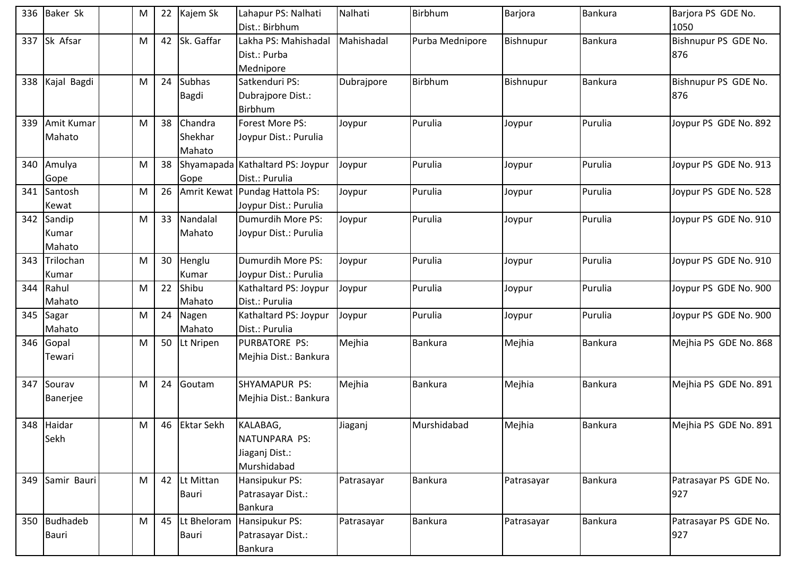| 336 | <b>Baker Sk</b>           | M         | 22 | Kajem Sk                     | Lahapur PS: Nalhati<br>Dist.: Birbhum                      | Nalhati    | Birbhum         | Barjora    | Bankura        | Barjora PS GDE No.<br>1050   |
|-----|---------------------------|-----------|----|------------------------------|------------------------------------------------------------|------------|-----------------|------------|----------------|------------------------------|
| 337 | Sk Afsar                  | M         | 42 | Sk. Gaffar                   | Lakha PS: Mahishadal<br>Dist.: Purba<br>Mednipore          | Mahishadal | Purba Mednipore | Bishnupur  | <b>Bankura</b> | Bishnupur PS GDE No.<br>876  |
| 338 | Kajal Bagdi               | M         | 24 | <b>Subhas</b><br>Bagdi       | Satkenduri PS:<br>Dubrajpore Dist.:<br>Birbhum             | Dubrajpore | Birbhum         | Bishnupur  | Bankura        | Bishnupur PS GDE No.<br>876  |
| 339 | Amit Kumar<br>Mahato      | M         | 38 | Chandra<br>Shekhar<br>Mahato | Forest More PS:<br>Joypur Dist.: Purulia                   | Joypur     | Purulia         | Joypur     | Purulia        | Joypur PS GDE No. 892        |
| 340 | Amulya<br>Gope            | M         | 38 | Gope                         | Shyamapada Kathaltard PS: Joypur<br>Dist.: Purulia         | Joypur     | Purulia         | Joypur     | Purulia        | Joypur PS GDE No. 913        |
| 341 | Santosh<br>Kewat          | M         | 26 |                              | Amrit Kewat   Pundag Hattola PS:<br>Joypur Dist.: Purulia  | Joypur     | Purulia         | Joypur     | Purulia        | Joypur PS GDE No. 528        |
| 342 | Sandip<br>Kumar<br>Mahato | M         | 33 | Nandalal<br>Mahato           | Dumurdih More PS:<br>Joypur Dist.: Purulia                 | Joypur     | Purulia         | Joypur     | Purulia        | Joypur PS GDE No. 910        |
| 343 | Trilochan<br>Kumar        | M         | 30 | Henglu<br>Kumar              | Dumurdih More PS:<br>Joypur Dist.: Purulia                 | Joypur     | Purulia         | Joypur     | Purulia        | Joypur PS GDE No. 910        |
| 344 | Rahul<br>Mahato           | M         | 22 | Shibu<br>Mahato              | Kathaltard PS: Joypur<br>Dist.: Purulia                    | Joypur     | Purulia         | Joypur     | Purulia        | Joypur PS GDE No. 900        |
| 345 | Sagar<br>Mahato           | M         | 24 | Nagen<br>Mahato              | Kathaltard PS: Joypur<br>Dist.: Purulia                    | Joypur     | Purulia         | Joypur     | Purulia        | Joypur PS GDE No. 900        |
| 346 | Gopal<br>Tewari           | M         | 50 | Lt Nripen                    | PURBATORE PS:<br>Mejhia Dist.: Bankura                     | Mejhia     | Bankura         | Mejhia     | Bankura        | Mejhia PS GDE No. 868        |
| 347 | Sourav<br>Banerjee        | M         | 24 | Goutam                       | SHYAMAPUR PS:<br>Mejhia Dist.: Bankura                     | Mejhia     | <b>Bankura</b>  | Mejhia     | <b>Bankura</b> | Mejhia PS GDE No. 891        |
|     | 348 Haidar<br>Sekh        | ${\sf M}$ | 46 | <b>Ektar Sekh</b>            | KALABAG,<br>NATUNPARA PS:<br>Jiaganj Dist.:<br>Murshidabad | Jiaganj    | Murshidabad     | Mejhia     | <b>Bankura</b> | Mejhia PS GDE No. 891        |
| 349 | Samir Bauri               | M         | 42 | Lt Mittan<br>Bauri           | Hansipukur PS:<br>Patrasayar Dist.:<br><b>Bankura</b>      | Patrasayar | Bankura         | Patrasayar | <b>Bankura</b> | Patrasayar PS GDE No.<br>927 |
| 350 | <b>Budhadeb</b><br>Bauri  | M         | 45 | Lt Bheloram<br>Bauri         | Hansipukur PS:<br>Patrasayar Dist.:<br>Bankura             | Patrasayar | <b>Bankura</b>  | Patrasayar | <b>Bankura</b> | Patrasayar PS GDE No.<br>927 |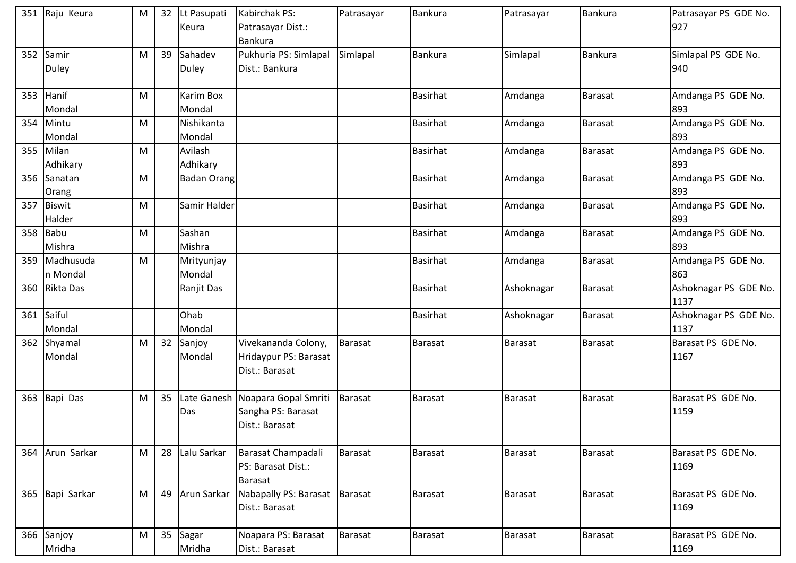|     | 351 Raju Keura          | M |    | 32 Lt Pasupati<br>Keura | Kabirchak PS:<br>Patrasayar Dist.:<br><b>Bankura</b>                     | Patrasayar     | <b>Bankura</b>  | Patrasayar     | Bankura        | Patrasayar PS GDE No.<br>927  |
|-----|-------------------------|---|----|-------------------------|--------------------------------------------------------------------------|----------------|-----------------|----------------|----------------|-------------------------------|
| 352 | Samir<br><b>Duley</b>   | M | 39 | Sahadev<br><b>Duley</b> | Pukhuria PS: Simlapal<br>Dist.: Bankura                                  | Simlapal       | Bankura         | Simlapal       | <b>Bankura</b> | Simlapal PS GDE No.<br>940    |
|     | 353 Hanif<br>Mondal     | M |    | Karim Box<br>Mondal     |                                                                          |                | <b>Basirhat</b> | Amdanga        | <b>Barasat</b> | Amdanga PS GDE No.<br>893     |
| 354 | Mintu<br>Mondal         | M |    | Nishikanta<br>Mondal    |                                                                          |                | <b>Basirhat</b> | Amdanga        | <b>Barasat</b> | Amdanga PS GDE No.<br>893     |
| 355 | Milan<br>Adhikary       | M |    | Avilash<br>Adhikary     |                                                                          |                | <b>Basirhat</b> | Amdanga        | Barasat        | Amdanga PS GDE No.<br>893     |
| 356 | Sanatan<br>Orang        | M |    | <b>Badan Orang</b>      |                                                                          |                | <b>Basirhat</b> | Amdanga        | <b>Barasat</b> | Amdanga PS GDE No.<br>893     |
| 357 | <b>Biswit</b><br>Halder | M |    | Samir Halder            |                                                                          |                | <b>Basirhat</b> | Amdanga        | <b>Barasat</b> | Amdanga PS GDE No.<br>893     |
|     | 358 Babu<br>Mishra      | M |    | Sashan<br>Mishra        |                                                                          |                | <b>Basirhat</b> | Amdanga        | Barasat        | Amdanga PS GDE No.<br>893     |
| 359 | Madhusuda<br>n Mondal   | M |    | Mrityunjay<br>Mondal    |                                                                          |                | <b>Basirhat</b> | Amdanga        | <b>Barasat</b> | Amdanga PS GDE No.<br>863     |
| 360 | Rikta Das               |   |    | Ranjit Das              |                                                                          |                | <b>Basirhat</b> | Ashoknagar     | Barasat        | Ashoknagar PS GDE No.<br>1137 |
| 361 | Saiful<br>Mondal        |   |    | Ohab<br>Mondal          |                                                                          |                | <b>Basirhat</b> | Ashoknagar     | <b>Barasat</b> | Ashoknagar PS GDE No.<br>1137 |
| 362 | Shyamal<br>Mondal       | M | 32 | Sanjoy<br>Mondal        | Vivekananda Colony,<br>Hridaypur PS: Barasat<br>Dist.: Barasat           | <b>Barasat</b> | Barasat         | Barasat        | <b>Barasat</b> | Barasat PS GDE No.<br>1167    |
|     | 363 Bapi Das            | M | 35 | Das                     | Late Ganesh Noapara Gopal Smriti<br>Sangha PS: Barasat<br>Dist.: Barasat | Barasat        | <b>Barasat</b>  | Barasat        | <b>Barasat</b> | Barasat PS GDE No.<br>1159    |
|     | 364 Arun Sarkar         | M |    | 28 Lalu Sarkar          | Barasat Champadali<br>PS: Barasat Dist.:<br>Barasat                      | Barasat        | Barasat         | Barasat        | Barasat        | Barasat PS GDE No.<br>1169    |
|     | 365 Bapi Sarkar         | M | 49 | Arun Sarkar             | Nabapally PS: Barasat Barasat<br>Dist.: Barasat                          |                | Barasat         | Barasat        | Barasat        | Barasat PS GDE No.<br>1169    |
|     | 366 Sanjoy<br>Mridha    | M | 35 | Sagar<br>Mridha         | Noapara PS: Barasat<br>Dist.: Barasat                                    | <b>Barasat</b> | Barasat         | <b>Barasat</b> | <b>Barasat</b> | Barasat PS GDE No.<br>1169    |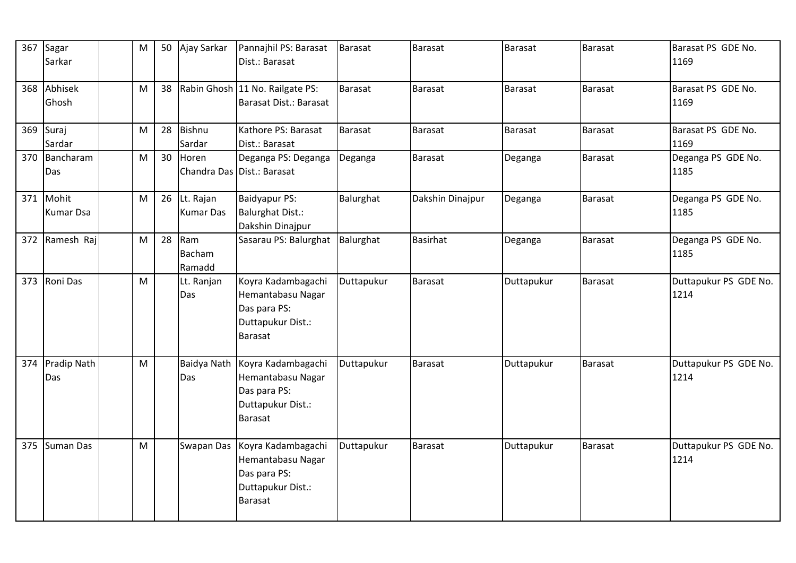| 367 | Sagar<br>Sarkar               | M |    | 50 Ajay Sarkar                   | Pannajhil PS: Barasat<br>Dist.: Barasat                                                        | <b>Barasat</b> | Barasat          | <b>Barasat</b> | Barasat        | Barasat PS GDE No.<br>1169    |
|-----|-------------------------------|---|----|----------------------------------|------------------------------------------------------------------------------------------------|----------------|------------------|----------------|----------------|-------------------------------|
| 368 | Abhisek<br>Ghosh              | M | 38 |                                  | Rabin Ghosh 11 No. Railgate PS:<br>Barasat Dist.: Barasat                                      | <b>Barasat</b> | Barasat          | Barasat        | <b>Barasat</b> | Barasat PS GDE No.<br>1169    |
| 369 | Suraj<br>Sardar               | M | 28 | Bishnu<br>Sardar                 | Kathore PS: Barasat<br>Dist.: Barasat                                                          | Barasat        | Barasat          | <b>Barasat</b> | Barasat        | Barasat PS GDE No.<br>1169    |
| 370 | Bancharam<br>Das              | M | 30 | Horen                            | Deganga PS: Deganga<br>Chandra Das Dist.: Barasat                                              | Deganga        | <b>Barasat</b>   | Deganga        | Barasat        | Deganga PS GDE No.<br>1185    |
|     | 371 Mohit<br><b>Kumar Dsa</b> | M |    | 26 Lt. Rajan<br><b>Kumar Das</b> | Baidyapur PS:<br><b>Balurghat Dist.:</b><br>Dakshin Dinajpur                                   | Balurghat      | Dakshin Dinajpur | Deganga        | Barasat        | Deganga PS GDE No.<br>1185    |
| 372 | Ramesh Raj                    | M | 28 | Ram<br>Bacham<br>Ramadd          | Sasarau PS: Balurghat                                                                          | Balurghat      | Basirhat         | Deganga        | Barasat        | Deganga PS GDE No.<br>1185    |
| 373 | Roni Das                      | M |    | Lt. Ranjan<br>Das                | Koyra Kadambagachi<br>Hemantabasu Nagar<br>Das para PS:<br>Duttapukur Dist.:<br>Barasat        | Duttapukur     | Barasat          | Duttapukur     | Barasat        | Duttapukur PS GDE No.<br>1214 |
| 374 | Pradip Nath<br>Das            | M |    | Baidya Nath<br>Das               | Koyra Kadambagachi<br>Hemantabasu Nagar<br>Das para PS:<br>Duttapukur Dist.:<br>Barasat        | Duttapukur     | Barasat          | Duttapukur     | Barasat        | Duttapukur PS GDE No.<br>1214 |
| 375 | <b>Suman Das</b>              | M |    | Swapan Das                       | Koyra Kadambagachi<br>Hemantabasu Nagar<br>Das para PS:<br>Duttapukur Dist.:<br><b>Barasat</b> | Duttapukur     | Barasat          | Duttapukur     | <b>Barasat</b> | Duttapukur PS GDE No.<br>1214 |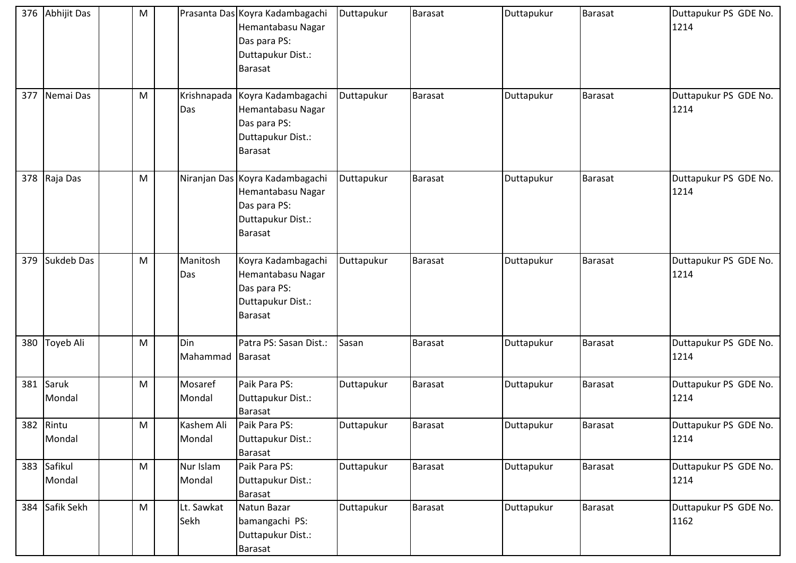|     | 376 Abhijit Das       | M         |                      | Prasanta Das Koyra Kadambagachi<br>Hemantabasu Nagar<br>Das para PS:<br>Duttapukur Dist.:<br><b>Barasat</b> | Duttapukur | Barasat        | Duttapukur | <b>Barasat</b> | Duttapukur PS GDE No.<br>1214 |
|-----|-----------------------|-----------|----------------------|-------------------------------------------------------------------------------------------------------------|------------|----------------|------------|----------------|-------------------------------|
| 377 | Nemai Das             | M         | Krishnapada<br>Das   | Koyra Kadambagachi<br>Hemantabasu Nagar<br>Das para PS:<br>Duttapukur Dist.:<br>Barasat                     | Duttapukur | Barasat        | Duttapukur | <b>Barasat</b> | Duttapukur PS GDE No.<br>1214 |
|     | 378 Raja Das          | M         |                      | Niranjan Das Koyra Kadambagachi<br>Hemantabasu Nagar<br>Das para PS:<br>Duttapukur Dist.:<br>Barasat        | Duttapukur | <b>Barasat</b> | Duttapukur | Barasat        | Duttapukur PS GDE No.<br>1214 |
| 379 | Sukdeb Das            | M         | Manitosh<br>Das      | Koyra Kadambagachi<br>Hemantabasu Nagar<br>Das para PS:<br>Duttapukur Dist.:<br>Barasat                     | Duttapukur | Barasat        | Duttapukur | <b>Barasat</b> | Duttapukur PS GDE No.<br>1214 |
| 380 | Toyeb Ali             | M         | Din<br>Mahammad      | Patra PS: Sasan Dist.:<br>Barasat                                                                           | Sasan      | <b>Barasat</b> | Duttapukur | Barasat        | Duttapukur PS GDE No.<br>1214 |
| 381 | Saruk<br>Mondal       | ${\sf M}$ | Mosaref<br>Mondal    | Paik Para PS:<br>Duttapukur Dist.:<br>Barasat                                                               | Duttapukur | Barasat        | Duttapukur | <b>Barasat</b> | Duttapukur PS GDE No.<br>1214 |
|     | 382 Rintu<br>Mondal   | M         | Kashem Ali<br>Mondal | Paik Para PS:<br>Duttapukur Dist.:<br>Barasat                                                               | Duttapukur | Barasat        | Duttapukur | <b>Barasat</b> | Duttapukur PS GDE No.<br>1214 |
|     | 383 Safikul<br>Mondal | ${\sf M}$ | Nur Islam<br>Mondal  | Paik Para PS:<br>Duttapukur Dist.:<br>Barasat                                                               | Duttapukur | Barasat        | Duttapukur | <b>Barasat</b> | Duttapukur PS GDE No.<br>1214 |
|     | 384 Safik Sekh        | M         | Lt. Sawkat<br>Sekh   | Natun Bazar<br>bamangachi PS:<br>Duttapukur Dist.:<br>Barasat                                               | Duttapukur | <b>Barasat</b> | Duttapukur | Barasat        | Duttapukur PS GDE No.<br>1162 |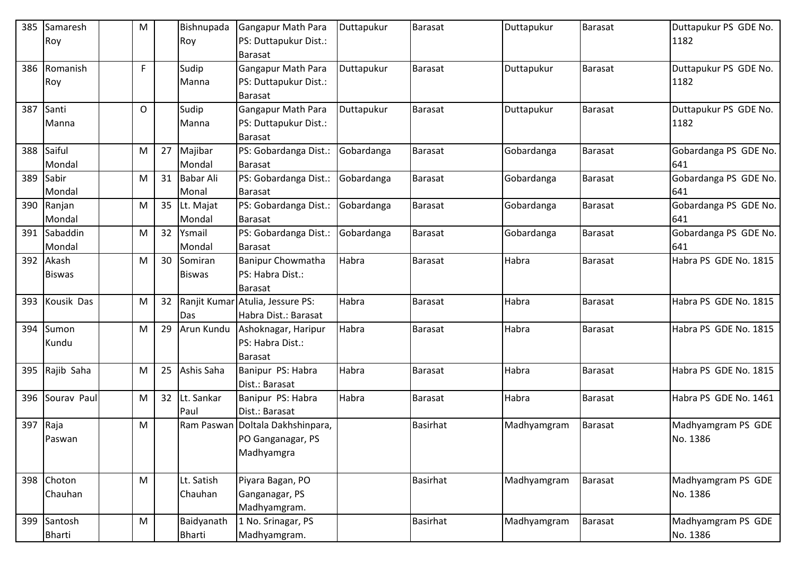| 385 | Samaresh      | M            |    | Bishnupada       | <b>Gangapur Math Para</b>            | Duttapukur | <b>Barasat</b>  | Duttapukur  | <b>Barasat</b> | Duttapukur PS GDE No. |
|-----|---------------|--------------|----|------------------|--------------------------------------|------------|-----------------|-------------|----------------|-----------------------|
|     | Roy           |              |    | Roy              | PS: Duttapukur Dist.:                |            |                 |             |                | 1182                  |
| 386 | Romanish      | $\mathsf{F}$ |    | Sudip            | Barasat<br><b>Gangapur Math Para</b> | Duttapukur | <b>Barasat</b>  |             | <b>Barasat</b> | Duttapukur PS GDE No. |
|     | Roy           |              |    | Manna            | PS: Duttapukur Dist.:                |            |                 | Duttapukur  |                | 1182                  |
|     |               |              |    |                  | <b>Barasat</b>                       |            |                 |             |                |                       |
| 387 | Santi         | $\mathsf{O}$ |    | Sudip            | <b>Gangapur Math Para</b>            | Duttapukur | Barasat         | Duttapukur  | <b>Barasat</b> | Duttapukur PS GDE No. |
|     | Manna         |              |    | Manna            | PS: Duttapukur Dist.:                |            |                 |             |                | 1182                  |
|     |               |              |    |                  | <b>Barasat</b>                       |            |                 |             |                |                       |
| 388 | Saiful        | M            | 27 | Majibar          | PS: Gobardanga Dist.:                | Gobardanga | Barasat         | Gobardanga  | Barasat        | Gobardanga PS GDE No. |
|     | Mondal        |              |    | Mondal           | Barasat                              |            |                 |             |                | 641                   |
| 389 | Sabir         | M            | 31 | <b>Babar Ali</b> | PS: Gobardanga Dist.:                | Gobardanga | Barasat         | Gobardanga  | <b>Barasat</b> | Gobardanga PS GDE No. |
|     | Mondal        |              |    | Monal            | <b>Barasat</b>                       |            |                 |             |                | 641                   |
| 390 | Ranjan        | M            | 35 | Lt. Majat        | PS: Gobardanga Dist.:                | Gobardanga | Barasat         | Gobardanga  | Barasat        | Gobardanga PS GDE No. |
|     | Mondal        |              |    | Mondal           | <b>Barasat</b>                       |            |                 |             |                | 641                   |
| 391 | Sabaddin      | M            | 32 | Ysmail           | PS: Gobardanga Dist.:                | Gobardanga | <b>Barasat</b>  | Gobardanga  | <b>Barasat</b> | Gobardanga PS GDE No. |
|     | Mondal        |              |    | Mondal           | <b>Barasat</b>                       |            |                 |             |                | 641                   |
| 392 | Akash         | M            | 30 | Somiran          | <b>Banipur Chowmatha</b>             | Habra      | <b>Barasat</b>  | Habra       | Barasat        | Habra PS GDE No. 1815 |
|     | <b>Biswas</b> |              |    | <b>Biswas</b>    | PS: Habra Dist.:                     |            |                 |             |                |                       |
|     |               |              |    |                  | <b>Barasat</b>                       |            |                 |             |                |                       |
| 393 | Kousik Das    | M            | 32 |                  | Ranjit Kumar Atulia, Jessure PS:     | Habra      | <b>Barasat</b>  | Habra       | Barasat        | Habra PS GDE No. 1815 |
|     |               |              |    | Das              | Habra Dist.: Barasat                 |            |                 |             |                |                       |
| 394 | Sumon         | M            | 29 | Arun Kundu       | Ashoknagar, Haripur                  | Habra      | <b>Barasat</b>  | Habra       | <b>Barasat</b> | Habra PS GDE No. 1815 |
|     | Kundu         |              |    |                  | PS: Habra Dist.:<br>Barasat          |            |                 |             |                |                       |
| 395 | Rajib Saha    | M            | 25 | Ashis Saha       | Banipur PS: Habra                    | Habra      | <b>Barasat</b>  | Habra       | Barasat        | Habra PS GDE No. 1815 |
|     |               |              |    |                  | Dist.: Barasat                       |            |                 |             |                |                       |
| 396 | Sourav Paul   | M            | 32 | Lt. Sankar       | Banipur PS: Habra                    | Habra      | Barasat         | Habra       | <b>Barasat</b> | Habra PS GDE No. 1461 |
|     |               |              |    | Paul             | Dist.: Barasat                       |            |                 |             |                |                       |
| 397 | Raja          | M            |    | Ram Paswan       | Doltala Dakhshinpara,                |            | <b>Basirhat</b> | Madhyamgram | <b>Barasat</b> | Madhyamgram PS GDE    |
|     | Paswan        |              |    |                  | PO Ganganagar, PS                    |            |                 |             |                | No. 1386              |
|     |               |              |    |                  | Madhyamgra                           |            |                 |             |                |                       |
|     |               |              |    |                  |                                      |            |                 |             |                |                       |
|     | 398 Choton    | M            |    | Lt. Satish       | Piyara Bagan, PO                     |            | Basirhat        | Madhyamgram | Barasat        | Madhyamgram PS GDE    |
|     | Chauhan       |              |    | Chauhan          | Ganganagar, PS                       |            |                 |             |                | No. 1386              |
|     |               |              |    |                  | Madhyamgram.                         |            |                 |             |                |                       |
| 399 | Santosh       | M            |    | Baidyanath       | 1 No. Srinagar, PS                   |            | <b>Basirhat</b> | Madhyamgram | Barasat        | Madhyamgram PS GDE    |
|     | Bharti        |              |    | Bharti           | Madhyamgram.                         |            |                 |             |                | No. 1386              |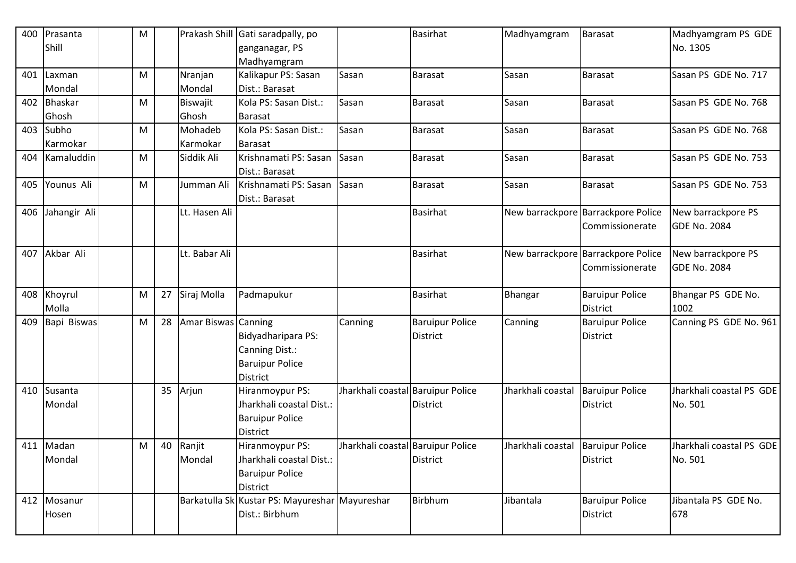| 400 | Prasanta     | M |    |                     | Prakash Shill Gati saradpally, po              |                                   | <b>Basirhat</b>        | Madhyamgram                       | <b>Barasat</b>                     | Madhyamgram PS GDE       |
|-----|--------------|---|----|---------------------|------------------------------------------------|-----------------------------------|------------------------|-----------------------------------|------------------------------------|--------------------------|
|     | Shill        |   |    |                     | ganganagar, PS                                 |                                   |                        |                                   |                                    | No. 1305                 |
|     |              |   |    |                     | Madhyamgram                                    |                                   |                        |                                   |                                    |                          |
| 401 | Laxman       | M |    | Nranjan             | Kalikapur PS: Sasan                            | Sasan                             | <b>Barasat</b>         | Sasan                             | Barasat                            | Sasan PS GDE No. 717     |
|     | Mondal       |   |    | Mondal              | Dist.: Barasat                                 |                                   |                        |                                   |                                    |                          |
| 402 | Bhaskar      | M |    | Biswajit            | Kola PS: Sasan Dist.:                          | Sasan                             | <b>Barasat</b>         | Sasan                             | <b>Barasat</b>                     | Sasan PS GDE No. 768     |
|     | Ghosh        |   |    | Ghosh               | Barasat                                        |                                   |                        |                                   |                                    |                          |
| 403 | Subho        | M |    | Mohadeb             | Kola PS: Sasan Dist.:                          | Sasan                             | <b>Barasat</b>         | Sasan                             | <b>Barasat</b>                     | Sasan PS GDE No. 768     |
|     | Karmokar     |   |    | Karmokar            | Barasat                                        |                                   |                        |                                   |                                    |                          |
| 404 | Kamaluddin   | M |    | Siddik Ali          | Krishnamati PS: Sasan                          | Sasan                             | <b>Barasat</b>         | Sasan                             | Barasat                            | Sasan PS GDE No. 753     |
|     |              |   |    |                     | Dist.: Barasat                                 |                                   |                        |                                   |                                    |                          |
| 405 | Younus Ali   | M |    | Jumman Ali          | Krishnamati PS: Sasan                          | Sasan                             | Barasat                | Sasan                             | <b>Barasat</b>                     | Sasan PS GDE No. 753     |
|     |              |   |    |                     | Dist.: Barasat                                 |                                   |                        |                                   |                                    |                          |
| 406 | Jahangir Ali |   |    | Lt. Hasen Ali       |                                                |                                   | <b>Basirhat</b>        |                                   | New barrackpore Barrackpore Police | New barrackpore PS       |
|     |              |   |    |                     |                                                |                                   |                        |                                   | Commissionerate                    | <b>GDE No. 2084</b>      |
|     |              |   |    |                     |                                                |                                   |                        |                                   |                                    |                          |
| 407 | Akbar Ali    |   |    | Lt. Babar Ali       |                                                |                                   | <b>Basirhat</b>        |                                   | New barrackpore Barrackpore Police | New barrackpore PS       |
|     |              |   |    |                     |                                                |                                   |                        |                                   | Commissionerate                    | <b>GDE No. 2084</b>      |
|     |              |   |    |                     |                                                |                                   |                        |                                   |                                    |                          |
| 408 | Khoyrul      | M | 27 | Siraj Molla         | Padmapukur                                     |                                   | <b>Basirhat</b>        | Bhangar                           | <b>Baruipur Police</b>             | Bhangar PS GDE No.       |
|     | Molla        |   |    |                     |                                                |                                   |                        |                                   | <b>District</b>                    | 1002                     |
| 409 | Bapi Biswas  | M | 28 | Amar Biswas Canning |                                                | Canning                           | <b>Baruipur Police</b> | Canning                           | <b>Baruipur Police</b>             | Canning PS GDE No. 961   |
|     |              |   |    |                     | Bidyadharipara PS:                             |                                   | District               |                                   | <b>District</b>                    |                          |
|     |              |   |    |                     | Canning Dist.:                                 |                                   |                        |                                   |                                    |                          |
|     |              |   |    |                     | <b>Baruipur Police</b>                         |                                   |                        |                                   |                                    |                          |
|     |              |   |    |                     | District                                       |                                   |                        |                                   |                                    |                          |
| 410 | Susanta      |   | 35 | Arjun               | Hiranmoypur PS:                                | Jharkhali coastal Baruipur Police |                        | Jharkhali coastal                 | <b>Baruipur Police</b>             | Jharkhali coastal PS GDE |
|     | Mondal       |   |    |                     | Jharkhali coastal Dist.:                       |                                   | District               |                                   | <b>District</b>                    | No. 501                  |
|     |              |   |    |                     | <b>Baruipur Police</b>                         |                                   |                        |                                   |                                    |                          |
|     |              |   |    |                     | District                                       |                                   |                        |                                   |                                    |                          |
|     | 411 Madan    | M |    | 40 Ranjit           | Hiranmoypur PS:                                | Jharkhali coastal Baruipur Police |                        | Jharkhali coastal Baruipur Police |                                    | Jharkhali coastal PS GDE |
|     | Mondal       |   |    | Mondal              | Jharkhali coastal Dist.:                       |                                   | District               |                                   | District                           | No. 501                  |
|     |              |   |    |                     | <b>Baruipur Police</b>                         |                                   |                        |                                   |                                    |                          |
|     |              |   |    |                     | District                                       |                                   |                        |                                   |                                    |                          |
|     | 412 Mosanur  |   |    |                     | Barkatulla Sk Kustar PS: Mayureshar Mayureshar |                                   | Birbhum                | Jibantala                         | <b>Baruipur Police</b>             | Jibantala PS GDE No.     |
|     | Hosen        |   |    |                     | Dist.: Birbhum                                 |                                   |                        |                                   | <b>District</b>                    | 678                      |
|     |              |   |    |                     |                                                |                                   |                        |                                   |                                    |                          |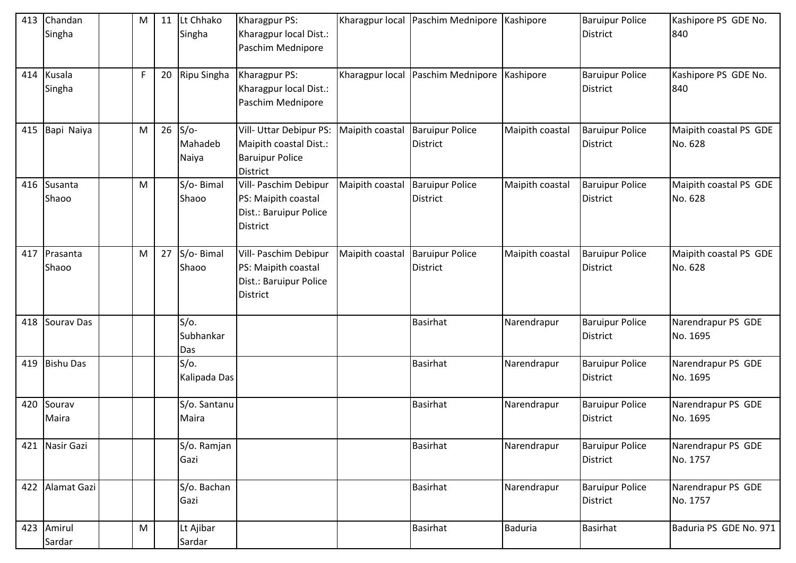| 413 | Chandan<br>Singha | M            | 11 | Lt Chhako<br>Singha           | Kharagpur PS:<br>Kharagpur local Dist.:<br>Paschim Mednipore                                   |                 | Kharagpur local Paschim Mednipore Kashipore |                 | <b>Baruipur Police</b><br><b>District</b> | Kashipore PS GDE No.<br>840       |
|-----|-------------------|--------------|----|-------------------------------|------------------------------------------------------------------------------------------------|-----------------|---------------------------------------------|-----------------|-------------------------------------------|-----------------------------------|
| 414 | Kusala<br>Singha  | $\mathsf{F}$ | 20 | Ripu Singha                   | Kharagpur PS:<br>Kharagpur local Dist.:<br>Paschim Mednipore                                   |                 | Kharagpur local Paschim Mednipore Kashipore |                 | <b>Baruipur Police</b><br>District        | Kashipore PS GDE No.<br>840       |
| 415 | Bapi Naiya        | M            |    | $26$ S/o-<br>Mahadeb<br>Naiya | Vill- Uttar Debipur PS:<br>Maipith coastal Dist.:<br><b>Baruipur Police</b><br><b>District</b> | Maipith coastal | <b>Baruipur Police</b><br><b>District</b>   | Maipith coastal | <b>Baruipur Police</b><br><b>District</b> | Maipith coastal PS GDE<br>No. 628 |
| 416 | Susanta<br>Shaoo  | M            |    | S/o-Bimal<br>Shaoo            | Vill- Paschim Debipur<br>PS: Maipith coastal<br>Dist.: Baruipur Police<br><b>District</b>      | Maipith coastal | <b>Baruipur Police</b><br><b>District</b>   | Maipith coastal | <b>Baruipur Police</b><br><b>District</b> | Maipith coastal PS GDE<br>No. 628 |
| 417 | Prasanta<br>Shaoo | M            | 27 | S/o-Bimal<br>Shaoo            | Vill- Paschim Debipur<br>PS: Maipith coastal<br>Dist.: Baruipur Police<br><b>District</b>      | Maipith coastal | <b>Baruipur Police</b><br><b>District</b>   | Maipith coastal | <b>Baruipur Police</b><br><b>District</b> | Maipith coastal PS GDE<br>No. 628 |
| 418 | Sourav Das        |              |    | $S/O$ .<br>Subhankar<br>Das   |                                                                                                |                 | Basirhat                                    | Narendrapur     | <b>Baruipur Police</b><br><b>District</b> | Narendrapur PS GDE<br>No. 1695    |
| 419 | <b>Bishu Das</b>  |              |    | $S/O$ .<br>Kalipada Das       |                                                                                                |                 | <b>Basirhat</b>                             | Narendrapur     | <b>Baruipur Police</b><br><b>District</b> | Narendrapur PS GDE<br>No. 1695    |
| 420 | Sourav<br>Maira   |              |    | S/o. Santanu<br>Maira         |                                                                                                |                 | <b>Basirhat</b>                             | Narendrapur     | <b>Baruipur Police</b><br><b>District</b> | Narendrapur PS GDE<br>No. 1695    |
| 421 | Nasir Gazi        |              |    | S/o. Ramjan<br>Gazi           |                                                                                                |                 | <b>Basirhat</b>                             | Narendrapur     | <b>Baruipur Police</b><br><b>District</b> | Narendrapur PS GDE<br>No. 1757    |
| 422 | Alamat Gazi       |              |    | S/o. Bachan<br>Gazi           |                                                                                                |                 | <b>Basirhat</b>                             | Narendrapur     | <b>Baruipur Police</b><br><b>District</b> | Narendrapur PS GDE<br>No. 1757    |
| 423 | Amirul<br>Sardar  | M            |    | Lt Ajibar<br>Sardar           |                                                                                                |                 | <b>Basirhat</b>                             | Baduria         | <b>Basirhat</b>                           | Baduria PS GDE No. 971            |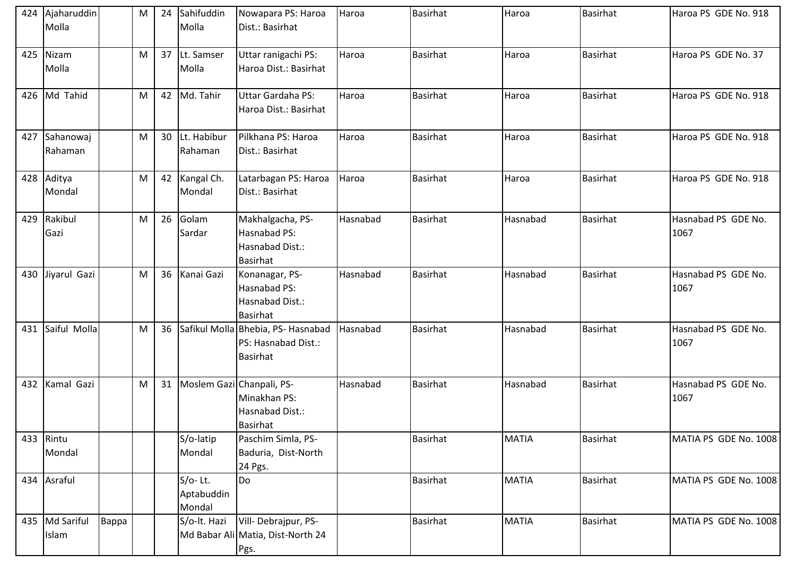|     | 424 Ajaharuddin<br>Molla |       | M | 24 | Sahifuddin<br>Molla               | Nowapara PS: Haroa<br>Dist.: Basirhat                                        | Haroa    | <b>Basirhat</b> | Haroa        | <b>Basirhat</b> | Haroa PS GDE No. 918        |
|-----|--------------------------|-------|---|----|-----------------------------------|------------------------------------------------------------------------------|----------|-----------------|--------------|-----------------|-----------------------------|
| 425 | Nizam<br>Molla           |       | M |    | 37 Lt. Samser<br>Molla            | Uttar ranigachi PS:<br>Haroa Dist.: Basirhat                                 | Haroa    | <b>Basirhat</b> | Haroa        | <b>Basirhat</b> | Haroa PS GDE No. 37         |
|     | 426 Md Tahid             |       | M | 42 | Md. Tahir                         | Uttar Gardaha PS:<br>Haroa Dist.: Basirhat                                   | Haroa    | <b>Basirhat</b> | Haroa        | <b>Basirhat</b> | Haroa PS GDE No. 918        |
| 427 | Sahanowaj<br>Rahaman     |       | M |    | 30 Lt. Habibur<br>Rahaman         | Pilkhana PS: Haroa<br>Dist.: Basirhat                                        | Haroa    | <b>Basirhat</b> | Haroa        | <b>Basirhat</b> | Haroa PS GDE No. 918        |
| 428 | Aditya<br>Mondal         |       | M | 42 | Kangal Ch.<br>Mondal              | Latarbagan PS: Haroa<br>Dist.: Basirhat                                      | Haroa    | <b>Basirhat</b> | Haroa        | <b>Basirhat</b> | Haroa PS GDE No. 918        |
| 429 | Rakibul<br>Gazi          |       | M | 26 | Golam<br>Sardar                   | Makhalgacha, PS-<br>Hasnabad PS:<br>Hasnabad Dist.:<br><b>Basirhat</b>       | Hasnabad | <b>Basirhat</b> | Hasnabad     | <b>Basirhat</b> | Hasnabad PS GDE No.<br>1067 |
| 430 | Jiyarul Gazi             |       | M | 36 | Kanai Gazi                        | Konanagar, PS-<br>Hasnabad PS:<br>Hasnabad Dist.:<br><b>Basirhat</b>         | Hasnabad | <b>Basirhat</b> | Hasnabad     | <b>Basirhat</b> | Hasnabad PS GDE No.<br>1067 |
| 431 | Saiful Molla             |       | M | 36 |                                   | Safikul Molla Bhebia, PS- Hasnabad<br>PS: Hasnabad Dist.:<br><b>Basirhat</b> | Hasnabad | <b>Basirhat</b> | Hasnabad     | <b>Basirhat</b> | Hasnabad PS GDE No.<br>1067 |
| 432 | Kamal Gazi               |       | M |    | 31 Moslem Gazi Chanpali, PS-      | Minakhan PS:<br>Hasnabad Dist.:<br><b>Basirhat</b>                           | Hasnabad | Basirhat        | Hasnabad     | <b>Basirhat</b> | Hasnabad PS GDE No.<br>1067 |
|     | 433 Rintu<br>Mondal      |       |   |    | S/o-latip<br>Mondal               | Paschim Simla, PS-<br>Baduria, Dist-North<br>24 Pgs.                         |          | <b>Basirhat</b> | <b>MATIA</b> | Basirhat        | MATIA PS GDE No. 1008       |
|     | 434 Asraful              |       |   |    | $S/O-Lt.$<br>Aptabuddin<br>Mondal | Do                                                                           |          | <b>Basirhat</b> | <b>MATIA</b> | <b>Basirhat</b> | MATIA PS GDE No. 1008       |
|     | 435 Md Sariful<br>Islam  | Bappa |   |    | S/o-lt. Hazi                      | Vill-Debrajpur, PS-<br>Md Babar Ali Matia, Dist-North 24<br>Pgs.             |          | <b>Basirhat</b> | <b>MATIA</b> | Basirhat        | MATIA PS GDE No. 1008       |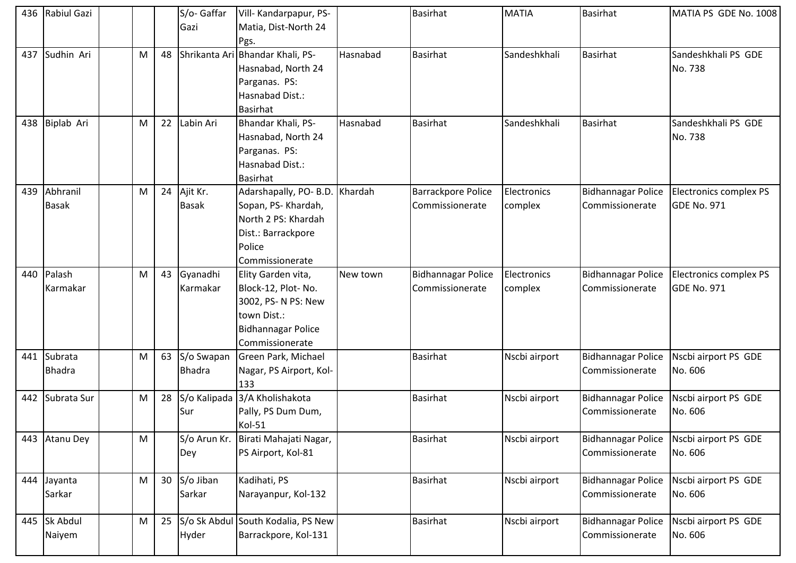|     | 436 Rabiul Gazi          |           |    | S/o-Gaffar<br>Gazi          | Vill- Kandarpapur, PS-<br>Matia, Dist-North 24<br>Pgs.                                                                          |          | <b>Basirhat</b>                              | <b>MATIA</b>           | <b>Basirhat</b>                              | MATIA PS GDE No. 1008                        |
|-----|--------------------------|-----------|----|-----------------------------|---------------------------------------------------------------------------------------------------------------------------------|----------|----------------------------------------------|------------------------|----------------------------------------------|----------------------------------------------|
| 437 | Sudhin Ari               | M         | 48 | Shrikanta Ari               | Bhandar Khali, PS-<br>Hasnabad, North 24<br>Parganas. PS:<br>Hasnabad Dist.:<br><b>Basirhat</b>                                 | Hasnabad | <b>Basirhat</b>                              | Sandeshkhali           | <b>Basirhat</b>                              | Sandeshkhali PS GDE<br>No. 738               |
| 438 | Biplab Ari               | M         | 22 | Labin Ari                   | Bhandar Khali, PS-<br>Hasnabad, North 24<br>Parganas. PS:<br>Hasnabad Dist.:<br><b>Basirhat</b>                                 | Hasnabad | <b>Basirhat</b>                              | Sandeshkhali           | <b>Basirhat</b>                              | Sandeshkhali PS GDE<br>No. 738               |
| 439 | Abhranil<br><b>Basak</b> | M         | 24 | Ajit Kr.<br><b>Basak</b>    | Adarshapally, PO- B.D. Khardah<br>Sopan, PS- Khardah,<br>North 2 PS: Khardah<br>Dist.: Barrackpore<br>Police<br>Commissionerate |          | <b>Barrackpore Police</b><br>Commissionerate | Electronics<br>complex | <b>Bidhannagar Police</b><br>Commissionerate | Electronics complex PS<br><b>GDE No. 971</b> |
| 440 | Palash<br>Karmakar       | M         | 43 | Gyanadhi<br>Karmakar        | Elity Garden vita,<br>Block-12, Plot-No.<br>3002, PS- N PS: New<br>town Dist.:<br><b>Bidhannagar Police</b><br>Commissionerate  | New town | <b>Bidhannagar Police</b><br>Commissionerate | Electronics<br>complex | <b>Bidhannagar Police</b><br>Commissionerate | Electronics complex PS<br><b>GDE No. 971</b> |
| 441 | Subrata<br><b>Bhadra</b> | M         | 63 | S/o Swapan<br><b>Bhadra</b> | Green Park, Michael<br>Nagar, PS Airport, Kol-<br>133                                                                           |          | <b>Basirhat</b>                              | Nscbi airport          | <b>Bidhannagar Police</b><br>Commissionerate | Nscbi airport PS GDE<br>No. 606              |
| 442 | Subrata Sur              | M         | 28 | Sur                         | S/o Kalipada 3/A Kholishakota<br>Pally, PS Dum Dum,<br>Kol-51                                                                   |          | <b>Basirhat</b>                              | Nscbi airport          | <b>Bidhannagar Police</b><br>Commissionerate | Nscbi airport PS GDE<br>No. 606              |
| 443 | <b>Atanu Dey</b>         | M         |    | S/o Arun Kr.<br>Dey         | Birati Mahajati Nagar,<br>PS Airport, Kol-81                                                                                    |          | <b>Basirhat</b>                              | Nscbi airport          | <b>Bidhannagar Police</b><br>Commissionerate | Nscbi airport PS GDE<br>No. 606              |
| 444 | Jayanta<br>Sarkar        | M         | 30 | S/o Jiban<br>Sarkar         | Kadihati, PS<br>Narayanpur, Kol-132                                                                                             |          | <b>Basirhat</b>                              | Nscbi airport          | <b>Bidhannagar Police</b><br>Commissionerate | Nscbi airport PS GDE<br>No. 606              |
| 445 | Sk Abdul<br>Naiyem       | ${\sf M}$ | 25 | Hyder                       | S/o Sk Abdul South Kodalia, PS New<br>Barrackpore, Kol-131                                                                      |          | <b>Basirhat</b>                              | Nscbi airport          | <b>Bidhannagar Police</b><br>Commissionerate | Nscbi airport PS GDE<br>No. 606              |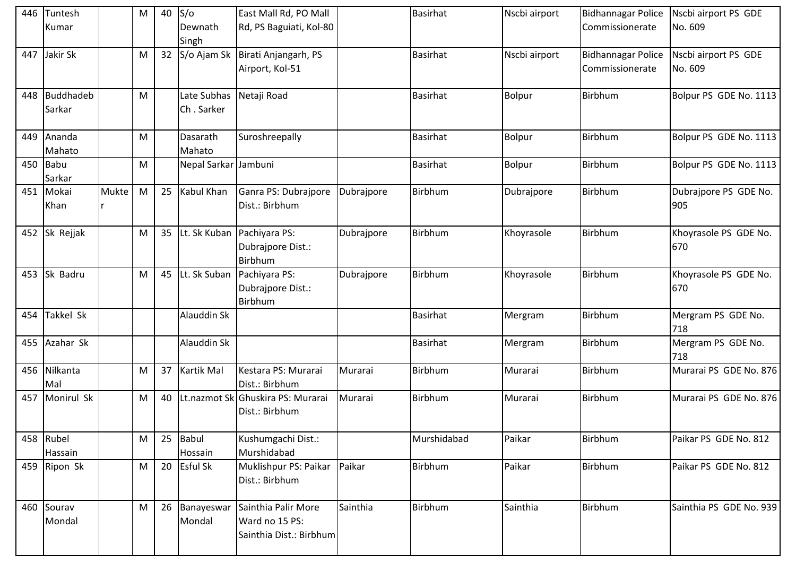| 446 | Tuntesh<br>Kumar      |       | M | $40$ S/o | Dewnath<br>Singh          | East Mall Rd, PO Mall<br>Rd, PS Baguiati, Kol-80                 |            | <b>Basirhat</b> | Nscbi airport | Bidhannagar Police<br>Commissionerate        | Nscbi airport PS GDE<br>No. 609 |
|-----|-----------------------|-------|---|----------|---------------------------|------------------------------------------------------------------|------------|-----------------|---------------|----------------------------------------------|---------------------------------|
| 447 | Jakir Sk              |       | M | 32       | S/o Ajam Sk               | Birati Anjangarh, PS<br>Airport, Kol-51                          |            | <b>Basirhat</b> | Nscbi airport | <b>Bidhannagar Police</b><br>Commissionerate | Nscbi airport PS GDE<br>No. 609 |
| 448 | Buddhadeb<br>Sarkar   |       | M |          | Late Subhas<br>Ch. Sarker | Netaji Road                                                      |            | <b>Basirhat</b> | <b>Bolpur</b> | Birbhum                                      | Bolpur PS GDE No. 1113          |
| 449 | Ananda<br>Mahato      |       | M |          | Dasarath<br>Mahato        | Suroshreepally                                                   |            | <b>Basirhat</b> | <b>Bolpur</b> | Birbhum                                      | Bolpur PS GDE No. 1113          |
| 450 | <b>Babu</b><br>Sarkar |       | M |          | Nepal Sarkar Jambuni      |                                                                  |            | <b>Basirhat</b> | Bolpur        | Birbhum                                      | Bolpur PS GDE No. 1113          |
| 451 | Mokai<br>Khan         | Mukte | M | 25       | Kabul Khan                | Ganra PS: Dubrajpore<br>Dist.: Birbhum                           | Dubrajpore | Birbhum         | Dubrajpore    | Birbhum                                      | Dubrajpore PS GDE No.<br>905    |
|     | 452 Sk Rejjak         |       | M | 35       | Lt. Sk Kuban              | Pachiyara PS:<br>Dubrajpore Dist.:<br>Birbhum                    | Dubrajpore | Birbhum         | Khoyrasole    | Birbhum                                      | Khoyrasole PS GDE No.<br>670    |
| 453 | Sk Badru              |       | M |          | 45 Lt. Sk Suban           | Pachiyara PS:<br>Dubrajpore Dist.:<br>Birbhum                    | Dubrajpore | Birbhum         | Khoyrasole    | Birbhum                                      | Khoyrasole PS GDE No.<br>670    |
| 454 | Takkel Sk             |       |   |          | Alauddin Sk               |                                                                  |            | <b>Basirhat</b> | Mergram       | Birbhum                                      | Mergram PS GDE No.<br>718       |
| 455 | Azahar Sk             |       |   |          | Alauddin Sk               |                                                                  |            | Basirhat        | Mergram       | Birbhum                                      | Mergram PS GDE No.<br>718       |
| 456 | Nilkanta<br>Mal       |       | M | 37       | <b>Kartik Mal</b>         | Kestara PS: Murarai<br>Dist.: Birbhum                            | Murarai    | Birbhum         | Murarai       | Birbhum                                      | Murarai PS GDE No. 876          |
| 457 | Monirul Sk            |       | M | 40       |                           | Lt.nazmot Sk Ghuskira PS: Murarai<br>Dist.: Birbhum              | Murarai    | Birbhum         | Murarai       | Birbhum                                      | Murarai PS GDE No. 876          |
|     | 458 Rubel<br>Hassain  |       | M | 25       | Babul<br>Hossain          | Kushumgachi Dist.:<br>Murshidabad                                |            | Murshidabad     | Paikar        | Birbhum                                      | Paikar PS GDE No. 812           |
|     | 459 Ripon Sk          |       | M |          | 20 Esful Sk               | Muklishpur PS: Paikar<br>Dist.: Birbhum                          | Paikar     | Birbhum         | Paikar        | Birbhum                                      | Paikar PS GDE No. 812           |
| 460 | Sourav<br>Mondal      |       | M | 26       | Banayeswar<br>Mondal      | Sainthia Palir More<br>Ward no 15 PS:<br>Sainthia Dist.: Birbhum | Sainthia   | Birbhum         | Sainthia      | Birbhum                                      | Sainthia PS GDE No. 939         |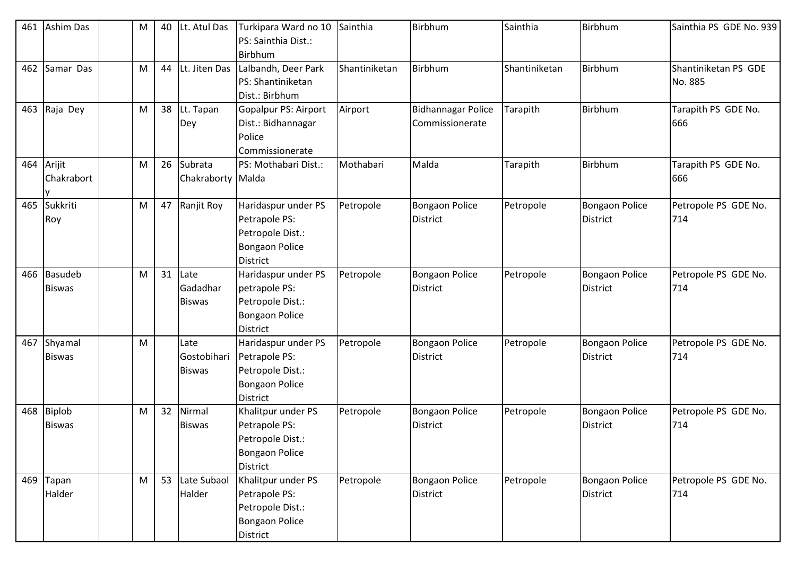| 461 | <b>Ashim Das</b>                | M | 40 | Lt. Atul Das                         | Turkipara Ward no 10<br>PS: Sainthia Dist.:                                                          | Sainthia      | Birbhum                                      | Sainthia      | Birbhum                                  | Sainthia PS GDE No. 939         |
|-----|---------------------------------|---|----|--------------------------------------|------------------------------------------------------------------------------------------------------|---------------|----------------------------------------------|---------------|------------------------------------------|---------------------------------|
|     |                                 |   |    |                                      | <b>Birbhum</b>                                                                                       |               |                                              |               |                                          |                                 |
| 462 | Samar Das                       | M | 44 | Lt. Jiten Das                        | Lalbandh, Deer Park<br>PS: Shantiniketan<br>Dist.: Birbhum                                           | Shantiniketan | Birbhum                                      | Shantiniketan | Birbhum                                  | Shantiniketan PS GDE<br>No. 885 |
| 463 | Raja Dey                        | M | 38 | Lt. Tapan<br>Dey                     | Gopalpur PS: Airport<br>Dist.: Bidhannagar<br>Police<br>Commissionerate                              | Airport       | <b>Bidhannagar Police</b><br>Commissionerate | Tarapith      | Birbhum                                  | Tarapith PS GDE No.<br>666      |
| 464 | Arijit<br>Chakrabort            | M | 26 | Subrata<br>Chakraborty Malda         | PS: Mothabari Dist.:                                                                                 | Mothabari     | Malda                                        | Tarapith      | Birbhum                                  | Tarapith PS GDE No.<br>666      |
| 465 | Sukkriti<br>Roy                 | M | 47 | Ranjit Roy                           | Haridaspur under PS<br>Petrapole PS:<br>Petropole Dist.:<br><b>Bongaon Police</b><br><b>District</b> | Petropole     | Bongaon Police<br>District                   | Petropole     | <b>Bongaon Police</b><br><b>District</b> | Petropole PS GDE No.<br>714     |
| 466 | <b>Basudeb</b><br><b>Biswas</b> | M | 31 | Late<br>Gadadhar<br><b>Biswas</b>    | Haridaspur under PS<br>petrapole PS:<br>Petropole Dist.:<br><b>Bongaon Police</b><br><b>District</b> | Petropole     | <b>Bongaon Police</b><br><b>District</b>     | Petropole     | <b>Bongaon Police</b><br><b>District</b> | Petropole PS GDE No.<br>714     |
| 467 | Shyamal<br><b>Biswas</b>        | M |    | Late<br>Gostobihari<br><b>Biswas</b> | Haridaspur under PS<br>Petrapole PS:<br>Petropole Dist.:<br><b>Bongaon Police</b><br><b>District</b> | Petropole     | <b>Bongaon Police</b><br>District            | Petropole     | <b>Bongaon Police</b><br><b>District</b> | Petropole PS GDE No.<br>714     |
| 468 | <b>Biplob</b><br><b>Biswas</b>  | M | 32 | Nirmal<br><b>Biswas</b>              | Khalitpur under PS<br>Petrapole PS:<br>Petropole Dist.:<br><b>Bongaon Police</b><br><b>District</b>  | Petropole     | <b>Bongaon Police</b><br>District            | Petropole     | <b>Bongaon Police</b><br><b>District</b> | Petropole PS GDE No.<br>714     |
| 469 | Tapan<br>Halder                 | M | 53 | Late Subaol<br>Halder                | Khalitpur under PS<br>Petrapole PS:<br>Petropole Dist.:<br>Bongaon Police<br>District                | Petropole     | <b>Bongaon Police</b><br><b>District</b>     | Petropole     | <b>Bongaon Police</b><br>District        | Petropole PS GDE No.<br>714     |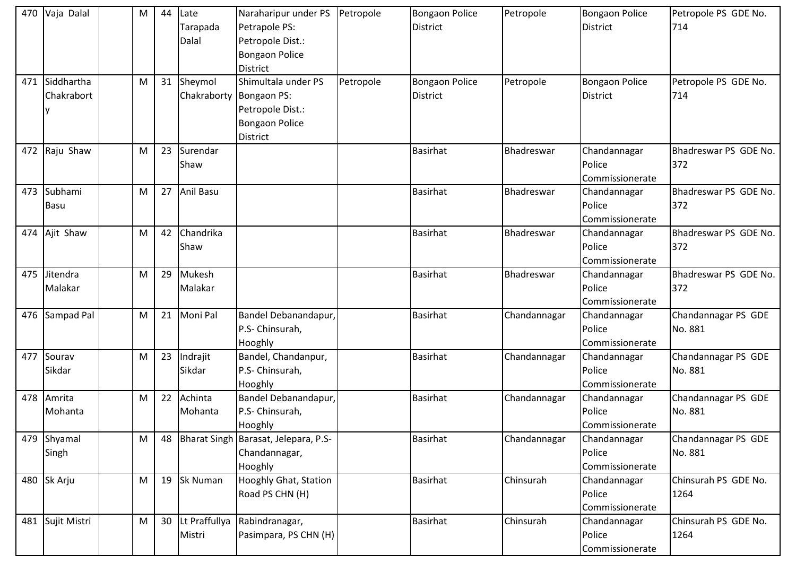| 470 | Vaja Dalal   | M | 44 | Late                    | Naraharipur under PS Petropole              |           | <b>Bongaon Police</b> | Petropole    | <b>Bongaon Police</b> | Petropole PS GDE No.  |
|-----|--------------|---|----|-------------------------|---------------------------------------------|-----------|-----------------------|--------------|-----------------------|-----------------------|
|     |              |   |    | Tarapada                | Petrapole PS:                               |           | District              |              | <b>District</b>       | 714                   |
|     |              |   |    | Dalal                   | Petropole Dist.:                            |           |                       |              |                       |                       |
|     |              |   |    |                         | <b>Bongaon Police</b>                       |           |                       |              |                       |                       |
|     |              |   |    |                         | <b>District</b>                             |           |                       |              |                       |                       |
| 471 | Siddhartha   | M |    | 31 Sheymol              | Shimultala under PS                         | Petropole | <b>Bongaon Police</b> | Petropole    | <b>Bongaon Police</b> | Petropole PS GDE No.  |
|     | Chakrabort   |   |    | Chakraborty Bongaon PS: |                                             |           | District              |              | <b>District</b>       | 714                   |
|     |              |   |    |                         | Petropole Dist.:                            |           |                       |              |                       |                       |
|     |              |   |    |                         | <b>Bongaon Police</b>                       |           |                       |              |                       |                       |
|     |              |   |    |                         | <b>District</b>                             |           |                       |              |                       |                       |
| 472 | Raju Shaw    | M | 23 | Surendar                |                                             |           | <b>Basirhat</b>       | Bhadreswar   | Chandannagar          | Bhadreswar PS GDE No. |
|     |              |   |    | Shaw                    |                                             |           |                       |              | Police                | 372                   |
|     |              |   |    |                         |                                             |           |                       |              | Commissionerate       |                       |
| 473 | Subhami      | M |    | 27 Anil Basu            |                                             |           | <b>Basirhat</b>       | Bhadreswar   | Chandannagar          | Bhadreswar PS GDE No. |
|     | <b>Basu</b>  |   |    |                         |                                             |           |                       |              | Police                | 372                   |
|     |              |   |    |                         |                                             |           |                       |              | Commissionerate       |                       |
| 474 | Ajit Shaw    | M | 42 | Chandrika               |                                             |           | <b>Basirhat</b>       | Bhadreswar   | Chandannagar          | Bhadreswar PS GDE No. |
|     |              |   |    | Shaw                    |                                             |           |                       |              | Police                | 372                   |
|     |              |   |    |                         |                                             |           |                       |              | Commissionerate       |                       |
| 475 | Jitendra     | M | 29 | Mukesh                  |                                             |           | <b>Basirhat</b>       | Bhadreswar   | Chandannagar          | Bhadreswar PS GDE No. |
|     | Malakar      |   |    | Malakar                 |                                             |           |                       |              | Police                | 372                   |
|     |              |   |    |                         |                                             |           |                       |              | Commissionerate       |                       |
| 476 | Sampad Pal   | M |    | 21 Moni Pal             | Bandel Debanandapur,                        |           | <b>Basirhat</b>       | Chandannagar | Chandannagar          | Chandannagar PS GDE   |
|     |              |   |    |                         | P.S- Chinsurah,                             |           |                       |              | Police                | No. 881               |
|     |              |   |    |                         | Hooghly                                     |           |                       |              | Commissionerate       |                       |
| 477 | Sourav       | M | 23 | Indrajit                | Bandel, Chandanpur,                         |           | <b>Basirhat</b>       | Chandannagar | Chandannagar          | Chandannagar PS GDE   |
|     | Sikdar       |   |    | Sikdar                  | P.S- Chinsurah,                             |           |                       |              | Police                | No. 881               |
|     |              |   |    |                         | Hooghly                                     |           |                       |              | Commissionerate       |                       |
| 478 | Amrita       | M | 22 | Achinta                 | Bandel Debanandapur,                        |           | <b>Basirhat</b>       | Chandannagar | Chandannagar          | Chandannagar PS GDE   |
|     | Mohanta      |   |    | Mohanta                 | P.S- Chinsurah,                             |           |                       |              | Police                | No. 881               |
|     |              |   |    |                         | Hooghly                                     |           |                       |              | Commissionerate       |                       |
| 479 | Shyamal      | M |    |                         | 48   Bharat Singh   Barasat, Jelepara, P.S- |           | <b>Basirhat</b>       | Chandannagar | Chandannagar          | Chandannagar PS GDE   |
|     | Singh        |   |    |                         | Chandannagar,                               |           |                       |              | Police                | No. 881               |
|     |              |   |    |                         | Hooghly                                     |           |                       |              | Commissionerate       |                       |
| 480 | Sk Arju      | M |    | 19 Sk Numan             | Hooghly Ghat, Station                       |           | <b>Basirhat</b>       | Chinsurah    | Chandannagar          | Chinsurah PS GDE No.  |
|     |              |   |    |                         | Road PS CHN (H)                             |           |                       |              | Police                | 1264                  |
|     |              |   |    |                         |                                             |           |                       |              | Commissionerate       |                       |
| 481 | Sujit Mistri | M |    | 30 Lt Praffullya        | Rabindranagar,                              |           | <b>Basirhat</b>       | Chinsurah    | Chandannagar          | Chinsurah PS GDE No.  |
|     |              |   |    | Mistri                  | Pasimpara, PS CHN (H)                       |           |                       |              | Police                | 1264                  |
|     |              |   |    |                         |                                             |           |                       |              | Commissionerate       |                       |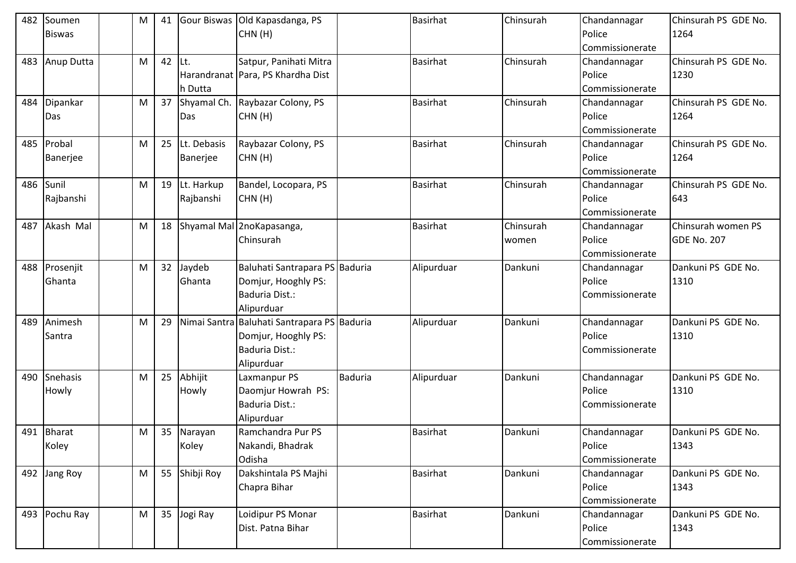| 482 | Soumen              | M | 41 |                         | Gour Biswas Old Kapasdanga, PS                                                                     |                | <b>Basirhat</b> | Chinsurah          | Chandannagar                              | Chinsurah PS GDE No.              |
|-----|---------------------|---|----|-------------------------|----------------------------------------------------------------------------------------------------|----------------|-----------------|--------------------|-------------------------------------------|-----------------------------------|
|     | <b>Biswas</b>       |   |    |                         | CHN(H)                                                                                             |                |                 |                    | Police<br>Commissionerate                 | 1264                              |
| 483 | Anup Dutta          | M | 42 | ILt.<br>h Dutta         | Satpur, Panihati Mitra<br>Harandranat Para, PS Khardha Dist                                        |                | <b>Basirhat</b> | Chinsurah          | Chandannagar<br>Police<br>Commissionerate | Chinsurah PS GDE No.<br>1230      |
| 484 | Dipankar<br>Das     | M | 37 | Das                     | Shyamal Ch. Raybazar Colony, PS<br>CHN(H)                                                          |                | <b>Basirhat</b> | Chinsurah          | Chandannagar<br>Police<br>Commissionerate | Chinsurah PS GDE No.<br>1264      |
| 485 | Probal<br>Banerjee  | M | 25 | Lt. Debasis<br>Banerjee | Raybazar Colony, PS<br>CHN(H)                                                                      |                | <b>Basirhat</b> | Chinsurah          | Chandannagar<br>Police<br>Commissionerate | Chinsurah PS GDE No.<br>1264      |
| 486 | Sunil<br>Rajbanshi  | M | 19 | Lt. Harkup<br>Rajbanshi | Bandel, Locopara, PS<br>CHN(H)                                                                     |                | <b>Basirhat</b> | Chinsurah          | Chandannagar<br>Police<br>Commissionerate | Chinsurah PS GDE No.<br>643       |
| 487 | Akash Mal           | M | 18 |                         | Shyamal Mal 2noKapasanga,<br>Chinsurah                                                             |                | <b>Basirhat</b> | Chinsurah<br>women | Chandannagar<br>Police<br>Commissionerate | Chinsurah women PS<br>GDE No. 207 |
| 488 | Prosenjit<br>Ghanta | M | 32 | Jaydeb<br>Ghanta        | Baluhati Santrapara PS Baduria<br>Domjur, Hooghly PS:<br>Baduria Dist.:<br>Alipurduar              |                | Alipurduar      | Dankuni            | Chandannagar<br>Police<br>Commissionerate | Dankuni PS GDE No.<br>1310        |
| 489 | Animesh<br>Santra   | M | 29 |                         | Nimai Santra Baluhati Santrapara PS Baduria<br>Domjur, Hooghly PS:<br>Baduria Dist.:<br>Alipurduar |                | Alipurduar      | Dankuni            | Chandannagar<br>Police<br>Commissionerate | Dankuni PS GDE No.<br>1310        |
| 490 | Snehasis<br>Howly   | M | 25 | Abhijit<br>Howly        | Laxmanpur PS<br>Daomjur Howrah PS:<br>Baduria Dist.:<br>Alipurduar                                 | <b>Baduria</b> | Alipurduar      | Dankuni            | Chandannagar<br>Police<br>Commissionerate | Dankuni PS GDE No.<br>1310        |
|     | 491 Bharat<br>Koley | M | 35 | Narayan<br>Koley        | Ramchandra Pur PS<br>Nakandi, Bhadrak<br>Odisha                                                    |                | <b>Basirhat</b> | Dankuni            | Chandannagar<br>Police<br>Commissionerate | Dankuni PS GDE No.<br>1343        |
| 492 | Jang Roy            | M | 55 | Shibji Roy              | Dakshintala PS Majhi<br>Chapra Bihar                                                               |                | <b>Basirhat</b> | Dankuni            | Chandannagar<br>Police<br>Commissionerate | Dankuni PS GDE No.<br>1343        |
| 493 | Pochu Ray           | M | 35 | Jogi Ray                | Loidipur PS Monar<br>Dist. Patna Bihar                                                             |                | <b>Basirhat</b> | Dankuni            | Chandannagar<br>Police<br>Commissionerate | Dankuni PS GDE No.<br>1343        |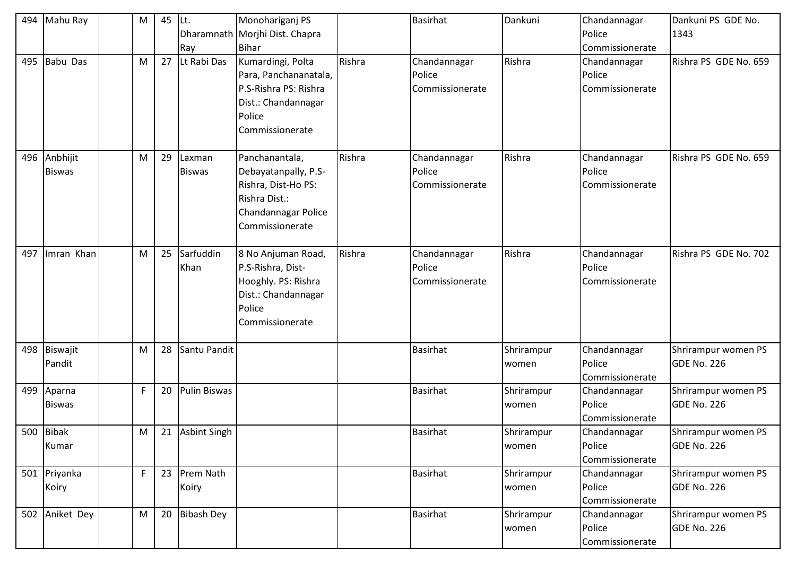| 494 | Mahu Ray                | M           | 45 | $ $ Lt.             | Monohariganj PS                                                                                                         |        | <b>Basirhat</b>                           | Dankuni             | Chandannagar                              | Dankuni PS GDE No.                        |
|-----|-------------------------|-------------|----|---------------------|-------------------------------------------------------------------------------------------------------------------------|--------|-------------------------------------------|---------------------|-------------------------------------------|-------------------------------------------|
|     |                         |             |    |                     | Dharamnath Morjhi Dist. Chapra                                                                                          |        |                                           |                     | Police                                    | 1343                                      |
|     |                         |             |    | Ray                 | <b>Bihar</b>                                                                                                            |        |                                           |                     | Commissionerate                           |                                           |
| 495 | <b>Babu Das</b>         | M           | 27 | Lt Rabi Das         | Kumardingi, Polta<br>Para, Panchananatala,<br>P.S-Rishra PS: Rishra<br>Dist.: Chandannagar<br>Police<br>Commissionerate | Rishra | Chandannagar<br>Police<br>Commissionerate | Rishra              | Chandannagar<br>Police<br>Commissionerate | Rishra PS GDE No. 659                     |
| 496 | Anbhijit                | M           | 29 | Laxman              | Panchanantala,                                                                                                          | Rishra | Chandannagar                              | Rishra              | Chandannagar                              | Rishra PS GDE No. 659                     |
|     | <b>Biswas</b>           |             |    | <b>Biswas</b>       | Debayatanpally, P.S-<br>Rishra, Dist-Ho PS:<br>Rishra Dist.:<br>Chandannagar Police<br>Commissionerate                  |        | Police<br>Commissionerate                 |                     | Police<br>Commissionerate                 |                                           |
| 497 | Imran Khan              | M           | 25 | Sarfuddin<br>Khan   | 8 No Anjuman Road,<br>P.S-Rishra, Dist-<br>Hooghly. PS: Rishra<br>Dist.: Chandannagar<br>Police<br>Commissionerate      | Rishra | Chandannagar<br>Police<br>Commissionerate | Rishra              | Chandannagar<br>Police<br>Commissionerate | Rishra PS GDE No. 702                     |
| 498 | Biswajit<br>Pandit      | M           | 28 | Santu Pandit        |                                                                                                                         |        | <b>Basirhat</b>                           | Shrirampur<br>women | Chandannagar<br>Police<br>Commissionerate | Shrirampur women PS<br><b>GDE No. 226</b> |
| 499 | Aparna<br><b>Biswas</b> | $\mathsf F$ | 20 | Pulin Biswas        |                                                                                                                         |        | Basirhat                                  | Shrirampur<br>women | Chandannagar<br>Police<br>Commissionerate | Shrirampur women PS<br><b>GDE No. 226</b> |
|     | 500 Bibak<br>Kumar      | M           | 21 | <b>Asbint Singh</b> |                                                                                                                         |        | <b>Basirhat</b>                           | Shrirampur<br>women | Chandannagar<br>Police<br>Commissionerate | Shrirampur women PS<br><b>GDE No. 226</b> |
|     | 501 Priyanka<br>Koiry   | $\mathsf F$ | 23 | Prem Nath<br>Koiry  |                                                                                                                         |        | Basirhat                                  | Shrirampur<br>women | Chandannagar<br>Police<br>Commissionerate | Shrirampur women PS<br><b>GDE No. 226</b> |
| 502 | Aniket Dey              | ${\sf M}$   | 20 | <b>Bibash Dey</b>   |                                                                                                                         |        | Basirhat                                  | Shrirampur<br>women | Chandannagar<br>Police<br>Commissionerate | Shrirampur women PS<br><b>GDE No. 226</b> |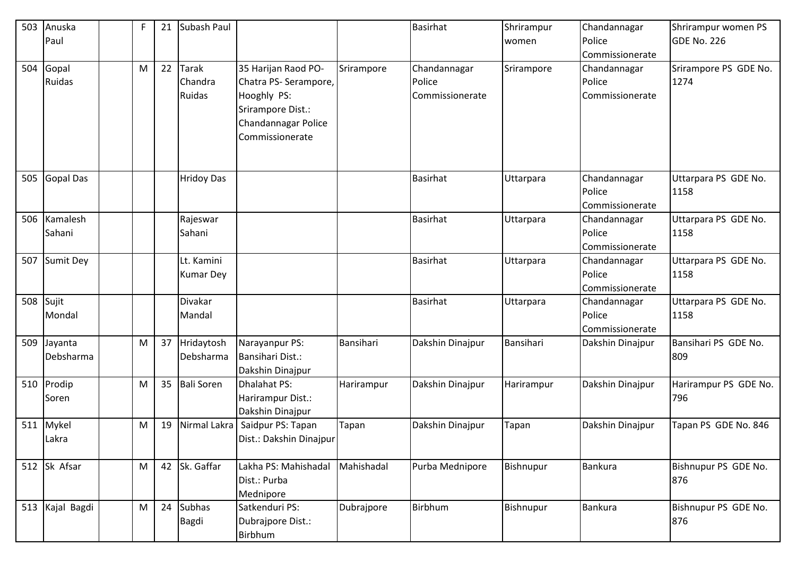| 503 | Anuska           | F | 21 | Subash Paul       |                         |            | Basirhat         | Shrirampur | Chandannagar     | Shrirampur women PS   |
|-----|------------------|---|----|-------------------|-------------------------|------------|------------------|------------|------------------|-----------------------|
|     | Paul             |   |    |                   |                         |            |                  | women      | Police           | <b>GDE No. 226</b>    |
|     |                  |   |    |                   |                         |            |                  |            | Commissionerate  |                       |
| 504 | Gopal            | M | 22 | <b>Tarak</b>      | 35 Harijan Raod PO-     | Srirampore | Chandannagar     | Srirampore | Chandannagar     | Srirampore PS GDE No. |
|     | Ruidas           |   |    | Chandra           | Chatra PS- Serampore,   |            | Police           |            | Police           | 1274                  |
|     |                  |   |    | Ruidas            | Hooghly PS:             |            | Commissionerate  |            | Commissionerate  |                       |
|     |                  |   |    |                   | Srirampore Dist.:       |            |                  |            |                  |                       |
|     |                  |   |    |                   | Chandannagar Police     |            |                  |            |                  |                       |
|     |                  |   |    |                   | Commissionerate         |            |                  |            |                  |                       |
|     |                  |   |    |                   |                         |            |                  |            |                  |                       |
|     |                  |   |    |                   |                         |            |                  |            |                  |                       |
| 505 | <b>Gopal Das</b> |   |    | <b>Hridoy Das</b> |                         |            | <b>Basirhat</b>  | Uttarpara  | Chandannagar     | Uttarpara PS GDE No.  |
|     |                  |   |    |                   |                         |            |                  |            | Police           | 1158                  |
|     |                  |   |    |                   |                         |            |                  |            | Commissionerate  |                       |
| 506 | Kamalesh         |   |    | Rajeswar          |                         |            | <b>Basirhat</b>  | Uttarpara  | Chandannagar     | Uttarpara PS GDE No.  |
|     | Sahani           |   |    | Sahani            |                         |            |                  |            | Police           | 1158                  |
|     |                  |   |    |                   |                         |            |                  |            | Commissionerate  |                       |
| 507 | Sumit Dey        |   |    | Lt. Kamini        |                         |            | <b>Basirhat</b>  | Uttarpara  | Chandannagar     | Uttarpara PS GDE No.  |
|     |                  |   |    | <b>Kumar Dey</b>  |                         |            |                  |            | Police           | 1158                  |
|     |                  |   |    |                   |                         |            |                  |            | Commissionerate  |                       |
| 508 | Sujit            |   |    | Divakar           |                         |            | <b>Basirhat</b>  | Uttarpara  | Chandannagar     | Uttarpara PS GDE No.  |
|     | Mondal           |   |    | Mandal            |                         |            |                  |            | Police           | 1158                  |
|     |                  |   |    |                   |                         |            |                  |            | Commissionerate  |                       |
| 509 | Jayanta          | M | 37 | Hridaytosh        | Narayanpur PS:          | Bansihari  | Dakshin Dinajpur | Bansihari  | Dakshin Dinajpur | Bansihari PS GDE No.  |
|     | Debsharma        |   |    | Debsharma         | Bansihari Dist.:        |            |                  |            |                  | 809                   |
|     |                  |   |    |                   | Dakshin Dinajpur        |            |                  |            |                  |                       |
| 510 | Prodip           | M | 35 | <b>Bali Soren</b> | <b>Dhalahat PS:</b>     | Harirampur | Dakshin Dinajpur | Harirampur | Dakshin Dinajpur | Harirampur PS GDE No. |
|     | Soren            |   |    |                   | Harirampur Dist.:       |            |                  |            |                  | 796                   |
|     |                  |   |    |                   | Dakshin Dinajpur        |            |                  |            |                  |                       |
| 511 | Mykel            | M | 19 | Nirmal Lakra      | Saidpur PS: Tapan       | Tapan      | Dakshin Dinajpur | Tapan      | Dakshin Dinajpur | Tapan PS GDE No. 846  |
|     | Lakra            |   |    |                   | Dist.: Dakshin Dinajpur |            |                  |            |                  |                       |
|     |                  |   |    |                   |                         |            |                  |            |                  |                       |
|     | 512 Sk Afsar     | M |    | 42 Sk. Gaffar     | Lakha PS: Mahishadal    | Mahishadal | Purba Mednipore  | Bishnupur  | <b>Bankura</b>   | Bishnupur PS GDE No.  |
|     |                  |   |    |                   | Dist.: Purba            |            |                  |            |                  | 876                   |
|     |                  |   |    |                   | Mednipore               |            |                  |            |                  |                       |
| 513 | Kajal Bagdi      | M | 24 | <b>Subhas</b>     | Satkenduri PS:          | Dubrajpore | Birbhum          | Bishnupur  | <b>Bankura</b>   | Bishnupur PS GDE No.  |
|     |                  |   |    | Bagdi             | Dubrajpore Dist.:       |            |                  |            |                  | 876                   |
|     |                  |   |    |                   | Birbhum                 |            |                  |            |                  |                       |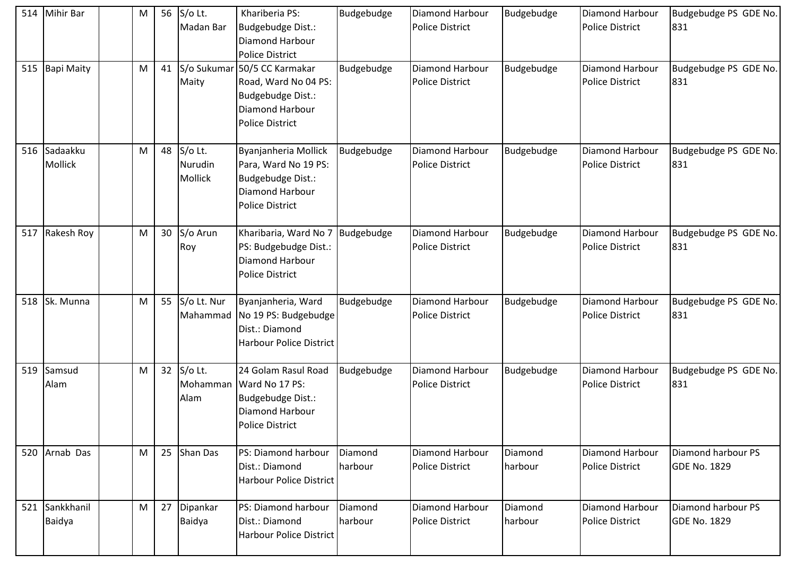| 514 | <b>Mihir Bar</b>        | M | 56 S/o Lt.<br>Madan Bar          | Khariberia PS:<br>Budgebudge Dist.:<br><b>Diamond Harbour</b><br><b>Police District</b>                        | Budgebudge         | <b>Diamond Harbour</b><br><b>Police District</b> | Budgebudge         | Diamond Harbour<br><b>Police District</b>        | Budgebudge PS GDE No.<br>831              |
|-----|-------------------------|---|----------------------------------|----------------------------------------------------------------------------------------------------------------|--------------------|--------------------------------------------------|--------------------|--------------------------------------------------|-------------------------------------------|
| 515 | <b>Bapi Maity</b>       | M | 41 S/o Sukumar<br>Maity          | 50/5 CC Karmakar<br>Road, Ward No 04 PS:<br>Budgebudge Dist.:<br>Diamond Harbour<br><b>Police District</b>     | Budgebudge         | Diamond Harbour<br><b>Police District</b>        | Budgebudge         | Diamond Harbour<br><b>Police District</b>        | Budgebudge PS GDE No.<br>831              |
|     | 516 Sadaakku<br>Mollick | M | 48 S/o Lt.<br>Nurudin<br>Mollick | Byanjanheria Mollick<br>Para, Ward No 19 PS:<br>Budgebudge Dist.:<br>Diamond Harbour<br><b>Police District</b> | Budgebudge         | <b>Diamond Harbour</b><br><b>Police District</b> | Budgebudge         | Diamond Harbour<br><b>Police District</b>        | Budgebudge PS GDE No.<br>831              |
| 517 | Rakesh Roy              | M | 30 S/o Arun<br>Roy               | Kharibaria, Ward No 7<br>PS: Budgebudge Dist.:<br>Diamond Harbour<br><b>Police District</b>                    | Budgebudge         | Diamond Harbour<br><b>Police District</b>        | Budgebudge         | Diamond Harbour<br><b>Police District</b>        | Budgebudge PS GDE No.<br>831              |
| 518 | Sk. Munna               | M | 55 S/o Lt. Nur<br>Mahammad       | Byanjanheria, Ward<br>No 19 PS: Budgebudge<br>Dist.: Diamond<br><b>Harbour Police District</b>                 | Budgebudge         | Diamond Harbour<br><b>Police District</b>        | Budgebudge         | Diamond Harbour<br><b>Police District</b>        | Budgebudge PS GDE No.<br>831              |
| 519 | Samsud<br>Alam          | M | 32 S/o Lt.<br>Mohamman<br>Alam   | 24 Golam Rasul Road<br>Ward No 17 PS:<br>Budgebudge Dist.:<br>Diamond Harbour<br><b>Police District</b>        | Budgebudge         | Diamond Harbour<br><b>Police District</b>        | Budgebudge         | Diamond Harbour<br><b>Police District</b>        | Budgebudge PS GDE No.<br>831              |
|     | 520 Arnab Das           | M | 25 Shan Das                      | PS: Diamond harbour<br>Dist.: Diamond<br><b>Harbour Police District</b>                                        | Diamond<br>harbour | Diamond Harbour<br><b>Police District</b>        | Diamond<br>harbour | Diamond Harbour<br><b>Police District</b>        | Diamond harbour PS<br><b>GDE No. 1829</b> |
| 521 | Sankkhanil<br>Baidya    | M | 27 Dipankar<br>Baidya            | PS: Diamond harbour<br>Dist.: Diamond<br><b>Harbour Police District</b>                                        | Diamond<br>harbour | Diamond Harbour<br><b>Police District</b>        | Diamond<br>harbour | <b>Diamond Harbour</b><br><b>Police District</b> | Diamond harbour PS<br><b>GDE No. 1829</b> |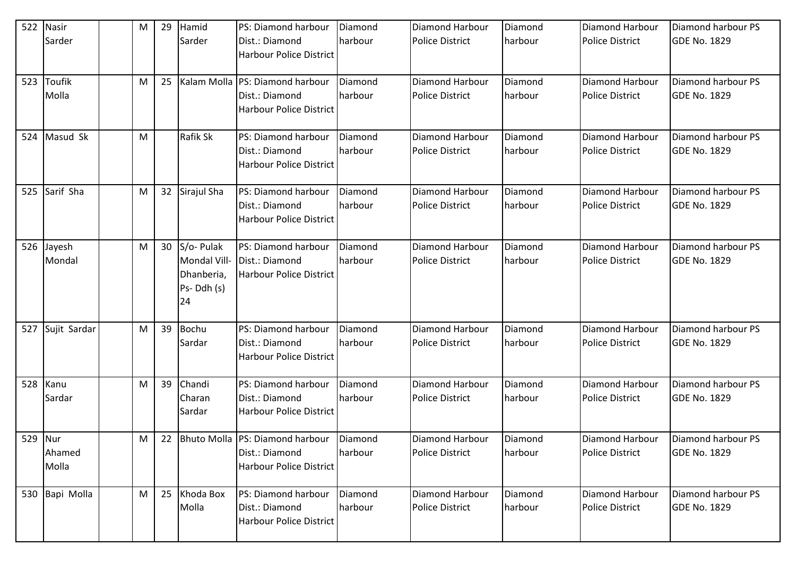| 522     | <b>Nasir</b><br>Sarder | M | 29              | Hamid<br>Sarder                                | PS: Diamond harbour<br>Dist.: Diamond            | Diamond<br>harbour | <b>Diamond Harbour</b><br><b>Police District</b> | Diamond<br>harbour | <b>Diamond Harbour</b><br><b>Police District</b> | Diamond harbour PS<br><b>GDE No. 1829</b> |
|---------|------------------------|---|-----------------|------------------------------------------------|--------------------------------------------------|--------------------|--------------------------------------------------|--------------------|--------------------------------------------------|-------------------------------------------|
|         |                        |   |                 |                                                | <b>Harbour Police District</b>                   |                    |                                                  |                    |                                                  |                                           |
| 523     | Toufik                 | M | 25              |                                                | Kalam Molla PS: Diamond harbour                  | Diamond            | Diamond Harbour                                  | Diamond            | <b>Diamond Harbour</b>                           | Diamond harbour PS                        |
|         | Molla                  |   |                 |                                                | Dist.: Diamond<br><b>Harbour Police District</b> | harbour            | <b>Police District</b>                           | harbour            | <b>Police District</b>                           | <b>GDE No. 1829</b>                       |
| 524     | Masud Sk               | M |                 | Rafik Sk                                       | PS: Diamond harbour                              | Diamond            | Diamond Harbour                                  | Diamond            | <b>Diamond Harbour</b>                           | Diamond harbour PS                        |
|         |                        |   |                 |                                                | Dist.: Diamond<br><b>Harbour Police District</b> | harbour            | <b>Police District</b>                           | harbour            | <b>Police District</b>                           | <b>GDE No. 1829</b>                       |
| 525     | Sarif Sha              | M | 32 <sup>2</sup> | Sirajul Sha                                    | PS: Diamond harbour                              | Diamond            | Diamond Harbour                                  | Diamond            | <b>Diamond Harbour</b>                           | Diamond harbour PS                        |
|         |                        |   |                 |                                                | Dist.: Diamond<br><b>Harbour Police District</b> | harbour            | <b>Police District</b>                           | harbour            | <b>Police District</b>                           | <b>GDE No. 1829</b>                       |
| 526     | Jayesh                 | M | 30              | S/o-Pulak                                      | PS: Diamond harbour                              | Diamond            | Diamond Harbour                                  | Diamond            | <b>Diamond Harbour</b>                           | Diamond harbour PS                        |
|         | Mondal                 |   |                 | Mondal Vill-<br>Dhanberia,<br>Ps-Ddh (s)<br>24 | Dist.: Diamond<br><b>Harbour Police District</b> | harbour            | <b>Police District</b>                           | harbour            | <b>Police District</b>                           | <b>GDE No. 1829</b>                       |
| 527     | Sujit Sardar           | M | 39              | Bochu                                          | PS: Diamond harbour                              | Diamond            | Diamond Harbour                                  | Diamond            | <b>Diamond Harbour</b>                           | Diamond harbour PS                        |
|         |                        |   |                 | Sardar                                         | Dist.: Diamond<br><b>Harbour Police District</b> | harbour            | <b>Police District</b>                           | harbour            | <b>Police District</b>                           | <b>GDE No. 1829</b>                       |
| 528     | Kanu                   | M | 39              | Chandi                                         | PS: Diamond harbour                              | Diamond            | Diamond Harbour                                  | Diamond            | <b>Diamond Harbour</b>                           | Diamond harbour PS                        |
|         | Sardar                 |   |                 | Charan<br>Sardar                               | Dist.: Diamond<br><b>Harbour Police District</b> | harbour            | <b>Police District</b>                           | harbour            | <b>Police District</b>                           | <b>GDE No. 1829</b>                       |
| 529 Nur |                        | M |                 |                                                | 22 Bhuto Molla PS: Diamond harbour Diamond       |                    | Diamond Harbour                                  | Diamond            | Diamond Harbour                                  | Diamond harbour PS                        |
|         | Ahamed<br>Molla        |   |                 |                                                | Dist.: Diamond<br><b>Harbour Police District</b> | harbour            | <b>Police District</b>                           | harbour            | <b>Police District</b>                           | <b>GDE No. 1829</b>                       |
|         | 530 Bapi Molla         | M | 25              | Khoda Box                                      | PS: Diamond harbour                              | Diamond            | Diamond Harbour                                  | Diamond            | <b>Diamond Harbour</b>                           | Diamond harbour PS                        |
|         |                        |   |                 | Molla                                          | Dist.: Diamond<br>Harbour Police District        | harbour            | Police District                                  | harbour            | <b>Police District</b>                           | <b>GDE No. 1829</b>                       |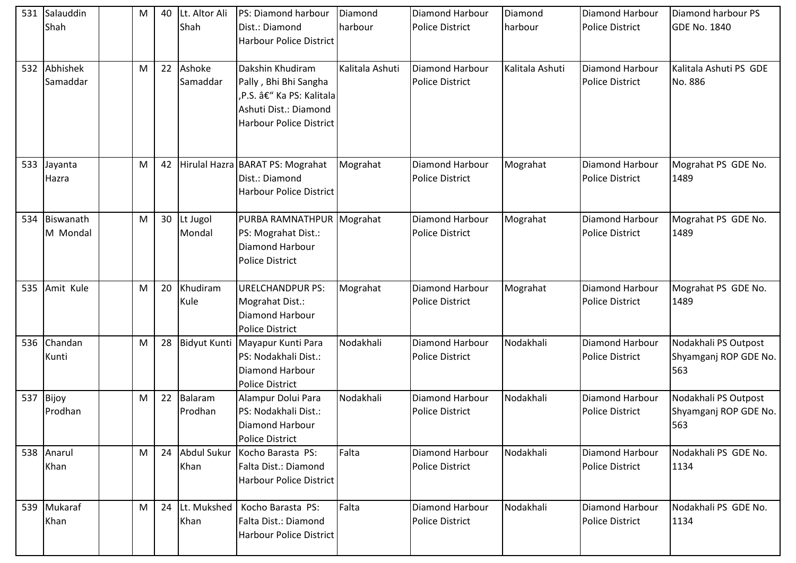| 531 | Salauddin<br>Shah     | M | 40 | Lt. Altor Ali<br>Shah      | PS: Diamond harbour<br>Dist.: Diamond<br><b>Harbour Police District</b>                                                         | Diamond<br>harbour | Diamond Harbour<br><b>Police District</b> | Diamond<br>harbour | <b>Diamond Harbour</b><br><b>Police District</b> | Diamond harbour PS<br><b>GDE No. 1840</b>            |
|-----|-----------------------|---|----|----------------------------|---------------------------------------------------------------------------------------------------------------------------------|--------------------|-------------------------------------------|--------------------|--------------------------------------------------|------------------------------------------------------|
| 532 | Abhishek<br>Samaddar  | M | 22 | Ashoke<br>Samaddar         | Dakshin Khudiram<br>Pally, Bhi Bhi Sangha<br>,P.S. – Ka PS: Kalitala<br>Ashuti Dist.: Diamond<br><b>Harbour Police District</b> | Kalitala Ashuti    | Diamond Harbour<br><b>Police District</b> | Kalitala Ashuti    | <b>Diamond Harbour</b><br><b>Police District</b> | Kalitala Ashuti PS GDE<br>No. 886                    |
| 533 | Jayanta<br>Hazra      | M | 42 |                            | Hirulal Hazra BARAT PS: Mograhat<br>Dist.: Diamond<br><b>Harbour Police District</b>                                            | Mograhat           | Diamond Harbour<br><b>Police District</b> | Mograhat           | Diamond Harbour<br><b>Police District</b>        | Mograhat PS GDE No.<br>1489                          |
| 534 | Biswanath<br>M Mondal | M | 30 | Lt Jugol<br>Mondal         | PURBA RAMNATHPUR Mograhat<br>PS: Mograhat Dist.:<br>Diamond Harbour<br><b>Police District</b>                                   |                    | Diamond Harbour<br><b>Police District</b> | Mograhat           | <b>Diamond Harbour</b><br><b>Police District</b> | Mograhat PS GDE No.<br>1489                          |
| 535 | Amit Kule             | M | 20 | Khudiram<br>Kule           | <b>URELCHANDPUR PS:</b><br>Mograhat Dist.:<br>Diamond Harbour<br><b>Police District</b>                                         | Mograhat           | Diamond Harbour<br><b>Police District</b> | Mograhat           | <b>Diamond Harbour</b><br><b>Police District</b> | Mograhat PS GDE No.<br>1489                          |
| 536 | Chandan<br>Kunti      | M | 28 | <b>Bidyut Kunti</b>        | Mayapur Kunti Para<br>PS: Nodakhali Dist.:<br><b>Diamond Harbour</b><br><b>Police District</b>                                  | Nodakhali          | Diamond Harbour<br><b>Police District</b> | Nodakhali          | <b>Diamond Harbour</b><br><b>Police District</b> | Nodakhali PS Outpost<br>Shyamganj ROP GDE No.<br>563 |
| 537 | Bijoy<br>Prodhan      | M | 22 | Balaram<br>Prodhan         | Alampur Dolui Para<br>PS: Nodakhali Dist.:<br>Diamond Harbour<br><b>Police District</b>                                         | Nodakhali          | Diamond Harbour<br><b>Police District</b> | Nodakhali          | <b>Diamond Harbour</b><br><b>Police District</b> | Nodakhali PS Outpost<br>Shyamganj ROP GDE No.<br>563 |
|     | 538 Anarul<br>Khan    | M | 24 | <b>Abdul Sukur</b><br>Khan | Kocho Barasta PS:<br>Falta Dist.: Diamond<br>Harbour Police District                                                            | Falta              | Diamond Harbour<br><b>Police District</b> | Nodakhali          | <b>Diamond Harbour</b><br><b>Police District</b> | Nodakhali PS GDE No.<br>1134                         |
| 539 | Mukaraf<br>Khan       | M | 24 | Lt. Mukshed<br>Khan        | Kocho Barasta PS:<br>Falta Dist.: Diamond<br>Harbour Police District                                                            | Falta              | Diamond Harbour<br><b>Police District</b> | Nodakhali          | Diamond Harbour<br><b>Police District</b>        | Nodakhali PS GDE No.<br>1134                         |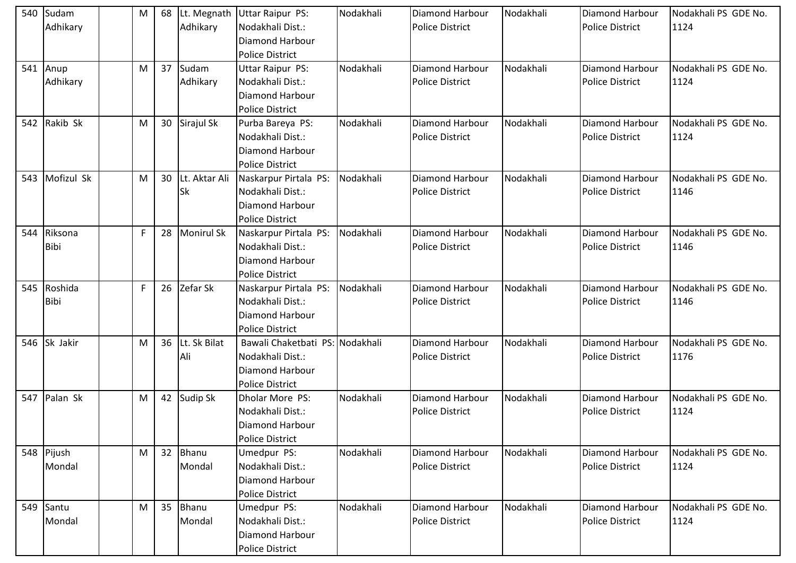| 540 | Sudam       | M | 68 |                 | Lt. Megnath Uttar Raipur PS:    | Nodakhali | Diamond Harbour        | Nodakhali | <b>Diamond Harbour</b> | Nodakhali PS GDE No. |
|-----|-------------|---|----|-----------------|---------------------------------|-----------|------------------------|-----------|------------------------|----------------------|
|     | Adhikary    |   |    | Adhikary        | Nodakhali Dist.:                |           | <b>Police District</b> |           | <b>Police District</b> | 1124                 |
|     |             |   |    |                 | Diamond Harbour                 |           |                        |           |                        |                      |
|     |             |   |    |                 | <b>Police District</b>          |           |                        |           |                        |                      |
|     | 541 Anup    | М | 37 | Sudam           | <b>Uttar Raipur PS:</b>         | Nodakhali | Diamond Harbour        | Nodakhali | <b>Diamond Harbour</b> | Nodakhali PS GDE No. |
|     | Adhikary    |   |    | Adhikary        | Nodakhali Dist.:                |           | <b>Police District</b> |           | <b>Police District</b> | 1124                 |
|     |             |   |    |                 | Diamond Harbour                 |           |                        |           |                        |                      |
|     |             |   |    |                 | <b>Police District</b>          |           |                        |           |                        |                      |
| 542 | Rakib Sk    | M |    | 30 Sirajul Sk   | Purba Bareya PS:                | Nodakhali | Diamond Harbour        | Nodakhali | <b>Diamond Harbour</b> | Nodakhali PS GDE No. |
|     |             |   |    |                 | Nodakhali Dist.:                |           | <b>Police District</b> |           | <b>Police District</b> | 1124                 |
|     |             |   |    |                 | <b>Diamond Harbour</b>          |           |                        |           |                        |                      |
|     |             |   |    |                 | <b>Police District</b>          |           |                        |           |                        |                      |
| 543 | Mofizul Sk  | M | 30 | Lt. Aktar Ali   | Naskarpur Pirtala PS:           | Nodakhali | Diamond Harbour        | Nodakhali | <b>Diamond Harbour</b> | Nodakhali PS GDE No. |
|     |             |   |    | <b>Sk</b>       | Nodakhali Dist.:                |           | <b>Police District</b> |           | <b>Police District</b> | 1146                 |
|     |             |   |    |                 | <b>Diamond Harbour</b>          |           |                        |           |                        |                      |
|     |             |   |    |                 | <b>Police District</b>          |           |                        |           |                        |                      |
| 544 | Riksona     | F | 28 | Monirul Sk      | Naskarpur Pirtala PS:           | Nodakhali | Diamond Harbour        | Nodakhali | <b>Diamond Harbour</b> | Nodakhali PS GDE No. |
|     | <b>Bibi</b> |   |    |                 | Nodakhali Dist.:                |           | <b>Police District</b> |           | <b>Police District</b> | 1146                 |
|     |             |   |    |                 | <b>Diamond Harbour</b>          |           |                        |           |                        |                      |
|     |             |   |    |                 | <b>Police District</b>          |           |                        |           |                        |                      |
| 545 | Roshida     | F |    | 26 Zefar Sk     | Naskarpur Pirtala PS: Nodakhali |           | Diamond Harbour        | Nodakhali | <b>Diamond Harbour</b> | Nodakhali PS GDE No. |
|     | <b>Bibi</b> |   |    |                 | Nodakhali Dist.:                |           | <b>Police District</b> |           | <b>Police District</b> | 1146                 |
|     |             |   |    |                 | Diamond Harbour                 |           |                        |           |                        |                      |
|     |             |   |    |                 | <b>Police District</b>          |           |                        |           |                        |                      |
| 546 | Sk Jakir    | M |    | 36 Lt. Sk Bilat | Bawali Chaketbati PS: Nodakhali |           | Diamond Harbour        | Nodakhali | <b>Diamond Harbour</b> | Nodakhali PS GDE No. |
|     |             |   |    | Ali             | Nodakhali Dist.:                |           | <b>Police District</b> |           | <b>Police District</b> | 1176                 |
|     |             |   |    |                 | Diamond Harbour                 |           |                        |           |                        |                      |
|     |             |   |    |                 | <b>Police District</b>          |           |                        |           |                        |                      |
| 547 | Palan Sk    | M |    | 42 Sudip Sk     | Dholar More PS:                 | Nodakhali | Diamond Harbour        | Nodakhali | <b>Diamond Harbour</b> | Nodakhali PS GDE No. |
|     |             |   |    |                 | Nodakhali Dist.:                |           | <b>Police District</b> |           | <b>Police District</b> | 1124                 |
|     |             |   |    |                 | Diamond Harbour                 |           |                        |           |                        |                      |
|     |             |   |    |                 | Police District                 |           |                        |           |                        |                      |
|     | 548 Pijush  | M | 32 | Bhanu           | Umedpur PS:                     | Nodakhali | Diamond Harbour        | Nodakhali | <b>Diamond Harbour</b> | Nodakhali PS GDE No. |
|     | Mondal      |   |    | Mondal          | Nodakhali Dist.:                |           | <b>Police District</b> |           | <b>Police District</b> | 1124                 |
|     |             |   |    |                 | Diamond Harbour                 |           |                        |           |                        |                      |
|     |             |   |    |                 | <b>Police District</b>          |           |                        |           |                        |                      |
| 549 | Santu       | M | 35 | Bhanu           | Umedpur PS:                     | Nodakhali | Diamond Harbour        | Nodakhali | <b>Diamond Harbour</b> | Nodakhali PS GDE No. |
|     | Mondal      |   |    | Mondal          | Nodakhali Dist.:                |           | Police District        |           | <b>Police District</b> | 1124                 |
|     |             |   |    |                 | Diamond Harbour                 |           |                        |           |                        |                      |
|     |             |   |    |                 | <b>Police District</b>          |           |                        |           |                        |                      |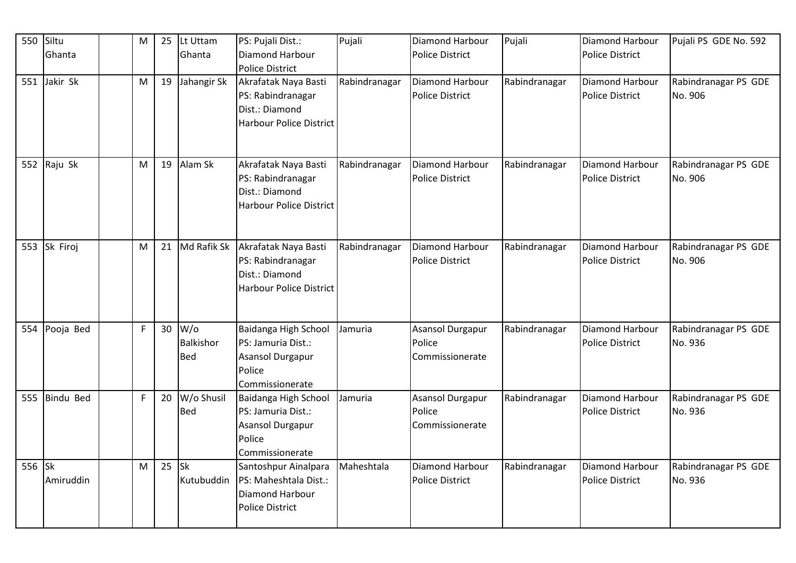| 550 | Siltu<br>Ghanta        | M            | 25 | Lt Uttam<br>Ghanta                  | PS: Pujali Dist.:<br>Diamond Harbour                                                               | Pujali        | Diamond Harbour<br><b>Police District</b>        | Pujali        | Diamond Harbour<br><b>Police District</b>        | Pujali PS GDE No. 592           |
|-----|------------------------|--------------|----|-------------------------------------|----------------------------------------------------------------------------------------------------|---------------|--------------------------------------------------|---------------|--------------------------------------------------|---------------------------------|
|     |                        |              |    |                                     | <b>Police District</b>                                                                             |               |                                                  |               |                                                  |                                 |
|     | 551 Jakir Sk           | M            |    | 19 Jahangir Sk                      | Akrafatak Naya Basti<br>PS: Rabindranagar<br>Dist.: Diamond<br><b>Harbour Police District</b>      | Rabindranagar | <b>Diamond Harbour</b><br><b>Police District</b> | Rabindranagar | <b>Diamond Harbour</b><br>Police District        | Rabindranagar PS GDE<br>No. 906 |
|     | 552 Raju Sk            | M            |    | 19 Alam Sk                          | Akrafatak Naya Basti<br>PS: Rabindranagar<br>Dist.: Diamond<br><b>Harbour Police District</b>      | Rabindranagar | Diamond Harbour<br><b>Police District</b>        | Rabindranagar | Diamond Harbour<br><b>Police District</b>        | Rabindranagar PS GDE<br>No. 906 |
| 553 | Sk Firoj               | M            | 21 | Md Rafik Sk                         | Akrafatak Naya Basti<br>PS: Rabindranagar<br>Dist.: Diamond<br><b>Harbour Police District</b>      | Rabindranagar | Diamond Harbour<br><b>Police District</b>        | Rabindranagar | Diamond Harbour<br>Police District               | Rabindranagar PS GDE<br>No. 906 |
| 554 | Pooja Bed              | $\mathsf{F}$ |    | $30$ W/o<br>Balkishor<br><b>Bed</b> | Baidanga High School<br>PS: Jamuria Dist.:<br><b>Asansol Durgapur</b><br>Police<br>Commissionerate | Jamuria       | Asansol Durgapur<br>Police<br>Commissionerate    | Rabindranagar | Diamond Harbour<br><b>Police District</b>        | Rabindranagar PS GDE<br>No. 936 |
| 555 | Bindu Bed              | $\mathsf F$  | 20 | W/o Shusil<br><b>Bed</b>            | Baidanga High School<br>PS: Jamuria Dist.:<br>Asansol Durgapur<br>Police<br>Commissionerate        | Jamuria       | Asansol Durgapur<br>Police<br>Commissionerate    | Rabindranagar | <b>Diamond Harbour</b><br><b>Police District</b> | Rabindranagar PS GDE<br>No. 936 |
| 556 | <b>Sk</b><br>Amiruddin | M            | 25 | <b>Sk</b><br>Kutubuddin             | Santoshpur Ainalpara<br>PS: Maheshtala Dist.:<br>Diamond Harbour<br><b>Police District</b>         | Maheshtala    | Diamond Harbour<br><b>Police District</b>        | Rabindranagar | <b>Diamond Harbour</b><br>Police District        | Rabindranagar PS GDE<br>No. 936 |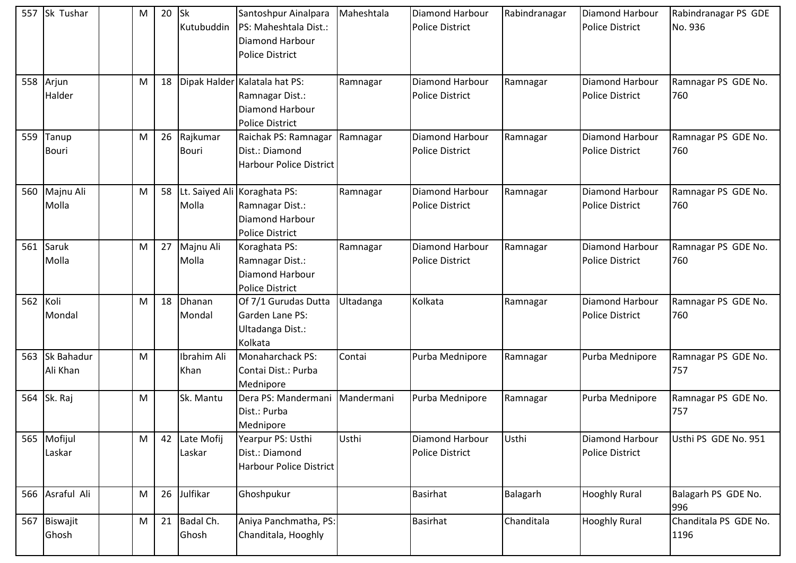|          | 557 Sk Tushar          | M | 20 | <b>Sk</b><br>Kutubuddin  | Santoshpur Ainalpara<br>PS: Maheshtala Dist.:<br><b>Diamond Harbour</b><br><b>Police District</b> | Maheshtala | <b>Diamond Harbour</b><br><b>Police District</b> | Rabindranagar | <b>Diamond Harbour</b><br><b>Police District</b> | Rabindranagar PS GDE<br>No. 936 |
|----------|------------------------|---|----|--------------------------|---------------------------------------------------------------------------------------------------|------------|--------------------------------------------------|---------------|--------------------------------------------------|---------------------------------|
| 558      | Arjun<br>Halder        | M | 18 |                          | Dipak Halder Kalatala hat PS:<br>Ramnagar Dist.:<br>Diamond Harbour<br><b>Police District</b>     | Ramnagar   | Diamond Harbour<br><b>Police District</b>        | Ramnagar      | <b>Diamond Harbour</b><br><b>Police District</b> | Ramnagar PS GDE No.<br>760      |
| 559      | Tanup<br><b>Bouri</b>  | M | 26 | Rajkumar<br><b>Bouri</b> | Raichak PS: Ramnagar<br>Dist.: Diamond<br><b>Harbour Police District</b>                          | Ramnagar   | Diamond Harbour<br><b>Police District</b>        | Ramnagar      | <b>Diamond Harbour</b><br><b>Police District</b> | Ramnagar PS GDE No.<br>760      |
| 560      | Majnu Ali<br>Molla     | M | 58 | Lt. Saiyed Ali<br>Molla  | Koraghata PS:<br>Ramnagar Dist.:<br>Diamond Harbour<br><b>Police District</b>                     | Ramnagar   | Diamond Harbour<br><b>Police District</b>        | Ramnagar      | <b>Diamond Harbour</b><br><b>Police District</b> | Ramnagar PS GDE No.<br>760      |
| 561      | Saruk<br>Molla         | M | 27 | Majnu Ali<br>Molla       | Koraghata PS:<br>Ramnagar Dist.:<br>Diamond Harbour<br><b>Police District</b>                     | Ramnagar   | Diamond Harbour<br><b>Police District</b>        | Ramnagar      | <b>Diamond Harbour</b><br><b>Police District</b> | Ramnagar PS GDE No.<br>760      |
| 562 Koli | Mondal                 | M | 18 | Dhanan<br>Mondal         | Of 7/1 Gurudas Dutta<br>Garden Lane PS:<br>Ultadanga Dist.:<br>Kolkata                            | Ultadanga  | Kolkata                                          | Ramnagar      | <b>Diamond Harbour</b><br><b>Police District</b> | Ramnagar PS GDE No.<br>760      |
| 563      | Sk Bahadur<br>Ali Khan | M |    | Ibrahim Ali<br>Khan      | Monaharchack PS:<br>Contai Dist.: Purba<br>Mednipore                                              | Contai     | Purba Mednipore                                  | Ramnagar      | Purba Mednipore                                  | Ramnagar PS GDE No.<br>757      |
|          | 564 Sk. Raj            | M |    | Sk. Mantu                | Dera PS: Mandermani<br>Dist.: Purba<br>Mednipore                                                  | Mandermani | Purba Mednipore                                  | Ramnagar      | Purba Mednipore                                  | Ramnagar PS GDE No.<br>757      |
|          | 565 Mofijul<br>Laskar  | M |    | 42 Late Mofij<br>Laskar  | Yearpur PS: Usthi<br>Dist.: Diamond<br><b>Harbour Police District</b>                             | Usthi      | Diamond Harbour<br><b>Police District</b>        | Usthi         | <b>Diamond Harbour</b><br><b>Police District</b> | Usthi PS GDE No. 951            |
|          | 566 Asraful Ali        | M | 26 | Julfikar                 | Ghoshpukur                                                                                        |            | <b>Basirhat</b>                                  | Balagarh      | <b>Hooghly Rural</b>                             | Balagarh PS GDE No.<br>996      |
| 567      | Biswajit<br>Ghosh      | M | 21 | Badal Ch.<br>Ghosh       | Aniya Panchmatha, PS:<br>Chanditala, Hooghly                                                      |            | Basirhat                                         | Chanditala    | <b>Hooghly Rural</b>                             | Chanditala PS GDE No.<br>1196   |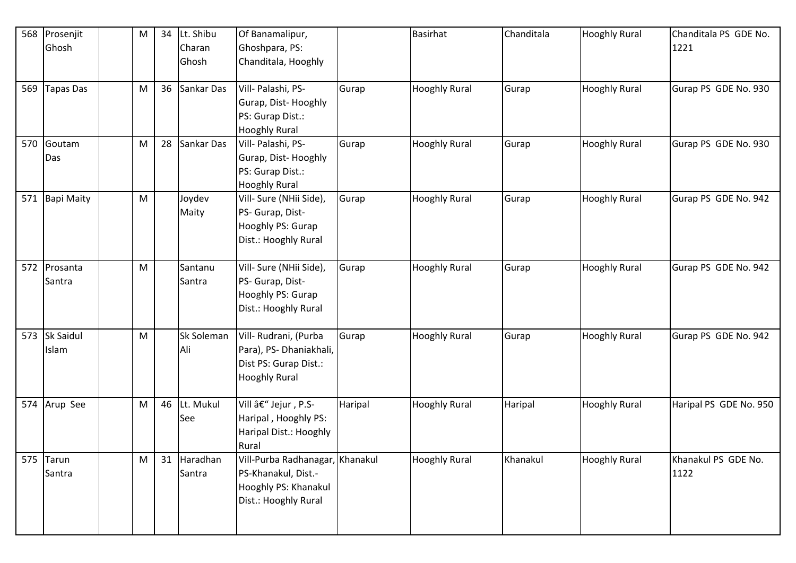| 568 | Prosenjit         | ${\sf M}$ | 34 | Lt. Shibu     | Of Banamalipur,                 |         | <b>Basirhat</b>      | Chanditala | <b>Hooghly Rural</b> | Chanditala PS GDE No.  |
|-----|-------------------|-----------|----|---------------|---------------------------------|---------|----------------------|------------|----------------------|------------------------|
|     | Ghosh             |           |    | Charan        | Ghoshpara, PS:                  |         |                      |            |                      | 1221                   |
|     |                   |           |    | Ghosh         | Chanditala, Hooghly             |         |                      |            |                      |                        |
| 569 | Tapas Das         | M         |    | 36 Sankar Das | Vill- Palashi, PS-              | Gurap   | <b>Hooghly Rural</b> | Gurap      | <b>Hooghly Rural</b> | Gurap PS GDE No. 930   |
|     |                   |           |    |               | Gurap, Dist-Hooghly             |         |                      |            |                      |                        |
|     |                   |           |    |               | PS: Gurap Dist.:                |         |                      |            |                      |                        |
|     |                   |           |    |               | <b>Hooghly Rural</b>            |         |                      |            |                      |                        |
| 570 | Goutam            | M         | 28 | Sankar Das    | Vill- Palashi, PS-              | Gurap   | <b>Hooghly Rural</b> | Gurap      | <b>Hooghly Rural</b> | Gurap PS GDE No. 930   |
|     | Das               |           |    |               | Gurap, Dist-Hooghly             |         |                      |            |                      |                        |
|     |                   |           |    |               | PS: Gurap Dist.:                |         |                      |            |                      |                        |
|     |                   |           |    |               | <b>Hooghly Rural</b>            |         |                      |            |                      |                        |
| 571 | <b>Bapi Maity</b> | M         |    | Joydev        | Vill- Sure (NHii Side),         | Gurap   | <b>Hooghly Rural</b> | Gurap      | <b>Hooghly Rural</b> | Gurap PS GDE No. 942   |
|     |                   |           |    | Maity         | PS- Gurap, Dist-                |         |                      |            |                      |                        |
|     |                   |           |    |               | Hooghly PS: Gurap               |         |                      |            |                      |                        |
|     |                   |           |    |               | Dist.: Hooghly Rural            |         |                      |            |                      |                        |
| 572 | Prosanta          | M         |    | Santanu       | Vill- Sure (NHii Side),         | Gurap   | <b>Hooghly Rural</b> | Gurap      | <b>Hooghly Rural</b> | Gurap PS GDE No. 942   |
|     | Santra            |           |    | Santra        | PS- Gurap, Dist-                |         |                      |            |                      |                        |
|     |                   |           |    |               | Hooghly PS: Gurap               |         |                      |            |                      |                        |
|     |                   |           |    |               | Dist.: Hooghly Rural            |         |                      |            |                      |                        |
| 573 | <b>Sk Saidul</b>  | M         |    | Sk Soleman    | Vill- Rudrani, (Purba           | Gurap   | <b>Hooghly Rural</b> | Gurap      | <b>Hooghly Rural</b> | Gurap PS GDE No. 942   |
|     | Islam             |           |    | Ali           | Para), PS-Dhaniakhali,          |         |                      |            |                      |                        |
|     |                   |           |    |               | Dist PS: Gurap Dist.:           |         |                      |            |                      |                        |
|     |                   |           |    |               | <b>Hooghly Rural</b>            |         |                      |            |                      |                        |
|     |                   |           |    |               |                                 |         |                      |            |                      |                        |
| 574 | Arup See          | M         | 46 | Lt. Mukul     | Vill – Jejur, P.S-              | Haripal | <b>Hooghly Rural</b> | Haripal    | <b>Hooghly Rural</b> | Haripal PS GDE No. 950 |
|     |                   |           |    | See           | Haripal, Hooghly PS:            |         |                      |            |                      |                        |
|     |                   |           |    |               | Haripal Dist.: Hooghly          |         |                      |            |                      |                        |
|     |                   |           |    |               | Rural                           |         |                      |            |                      |                        |
| 575 | <b>Tarun</b>      | ${\sf M}$ | 31 | Haradhan      | Vill-Purba Radhanagar, Khanakul |         | <b>Hooghly Rural</b> | Khanakul   | <b>Hooghly Rural</b> | Khanakul PS GDE No.    |
|     | Santra            |           |    | Santra        | PS-Khanakul, Dist.-             |         |                      |            |                      | 1122                   |
|     |                   |           |    |               | Hooghly PS: Khanakul            |         |                      |            |                      |                        |
|     |                   |           |    |               | Dist.: Hooghly Rural            |         |                      |            |                      |                        |
|     |                   |           |    |               |                                 |         |                      |            |                      |                        |
|     |                   |           |    |               |                                 |         |                      |            |                      |                        |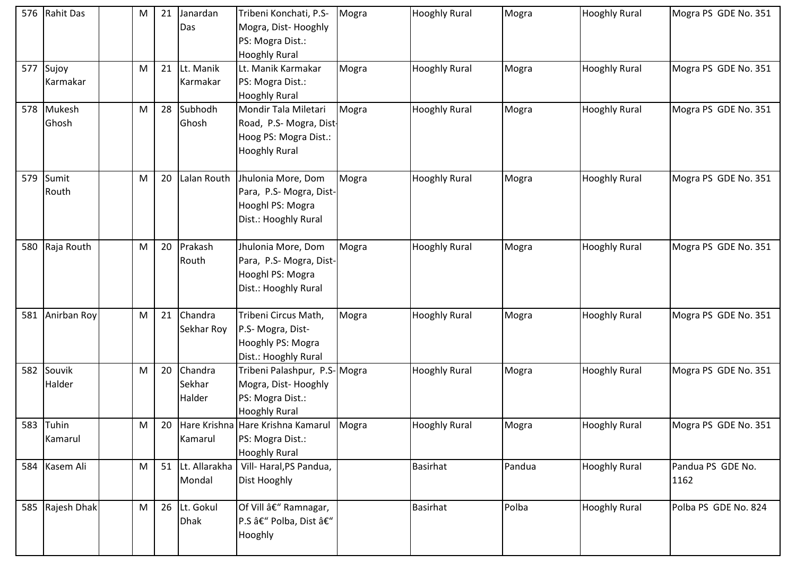| 576 | Rahit Das         | M | 21 | Janardan<br>Das             | Tribeni Konchati, P.S-<br>Mogra, Dist-Hooghly<br>PS: Mogra Dist.:<br><b>Hooghly Rural</b>        | Mogra | <b>Hooghly Rural</b> | Mogra  | <b>Hooghly Rural</b> | Mogra PS GDE No. 351      |
|-----|-------------------|---|----|-----------------------------|--------------------------------------------------------------------------------------------------|-------|----------------------|--------|----------------------|---------------------------|
| 577 | Sujoy<br>Karmakar | M |    | 21 Lt. Manik<br>Karmakar    | Lt. Manik Karmakar<br>PS: Mogra Dist.:<br><b>Hooghly Rural</b>                                   | Mogra | <b>Hooghly Rural</b> | Mogra  | <b>Hooghly Rural</b> | Mogra PS GDE No. 351      |
| 578 | Mukesh<br>Ghosh   | M | 28 | Subhodh<br>Ghosh            | Mondir Tala Miletari<br>Road, P.S- Mogra, Dist-<br>Hoog PS: Mogra Dist.:<br><b>Hooghly Rural</b> | Mogra | <b>Hooghly Rural</b> | Mogra  | <b>Hooghly Rural</b> | Mogra PS GDE No. 351      |
| 579 | Sumit<br>Routh    | M | 20 | Lalan Routh                 | Jhulonia More, Dom<br>Para, P.S- Mogra, Dist-<br>Hooghl PS: Mogra<br>Dist.: Hooghly Rural        | Mogra | <b>Hooghly Rural</b> | Mogra  | <b>Hooghly Rural</b> | Mogra PS GDE No. 351      |
| 580 | Raja Routh        | M | 20 | Prakash<br>Routh            | Jhulonia More, Dom<br>Para, P.S- Mogra, Dist-<br>Hooghl PS: Mogra<br>Dist.: Hooghly Rural        | Mogra | <b>Hooghly Rural</b> | Mogra  | <b>Hooghly Rural</b> | Mogra PS GDE No. 351      |
| 581 | Anirban Roy       | M |    | 21 Chandra<br>Sekhar Roy    | Tribeni Circus Math,<br>P.S- Mogra, Dist-<br>Hooghly PS: Mogra<br>Dist.: Hooghly Rural           | Mogra | <b>Hooghly Rural</b> | Mogra  | <b>Hooghly Rural</b> | Mogra PS GDE No. 351      |
| 582 | Souvik<br>Halder  | M | 20 | Chandra<br>Sekhar<br>Halder | Tribeni Palashpur, P.S-Mogra<br>Mogra, Dist-Hooghly<br>PS: Mogra Dist.:<br><b>Hooghly Rural</b>  |       | <b>Hooghly Rural</b> | Mogra  | <b>Hooghly Rural</b> | Mogra PS GDE No. 351      |
| 583 | Tuhin<br>Kamarul  | M |    | Kamarul                     | 20 Hare Krishna Hare Krishna Kamarul<br>PS: Mogra Dist.:<br><b>Hooghly Rural</b>                 | Mogra | <b>Hooghly Rural</b> | Mogra  | <b>Hooghly Rural</b> | Mogra PS GDE No. 351      |
| 584 | Kasem Ali         | M |    | 51 Lt. Allarakha<br>Mondal  | Vill- Haral, PS Pandua,<br>Dist Hooghly                                                          |       | <b>Basirhat</b>      | Pandua | <b>Hooghly Rural</b> | Pandua PS GDE No.<br>1162 |
| 585 | Rajesh Dhak       | M |    | 26 Lt. Gokul<br><b>Dhak</b> | Of Vill – Ramnagar,<br>P.S – Polba, Dist –<br>Hooghly                                            |       | <b>Basirhat</b>      | Polba  | <b>Hooghly Rural</b> | Polba PS GDE No. 824      |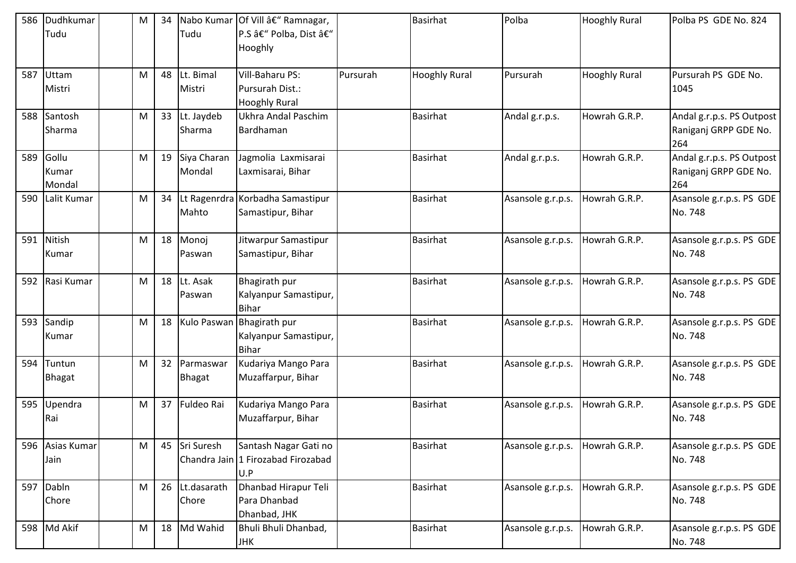| 586 | Dudhkumar<br>Tudu        | M | 34 | Tudu                       | Nabo Kumar Of Vill â€" Ramnagar,<br>P.S – Polba, Dist –<br>Hooghly |          | <b>Basirhat</b>      | Polba             | <b>Hooghly Rural</b> | Polba PS GDE No. 824                                      |
|-----|--------------------------|---|----|----------------------------|--------------------------------------------------------------------|----------|----------------------|-------------------|----------------------|-----------------------------------------------------------|
| 587 | Uttam<br>Mistri          | M |    | 48 Lt. Bimal<br>Mistri     | Vill-Baharu PS:<br>Pursurah Dist.:<br><b>Hooghly Rural</b>         | Pursurah | <b>Hooghly Rural</b> | Pursurah          | <b>Hooghly Rural</b> | Pursurah PS GDE No.<br>1045                               |
| 588 | Santosh<br>Sharma        | M | 33 | Lt. Jaydeb<br>Sharma       | Ukhra Andal Paschim<br>Bardhaman                                   |          | Basirhat             | Andal g.r.p.s.    | Howrah G.R.P.        | Andal g.r.p.s. PS Outpost<br>Raniganj GRPP GDE No.<br>264 |
| 589 | Gollu<br>Kumar<br>Mondal | M | 19 | Siya Charan<br>Mondal      | Jagmolia Laxmisarai<br>Laxmisarai, Bihar                           |          | <b>Basirhat</b>      | Andal g.r.p.s.    | Howrah G.R.P.        | Andal g.r.p.s. PS Outpost<br>Raniganj GRPP GDE No.<br>264 |
| 590 | Lalit Kumar              | M | 34 | Mahto                      | Lt Ragenrdra Korbadha Samastipur<br>Samastipur, Bihar              |          | <b>Basirhat</b>      | Asansole g.r.p.s. | Howrah G.R.P.        | Asansole g.r.p.s. PS GDE<br>No. 748                       |
| 591 | Nitish<br>Kumar          | M |    | 18 Monoj<br>Paswan         | Jitwarpur Samastipur<br>Samastipur, Bihar                          |          | <b>Basirhat</b>      | Asansole g.r.p.s. | Howrah G.R.P.        | Asansole g.r.p.s. PS GDE<br>No. 748                       |
| 592 | Rasi Kumar               | M | 18 | Lt. Asak<br>Paswan         | <b>Bhagirath pur</b><br>Kalyanpur Samastipur,<br>Bihar             |          | <b>Basirhat</b>      | Asansole g.r.p.s. | Howrah G.R.P.        | Asansole g.r.p.s. PS GDE<br>No. 748                       |
| 593 | Sandip<br>Kumar          | M | 18 |                            | Kulo Paswan Bhagirath pur<br>Kalyanpur Samastipur,<br>Bihar        |          | <b>Basirhat</b>      | Asansole g.r.p.s. | Howrah G.R.P.        | Asansole g.r.p.s. PS GDE<br>No. 748                       |
| 594 | Tuntun<br><b>Bhagat</b>  | M | 32 | Parmaswar<br><b>Bhagat</b> | Kudariya Mango Para<br>Muzaffarpur, Bihar                          |          | <b>Basirhat</b>      | Asansole g.r.p.s. | Howrah G.R.P.        | Asansole g.r.p.s. PS GDE<br>No. 748                       |
| 595 | Upendra<br>Rai           | M | 37 | Fuldeo Rai                 | Kudariya Mango Para<br>Muzaffarpur, Bihar                          |          | <b>Basirhat</b>      | Asansole g.r.p.s. | Howrah G.R.P.        | Asansole g.r.p.s. PS GDE<br>No. 748                       |
| 596 | Asias Kumar<br>Jain      | M | 45 | Sri Suresh                 | Santash Nagar Gati no<br>Chandra Jain 1 Firozabad Firozabad<br>U.P |          | <b>Basirhat</b>      | Asansole g.r.p.s. | Howrah G.R.P.        | Asansole g.r.p.s. PS GDE<br>No. 748                       |
| 597 | Dabln<br>Chore           | M | 26 | Lt.dasarath<br>Chore       | Dhanbad Hirapur Teli<br>Para Dhanbad<br>Dhanbad, JHK               |          | <b>Basirhat</b>      | Asansole g.r.p.s. | Howrah G.R.P.        | Asansole g.r.p.s. PS GDE<br>No. 748                       |
| 598 | Md Akif                  | M |    | 18 Md Wahid                | Bhuli Bhuli Dhanbad,<br><b>JHK</b>                                 |          | <b>Basirhat</b>      | Asansole g.r.p.s. | Howrah G.R.P.        | Asansole g.r.p.s. PS GDE<br>No. 748                       |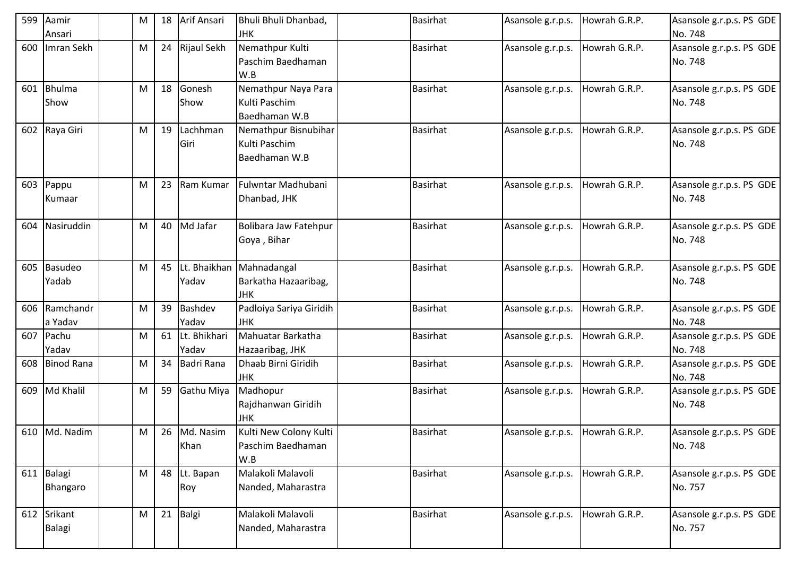| 599 | Aamir                   | M | 18 | Arif Ansari           | Bhuli Bhuli Dhanbad,                                           | Basirhat        | Asansole g.r.p.s. | Howrah G.R.P. | Asansole g.r.p.s. PS GDE            |
|-----|-------------------------|---|----|-----------------------|----------------------------------------------------------------|-----------------|-------------------|---------------|-------------------------------------|
|     | Ansari                  |   |    |                       | <b>JHK</b>                                                     |                 |                   |               | No. 748                             |
| 600 | Imran Sekh              | M |    | 24 Rijaul Sekh        | Nemathpur Kulti<br>Paschim Baedhaman<br>W.B                    | <b>Basirhat</b> | Asansole g.r.p.s. | Howrah G.R.P. | Asansole g.r.p.s. PS GDE<br>No. 748 |
| 601 | <b>Bhulma</b>           | M | 18 | Gonesh                | Nemathpur Naya Para                                            | <b>Basirhat</b> | Asansole g.r.p.s. | Howrah G.R.P. | Asansole g.r.p.s. PS GDE            |
|     | Show                    |   |    | Show                  | Kulti Paschim<br>Baedhaman W.B                                 |                 |                   |               | No. 748                             |
| 602 | Raya Giri               | M | 19 | Lachhman<br>Giri      | Nemathpur Bisnubihar<br>Kulti Paschim<br>Baedhaman W.B         | <b>Basirhat</b> | Asansole g.r.p.s. | Howrah G.R.P. | Asansole g.r.p.s. PS GDE<br>No. 748 |
| 603 | Pappu<br>Kumaar         | M | 23 | Ram Kumar             | Fulwntar Madhubani<br>Dhanbad, JHK                             | Basirhat        | Asansole g.r.p.s. | Howrah G.R.P. | Asansole g.r.p.s. PS GDE<br>No. 748 |
| 604 | Nasiruddin              | M |    | 40 Md Jafar           | Bolibara Jaw Fatehpur<br>Goya, Bihar                           | <b>Basirhat</b> | Asansole g.r.p.s. | Howrah G.R.P. | Asansole g.r.p.s. PS GDE<br>No. 748 |
| 605 | <b>Basudeo</b><br>Yadab | M | 45 | Yadav                 | Lt. Bhaikhan Mahnadangal<br>Barkatha Hazaaribag,<br><b>JHK</b> | <b>Basirhat</b> | Asansole g.r.p.s. | Howrah G.R.P. | Asansole g.r.p.s. PS GDE<br>No. 748 |
| 606 | Ramchandr<br>a Yadav    | M | 39 | Bashdev<br>Yadav      | Padloiya Sariya Giridih<br><b>JHK</b>                          | <b>Basirhat</b> | Asansole g.r.p.s. | Howrah G.R.P. | Asansole g.r.p.s. PS GDE<br>No. 748 |
| 607 | Pachu<br>Yadav          | M | 61 | Lt. Bhikhari<br>Yadav | Mahuatar Barkatha<br>Hazaaribag, JHK                           | <b>Basirhat</b> | Asansole g.r.p.s. | Howrah G.R.P. | Asansole g.r.p.s. PS GDE<br>No. 748 |
| 608 | Binod Rana              | M | 34 | Badri Rana            | Dhaab Birni Giridih<br><b>JHK</b>                              | <b>Basirhat</b> | Asansole g.r.p.s. | Howrah G.R.P. | Asansole g.r.p.s. PS GDE<br>No. 748 |
| 609 | Md Khalil               | M | 59 | Gathu Miya            | Madhopur<br>Rajdhanwan Giridih<br><b>JHK</b>                   | <b>Basirhat</b> | Asansole g.r.p.s. | Howrah G.R.P. | Asansole g.r.p.s. PS GDE<br>No. 748 |
|     | 610 Md. Nadim           | M |    | 26 Md. Nasim<br>Khan  | Kulti New Colony Kulti<br>Paschim Baedhaman<br>W.B             | <b>Basirhat</b> | Asansole g.r.p.s. | Howrah G.R.P. | Asansole g.r.p.s. PS GDE<br>No. 748 |
| 611 | Balagi<br>Bhangaro      | M |    | 48 Lt. Bapan<br>Roy   | Malakoli Malavoli<br>Nanded, Maharastra                        | <b>Basirhat</b> | Asansole g.r.p.s. | Howrah G.R.P. | Asansole g.r.p.s. PS GDE<br>No. 757 |
| 612 | Srikant<br>Balagi       | M | 21 | Balgi                 | Malakoli Malavoli<br>Nanded, Maharastra                        | Basirhat        | Asansole g.r.p.s. | Howrah G.R.P. | Asansole g.r.p.s. PS GDE<br>No. 757 |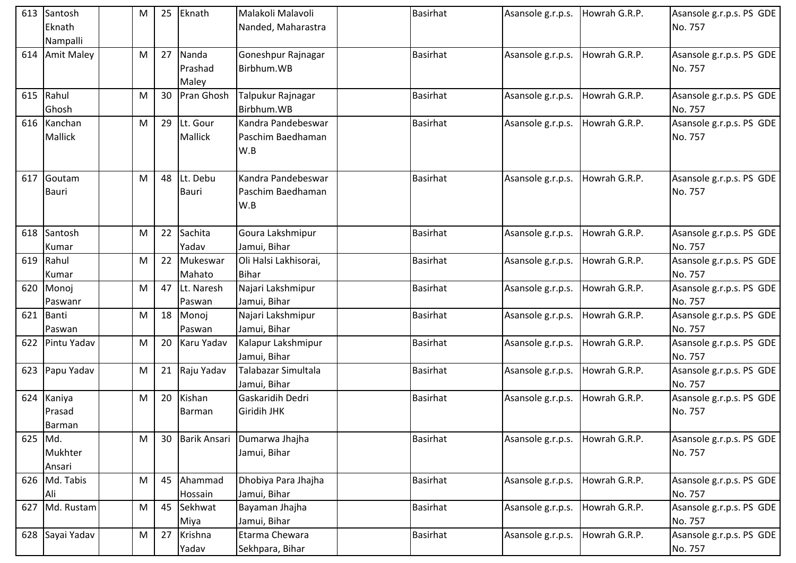| 613 | Santosh<br>Eknath                 | M         | 25 | Eknath                     | Malakoli Malavoli                              | <b>Basirhat</b> | Asansole g.r.p.s. | Howrah G.R.P. | Asansole g.r.p.s. PS GDE<br>No. 757 |
|-----|-----------------------------------|-----------|----|----------------------------|------------------------------------------------|-----------------|-------------------|---------------|-------------------------------------|
|     | Nampalli                          |           |    |                            | Nanded, Maharastra                             |                 |                   |               |                                     |
| 614 | <b>Amit Maley</b>                 | M         | 27 | Nanda<br>Prashad<br>Maley  | Goneshpur Rajnagar<br>Birbhum.WB               | <b>Basirhat</b> | Asansole g.r.p.s. | Howrah G.R.P. | Asansole g.r.p.s. PS GDE<br>No. 757 |
| 615 | Rahul<br>Ghosh                    | M         | 30 | Pran Ghosh                 | Talpukur Rajnagar<br>Birbhum.WB                | <b>Basirhat</b> | Asansole g.r.p.s. | Howrah G.R.P. | Asansole g.r.p.s. PS GDE<br>No. 757 |
| 616 | Kanchan<br><b>Mallick</b>         | M         | 29 | Lt. Gour<br><b>Mallick</b> | Kandra Pandebeswar<br>Paschim Baedhaman<br>W.B | <b>Basirhat</b> | Asansole g.r.p.s. | Howrah G.R.P. | Asansole g.r.p.s. PS GDE<br>No. 757 |
| 617 | Goutam<br><b>Bauri</b>            | M         | 48 | Lt. Debu<br><b>Bauri</b>   | Kandra Pandebeswar<br>Paschim Baedhaman<br>W.B | <b>Basirhat</b> | Asansole g.r.p.s. | Howrah G.R.P. | Asansole g.r.p.s. PS GDE<br>No. 757 |
|     | 618 Santosh<br>Kumar              | M         | 22 | Sachita<br>Yadav           | Goura Lakshmipur<br>Jamui, Bihar               | <b>Basirhat</b> | Asansole g.r.p.s. | Howrah G.R.P. | Asansole g.r.p.s. PS GDE<br>No. 757 |
| 619 | Rahul<br>Kumar                    | M         | 22 | Mukeswar<br>Mahato         | Oli Halsi Lakhisorai,<br><b>Bihar</b>          | <b>Basirhat</b> | Asansole g.r.p.s. | Howrah G.R.P. | Asansole g.r.p.s. PS GDE<br>No. 757 |
| 620 | Monoj<br>Paswanr                  | M         | 47 | Lt. Naresh<br>Paswan       | Najari Lakshmipur<br>Jamui, Bihar              | <b>Basirhat</b> | Asansole g.r.p.s. | Howrah G.R.P. | Asansole g.r.p.s. PS GDE<br>No. 757 |
| 621 | Banti<br>Paswan                   | M         | 18 | Monoj<br>Paswan            | Najari Lakshmipur<br>Jamui, Bihar              | <b>Basirhat</b> | Asansole g.r.p.s. | Howrah G.R.P. | Asansole g.r.p.s. PS GDE<br>No. 757 |
| 622 | Pintu Yadav                       | M         | 20 | Karu Yadav                 | Kalapur Lakshmipur<br>Jamui, Bihar             | <b>Basirhat</b> | Asansole g.r.p.s. | Howrah G.R.P. | Asansole g.r.p.s. PS GDE<br>No. 757 |
| 623 | Papu Yadav                        | M         | 21 | Raju Yadav                 | Talabazar Simultala<br>Jamui, Bihar            | <b>Basirhat</b> | Asansole g.r.p.s. | Howrah G.R.P. | Asansole g.r.p.s. PS GDE<br>No. 757 |
| 624 | Kaniya<br>Prasad<br><b>Barman</b> | M         | 20 | Kishan<br><b>Barman</b>    | Gaskaridih Dedri<br>Giridih JHK                | <b>Basirhat</b> | Asansole g.r.p.s. | Howrah G.R.P. | Asansole g.r.p.s. PS GDE<br>No. 757 |
| 625 | Md.<br>Mukhter<br>Ansari          | M         | 30 | Barik Ansari               | Dumarwa Jhajha<br>Jamui, Bihar                 | Basirhat        | Asansole g.r.p.s. | Howrah G.R.P. | Asansole g.r.p.s. PS GDE<br>No. 757 |
| 626 | Md. Tabis<br>Ali                  | ${\sf M}$ | 45 | Ahammad<br>Hossain         | Dhobiya Para Jhajha<br>Jamui, Bihar            | <b>Basirhat</b> | Asansole g.r.p.s. | Howrah G.R.P. | Asansole g.r.p.s. PS GDE<br>No. 757 |
| 627 | Md. Rustam                        | M         | 45 | Sekhwat<br>Miya            | Bayaman Jhajha<br>Jamui, Bihar                 | <b>Basirhat</b> | Asansole g.r.p.s. | Howrah G.R.P. | Asansole g.r.p.s. PS GDE<br>No. 757 |
| 628 | Sayai Yadav                       | M         | 27 | Krishna<br>Yadav           | Etarma Chewara<br>Sekhpara, Bihar              | Basirhat        | Asansole g.r.p.s. | Howrah G.R.P. | Asansole g.r.p.s. PS GDE<br>No. 757 |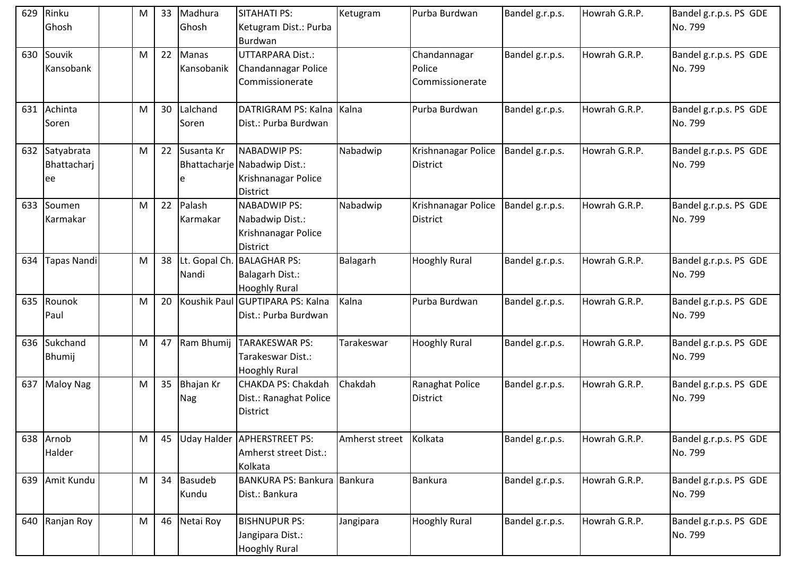| 629 | Rinku<br>Ghosh                   | M | 33 | Madhura<br>Ghosh           | <b>SITAHATI PS:</b><br>Ketugram Dist.: Purba<br>Burdwan                                       | Ketugram       | Purba Burdwan                             | Bandel g.r.p.s. | Howrah G.R.P. | Bandel g.r.p.s. PS GDE<br>No. 799 |
|-----|----------------------------------|---|----|----------------------------|-----------------------------------------------------------------------------------------------|----------------|-------------------------------------------|-----------------|---------------|-----------------------------------|
| 630 | Souvik<br>Kansobank              | M | 22 | Manas<br>Kansobanik        | <b>UTTARPARA Dist.:</b><br>Chandannagar Police<br>Commissionerate                             |                | Chandannagar<br>Police<br>Commissionerate | Bandel g.r.p.s. | Howrah G.R.P. | Bandel g.r.p.s. PS GDE<br>No. 799 |
| 631 | Achinta<br>Soren                 | M |    | 30 Lalchand<br>Soren       | DATRIGRAM PS: Kalna<br>Dist.: Purba Burdwan                                                   | Kalna          | Purba Burdwan                             | Bandel g.r.p.s. | Howrah G.R.P. | Bandel g.r.p.s. PS GDE<br>No. 799 |
| 632 | Satyabrata<br>Bhattacharj<br>lee | M | 22 | Susanta Kr<br>e            | <b>NABADWIP PS:</b><br>Bhattacharje Nabadwip Dist.:<br>Krishnanagar Police<br><b>District</b> | Nabadwip       | Krishnanagar Police<br><b>District</b>    | Bandel g.r.p.s. | Howrah G.R.P. | Bandel g.r.p.s. PS GDE<br>No. 799 |
| 633 | Soumen<br>Karmakar               | M | 22 | Palash<br>Karmakar         | <b>NABADWIP PS:</b><br>Nabadwip Dist.:<br>Krishnanagar Police<br><b>District</b>              | Nabadwip       | Krishnanagar Police<br><b>District</b>    | Bandel g.r.p.s. | Howrah G.R.P. | Bandel g.r.p.s. PS GDE<br>No. 799 |
| 634 | <b>Tapas Nandi</b>               | M |    | Nandi                      | 38 Lt. Gopal Ch. BALAGHAR PS:<br>Balagarh Dist.:<br><b>Hooghly Rural</b>                      | Balagarh       | <b>Hooghly Rural</b>                      | Bandel g.r.p.s. | Howrah G.R.P. | Bandel g.r.p.s. PS GDE<br>No. 799 |
| 635 | Rounok<br>Paul                   | M |    |                            | 20 Koushik Paul GUPTIPARA PS: Kalna<br>Dist.: Purba Burdwan                                   | Kalna          | Purba Burdwan                             | Bandel g.r.p.s. | Howrah G.R.P. | Bandel g.r.p.s. PS GDE<br>No. 799 |
| 636 | Sukchand<br><b>Bhumij</b>        | M | 47 | Ram Bhumij                 | <b>TARAKESWAR PS:</b><br>Tarakeswar Dist.:<br><b>Hooghly Rural</b>                            | Tarakeswar     | <b>Hooghly Rural</b>                      | Bandel g.r.p.s. | Howrah G.R.P. | Bandel g.r.p.s. PS GDE<br>No. 799 |
| 637 | <b>Maloy Nag</b>                 | M |    | 35 Bhajan Kr<br><b>Nag</b> | CHAKDA PS: Chakdah<br>Dist.: Ranaghat Police<br><b>District</b>                               | Chakdah        | Ranaghat Police<br>District               | Bandel g.r.p.s. | Howrah G.R.P. | Bandel g.r.p.s. PS GDE<br>No. 799 |
| 638 | Arnob<br>Halder                  | M |    |                            | 45 Uday Halder APHERSTREET PS:<br>Amherst street Dist.:<br>Kolkata                            | Amherst street | Kolkata                                   | Bandel g.r.p.s. | Howrah G.R.P. | Bandel g.r.p.s. PS GDE<br>No. 799 |
| 639 | Amit Kundu                       | M |    | 34 Basudeb<br>Kundu        | BANKURA PS: Bankura Bankura<br>Dist.: Bankura                                                 |                | Bankura                                   | Bandel g.r.p.s. | Howrah G.R.P. | Bandel g.r.p.s. PS GDE<br>No. 799 |
| 640 | Ranjan Roy                       | M |    | 46 Netai Roy               | <b>BISHNUPUR PS:</b><br>Jangipara Dist.:<br><b>Hooghly Rural</b>                              | Jangipara      | <b>Hooghly Rural</b>                      | Bandel g.r.p.s. | Howrah G.R.P. | Bandel g.r.p.s. PS GDE<br>No. 799 |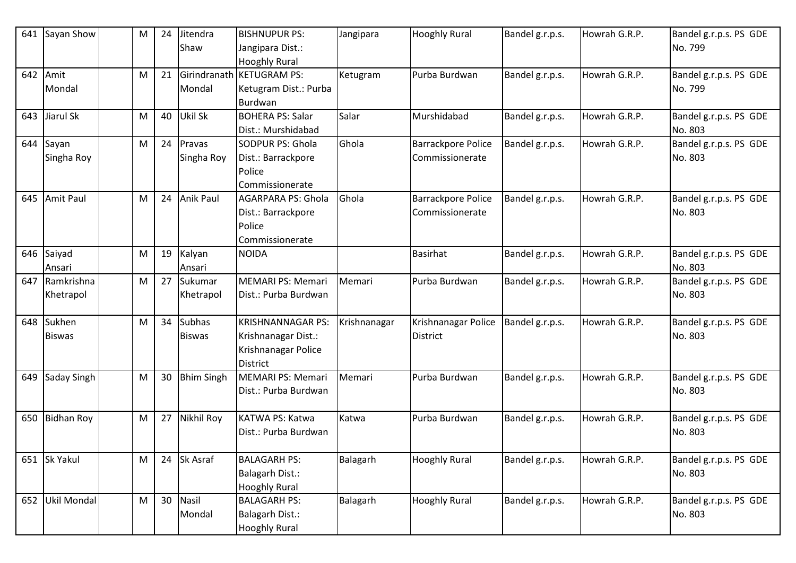| 641 | Sayan Show              | M         | 24 | Jitendra<br>Shaw               | <b>BISHNUPUR PS:</b><br>Jangipara Dist.:<br><b>Hooghly Rural</b>                          | Jangipara    | <b>Hooghly Rural</b>                         | Bandel g.r.p.s. | Howrah G.R.P. | Bandel g.r.p.s. PS GDE<br>No. 799 |
|-----|-------------------------|-----------|----|--------------------------------|-------------------------------------------------------------------------------------------|--------------|----------------------------------------------|-----------------|---------------|-----------------------------------|
| 642 | Amit<br>Mondal          | M         | 21 | Girindranath<br>Mondal         | <b>KETUGRAM PS:</b><br>Ketugram Dist.: Purba<br>Burdwan                                   | Ketugram     | Purba Burdwan                                | Bandel g.r.p.s. | Howrah G.R.P. | Bandel g.r.p.s. PS GDE<br>No. 799 |
| 643 | Jiarul Sk               | M         | 40 | Ukil Sk                        | <b>BOHERA PS: Salar</b><br>Dist.: Murshidabad                                             | Salar        | Murshidabad                                  | Bandel g.r.p.s. | Howrah G.R.P. | Bandel g.r.p.s. PS GDE<br>No. 803 |
| 644 | Sayan<br>Singha Roy     | M         | 24 | Pravas<br>Singha Roy           | <b>SODPUR PS: Ghola</b><br>Dist.: Barrackpore<br>Police<br>Commissionerate                | Ghola        | <b>Barrackpore Police</b><br>Commissionerate | Bandel g.r.p.s. | Howrah G.R.P. | Bandel g.r.p.s. PS GDE<br>No. 803 |
| 645 | Amit Paul               | M         | 24 | <b>Anik Paul</b>               | <b>AGARPARA PS: Ghola</b><br>Dist.: Barrackpore<br>Police<br>Commissionerate              | Ghola        | <b>Barrackpore Police</b><br>Commissionerate | Bandel g.r.p.s. | Howrah G.R.P. | Bandel g.r.p.s. PS GDE<br>No. 803 |
| 646 | Saiyad<br>Ansari        | M         | 19 | Kalyan<br>Ansari               | <b>NOIDA</b>                                                                              |              | <b>Basirhat</b>                              | Bandel g.r.p.s. | Howrah G.R.P. | Bandel g.r.p.s. PS GDE<br>No. 803 |
| 647 | Ramkrishna<br>Khetrapol | M         | 27 | Sukumar<br>Khetrapol           | <b>MEMARI PS: Memari</b><br>Dist.: Purba Burdwan                                          | Memari       | Purba Burdwan                                | Bandel g.r.p.s. | Howrah G.R.P. | Bandel g.r.p.s. PS GDE<br>No. 803 |
| 648 | Sukhen<br><b>Biswas</b> | M         | 34 | <b>Subhas</b><br><b>Biswas</b> | <b>KRISHNANNAGAR PS:</b><br>Krishnanagar Dist.:<br>Krishnanagar Police<br><b>District</b> | Krishnanagar | Krishnanagar Police<br>District              | Bandel g.r.p.s. | Howrah G.R.P. | Bandel g.r.p.s. PS GDE<br>No. 803 |
| 649 | Saday Singh             | M         | 30 | <b>Bhim Singh</b>              | <b>MEMARI PS: Memari</b><br>Dist.: Purba Burdwan                                          | Memari       | Purba Burdwan                                | Bandel g.r.p.s. | Howrah G.R.P. | Bandel g.r.p.s. PS GDE<br>No. 803 |
| 650 | <b>Bidhan Roy</b>       | M         | 27 | <b>Nikhil Roy</b>              | KATWA PS: Katwa<br>Dist.: Purba Burdwan                                                   | Katwa        | Purba Burdwan                                | Bandel g.r.p.s. | Howrah G.R.P. | Bandel g.r.p.s. PS GDE<br>No. 803 |
| 651 | Sk Yakul                | ${\sf M}$ | 24 | Sk Asraf                       | <b>BALAGARH PS:</b><br>Balagarh Dist.:<br><b>Hooghly Rural</b>                            | Balagarh     | <b>Hooghly Rural</b>                         | Bandel g.r.p.s. | Howrah G.R.P. | Bandel g.r.p.s. PS GDE<br>No. 803 |
| 652 | Ukil Mondal             | ${\sf M}$ | 30 | <b>Nasil</b><br>Mondal         | <b>BALAGARH PS:</b><br><b>Balagarh Dist.:</b><br><b>Hooghly Rural</b>                     | Balagarh     | <b>Hooghly Rural</b>                         | Bandel g.r.p.s. | Howrah G.R.P. | Bandel g.r.p.s. PS GDE<br>No. 803 |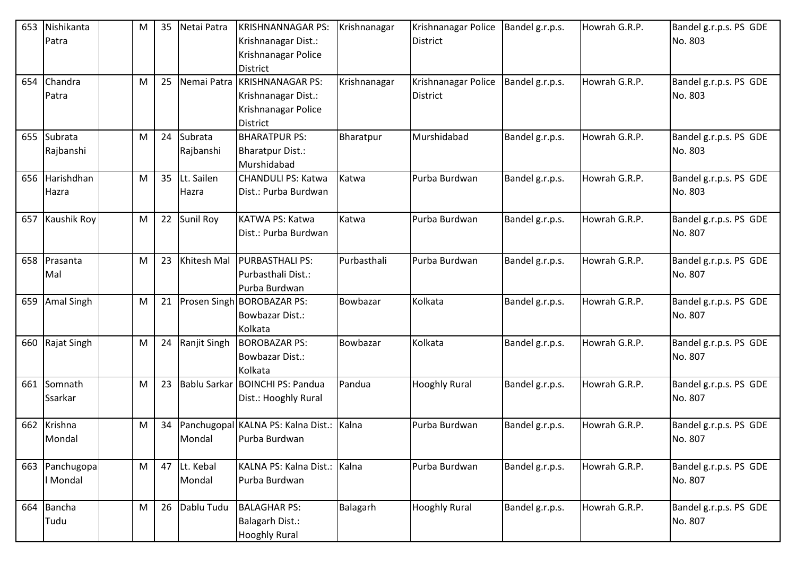| 653 | Nishikanta<br>Patra        | M | 35 | Netai Patra          | <b>KRISHNANNAGAR PS:</b><br>Krishnanagar Dist.:<br>Krishnanagar Police<br><b>District</b> | Krishnanagar | Krishnanagar Police<br><b>District</b> | Bandel g.r.p.s. | Howrah G.R.P. | Bandel g.r.p.s. PS GDE<br>No. 803 |
|-----|----------------------------|---|----|----------------------|-------------------------------------------------------------------------------------------|--------------|----------------------------------------|-----------------|---------------|-----------------------------------|
| 654 | Chandra<br>Patra           | M | 25 | Nemai Patra          | <b>KRISHNANAGAR PS:</b><br>Krishnanagar Dist.:<br>Krishnanagar Police<br><b>District</b>  | Krishnanagar | Krishnanagar Police<br><b>District</b> | Bandel g.r.p.s. | Howrah G.R.P. | Bandel g.r.p.s. PS GDE<br>No. 803 |
|     | 655 Subrata<br>Rajbanshi   | M | 24 | Subrata<br>Rajbanshi | <b>BHARATPUR PS:</b><br><b>Bharatpur Dist.:</b><br>Murshidabad                            | Bharatpur    | Murshidabad                            | Bandel g.r.p.s. | Howrah G.R.P. | Bandel g.r.p.s. PS GDE<br>No. 803 |
| 656 | Harishdhan<br>Hazra        | M | 35 | Lt. Sailen<br>Hazra  | <b>CHANDULI PS: Katwa</b><br>Dist.: Purba Burdwan                                         | Katwa        | Purba Burdwan                          | Bandel g.r.p.s. | Howrah G.R.P. | Bandel g.r.p.s. PS GDE<br>No. 803 |
| 657 | Kaushik Roy                | M | 22 | Sunil Roy            | KATWA PS: Katwa<br>Dist.: Purba Burdwan                                                   | Katwa        | Purba Burdwan                          | Bandel g.r.p.s. | Howrah G.R.P. | Bandel g.r.p.s. PS GDE<br>No. 807 |
| 658 | Prasanta<br>Mal            | M | 23 | Khitesh Mal          | <b>PURBASTHALI PS:</b><br>Purbasthali Dist.:<br>Purba Burdwan                             | Purbasthali  | Purba Burdwan                          | Bandel g.r.p.s. | Howrah G.R.P. | Bandel g.r.p.s. PS GDE<br>No. 807 |
| 659 | <b>Amal Singh</b>          | M | 21 |                      | Prosen Singh BOROBAZAR PS:<br><b>Bowbazar Dist.:</b><br>Kolkata                           | Bowbazar     | Kolkata                                | Bandel g.r.p.s. | Howrah G.R.P. | Bandel g.r.p.s. PS GDE<br>No. 807 |
| 660 | Rajat Singh                | M | 24 | Ranjit Singh         | <b>BOROBAZAR PS:</b><br><b>Bowbazar Dist.:</b><br>Kolkata                                 | Bowbazar     | Kolkata                                | Bandel g.r.p.s. | Howrah G.R.P. | Bandel g.r.p.s. PS GDE<br>No. 807 |
| 661 | Somnath<br>Ssarkar         | M | 23 | <b>Bablu Sarkar</b>  | <b>BOINCHI PS: Pandua</b><br>Dist.: Hooghly Rural                                         | Pandua       | <b>Hooghly Rural</b>                   | Bandel g.r.p.s. | Howrah G.R.P. | Bandel g.r.p.s. PS GDE<br>No. 807 |
| 662 | Krishna<br>Mondal          | M | 34 | Mondal               | Panchugopal KALNA PS: Kalna Dist.:<br>Purba Burdwan                                       | Kalna        | Purba Burdwan                          | Bandel g.r.p.s. | Howrah G.R.P. | Bandel g.r.p.s. PS GDE<br>No. 807 |
|     | 663 Panchugopa<br>I Mondal | M | 47 | Lt. Kebal<br>Mondal  | KALNA PS: Kalna Dist.: Kalna<br>Purba Burdwan                                             |              | Purba Burdwan                          | Bandel g.r.p.s. | Howrah G.R.P. | Bandel g.r.p.s. PS GDE<br>No. 807 |
| 664 | Bancha<br>Tudu             | M | 26 | Dablu Tudu           | <b>BALAGHAR PS:</b><br>Balagarh Dist.:<br><b>Hooghly Rural</b>                            | Balagarh     | <b>Hooghly Rural</b>                   | Bandel g.r.p.s. | Howrah G.R.P. | Bandel g.r.p.s. PS GDE<br>No. 807 |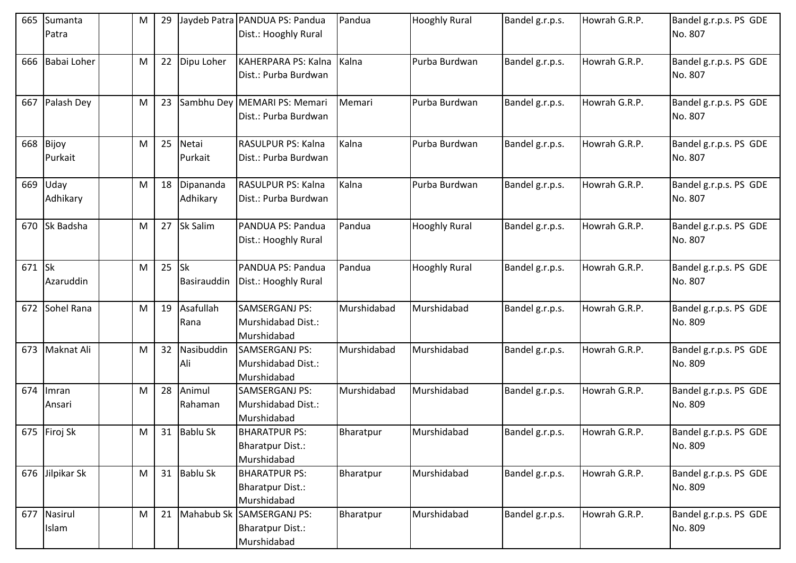| 665 | Sumanta<br>Patra       | M         | 29 |                       | Jaydeb Patra   PANDUA PS: Pandua<br>Dist.: Hooghly Rural       | Pandua      | <b>Hooghly Rural</b> | Bandel g.r.p.s. | Howrah G.R.P. | Bandel g.r.p.s. PS GDE<br>No. 807 |
|-----|------------------------|-----------|----|-----------------------|----------------------------------------------------------------|-------------|----------------------|-----------------|---------------|-----------------------------------|
| 666 | Babai Loher            | M         | 22 | Dipu Loher            | KAHERPARA PS: Kalna<br>Dist.: Purba Burdwan                    | Kalna       | Purba Burdwan        | Bandel g.r.p.s. | Howrah G.R.P. | Bandel g.r.p.s. PS GDE<br>No. 807 |
| 667 | Palash Dey             | M         | 23 |                       | Sambhu Dey MEMARI PS: Memari<br>Dist.: Purba Burdwan           | Memari      | Purba Burdwan        | Bandel g.r.p.s. | Howrah G.R.P. | Bandel g.r.p.s. PS GDE<br>No. 807 |
| 668 | Bijoy<br>Purkait       | M         | 25 | Netai<br>Purkait      | RASULPUR PS: Kalna<br>Dist.: Purba Burdwan                     | Kalna       | Purba Burdwan        | Bandel g.r.p.s. | Howrah G.R.P. | Bandel g.r.p.s. PS GDE<br>No. 807 |
| 669 | Uday<br>Adhikary       | M         | 18 | Dipananda<br>Adhikary | RASULPUR PS: Kalna<br>Dist.: Purba Burdwan                     | Kalna       | Purba Burdwan        | Bandel g.r.p.s. | Howrah G.R.P. | Bandel g.r.p.s. PS GDE<br>No. 807 |
| 670 | Sk Badsha              | M         | 27 | Sk Salim              | PANDUA PS: Pandua<br>Dist.: Hooghly Rural                      | Pandua      | <b>Hooghly Rural</b> | Bandel g.r.p.s. | Howrah G.R.P. | Bandel g.r.p.s. PS GDE<br>No. 807 |
| 671 | <b>Sk</b><br>Azaruddin | M         | 25 | Isk<br>Basirauddin    | PANDUA PS: Pandua<br>Dist.: Hooghly Rural                      | Pandua      | <b>Hooghly Rural</b> | Bandel g.r.p.s. | Howrah G.R.P. | Bandel g.r.p.s. PS GDE<br>No. 807 |
| 672 | Sohel Rana             | M         | 19 | Asafullah<br>Rana     | <b>SAMSERGANJ PS:</b><br>Murshidabad Dist.:<br>Murshidabad     | Murshidabad | Murshidabad          | Bandel g.r.p.s. | Howrah G.R.P. | Bandel g.r.p.s. PS GDE<br>No. 809 |
| 673 | Maknat Ali             | M         | 32 | Nasibuddin<br>Ali     | SAMSERGANJ PS:<br>Murshidabad Dist.:<br>Murshidabad            | Murshidabad | Murshidabad          | Bandel g.r.p.s. | Howrah G.R.P. | Bandel g.r.p.s. PS GDE<br>No. 809 |
| 674 | Imran<br>Ansari        | M         | 28 | Animul<br>Rahaman     | SAMSERGANJ PS:<br>Murshidabad Dist.:<br>Murshidabad            | Murshidabad | Murshidabad          | Bandel g.r.p.s. | Howrah G.R.P. | Bandel g.r.p.s. PS GDE<br>No. 809 |
|     | 675 Firoj Sk           | M         |    | 31 Bablu Sk           | <b>BHARATPUR PS:</b><br><b>Bharatpur Dist.:</b><br>Murshidabad | Bharatpur   | Murshidabad          | Bandel g.r.p.s. | Howrah G.R.P. | Bandel g.r.p.s. PS GDE<br>No. 809 |
| 676 | Jilpikar Sk            | M         |    | 31 Bablu Sk           | <b>BHARATPUR PS:</b><br>Bharatpur Dist.:<br>Murshidabad        | Bharatpur   | Murshidabad          | Bandel g.r.p.s. | Howrah G.R.P. | Bandel g.r.p.s. PS GDE<br>No. 809 |
| 677 | Nasirul<br>Islam       | ${\sf M}$ |    | 21 Mahabub Sk         | SAMSERGANJ PS:<br><b>Bharatpur Dist.:</b><br>Murshidabad       | Bharatpur   | Murshidabad          | Bandel g.r.p.s. | Howrah G.R.P. | Bandel g.r.p.s. PS GDE<br>No. 809 |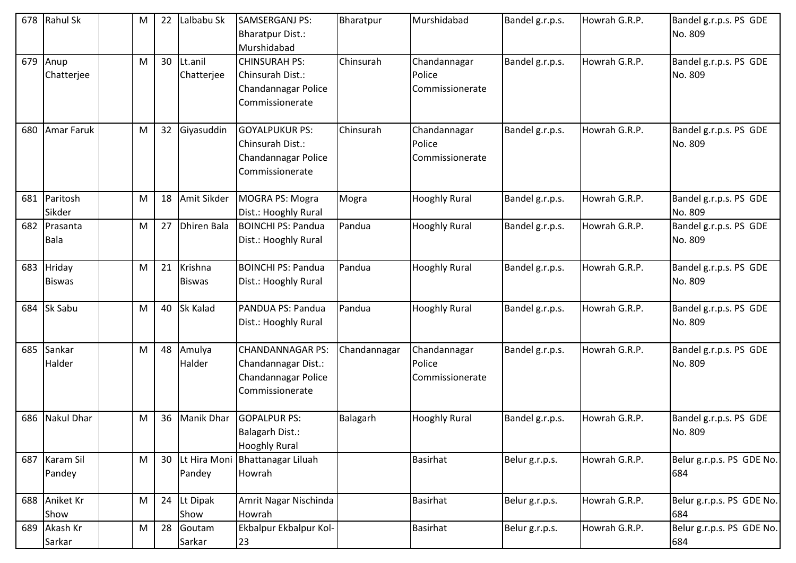| 678 | <b>Rahul Sk</b>         | M | 22 | Lalbabu Sk               | SAMSERGANJ PS:<br><b>Bharatpur Dist.:</b><br>Murshidabad                                 | Bharatpur    | Murshidabad                               | Bandel g.r.p.s. | Howrah G.R.P. | Bandel g.r.p.s. PS GDE<br>No. 809 |
|-----|-------------------------|---|----|--------------------------|------------------------------------------------------------------------------------------|--------------|-------------------------------------------|-----------------|---------------|-----------------------------------|
| 679 | Anup<br>Chatterjee      | M | 30 | Lt.anil<br>Chatterjee    | <b>CHINSURAH PS:</b><br>Chinsurah Dist.:<br>Chandannagar Police<br>Commissionerate       | Chinsurah    | Chandannagar<br>Police<br>Commissionerate | Bandel g.r.p.s. | Howrah G.R.P. | Bandel g.r.p.s. PS GDE<br>No. 809 |
| 680 | <b>Amar Faruk</b>       | M | 32 | Giyasuddin               | <b>GOYALPUKUR PS:</b><br>Chinsurah Dist.:<br>Chandannagar Police<br>Commissionerate      | Chinsurah    | Chandannagar<br>Police<br>Commissionerate | Bandel g.r.p.s. | Howrah G.R.P. | Bandel g.r.p.s. PS GDE<br>No. 809 |
| 681 | Paritosh<br>Sikder      | M | 18 | Amit Sikder              | MOGRA PS: Mogra<br>Dist.: Hooghly Rural                                                  | Mogra        | <b>Hooghly Rural</b>                      | Bandel g.r.p.s. | Howrah G.R.P. | Bandel g.r.p.s. PS GDE<br>No. 809 |
| 682 | Prasanta<br><b>Bala</b> | M | 27 | <b>Dhiren Bala</b>       | <b>BOINCHI PS: Pandua</b><br>Dist.: Hooghly Rural                                        | Pandua       | <b>Hooghly Rural</b>                      | Bandel g.r.p.s. | Howrah G.R.P. | Bandel g.r.p.s. PS GDE<br>No. 809 |
| 683 | Hriday<br><b>Biswas</b> | M | 21 | Krishna<br><b>Biswas</b> | <b>BOINCHI PS: Pandua</b><br>Dist.: Hooghly Rural                                        | Pandua       | <b>Hooghly Rural</b>                      | Bandel g.r.p.s. | Howrah G.R.P. | Bandel g.r.p.s. PS GDE<br>No. 809 |
| 684 | Sk Sabu                 | M | 40 | <b>Sk Kalad</b>          | PANDUA PS: Pandua<br>Dist.: Hooghly Rural                                                | Pandua       | <b>Hooghly Rural</b>                      | Bandel g.r.p.s. | Howrah G.R.P. | Bandel g.r.p.s. PS GDE<br>No. 809 |
| 685 | Sankar<br>Halder        | M | 48 | Amulya<br>Halder         | <b>CHANDANNAGAR PS:</b><br>Chandannagar Dist.:<br>Chandannagar Police<br>Commissionerate | Chandannagar | Chandannagar<br>Police<br>Commissionerate | Bandel g.r.p.s. | Howrah G.R.P. | Bandel g.r.p.s. PS GDE<br>No. 809 |
| 686 | <b>Nakul Dhar</b>       | M | 36 | <b>Manik Dhar</b>        | <b>GOPALPUR PS:</b><br>Balagarh Dist.:<br><b>Hooghly Rural</b>                           | Balagarh     | <b>Hooghly Rural</b>                      | Bandel g.r.p.s. | Howrah G.R.P. | Bandel g.r.p.s. PS GDE<br>No. 809 |
|     | 687 Karam Sil<br>Pandey | M | 30 | Lt Hira Moni<br>Pandey   | <b>Bhattanagar Liluah</b><br>Howrah                                                      |              | <b>Basirhat</b>                           | Belur g.r.p.s.  | Howrah G.R.P. | Belur g.r.p.s. PS GDE No.<br>684  |
| 688 | Aniket Kr<br>Show       | M |    | 24 Lt Dipak<br>Show      | Amrit Nagar Nischinda<br>Howrah                                                          |              | <b>Basirhat</b>                           | Belur g.r.p.s.  | Howrah G.R.P. | Belur g.r.p.s. PS GDE No.<br>684  |
| 689 | Akash Kr<br>Sarkar      | M | 28 | Goutam<br>Sarkar         | Ekbalpur Ekbalpur Kol-<br>23                                                             |              | <b>Basirhat</b>                           | Belur g.r.p.s.  | Howrah G.R.P. | Belur g.r.p.s. PS GDE No.<br>684  |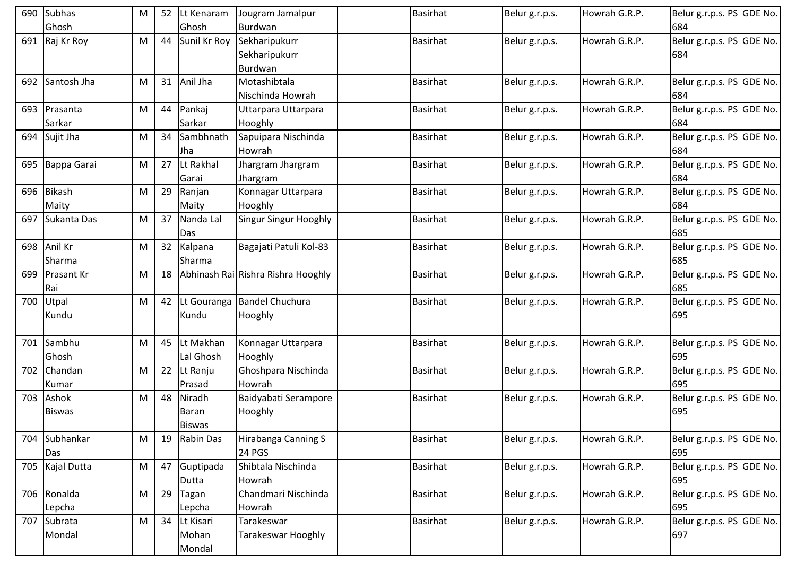|     | 690 Subhas<br>Ghosh      | M         | 52 | Lt Kenaram<br>Ghosh              | Jougram Jamalpur<br>Burdwan               | <b>Basirhat</b> | Belur g.r.p.s. | Howrah G.R.P. | Belur g.r.p.s. PS GDE No.<br>684 |
|-----|--------------------------|-----------|----|----------------------------------|-------------------------------------------|-----------------|----------------|---------------|----------------------------------|
|     | 691 Raj Kr Roy           | M         | 44 | Sunil Kr Roy                     | Sekharipukurr<br>Sekharipukurr<br>Burdwan | <b>Basirhat</b> | Belur g.r.p.s. | Howrah G.R.P. | Belur g.r.p.s. PS GDE No.<br>684 |
| 692 | Santosh Jha              | M         | 31 | Anil Jha                         | Motashibtala<br>Nischinda Howrah          | <b>Basirhat</b> | Belur g.r.p.s. | Howrah G.R.P. | Belur g.r.p.s. PS GDE No.<br>684 |
|     | 693 Prasanta<br>Sarkar   | M         | 44 | Pankaj<br>Sarkar                 | Uttarpara Uttarpara<br>Hooghly            | <b>Basirhat</b> | Belur g.r.p.s. | Howrah G.R.P. | Belur g.r.p.s. PS GDE No.<br>684 |
|     | 694 Sujit Jha            | M         | 34 | Sambhnath<br>Jha                 | Sapuipara Nischinda<br>Howrah             | <b>Basirhat</b> | Belur g.r.p.s. | Howrah G.R.P. | Belur g.r.p.s. PS GDE No.<br>684 |
|     | 695 Bappa Garai          | M         | 27 | Lt Rakhal<br>Garai               | Jhargram Jhargram<br>Jhargram             | <b>Basirhat</b> | Belur g.r.p.s. | Howrah G.R.P. | Belur g.r.p.s. PS GDE No.<br>684 |
| 696 | <b>Bikash</b><br>Maity   | M         | 29 | Ranjan<br>Maity                  | Konnagar Uttarpara<br>Hooghly             | <b>Basirhat</b> | Belur g.r.p.s. | Howrah G.R.P. | Belur g.r.p.s. PS GDE No.<br>684 |
| 697 | Sukanta Das              | M         | 37 | Nanda Lal<br>Das                 | <b>Singur Singur Hooghly</b>              | <b>Basirhat</b> | Belur g.r.p.s. | Howrah G.R.P. | Belur g.r.p.s. PS GDE No.<br>685 |
|     | 698 Anil Kr<br>Sharma    | M         | 32 | Kalpana<br>Sharma                | Bagajati Patuli Kol-83                    | <b>Basirhat</b> | Belur g.r.p.s. | Howrah G.R.P. | Belur g.r.p.s. PS GDE No.<br>685 |
| 699 | <b>Prasant Kr</b><br>Rai | M         | 18 |                                  | Abhinash Rai Rishra Rishra Hooghly        | <b>Basirhat</b> | Belur g.r.p.s. | Howrah G.R.P. | Belur g.r.p.s. PS GDE No.<br>685 |
| 700 | Utpal<br>Kundu           | M         | 42 | Lt Gouranga<br>Kundu             | <b>Bandel Chuchura</b><br>Hooghly         | <b>Basirhat</b> | Belur g.r.p.s. | Howrah G.R.P. | Belur g.r.p.s. PS GDE No.<br>695 |
| 701 | Sambhu<br>Ghosh          | M         | 45 | Lt Makhan<br>Lal Ghosh           | Konnagar Uttarpara<br>Hooghly             | <b>Basirhat</b> | Belur g.r.p.s. | Howrah G.R.P. | Belur g.r.p.s. PS GDE No.<br>695 |
| 702 | Chandan<br>Kumar         | M         | 22 | Lt Ranju<br>Prasad               | Ghoshpara Nischinda<br>Howrah             | <b>Basirhat</b> | Belur g.r.p.s. | Howrah G.R.P. | Belur g.r.p.s. PS GDE No.<br>695 |
| 703 | Ashok<br><b>Biswas</b>   | M         | 48 | Niradh<br>Baran<br><b>Biswas</b> | Baidyabati Serampore<br>Hooghly           | Basirhat        | Belur g.r.p.s. | Howrah G.R.P. | Belur g.r.p.s. PS GDE No.<br>695 |
|     | 704 Subhankar<br>Das     | M         | 19 | Rabin Das                        | Hirabanga Canning S<br>24 PGS             | Basirhat        | Belur g.r.p.s. | Howrah G.R.P. | Belur g.r.p.s. PS GDE No.<br>695 |
|     | 705 Kajal Dutta          | M         |    | 47 Guptipada<br>Dutta            | Shibtala Nischinda<br>Howrah              | <b>Basirhat</b> | Belur g.r.p.s. | Howrah G.R.P. | Belur g.r.p.s. PS GDE No.<br>695 |
|     | 706 Ronalda<br>Lepcha    | M         | 29 | Tagan<br>Lepcha                  | Chandmari Nischinda<br>Howrah             | <b>Basirhat</b> | Belur g.r.p.s. | Howrah G.R.P. | Belur g.r.p.s. PS GDE No.<br>695 |
| 707 | Subrata<br>Mondal        | ${\sf M}$ | 34 | Lt Kisari<br>Mohan<br>Mondal     | Tarakeswar<br>Tarakeswar Hooghly          | Basirhat        | Belur g.r.p.s. | Howrah G.R.P. | Belur g.r.p.s. PS GDE No.<br>697 |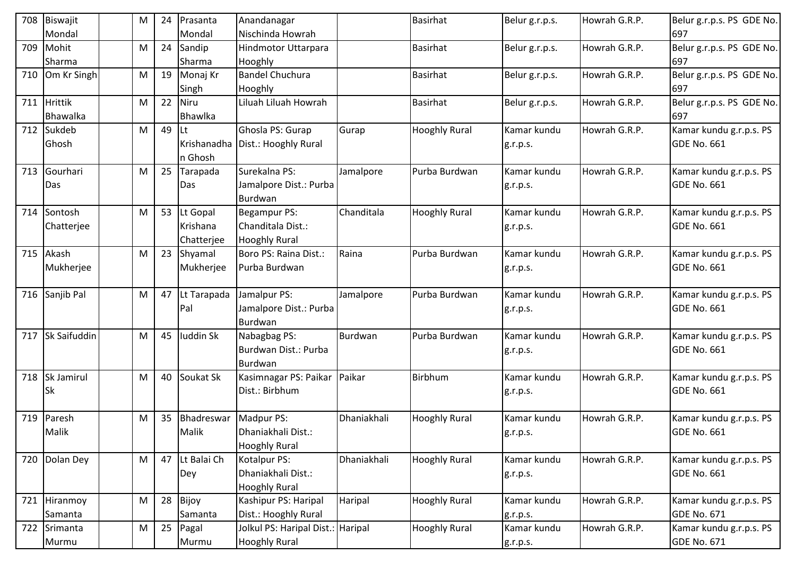| 708 | Biswajit            | M         | 24 | Prasanta    | Anandanagar                        |             | <b>Basirhat</b>      | Belur g.r.p.s. | Howrah G.R.P. | Belur g.r.p.s. PS GDE No. |
|-----|---------------------|-----------|----|-------------|------------------------------------|-------------|----------------------|----------------|---------------|---------------------------|
|     | Mondal              |           |    | Mondal      | Nischinda Howrah                   |             |                      |                |               | 697                       |
| 709 | Mohit               | M         | 24 | Sandip      | Hindmotor Uttarpara                |             | <b>Basirhat</b>      | Belur g.r.p.s. | Howrah G.R.P. | Belur g.r.p.s. PS GDE No. |
|     | Sharma              |           |    | Sharma      | Hooghly                            |             |                      |                |               | 697                       |
| 710 | Om Kr Singh         | M         | 19 | Monaj Kr    | <b>Bandel Chuchura</b>             |             | <b>Basirhat</b>      | Belur g.r.p.s. | Howrah G.R.P. | Belur g.r.p.s. PS GDE No. |
|     |                     |           |    | Singh       | Hooghly                            |             |                      |                |               | 697                       |
| 711 | <b>Hrittik</b>      | M         | 22 | Niru        | Liluah Liluah Howrah               |             | <b>Basirhat</b>      | Belur g.r.p.s. | Howrah G.R.P. | Belur g.r.p.s. PS GDE No. |
|     | Bhawalka            |           |    | Bhawlka     |                                    |             |                      |                |               | 697                       |
| 712 | Sukdeb              | M         | 49 | lLt         | Ghosla PS: Gurap                   | Gurap       | <b>Hooghly Rural</b> | Kamar kundu    | Howrah G.R.P. | Kamar kundu g.r.p.s. PS   |
|     | Ghosh               |           |    |             | Krishanadha   Dist.: Hooghly Rural |             |                      | g.r.p.s.       |               | <b>GDE No. 661</b>        |
|     |                     |           |    | n Ghosh     |                                    |             |                      |                |               |                           |
| 713 | Gourhari            | M         | 25 | Tarapada    | Surekalna PS:                      | Jamalpore   | Purba Burdwan        | Kamar kundu    | Howrah G.R.P. | Kamar kundu g.r.p.s. PS   |
|     | Das                 |           |    | Das         | Jamalpore Dist.: Purba             |             |                      | g.r.p.s.       |               | <b>GDE No. 661</b>        |
|     |                     |           |    |             | <b>Burdwan</b>                     |             |                      |                |               |                           |
| 714 | Sontosh             | M         | 53 | Lt Gopal    | Begampur PS:                       | Chanditala  | <b>Hooghly Rural</b> | Kamar kundu    | Howrah G.R.P. | Kamar kundu g.r.p.s. PS   |
|     | Chatterjee          |           |    | Krishana    | Chanditala Dist.:                  |             |                      | g.r.p.s.       |               | GDE No. 661               |
|     |                     |           |    | Chatterjee  | <b>Hooghly Rural</b>               |             |                      |                |               |                           |
| 715 | Akash               | M         | 23 | Shyamal     | Boro PS: Raina Dist.:              | Raina       | Purba Burdwan        | Kamar kundu    | Howrah G.R.P. | Kamar kundu g.r.p.s. PS   |
|     | Mukherjee           |           |    | Mukherjee   | Purba Burdwan                      |             |                      | g.r.p.s.       |               | GDE No. 661               |
|     |                     |           |    |             |                                    |             |                      |                |               |                           |
| 716 | Sanjib Pal          | M         | 47 | Lt Tarapada | Jamalpur PS:                       | Jamalpore   | Purba Burdwan        | Kamar kundu    | Howrah G.R.P. | Kamar kundu g.r.p.s. PS   |
|     |                     |           |    | Pal         | Jamalpore Dist.: Purba             |             |                      | g.r.p.s.       |               | <b>GDE No. 661</b>        |
|     |                     |           |    |             | Burdwan                            |             |                      |                |               |                           |
| 717 | <b>Sk Saifuddin</b> | M         | 45 | luddin Sk   | Nabagbag PS:                       | Burdwan     | Purba Burdwan        | Kamar kundu    | Howrah G.R.P. | Kamar kundu g.r.p.s. PS   |
|     |                     |           |    |             | Burdwan Dist.: Purba               |             |                      | g.r.p.s.       |               | <b>GDE No. 661</b>        |
|     |                     |           |    |             | Burdwan                            |             |                      |                |               |                           |
| 718 | Sk Jamirul          | M         | 40 | Soukat Sk   | Kasimnagar PS: Paikar              | Paikar      | Birbhum              | Kamar kundu    | Howrah G.R.P. | Kamar kundu g.r.p.s. PS   |
|     | <b>Sk</b>           |           |    |             | Dist.: Birbhum                     |             |                      | g.r.p.s.       |               | <b>GDE No. 661</b>        |
|     |                     |           |    |             |                                    |             |                      |                |               |                           |
| 719 | Paresh              | ${\sf M}$ | 35 | Bhadreswar  | Madpur PS:                         | Dhaniakhali | <b>Hooghly Rural</b> | Kamar kundu    | Howrah G.R.P. | Kamar kundu g.r.p.s. PS   |
|     | Malik               |           |    | Malik       | Dhaniakhali Dist.:                 |             |                      | g.r.p.s.       |               | <b>GDE No. 661</b>        |
|     |                     |           |    |             | <b>Hooghly Rural</b>               |             |                      |                |               |                           |
| 720 | Dolan Dey           | M         | 47 | Lt Balai Ch | Kotalpur PS:                       | Dhaniakhali | <b>Hooghly Rural</b> | Kamar kundu    | Howrah G.R.P. | Kamar kundu g.r.p.s. PS   |
|     |                     |           |    | Dey         | Dhaniakhali Dist.:                 |             |                      | g.r.p.s.       |               | GDE No. 661               |
|     |                     |           |    |             | <b>Hooghly Rural</b>               |             |                      |                |               |                           |
| 721 | Hiranmoy            | M         | 28 | Bijoy       | Kashipur PS: Haripal               | Haripal     | <b>Hooghly Rural</b> | Kamar kundu    | Howrah G.R.P. | Kamar kundu g.r.p.s. PS   |
|     | Samanta             |           |    | Samanta     | Dist.: Hooghly Rural               |             |                      | g.r.p.s.       |               | <b>GDE No. 671</b>        |
|     | 722 Srimanta        | M         | 25 | Pagal       | Jolkul PS: Haripal Dist.: Haripal  |             | <b>Hooghly Rural</b> | Kamar kundu    | Howrah G.R.P. | Kamar kundu g.r.p.s. PS   |
|     | Murmu               |           |    | Murmu       | <b>Hooghly Rural</b>               |             |                      | g.r.p.s.       |               | <b>GDE No. 671</b>        |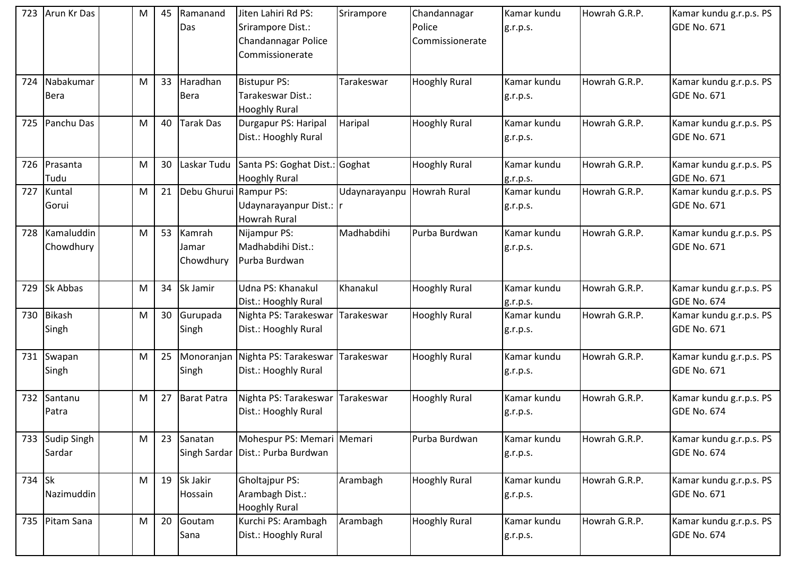| 723 | Arun Kr Das                  | M | 45 | Ramanand<br>Das              | Jiten Lahiri Rd PS:<br>Srirampore Dist.:<br>Chandannagar Police<br>Commissionerate | Srirampore    | Chandannagar<br>Police<br>Commissionerate | Kamar kundu<br>g.r.p.s. | Howrah G.R.P. | Kamar kundu g.r.p.s. PS<br>GDE No. 671        |
|-----|------------------------------|---|----|------------------------------|------------------------------------------------------------------------------------|---------------|-------------------------------------------|-------------------------|---------------|-----------------------------------------------|
| 724 | Nabakumar<br><b>Bera</b>     | M | 33 | Haradhan<br><b>Bera</b>      | <b>Bistupur PS:</b><br>Tarakeswar Dist.:<br><b>Hooghly Rural</b>                   | Tarakeswar    | <b>Hooghly Rural</b>                      | Kamar kundu<br>g.r.p.s. | Howrah G.R.P. | Kamar kundu g.r.p.s. PS<br>GDE No. 671        |
| 725 | Panchu Das                   | M | 40 | Tarak Das                    | Durgapur PS: Haripal<br>Dist.: Hooghly Rural                                       | Haripal       | <b>Hooghly Rural</b>                      | Kamar kundu<br>g.r.p.s. | Howrah G.R.P. | Kamar kundu g.r.p.s. PS<br>GDE No. 671        |
| 726 | Prasanta<br>Tudu             | M | 30 | Laskar Tudu                  | Santa PS: Goghat Dist.: Goghat<br><b>Hooghly Rural</b>                             |               | <b>Hooghly Rural</b>                      | Kamar kundu<br>g.r.p.s. | Howrah G.R.P. | Kamar kundu g.r.p.s. PS<br><b>GDE No. 671</b> |
| 727 | Kuntal<br>Gorui              | M | 21 | Debu Ghurui Rampur PS:       | Udaynarayanpur Dist.:  r<br><b>Howrah Rural</b>                                    | Udaynarayanpu | <b>Howrah Rural</b>                       | Kamar kundu<br>g.r.p.s. | Howrah G.R.P. | Kamar kundu g.r.p.s. PS<br><b>GDE No. 671</b> |
| 728 | Kamaluddin<br>Chowdhury      | M | 53 | Kamrah<br>Jamar<br>Chowdhury | Nijampur PS:<br>Madhabdihi Dist.:<br>Purba Burdwan                                 | Madhabdihi    | Purba Burdwan                             | Kamar kundu<br>g.r.p.s. | Howrah G.R.P. | Kamar kundu g.r.p.s. PS<br>GDE No. 671        |
| 729 | Sk Abbas                     | M | 34 | Sk Jamir                     | Udna PS: Khanakul<br>Dist.: Hooghly Rural                                          | Khanakul      | <b>Hooghly Rural</b>                      | Kamar kundu<br>g.r.p.s. | Howrah G.R.P. | Kamar kundu g.r.p.s. PS<br><b>GDE No. 674</b> |
| 730 | <b>Bikash</b><br>Singh       | M |    | 30 Gurupada<br>Singh         | Nighta PS: Tarakeswar<br>Dist.: Hooghly Rural                                      | Tarakeswar    | <b>Hooghly Rural</b>                      | Kamar kundu<br>g.r.p.s. | Howrah G.R.P. | Kamar kundu g.r.p.s. PS<br>GDE No. 671        |
|     | 731 Swapan<br>Singh          | M | 25 | Singh                        | Monoranjan Nighta PS: Tarakeswar Tarakeswar<br>Dist.: Hooghly Rural                |               | <b>Hooghly Rural</b>                      | Kamar kundu<br>g.r.p.s. | Howrah G.R.P. | Kamar kundu g.r.p.s. PS<br><b>GDE No. 671</b> |
| 732 | Santanu<br>Patra             | M | 27 | Barat Patra                  | Nighta PS: Tarakeswar<br>Dist.: Hooghly Rural                                      | Tarakeswar    | <b>Hooghly Rural</b>                      | Kamar kundu<br>g.r.p.s. | Howrah G.R.P. | Kamar kundu g.r.p.s. PS<br>GDE No. 674        |
| 733 | <b>Sudip Singh</b><br>Sardar | M | 23 | Sanatan<br>Singh Sardar      | Mohespur PS: Memari Memari<br>Dist.: Purba Burdwan                                 |               | Purba Burdwan                             | Kamar kundu<br>g.r.p.s. | Howrah G.R.P. | Kamar kundu g.r.p.s. PS<br>GDE No. 674        |
| 734 | <b>Sk</b><br>Nazimuddin      | M |    | 19 Sk Jakir<br>Hossain       | <b>Gholtajpur PS:</b><br>Arambagh Dist.:<br><b>Hooghly Rural</b>                   | Arambagh      | <b>Hooghly Rural</b>                      | Kamar kundu<br>g.r.p.s. | Howrah G.R.P. | Kamar kundu g.r.p.s. PS<br>GDE No. 671        |
| 735 | Pitam Sana                   | M | 20 | Goutam<br>Sana               | Kurchi PS: Arambagh<br>Dist.: Hooghly Rural                                        | Arambagh      | <b>Hooghly Rural</b>                      | Kamar kundu<br>g.r.p.s. | Howrah G.R.P. | Kamar kundu g.r.p.s. PS<br>GDE No. 674        |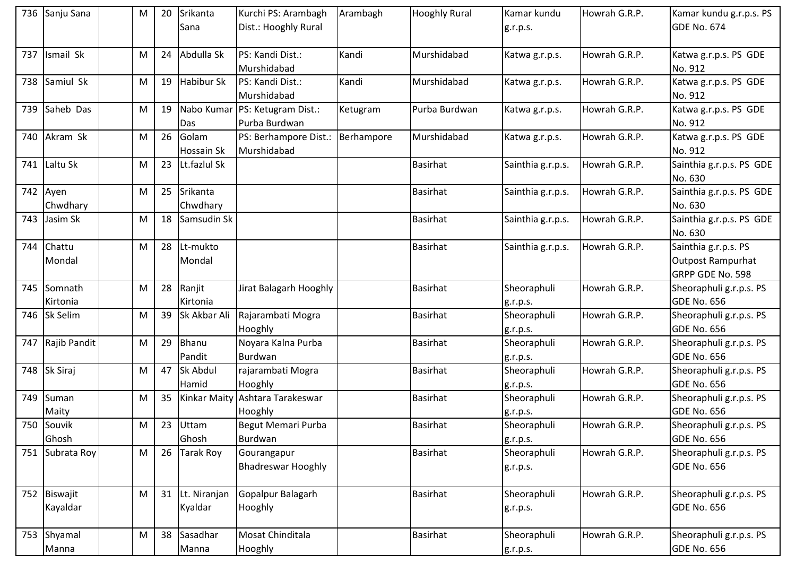| 736 | Sanju Sana               | M | 20 | Srikanta<br>Sana        | Kurchi PS: Arambagh<br>Dist.: Hooghly Rural | Arambagh   | <b>Hooghly Rural</b> | Kamar kundu<br>g.r.p.s. | Howrah G.R.P. | Kamar kundu g.r.p.s. PS<br><b>GDE No. 674</b>                        |
|-----|--------------------------|---|----|-------------------------|---------------------------------------------|------------|----------------------|-------------------------|---------------|----------------------------------------------------------------------|
| 737 | Ismail Sk                | M | 24 | Abdulla Sk              | PS: Kandi Dist.:<br>Murshidabad             | Kandi      | Murshidabad          | Katwa g.r.p.s.          | Howrah G.R.P. | Katwa g.r.p.s. PS GDE<br>No. 912                                     |
| 738 | Samiul Sk                | M | 19 | Habibur Sk              | PS: Kandi Dist.:<br>Murshidabad             | Kandi      | Murshidabad          | Katwa g.r.p.s.          | Howrah G.R.P. | Katwa g.r.p.s. PS GDE<br>No. 912                                     |
| 739 | Saheb Das                | M | 19 | Nabo Kumar<br>Das       | PS: Ketugram Dist.:<br>Purba Burdwan        | Ketugram   | Purba Burdwan        | Katwa g.r.p.s.          | Howrah G.R.P. | Katwa g.r.p.s. PS GDE<br>No. 912                                     |
| 740 | Akram Sk                 | M | 26 | Golam<br>Hossain Sk     | PS: Berhampore Dist.:<br>Murshidabad        | Berhampore | Murshidabad          | Katwa g.r.p.s.          | Howrah G.R.P. | Katwa g.r.p.s. PS GDE<br>No. 912                                     |
| 741 | Laltu Sk                 | M | 23 | Lt.fazlul Sk            |                                             |            | <b>Basirhat</b>      | Sainthia g.r.p.s.       | Howrah G.R.P. | Sainthia g.r.p.s. PS GDE<br>No. 630                                  |
|     | 742 Ayen<br>Chwdhary     | M | 25 | Srikanta<br>Chwdhary    |                                             |            | <b>Basirhat</b>      | Sainthia g.r.p.s.       | Howrah G.R.P. | Sainthia g.r.p.s. PS GDE<br>No. 630                                  |
| 743 | Jasim Sk                 | M | 18 | Samsudin Sk             |                                             |            | <b>Basirhat</b>      | Sainthia g.r.p.s.       | Howrah G.R.P. | Sainthia g.r.p.s. PS GDE<br>No. 630                                  |
| 744 | Chattu<br>Mondal         | M | 28 | Lt-mukto<br>Mondal      |                                             |            | <b>Basirhat</b>      | Sainthia g.r.p.s.       | Howrah G.R.P. | Sainthia g.r.p.s. PS<br><b>Outpost Rampurhat</b><br>GRPP GDE No. 598 |
| 745 | Somnath<br>Kirtonia      | M | 28 | Ranjit<br>Kirtonia      | Jirat Balagarh Hooghly                      |            | <b>Basirhat</b>      | Sheoraphuli<br>g.r.p.s. | Howrah G.R.P. | Sheoraphuli g.r.p.s. PS<br><b>GDE No. 656</b>                        |
| 746 | Sk Selim                 | M | 39 | Sk Akbar Ali            | Rajarambati Mogra<br>Hooghly                |            | <b>Basirhat</b>      | Sheoraphuli<br>g.r.p.s. | Howrah G.R.P. | Sheoraphuli g.r.p.s. PS<br><b>GDE No. 656</b>                        |
| 747 | Rajib Pandit             | M | 29 | Bhanu<br>Pandit         | Noyara Kalna Purba<br>Burdwan               |            | <b>Basirhat</b>      | Sheoraphuli<br>g.r.p.s. | Howrah G.R.P. | Sheoraphuli g.r.p.s. PS<br><b>GDE No. 656</b>                        |
|     | 748 Sk Siraj             | M | 47 | Sk Abdul<br>Hamid       | rajarambati Mogra<br>Hooghly                |            | <b>Basirhat</b>      | Sheoraphuli<br>g.r.p.s. | Howrah G.R.P. | Sheoraphuli g.r.p.s. PS<br><b>GDE No. 656</b>                        |
| 749 | Suman<br>Maity           | M | 35 | <b>Kinkar Maity</b>     | Ashtara Tarakeswar<br>Hooghly               |            | Basirhat             | Sheoraphuli<br>g.r.p.s. | Howrah G.R.P. | Sheoraphuli g.r.p.s. PS<br><b>GDE No. 656</b>                        |
|     | 750 Souvik<br>Ghosh      | M | 23 | Uttam<br>Ghosh          | Begut Memari Purba<br>Burdwan               |            | <b>Basirhat</b>      | Sheoraphuli<br>g.r.p.s. | Howrah G.R.P. | Sheoraphuli g.r.p.s. PS<br><b>GDE No. 656</b>                        |
| 751 | Subrata Roy              | M | 26 | <b>Tarak Roy</b>        | Gourangapur<br><b>Bhadreswar Hooghly</b>    |            | <b>Basirhat</b>      | Sheoraphuli<br>g.r.p.s. | Howrah G.R.P. | Sheoraphuli g.r.p.s. PS<br><b>GDE No. 656</b>                        |
|     | 752 Biswajit<br>Kayaldar | M | 31 | Lt. Niranjan<br>Kyaldar | Gopalpur Balagarh<br>Hooghly                |            | <b>Basirhat</b>      | Sheoraphuli<br>g.r.p.s. | Howrah G.R.P. | Sheoraphuli g.r.p.s. PS<br><b>GDE No. 656</b>                        |
| 753 | Shyamal<br>Manna         | M | 38 | Sasadhar<br>Manna       | Mosat Chinditala<br>Hooghly                 |            | <b>Basirhat</b>      | Sheoraphuli<br>g.r.p.s. | Howrah G.R.P. | Sheoraphuli g.r.p.s. PS<br><b>GDE No. 656</b>                        |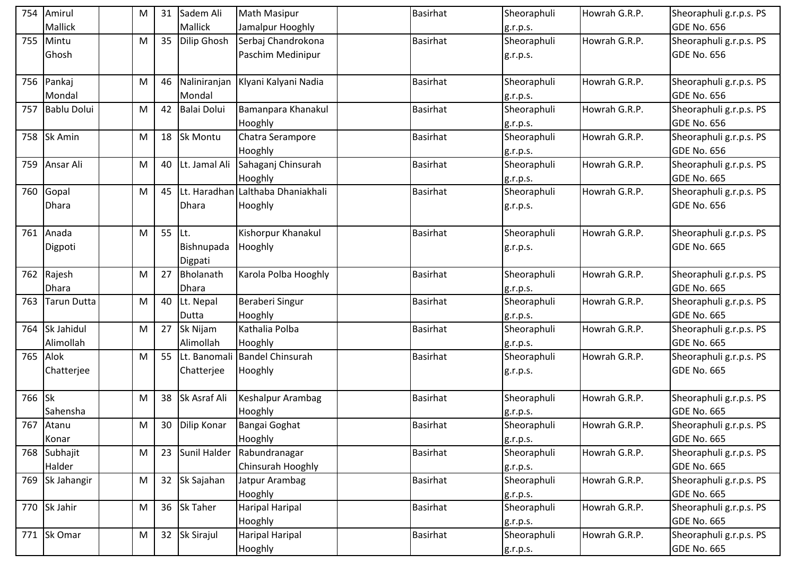|     | 754 Amirul         | М | 31 | Sadem Ali             | <b>Math Masipur</b>               | <b>Basirhat</b> | Sheoraphuli | Howrah G.R.P. | Sheoraphuli g.r.p.s. PS |
|-----|--------------------|---|----|-----------------------|-----------------------------------|-----------------|-------------|---------------|-------------------------|
|     | <b>Mallick</b>     |   |    | Mallick               | Jamalpur Hooghly                  |                 | g.r.p.s.    |               | <b>GDE No. 656</b>      |
| 755 | Mintu              | M | 35 | <b>Dilip Ghosh</b>    | Serbaj Chandrokona                | <b>Basirhat</b> | Sheoraphuli | Howrah G.R.P. | Sheoraphuli g.r.p.s. PS |
|     | Ghosh              |   |    |                       | Paschim Medinipur                 |                 | g.r.p.s.    |               | <b>GDE No. 656</b>      |
| 756 | Pankaj             | M | 46 | Naliniranjan          | Klyani Kalyani Nadia              | <b>Basirhat</b> | Sheoraphuli | Howrah G.R.P. | Sheoraphuli g.r.p.s. PS |
|     | Mondal             |   |    | Mondal                |                                   |                 | g.r.p.s.    |               | <b>GDE No. 656</b>      |
| 757 | <b>Bablu Dolui</b> | M | 42 | <b>Balai Dolui</b>    | Bamanpara Khanakul                | <b>Basirhat</b> | Sheoraphuli | Howrah G.R.P. | Sheoraphuli g.r.p.s. PS |
|     |                    |   |    |                       | Hooghly                           |                 | g.r.p.s.    |               | <b>GDE No. 656</b>      |
| 758 | <b>Sk Amin</b>     | M | 18 | <b>Sk Montu</b>       | Chatra Serampore                  | <b>Basirhat</b> | Sheoraphuli | Howrah G.R.P. | Sheoraphuli g.r.p.s. PS |
|     |                    |   |    |                       | Hooghly                           |                 | g.r.p.s.    |               | <b>GDE No. 656</b>      |
| 759 | Ansar Ali          | M | 40 | Lt. Jamal Ali         | Sahaganj Chinsurah                | <b>Basirhat</b> | Sheoraphuli | Howrah G.R.P. | Sheoraphuli g.r.p.s. PS |
|     |                    |   |    |                       | Hooghly                           |                 | g.r.p.s.    |               | <b>GDE No. 665</b>      |
| 760 | Gopal              | M | 45 |                       | Lt. Haradhan Lalthaba Dhaniakhali | <b>Basirhat</b> | Sheoraphuli | Howrah G.R.P. | Sheoraphuli g.r.p.s. PS |
|     | Dhara              |   |    | <b>Dhara</b>          | Hooghly                           |                 | g.r.p.s.    |               | <b>GDE No. 656</b>      |
|     | 761 Anada          | M | 55 | Lt.                   | Kishorpur Khanakul                | <b>Basirhat</b> | Sheoraphuli | Howrah G.R.P. | Sheoraphuli g.r.p.s. PS |
|     | Digpoti            |   |    | Bishnupada<br>Digpati | Hooghly                           |                 | g.r.p.s.    |               | <b>GDE No. 665</b>      |
| 762 | Rajesh             | M | 27 | Bholanath             | Karola Polba Hooghly              | <b>Basirhat</b> | Sheoraphuli | Howrah G.R.P. | Sheoraphuli g.r.p.s. PS |
|     | <b>Dhara</b>       |   |    | <b>Dhara</b>          |                                   |                 | g.r.p.s.    |               | <b>GDE No. 665</b>      |
| 763 | <b>Tarun Dutta</b> | M | 40 | Lt. Nepal             | Beraberi Singur                   | <b>Basirhat</b> | Sheoraphuli | Howrah G.R.P. | Sheoraphuli g.r.p.s. PS |
|     |                    |   |    | Dutta                 | Hooghly                           |                 | g.r.p.s.    |               | <b>GDE No. 665</b>      |
| 764 | Sk Jahidul         | M | 27 | Sk Nijam              | Kathalia Polba                    | <b>Basirhat</b> | Sheoraphuli | Howrah G.R.P. | Sheoraphuli g.r.p.s. PS |
|     | Alimollah          |   |    | Alimollah             | Hooghly                           |                 | g.r.p.s.    |               | <b>GDE No. 665</b>      |
| 765 | Alok               | M | 55 | Lt. Banomali          | <b>Bandel Chinsurah</b>           | <b>Basirhat</b> | Sheoraphuli | Howrah G.R.P. | Sheoraphuli g.r.p.s. PS |
|     | Chatterjee         |   |    | Chatterjee            | Hooghly                           |                 | g.r.p.s.    |               | <b>GDE No. 665</b>      |
|     |                    |   |    |                       |                                   |                 |             |               |                         |
| 766 | <b>Sk</b>          | M | 38 | Sk Asraf Ali          | Keshalpur Arambag                 | <b>Basirhat</b> | Sheoraphuli | Howrah G.R.P. | Sheoraphuli g.r.p.s. PS |
|     | Sahensha           |   |    |                       | Hooghly                           |                 | g.r.p.s.    |               | <b>GDE No. 665</b>      |
|     | 767 Atanu          | M |    | 30 Dilip Konar        | Bangai Goghat                     | <b>Basirhat</b> | Sheoraphuli | Howrah G.R.P. | Sheoraphuli g.r.p.s. PS |
|     | Konar              |   |    |                       | Hooghly                           |                 | g.r.p.s.    |               | <b>GDE No. 665</b>      |
| 768 | Subhajit           | M | 23 | Sunil Halder          | Rabundranagar                     | <b>Basirhat</b> | Sheoraphuli | Howrah G.R.P. | Sheoraphuli g.r.p.s. PS |
|     | Halder             |   |    |                       | Chinsurah Hooghly                 |                 | g.r.p.s.    |               | <b>GDE No. 665</b>      |
| 769 | Sk Jahangir        | M | 32 | Sk Sajahan            | Jatpur Arambag                    | <b>Basirhat</b> | Sheoraphuli | Howrah G.R.P. | Sheoraphuli g.r.p.s. PS |
|     |                    |   |    |                       | Hooghly                           |                 | g.r.p.s.    |               | <b>GDE No. 665</b>      |
| 770 | Sk Jahir           | M | 36 | <b>Sk Taher</b>       | <b>Haripal Haripal</b>            | <b>Basirhat</b> | Sheoraphuli | Howrah G.R.P. | Sheoraphuli g.r.p.s. PS |
|     |                    |   |    |                       | Hooghly                           |                 | g.r.p.s.    |               | <b>GDE No. 665</b>      |
| 771 | Sk Omar            | M | 32 | <b>Sk Sirajul</b>     | <b>Haripal Haripal</b>            | <b>Basirhat</b> | Sheoraphuli | Howrah G.R.P. | Sheoraphuli g.r.p.s. PS |
|     |                    |   |    |                       | Hooghly                           |                 | g.r.p.s.    |               | <b>GDE No. 665</b>      |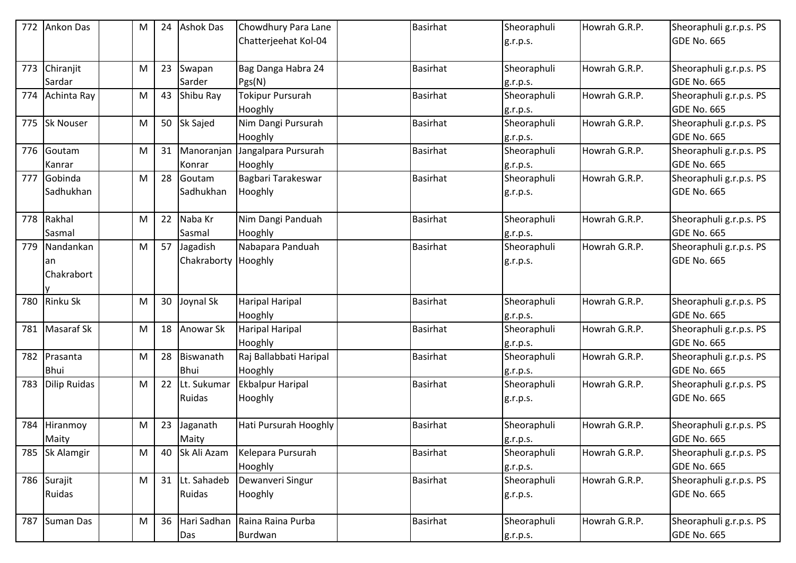| 772 | Ankon Das         | M         | 24 | <b>Ashok Das</b> | Chowdhury Para Lane<br>Chatterjeehat Kol-04 | <b>Basirhat</b> | Sheoraphuli<br>g.r.p.s. | Howrah G.R.P. | Sheoraphuli g.r.p.s. PS<br><b>GDE No. 665</b> |
|-----|-------------------|-----------|----|------------------|---------------------------------------------|-----------------|-------------------------|---------------|-----------------------------------------------|
|     |                   |           |    |                  |                                             |                 |                         |               |                                               |
| 773 | Chiranjit         | M         | 23 | Swapan           | Bag Danga Habra 24                          | <b>Basirhat</b> | Sheoraphuli             | Howrah G.R.P. | Sheoraphuli g.r.p.s. PS                       |
|     | Sardar            |           |    | Sarder           | Pgs(N)                                      |                 | g.r.p.s.                |               | <b>GDE No. 665</b>                            |
| 774 | Achinta Ray       | M         | 43 | Shibu Ray        | Tokipur Pursurah                            | Basirhat        | Sheoraphuli             | Howrah G.R.P. | Sheoraphuli g.r.p.s. PS                       |
|     |                   |           |    |                  | Hooghly                                     |                 | g.r.p.s.                |               | <b>GDE No. 665</b>                            |
| 775 | Sk Nouser         | M         | 50 | <b>Sk Sajed</b>  | Nim Dangi Pursurah                          | Basirhat        | Sheoraphuli             | Howrah G.R.P. | Sheoraphuli g.r.p.s. PS                       |
|     |                   |           |    |                  | Hooghly                                     |                 | g.r.p.s.                |               | <b>GDE No. 665</b>                            |
| 776 | Goutam            | M         | 31 | Manoranjan       | Jangalpara Pursurah                         | <b>Basirhat</b> | Sheoraphuli             | Howrah G.R.P. | Sheoraphuli g.r.p.s. PS                       |
|     | Kanrar            |           |    | Konrar           | Hooghly                                     |                 | g.r.p.s.                |               | <b>GDE No. 665</b>                            |
| 777 | Gobinda           | M         | 28 | Goutam           | Bagbari Tarakeswar                          | Basirhat        | Sheoraphuli             | Howrah G.R.P. | Sheoraphuli g.r.p.s. PS                       |
|     | Sadhukhan         |           |    | Sadhukhan        | Hooghly                                     |                 | g.r.p.s.                |               | <b>GDE No. 665</b>                            |
| 778 | Rakhal            | M         | 22 | Naba Kr          | Nim Dangi Panduah                           | Basirhat        | Sheoraphuli             | Howrah G.R.P. | Sheoraphuli g.r.p.s. PS                       |
|     | Sasmal            |           |    | Sasmal           | Hooghly                                     |                 | g.r.p.s.                |               | <b>GDE No. 665</b>                            |
| 779 | Nandankan         | M         | 57 | Jagadish         | Nabapara Panduah                            | Basirhat        | Sheoraphuli             | Howrah G.R.P. | Sheoraphuli g.r.p.s. PS                       |
|     | an                |           |    | Chakraborty      | Hooghly                                     |                 | g.r.p.s.                |               | <b>GDE No. 665</b>                            |
|     | Chakrabort        |           |    |                  |                                             |                 |                         |               |                                               |
|     |                   |           |    |                  |                                             |                 |                         |               |                                               |
| 780 | <b>Rinku Sk</b>   | M         | 30 | Joynal Sk        | <b>Haripal Haripal</b>                      | <b>Basirhat</b> | Sheoraphuli             | Howrah G.R.P. | Sheoraphuli g.r.p.s. PS                       |
|     |                   |           |    |                  | Hooghly                                     |                 | g.r.p.s.                |               | <b>GDE No. 665</b>                            |
| 781 | <b>Masaraf Sk</b> | M         | 18 | Anowar Sk        | Haripal Haripal                             | Basirhat        | Sheoraphuli             | Howrah G.R.P. | Sheoraphuli g.r.p.s. PS                       |
|     |                   |           |    |                  | Hooghly                                     |                 | g.r.p.s.                |               | <b>GDE No. 665</b>                            |
| 782 | Prasanta          | M         | 28 | Biswanath        | Raj Ballabbati Haripal                      | <b>Basirhat</b> | Sheoraphuli             | Howrah G.R.P. | Sheoraphuli g.r.p.s. PS                       |
|     | <b>Bhui</b>       |           |    | <b>Bhui</b>      | Hooghly                                     |                 | g.r.p.s.                |               | <b>GDE No. 665</b>                            |
| 783 | Dilip Ruidas      | M         | 22 | Lt. Sukumar      | <b>Ekbalpur Haripal</b>                     | Basirhat        | Sheoraphuli             | Howrah G.R.P. | Sheoraphuli g.r.p.s. PS                       |
|     |                   |           |    | Ruidas           | Hooghly                                     |                 | g.r.p.s.                |               | <b>GDE No. 665</b>                            |
|     |                   |           |    |                  |                                             |                 |                         |               |                                               |
| 784 | Hiranmoy          | M         | 23 | Jaganath         | Hati Pursurah Hooghly                       | <b>Basirhat</b> | Sheoraphuli             | Howrah G.R.P. | Sheoraphuli g.r.p.s. PS                       |
|     | Maity             |           |    | Maity            |                                             |                 | g.r.p.s.                |               | <b>GDE No. 665</b>                            |
| 785 | Sk Alamgir        | M         | 40 | Sk Ali Azam      | Kelepara Pursurah                           | Basirhat        | Sheoraphuli             | Howrah G.R.P. | Sheoraphuli g.r.p.s. PS                       |
|     |                   |           |    |                  | Hooghly                                     |                 | g.r.p.s.                |               | <b>GDE No. 665</b>                            |
| 786 | Surajit           | M         | 31 | Lt. Sahadeb      | Dewanveri Singur                            | <b>Basirhat</b> | Sheoraphuli             | Howrah G.R.P. | Sheoraphuli g.r.p.s. PS                       |
|     | Ruidas            |           |    | Ruidas           | Hooghly                                     |                 | g.r.p.s.                |               | <b>GDE No. 665</b>                            |
|     |                   |           |    |                  |                                             |                 |                         |               |                                               |
| 787 | Suman Das         | ${\sf M}$ | 36 | Hari Sadhan      | Raina Raina Purba                           | <b>Basirhat</b> | Sheoraphuli             | Howrah G.R.P. | Sheoraphuli g.r.p.s. PS                       |
|     |                   |           |    | Das              | Burdwan                                     |                 | g.r.p.s.                |               | <b>GDE No. 665</b>                            |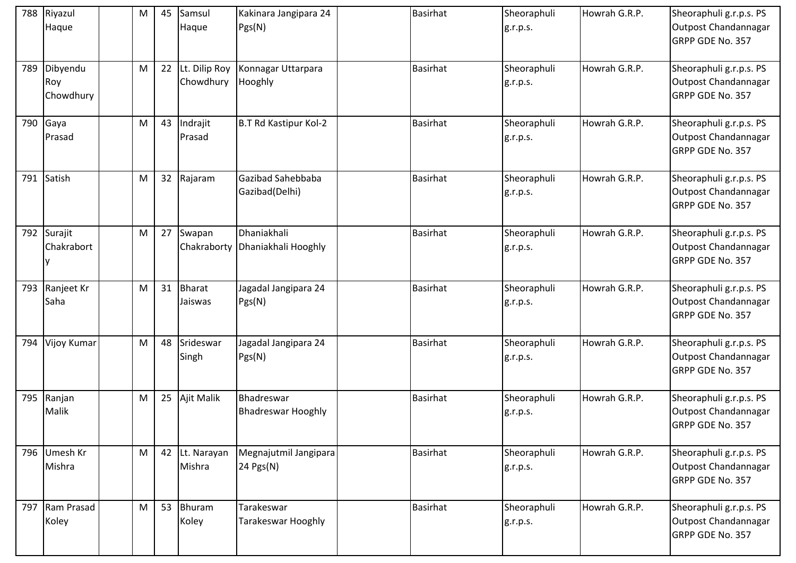| 788 | Riyazul<br>Haque             | M         | 45 | Samsul<br>Haque               | Kakinara Jangipara 24<br>Pgs(N)         | <b>Basirhat</b> | Sheoraphuli<br>g.r.p.s. | Howrah G.R.P. | Sheoraphuli g.r.p.s. PS<br>Outpost Chandannagar<br>GRPP GDE No. 357 |
|-----|------------------------------|-----------|----|-------------------------------|-----------------------------------------|-----------------|-------------------------|---------------|---------------------------------------------------------------------|
| 789 | Dibyendu<br>Roy<br>Chowdhury | M         |    | 22 Lt. Dilip Roy<br>Chowdhury | Konnagar Uttarpara<br>Hooghly           | Basirhat        | Sheoraphuli<br>g.r.p.s. | Howrah G.R.P. | Sheoraphuli g.r.p.s. PS<br>Outpost Chandannagar<br>GRPP GDE No. 357 |
| 790 | Gaya<br>Prasad               | M         | 43 | Indrajit<br>Prasad            | B.T Rd Kastipur Kol-2                   | Basirhat        | Sheoraphuli<br>g.r.p.s. | Howrah G.R.P. | Sheoraphuli g.r.p.s. PS<br>Outpost Chandannagar<br>GRPP GDE No. 357 |
| 791 | Satish                       | ${\sf M}$ | 32 | Rajaram                       | Gazibad Sahebbaba<br>Gazibad(Delhi)     | <b>Basirhat</b> | Sheoraphuli<br>g.r.p.s. | Howrah G.R.P. | Sheoraphuli g.r.p.s. PS<br>Outpost Chandannagar<br>GRPP GDE No. 357 |
| 792 | Surajit<br>Chakrabort        | M         |    | 27 Swapan<br>Chakraborty      | Dhaniakhali<br>Dhaniakhali Hooghly      | <b>Basirhat</b> | Sheoraphuli<br>g.r.p.s. | Howrah G.R.P. | Sheoraphuli g.r.p.s. PS<br>Outpost Chandannagar<br>GRPP GDE No. 357 |
| 793 | Ranjeet Kr<br>Saha           | M         |    | 31 Bharat<br>Jaiswas          | Jagadal Jangipara 24<br>Pgs(N)          | <b>Basirhat</b> | Sheoraphuli<br>g.r.p.s. | Howrah G.R.P. | Sheoraphuli g.r.p.s. PS<br>Outpost Chandannagar<br>GRPP GDE No. 357 |
| 794 | Vijoy Kumar                  | ${\sf M}$ | 48 | Srideswar<br>Singh            | Jagadal Jangipara 24<br>Pgs(N)          | <b>Basirhat</b> | Sheoraphuli<br>g.r.p.s. | Howrah G.R.P. | Sheoraphuli g.r.p.s. PS<br>Outpost Chandannagar<br>GRPP GDE No. 357 |
| 795 | Ranjan<br>Malik              | M         |    | 25 Ajit Malik                 | Bhadreswar<br><b>Bhadreswar Hooghly</b> | <b>Basirhat</b> | Sheoraphuli<br>g.r.p.s. | Howrah G.R.P. | Sheoraphuli g.r.p.s. PS<br>Outpost Chandannagar<br>GRPP GDE No. 357 |
| 796 | Umesh Kr<br>Mishra           | ${\sf M}$ |    | 42 Lt. Narayan<br>Mishra      | Megnajutmil Jangipara<br>24 Pgs(N)      | <b>Basirhat</b> | Sheoraphuli<br>g.r.p.s. | Howrah G.R.P. | Sheoraphuli g.r.p.s. PS<br>Outpost Chandannagar<br>GRPP GDE No. 357 |
| 797 | Ram Prasad<br>Koley          | M         |    | 53 Bhuram<br>Koley            | Tarakeswar<br><b>Tarakeswar Hooghly</b> | Basirhat        | Sheoraphuli<br>g.r.p.s. | Howrah G.R.P. | Sheoraphuli g.r.p.s. PS<br>Outpost Chandannagar<br>GRPP GDE No. 357 |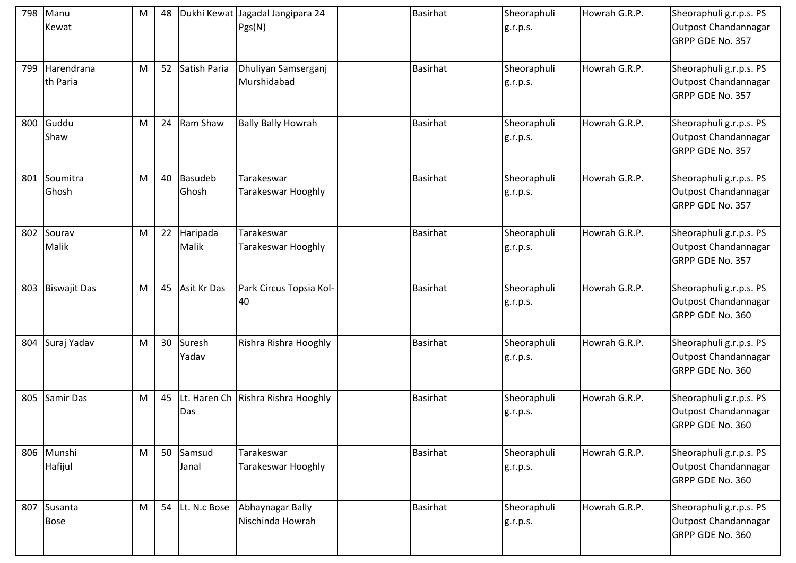| 798 | Manu<br>Kewat          | M | 48 |                      | Dukhi Kewat Jagadal Jangipara 24<br>Pgs(N) | <b>Basirhat</b> | Sheoraphuli<br>g.r.p.s. | Howrah G.R.P. | Sheoraphuli g.r.p.s. PS<br>Outpost Chandannagar<br>GRPP GDE No. 357 |
|-----|------------------------|---|----|----------------------|--------------------------------------------|-----------------|-------------------------|---------------|---------------------------------------------------------------------|
| 799 | Harendrana<br>th Paria | M |    | 52 Satish Paria      | Dhuliyan Samserganj<br>Murshidabad         | Basirhat        | Sheoraphuli<br>g.r.p.s. | Howrah G.R.P. | Sheoraphuli g.r.p.s. PS<br>Outpost Chandannagar<br>GRPP GDE No. 357 |
| 800 | Guddu<br>Shaw          | M | 24 | Ram Shaw             | <b>Bally Bally Howrah</b>                  | Basirhat        | Sheoraphuli<br>g.r.p.s. | Howrah G.R.P. | Sheoraphuli g.r.p.s. PS<br>Outpost Chandannagar<br>GRPP GDE No. 357 |
| 801 | Soumitra<br>Ghosh      | M | 40 | Basudeb<br>Ghosh     | Tarakeswar<br><b>Tarakeswar Hooghly</b>    | <b>Basirhat</b> | Sheoraphuli<br>g.r.p.s. | Howrah G.R.P. | Sheoraphuli g.r.p.s. PS<br>Outpost Chandannagar<br>GRPP GDE No. 357 |
| 802 | Sourav<br>Malik        | M |    | 22 Haripada<br>Malik | Tarakeswar<br>Tarakeswar Hooghly           | <b>Basirhat</b> | Sheoraphuli<br>g.r.p.s. | Howrah G.R.P. | Sheoraphuli g.r.p.s. PS<br>Outpost Chandannagar<br>GRPP GDE No. 357 |
| 803 | <b>Biswajit Das</b>    | M |    | 45 Asit Kr Das       | Park Circus Topsia Kol-<br>40              | <b>Basirhat</b> | Sheoraphuli<br>g.r.p.s. | Howrah G.R.P. | Sheoraphuli g.r.p.s. PS<br>Outpost Chandannagar<br>GRPP GDE No. 360 |
| 804 | Suraj Yadav            | M |    | 30 Suresh<br>Yadav   | Rishra Rishra Hooghly                      | <b>Basirhat</b> | Sheoraphuli<br>g.r.p.s. | Howrah G.R.P. | Sheoraphuli g.r.p.s. PS<br>Outpost Chandannagar<br>GRPP GDE No. 360 |
| 805 | Samir Das              | M | 45 | Das                  | Lt. Haren Ch Rishra Rishra Hooghly         | <b>Basirhat</b> | Sheoraphuli<br>g.r.p.s. | Howrah G.R.P. | Sheoraphuli g.r.p.s. PS<br>Outpost Chandannagar<br>GRPP GDE No. 360 |
| 806 | Munshi<br>Hafijul      | M |    | 50 Samsud<br>Janal   | Tarakeswar<br>Tarakeswar Hooghly           | <b>Basirhat</b> | Sheoraphuli<br>g.r.p.s. | Howrah G.R.P. | Sheoraphuli g.r.p.s. PS<br>Outpost Chandannagar<br>GRPP GDE No. 360 |
| 807 | Susanta<br><b>Bose</b> | M |    | 54 Lt. N.c Bose      | Abhaynagar Bally<br>Nischinda Howrah       | <b>Basirhat</b> | Sheoraphuli<br>g.r.p.s. | Howrah G.R.P. | Sheoraphuli g.r.p.s. PS<br>Outpost Chandannagar<br>GRPP GDE No. 360 |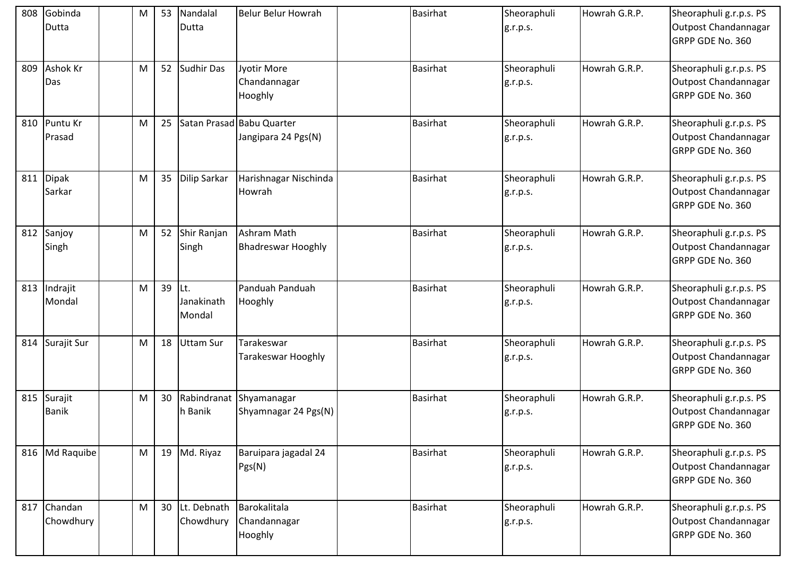| 808 | Gobinda<br>Dutta        | M | 53       | Nandalal<br>Dutta           | Belur Belur Howrah                               | <b>Basirhat</b> | Sheoraphuli<br>g.r.p.s. | Howrah G.R.P. | Sheoraphuli g.r.p.s. PS<br>Outpost Chandannagar<br>GRPP GDE No. 360 |
|-----|-------------------------|---|----------|-----------------------------|--------------------------------------------------|-----------------|-------------------------|---------------|---------------------------------------------------------------------|
| 809 | <b>Ashok Kr</b><br>Das  | M |          | 52 Sudhir Das               | Jyotir More<br>Chandannagar<br>Hooghly           | <b>Basirhat</b> | Sheoraphuli<br>g.r.p.s. | Howrah G.R.P. | Sheoraphuli g.r.p.s. PS<br>Outpost Chandannagar<br>GRPP GDE No. 360 |
| 810 | Puntu Kr<br>Prasad      | M | 25       |                             | Satan Prasad Babu Quarter<br>Jangipara 24 Pgs(N) | <b>Basirhat</b> | Sheoraphuli<br>g.r.p.s. | Howrah G.R.P. | Sheoraphuli g.r.p.s. PS<br>Outpost Chandannagar<br>GRPP GDE No. 360 |
| 811 | Dipak<br>Sarkar         | M | 35       | <b>Dilip Sarkar</b>         | Harishnagar Nischinda<br>Howrah                  | <b>Basirhat</b> | Sheoraphuli<br>g.r.p.s. | Howrah G.R.P. | Sheoraphuli g.r.p.s. PS<br>Outpost Chandannagar<br>GRPP GDE No. 360 |
| 812 | Sanjoy<br>Singh         | M |          | 52 Shir Ranjan<br>Singh     | Ashram Math<br><b>Bhadreswar Hooghly</b>         | <b>Basirhat</b> | Sheoraphuli<br>g.r.p.s. | Howrah G.R.P. | Sheoraphuli g.r.p.s. PS<br>Outpost Chandannagar<br>GRPP GDE No. 360 |
| 813 | Indrajit<br>Mondal      | M | $39$ Lt. | Janakinath<br>Mondal        | Panduah Panduah<br>Hooghly                       | Basirhat        | Sheoraphuli<br>g.r.p.s. | Howrah G.R.P. | Sheoraphuli g.r.p.s. PS<br>Outpost Chandannagar<br>GRPP GDE No. 360 |
| 814 | Surajit Sur             | M | 18       | <b>Uttam Sur</b>            | Tarakeswar<br>Tarakeswar Hooghly                 | <b>Basirhat</b> | Sheoraphuli<br>g.r.p.s. | Howrah G.R.P. | Sheoraphuli g.r.p.s. PS<br>Outpost Chandannagar<br>GRPP GDE No. 360 |
| 815 | Surajit<br><b>Banik</b> | M | 30       | Rabindranat<br>h Banik      | Shyamanagar<br>Shyamnagar 24 Pgs(N)              | <b>Basirhat</b> | Sheoraphuli<br>g.r.p.s. | Howrah G.R.P. | Sheoraphuli g.r.p.s. PS<br>Outpost Chandannagar<br>GRPP GDE No. 360 |
| 816 | Md Raquibe              | M |          | 19 Md. Riyaz                | Baruipara jagadal 24<br>Pgs(N)                   | Basirhat        | Sheoraphuli<br>g.r.p.s. | Howrah G.R.P. | Sheoraphuli g.r.p.s. PS<br>Outpost Chandannagar<br>GRPP GDE No. 360 |
| 817 | Chandan<br>Chowdhury    | M |          | 30 Lt. Debnath<br>Chowdhury | Barokalitala<br>Chandannagar<br>Hooghly          | <b>Basirhat</b> | Sheoraphuli<br>g.r.p.s. | Howrah G.R.P. | Sheoraphuli g.r.p.s. PS<br>Outpost Chandannagar<br>GRPP GDE No. 360 |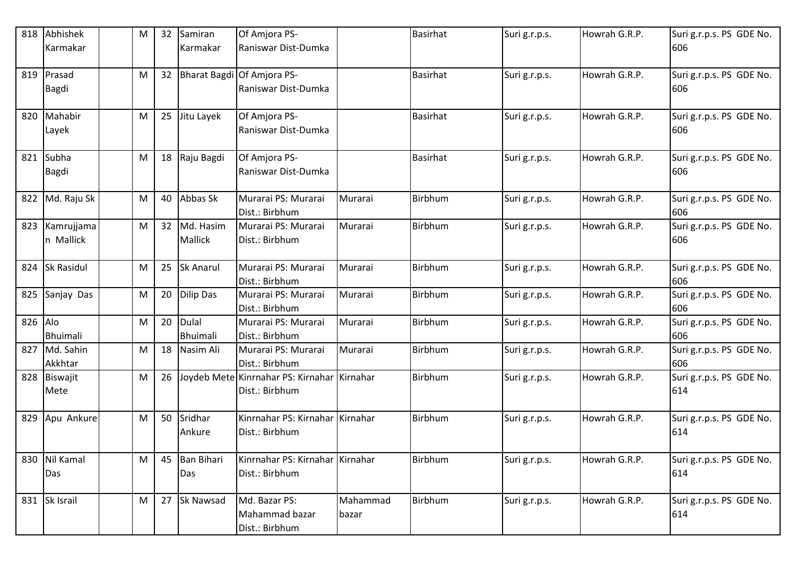| 818     | Abhishek                | M | 32 | Samiran                     | Of Amjora PS-                                                 |                   | <b>Basirhat</b> | Suri g.r.p.s. | Howrah G.R.P. | Suri g.r.p.s. PS GDE No.        |
|---------|-------------------------|---|----|-----------------------------|---------------------------------------------------------------|-------------------|-----------------|---------------|---------------|---------------------------------|
|         | Karmakar                |   |    | Karmakar                    | Raniswar Dist-Dumka                                           |                   |                 |               |               | 606                             |
| 819     | Prasad<br><b>Bagdi</b>  | M | 32 |                             | Bharat Bagdi Of Amjora PS-<br>Raniswar Dist-Dumka             |                   | <b>Basirhat</b> | Suri g.r.p.s. | Howrah G.R.P. | Suri g.r.p.s. PS GDE No.<br>606 |
| 820     | Mahabir<br>Layek        | M | 25 | Jitu Layek                  | Of Amjora PS-<br>Raniswar Dist-Dumka                          |                   | <b>Basirhat</b> | Suri g.r.p.s. | Howrah G.R.P. | Suri g.r.p.s. PS GDE No.<br>606 |
| 821     | Subha<br><b>Bagdi</b>   | M | 18 | Raju Bagdi                  | Of Amjora PS-<br>Raniswar Dist-Dumka                          |                   | <b>Basirhat</b> | Suri g.r.p.s. | Howrah G.R.P. | Suri g.r.p.s. PS GDE No.<br>606 |
| 822     | Md. Raju Sk             | M | 40 | Abbas Sk                    | Murarai PS: Murarai<br>Dist.: Birbhum                         | Murarai           | Birbhum         | Suri g.r.p.s. | Howrah G.R.P. | Suri g.r.p.s. PS GDE No.<br>606 |
| 823     | Kamrujjama<br>n Mallick | M | 32 | Md. Hasim<br><b>Mallick</b> | Murarai PS: Murarai<br>Dist.: Birbhum                         | Murarai           | Birbhum         | Suri g.r.p.s. | Howrah G.R.P. | Suri g.r.p.s. PS GDE No.<br>606 |
| 824     | <b>Sk Rasidul</b>       | M | 25 | Sk Anarul                   | Murarai PS: Murarai<br>Dist.: Birbhum                         | Murarai           | Birbhum         | Suri g.r.p.s. | Howrah G.R.P. | Suri g.r.p.s. PS GDE No.<br>606 |
| 825     | Sanjay Das              | M | 20 | <b>Dilip Das</b>            | Murarai PS: Murarai<br>Dist.: Birbhum                         | Murarai           | Birbhum         | Suri g.r.p.s. | Howrah G.R.P. | Suri g.r.p.s. PS GDE No.<br>606 |
| 826 Alo | Bhuimali                | M | 20 | Dulal<br>Bhuimali           | Murarai PS: Murarai<br>Dist.: Birbhum                         | Murarai           | Birbhum         | Suri g.r.p.s. | Howrah G.R.P. | Suri g.r.p.s. PS GDE No.<br>606 |
| 827     | Md. Sahin<br>Akkhtar    | M | 18 | Nasim Ali                   | Murarai PS: Murarai<br>Dist.: Birbhum                         | Murarai           | Birbhum         | Suri g.r.p.s. | Howrah G.R.P. | Suri g.r.p.s. PS GDE No.<br>606 |
| 828     | Biswajit<br>Mete        | M | 26 |                             | Joydeb Mete Kinrnahar PS: Kirnahar Kirnahar<br>Dist.: Birbhum |                   | Birbhum         | Suri g.r.p.s. | Howrah G.R.P. | Suri g.r.p.s. PS GDE No.<br>614 |
| 829     | Apu Ankure              | M | 50 | Sridhar<br>Ankure           | Kinrnahar PS: Kirnahar Kirnahar<br>Dist.: Birbhum             |                   | Birbhum         | Suri g.r.p.s. | Howrah G.R.P. | Suri g.r.p.s. PS GDE No.<br>614 |
| 830     | Nil Kamal<br>Das        | M | 45 | <b>Ban Bihari</b><br>Das    | Kinrnahar PS: Kirnahar Kirnahar<br>Dist.: Birbhum             |                   | <b>Birbhum</b>  | Suri g.r.p.s. | Howrah G.R.P. | Suri g.r.p.s. PS GDE No.<br>614 |
|         | 831 Sk Israil           | M | 27 | <b>Sk Nawsad</b>            | Md. Bazar PS:<br>Mahammad bazar<br>Dist.: Birbhum             | Mahammad<br>bazar | <b>Birbhum</b>  | Suri g.r.p.s. | Howrah G.R.P. | Suri g.r.p.s. PS GDE No.<br>614 |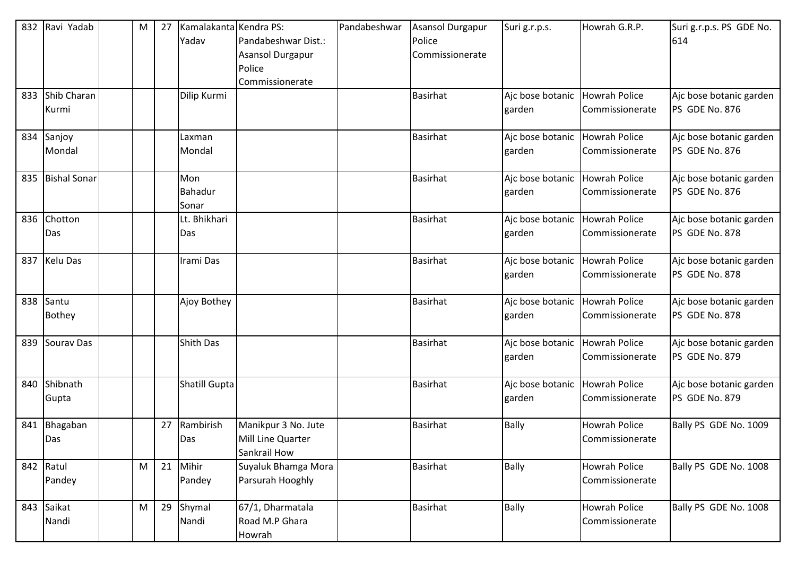| 832 | Ravi Yadab             | M         | 27 | Kamalakanta Kendra PS:<br>Yadav | Pandabeshwar Dist.:<br><b>Asansol Durgapur</b><br>Police<br>Commissionerate | Pandabeshwar | Asansol Durgapur<br>Police<br>Commissionerate | Suri g.r.p.s.                            | Howrah G.R.P.                           | Suri g.r.p.s. PS GDE No.<br>614           |
|-----|------------------------|-----------|----|---------------------------------|-----------------------------------------------------------------------------|--------------|-----------------------------------------------|------------------------------------------|-----------------------------------------|-------------------------------------------|
| 833 | Shib Charan<br>Kurmi   |           |    | Dilip Kurmi                     |                                                                             |              | <b>Basirhat</b>                               | Ajc bose botanic<br>garden               | <b>Howrah Police</b><br>Commissionerate | Ajc bose botanic garden<br>PS GDE No. 876 |
| 834 | Sanjoy<br>Mondal       |           |    | Laxman<br>Mondal                |                                                                             |              | <b>Basirhat</b>                               | Aic bose botanic Howrah Police<br>garden | Commissionerate                         | Ajc bose botanic garden<br>PS GDE No. 876 |
| 835 | <b>Bishal Sonar</b>    |           |    | Mon<br>Bahadur<br>Sonar         |                                                                             |              | <b>Basirhat</b>                               | Ajc bose botanic<br>garden               | <b>Howrah Police</b><br>Commissionerate | Ajc bose botanic garden<br>PS GDE No. 876 |
| 836 | Chotton<br>Das         |           |    | Lt. Bhikhari<br>Das             |                                                                             |              | <b>Basirhat</b>                               | Ajc bose botanic<br>garden               | <b>Howrah Police</b><br>Commissionerate | Ajc bose botanic garden<br>PS GDE No. 878 |
| 837 | <b>Kelu Das</b>        |           |    | Irami Das                       |                                                                             |              | <b>Basirhat</b>                               | Ajc bose botanic<br>garden               | <b>Howrah Police</b><br>Commissionerate | Ajc bose botanic garden<br>PS GDE No. 878 |
| 838 | Santu<br><b>Bothey</b> |           |    | Ajoy Bothey                     |                                                                             |              | <b>Basirhat</b>                               | Ajc bose botanic<br>garden               | <b>Howrah Police</b><br>Commissionerate | Ajc bose botanic garden<br>PS GDE No. 878 |
| 839 | Sourav Das             |           |    | <b>Shith Das</b>                |                                                                             |              | <b>Basirhat</b>                               | Ajc bose botanic<br>garden               | <b>Howrah Police</b><br>Commissionerate | Ajc bose botanic garden<br>PS GDE No. 879 |
| 840 | Shibnath<br>Gupta      |           |    | Shatill Gupta                   |                                                                             |              | <b>Basirhat</b>                               | Ajc bose botanic<br>garden               | <b>Howrah Police</b><br>Commissionerate | Ajc bose botanic garden<br>PS GDE No. 879 |
| 841 | Bhagaban<br>Das        |           | 27 | Rambirish<br>Das                | Manikpur 3 No. Jute<br>Mill Line Quarter<br>Sankrail How                    |              | <b>Basirhat</b>                               | <b>Bally</b>                             | <b>Howrah Police</b><br>Commissionerate | Bally PS GDE No. 1009                     |
| 842 | Ratul<br>Pandey        | M         | 21 | Mihir<br>Pandey                 | Suyaluk Bhamga Mora<br>Parsurah Hooghly                                     |              | <b>Basirhat</b>                               | <b>Bally</b>                             | Howrah Police<br>Commissionerate        | Bally PS GDE No. 1008                     |
| 843 | Saikat<br>Nandi        | ${\sf M}$ | 29 | Shymal<br>Nandi                 | 67/1, Dharmatala<br>Road M.P Ghara<br>Howrah                                |              | <b>Basirhat</b>                               | <b>Bally</b>                             | Howrah Police<br>Commissionerate        | Bally PS GDE No. 1008                     |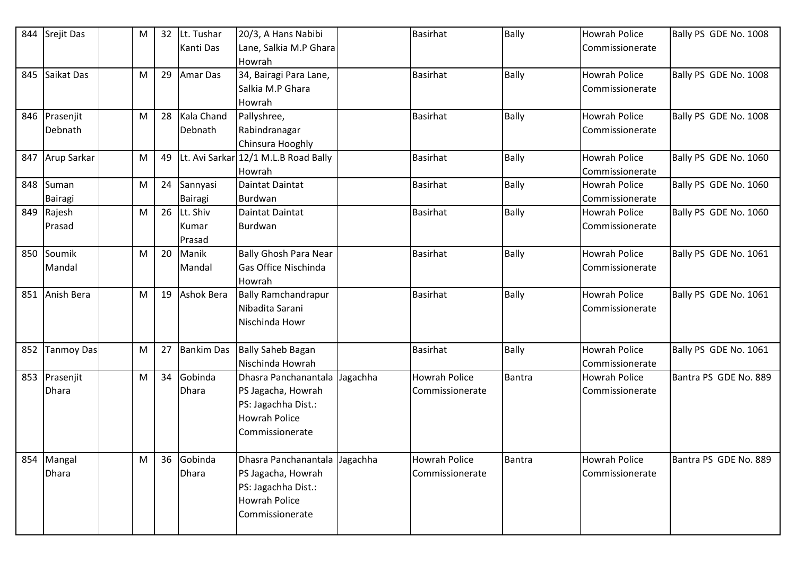| 844 | Srejit Das               | M | 32 | Lt. Tushar<br>Kanti Das     | 20/3, A Hans Nabibi<br>Lane, Salkia M.P Ghara<br>Howrah                                                               |          | <b>Basirhat</b>                         | <b>Bally</b>  | <b>Howrah Police</b><br>Commissionerate | Bally PS GDE No. 1008 |
|-----|--------------------------|---|----|-----------------------------|-----------------------------------------------------------------------------------------------------------------------|----------|-----------------------------------------|---------------|-----------------------------------------|-----------------------|
| 845 | Saikat Das               | M | 29 | <b>Amar Das</b>             | 34, Bairagi Para Lane,<br>Salkia M.P Ghara<br>Howrah                                                                  |          | <b>Basirhat</b>                         | <b>Bally</b>  | <b>Howrah Police</b><br>Commissionerate | Bally PS GDE No. 1008 |
|     | 846 Prasenjit<br>Debnath | M |    | 28 Kala Chand<br>Debnath    | Pallyshree,<br>Rabindranagar<br>Chinsura Hooghly                                                                      |          | <b>Basirhat</b>                         | Bally         | <b>Howrah Police</b><br>Commissionerate | Bally PS GDE No. 1008 |
| 847 | Arup Sarkar              | M | 49 |                             | Lt. Avi Sarkar 12/1 M.L.B Road Bally<br>Howrah                                                                        |          | <b>Basirhat</b>                         | <b>Bally</b>  | <b>Howrah Police</b><br>Commissionerate | Bally PS GDE No. 1060 |
| 848 | Suman<br>Bairagi         | M | 24 | Sannyasi<br>Bairagi         | Daintat Daintat<br><b>Burdwan</b>                                                                                     |          | <b>Basirhat</b>                         | <b>Bally</b>  | <b>Howrah Police</b><br>Commissionerate | Bally PS GDE No. 1060 |
| 849 | Rajesh<br>Prasad         | M | 26 | Lt. Shiv<br>Kumar<br>Prasad | Daintat Daintat<br><b>Burdwan</b>                                                                                     |          | <b>Basirhat</b>                         | Bally         | <b>Howrah Police</b><br>Commissionerate | Bally PS GDE No. 1060 |
| 850 | Soumik<br>Mandal         | M | 20 | Manik<br>Mandal             | <b>Bally Ghosh Para Near</b><br>Gas Office Nischinda<br>Howrah                                                        |          | <b>Basirhat</b>                         | <b>Bally</b>  | <b>Howrah Police</b><br>Commissionerate | Bally PS GDE No. 1061 |
| 851 | Anish Bera               | M | 19 | Ashok Bera                  | <b>Bally Ramchandrapur</b><br>Nibadita Sarani<br>Nischinda Howr                                                       |          | <b>Basirhat</b>                         | <b>Bally</b>  | <b>Howrah Police</b><br>Commissionerate | Bally PS GDE No. 1061 |
| 852 | <b>Tanmoy Das</b>        | M | 27 | <b>Bankim Das</b>           | <b>Bally Saheb Bagan</b><br>Nischinda Howrah                                                                          |          | <b>Basirhat</b>                         | <b>Bally</b>  | <b>Howrah Police</b><br>Commissionerate | Bally PS GDE No. 1061 |
| 853 | Prasenjit<br>Dhara       | M | 34 | Gobinda<br><b>Dhara</b>     | Dhasra Panchanantala<br>PS Jagacha, Howrah<br>PS: Jagachha Dist.:<br><b>Howrah Police</b><br>Commissionerate          | Jagachha | <b>Howrah Police</b><br>Commissionerate | <b>Bantra</b> | <b>Howrah Police</b><br>Commissionerate | Bantra PS GDE No. 889 |
| 854 | Mangal<br><b>Dhara</b>   | M |    | 36 Gobinda<br><b>Dhara</b>  | Dhasra Panchanantala Jagachha<br>PS Jagacha, Howrah<br>PS: Jagachha Dist.:<br><b>Howrah Police</b><br>Commissionerate |          | Howrah Police<br>Commissionerate        | Bantra        | <b>Howrah Police</b><br>Commissionerate | Bantra PS GDE No. 889 |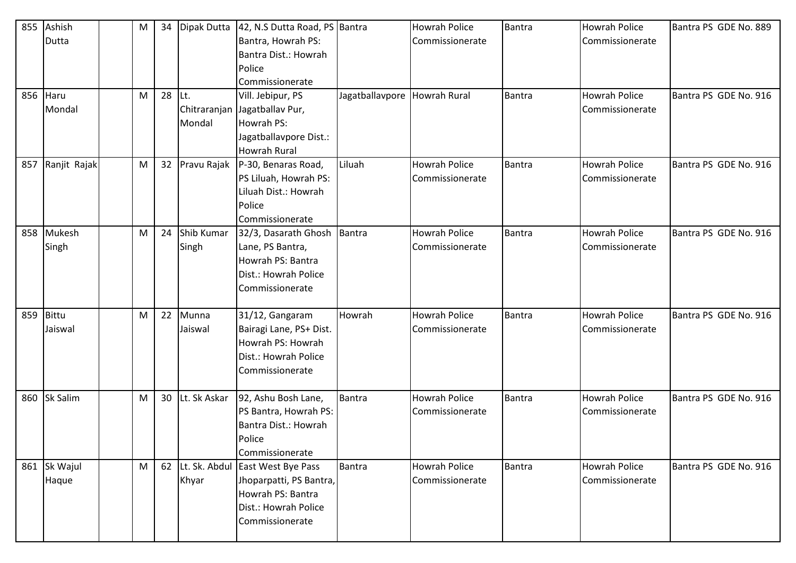| 855 | Ashish          | M | 34 | Dipak Dutta      | 42, N.S Dutta Road, PS Bantra |                              | <b>Howrah Police</b> | Bantra        | <b>Howrah Police</b> | Bantra PS GDE No. 889 |
|-----|-----------------|---|----|------------------|-------------------------------|------------------------------|----------------------|---------------|----------------------|-----------------------|
|     | Dutta           |   |    |                  | Bantra, Howrah PS:            |                              | Commissionerate      |               | Commissionerate      |                       |
|     |                 |   |    |                  | Bantra Dist.: Howrah          |                              |                      |               |                      |                       |
|     |                 |   |    |                  | Police                        |                              |                      |               |                      |                       |
|     |                 |   |    |                  | Commissionerate               |                              |                      |               |                      |                       |
| 856 | Haru            | M | 28 | Lt.              | Vill. Jebipur, PS             | Jagatballavpore Howrah Rural |                      | Bantra        | <b>Howrah Police</b> | Bantra PS GDE No. 916 |
|     | Mondal          |   |    | Chitraranjan     | Jagatballav Pur,              |                              |                      |               | Commissionerate      |                       |
|     |                 |   |    | Mondal           | Howrah PS:                    |                              |                      |               |                      |                       |
|     |                 |   |    |                  | Jagatballavpore Dist.:        |                              |                      |               |                      |                       |
|     |                 |   |    |                  | Howrah Rural                  |                              |                      |               |                      |                       |
| 857 | Ranjit Rajak    | M |    | 32 Pravu Rajak   | P-30, Benaras Road,           | Liluah                       | <b>Howrah Police</b> | Bantra        | <b>Howrah Police</b> | Bantra PS GDE No. 916 |
|     |                 |   |    |                  | PS Liluah, Howrah PS:         |                              | Commissionerate      |               | Commissionerate      |                       |
|     |                 |   |    |                  | Liluah Dist.: Howrah          |                              |                      |               |                      |                       |
|     |                 |   |    |                  | Police                        |                              |                      |               |                      |                       |
|     |                 |   |    |                  | Commissionerate               |                              |                      |               |                      |                       |
|     | 858 Mukesh      | M | 24 | Shib Kumar       | 32/3, Dasarath Ghosh   Bantra |                              | <b>Howrah Police</b> | <b>Bantra</b> | <b>Howrah Police</b> | Bantra PS GDE No. 916 |
|     | Singh           |   |    | Singh            | Lane, PS Bantra,              |                              | Commissionerate      |               | Commissionerate      |                       |
|     |                 |   |    |                  | Howrah PS: Bantra             |                              |                      |               |                      |                       |
|     |                 |   |    |                  | Dist.: Howrah Police          |                              |                      |               |                      |                       |
|     |                 |   |    |                  | Commissionerate               |                              |                      |               |                      |                       |
| 859 | Bittu           | M | 22 | Munna            | 31/12, Gangaram               | Howrah                       | <b>Howrah Police</b> | Bantra        | <b>Howrah Police</b> | Bantra PS GDE No. 916 |
|     | Jaiswal         |   |    | Jaiswal          | Bairagi Lane, PS+ Dist.       |                              | Commissionerate      |               | Commissionerate      |                       |
|     |                 |   |    |                  | Howrah PS: Howrah             |                              |                      |               |                      |                       |
|     |                 |   |    |                  | Dist.: Howrah Police          |                              |                      |               |                      |                       |
|     |                 |   |    |                  | Commissionerate               |                              |                      |               |                      |                       |
|     |                 |   |    |                  |                               |                              |                      |               |                      |                       |
| 860 | <b>Sk Salim</b> | M | 30 | Lt. Sk Askar     | 92, Ashu Bosh Lane,           | Bantra                       | <b>Howrah Police</b> | <b>Bantra</b> | <b>Howrah Police</b> | Bantra PS GDE No. 916 |
|     |                 |   |    |                  | PS Bantra, Howrah PS:         |                              | Commissionerate      |               | Commissionerate      |                       |
|     |                 |   |    |                  | Bantra Dist.: Howrah          |                              |                      |               |                      |                       |
|     |                 |   |    |                  | Police                        |                              |                      |               |                      |                       |
|     |                 |   |    |                  | Commissionerate               |                              |                      |               |                      |                       |
| 861 | Sk Wajul        | M |    | 62 Lt. Sk. Abdul | East West Bye Pass            | Bantra                       | <b>Howrah Police</b> | Bantra        | <b>Howrah Police</b> | Bantra PS GDE No. 916 |
|     | Haque           |   |    | Khyar            | Jhoparpatti, PS Bantra,       |                              | Commissionerate      |               | Commissionerate      |                       |
|     |                 |   |    |                  | Howrah PS: Bantra             |                              |                      |               |                      |                       |
|     |                 |   |    |                  | Dist.: Howrah Police          |                              |                      |               |                      |                       |
|     |                 |   |    |                  | Commissionerate               |                              |                      |               |                      |                       |
|     |                 |   |    |                  |                               |                              |                      |               |                      |                       |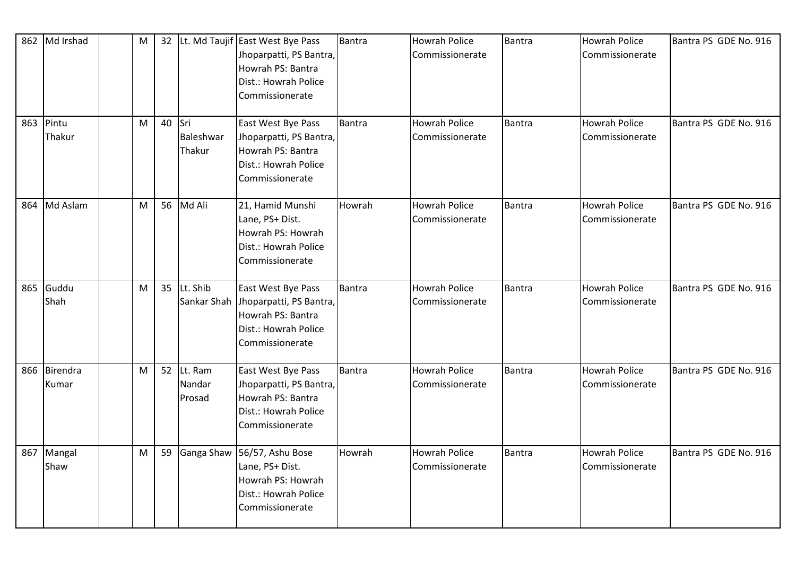|     | 862 Md Irshad      | M |    |                                   | 32 Lt. Md Taujif East West Bye Pass<br>Jhoparpatti, PS Bantra,<br>Howrah PS: Bantra<br>Dist.: Howrah Police<br>Commissionerate | Bantra | <b>Howrah Police</b><br>Commissionerate | Bantra        | Howrah Police<br>Commissionerate        | Bantra PS GDE No. 916 |
|-----|--------------------|---|----|-----------------------------------|--------------------------------------------------------------------------------------------------------------------------------|--------|-----------------------------------------|---------------|-----------------------------------------|-----------------------|
| 863 | Pintu<br>Thakur    | M | 40 | <b>Sri</b><br>Baleshwar<br>Thakur | East West Bye Pass<br>Jhoparpatti, PS Bantra,<br>Howrah PS: Bantra<br>Dist.: Howrah Police<br>Commissionerate                  | Bantra | <b>Howrah Police</b><br>Commissionerate | Bantra        | Howrah Police<br>Commissionerate        | Bantra PS GDE No. 916 |
| 864 | Md Aslam           | M |    | 56 Md Ali                         | 21, Hamid Munshi<br>Lane, PS+ Dist.<br>Howrah PS: Howrah<br>Dist.: Howrah Police<br>Commissionerate                            | Howrah | <b>Howrah Police</b><br>Commissionerate | Bantra        | <b>Howrah Police</b><br>Commissionerate | Bantra PS GDE No. 916 |
| 865 | Guddu<br>Shah      | M |    | 35 Lt. Shib<br>Sankar Shah        | East West Bye Pass<br>Jhoparpatti, PS Bantra,<br>Howrah PS: Bantra<br>Dist.: Howrah Police<br>Commissionerate                  | Bantra | <b>Howrah Police</b><br>Commissionerate | Bantra        | Howrah Police<br>Commissionerate        | Bantra PS GDE No. 916 |
| 866 | Birendra<br>Kumar  | M |    | 52 Lt. Ram<br>Nandar<br>Prosad    | East West Bye Pass<br>Jhoparpatti, PS Bantra,<br>Howrah PS: Bantra<br>Dist.: Howrah Police<br>Commissionerate                  | Bantra | <b>Howrah Police</b><br>Commissionerate | <b>Bantra</b> | <b>Howrah Police</b><br>Commissionerate | Bantra PS GDE No. 916 |
|     | 867 Mangal<br>Shaw | M | 59 | Ganga Shaw                        | 56/57, Ashu Bose<br>Lane, PS+ Dist.<br>Howrah PS: Howrah<br>Dist.: Howrah Police<br>Commissionerate                            | Howrah | <b>Howrah Police</b><br>Commissionerate | <b>Bantra</b> | <b>Howrah Police</b><br>Commissionerate | Bantra PS GDE No. 916 |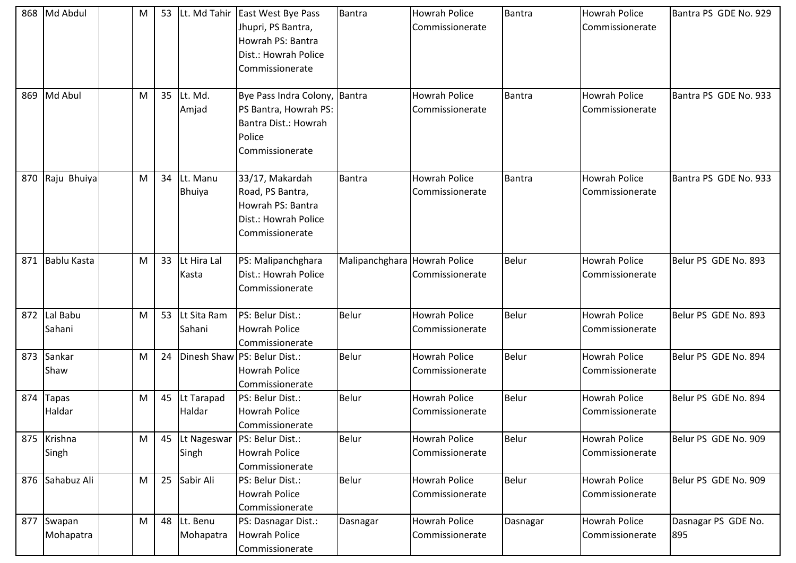| 868 | Md Abdul             | M | 53 |                           | Lt. Md Tahir East West Bye Pass<br>Jhupri, PS Bantra,<br>Howrah PS: Bantra<br>Dist.: Howrah Police<br>Commissionerate | <b>Bantra</b>                | Howrah Police<br>Commissionerate        | Bantra        | <b>Howrah Police</b><br>Commissionerate | Bantra PS GDE No. 929      |
|-----|----------------------|---|----|---------------------------|-----------------------------------------------------------------------------------------------------------------------|------------------------------|-----------------------------------------|---------------|-----------------------------------------|----------------------------|
| 869 | Md Abul              | M | 35 | Lt. Md.<br>Amjad          | Bye Pass Indra Colony, Bantra<br>PS Bantra, Howrah PS:<br>Bantra Dist.: Howrah<br>Police<br>Commissionerate           |                              | <b>Howrah Police</b><br>Commissionerate | <b>Bantra</b> | <b>Howrah Police</b><br>Commissionerate | Bantra PS GDE No. 933      |
| 870 | Raju Bhuiya          | M | 34 | Lt. Manu<br><b>Bhuiya</b> | 33/17, Makardah<br>Road, PS Bantra,<br>Howrah PS: Bantra<br>Dist.: Howrah Police<br>Commissionerate                   | Bantra                       | <b>Howrah Police</b><br>Commissionerate | Bantra        | <b>Howrah Police</b><br>Commissionerate | Bantra PS GDE No. 933      |
| 871 | <b>Bablu Kasta</b>   | M | 33 | Lt Hira Lal<br>Kasta      | PS: Malipanchghara<br>Dist.: Howrah Police<br>Commissionerate                                                         | Malipanchghara Howrah Police | Commissionerate                         | <b>Belur</b>  | <b>Howrah Police</b><br>Commissionerate | Belur PS GDE No. 893       |
| 872 | Lal Babu<br>Sahani   | M | 53 | Lt Sita Ram<br>Sahani     | PS: Belur Dist.:<br><b>Howrah Police</b><br>Commissionerate                                                           | Belur                        | <b>Howrah Police</b><br>Commissionerate | Belur         | <b>Howrah Police</b><br>Commissionerate | Belur PS GDE No. 893       |
| 873 | Sankar<br>Shaw       | M | 24 |                           | Dinesh Shaw PS: Belur Dist.:<br>Howrah Police<br>Commissionerate                                                      | <b>Belur</b>                 | <b>Howrah Police</b><br>Commissionerate | Belur         | <b>Howrah Police</b><br>Commissionerate | Belur PS GDE No. 894       |
| 874 | Tapas<br>Haldar      | M | 45 | Lt Tarapad<br>Haldar      | PS: Belur Dist.:<br><b>Howrah Police</b><br>Commissionerate                                                           | <b>Belur</b>                 | Howrah Police<br>Commissionerate        | Belur         | <b>Howrah Police</b><br>Commissionerate | Belur PS GDE No. 894       |
|     | 875 Krishna<br>Singh | M | 45 | Singh                     | Lt Nageswar   PS: Belur Dist.:<br><b>Howrah Police</b><br>Commissionerate                                             | Belur                        | <b>Howrah Police</b><br>Commissionerate | <b>Belur</b>  | <b>Howrah Police</b><br>Commissionerate | Belur PS GDE No. 909       |
| 876 | Sahabuz Ali          | M | 25 | Sabir Ali                 | PS: Belur Dist.:<br>Howrah Police<br>Commissionerate                                                                  | Belur                        | <b>Howrah Police</b><br>Commissionerate | Belur         | <b>Howrah Police</b><br>Commissionerate | Belur PS GDE No. 909       |
| 877 | Swapan<br>Mohapatra  | M | 48 | Lt. Benu<br>Mohapatra     | PS: Dasnagar Dist.:<br><b>Howrah Police</b><br>Commissionerate                                                        | Dasnagar                     | <b>Howrah Police</b><br>Commissionerate | Dasnagar      | <b>Howrah Police</b><br>Commissionerate | Dasnagar PS GDE No.<br>895 |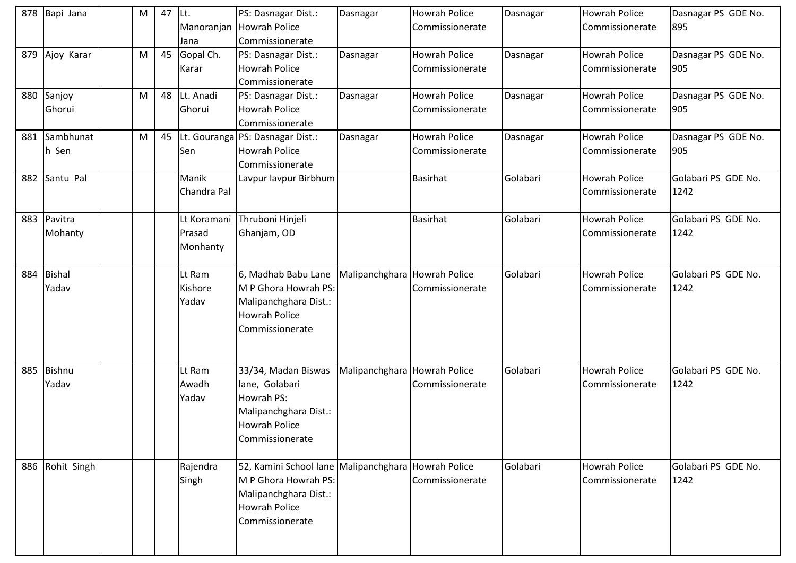| 878 | Bapi Jana     | M | 47 | ILt.        | PS: Dasnagar Dist.:                   | Dasnagar                     | <b>Howrah Police</b> | Dasnagar | Howrah Police        | Dasnagar PS GDE No. |
|-----|---------------|---|----|-------------|---------------------------------------|------------------------------|----------------------|----------|----------------------|---------------------|
|     |               |   |    | Manoranjan  | <b>Howrah Police</b>                  |                              | Commissionerate      |          | Commissionerate      | 895                 |
|     |               |   |    | Jana        | Commissionerate                       |                              |                      |          |                      |                     |
| 879 | Ajoy Karar    | M | 45 | Gopal Ch.   | PS: Dasnagar Dist.:                   | Dasnagar                     | <b>Howrah Police</b> | Dasnagar | Howrah Police        | Dasnagar PS GDE No. |
|     |               |   |    | Karar       | <b>Howrah Police</b>                  |                              | Commissionerate      |          | Commissionerate      | 905                 |
|     |               |   |    |             | Commissionerate                       |                              |                      |          |                      |                     |
| 880 | Sanjoy        | M | 48 | Lt. Anadi   | PS: Dasnagar Dist.:                   | Dasnagar                     | Howrah Police        | Dasnagar | <b>Howrah Police</b> | Dasnagar PS GDE No. |
|     | Ghorui        |   |    | Ghorui      | <b>Howrah Police</b>                  |                              | Commissionerate      |          | Commissionerate      | 905                 |
|     |               |   |    |             | Commissionerate                       |                              |                      |          |                      |                     |
| 881 | Sambhunat     | M | 45 |             | Lt. Gouranga PS: Dasnagar Dist.:      | Dasnagar                     | <b>Howrah Police</b> | Dasnagar | <b>Howrah Police</b> | Dasnagar PS GDE No. |
|     | h Sen         |   |    | Sen         | <b>Howrah Police</b>                  |                              | Commissionerate      |          | Commissionerate      | 905                 |
|     |               |   |    |             | Commissionerate                       |                              |                      |          |                      |                     |
| 882 | Santu Pal     |   |    | Manik       | Lavpur lavpur Birbhum                 |                              | <b>Basirhat</b>      | Golabari | <b>Howrah Police</b> | Golabari PS GDE No. |
|     |               |   |    | Chandra Pal |                                       |                              |                      |          | Commissionerate      | 1242                |
|     |               |   |    |             |                                       |                              |                      |          |                      |                     |
| 883 | Pavitra       |   |    | Lt Koramani | Thruboni Hinjeli                      |                              | <b>Basirhat</b>      | Golabari | <b>Howrah Police</b> | Golabari PS GDE No. |
|     | Mohanty       |   |    | Prasad      | Ghanjam, OD                           |                              |                      |          | Commissionerate      | 1242                |
|     |               |   |    | Monhanty    |                                       |                              |                      |          |                      |                     |
|     |               |   |    |             |                                       |                              |                      |          |                      |                     |
| 884 | <b>Bishal</b> |   |    | Lt Ram      | 6, Madhab Babu Lane                   | Malipanchghara Howrah Police |                      | Golabari | <b>Howrah Police</b> | Golabari PS GDE No. |
|     | Yadav         |   |    | Kishore     | M P Ghora Howrah PS:                  |                              | Commissionerate      |          | Commissionerate      | 1242                |
|     |               |   |    | Yadav       | Malipanchghara Dist.:                 |                              |                      |          |                      |                     |
|     |               |   |    |             | <b>Howrah Police</b>                  |                              |                      |          |                      |                     |
|     |               |   |    |             | Commissionerate                       |                              |                      |          |                      |                     |
|     |               |   |    |             |                                       |                              |                      |          |                      |                     |
|     |               |   |    |             |                                       |                              |                      |          |                      |                     |
| 885 | Bishnu        |   |    | Lt Ram      | 33/34, Madan Biswas                   | Malipanchghara Howrah Police |                      | Golabari | <b>Howrah Police</b> | Golabari PS GDE No. |
|     | Yadav         |   |    | Awadh       | lane, Golabari                        |                              | Commissionerate      |          | Commissionerate      | 1242                |
|     |               |   |    | Yadav       | Howrah PS:                            |                              |                      |          |                      |                     |
|     |               |   |    |             | Malipanchghara Dist.:                 |                              |                      |          |                      |                     |
|     |               |   |    |             | <b>Howrah Police</b>                  |                              |                      |          |                      |                     |
|     |               |   |    |             | Commissionerate                       |                              |                      |          |                      |                     |
|     |               |   |    |             |                                       |                              |                      |          |                      |                     |
| 886 | Rohit Singh   |   |    | Rajendra    | 52, Kamini School lane Malipanchghara |                              | <b>Howrah Police</b> | Golabari | Howrah Police        | Golabari PS GDE No. |
|     |               |   |    | Singh       | M P Ghora Howrah PS:                  |                              | Commissionerate      |          | Commissionerate      | 1242                |
|     |               |   |    |             | Malipanchghara Dist.:                 |                              |                      |          |                      |                     |
|     |               |   |    |             | <b>Howrah Police</b>                  |                              |                      |          |                      |                     |
|     |               |   |    |             | Commissionerate                       |                              |                      |          |                      |                     |
|     |               |   |    |             |                                       |                              |                      |          |                      |                     |
|     |               |   |    |             |                                       |                              |                      |          |                      |                     |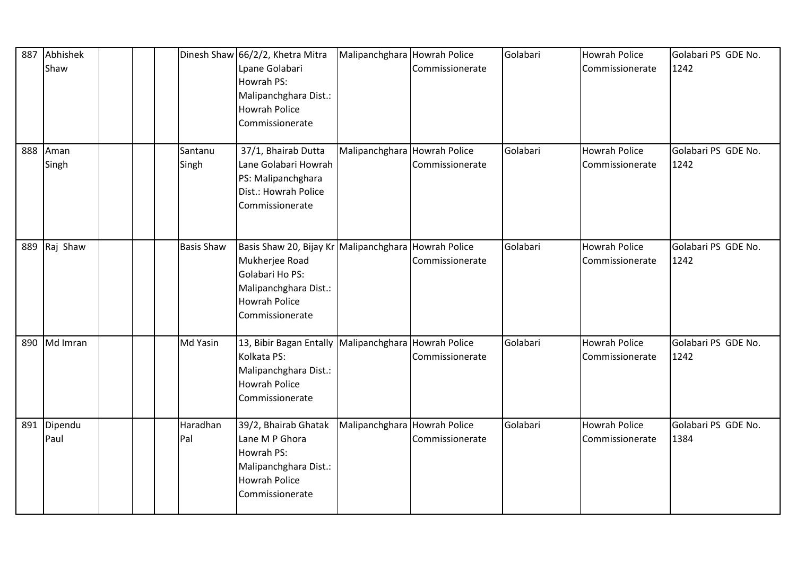| 887 | Abhishek<br>Shaw |  |                   | Dinesh Shaw 66/2/2, Khetra Mitra<br>Lpane Golabari<br>Howrah PS:<br>Malipanchghara Dist.:<br><b>Howrah Police</b><br>Commissionerate            | Malipanchghara Howrah Police | Commissionerate                         | Golabari | <b>Howrah Police</b><br>Commissionerate | Golabari PS GDE No.<br>1242 |
|-----|------------------|--|-------------------|-------------------------------------------------------------------------------------------------------------------------------------------------|------------------------------|-----------------------------------------|----------|-----------------------------------------|-----------------------------|
| 888 | Aman<br>Singh    |  | Santanu<br>Singh  | 37/1, Bhairab Dutta<br>Lane Golabari Howrah<br>PS: Malipanchghara<br>Dist.: Howrah Police<br>Commissionerate                                    | Malipanchghara Howrah Police | Commissionerate                         | Golabari | <b>Howrah Police</b><br>Commissionerate | Golabari PS GDE No.<br>1242 |
| 889 | Raj Shaw         |  | <b>Basis Shaw</b> | Basis Shaw 20, Bijay Kr Malipanchghara<br>Mukherjee Road<br>Golabari Ho PS:<br>Malipanchghara Dist.:<br><b>Howrah Police</b><br>Commissionerate |                              | <b>Howrah Police</b><br>Commissionerate | Golabari | Howrah Police<br>Commissionerate        | Golabari PS GDE No.<br>1242 |
| 890 | Md Imran         |  | Md Yasin          | 13, Bibir Bagan Entally Malipanchghara Howrah Police<br>Kolkata PS:<br>Malipanchghara Dist.:<br><b>Howrah Police</b><br>Commissionerate         |                              | Commissionerate                         | Golabari | Howrah Police<br>Commissionerate        | Golabari PS GDE No.<br>1242 |
| 891 | Dipendu<br>Paul  |  | Haradhan<br>Pal   | 39/2, Bhairab Ghatak<br>Lane M P Ghora<br>Howrah PS:<br>Malipanchghara Dist.:<br><b>Howrah Police</b><br>Commissionerate                        | Malipanchghara Howrah Police | Commissionerate                         | Golabari | <b>Howrah Police</b><br>Commissionerate | Golabari PS GDE No.<br>1384 |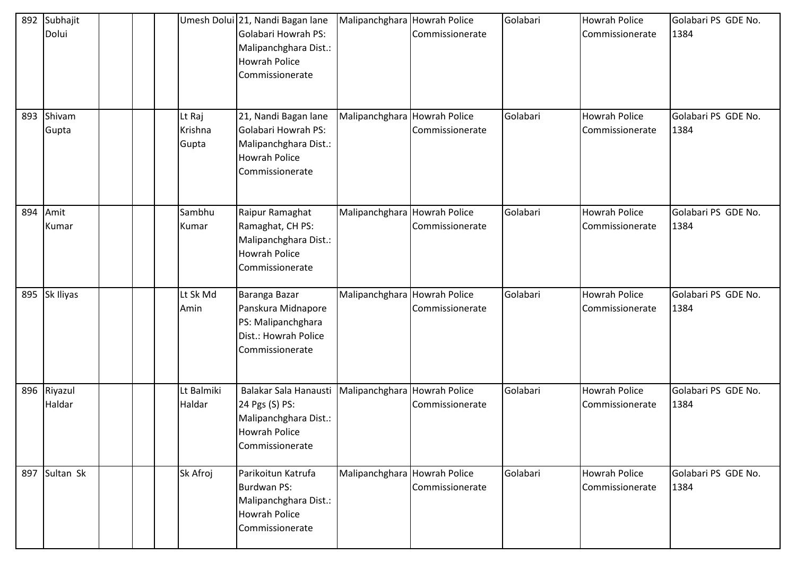| 892 | Subhajit<br>Dolui |  |                            | Umesh Dolui 21, Nandi Bagan lane<br>Golabari Howrah PS:<br>Malipanchghara Dist.:<br><b>Howrah Police</b><br>Commissionerate           | Malipanchghara               | <b>Howrah Police</b><br>Commissionerate | Golabari | <b>Howrah Police</b><br>Commissionerate | Golabari PS GDE No.<br>1384 |
|-----|-------------------|--|----------------------------|---------------------------------------------------------------------------------------------------------------------------------------|------------------------------|-----------------------------------------|----------|-----------------------------------------|-----------------------------|
| 893 | Shivam<br>Gupta   |  | Lt Raj<br>Krishna<br>Gupta | 21, Nandi Bagan lane<br>Golabari Howrah PS:<br>Malipanchghara Dist.:<br><b>Howrah Police</b><br>Commissionerate                       | Malipanchghara               | <b>Howrah Police</b><br>Commissionerate | Golabari | <b>Howrah Police</b><br>Commissionerate | Golabari PS GDE No.<br>1384 |
| 894 | Amit<br>Kumar     |  | Sambhu<br>Kumar            | Raipur Ramaghat<br>Ramaghat, CH PS:<br>Malipanchghara Dist.:<br><b>Howrah Police</b><br>Commissionerate                               | Malipanchghara               | Howrah Police<br>Commissionerate        | Golabari | <b>Howrah Police</b><br>Commissionerate | Golabari PS GDE No.<br>1384 |
| 895 | Sk Iliyas         |  | Lt Sk Md<br>Amin           | Baranga Bazar<br>Panskura Midnapore<br>PS: Malipanchghara<br>Dist.: Howrah Police<br>Commissionerate                                  | Malipanchghara Howrah Police | Commissionerate                         | Golabari | <b>Howrah Police</b><br>Commissionerate | Golabari PS GDE No.<br>1384 |
| 896 | Riyazul<br>Haldar |  | Lt Balmiki<br>Haldar       | Balakar Sala Hanausti   Malipanchghara   Howrah Police<br>24 Pgs (S) PS:<br>Malipanchghara Dist.:<br>Howrah Police<br>Commissionerate |                              | Commissionerate                         | Golabari | <b>Howrah Police</b><br>Commissionerate | Golabari PS GDE No.<br>1384 |
| 897 | Sultan Sk         |  | Sk Afroj                   | Parikoitun Katrufa<br>Burdwan PS:<br>Malipanchghara Dist.:<br>Howrah Police<br>Commissionerate                                        | Malipanchghara               | <b>Howrah Police</b><br>Commissionerate | Golabari | <b>Howrah Police</b><br>Commissionerate | Golabari PS GDE No.<br>1384 |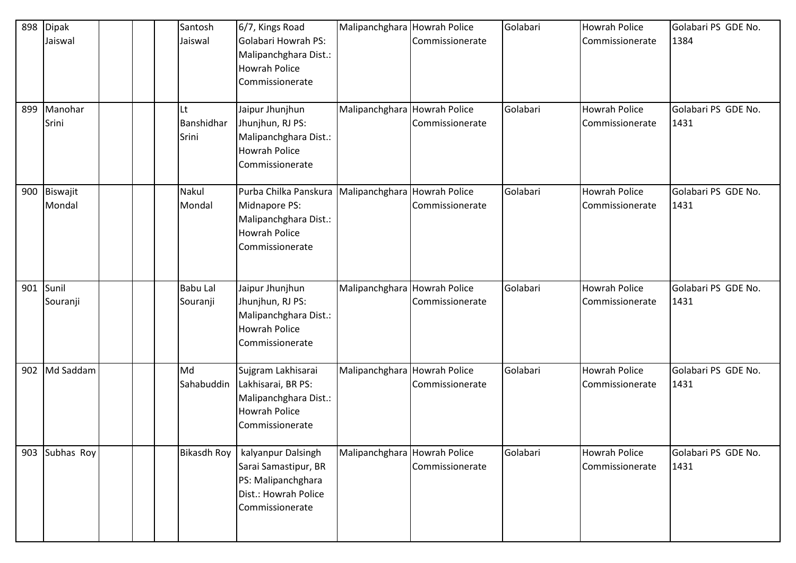| 898<br>899 | <b>Dipak</b><br>Jaiswal<br>Manohar |  | Santosh<br>Jaiswal<br>Lt    | 6/7, Kings Road<br>Golabari Howrah PS:<br>Malipanchghara Dist.:<br><b>Howrah Police</b><br>Commissionerate<br>Jaipur Jhunjhun | Malipanchghara Howrah Police<br>Malipanchghara Howrah Police | Commissionerate                         | Golabari<br>Golabari | <b>Howrah Police</b><br>Commissionerate<br><b>Howrah Police</b> | Golabari PS GDE No.<br>1384<br>Golabari PS GDE No. |
|------------|------------------------------------|--|-----------------------------|-------------------------------------------------------------------------------------------------------------------------------|--------------------------------------------------------------|-----------------------------------------|----------------------|-----------------------------------------------------------------|----------------------------------------------------|
|            | Srini                              |  | Banshidhar<br>Srini         | Jhunjhun, RJ PS:<br>Malipanchghara Dist.:<br><b>Howrah Police</b><br>Commissionerate                                          |                                                              | Commissionerate                         |                      | Commissionerate                                                 | 1431                                               |
| 900        | Biswajit<br>Mondal                 |  | Nakul<br>Mondal             | Purba Chilka Panskura<br>Midnapore PS:<br>Malipanchghara Dist.:<br><b>Howrah Police</b><br>Commissionerate                    | Malipanchghara Howrah Police                                 | Commissionerate                         | Golabari             | <b>Howrah Police</b><br>Commissionerate                         | Golabari PS GDE No.<br>1431                        |
| 901        | Sunil<br>Souranji                  |  | <b>Babu Lal</b><br>Souranji | Jaipur Jhunjhun<br>Jhunjhun, RJ PS:<br>Malipanchghara Dist.:<br><b>Howrah Police</b><br>Commissionerate                       | Malipanchghara                                               | <b>Howrah Police</b><br>Commissionerate | Golabari             | <b>Howrah Police</b><br>Commissionerate                         | Golabari PS GDE No.<br>1431                        |
| 902        | Md Saddam                          |  | Md<br>Sahabuddin            | Sujgram Lakhisarai<br>Lakhisarai, BR PS:<br>Malipanchghara Dist.:<br><b>Howrah Police</b><br>Commissionerate                  | Malipanchghara Howrah Police                                 | Commissionerate                         | Golabari             | <b>Howrah Police</b><br>Commissionerate                         | Golabari PS GDE No.<br>1431                        |
| 903        | Subhas Roy                         |  | <b>Bikasdh Roy</b>          | kalyanpur Dalsingh<br>Sarai Samastipur, BR<br>PS: Malipanchghara<br>Dist.: Howrah Police<br>Commissionerate                   | Malipanchghara Howrah Police                                 | Commissionerate                         | Golabari             | <b>Howrah Police</b><br>Commissionerate                         | Golabari PS GDE No.<br>1431                        |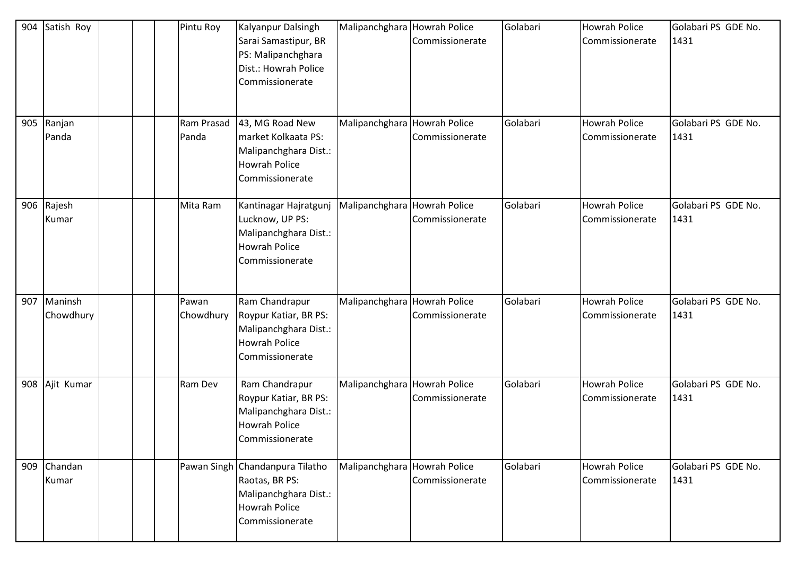| 904 | Satish Roy           |  | Pintu Roy           | Kalyanpur Dalsingh<br>Sarai Samastipur, BR<br>PS: Malipanchghara<br>Dist.: Howrah Police<br>Commissionerate    | Malipanchghara Howrah Police | Commissionerate | Golabari | <b>Howrah Police</b><br>Commissionerate | Golabari PS GDE No.<br>1431 |
|-----|----------------------|--|---------------------|----------------------------------------------------------------------------------------------------------------|------------------------------|-----------------|----------|-----------------------------------------|-----------------------------|
| 905 | Ranjan<br>Panda      |  | Ram Prasad<br>Panda | 43, MG Road New<br>market Kolkaata PS:<br>Malipanchghara Dist.:<br><b>Howrah Police</b><br>Commissionerate     | Malipanchghara Howrah Police | Commissionerate | Golabari | Howrah Police<br>Commissionerate        | Golabari PS GDE No.<br>1431 |
| 906 | Rajesh<br>Kumar      |  | Mita Ram            | Kantinagar Hajratgunj<br>Lucknow, UP PS:<br>Malipanchghara Dist.:<br><b>Howrah Police</b><br>Commissionerate   | Malipanchghara Howrah Police | Commissionerate | Golabari | Howrah Police<br>Commissionerate        | Golabari PS GDE No.<br>1431 |
| 907 | Maninsh<br>Chowdhury |  | Pawan<br>Chowdhury  | Ram Chandrapur<br>Roypur Katiar, BR PS:<br>Malipanchghara Dist.:<br><b>Howrah Police</b><br>Commissionerate    | Malipanchghara Howrah Police | Commissionerate | Golabari | <b>Howrah Police</b><br>Commissionerate | Golabari PS GDE No.<br>1431 |
| 908 | Ajit Kumar           |  | Ram Dev             | Ram Chandrapur<br>Roypur Katiar, BR PS:<br>Malipanchghara Dist.:<br><b>Howrah Police</b><br>Commissionerate    | Malipanchghara Howrah Police | Commissionerate | Golabari | <b>Howrah Police</b><br>Commissionerate | Golabari PS GDE No.<br>1431 |
| 909 | Chandan<br>Kumar     |  |                     | Pawan Singh Chandanpura Tilatho<br>Raotas, BR PS:<br>Malipanchghara Dist.:<br>Howrah Police<br>Commissionerate | Malipanchghara Howrah Police | Commissionerate | Golabari | <b>Howrah Police</b><br>Commissionerate | Golabari PS GDE No.<br>1431 |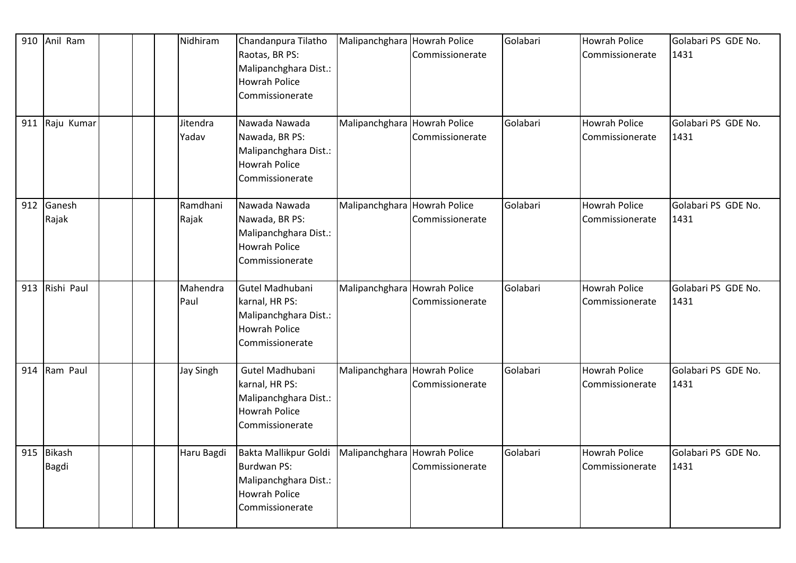| 910 | Anil Ram        |  | Nidhiram          | Chandanpura Tilatho<br>Raotas, BR PS:<br>Malipanchghara Dist.:<br><b>Howrah Police</b><br>Commissionerate       | Malipanchghara Howrah Police | Commissionerate                         | Golabari | <b>Howrah Police</b><br>Commissionerate | Golabari PS GDE No.<br>1431 |
|-----|-----------------|--|-------------------|-----------------------------------------------------------------------------------------------------------------|------------------------------|-----------------------------------------|----------|-----------------------------------------|-----------------------------|
| 911 | Raju Kumar      |  | Jitendra<br>Yadav | Nawada Nawada<br>Nawada, BR PS:<br>Malipanchghara Dist.:<br><b>Howrah Police</b><br>Commissionerate             | Malipanchghara Howrah Police | Commissionerate                         | Golabari | <b>Howrah Police</b><br>Commissionerate | Golabari PS GDE No.<br>1431 |
| 912 | Ganesh<br>Rajak |  | Ramdhani<br>Rajak | Nawada Nawada<br>Nawada, BR PS:<br>Malipanchghara Dist.:<br><b>Howrah Police</b><br>Commissionerate             | Malipanchghara Howrah Police | Commissionerate                         | Golabari | <b>Howrah Police</b><br>Commissionerate | Golabari PS GDE No.<br>1431 |
| 913 | Rishi Paul      |  | Mahendra<br>Paul  | Gutel Madhubani<br>karnal, HR PS:<br>Malipanchghara Dist.:<br><b>Howrah Police</b><br>Commissionerate           | Malipanchghara Howrah Police | Commissionerate                         | Golabari | <b>Howrah Police</b><br>Commissionerate | Golabari PS GDE No.<br>1431 |
| 914 | Ram Paul        |  | <b>Jay Singh</b>  | Gutel Madhubani<br>karnal, HR PS:<br>Malipanchghara Dist.:<br><b>Howrah Police</b><br>Commissionerate           | Malipanchghara               | <b>Howrah Police</b><br>Commissionerate | Golabari | Howrah Police<br>Commissionerate        | Golabari PS GDE No.<br>1431 |
| 915 | Bikash<br>Bagdi |  | Haru Bagdi        | Bakta Mallikpur Goldi<br><b>Burdwan PS:</b><br>Malipanchghara Dist.:<br><b>Howrah Police</b><br>Commissionerate | Malipanchghara Howrah Police | Commissionerate                         | Golabari | <b>Howrah Police</b><br>Commissionerate | Golabari PS GDE No.<br>1431 |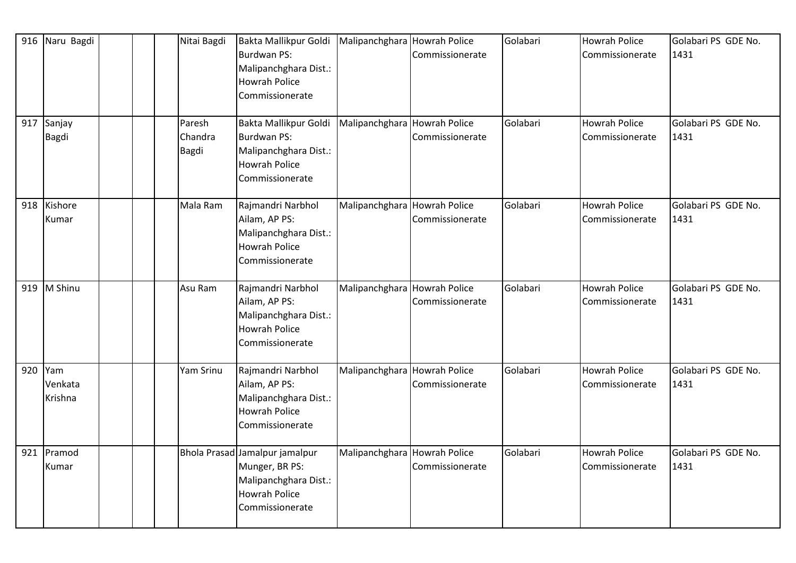| 916 | Naru Bagdi                 |  | Nitai Bagdi                | Bakta Mallikpur Goldi   Malipanchghara   Howrah Police<br><b>Burdwan PS:</b><br>Malipanchghara Dist.:<br><b>Howrah Police</b><br>Commissionerate |                              | Commissionerate                         | Golabari | <b>Howrah Police</b><br>Commissionerate | Golabari PS GDE No.<br>1431 |
|-----|----------------------------|--|----------------------------|--------------------------------------------------------------------------------------------------------------------------------------------------|------------------------------|-----------------------------------------|----------|-----------------------------------------|-----------------------------|
|     | 917 Sanjay<br><b>Bagdi</b> |  | Paresh<br>Chandra<br>Bagdi | Bakta Mallikpur Goldi<br><b>Burdwan PS:</b><br>Malipanchghara Dist.:<br><b>Howrah Police</b><br>Commissionerate                                  | Malipanchghara Howrah Police | Commissionerate                         | Golabari | <b>Howrah Police</b><br>Commissionerate | Golabari PS GDE No.<br>1431 |
| 918 | Kishore<br>Kumar           |  | Mala Ram                   | Rajmandri Narbhol<br>Ailam, AP PS:<br>Malipanchghara Dist.:<br><b>Howrah Police</b><br>Commissionerate                                           | Malipanchghara Howrah Police | Commissionerate                         | Golabari | <b>Howrah Police</b><br>Commissionerate | Golabari PS GDE No.<br>1431 |
| 919 | M Shinu                    |  | Asu Ram                    | Rajmandri Narbhol<br>Ailam, AP PS:<br>Malipanchghara Dist.:<br><b>Howrah Police</b><br>Commissionerate                                           | Malipanchghara Howrah Police | Commissionerate                         | Golabari | Howrah Police<br>Commissionerate        | Golabari PS GDE No.<br>1431 |
| 920 | Yam<br>Venkata<br>Krishna  |  | Yam Srinu                  | Rajmandri Narbhol<br>Ailam, AP PS:<br>Malipanchghara Dist.:<br><b>Howrah Police</b><br>Commissionerate                                           | Malipanchghara               | <b>Howrah Police</b><br>Commissionerate | Golabari | Howrah Police<br>Commissionerate        | Golabari PS GDE No.<br>1431 |
| 921 | Pramod<br>Kumar            |  |                            | Bhola Prasad Jamalpur jamalpur<br>Munger, BR PS:<br>Malipanchghara Dist.:<br><b>Howrah Police</b><br>Commissionerate                             | Malipanchghara Howrah Police | Commissionerate                         | Golabari | <b>Howrah Police</b><br>Commissionerate | Golabari PS GDE No.<br>1431 |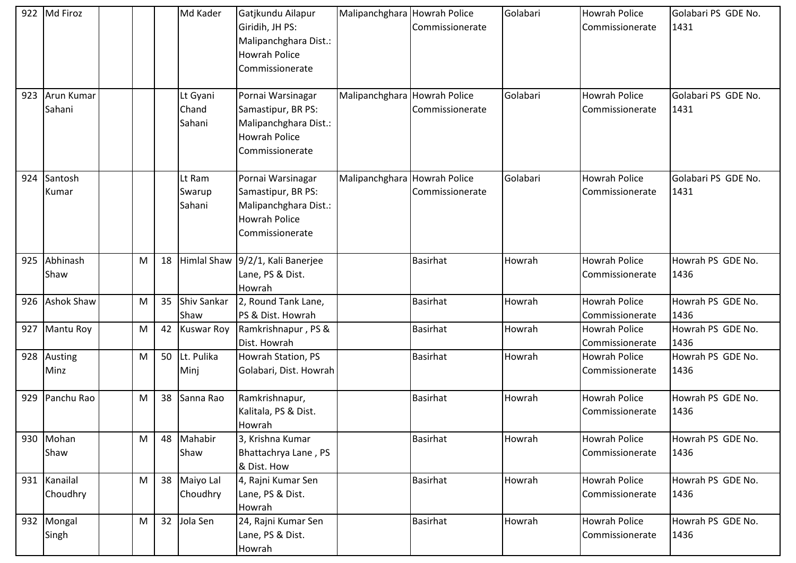|     | 922 Md Firoz         |   |    | Md Kader                    | Gatjkundu Ailapur<br>Giridih, JH PS:<br>Malipanchghara Dist.:<br><b>Howrah Police</b><br>Commissionerate    | Malipanchghara Howrah Police | Commissionerate                         | Golabari | Howrah Police<br><b>Commissionerate</b> | Golabari PS GDE No.<br>1431 |
|-----|----------------------|---|----|-----------------------------|-------------------------------------------------------------------------------------------------------------|------------------------------|-----------------------------------------|----------|-----------------------------------------|-----------------------------|
| 923 | Arun Kumar<br>Sahani |   |    | Lt Gyani<br>Chand<br>Sahani | Pornai Warsinagar<br>Samastipur, BR PS:<br>Malipanchghara Dist.:<br>Howrah Police<br>Commissionerate        | Malipanchghara               | <b>Howrah Police</b><br>Commissionerate | Golabari | <b>Howrah Police</b><br>Commissionerate | Golabari PS GDE No.<br>1431 |
| 924 | Santosh<br>Kumar     |   |    | Lt Ram<br>Swarup<br>Sahani  | Pornai Warsinagar<br>Samastipur, BR PS:<br>Malipanchghara Dist.:<br><b>Howrah Police</b><br>Commissionerate | Malipanchghara               | <b>Howrah Police</b><br>Commissionerate | Golabari | <b>Howrah Police</b><br>Commissionerate | Golabari PS GDE No.<br>1431 |
| 925 | Abhinash<br>Shaw     | M | 18 | <b>Himlal Shaw</b>          | 9/2/1, Kali Banerjee<br>Lane, PS & Dist.<br>Howrah                                                          |                              | <b>Basirhat</b>                         | Howrah   | <b>Howrah Police</b><br>Commissionerate | Howrah PS GDE No.<br>1436   |
| 926 | <b>Ashok Shaw</b>    | M | 35 | <b>Shiv Sankar</b><br>Shaw  | 2, Round Tank Lane,<br>PS & Dist. Howrah                                                                    |                              | <b>Basirhat</b>                         | Howrah   | <b>Howrah Police</b><br>Commissionerate | Howrah PS GDE No.<br>1436   |
| 927 | Mantu Roy            | M | 42 | <b>Kuswar Roy</b>           | Ramkrishnapur, PS &<br>Dist. Howrah                                                                         |                              | <b>Basirhat</b>                         | Howrah   | <b>Howrah Police</b><br>Commissionerate | Howrah PS GDE No.<br>1436   |
| 928 | Austing<br>Minz      | M | 50 | Lt. Pulika<br>Minj          | Howrah Station, PS<br>Golabari, Dist. Howrah                                                                |                              | <b>Basirhat</b>                         | Howrah   | <b>Howrah Police</b><br>Commissionerate | Howrah PS GDE No.<br>1436   |
| 929 | Panchu Rao           | M | 38 | Sanna Rao                   | Ramkrishnapur,<br>Kalitala, PS & Dist.<br>Howrah                                                            |                              | <b>Basirhat</b>                         | Howrah   | <b>Howrah Police</b><br>Commissionerate | Howrah PS GDE No.<br>1436   |
|     | 930 Mohan<br>Shaw    | M |    | 48 Mahabir<br>Shaw          | 3, Krishna Kumar<br>Bhattachrya Lane, PS<br>& Dist. How                                                     |                              | Basirhat                                | Howrah   | Howrah Police<br>Commissionerate        | Howrah PS GDE No.<br>1436   |
| 931 | Kanailal<br>Choudhry | M |    | 38 Maiyo Lal<br>Choudhry    | 4, Rajni Kumar Sen<br>Lane, PS & Dist.<br>Howrah                                                            |                              | <b>Basirhat</b>                         | Howrah   | Howrah Police<br>Commissionerate        | Howrah PS GDE No.<br>1436   |
|     | 932 Mongal<br>Singh  | M |    | 32 Jola Sen                 | 24, Rajni Kumar Sen<br>Lane, PS & Dist.<br>Howrah                                                           |                              | <b>Basirhat</b>                         | Howrah   | <b>Howrah Police</b><br>Commissionerate | Howrah PS GDE No.<br>1436   |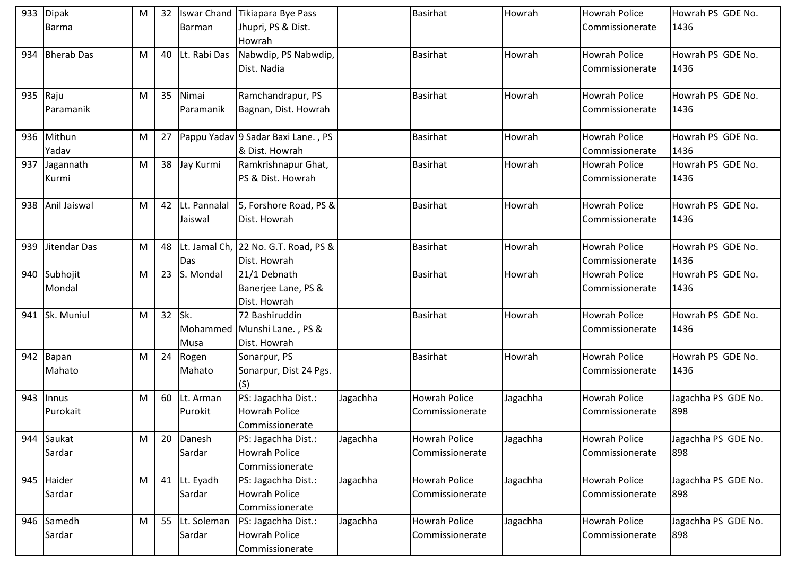| 933 | <b>Dipak</b>      | M | 32 |              | Iswar Chand Tikiapara Bye Pass       |          | <b>Basirhat</b>      | Howrah   | <b>Howrah Police</b> | Howrah PS GDE No.   |
|-----|-------------------|---|----|--------------|--------------------------------------|----------|----------------------|----------|----------------------|---------------------|
|     | <b>Barma</b>      |   |    | Barman       | Jhupri, PS & Dist.                   |          |                      |          | Commissionerate      | 1436                |
|     |                   |   |    |              | Howrah                               |          |                      |          |                      |                     |
| 934 | <b>Bherab Das</b> | M | 40 | Lt. Rabi Das | Nabwdip, PS Nabwdip,                 |          | <b>Basirhat</b>      | Howrah   | <b>Howrah Police</b> | Howrah PS GDE No.   |
|     |                   |   |    |              | Dist. Nadia                          |          |                      |          | Commissionerate      | 1436                |
|     |                   |   |    |              |                                      |          |                      |          |                      |                     |
|     | 935 Raju          | M | 35 | Nimai        | Ramchandrapur, PS                    |          | <b>Basirhat</b>      | Howrah   | <b>Howrah Police</b> | Howrah PS GDE No.   |
|     | Paramanik         |   |    | Paramanik    | Bagnan, Dist. Howrah                 |          |                      |          | Commissionerate      | 1436                |
|     |                   |   |    |              |                                      |          |                      |          |                      |                     |
| 936 | Mithun            | M | 27 |              | Pappu Yadav 9 Sadar Baxi Lane., PS   |          | <b>Basirhat</b>      | Howrah   | <b>Howrah Police</b> | Howrah PS GDE No.   |
|     | Yadav             |   |    |              | & Dist. Howrah                       |          |                      |          | Commissionerate      | 1436                |
| 937 | Jagannath         | M | 38 | Jay Kurmi    | Ramkrishnapur Ghat,                  |          | <b>Basirhat</b>      | Howrah   | <b>Howrah Police</b> | Howrah PS GDE No.   |
|     | Kurmi             |   |    |              | PS & Dist. Howrah                    |          |                      |          | Commissionerate      | 1436                |
|     |                   |   |    |              |                                      |          |                      |          |                      |                     |
| 938 | Anil Jaiswal      | M | 42 | Lt. Pannalal | 5, Forshore Road, PS &               |          | <b>Basirhat</b>      | Howrah   | <b>Howrah Police</b> | Howrah PS GDE No.   |
|     |                   |   |    | Jaiswal      | Dist. Howrah                         |          |                      |          | Commissionerate      | 1436                |
|     |                   |   |    |              |                                      |          |                      |          |                      |                     |
| 939 | Jitendar Das      | M | 48 |              | Lt. Jamal Ch, 22 No. G.T. Road, PS & |          | <b>Basirhat</b>      | Howrah   | <b>Howrah Police</b> | Howrah PS GDE No.   |
|     |                   |   |    | Das          | Dist. Howrah                         |          |                      |          | Commissionerate      | 1436                |
| 940 | Subhojit          | M | 23 | S. Mondal    | 21/1 Debnath                         |          | <b>Basirhat</b>      | Howrah   | <b>Howrah Police</b> | Howrah PS GDE No.   |
|     | Mondal            |   |    |              | Banerjee Lane, PS &                  |          |                      |          | Commissionerate      | 1436                |
|     |                   |   |    |              | Dist. Howrah                         |          |                      |          |                      |                     |
| 941 | Sk. Muniul        | M | 32 | Sk.          | 72 Bashiruddin                       |          | <b>Basirhat</b>      | Howrah   | <b>Howrah Police</b> | Howrah PS GDE No.   |
|     |                   |   |    |              | Mohammed Munshi Lane., PS &          |          |                      |          | Commissionerate      | 1436                |
|     |                   |   |    | Musa         | Dist. Howrah                         |          |                      |          |                      |                     |
|     | 942 Bapan         | M | 24 | Rogen        | Sonarpur, PS                         |          | <b>Basirhat</b>      | Howrah   | <b>Howrah Police</b> | Howrah PS GDE No.   |
|     | Mahato            |   |    | Mahato       | Sonarpur, Dist 24 Pgs.               |          |                      |          | Commissionerate      | 1436                |
|     |                   |   |    |              | (S)                                  |          |                      |          |                      |                     |
| 943 | Innus             | M | 60 | Lt. Arman    | PS: Jagachha Dist.:                  | Jagachha | <b>Howrah Police</b> | Jagachha | <b>Howrah Police</b> | Jagachha PS GDE No. |
|     | Purokait          |   |    | Purokit      | <b>Howrah Police</b>                 |          | Commissionerate      |          | Commissionerate      | 898                 |
|     |                   |   |    |              | Commissionerate                      |          |                      |          |                      |                     |
| 944 | Saukat            | M | 20 | Danesh       | PS: Jagachha Dist.:                  | Jagachha | Howrah Police        | Jagachha | <b>Howrah Police</b> | Jagachha PS GDE No. |
|     | Sardar            |   |    | Sardar       | <b>Howrah Police</b>                 |          | Commissionerate      |          | Commissionerate      | 898                 |
|     |                   |   |    |              | Commissionerate                      |          |                      |          |                      |                     |
| 945 | Haider            | M |    | 41 Lt. Eyadh | PS: Jagachha Dist.:                  | Jagachha | Howrah Police        | Jagachha | Howrah Police        | Jagachha PS GDE No. |
|     | Sardar            |   |    | Sardar       | Howrah Police                        |          | Commissionerate      |          | Commissionerate      | 898                 |
|     |                   |   |    |              | Commissionerate                      |          |                      |          |                      |                     |
| 946 | Samedh            | M | 55 | Lt. Soleman  | PS: Jagachha Dist.:                  | Jagachha | Howrah Police        | Jagachha | <b>Howrah Police</b> | Jagachha PS GDE No. |
|     | Sardar            |   |    | Sardar       | <b>Howrah Police</b>                 |          | Commissionerate      |          | Commissionerate      | 898                 |
|     |                   |   |    |              | Commissionerate                      |          |                      |          |                      |                     |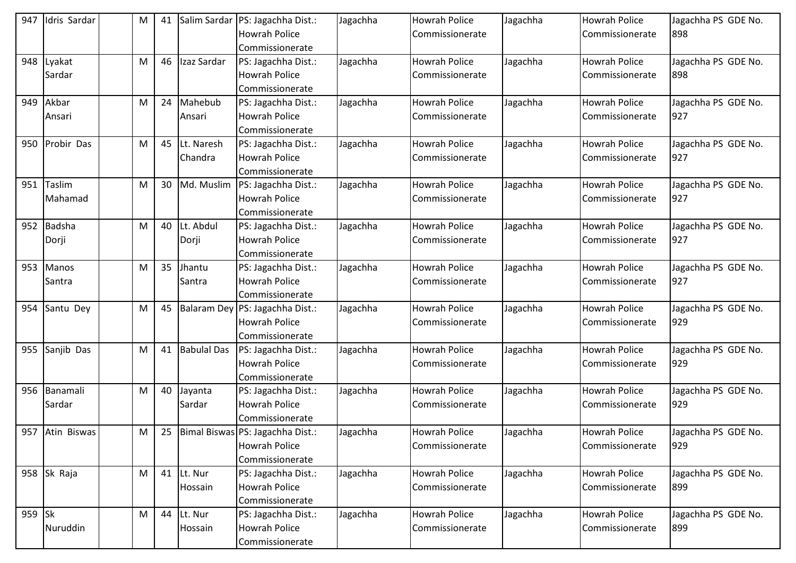| 947    | Idris Sardar    | ${\sf M}$ | 41 |                    | Salim Sardar   PS: Jagachha Dist.: | Jagachha | <b>Howrah Police</b> | Jagachha | <b>Howrah Police</b> | Jagachha PS GDE No. |
|--------|-----------------|-----------|----|--------------------|------------------------------------|----------|----------------------|----------|----------------------|---------------------|
|        |                 |           |    |                    | <b>Howrah Police</b>               |          | Commissionerate      |          | Commissionerate      | 898                 |
|        |                 |           |    |                    | Commissionerate                    |          |                      |          |                      |                     |
| 948    | Lyakat          | M         | 46 | Izaz Sardar        | PS: Jagachha Dist.:                | Jagachha | <b>Howrah Police</b> | Jagachha | <b>Howrah Police</b> | Jagachha PS GDE No. |
|        | Sardar          |           |    |                    | <b>Howrah Police</b>               |          | Commissionerate      |          | Commissionerate      | 898                 |
|        |                 |           |    |                    | Commissionerate                    |          |                      |          |                      |                     |
| 949    | Akbar           | M         | 24 | Mahebub            | PS: Jagachha Dist.:                | Jagachha | <b>Howrah Police</b> | Jagachha | <b>Howrah Police</b> | Jagachha PS GDE No. |
|        | Ansari          |           |    | Ansari             | <b>Howrah Police</b>               |          | Commissionerate      |          | Commissionerate      | 927                 |
|        |                 |           |    |                    | Commissionerate                    |          |                      |          |                      |                     |
| 950    | Probir Das      | ${\sf M}$ | 45 | Lt. Naresh         | PS: Jagachha Dist.:                | Jagachha | <b>Howrah Police</b> | Jagachha | <b>Howrah Police</b> | Jagachha PS GDE No. |
|        |                 |           |    | Chandra            | <b>Howrah Police</b>               |          | Commissionerate      |          | Commissionerate      | 927                 |
|        |                 |           |    |                    | Commissionerate                    |          |                      |          |                      |                     |
| 951    | Taslim          | M         | 30 | Md. Muslim         | PS: Jagachha Dist.:                | Jagachha | <b>Howrah Police</b> | Jagachha | Howrah Police        | Jagachha PS GDE No. |
|        | Mahamad         |           |    |                    | <b>Howrah Police</b>               |          | Commissionerate      |          | Commissionerate      | 927                 |
|        |                 |           |    |                    | Commissionerate                    |          |                      |          |                      |                     |
| 952    | Badsha          | ${\sf M}$ | 40 | Lt. Abdul          | PS: Jagachha Dist.:                | Jagachha | <b>Howrah Police</b> | Jagachha | <b>Howrah Police</b> | Jagachha PS GDE No. |
|        | Dorji           |           |    | Dorji              | <b>Howrah Police</b>               |          | Commissionerate      |          | Commissionerate      | 927                 |
|        |                 |           |    |                    | Commissionerate                    |          |                      |          |                      |                     |
| 953    | Manos           | M         | 35 | Jhantu             | PS: Jagachha Dist.:                | Jagachha | <b>Howrah Police</b> | Jagachha | <b>Howrah Police</b> | Jagachha PS GDE No. |
|        | Santra          |           |    | Santra             | <b>Howrah Police</b>               |          | Commissionerate      |          | Commissionerate      | 927                 |
|        |                 |           |    |                    | Commissionerate                    |          |                      |          |                      |                     |
| 954    | Santu Dey       | ${\sf M}$ | 45 | <b>Balaram Dey</b> | PS: Jagachha Dist.:                | Jagachha | <b>Howrah Police</b> | Jagachha | <b>Howrah Police</b> | Jagachha PS GDE No. |
|        |                 |           |    |                    | <b>Howrah Police</b>               |          | Commissionerate      |          | Commissionerate      | 929                 |
|        |                 |           |    |                    | Commissionerate                    |          |                      |          |                      |                     |
| 955    | Sanjib Das      | ${\sf M}$ | 41 | <b>Babulal Das</b> | PS: Jagachha Dist.:                | Jagachha | <b>Howrah Police</b> | Jagachha | <b>Howrah Police</b> | Jagachha PS GDE No. |
|        |                 |           |    |                    | <b>Howrah Police</b>               |          | Commissionerate      |          | Commissionerate      | 929                 |
|        |                 |           |    |                    | Commissionerate                    |          |                      |          |                      |                     |
| 956    | Banamali        | M         | 40 | Jayanta            | PS: Jagachha Dist.:                | Jagachha | <b>Howrah Police</b> | Jagachha | <b>Howrah Police</b> | Jagachha PS GDE No. |
|        | Sardar          |           |    | Sardar             | <b>Howrah Police</b>               |          | Commissionerate      |          | Commissionerate      | 929                 |
|        |                 |           |    |                    | Commissionerate                    |          |                      |          |                      |                     |
|        | 957 Atin Biswas | M         | 25 |                    | Bimal Biswas PS: Jagachha Dist.:   | Jagachha | <b>Howrah Police</b> | Jagachha | <b>Howrah Police</b> | Jagachha PS GDE No. |
|        |                 |           |    |                    | <b>Howrah Police</b>               |          | Commissionerate      |          | Commissionerate      | 929                 |
|        |                 |           |    |                    | Commissionerate                    |          |                      |          |                      |                     |
| 958    | Sk Raja         | M         | 41 | Lt. Nur            | PS: Jagachha Dist.:                | Jagachha | <b>Howrah Police</b> | Jagachha | <b>Howrah Police</b> | Jagachha PS GDE No. |
|        |                 |           |    | Hossain            | <b>Howrah Police</b>               |          | Commissionerate      |          | Commissionerate      | 899                 |
|        |                 |           |    |                    | Commissionerate                    |          |                      |          |                      |                     |
| 959 Sk |                 | ${\sf M}$ | 44 | Lt. Nur            | PS: Jagachha Dist.:                | Jagachha | <b>Howrah Police</b> | Jagachha | <b>Howrah Police</b> | Jagachha PS GDE No. |
|        | Nuruddin        |           |    | Hossain            | <b>Howrah Police</b>               |          | Commissionerate      |          | Commissionerate      | 899                 |
|        |                 |           |    |                    | Commissionerate                    |          |                      |          |                      |                     |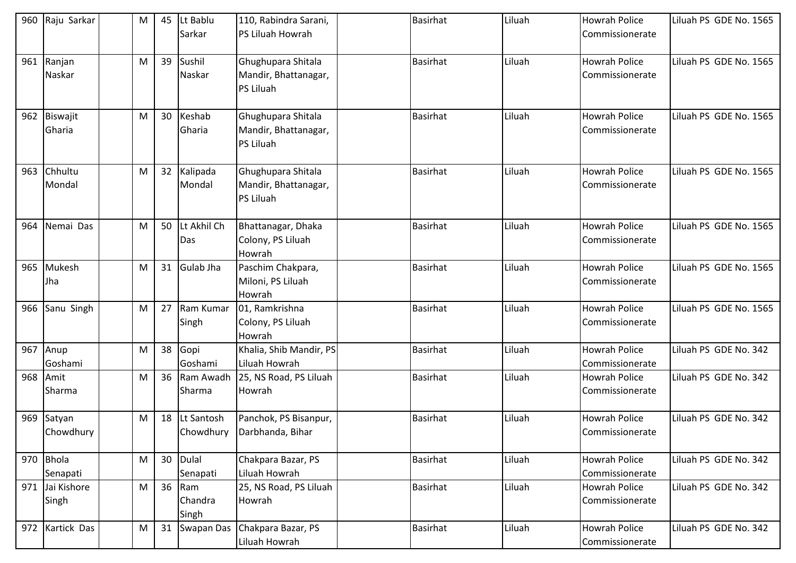| 960 | Raju Sarkar              | M | 45 | Lt Bablu<br>Sarkar      | 110, Rabindra Sarani,<br><b>PS Liluah Howrah</b>        | Basirhat        | Liluah | <b>Howrah Police</b><br>Commissionerate | Liluah PS GDE No. 1565 |
|-----|--------------------------|---|----|-------------------------|---------------------------------------------------------|-----------------|--------|-----------------------------------------|------------------------|
| 961 | Ranjan<br>Naskar         | M | 39 | Sushil<br>Naskar        | Ghughupara Shitala<br>Mandir, Bhattanagar,<br>PS Liluah | <b>Basirhat</b> | Liluah | <b>Howrah Police</b><br>Commissionerate | Liluah PS GDE No. 1565 |
| 962 | Biswajit<br>Gharia       | M | 30 | Keshab<br>Gharia        | Ghughupara Shitala<br>Mandir, Bhattanagar,<br>PS Liluah | <b>Basirhat</b> | Liluah | <b>Howrah Police</b><br>Commissionerate | Liluah PS GDE No. 1565 |
| 963 | Chhultu<br>Mondal        | M |    | 32 Kalipada<br>Mondal   | Ghughupara Shitala<br>Mandir, Bhattanagar,<br>PS Liluah | Basirhat        | Liluah | <b>Howrah Police</b><br>Commissionerate | Liluah PS GDE No. 1565 |
| 964 | Nemai Das                | M | 50 | Lt Akhil Ch<br>Das      | Bhattanagar, Dhaka<br>Colony, PS Liluah<br>Howrah       | <b>Basirhat</b> | Liluah | <b>Howrah Police</b><br>Commissionerate | Liluah PS GDE No. 1565 |
| 965 | Mukesh<br>Jha            | M |    | 31 Gulab Jha            | Paschim Chakpara,<br>Miloni, PS Liluah<br>Howrah        | <b>Basirhat</b> | Liluah | <b>Howrah Police</b><br>Commissionerate | Liluah PS GDE No. 1565 |
| 966 | Sanu Singh               | M | 27 | Ram Kumar<br>Singh      | 01, Ramkrishna<br>Colony, PS Liluah<br>Howrah           | <b>Basirhat</b> | Liluah | <b>Howrah Police</b><br>Commissionerate | Liluah PS GDE No. 1565 |
| 967 | Anup<br>Goshami          | M | 38 | Gopi<br>Goshami         | Khalia, Shib Mandir, PS<br>Liluah Howrah                | <b>Basirhat</b> | Liluah | <b>Howrah Police</b><br>Commissionerate | Liluah PS GDE No. 342  |
| 968 | Amit<br>Sharma           | M | 36 | Ram Awadh<br>Sharma     | 25, NS Road, PS Liluah<br>Howrah                        | <b>Basirhat</b> | Liluah | <b>Howrah Police</b><br>Commissionerate | Liluah PS GDE No. 342  |
| 969 | Satyan<br>Chowdhury      | M | 18 | Lt Santosh<br>Chowdhury | Panchok, PS Bisanpur,<br>Darbhanda, Bihar               | <b>Basirhat</b> | Liluah | <b>Howrah Police</b><br>Commissionerate | Liluah PS GDE No. 342  |
| 970 | <b>Bhola</b><br>Senapati | M | 30 | Dulal<br>Senapati       | Chakpara Bazar, PS<br>Liluah Howrah                     | <b>Basirhat</b> | Liluah | <b>Howrah Police</b><br>Commissionerate | Liluah PS GDE No. 342  |
| 971 | Jai Kishore<br>Singh     | M | 36 | Ram<br>Chandra<br>Singh | 25, NS Road, PS Liluah<br>Howrah                        | <b>Basirhat</b> | Liluah | <b>Howrah Police</b><br>Commissionerate | Liluah PS GDE No. 342  |
| 972 | Kartick Das              | M | 31 | Swapan Das              | Chakpara Bazar, PS<br>Liluah Howrah                     | <b>Basirhat</b> | Liluah | <b>Howrah Police</b><br>Commissionerate | Liluah PS GDE No. 342  |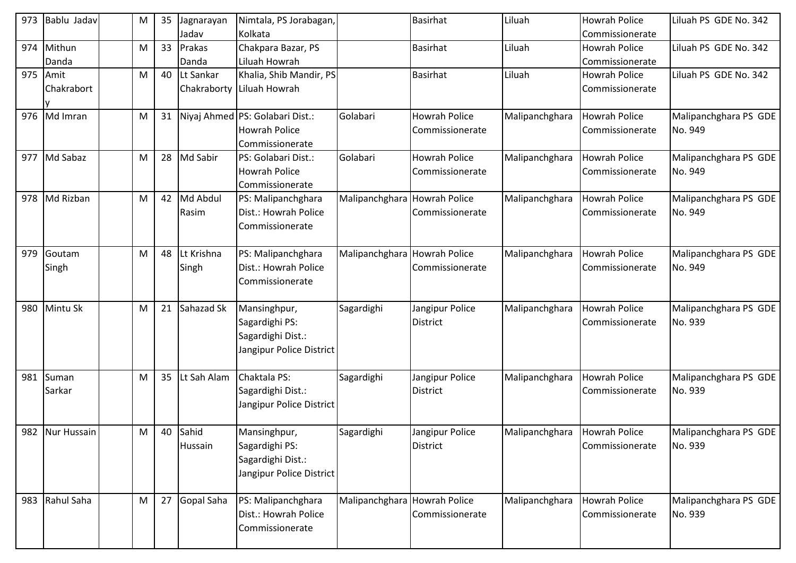| 973 | Bablu Jadav     | M | 35 | Jagnarayan  | Nimtala, PS Jorabagan,          |                              | <b>Basirhat</b>      | Liluah         | <b>Howrah Police</b> | Liluah PS GDE No. 342 |
|-----|-----------------|---|----|-------------|---------------------------------|------------------------------|----------------------|----------------|----------------------|-----------------------|
|     |                 |   |    | Jadav       | Kolkata                         |                              |                      |                | Commissionerate      |                       |
| 974 | Mithun          | M | 33 | Prakas      | Chakpara Bazar, PS              |                              | <b>Basirhat</b>      | Liluah         | Howrah Police        | Liluah PS GDE No. 342 |
|     | Danda           |   |    | Danda       | Liluah Howrah                   |                              |                      |                | Commissionerate      |                       |
| 975 | Amit            | M | 40 | Lt Sankar   | Khalia, Shib Mandir, PS         |                              | <b>Basirhat</b>      | Liluah         | <b>Howrah Police</b> | Liluah PS GDE No. 342 |
|     | Chakrabort      |   |    | Chakraborty | Liluah Howrah                   |                              |                      |                | Commissionerate      |                       |
|     |                 |   |    |             |                                 |                              |                      |                |                      |                       |
| 976 | Md Imran        | M | 31 |             | Niyaj Ahmed PS: Golabari Dist.: | Golabari                     | <b>Howrah Police</b> | Malipanchghara | <b>Howrah Police</b> | Malipanchghara PS GDE |
|     |                 |   |    |             | <b>Howrah Police</b>            |                              | Commissionerate      |                | Commissionerate      | No. 949               |
|     |                 |   |    |             | Commissionerate                 |                              |                      |                |                      |                       |
| 977 | Md Sabaz        | M | 28 | Md Sabir    | PS: Golabari Dist.:             | Golabari                     | <b>Howrah Police</b> | Malipanchghara | Howrah Police        | Malipanchghara PS GDE |
|     |                 |   |    |             | <b>Howrah Police</b>            |                              | Commissionerate      |                | Commissionerate      | No. 949               |
|     |                 |   |    |             | Commissionerate                 |                              |                      |                |                      |                       |
| 978 | Md Rizban       | M | 42 | Md Abdul    | PS: Malipanchghara              | Malipanchghara Howrah Police |                      | Malipanchghara | <b>Howrah Police</b> | Malipanchghara PS GDE |
|     |                 |   |    | Rasim       | Dist.: Howrah Police            |                              | Commissionerate      |                | Commissionerate      | No. 949               |
|     |                 |   |    |             | Commissionerate                 |                              |                      |                |                      |                       |
|     |                 |   |    |             |                                 |                              |                      |                |                      |                       |
| 979 | Goutam          | M | 48 | Lt Krishna  | PS: Malipanchghara              | Malipanchghara               | <b>Howrah Police</b> | Malipanchghara | <b>Howrah Police</b> | Malipanchghara PS GDE |
|     | Singh           |   |    | Singh       | Dist.: Howrah Police            |                              | Commissionerate      |                | Commissionerate      | No. 949               |
|     |                 |   |    |             | Commissionerate                 |                              |                      |                |                      |                       |
|     |                 |   |    |             |                                 |                              |                      |                |                      |                       |
| 980 | Mintu Sk        | M | 21 | Sahazad Sk  | Mansinghpur,                    | Sagardighi                   | Jangipur Police      | Malipanchghara | Howrah Police        | Malipanchghara PS GDE |
|     |                 |   |    |             | Sagardighi PS:                  |                              | District             |                | Commissionerate      | No. 939               |
|     |                 |   |    |             | Sagardighi Dist.:               |                              |                      |                |                      |                       |
|     |                 |   |    |             | Jangipur Police District        |                              |                      |                |                      |                       |
|     |                 |   |    |             |                                 |                              |                      |                |                      |                       |
| 981 | Suman           | M | 35 | Lt Sah Alam | Chaktala PS:                    | Sagardighi                   | Jangipur Police      | Malipanchghara | <b>Howrah Police</b> | Malipanchghara PS GDE |
|     | Sarkar          |   |    |             | Sagardighi Dist.:               |                              | <b>District</b>      |                | Commissionerate      | No. 939               |
|     |                 |   |    |             | Jangipur Police District        |                              |                      |                |                      |                       |
|     |                 |   |    |             |                                 |                              |                      |                |                      |                       |
|     | 982 Nur Hussain | M | 40 | Sahid       | Mansinghpur,                    | Sagardighi                   | Jangipur Police      | Malipanchghara | <b>Howrah Police</b> | Malipanchghara PS GDE |
|     |                 |   |    | Hussain     | Sagardighi PS:                  |                              | District             |                | Commissionerate      | No. 939               |
|     |                 |   |    |             | Sagardighi Dist.:               |                              |                      |                |                      |                       |
|     |                 |   |    |             | Jangipur Police District        |                              |                      |                |                      |                       |
|     |                 |   |    |             |                                 |                              |                      |                |                      |                       |
| 983 | Rahul Saha      | M | 27 | Gopal Saha  | PS: Malipanchghara              | Malipanchghara Howrah Police |                      | Malipanchghara | Howrah Police        | Malipanchghara PS GDE |
|     |                 |   |    |             | Dist.: Howrah Police            |                              | Commissionerate      |                | Commissionerate      | No. 939               |
|     |                 |   |    |             | Commissionerate                 |                              |                      |                |                      |                       |
|     |                 |   |    |             |                                 |                              |                      |                |                      |                       |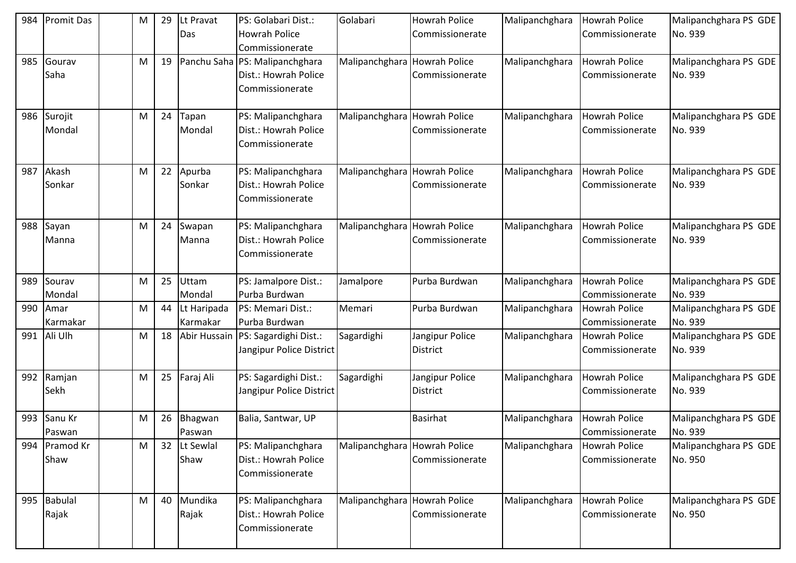| 984 | <b>Promit Das</b>       | M | 29 | Lt Pravat<br><b>Das</b> | PS: Golabari Dist.:<br><b>Howrah Police</b><br>Commissionerate            | Golabari                     | <b>Howrah Police</b><br>Commissionerate | Malipanchghara | <b>Howrah Police</b><br>Commissionerate | Malipanchghara PS GDE<br>No. 939 |
|-----|-------------------------|---|----|-------------------------|---------------------------------------------------------------------------|------------------------------|-----------------------------------------|----------------|-----------------------------------------|----------------------------------|
| 985 | Gourav<br>Saha          | M | 19 |                         | Panchu Saha PS: Malipanchghara<br>Dist.: Howrah Police<br>Commissionerate | Malipanchghara               | <b>Howrah Police</b><br>Commissionerate | Malipanchghara | <b>Howrah Police</b><br>Commissionerate | Malipanchghara PS GDE<br>No. 939 |
| 986 | Surojit<br>Mondal       | M | 24 | Tapan<br>Mondal         | PS: Malipanchghara<br>Dist.: Howrah Police<br>Commissionerate             | Malipanchghara               | <b>Howrah Police</b><br>Commissionerate | Malipanchghara | Howrah Police<br>Commissionerate        | Malipanchghara PS GDE<br>No. 939 |
| 987 | Akash<br>Sonkar         | M | 22 | Apurba<br>Sonkar        | PS: Malipanchghara<br>Dist.: Howrah Police<br>Commissionerate             | Malipanchghara               | <b>Howrah Police</b><br>Commissionerate | Malipanchghara | <b>Howrah Police</b><br>Commissionerate | Malipanchghara PS GDE<br>No. 939 |
| 988 | Sayan<br>Manna          | M | 24 | Swapan<br>Manna         | PS: Malipanchghara<br>Dist.: Howrah Police<br>Commissionerate             | Malipanchghara               | <b>Howrah Police</b><br>Commissionerate | Malipanchghara | <b>Howrah Police</b><br>Commissionerate | Malipanchghara PS GDE<br>No. 939 |
| 989 | Sourav<br>Mondal        | M | 25 | <b>Uttam</b><br>Mondal  | PS: Jamalpore Dist.:<br>Purba Burdwan                                     | Jamalpore                    | Purba Burdwan                           | Malipanchghara | <b>Howrah Police</b><br>Commissionerate | Malipanchghara PS GDE<br>No. 939 |
| 990 | Amar<br>Karmakar        | M | 44 | Lt Haripada<br>Karmakar | PS: Memari Dist.:<br>Purba Burdwan                                        | Memari                       | Purba Burdwan                           | Malipanchghara | <b>Howrah Police</b><br>Commissionerate | Malipanchghara PS GDE<br>No. 939 |
| 991 | Ali Ulh                 | M | 18 | Abir Hussain            | PS: Sagardighi Dist.:<br>Jangipur Police District                         | Sagardighi                   | Jangipur Police<br><b>District</b>      | Malipanchghara | <b>Howrah Police</b><br>Commissionerate | Malipanchghara PS GDE<br>No. 939 |
| 992 | Ramjan<br>Sekh          | M | 25 | Faraj Ali               | PS: Sagardighi Dist.:<br>Jangipur Police District                         | Sagardighi                   | Jangipur Police<br><b>District</b>      | Malipanchghara | <b>Howrah Police</b><br>Commissionerate | Malipanchghara PS GDE<br>No. 939 |
| 993 | Sanu Kr<br>Paswan       | M | 26 | Bhagwan<br>Paswan       | Balia, Santwar, UP                                                        |                              | <b>Basirhat</b>                         | Malipanchghara | Howrah Police<br>Commissionerate        | Malipanchghara PS GDE<br>No. 939 |
| 994 | Pramod Kr<br>Shaw       | M | 32 | Lt Sewlal<br>Shaw       | PS: Malipanchghara<br>Dist.: Howrah Police<br>Commissionerate             | Malipanchghara               | <b>Howrah Police</b><br>Commissionerate | Malipanchghara | Howrah Police<br>Commissionerate        | Malipanchghara PS GDE<br>No. 950 |
| 995 | <b>Babulal</b><br>Rajak | M | 40 | Mundika<br>Rajak        | PS: Malipanchghara<br>Dist.: Howrah Police<br>Commissionerate             | Malipanchghara Howrah Police | Commissionerate                         | Malipanchghara | <b>Howrah Police</b><br>Commissionerate | Malipanchghara PS GDE<br>No. 950 |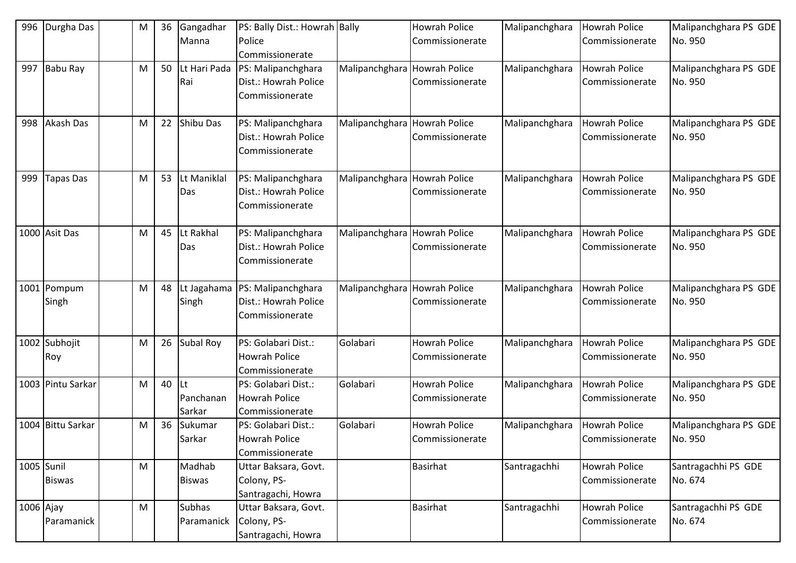| 996       | Durgha Das          | M | 36 | Gangadhar        | PS: Bally Dist.: Howrah Bally |                | <b>Howrah Police</b> | Malipanchghara | <b>Howrah Police</b> | Malipanchghara PS GDE            |
|-----------|---------------------|---|----|------------------|-------------------------------|----------------|----------------------|----------------|----------------------|----------------------------------|
|           |                     |   |    | Manna            | Police                        |                | Commissionerate      |                | Commissionerate      | No. 950                          |
|           |                     |   |    |                  | Commissionerate               |                |                      |                |                      |                                  |
| 997       | Babu Ray            | M | 50 | Lt Hari Pada     | PS: Malipanchghara            | Malipanchghara | <b>Howrah Police</b> | Malipanchghara | <b>Howrah Police</b> | Malipanchghara PS GDE            |
|           |                     |   |    | Rai              | Dist.: Howrah Police          |                | Commissionerate      |                | Commissionerate      | No. 950                          |
|           |                     |   |    |                  | Commissionerate               |                |                      |                |                      |                                  |
|           | Akash Das           |   | 22 | <b>Shibu Das</b> | PS: Malipanchghara            |                | <b>Howrah Police</b> |                | Howrah Police        |                                  |
| 998       |                     | M |    |                  | Dist.: Howrah Police          | Malipanchghara |                      | Malipanchghara |                      | Malipanchghara PS GDE<br>No. 950 |
|           |                     |   |    |                  |                               |                | Commissionerate      |                | Commissionerate      |                                  |
|           |                     |   |    |                  | Commissionerate               |                |                      |                |                      |                                  |
| 999       | <b>Tapas Das</b>    | M | 53 | Lt Maniklal      | PS: Malipanchghara            | Malipanchghara | <b>Howrah Police</b> | Malipanchghara | <b>Howrah Police</b> | Malipanchghara PS GDE            |
|           |                     |   |    | Das              | Dist.: Howrah Police          |                | Commissionerate      |                | Commissionerate      | No. 950                          |
|           |                     |   |    |                  | Commissionerate               |                |                      |                |                      |                                  |
|           | 1000 Asit Das       | M | 45 | Lt Rakhal        | PS: Malipanchghara            | Malipanchghara | <b>Howrah Police</b> | Malipanchghara | <b>Howrah Police</b> | Malipanchghara PS GDE            |
|           |                     |   |    | Das              | Dist.: Howrah Police          |                | Commissionerate      |                | Commissionerate      | No. 950                          |
|           |                     |   |    |                  | Commissionerate               |                |                      |                |                      |                                  |
|           |                     |   |    |                  |                               |                |                      |                |                      |                                  |
| 1001      | Pompum              | M | 48 | Lt Jagahama      | PS: Malipanchghara            | Malipanchghara | Howrah Police        | Malipanchghara | <b>Howrah Police</b> | Malipanchghara PS GDE            |
|           | Singh               |   |    | Singh            | Dist.: Howrah Police          |                | Commissionerate      |                | Commissionerate      | No. 950                          |
|           |                     |   |    |                  | Commissionerate               |                |                      |                |                      |                                  |
|           | 1002 Subhojit       | M | 26 | Subal Roy        | PS: Golabari Dist.:           | Golabari       | <b>Howrah Police</b> | Malipanchghara | <b>Howrah Police</b> | Malipanchghara PS GDE            |
|           | Roy                 |   |    |                  | <b>Howrah Police</b>          |                | Commissionerate      |                | Commissionerate      | No. 950                          |
|           |                     |   |    |                  | Commissionerate               |                |                      |                |                      |                                  |
| 1003      | Pintu Sarkar        | M | 40 | lLt              | PS: Golabari Dist.:           | Golabari       | <b>Howrah Police</b> | Malipanchghara | <b>Howrah Police</b> | Malipanchghara PS GDE            |
|           |                     |   |    | Panchanan        | <b>Howrah Police</b>          |                | Commissionerate      |                | Commissionerate      | No. 950                          |
|           |                     |   |    | Sarkar           | Commissionerate               |                |                      |                |                      |                                  |
| 1004      | <b>Bittu Sarkar</b> | M | 36 | Sukumar          | PS: Golabari Dist.:           | Golabari       | <b>Howrah Police</b> | Malipanchghara | Howrah Police        | Malipanchghara PS GDE            |
|           |                     |   |    | Sarkar           | <b>Howrah Police</b>          |                | Commissionerate      |                | Commissionerate      | No. 950                          |
|           |                     |   |    |                  | Commissionerate               |                |                      |                |                      |                                  |
|           | 1005 Sunil          | M |    | Madhab           | Uttar Baksara, Govt.          |                | Basirhat             | Santragachhi   | Howrah Police        | Santragachhi PS GDE              |
|           | <b>Biswas</b>       |   |    | <b>Biswas</b>    | Colony, PS-                   |                |                      |                | Commissionerate      | No. 674                          |
|           |                     |   |    |                  | Santragachi, Howra            |                |                      |                |                      |                                  |
| 1006 Ajay |                     | M |    | <b>Subhas</b>    | Uttar Baksara, Govt.          |                | <b>Basirhat</b>      | Santragachhi   | <b>Howrah Police</b> | Santragachhi PS GDE              |
|           | Paramanick          |   |    | Paramanick       | Colony, PS-                   |                |                      |                | Commissionerate      | No. 674                          |
|           |                     |   |    |                  | Santragachi, Howra            |                |                      |                |                      |                                  |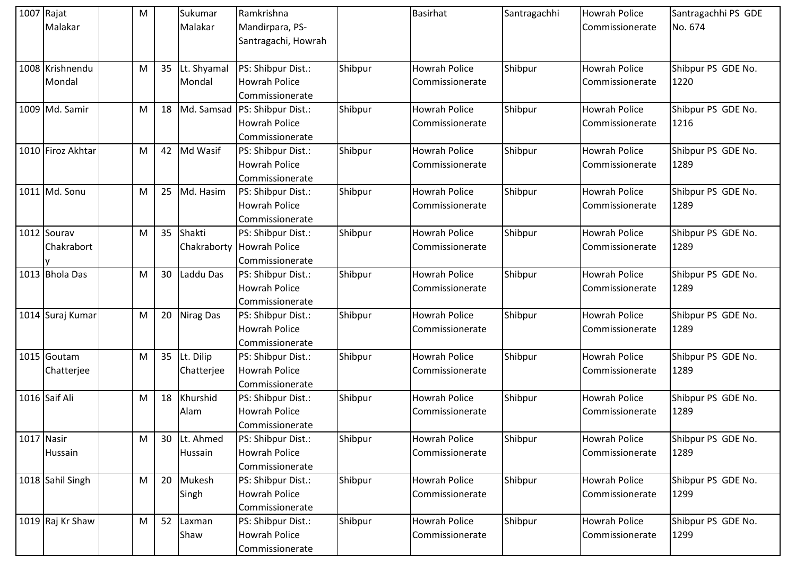| 1007 Rajat<br>Malakar     | M         |    | Sukumar<br>Malakar         | Ramkrishna<br>Mandirpara, PS-<br>Santragachi, Howrah          |         | <b>Basirhat</b>                         | Santragachhi | <b>Howrah Police</b><br>Commissionerate | Santragachhi PS GDE<br>No. 674 |
|---------------------------|-----------|----|----------------------------|---------------------------------------------------------------|---------|-----------------------------------------|--------------|-----------------------------------------|--------------------------------|
| 1008 Krishnendu<br>Mondal | M         |    | 35 Lt. Shyamal<br>Mondal   | PS: Shibpur Dist.:<br><b>Howrah Police</b><br>Commissionerate | Shibpur | <b>Howrah Police</b><br>Commissionerate | Shibpur      | <b>Howrah Police</b><br>Commissionerate | Shibpur PS GDE No.<br>1220     |
| 1009 Md. Samir            | M         |    | 18 Md. Samsad              | PS: Shibpur Dist.:<br><b>Howrah Police</b><br>Commissionerate | Shibpur | <b>Howrah Police</b><br>Commissionerate | Shibpur      | <b>Howrah Police</b><br>Commissionerate | Shibpur PS GDE No.<br>1216     |
| 1010 Firoz Akhtar         | M         | 42 | Md Wasif                   | PS: Shibpur Dist.:<br><b>Howrah Police</b><br>Commissionerate | Shibpur | <b>Howrah Police</b><br>Commissionerate | Shibpur      | Howrah Police<br>Commissionerate        | Shibpur PS GDE No.<br>1289     |
| 1011 Md. Sonu             | M         |    | 25 Md. Hasim               | PS: Shibpur Dist.:<br><b>Howrah Police</b><br>Commissionerate | Shibpur | <b>Howrah Police</b><br>Commissionerate | Shibpur      | <b>Howrah Police</b><br>Commissionerate | Shibpur PS GDE No.<br>1289     |
| 1012 Sourav<br>Chakrabort | M         |    | 35 Shakti<br>Chakraborty   | PS: Shibpur Dist.:<br>Howrah Police<br>Commissionerate        | Shibpur | <b>Howrah Police</b><br>Commissionerate | Shibpur      | <b>Howrah Police</b><br>Commissionerate | Shibpur PS GDE No.<br>1289     |
| 1013 Bhola Das            | M         | 30 | Laddu Das                  | PS: Shibpur Dist.:<br><b>Howrah Police</b><br>Commissionerate | Shibpur | <b>Howrah Police</b><br>Commissionerate | Shibpur      | <b>Howrah Police</b><br>Commissionerate | Shibpur PS GDE No.<br>1289     |
| 1014 Suraj Kumar          | M         | 20 | <b>Nirag Das</b>           | PS: Shibpur Dist.:<br><b>Howrah Police</b><br>Commissionerate | Shibpur | <b>Howrah Police</b><br>Commissionerate | Shibpur      | <b>Howrah Police</b><br>Commissionerate | Shibpur PS GDE No.<br>1289     |
| 1015 Goutam<br>Chatterjee | ${\sf M}$ |    | 35 Lt. Dilip<br>Chatterjee | PS: Shibpur Dist.:<br><b>Howrah Police</b><br>Commissionerate | Shibpur | <b>Howrah Police</b><br>Commissionerate | Shibpur      | <b>Howrah Police</b><br>Commissionerate | Shibpur PS GDE No.<br>1289     |
| 1016 Saif Ali             | M         |    | 18 Khurshid<br>Alam        | PS: Shibpur Dist.:<br><b>Howrah Police</b><br>Commissionerate | Shibpur | <b>Howrah Police</b><br>Commissionerate | Shibpur      | Howrah Police<br>Commissionerate        | Shibpur PS GDE No.<br>1289     |
| 1017 Nasir<br>Hussain     | M         |    | 30 Lt. Ahmed<br>Hussain    | PS: Shibpur Dist.:<br><b>Howrah Police</b><br>Commissionerate | Shibpur | <b>Howrah Police</b><br>Commissionerate | Shibpur      | <b>Howrah Police</b><br>Commissionerate | Shibpur PS GDE No.<br>1289     |
| 1018 Sahil Singh          | M         |    | 20 Mukesh<br>Singh         | PS: Shibpur Dist.:<br><b>Howrah Police</b><br>Commissionerate | Shibpur | <b>Howrah Police</b><br>Commissionerate | Shibpur      | <b>Howrah Police</b><br>Commissionerate | Shibpur PS GDE No.<br>1299     |
| 1019 Raj Kr Shaw          | ${\sf M}$ |    | 52 Laxman<br>Shaw          | PS: Shibpur Dist.:<br><b>Howrah Police</b><br>Commissionerate | Shibpur | <b>Howrah Police</b><br>Commissionerate | Shibpur      | Howrah Police<br>Commissionerate        | Shibpur PS GDE No.<br>1299     |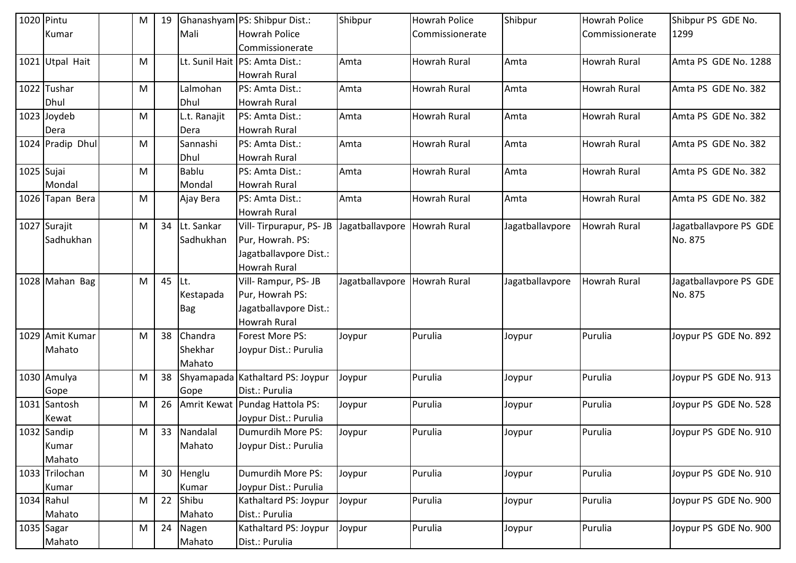| 1020 Pintu |                   | M | 19 |              | Ghanashyam PS: Shibpur Dist.:    | Shibpur                      | <b>Howrah Police</b> | Shibpur         | <b>Howrah Police</b> | Shibpur PS GDE No.     |
|------------|-------------------|---|----|--------------|----------------------------------|------------------------------|----------------------|-----------------|----------------------|------------------------|
|            | Kumar             |   |    | Mali         | <b>Howrah Police</b>             |                              | Commissionerate      |                 | Commissionerate      | 1299                   |
|            |                   |   |    |              | Commissionerate                  |                              |                      |                 |                      |                        |
| 1021       | <b>Utpal Hait</b> | M |    |              | Lt. Sunil Hait   PS: Amta Dist.: | Amta                         | <b>Howrah Rural</b>  | Amta            | <b>Howrah Rural</b>  | Amta PS GDE No. 1288   |
|            |                   |   |    |              | <b>Howrah Rural</b>              |                              |                      |                 |                      |                        |
|            | 1022 Tushar       | M |    | Lalmohan     | PS: Amta Dist.:                  | Amta                         | <b>Howrah Rural</b>  | Amta            | <b>Howrah Rural</b>  | Amta PS GDE No. 382    |
|            | Dhul              |   |    | Dhul         | <b>Howrah Rural</b>              |                              |                      |                 |                      |                        |
|            | 1023 Joydeb       | M |    | L.t. Ranajit | PS: Amta Dist.:                  | Amta                         | Howrah Rural         | Amta            | <b>Howrah Rural</b>  | Amta PS GDE No. 382    |
|            | Dera              |   |    | Dera         | <b>Howrah Rural</b>              |                              |                      |                 |                      |                        |
|            | 1024 Pradip Dhul  | M |    | Sannashi     | PS: Amta Dist.:                  | Amta                         | Howrah Rural         | Amta            | <b>Howrah Rural</b>  | Amta PS GDE No. 382    |
|            |                   |   |    | Dhul         | <b>Howrah Rural</b>              |                              |                      |                 |                      |                        |
| 1025 Sujai |                   | M |    | <b>Bablu</b> | PS: Amta Dist.:                  | Amta                         | <b>Howrah Rural</b>  | Amta            | <b>Howrah Rural</b>  | Amta PS GDE No. 382    |
|            | Mondal            |   |    | Mondal       | <b>Howrah Rural</b>              |                              |                      |                 |                      |                        |
|            | 1026 Tapan Bera   | M |    | Ajay Bera    | PS: Amta Dist.:                  | Amta                         | <b>Howrah Rural</b>  | Amta            | <b>Howrah Rural</b>  | Amta PS GDE No. 382    |
|            |                   |   |    |              | <b>Howrah Rural</b>              |                              |                      |                 |                      |                        |
|            | 1027 Surajit      | M | 34 | Lt. Sankar   | Vill-Tirpurapur, PS-JB           | Jagatballavpore Howrah Rural |                      | Jagatballavpore | <b>Howrah Rural</b>  | Jagatballavpore PS GDE |
|            | Sadhukhan         |   |    | Sadhukhan    | Pur, Howrah. PS:                 |                              |                      |                 |                      | No. 875                |
|            |                   |   |    |              | Jagatballavpore Dist.:           |                              |                      |                 |                      |                        |
|            |                   |   |    |              | <b>Howrah Rural</b>              |                              |                      |                 |                      |                        |
|            | 1028 Mahan Bag    | M | 45 | ILt.         | Vill-Rampur, PS-JB               | Jagatballavpore              | <b>Howrah Rural</b>  | Jagatballavpore | Howrah Rural         | Jagatballavpore PS GDE |
|            |                   |   |    | Kestapada    | Pur, Howrah PS:                  |                              |                      |                 |                      | No. 875                |
|            |                   |   |    | <b>Bag</b>   | Jagatballavpore Dist.:           |                              |                      |                 |                      |                        |
|            |                   |   |    |              | Howrah Rural                     |                              |                      |                 |                      |                        |
|            | 1029 Amit Kumar   | M | 38 | Chandra      | Forest More PS:                  | Joypur                       | Purulia              | Joypur          | Purulia              | Joypur PS GDE No. 892  |
|            | Mahato            |   |    | Shekhar      | Joypur Dist.: Purulia            |                              |                      |                 |                      |                        |
|            |                   |   |    | Mahato       |                                  |                              |                      |                 |                      |                        |
|            | 1030 Amulya       | M | 38 |              | Shyamapada Kathaltard PS: Joypur | Joypur                       | Purulia              | Joypur          | Purulia              | Joypur PS GDE No. 913  |
|            | Gope              |   |    | Gope         | Dist.: Purulia                   |                              |                      |                 |                      |                        |
|            | 1031 Santosh      | M | 26 |              | Amrit Kewat Pundag Hattola PS:   | Joypur                       | Purulia              | Joypur          | Purulia              | Joypur PS GDE No. 528  |
|            | Kewat             |   |    |              | Joypur Dist.: Purulia            |                              |                      |                 |                      |                        |
|            | 1032 Sandip       | M |    | 33 Nandalal  | Dumurdih More PS:                | Joypur                       | Purulia              | Joypur          | Purulia              | Joypur PS GDE No. 910  |
|            | Kumar             |   |    | Mahato       | Joypur Dist.: Purulia            |                              |                      |                 |                      |                        |
|            | Mahato            |   |    |              |                                  |                              |                      |                 |                      |                        |
|            | 1033 Trilochan    | M | 30 | Henglu       | Dumurdih More PS:                | Joypur                       | Purulia              | Joypur          | Purulia              | Joypur PS GDE No. 910  |
|            | Kumar             |   |    | Kumar        | Joypur Dist.: Purulia            |                              |                      |                 |                      |                        |
|            | 1034 Rahul        | M | 22 | Shibu        | Kathaltard PS: Joypur            | Joypur                       | Purulia              | Joypur          | Purulia              | Joypur PS GDE No. 900  |
|            | Mahato            |   |    | Mahato       | Dist.: Purulia                   |                              |                      |                 |                      |                        |
| 1035 Sagar |                   | M | 24 | Nagen        | Kathaltard PS: Joypur            | Joypur                       | Purulia              | Joypur          | Purulia              | Joypur PS GDE No. 900  |
|            | Mahato            |   |    | Mahato       | Dist.: Purulia                   |                              |                      |                 |                      |                        |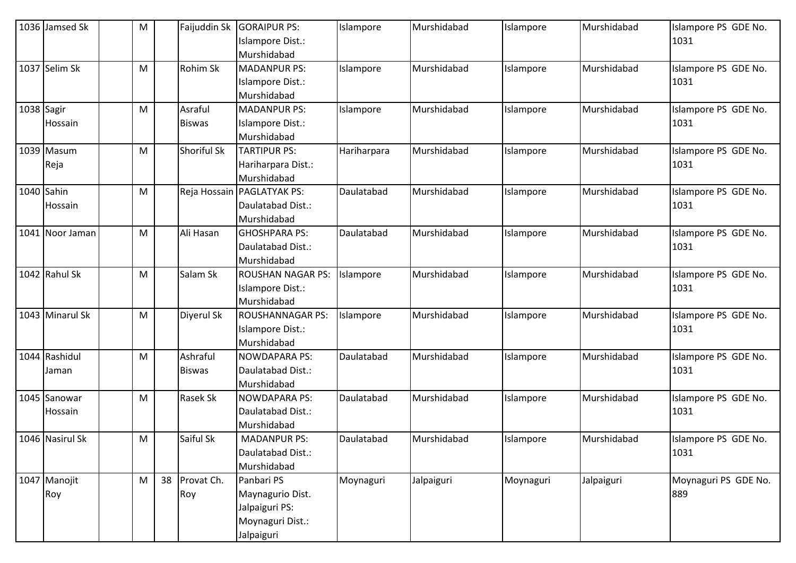| 1036 Jamsed Sk  | M |    | Faijuddin Sk  | <b>GORAIPUR PS:</b><br>Islampore Dist.: | Islampore   | Murshidabad | Islampore | Murshidabad | Islampore PS GDE No.<br>1031 |
|-----------------|---|----|---------------|-----------------------------------------|-------------|-------------|-----------|-------------|------------------------------|
|                 |   |    |               | Murshidabad                             |             |             |           |             |                              |
| 1037 Selim Sk   | M |    | Rohim Sk      | <b>MADANPUR PS:</b>                     | Islampore   | Murshidabad | Islampore | Murshidabad | Islampore PS GDE No.         |
|                 |   |    |               | Islampore Dist.:                        |             |             |           |             | 1031                         |
|                 |   |    |               | Murshidabad                             |             |             |           |             |                              |
| 1038 Sagir      | M |    | Asraful       | <b>MADANPUR PS:</b>                     | Islampore   | Murshidabad | Islampore | Murshidabad | Islampore PS GDE No.         |
| Hossain         |   |    | <b>Biswas</b> | Islampore Dist.:                        |             |             |           |             | 1031                         |
|                 |   |    |               | Murshidabad                             |             |             |           |             |                              |
| 1039 Masum      | M |    | Shoriful Sk   | <b>TARTIPUR PS:</b>                     | Hariharpara | Murshidabad | Islampore | Murshidabad | Islampore PS GDE No.         |
| Reja            |   |    |               | Hariharpara Dist.:                      |             |             |           |             | 1031                         |
|                 |   |    |               | Murshidabad                             |             |             |           |             |                              |
| 1040 Sahin      | M |    | Reja Hossain  | <b>PAGLATYAK PS:</b>                    | Daulatabad  | Murshidabad | Islampore | Murshidabad | Islampore PS GDE No.         |
| Hossain         |   |    |               | Daulatabad Dist.:                       |             |             |           |             | 1031                         |
|                 |   |    |               | Murshidabad                             |             |             |           |             |                              |
| 1041 Noor Jaman | M |    | Ali Hasan     | <b>GHOSHPARA PS:</b>                    | Daulatabad  | Murshidabad | Islampore | Murshidabad | Islampore PS GDE No.         |
|                 |   |    |               | Daulatabad Dist.:                       |             |             |           |             | 1031                         |
|                 |   |    |               | Murshidabad                             |             |             |           |             |                              |
| 1042 Rahul Sk   | M |    | Salam Sk      | <b>ROUSHAN NAGAR PS:</b>                | Islampore   | Murshidabad | Islampore | Murshidabad | Islampore PS GDE No.         |
|                 |   |    |               | Islampore Dist.:                        |             |             |           |             | 1031                         |
|                 |   |    |               | Murshidabad                             |             |             |           |             |                              |
| 1043 Minarul Sk | M |    | Diyerul Sk    | <b>ROUSHANNAGAR PS:</b>                 | Islampore   | Murshidabad | Islampore | Murshidabad | Islampore PS GDE No.         |
|                 |   |    |               | Islampore Dist.:                        |             |             |           |             | 1031                         |
|                 |   |    |               | Murshidabad                             |             |             |           |             |                              |
| 1044 Rashidul   | M |    | Ashraful      | <b>NOWDAPARA PS:</b>                    | Daulatabad  | Murshidabad | Islampore | Murshidabad | Islampore PS GDE No.         |
| Jaman           |   |    | <b>Biswas</b> | Daulatabad Dist.:                       |             |             |           |             | 1031                         |
| 1045 Sanowar    | M |    | Rasek Sk      | Murshidabad<br><b>NOWDAPARA PS:</b>     | Daulatabad  | Murshidabad |           | Murshidabad | Islampore PS GDE No.         |
|                 |   |    |               | Daulatabad Dist.:                       |             |             | Islampore |             | 1031                         |
| Hossain         |   |    |               | Murshidabad                             |             |             |           |             |                              |
| 1046 Nasirul Sk | M |    | Saiful Sk     | <b>MADANPUR PS:</b>                     | Daulatabad  | Murshidabad | Islampore | Murshidabad | Islampore PS GDE No.         |
|                 |   |    |               | Daulatabad Dist.:                       |             |             |           |             | 1031                         |
|                 |   |    |               | Murshidabad                             |             |             |           |             |                              |
| 1047 Manojit    | M | 38 | Provat Ch.    | Panbari PS                              | Moynaguri   | Jalpaiguri  | Moynaguri | Jalpaiguri  | Moynaguri PS GDE No.         |
| Roy             |   |    | Roy           | Maynagurio Dist.                        |             |             |           |             | 889                          |
|                 |   |    |               | Jalpaiguri PS:                          |             |             |           |             |                              |
|                 |   |    |               | Moynaguri Dist.:                        |             |             |           |             |                              |
|                 |   |    |               | Jalpaiguri                              |             |             |           |             |                              |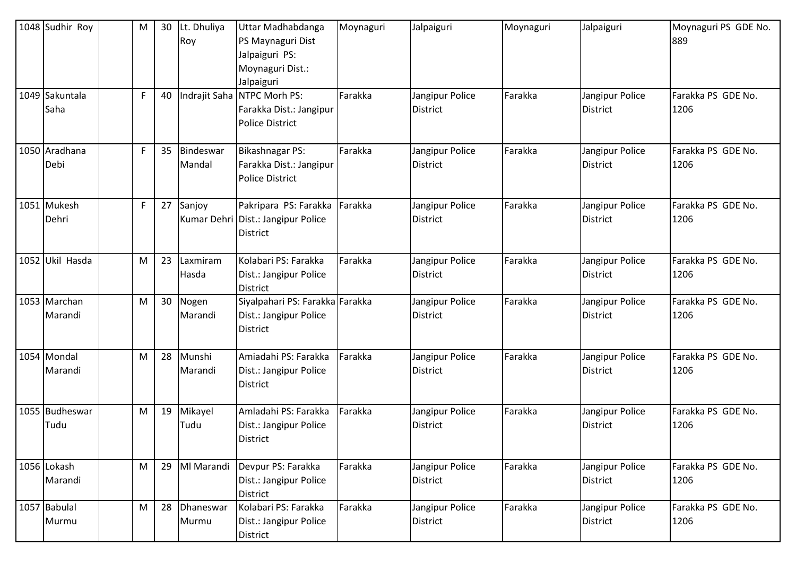| 1048 Sudhir Roy         | M           | 30 | Lt. Dhuliya<br>Roy  | Uttar Madhabdanga<br>PS Maynaguri Dist<br>Jalpaiguri PS:<br>Moynaguri Dist.:<br>Jalpaiguri | Moynaguri | Jalpaiguri                         | Moynaguri | Jalpaiguri                         | Moynaguri PS GDE No.<br>889 |
|-------------------------|-------------|----|---------------------|--------------------------------------------------------------------------------------------|-----------|------------------------------------|-----------|------------------------------------|-----------------------------|
| 1049 Sakuntala<br>Saha  | F           | 40 | Indrajit Saha       | NTPC Morh PS:<br>Farakka Dist.: Jangipur<br><b>Police District</b>                         | Farakka   | Jangipur Police<br><b>District</b> | Farakka   | Jangipur Police<br><b>District</b> | Farakka PS GDE No.<br>1206  |
| 1050 Aradhana<br>Debi   | $\mathsf F$ | 35 | Bindeswar<br>Mandal | <b>Bikashnagar PS:</b><br>Farakka Dist.: Jangipur<br><b>Police District</b>                | Farakka   | Jangipur Police<br>District        | Farakka   | Jangipur Police<br><b>District</b> | Farakka PS GDE No.<br>1206  |
| 1051 Mukesh<br>Dehri    | F           | 27 | Sanjoy              | Pakripara PS: Farakka<br>Kumar Dehri Dist.: Jangipur Police<br>District                    | Farakka   | Jangipur Police<br><b>District</b> | Farakka   | Jangipur Police<br><b>District</b> | Farakka PS GDE No.<br>1206  |
| 1052 Ukil Hasda         | M           | 23 | Laxmiram<br>Hasda   | Kolabari PS: Farakka<br>Dist.: Jangipur Police<br><b>District</b>                          | Farakka   | Jangipur Police<br><b>District</b> | Farakka   | Jangipur Police<br><b>District</b> | Farakka PS GDE No.<br>1206  |
| 1053 Marchan<br>Marandi | M           |    | 30 Nogen<br>Marandi | Siyalpahari PS: Farakka Farakka<br>Dist.: Jangipur Police<br><b>District</b>               |           | Jangipur Police<br><b>District</b> | Farakka   | Jangipur Police<br><b>District</b> | Farakka PS GDE No.<br>1206  |
| 1054 Mondal<br>Marandi  | M           | 28 | Munshi<br>Marandi   | Amiadahi PS: Farakka<br>Dist.: Jangipur Police<br>District                                 | Farakka   | Jangipur Police<br><b>District</b> | Farakka   | Jangipur Police<br><b>District</b> | Farakka PS GDE No.<br>1206  |
| 1055 Budheswar<br>Tudu  | M           | 19 | Mikayel<br>Tudu     | Amladahi PS: Farakka<br>Dist.: Jangipur Police<br><b>District</b>                          | Farakka   | Jangipur Police<br>District        | Farakka   | Jangipur Police<br><b>District</b> | Farakka PS GDE No.<br>1206  |
| 1056 Lokash<br>Marandi  | M           | 29 | MI Marandi          | Devpur PS: Farakka<br>Dist.: Jangipur Police<br><b>District</b>                            | Farakka   | Jangipur Police<br>District        | Farakka   | Jangipur Police<br><b>District</b> | Farakka PS GDE No.<br>1206  |
| 1057 Babulal<br>Murmu   | M           | 28 | Dhaneswar<br>Murmu  | Kolabari PS: Farakka<br>Dist.: Jangipur Police<br>District                                 | Farakka   | Jangipur Police<br><b>District</b> | Farakka   | Jangipur Police<br><b>District</b> | Farakka PS GDE No.<br>1206  |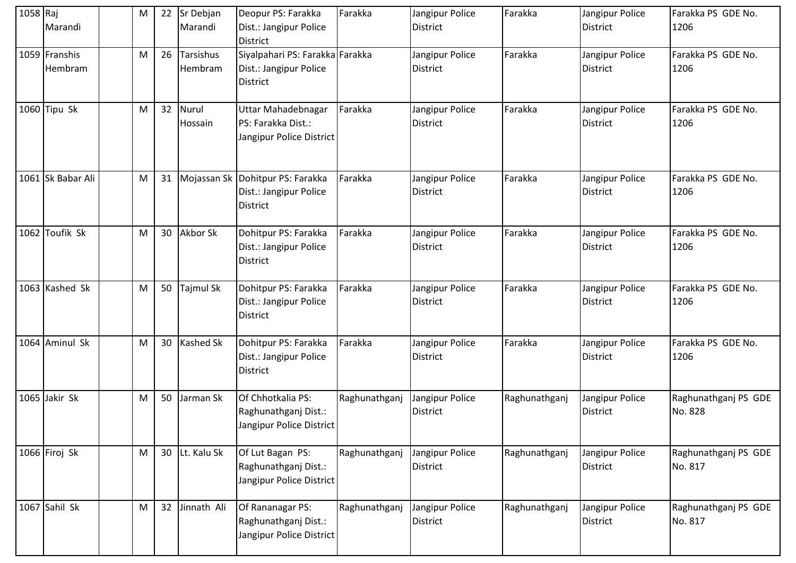| 1058 Raj | Marandi                  | M | 22 | Sr Debjan<br>Marandi    | Deopur PS: Farakka<br>Dist.: Jangipur Police<br><b>District</b>               | Farakka       | Jangipur Police<br>District        | Farakka       | Jangipur Police<br><b>District</b> | Farakka PS GDE No.<br>1206      |
|----------|--------------------------|---|----|-------------------------|-------------------------------------------------------------------------------|---------------|------------------------------------|---------------|------------------------------------|---------------------------------|
|          | 1059 Franshis<br>Hembram | M |    | 26 Tarsishus<br>Hembram | Siyalpahari PS: Farakka Farakka<br>Dist.: Jangipur Police<br><b>District</b>  |               | Jangipur Police<br>District        | Farakka       | Jangipur Police<br><b>District</b> | Farakka PS GDE No.<br>1206      |
|          | 1060 Tipu Sk             | M | 32 | Nurul<br>Hossain        | Uttar Mahadebnagar<br>PS: Farakka Dist.:<br>Jangipur Police District          | Farakka       | Jangipur Police<br>District        | Farakka       | Jangipur Police<br><b>District</b> | Farakka PS GDE No.<br>1206      |
|          | 1061 Sk Babar Ali        | M | 31 |                         | Mojassan Sk Dohitpur PS: Farakka<br>Dist.: Jangipur Police<br><b>District</b> | Farakka       | Jangipur Police<br>District        | Farakka       | Jangipur Police<br><b>District</b> | Farakka PS GDE No.<br>1206      |
|          | 1062 Toufik Sk           | M |    | 30 Akbor Sk             | Dohitpur PS: Farakka<br>Dist.: Jangipur Police<br><b>District</b>             | Farakka       | Jangipur Police<br>District        | Farakka       | Jangipur Police<br><b>District</b> | Farakka PS GDE No.<br>1206      |
|          | 1063 Kashed Sk           | M |    | 50 Tajmul Sk            | Dohitpur PS: Farakka<br>Dist.: Jangipur Police<br><b>District</b>             | Farakka       | Jangipur Police<br>District        | Farakka       | Jangipur Police<br><b>District</b> | Farakka PS GDE No.<br>1206      |
|          | 1064 Aminul Sk           | M |    | 30 Kashed Sk            | Dohitpur PS: Farakka<br>Dist.: Jangipur Police<br><b>District</b>             | Farakka       | Jangipur Police<br><b>District</b> | Farakka       | Jangipur Police<br>District        | Farakka PS GDE No.<br>1206      |
|          | 1065 Jakir Sk            | M |    | 50 Jarman Sk            | Of Chhotkalia PS:<br>Raghunathganj Dist.:<br>Jangipur Police District         | Raghunathganj | Jangipur Police<br>District        | Raghunathganj | Jangipur Police<br>District        | Raghunathganj PS GDE<br>No. 828 |
|          | 1066 Firoj Sk            | M |    | 30 Lt. Kalu Sk          | Of Lut Bagan PS:<br>Raghunathganj Dist.:<br>Jangipur Police District          | Raghunathganj | Jangipur Police<br>District        | Raghunathganj | Jangipur Police<br><b>District</b> | Raghunathganj PS GDE<br>No. 817 |
|          | 1067 Sahil Sk            | M | 32 | Jinnath Ali             | Of Rananagar PS:<br>Raghunathganj Dist.:<br>Jangipur Police District          | Raghunathganj | Jangipur Police<br>District        | Raghunathganj | Jangipur Police<br>District        | Raghunathganj PS GDE<br>No. 817 |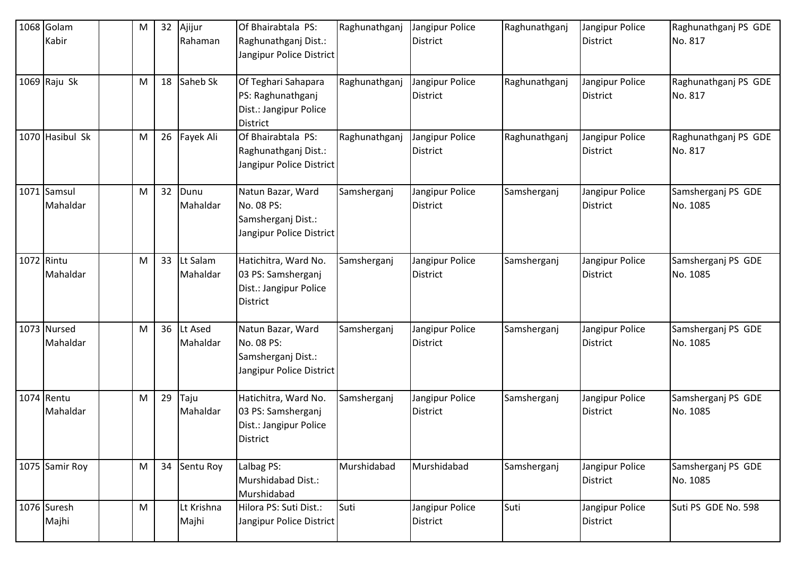|            | 1068 Golam<br>Kabir     | ${\sf M}$ | 32 | Ajijur<br>Rahaman    | Of Bhairabtala PS:<br>Raghunathganj Dist.:<br>Jangipur Police District                  | Raghunathganj | Jangipur Police<br><b>District</b> | Raghunathganj | Jangipur Police<br><b>District</b> | Raghunathganj PS GDE<br>No. 817 |
|------------|-------------------------|-----------|----|----------------------|-----------------------------------------------------------------------------------------|---------------|------------------------------------|---------------|------------------------------------|---------------------------------|
|            | $1069$ Raju Sk          | M         | 18 | Saheb Sk             | Of Teghari Sahapara<br>PS: Raghunathganj<br>Dist.: Jangipur Police<br><b>District</b>   | Raghunathganj | Jangipur Police<br><b>District</b> | Raghunathganj | Jangipur Police<br><b>District</b> | Raghunathganj PS GDE<br>No. 817 |
|            | 1070 Hasibul Sk         | M         |    | 26 Fayek Ali         | Of Bhairabtala PS:<br>Raghunathganj Dist.:<br>Jangipur Police District                  | Raghunathganj | Jangipur Police<br><b>District</b> | Raghunathganj | Jangipur Police<br><b>District</b> | Raghunathganj PS GDE<br>No. 817 |
|            | 1071 Samsul<br>Mahaldar | M         | 32 | Dunu<br>Mahaldar     | Natun Bazar, Ward<br>No. 08 PS:<br>Samsherganj Dist.:<br>Jangipur Police District       | Samsherganj   | Jangipur Police<br><b>District</b> | Samsherganj   | Jangipur Police<br><b>District</b> | Samsherganj PS GDE<br>No. 1085  |
| 1072 Rintu | Mahaldar                | M         | 33 | Lt Salam<br>Mahaldar | Hatichitra, Ward No.<br>03 PS: Samsherganj<br>Dist.: Jangipur Police<br><b>District</b> | Samsherganj   | Jangipur Police<br><b>District</b> | Samsherganj   | Jangipur Police<br><b>District</b> | Samsherganj PS GDE<br>No. 1085  |
|            | 1073 Nursed<br>Mahaldar | M         | 36 | Lt Ased<br>Mahaldar  | Natun Bazar, Ward<br>No. 08 PS:<br>Samsherganj Dist.:<br>Jangipur Police District       | Samsherganj   | Jangipur Police<br><b>District</b> | Samsherganj   | Jangipur Police<br><b>District</b> | Samsherganj PS GDE<br>No. 1085  |
|            | 1074 Rentu<br>Mahaldar  | M         | 29 | Taju<br>Mahaldar     | Hatichitra, Ward No.<br>03 PS: Samsherganj<br>Dist.: Jangipur Police<br>District        | Samsherganj   | Jangipur Police<br><b>District</b> | Samsherganj   | Jangipur Police<br><b>District</b> | Samsherganj PS GDE<br>No. 1085  |
|            | 1075 Samir Roy          | M         | 34 | Sentu Roy            | Lalbag PS:<br>Murshidabad Dist.:<br>Murshidabad                                         | Murshidabad   | Murshidabad                        | Samsherganj   | Jangipur Police<br><b>District</b> | Samsherganj PS GDE<br>No. 1085  |
|            | 1076 Suresh<br>Majhi    | ${\sf M}$ |    | Lt Krishna<br>Majhi  | Hilora PS: Suti Dist.:<br>Jangipur Police District                                      | Suti          | Jangipur Police<br><b>District</b> | Suti          | Jangipur Police<br><b>District</b> | Suti PS GDE No. 598             |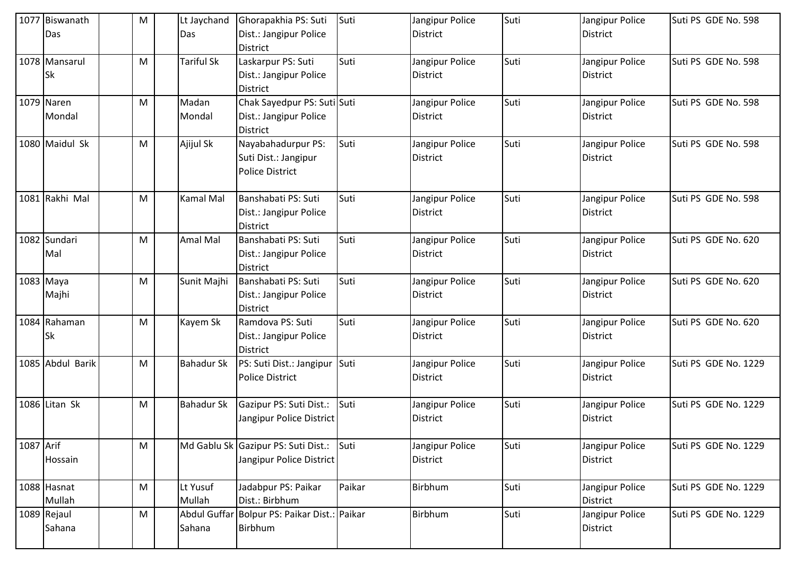|           | 1077 Biswanath<br>Das      | M | Lt Jaychand<br>Das | Ghorapakhia PS: Suti<br>Dist.: Jangipur Police                                              | Suti   | Jangipur Police<br><b>District</b> | Suti | Jangipur Police<br><b>District</b> | Suti PS GDE No. 598  |
|-----------|----------------------------|---|--------------------|---------------------------------------------------------------------------------------------|--------|------------------------------------|------|------------------------------------|----------------------|
|           | 1078 Mansarul<br><b>Sk</b> | M | <b>Tariful Sk</b>  | <b>District</b><br>Laskarpur PS: Suti<br>Dist.: Jangipur Police                             | Suti   | Jangipur Police<br><b>District</b> | Suti | Jangipur Police<br><b>District</b> | Suti PS GDE No. 598  |
|           | 1079 Naren<br>Mondal       | M | Madan<br>Mondal    | <b>District</b><br>Chak Sayedpur PS: Suti Suti<br>Dist.: Jangipur Police<br><b>District</b> |        | Jangipur Police<br><b>District</b> | Suti | Jangipur Police<br>District        | Suti PS GDE No. 598  |
|           | 1080 Maidul Sk             | M | Ajijul Sk          | Nayabahadurpur PS:<br>Suti Dist.: Jangipur<br>Police District                               | Suti   | Jangipur Police<br><b>District</b> | Suti | Jangipur Police<br><b>District</b> | Suti PS GDE No. 598  |
|           | 1081 Rakhi Mal             | M | <b>Kamal Mal</b>   | Banshabati PS: Suti<br>Dist.: Jangipur Police<br><b>District</b>                            | Suti   | Jangipur Police<br><b>District</b> | Suti | Jangipur Police<br><b>District</b> | Suti PS GDE No. 598  |
|           | 1082 Sundari<br>Mal        | M | Amal Mal           | Banshabati PS: Suti<br>Dist.: Jangipur Police<br><b>District</b>                            | Suti   | Jangipur Police<br><b>District</b> | Suti | Jangipur Police<br><b>District</b> | Suti PS GDE No. 620  |
|           | 1083 Maya<br>Majhi         | M | Sunit Majhi        | Banshabati PS: Suti<br>Dist.: Jangipur Police<br><b>District</b>                            | Suti   | Jangipur Police<br><b>District</b> | Suti | Jangipur Police<br><b>District</b> | Suti PS GDE No. 620  |
|           | 1084 Rahaman<br>Sk         | M | Kayem Sk           | Ramdova PS: Suti<br>Dist.: Jangipur Police<br><b>District</b>                               | Suti   | Jangipur Police<br><b>District</b> | Suti | Jangipur Police<br><b>District</b> | Suti PS GDE No. 620  |
|           | 1085 Abdul Barik           | M | <b>Bahadur Sk</b>  | PS: Suti Dist.: Jangipur Suti<br><b>Police District</b>                                     |        | Jangipur Police<br><b>District</b> | Suti | Jangipur Police<br>District        | Suti PS GDE No. 1229 |
|           | 1086 Litan Sk              | M | <b>Bahadur Sk</b>  | Gazipur PS: Suti Dist.: Suti<br>Jangipur Police District                                    |        | Jangipur Police<br><b>District</b> | Suti | Jangipur Police<br><b>District</b> | Suti PS GDE No. 1229 |
| 1087 Arif | Hossain                    | M |                    | Md Gablu Sk Gazipur PS: Suti Dist.: Suti<br>Jangipur Police District                        |        | Jangipur Police<br>District        | Suti | Jangipur Police<br><b>District</b> | Suti PS GDE No. 1229 |
|           | 1088 Hasnat<br>Mullah      | M | Lt Yusuf<br>Mullah | Jadabpur PS: Paikar<br>Dist.: Birbhum                                                       | Paikar | Birbhum                            | Suti | Jangipur Police<br><b>District</b> | Suti PS GDE No. 1229 |
|           | 1089 Rejaul<br>Sahana      | M | Sahana             | Abdul Guffar Bolpur PS: Paikar Dist.: Paikar<br>Birbhum                                     |        | Birbhum                            | Suti | Jangipur Police<br><b>District</b> | Suti PS GDE No. 1229 |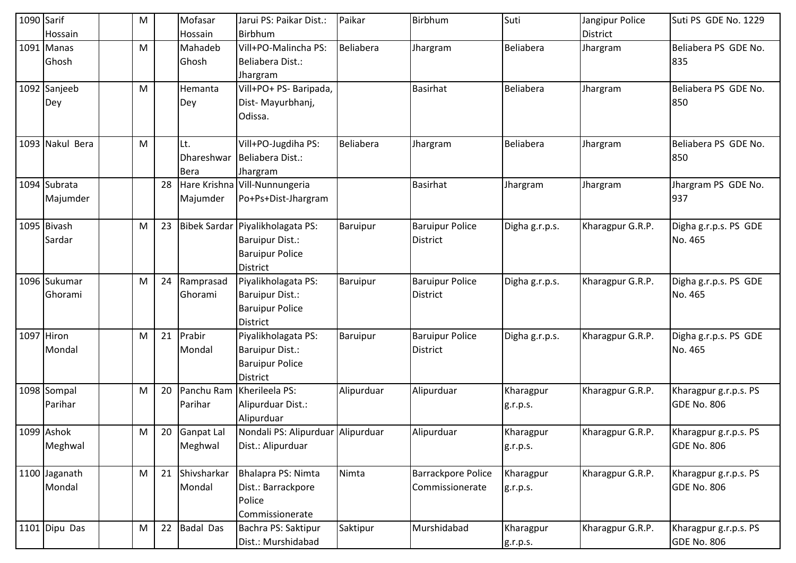| 1090 Sarif | Hossain                  | ${\sf M}$ |    | Mofasar<br>Hossain               | Jarui PS: Paikar Dist.:<br>Birbhum                                                               | Paikar          | <b>Birbhum</b>                               | Suti                  | Jangipur Police<br><b>District</b> | Suti PS GDE No. 1229                        |
|------------|--------------------------|-----------|----|----------------------------------|--------------------------------------------------------------------------------------------------|-----------------|----------------------------------------------|-----------------------|------------------------------------|---------------------------------------------|
|            | 1091 Manas<br>Ghosh      | M         |    | Mahadeb<br>Ghosh                 | Vill+PO-Malincha PS:<br>Beliabera Dist.:<br>Jhargram                                             | Beliabera       | Jhargram                                     | <b>Beliabera</b>      | Jhargram                           | Beliabera PS GDE No.<br>835                 |
|            | 1092 Sanjeeb<br>Dey      | M         |    | Hemanta<br>Dey                   | Vill+PO+ PS- Baripada,<br>Dist-Mayurbhanj,<br>Odissa.                                            |                 | <b>Basirhat</b>                              | <b>Beliabera</b>      | Jhargram                           | Beliabera PS GDE No.<br>850                 |
|            | 1093 Nakul Bera          | M         |    | Lt.<br>Dhareshwar<br><b>Bera</b> | Vill+PO-Jugdiha PS:<br>Beliabera Dist.:<br>Jhargram                                              | Beliabera       | Jhargram                                     | Beliabera             | Jhargram                           | Beliabera PS GDE No.<br>850                 |
|            | 1094 Subrata<br>Majumder |           | 28 | Majumder                         | Hare Krishna Vill-Nunnungeria<br>Po+Ps+Dist-Jhargram                                             |                 | <b>Basirhat</b>                              | Jhargram              | Jhargram                           | Jhargram PS GDE No.<br>937                  |
|            | 1095 Bivash<br>Sardar    | M         | 23 |                                  | Bibek Sardar Piyalikholagata PS:<br>Baruipur Dist.:<br><b>Baruipur Police</b><br><b>District</b> | Baruipur        | <b>Baruipur Police</b><br><b>District</b>    | Digha g.r.p.s.        | Kharagpur G.R.P.                   | Digha g.r.p.s. PS GDE<br>No. 465            |
|            | 1096 Sukumar<br>Ghorami  | M         | 24 | Ramprasad<br>Ghorami             | Piyalikholagata PS:<br><b>Baruipur Dist.:</b><br><b>Baruipur Police</b><br><b>District</b>       | Baruipur        | <b>Baruipur Police</b><br><b>District</b>    | Digha g.r.p.s.        | Kharagpur G.R.P.                   | Digha g.r.p.s. PS GDE<br>No. 465            |
|            | 1097 Hiron<br>Mondal     | M         | 21 | Prabir<br>Mondal                 | Piyalikholagata PS:<br>Baruipur Dist.:<br><b>Baruipur Police</b><br><b>District</b>              | <b>Baruipur</b> | <b>Baruipur Police</b><br><b>District</b>    | Digha g.r.p.s.        | Kharagpur G.R.P.                   | Digha g.r.p.s. PS GDE<br>No. 465            |
|            | 1098 Sompal<br>Parihar   | M         | 20 | Panchu Ram<br>Parihar            | Kherileela PS:<br>Alipurduar Dist.:<br>Alipurduar                                                | Alipurduar      | Alipurduar                                   | Kharagpur<br>g.r.p.s. | Kharagpur G.R.P.                   | Kharagpur g.r.p.s. PS<br>GDE No. 806        |
|            | 1099 Ashok<br>Meghwal    | M         | 20 | Ganpat Lal<br>Meghwal            | Nondali PS: Alipurduar Alipurduar<br>Dist.: Alipurduar                                           |                 | Alipurduar                                   | Kharagpur<br>g.r.p.s. | Kharagpur G.R.P.                   | Kharagpur g.r.p.s. PS<br>GDE No. 806        |
|            | 1100 Jaganath<br>Mondal  | M         | 21 | Shivsharkar<br>Mondal            | Bhalapra PS: Nimta<br>Dist.: Barrackpore<br>Police<br>Commissionerate                            | Nimta           | <b>Barrackpore Police</b><br>Commissionerate | Kharagpur<br>g.r.p.s. | Kharagpur G.R.P.                   | Kharagpur g.r.p.s. PS<br><b>GDE No. 806</b> |
|            | 1101 Dipu Das            | M         | 22 | <b>Badal Das</b>                 | Bachra PS: Saktipur<br>Dist.: Murshidabad                                                        | Saktipur        | Murshidabad                                  | Kharagpur<br>g.r.p.s. | Kharagpur G.R.P.                   | Kharagpur g.r.p.s. PS<br><b>GDE No. 806</b> |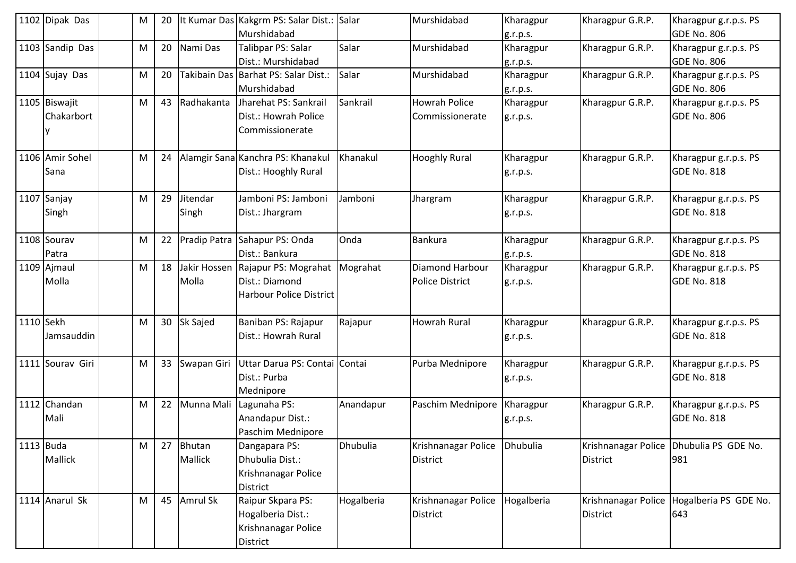|           | 1102 Dipak Das              | M | 20 |                       | It Kumar Das Kakgrm PS: Salar Dist.: Salar<br>Murshidabad                           |            | Murshidabad                               | Kharagpur<br>g.r.p.s. | Kharagpur G.R.P. | Kharagpur g.r.p.s. PS<br><b>GDE No. 806</b>      |
|-----------|-----------------------------|---|----|-----------------------|-------------------------------------------------------------------------------------|------------|-------------------------------------------|-----------------------|------------------|--------------------------------------------------|
|           | 1103 Sandip Das             | M | 20 | Nami Das              | Talibpar PS: Salar<br>Dist.: Murshidabad                                            | Salar      | Murshidabad                               | Kharagpur<br>g.r.p.s. | Kharagpur G.R.P. | Kharagpur g.r.p.s. PS<br>GDE No. 806             |
|           | 1104 Sujay Das              | M | 20 |                       | Takibain Das Barhat PS: Salar Dist.:<br>Murshidabad                                 | Salar      | Murshidabad                               | Kharagpur<br>g.r.p.s. | Kharagpur G.R.P. | Kharagpur g.r.p.s. PS<br><b>GDE No. 806</b>      |
|           | 1105 Biswajit<br>Chakarbort | M | 43 | Radhakanta            | Jharehat PS: Sankrail<br>Dist.: Howrah Police<br>Commissionerate                    | Sankrail   | <b>Howrah Police</b><br>Commissionerate   | Kharagpur<br>g.r.p.s. | Kharagpur G.R.P. | Kharagpur g.r.p.s. PS<br><b>GDE No. 806</b>      |
|           | 1106 Amir Sohel<br>Sana     | M | 24 |                       | Alamgir Sana Kanchra PS: Khanakul<br>Dist.: Hooghly Rural                           | Khanakul   | <b>Hooghly Rural</b>                      | Kharagpur<br>g.r.p.s. | Kharagpur G.R.P. | Kharagpur g.r.p.s. PS<br><b>GDE No. 818</b>      |
|           | 1107 Sanjay<br>Singh        | M | 29 | Jitendar<br>Singh     | Jamboni PS: Jamboni<br>Dist.: Jhargram                                              | Jamboni    | Jhargram                                  | Kharagpur<br>g.r.p.s. | Kharagpur G.R.P. | Kharagpur g.r.p.s. PS<br><b>GDE No. 818</b>      |
|           | 1108 Sourav<br>Patra        | M | 22 | <b>Pradip Patra</b>   | Sahapur PS: Onda<br>Dist.: Bankura                                                  | Onda       | Bankura                                   | Kharagpur<br>g.r.p.s. | Kharagpur G.R.P. | Kharagpur g.r.p.s. PS<br><b>GDE No. 818</b>      |
|           | 1109 Ajmaul<br>Molla        | M | 18 | Jakir Hossen<br>Molla | Rajapur PS: Mograhat   Mograhat<br>Dist.: Diamond<br><b>Harbour Police District</b> |            | Diamond Harbour<br><b>Police District</b> | Kharagpur<br>g.r.p.s. | Kharagpur G.R.P. | Kharagpur g.r.p.s. PS<br><b>GDE No. 818</b>      |
| 1110 Sekh | Jamsauddin                  | M | 30 | Sk Sajed              | Baniban PS: Rajapur<br>Dist.: Howrah Rural                                          | Rajapur    | <b>Howrah Rural</b>                       | Kharagpur<br>g.r.p.s. | Kharagpur G.R.P. | Kharagpur g.r.p.s. PS<br><b>GDE No. 818</b>      |
|           | 1111 Sourav Giri            | M | 33 | Swapan Giri           | Uttar Darua PS: Contai Contai<br>Dist.: Purba<br>Mednipore                          |            | Purba Mednipore                           | Kharagpur<br>g.r.p.s. | Kharagpur G.R.P. | Kharagpur g.r.p.s. PS<br><b>GDE No. 818</b>      |
|           | 1112 Chandan<br>Mali        | M | 22 | Munna Mali            | Lagunaha PS:<br>Anandapur Dist.:<br>Paschim Mednipore                               | Anandapur  | Paschim Mednipore                         | Kharagpur<br>g.r.p.s. | Kharagpur G.R.P. | Kharagpur g.r.p.s. PS<br><b>GDE No. 818</b>      |
| 1113 Buda | Mallick                     | M | 27 | Bhutan<br>Mallick     | Dangapara PS:<br>Dhubulia Dist.:<br>Krishnanagar Police<br><b>District</b>          | Dhubulia   | Krishnanagar Police<br><b>District</b>    | Dhubulia              | <b>District</b>  | Krishnanagar Police   Dhubulia PS GDE No.<br>981 |
|           | 1114 Anarul Sk              | M |    | 45 Amrul Sk           | Raipur Skpara PS:<br>Hogalberia Dist.:<br>Krishnanagar Police<br>District           | Hogalberia | Krishnanagar Police<br>District           | Hogalberia            | <b>District</b>  | Krishnanagar Police Hogalberia PS GDE No.<br>643 |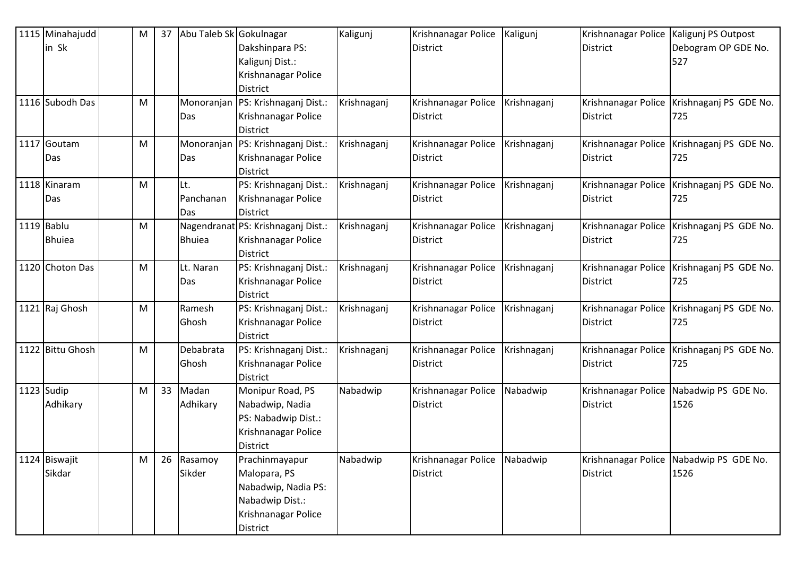| 1115 Minahajudd  | M | 37 | Abu Taleb Sk Gokulnagar |                                    | Kaligunj    | Krishnanagar Police | Kaligunj    | Krishnanagar Police   Kaligunj PS Outpost |                                              |
|------------------|---|----|-------------------------|------------------------------------|-------------|---------------------|-------------|-------------------------------------------|----------------------------------------------|
| in Sk            |   |    |                         | Dakshinpara PS:                    |             | <b>District</b>     |             | District                                  | Debogram OP GDE No.                          |
|                  |   |    |                         | Kaligunj Dist.:                    |             |                     |             |                                           | 527                                          |
|                  |   |    |                         | Krishnanagar Police                |             |                     |             |                                           |                                              |
|                  |   |    |                         | District                           |             |                     |             |                                           |                                              |
| 1116 Subodh Das  | M |    | Monoranjan              | PS: Krishnaganj Dist.:             | Krishnaganj | Krishnanagar Police | Krishnaganj | Krishnanagar Police                       | Krishnaganj PS GDE No.                       |
|                  |   |    | Das                     | Krishnanagar Police                |             | <b>District</b>     |             | <b>District</b>                           | 725                                          |
|                  |   |    |                         | <b>District</b>                    |             |                     |             |                                           |                                              |
| 1117 Goutam      | M |    | Monoranjan              | PS: Krishnaganj Dist.:             | Krishnaganj | Krishnanagar Police | Krishnaganj |                                           | Krishnanagar Police   Krishnaganj PS GDE No. |
| Das              |   |    | Das                     | Krishnanagar Police                |             | District            |             | <b>District</b>                           | 725                                          |
|                  |   |    |                         | <b>District</b>                    |             |                     |             |                                           |                                              |
| 1118 Kinaram     | M |    | Lt.                     | PS: Krishnaganj Dist.:             | Krishnaganj | Krishnanagar Police | Krishnaganj | Krishnanagar Police                       | Krishnaganj PS GDE No.                       |
| Das              |   |    | Panchanan               | Krishnanagar Police                |             | <b>District</b>     |             | <b>District</b>                           | 725                                          |
|                  |   |    | Das                     | <b>District</b>                    |             |                     |             |                                           |                                              |
| 1119 Bablu       | M |    |                         | Nagendranat PS: Krishnaganj Dist.: | Krishnaganj | Krishnanagar Police | Krishnaganj |                                           | Krishnanagar Police   Krishnaganj PS GDE No. |
| <b>Bhuiea</b>    |   |    | <b>Bhuiea</b>           | Krishnanagar Police                |             | <b>District</b>     |             | <b>District</b>                           | 725                                          |
|                  |   |    |                         | <b>District</b>                    |             |                     |             |                                           |                                              |
| 1120 Choton Das  | M |    | Lt. Naran               | PS: Krishnaganj Dist.:             | Krishnaganj | Krishnanagar Police | Krishnaganj |                                           | Krishnanagar Police Krishnaganj PS GDE No.   |
|                  |   |    | Das                     | Krishnanagar Police                |             | District            |             | <b>District</b>                           | 725                                          |
|                  |   |    |                         | <b>District</b>                    |             |                     |             |                                           |                                              |
| 1121 Raj Ghosh   | M |    | Ramesh                  | PS: Krishnaganj Dist.:             | Krishnaganj | Krishnanagar Police | Krishnaganj | Krishnanagar Police                       | Krishnaganj PS GDE No.                       |
|                  |   |    | Ghosh                   | Krishnanagar Police                |             | <b>District</b>     |             | <b>District</b>                           | 725                                          |
|                  |   |    |                         | <b>District</b>                    |             |                     |             |                                           |                                              |
| 1122 Bittu Ghosh | M |    | Debabrata               | PS: Krishnaganj Dist.:             | Krishnaganj | Krishnanagar Police | Krishnaganj | Krishnanagar Police                       | Krishnaganj PS GDE No.                       |
|                  |   |    | Ghosh                   | Krishnanagar Police                |             | <b>District</b>     |             | <b>District</b>                           | 725                                          |
|                  |   |    |                         | <b>District</b>                    |             |                     |             |                                           |                                              |
| 1123 Sudip       | M | 33 | Madan                   | Monipur Road, PS                   | Nabadwip    | Krishnanagar Police | Nabadwip    |                                           | Krishnanagar Police Nabadwip PS GDE No.      |
| Adhikary         |   |    | Adhikary                | Nabadwip, Nadia                    |             | <b>District</b>     |             | District                                  | 1526                                         |
|                  |   |    |                         | PS: Nabadwip Dist.:                |             |                     |             |                                           |                                              |
|                  |   |    |                         | Krishnanagar Police                |             |                     |             |                                           |                                              |
|                  |   |    |                         | District                           |             |                     |             |                                           |                                              |
| 1124 Biswajit    | M |    | 26 Rasamoy              | Prachinmayapur                     | Nabadwip    | Krishnanagar Police | Nabadwip    |                                           | Krishnanagar Police Nabadwip PS GDE No.      |
| Sikdar           |   |    | Sikder                  | Malopara, PS                       |             | <b>District</b>     |             | <b>District</b>                           | 1526                                         |
|                  |   |    |                         | Nabadwip, Nadia PS:                |             |                     |             |                                           |                                              |
|                  |   |    |                         | Nabadwip Dist.:                    |             |                     |             |                                           |                                              |
|                  |   |    |                         | Krishnanagar Police                |             |                     |             |                                           |                                              |
|                  |   |    |                         | District                           |             |                     |             |                                           |                                              |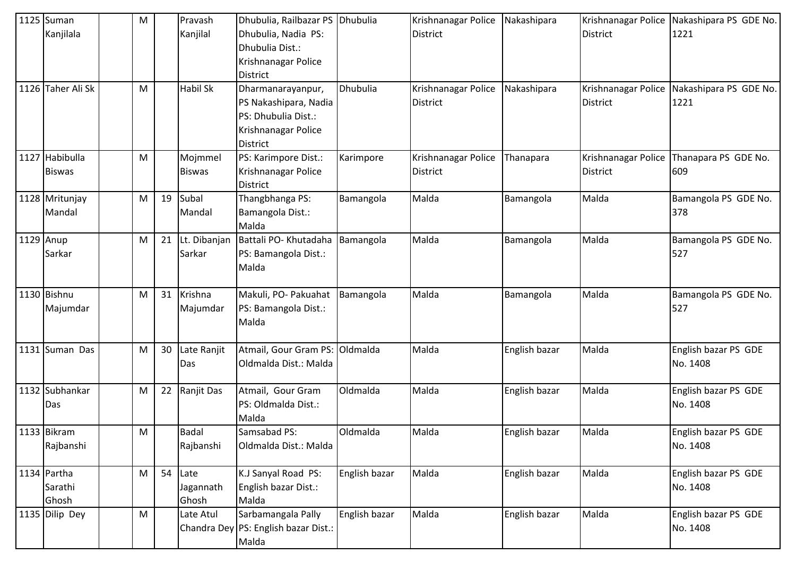| Kanjilala<br>Kanjilal<br>Dhubulia, Nadia PS:<br>1221<br><b>District</b><br><b>District</b><br>Dhubulia Dist.:<br>Krishnanagar Police<br>District<br>1126 Taher Ali Sk<br>M<br>Habil Sk<br>Dhubulia<br>Nakashipara<br>Krishnanagar Police   Nakashipara PS GDE No.<br>Dharmanarayanpur,<br>Krishnanagar Police<br>PS Nakashipara, Nadia<br>District<br><b>District</b><br>1221<br>PS: Dhubulia Dist.:<br>Krishnanagar Police<br>District<br>1127 Habibulla<br>M<br>PS: Karimpore Dist.:<br>Mojmmel<br>Karimpore<br>Krishnanagar Police<br>Krishnanagar Police<br>Thanapara PS GDE No.<br>Thanapara<br>Krishnanagar Police<br>609<br><b>Biswas</b><br><b>District</b><br><b>District</b><br><b>Biswas</b><br><b>District</b><br>Malda<br>Subal<br>Malda<br>1128 Mritunjay<br>M<br>19<br>Thangbhanga PS:<br>Bamangola PS GDE No.<br>Bamangola<br>Bamangola<br>Bamangola Dist.:<br>378<br>Mandal<br>Mandal<br>Malda<br>Lt. Dibanjan<br>Battali PO- Khutadaha<br>Malda<br>1129 Anup<br>21<br>Bamangola<br>Malda<br>M<br>Bamangola PS GDE No.<br>Bamangola<br>Sarkar<br>527<br>Sarkar<br>PS: Bamangola Dist.:<br>Malda<br>1130 Bishnu<br>Krishna<br>Makuli, PO- Pakuahat<br>Malda<br>Malda<br>31<br>Bamangola<br>Bamangola PS GDE No.<br>M<br>Bamangola<br>PS: Bamangola Dist.:<br>Majumdar<br>Majumdar<br>527<br>Malda<br>Atmail, Gour Gram PS: Oldmalda<br>Malda<br>Malda<br>English bazar PS GDE<br>1131 Suman Das<br>M<br>30<br>Late Ranjit<br>English bazar<br>Oldmalda Dist.: Malda<br>No. 1408<br>Das<br>Malda<br>Malda<br>1132 Subhankar<br>22<br>Oldmalda<br>M<br>Ranjit Das<br>Atmail, Gour Gram<br>English bazar PS GDE<br>English bazar<br>PS: Oldmalda Dist.:<br>No. 1408<br>Das<br>Malda<br>1133 Bikram<br>M<br>Badal<br>Oldmalda<br>Malda<br>Malda<br>Samsabad PS:<br>English bazar<br>English bazar PS GDE<br>Rajbanshi<br>Rajbanshi<br>Oldmalda Dist.: Malda<br>No. 1408<br>54<br>K.J Sanyal Road PS:<br>English bazar<br>Malda<br>Malda<br>1134 Partha<br>Late<br>English bazar<br>English bazar PS GDE<br>M<br>Sarathi<br>Jagannath<br>English bazar Dist.:<br>No. 1408<br>Malda<br>Ghosh<br>Ghosh<br>Malda<br>Malda<br>Sarbamangala Pally<br>English bazar<br>1135 Dilip Dey<br>M<br>English bazar<br>Late Atul<br>English bazar PS GDE<br>Chandra Dey PS: English bazar Dist.:<br>No. 1408<br>Malda | $1125$ Suman | M | Pravash | Dhubulia, Railbazar PS Dhubulia | Krishnanagar Police | Nakashipara | Krishnanagar Police   Nakashipara PS GDE No. |
|--------------------------------------------------------------------------------------------------------------------------------------------------------------------------------------------------------------------------------------------------------------------------------------------------------------------------------------------------------------------------------------------------------------------------------------------------------------------------------------------------------------------------------------------------------------------------------------------------------------------------------------------------------------------------------------------------------------------------------------------------------------------------------------------------------------------------------------------------------------------------------------------------------------------------------------------------------------------------------------------------------------------------------------------------------------------------------------------------------------------------------------------------------------------------------------------------------------------------------------------------------------------------------------------------------------------------------------------------------------------------------------------------------------------------------------------------------------------------------------------------------------------------------------------------------------------------------------------------------------------------------------------------------------------------------------------------------------------------------------------------------------------------------------------------------------------------------------------------------------------------------------------------------------------------------------------------------------------------------------------------------------------------------------------------------------------------------------------------------------------------------------------------------------------------------------------------------------------------------------------------------------------------------------------------------------------|--------------|---|---------|---------------------------------|---------------------|-------------|----------------------------------------------|
|                                                                                                                                                                                                                                                                                                                                                                                                                                                                                                                                                                                                                                                                                                                                                                                                                                                                                                                                                                                                                                                                                                                                                                                                                                                                                                                                                                                                                                                                                                                                                                                                                                                                                                                                                                                                                                                                                                                                                                                                                                                                                                                                                                                                                                                                                                                    |              |   |         |                                 |                     |             |                                              |
|                                                                                                                                                                                                                                                                                                                                                                                                                                                                                                                                                                                                                                                                                                                                                                                                                                                                                                                                                                                                                                                                                                                                                                                                                                                                                                                                                                                                                                                                                                                                                                                                                                                                                                                                                                                                                                                                                                                                                                                                                                                                                                                                                                                                                                                                                                                    |              |   |         |                                 |                     |             |                                              |
|                                                                                                                                                                                                                                                                                                                                                                                                                                                                                                                                                                                                                                                                                                                                                                                                                                                                                                                                                                                                                                                                                                                                                                                                                                                                                                                                                                                                                                                                                                                                                                                                                                                                                                                                                                                                                                                                                                                                                                                                                                                                                                                                                                                                                                                                                                                    |              |   |         |                                 |                     |             |                                              |
|                                                                                                                                                                                                                                                                                                                                                                                                                                                                                                                                                                                                                                                                                                                                                                                                                                                                                                                                                                                                                                                                                                                                                                                                                                                                                                                                                                                                                                                                                                                                                                                                                                                                                                                                                                                                                                                                                                                                                                                                                                                                                                                                                                                                                                                                                                                    |              |   |         |                                 |                     |             |                                              |
|                                                                                                                                                                                                                                                                                                                                                                                                                                                                                                                                                                                                                                                                                                                                                                                                                                                                                                                                                                                                                                                                                                                                                                                                                                                                                                                                                                                                                                                                                                                                                                                                                                                                                                                                                                                                                                                                                                                                                                                                                                                                                                                                                                                                                                                                                                                    |              |   |         |                                 |                     |             |                                              |
|                                                                                                                                                                                                                                                                                                                                                                                                                                                                                                                                                                                                                                                                                                                                                                                                                                                                                                                                                                                                                                                                                                                                                                                                                                                                                                                                                                                                                                                                                                                                                                                                                                                                                                                                                                                                                                                                                                                                                                                                                                                                                                                                                                                                                                                                                                                    |              |   |         |                                 |                     |             |                                              |
|                                                                                                                                                                                                                                                                                                                                                                                                                                                                                                                                                                                                                                                                                                                                                                                                                                                                                                                                                                                                                                                                                                                                                                                                                                                                                                                                                                                                                                                                                                                                                                                                                                                                                                                                                                                                                                                                                                                                                                                                                                                                                                                                                                                                                                                                                                                    |              |   |         |                                 |                     |             |                                              |
|                                                                                                                                                                                                                                                                                                                                                                                                                                                                                                                                                                                                                                                                                                                                                                                                                                                                                                                                                                                                                                                                                                                                                                                                                                                                                                                                                                                                                                                                                                                                                                                                                                                                                                                                                                                                                                                                                                                                                                                                                                                                                                                                                                                                                                                                                                                    |              |   |         |                                 |                     |             |                                              |
|                                                                                                                                                                                                                                                                                                                                                                                                                                                                                                                                                                                                                                                                                                                                                                                                                                                                                                                                                                                                                                                                                                                                                                                                                                                                                                                                                                                                                                                                                                                                                                                                                                                                                                                                                                                                                                                                                                                                                                                                                                                                                                                                                                                                                                                                                                                    |              |   |         |                                 |                     |             |                                              |
|                                                                                                                                                                                                                                                                                                                                                                                                                                                                                                                                                                                                                                                                                                                                                                                                                                                                                                                                                                                                                                                                                                                                                                                                                                                                                                                                                                                                                                                                                                                                                                                                                                                                                                                                                                                                                                                                                                                                                                                                                                                                                                                                                                                                                                                                                                                    |              |   |         |                                 |                     |             |                                              |
|                                                                                                                                                                                                                                                                                                                                                                                                                                                                                                                                                                                                                                                                                                                                                                                                                                                                                                                                                                                                                                                                                                                                                                                                                                                                                                                                                                                                                                                                                                                                                                                                                                                                                                                                                                                                                                                                                                                                                                                                                                                                                                                                                                                                                                                                                                                    |              |   |         |                                 |                     |             |                                              |
|                                                                                                                                                                                                                                                                                                                                                                                                                                                                                                                                                                                                                                                                                                                                                                                                                                                                                                                                                                                                                                                                                                                                                                                                                                                                                                                                                                                                                                                                                                                                                                                                                                                                                                                                                                                                                                                                                                                                                                                                                                                                                                                                                                                                                                                                                                                    |              |   |         |                                 |                     |             |                                              |
|                                                                                                                                                                                                                                                                                                                                                                                                                                                                                                                                                                                                                                                                                                                                                                                                                                                                                                                                                                                                                                                                                                                                                                                                                                                                                                                                                                                                                                                                                                                                                                                                                                                                                                                                                                                                                                                                                                                                                                                                                                                                                                                                                                                                                                                                                                                    |              |   |         |                                 |                     |             |                                              |
|                                                                                                                                                                                                                                                                                                                                                                                                                                                                                                                                                                                                                                                                                                                                                                                                                                                                                                                                                                                                                                                                                                                                                                                                                                                                                                                                                                                                                                                                                                                                                                                                                                                                                                                                                                                                                                                                                                                                                                                                                                                                                                                                                                                                                                                                                                                    |              |   |         |                                 |                     |             |                                              |
|                                                                                                                                                                                                                                                                                                                                                                                                                                                                                                                                                                                                                                                                                                                                                                                                                                                                                                                                                                                                                                                                                                                                                                                                                                                                                                                                                                                                                                                                                                                                                                                                                                                                                                                                                                                                                                                                                                                                                                                                                                                                                                                                                                                                                                                                                                                    |              |   |         |                                 |                     |             |                                              |
|                                                                                                                                                                                                                                                                                                                                                                                                                                                                                                                                                                                                                                                                                                                                                                                                                                                                                                                                                                                                                                                                                                                                                                                                                                                                                                                                                                                                                                                                                                                                                                                                                                                                                                                                                                                                                                                                                                                                                                                                                                                                                                                                                                                                                                                                                                                    |              |   |         |                                 |                     |             |                                              |
|                                                                                                                                                                                                                                                                                                                                                                                                                                                                                                                                                                                                                                                                                                                                                                                                                                                                                                                                                                                                                                                                                                                                                                                                                                                                                                                                                                                                                                                                                                                                                                                                                                                                                                                                                                                                                                                                                                                                                                                                                                                                                                                                                                                                                                                                                                                    |              |   |         |                                 |                     |             |                                              |
|                                                                                                                                                                                                                                                                                                                                                                                                                                                                                                                                                                                                                                                                                                                                                                                                                                                                                                                                                                                                                                                                                                                                                                                                                                                                                                                                                                                                                                                                                                                                                                                                                                                                                                                                                                                                                                                                                                                                                                                                                                                                                                                                                                                                                                                                                                                    |              |   |         |                                 |                     |             |                                              |
|                                                                                                                                                                                                                                                                                                                                                                                                                                                                                                                                                                                                                                                                                                                                                                                                                                                                                                                                                                                                                                                                                                                                                                                                                                                                                                                                                                                                                                                                                                                                                                                                                                                                                                                                                                                                                                                                                                                                                                                                                                                                                                                                                                                                                                                                                                                    |              |   |         |                                 |                     |             |                                              |
|                                                                                                                                                                                                                                                                                                                                                                                                                                                                                                                                                                                                                                                                                                                                                                                                                                                                                                                                                                                                                                                                                                                                                                                                                                                                                                                                                                                                                                                                                                                                                                                                                                                                                                                                                                                                                                                                                                                                                                                                                                                                                                                                                                                                                                                                                                                    |              |   |         |                                 |                     |             |                                              |
|                                                                                                                                                                                                                                                                                                                                                                                                                                                                                                                                                                                                                                                                                                                                                                                                                                                                                                                                                                                                                                                                                                                                                                                                                                                                                                                                                                                                                                                                                                                                                                                                                                                                                                                                                                                                                                                                                                                                                                                                                                                                                                                                                                                                                                                                                                                    |              |   |         |                                 |                     |             |                                              |
|                                                                                                                                                                                                                                                                                                                                                                                                                                                                                                                                                                                                                                                                                                                                                                                                                                                                                                                                                                                                                                                                                                                                                                                                                                                                                                                                                                                                                                                                                                                                                                                                                                                                                                                                                                                                                                                                                                                                                                                                                                                                                                                                                                                                                                                                                                                    |              |   |         |                                 |                     |             |                                              |
|                                                                                                                                                                                                                                                                                                                                                                                                                                                                                                                                                                                                                                                                                                                                                                                                                                                                                                                                                                                                                                                                                                                                                                                                                                                                                                                                                                                                                                                                                                                                                                                                                                                                                                                                                                                                                                                                                                                                                                                                                                                                                                                                                                                                                                                                                                                    |              |   |         |                                 |                     |             |                                              |
|                                                                                                                                                                                                                                                                                                                                                                                                                                                                                                                                                                                                                                                                                                                                                                                                                                                                                                                                                                                                                                                                                                                                                                                                                                                                                                                                                                                                                                                                                                                                                                                                                                                                                                                                                                                                                                                                                                                                                                                                                                                                                                                                                                                                                                                                                                                    |              |   |         |                                 |                     |             |                                              |
|                                                                                                                                                                                                                                                                                                                                                                                                                                                                                                                                                                                                                                                                                                                                                                                                                                                                                                                                                                                                                                                                                                                                                                                                                                                                                                                                                                                                                                                                                                                                                                                                                                                                                                                                                                                                                                                                                                                                                                                                                                                                                                                                                                                                                                                                                                                    |              |   |         |                                 |                     |             |                                              |
|                                                                                                                                                                                                                                                                                                                                                                                                                                                                                                                                                                                                                                                                                                                                                                                                                                                                                                                                                                                                                                                                                                                                                                                                                                                                                                                                                                                                                                                                                                                                                                                                                                                                                                                                                                                                                                                                                                                                                                                                                                                                                                                                                                                                                                                                                                                    |              |   |         |                                 |                     |             |                                              |
|                                                                                                                                                                                                                                                                                                                                                                                                                                                                                                                                                                                                                                                                                                                                                                                                                                                                                                                                                                                                                                                                                                                                                                                                                                                                                                                                                                                                                                                                                                                                                                                                                                                                                                                                                                                                                                                                                                                                                                                                                                                                                                                                                                                                                                                                                                                    |              |   |         |                                 |                     |             |                                              |
|                                                                                                                                                                                                                                                                                                                                                                                                                                                                                                                                                                                                                                                                                                                                                                                                                                                                                                                                                                                                                                                                                                                                                                                                                                                                                                                                                                                                                                                                                                                                                                                                                                                                                                                                                                                                                                                                                                                                                                                                                                                                                                                                                                                                                                                                                                                    |              |   |         |                                 |                     |             |                                              |
|                                                                                                                                                                                                                                                                                                                                                                                                                                                                                                                                                                                                                                                                                                                                                                                                                                                                                                                                                                                                                                                                                                                                                                                                                                                                                                                                                                                                                                                                                                                                                                                                                                                                                                                                                                                                                                                                                                                                                                                                                                                                                                                                                                                                                                                                                                                    |              |   |         |                                 |                     |             |                                              |
|                                                                                                                                                                                                                                                                                                                                                                                                                                                                                                                                                                                                                                                                                                                                                                                                                                                                                                                                                                                                                                                                                                                                                                                                                                                                                                                                                                                                                                                                                                                                                                                                                                                                                                                                                                                                                                                                                                                                                                                                                                                                                                                                                                                                                                                                                                                    |              |   |         |                                 |                     |             |                                              |
|                                                                                                                                                                                                                                                                                                                                                                                                                                                                                                                                                                                                                                                                                                                                                                                                                                                                                                                                                                                                                                                                                                                                                                                                                                                                                                                                                                                                                                                                                                                                                                                                                                                                                                                                                                                                                                                                                                                                                                                                                                                                                                                                                                                                                                                                                                                    |              |   |         |                                 |                     |             |                                              |
|                                                                                                                                                                                                                                                                                                                                                                                                                                                                                                                                                                                                                                                                                                                                                                                                                                                                                                                                                                                                                                                                                                                                                                                                                                                                                                                                                                                                                                                                                                                                                                                                                                                                                                                                                                                                                                                                                                                                                                                                                                                                                                                                                                                                                                                                                                                    |              |   |         |                                 |                     |             |                                              |
|                                                                                                                                                                                                                                                                                                                                                                                                                                                                                                                                                                                                                                                                                                                                                                                                                                                                                                                                                                                                                                                                                                                                                                                                                                                                                                                                                                                                                                                                                                                                                                                                                                                                                                                                                                                                                                                                                                                                                                                                                                                                                                                                                                                                                                                                                                                    |              |   |         |                                 |                     |             |                                              |
|                                                                                                                                                                                                                                                                                                                                                                                                                                                                                                                                                                                                                                                                                                                                                                                                                                                                                                                                                                                                                                                                                                                                                                                                                                                                                                                                                                                                                                                                                                                                                                                                                                                                                                                                                                                                                                                                                                                                                                                                                                                                                                                                                                                                                                                                                                                    |              |   |         |                                 |                     |             |                                              |
|                                                                                                                                                                                                                                                                                                                                                                                                                                                                                                                                                                                                                                                                                                                                                                                                                                                                                                                                                                                                                                                                                                                                                                                                                                                                                                                                                                                                                                                                                                                                                                                                                                                                                                                                                                                                                                                                                                                                                                                                                                                                                                                                                                                                                                                                                                                    |              |   |         |                                 |                     |             |                                              |
|                                                                                                                                                                                                                                                                                                                                                                                                                                                                                                                                                                                                                                                                                                                                                                                                                                                                                                                                                                                                                                                                                                                                                                                                                                                                                                                                                                                                                                                                                                                                                                                                                                                                                                                                                                                                                                                                                                                                                                                                                                                                                                                                                                                                                                                                                                                    |              |   |         |                                 |                     |             |                                              |
|                                                                                                                                                                                                                                                                                                                                                                                                                                                                                                                                                                                                                                                                                                                                                                                                                                                                                                                                                                                                                                                                                                                                                                                                                                                                                                                                                                                                                                                                                                                                                                                                                                                                                                                                                                                                                                                                                                                                                                                                                                                                                                                                                                                                                                                                                                                    |              |   |         |                                 |                     |             |                                              |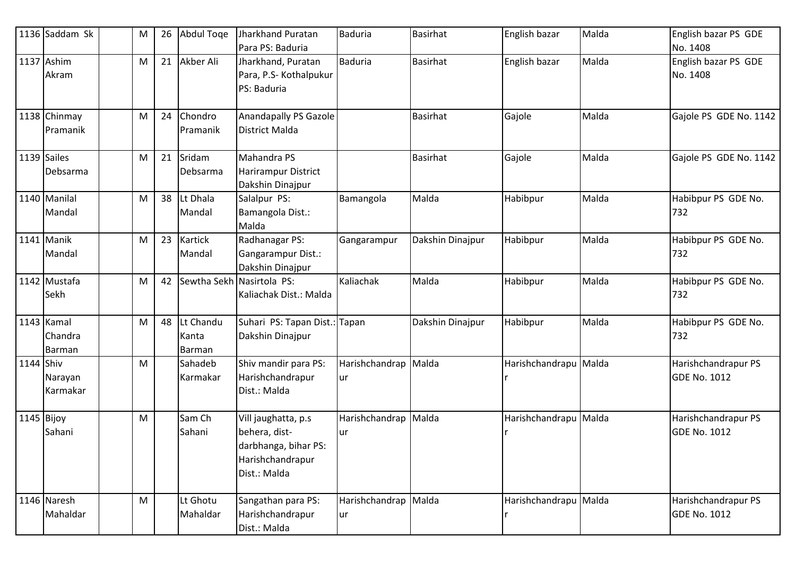|            | 1136 Saddam Sk                         | M | 26 | Abdul Toge                   | Jharkhand Puratan<br>Para PS: Baduria                                                            | <b>Baduria</b>                    | <b>Basirhat</b>  | English bazar         | Malda | English bazar PS GDE<br>No. 1408           |
|------------|----------------------------------------|---|----|------------------------------|--------------------------------------------------------------------------------------------------|-----------------------------------|------------------|-----------------------|-------|--------------------------------------------|
|            | 1137 Ashim<br>Akram                    | M | 21 | Akber Ali                    | Jharkhand, Puratan<br>Para, P.S- Kothalpukur<br>PS: Baduria                                      | <b>Baduria</b>                    | <b>Basirhat</b>  | English bazar         | Malda | English bazar PS GDE<br>No. 1408           |
|            | 1138 Chinmay<br>Pramanik               | M | 24 | Chondro<br>Pramanik          | <b>Anandapally PS Gazole</b><br><b>District Malda</b>                                            |                                   | <b>Basirhat</b>  | Gajole                | Malda | Gajole PS GDE No. 1142                     |
|            | 1139 Sailes<br>Debsarma                | M | 21 | Sridam<br>Debsarma           | Mahandra PS<br>Harirampur District<br>Dakshin Dinajpur                                           |                                   | <b>Basirhat</b>  | Gajole                | Malda | Gajole PS GDE No. 1142                     |
|            | 1140 Manilal<br>Mandal                 | M | 38 | Lt Dhala<br>Mandal           | Salalpur PS:<br>Bamangola Dist.:<br>Malda                                                        | Bamangola                         | Malda            | Habibpur              | Malda | Habibpur PS GDE No.<br>732                 |
|            | 1141 Manik<br>Mandal                   | M | 23 | <b>Kartick</b><br>Mandal     | Radhanagar PS:<br>Gangarampur Dist.:<br>Dakshin Dinajpur                                         | Gangarampur                       | Dakshin Dinajpur | Habibpur              | Malda | Habibpur PS GDE No.<br>732                 |
|            | 1142 Mustafa<br>Sekh                   | M | 42 |                              | Sewtha Sekh Nasirtola PS:<br>Kaliachak Dist.: Malda                                              | Kaliachak                         | Malda            | Habibpur              | Malda | Habibpur PS GDE No.<br>732                 |
|            | 1143 Kamal<br>Chandra<br><b>Barman</b> | M | 48 | Lt Chandu<br>Kanta<br>Barman | Suhari PS: Tapan Dist.:<br>Dakshin Dinajpur                                                      | Tapan                             | Dakshin Dinajpur | Habibpur              | Malda | Habibpur PS GDE No.<br>732                 |
| 1144 Shiv  | Narayan<br>Karmakar                    | M |    | Sahadeb<br>Karmakar          | Shiv mandir para PS:<br>Harishchandrapur<br>Dist.: Malda                                         | Harishchandrap<br>ur              | Malda            | Harishchandrapu Malda |       | Harishchandrapur PS<br><b>GDE No. 1012</b> |
| 1145 Bijoy | Sahani                                 | M |    | Sam Ch<br>Sahani             | Vill jaughatta, p.s<br>behera, dist-<br>darbhanga, bihar PS:<br>Harishchandrapur<br>Dist.: Malda | Harishchandrap Malda<br><b>ur</b> |                  | Harishchandrapu Malda |       | Harishchandrapur PS<br><b>GDE No. 1012</b> |
|            | 1146 Naresh<br>Mahaldar                | M |    | Lt Ghotu<br>Mahaldar         | Sangathan para PS:<br>Harishchandrapur<br>Dist.: Malda                                           | Harishchandrap Malda<br>ur        |                  | Harishchandrapu Malda |       | Harishchandrapur PS<br><b>GDE No. 1012</b> |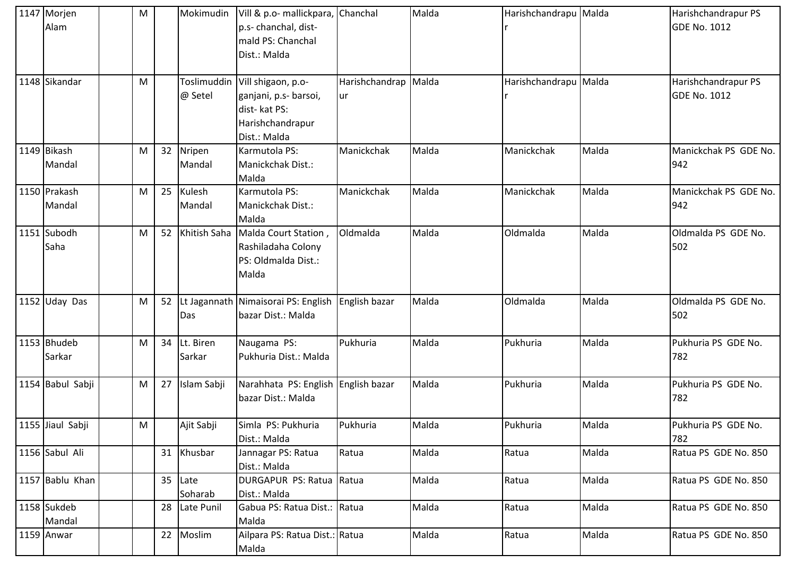| 1147 Morjen<br>Alam    | M |    | Mokimudin              | Vill & p.o- mallickpara, Chanchal<br>p.s- chanchal, dist-<br>mald PS: Chanchal<br>Dist.: Malda  |                      | Malda | Harishchandrapu Malda |       | Harishchandrapur PS<br><b>GDE No. 1012</b> |
|------------------------|---|----|------------------------|-------------------------------------------------------------------------------------------------|----------------------|-------|-----------------------|-------|--------------------------------------------|
| 1148 Sikandar          | M |    | Toslimuddin<br>@ Setel | Vill shigaon, p.o-<br>ganjani, p.s- barsoi,<br>dist-kat PS:<br>Harishchandrapur<br>Dist.: Malda | Harishchandrap<br>ur | Malda | Harishchandrapu Malda |       | Harishchandrapur PS<br><b>GDE No. 1012</b> |
| 1149 Bikash<br>Mandal  | M | 32 | Nripen<br>Mandal       | Karmutola PS:<br>Manickchak Dist.:<br>Malda                                                     | Manickchak           | Malda | Manickchak            | Malda | Manickchak PS GDE No.<br>942               |
| 1150 Prakash<br>Mandal | M | 25 | Kulesh<br>Mandal       | Karmutola PS:<br>Manickchak Dist.:<br>Malda                                                     | Manickchak           | Malda | Manickchak            | Malda | Manickchak PS GDE No.<br>942               |
| 1151 Subodh<br>Saha    | М |    | 52 Khitish Saha        | Malda Court Station,<br>Rashiladaha Colony<br>PS: Oldmalda Dist.:<br>Malda                      | Oldmalda             | Malda | Oldmalda              | Malda | Oldmalda PS GDE No.<br>502                 |
| 1152 Uday Das          | M |    | Das                    | 52 Lt Jagannath Nimaisorai PS: English<br>bazar Dist.: Malda                                    | English bazar        | Malda | Oldmalda              | Malda | Oldmalda PS GDE No.<br>502                 |
| 1153 Bhudeb<br>Sarkar  | M | 34 | Lt. Biren<br>Sarkar    | Naugama PS:<br>Pukhuria Dist.: Malda                                                            | Pukhuria             | Malda | Pukhuria              | Malda | Pukhuria PS GDE No.<br>782                 |
| 1154 Babul Sabji       | M | 27 | Islam Sabji            | Narahhata PS: English English bazar<br>bazar Dist.: Malda                                       |                      | Malda | Pukhuria              | Malda | Pukhuria PS GDE No.<br>782                 |
| 1155 Jiaul Sabji       | M |    | Ajit Sabji             | Simla PS: Pukhuria<br>Dist.: Malda                                                              | Pukhuria             | Malda | Pukhuria              | Malda | Pukhuria PS GDE No.<br>782                 |
| 1156 Sabul Ali         |   |    | 31 Khusbar             | Jannagar PS: Ratua<br>Dist.: Malda                                                              | Ratua                | Malda | Ratua                 | Malda | Ratua PS GDE No. 850                       |
| 1157 Bablu Khan        |   | 35 | Late<br>Soharab        | DURGAPUR PS: Ratua Ratua<br>Dist.: Malda                                                        |                      | Malda | Ratua                 | Malda | Ratua PS GDE No. 850                       |
| 1158 Sukdeb<br>Mandal  |   | 28 | Late Punil             | Gabua PS: Ratua Dist.: Ratua<br>Malda                                                           |                      | Malda | Ratua                 | Malda | Ratua PS GDE No. 850                       |
| 1159 Anwar             |   | 22 | Moslim                 | Ailpara PS: Ratua Dist.: Ratua<br>Malda                                                         |                      | Malda | Ratua                 | Malda | Ratua PS GDE No. 850                       |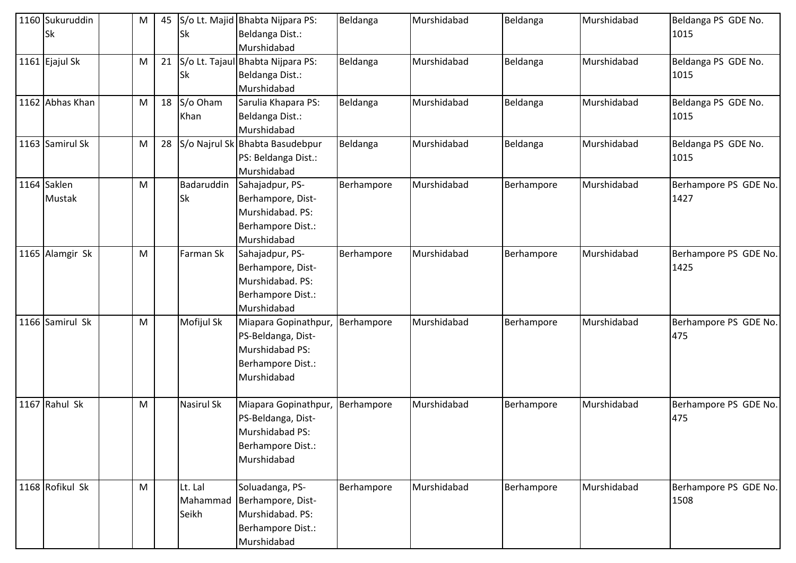| 1160 Sukuruddin<br>Sk        | M | 45 | <b>Sk</b>                    | S/o Lt. Majid Bhabta Nijpara PS:<br>Beldanga Dist.:                                               | Beldanga   | Murshidabad | Beldanga   | Murshidabad | Beldanga PS GDE No.<br>1015   |
|------------------------------|---|----|------------------------------|---------------------------------------------------------------------------------------------------|------------|-------------|------------|-------------|-------------------------------|
| 1161 Ejajul Sk               | M | 21 | <b>Sk</b>                    | Murshidabad<br>S/o Lt. Tajaul Bhabta Nijpara PS:<br>Beldanga Dist.:<br>Murshidabad                | Beldanga   | Murshidabad | Beldanga   | Murshidabad | Beldanga PS GDE No.<br>1015   |
| 1162 Abhas Khan              | M | 18 | S/o Oham<br>Khan             | Sarulia Khapara PS:<br>Beldanga Dist.:<br>Murshidabad                                             | Beldanga   | Murshidabad | Beldanga   | Murshidabad | Beldanga PS GDE No.<br>1015   |
| 1163 Samirul Sk              | M | 28 |                              | S/o Najrul Sk Bhabta Basudebpur<br>PS: Beldanga Dist.:<br>Murshidabad                             | Beldanga   | Murshidabad | Beldanga   | Murshidabad | Beldanga PS GDE No.<br>1015   |
| 1164 Saklen<br><b>Mustak</b> | M |    | Badaruddin<br><b>Sk</b>      | Sahajadpur, PS-<br>Berhampore, Dist-<br>Murshidabad. PS:<br>Berhampore Dist.:<br>Murshidabad      | Berhampore | Murshidabad | Berhampore | Murshidabad | Berhampore PS GDE No.<br>1427 |
| 1165 Alamgir Sk              | M |    | Farman Sk                    | Sahajadpur, PS-<br>Berhampore, Dist-<br>Murshidabad. PS:<br>Berhampore Dist.:<br>Murshidabad      | Berhampore | Murshidabad | Berhampore | Murshidabad | Berhampore PS GDE No.<br>1425 |
| 1166 Samirul Sk              | M |    | Mofijul Sk                   | Miapara Gopinathpur,<br>PS-Beldanga, Dist-<br>Murshidabad PS:<br>Berhampore Dist.:<br>Murshidabad | Berhampore | Murshidabad | Berhampore | Murshidabad | Berhampore PS GDE No.<br>475  |
| 1167 Rahul Sk                | M |    | <b>Nasirul Sk</b>            | Miapara Gopinathpur,<br>PS-Beldanga, Dist-<br>Murshidabad PS:<br>Berhampore Dist.:<br>Murshidabad | Berhampore | Murshidabad | Berhampore | Murshidabad | Berhampore PS GDE No.<br>475  |
| 1168 Rofikul Sk              | M |    | Lt. Lal<br>Mahammad<br>Seikh | Soluadanga, PS-<br>Berhampore, Dist-<br>Murshidabad. PS:<br>Berhampore Dist.:<br>Murshidabad      | Berhampore | Murshidabad | Berhampore | Murshidabad | Berhampore PS GDE No.<br>1508 |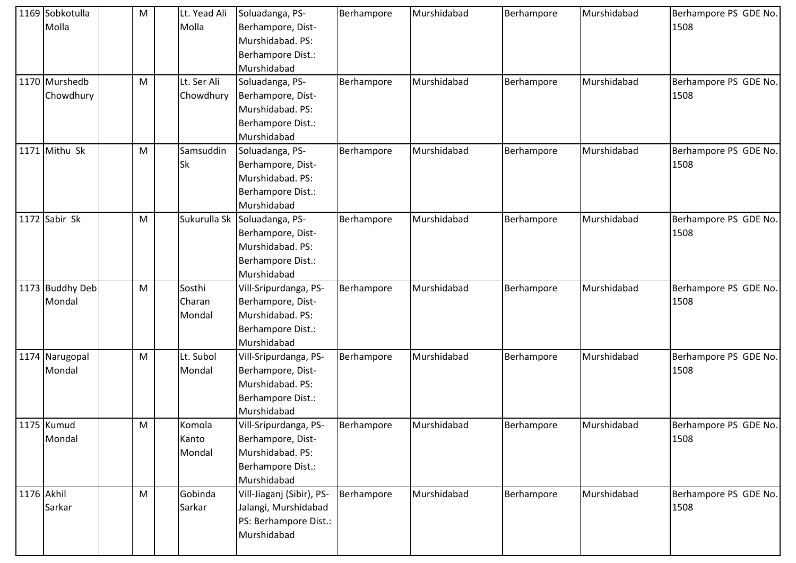| 1169 Sobkotulla | M | Lt. Yead Ali | Soluadanga, PS-           | Berhampore | Murshidabad | Berhampore | Murshidabad | Berhampore PS GDE No. |
|-----------------|---|--------------|---------------------------|------------|-------------|------------|-------------|-----------------------|
| Molla           |   | Molla        | Berhampore, Dist-         |            |             |            |             | 1508                  |
|                 |   |              | Murshidabad. PS:          |            |             |            |             |                       |
|                 |   |              | Berhampore Dist.:         |            |             |            |             |                       |
|                 |   |              | Murshidabad               |            |             |            |             |                       |
| 1170 Murshedb   | M | Lt. Ser Ali  | Soluadanga, PS-           | Berhampore | Murshidabad | Berhampore | Murshidabad | Berhampore PS GDE No. |
| Chowdhury       |   | Chowdhury    | Berhampore, Dist-         |            |             |            |             | 1508                  |
|                 |   |              | Murshidabad. PS:          |            |             |            |             |                       |
|                 |   |              | Berhampore Dist.:         |            |             |            |             |                       |
|                 |   |              | Murshidabad               |            |             |            |             |                       |
| 1171 Mithu Sk   | M | Samsuddin    | Soluadanga, PS-           | Berhampore | Murshidabad | Berhampore | Murshidabad | Berhampore PS GDE No. |
|                 |   | <b>Sk</b>    | Berhampore, Dist-         |            |             |            |             | 1508                  |
|                 |   |              | Murshidabad. PS:          |            |             |            |             |                       |
|                 |   |              | Berhampore Dist.:         |            |             |            |             |                       |
|                 |   |              | Murshidabad               |            |             |            |             |                       |
| 1172 Sabir Sk   | M | Sukurulla Sk | Soluadanga, PS-           | Berhampore | Murshidabad | Berhampore | Murshidabad | Berhampore PS GDE No. |
|                 |   |              | Berhampore, Dist-         |            |             |            |             | 1508                  |
|                 |   |              | Murshidabad. PS:          |            |             |            |             |                       |
|                 |   |              | Berhampore Dist.:         |            |             |            |             |                       |
|                 |   |              | Murshidabad               |            |             |            |             |                       |
| 1173 Buddhy Deb | M | Sosthi       | Vill-Sripurdanga, PS-     | Berhampore | Murshidabad | Berhampore | Murshidabad | Berhampore PS GDE No. |
| Mondal          |   | Charan       | Berhampore, Dist-         |            |             |            |             | 1508                  |
|                 |   | Mondal       | Murshidabad. PS:          |            |             |            |             |                       |
|                 |   |              | Berhampore Dist.:         |            |             |            |             |                       |
|                 |   |              | Murshidabad               |            |             |            |             |                       |
| 1174 Narugopal  | M | Lt. Subol    | Vill-Sripurdanga, PS-     | Berhampore | Murshidabad | Berhampore | Murshidabad | Berhampore PS GDE No. |
| Mondal          |   | Mondal       | Berhampore, Dist-         |            |             |            |             | 1508                  |
|                 |   |              | Murshidabad. PS:          |            |             |            |             |                       |
|                 |   |              | Berhampore Dist.:         |            |             |            |             |                       |
|                 |   |              | Murshidabad               |            |             |            |             |                       |
| 1175 Kumud      | M | Komola       | Vill-Sripurdanga, PS-     | Berhampore | Murshidabad | Berhampore | Murshidabad | Berhampore PS GDE No. |
| Mondal          |   | Kanto        | Berhampore, Dist-         |            |             |            |             | 1508                  |
|                 |   | Mondal       | Murshidabad. PS:          |            |             |            |             |                       |
|                 |   |              | Berhampore Dist.:         |            |             |            |             |                       |
|                 |   |              | Murshidabad               |            |             |            |             |                       |
| 1176 Akhil      | M | Gobinda      | Vill-Jiaganj (Sibir), PS- | Berhampore | Murshidabad | Berhampore | Murshidabad | Berhampore PS GDE No. |
| Sarkar          |   | Sarkar       | Jalangi, Murshidabad      |            |             |            |             | 1508                  |
|                 |   |              | PS: Berhampore Dist.:     |            |             |            |             |                       |
|                 |   |              | Murshidabad               |            |             |            |             |                       |
|                 |   |              |                           |            |             |            |             |                       |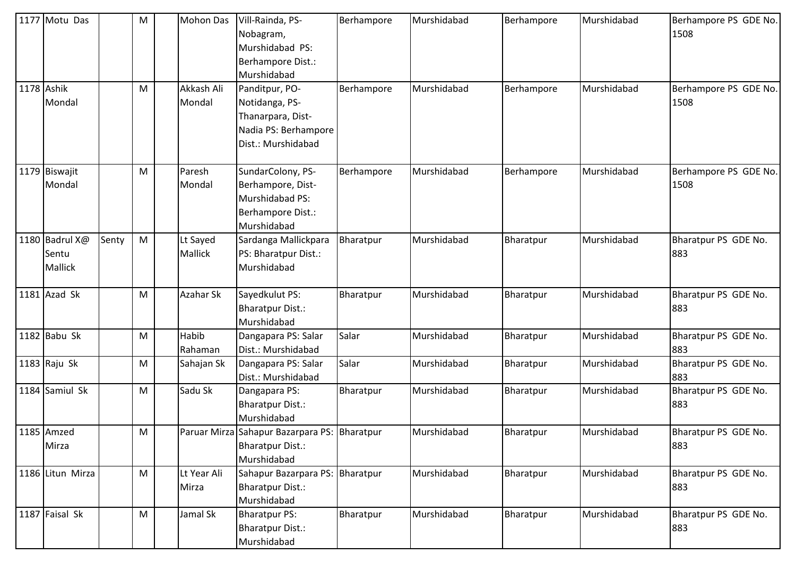| 1177 Motu Das                      |       | M | <b>Mohon Das</b>     | Vill-Rainda, PS-<br>Nobagram,<br>Murshidabad PS:<br>Berhampore Dist.:<br>Murshidabad                | Berhampore | Murshidabad | Berhampore | Murshidabad | Berhampore PS GDE No.<br>1508 |
|------------------------------------|-------|---|----------------------|-----------------------------------------------------------------------------------------------------|------------|-------------|------------|-------------|-------------------------------|
| 1178 Ashik<br>Mondal               |       | M | Akkash Ali<br>Mondal | Panditpur, PO-<br>Notidanga, PS-<br>Thanarpara, Dist-<br>Nadia PS: Berhampore<br>Dist.: Murshidabad | Berhampore | Murshidabad | Berhampore | Murshidabad | Berhampore PS GDE No.<br>1508 |
| 1179 Biswajit<br>Mondal            |       | M | Paresh<br>Mondal     | SundarColony, PS-<br>Berhampore, Dist-<br>Murshidabad PS:<br>Berhampore Dist.:<br>Murshidabad       | Berhampore | Murshidabad | Berhampore | Murshidabad | Berhampore PS GDE No.<br>1508 |
| 1180 Badrul X@<br>Sentu<br>Mallick | Senty | M | Lt Sayed<br>Mallick  | Sardanga Mallickpara<br>PS: Bharatpur Dist.:<br>Murshidabad                                         | Bharatpur  | Murshidabad | Bharatpur  | Murshidabad | Bharatpur PS GDE No.<br>883   |
| 1181 Azad Sk                       |       | M | Azahar Sk            | Sayedkulut PS:<br><b>Bharatpur Dist.:</b><br>Murshidabad                                            | Bharatpur  | Murshidabad | Bharatpur  | Murshidabad | Bharatpur PS GDE No.<br>883   |
| 1182 Babu Sk                       |       | M | Habib<br>Rahaman     | Dangapara PS: Salar<br>Dist.: Murshidabad                                                           | Salar      | Murshidabad | Bharatpur  | Murshidabad | Bharatpur PS GDE No.<br>883   |
| 1183 $R$ aju Sk                    |       | M | Sahajan Sk           | Dangapara PS: Salar<br>Dist.: Murshidabad                                                           | Salar      | Murshidabad | Bharatpur  | Murshidabad | Bharatpur PS GDE No.<br>883   |
| 1184 Samiul Sk                     |       | M | Sadu Sk              | Dangapara PS:<br><b>Bharatpur Dist.:</b><br>Murshidabad                                             | Bharatpur  | Murshidabad | Bharatpur  | Murshidabad | Bharatpur PS GDE No.<br>883   |
| 1185 Amzed<br>Mirza                |       | M |                      | Paruar Mirza Sahapur Bazarpara PS: Bharatpur<br><b>Bharatpur Dist.:</b><br>Murshidabad              |            | Murshidabad | Bharatpur  | Murshidabad | Bharatpur PS GDE No.<br>883   |
| 1186 Litun Mirza                   |       | M | Lt Year Ali<br>Mirza | Sahapur Bazarpara PS: Bharatpur<br><b>Bharatpur Dist.:</b><br>Murshidabad                           |            | Murshidabad | Bharatpur  | Murshidabad | Bharatpur PS GDE No.<br>883   |
| 1187 Faisal Sk                     |       | M | Jamal Sk             | <b>Bharatpur PS:</b><br><b>Bharatpur Dist.:</b><br>Murshidabad                                      | Bharatpur  | Murshidabad | Bharatpur  | Murshidabad | Bharatpur PS GDE No.<br>883   |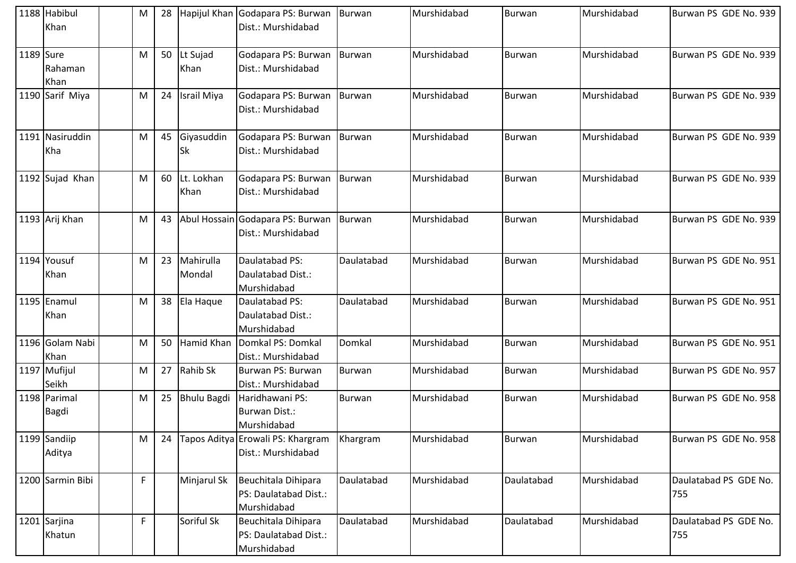|           | 1188 Habibul<br>Khan         | M | 28 |                     | Hapijul Khan Godapara PS: Burwan<br>Dist.: Murshidabad      | Burwan        | Murshidabad | Burwan        | Murshidabad | Burwan PS GDE No. 939        |
|-----------|------------------------------|---|----|---------------------|-------------------------------------------------------------|---------------|-------------|---------------|-------------|------------------------------|
| 1189 Sure | Rahaman<br>Khan              | M |    | 50 Lt Sujad<br>Khan | Godapara PS: Burwan<br>Dist.: Murshidabad                   | Burwan        | Murshidabad | Burwan        | Murshidabad | Burwan PS GDE No. 939        |
|           | 1190 Sarif Miya              | M | 24 | Israil Miya         | Godapara PS: Burwan Burwan<br>Dist.: Murshidabad            |               | Murshidabad | Burwan        | Murshidabad | Burwan PS GDE No. 939        |
|           | 1191 Nasiruddin<br>Kha       | M | 45 | Giyasuddin<br>Sk    | Godapara PS: Burwan   Burwan<br>Dist.: Murshidabad          |               | Murshidabad | <b>Burwan</b> | Murshidabad | Burwan PS GDE No. 939        |
|           | 1192 Sujad Khan              | M | 60 | Lt. Lokhan<br>Khan  | Godapara PS: Burwan<br>Dist.: Murshidabad                   | <b>Burwan</b> | Murshidabad | Burwan        | Murshidabad | Burwan PS GDE No. 939        |
|           | 1193 Arij Khan               | M | 43 |                     | Abul Hossain Godapara PS: Burwan<br>Dist.: Murshidabad      | Burwan        | Murshidabad | <b>Burwan</b> | Murshidabad | Burwan PS GDE No. 939        |
|           | 1194 Yousuf<br>Khan          | M | 23 | Mahirulla<br>Mondal | Daulatabad PS:<br>Daulatabad Dist.:<br>Murshidabad          | Daulatabad    | Murshidabad | <b>Burwan</b> | Murshidabad | Burwan PS GDE No. 951        |
|           | 1195 Enamul<br>Khan          | M | 38 | Ela Haque           | Daulatabad PS:<br>Daulatabad Dist.:<br>Murshidabad          | Daulatabad    | Murshidabad | Burwan        | Murshidabad | Burwan PS GDE No. 951        |
|           | 1196 Golam Nabi<br>Khan      | M | 50 | Hamid Khan          | Domkal PS: Domkal<br>Dist.: Murshidabad                     | Domkal        | Murshidabad | <b>Burwan</b> | Murshidabad | Burwan PS GDE No. 951        |
|           | 1197 Mufijul<br>Seikh        | M | 27 | Rahib Sk            | Burwan PS: Burwan<br>Dist.: Murshidabad                     | <b>Burwan</b> | Murshidabad | Burwan        | Murshidabad | Burwan PS GDE No. 957        |
|           | 1198 Parimal<br><b>Bagdi</b> | M | 25 | <b>Bhulu Bagdi</b>  | Haridhawani PS:<br>Burwan Dist.:<br>Murshidabad             | Burwan        | Murshidabad | Burwan        | Murshidabad | Burwan PS GDE No. 958        |
|           | 1199 Sandiip<br>Aditya       | M | 24 |                     | Tapos Aditya Erowali PS: Khargram<br>Dist.: Murshidabad     | Khargram      | Murshidabad | Burwan        | Murshidabad | Burwan PS GDE No. 958        |
|           | 1200 Sarmin Bibi             | F |    | Minjarul Sk         | Beuchitala Dihipara<br>PS: Daulatabad Dist.:<br>Murshidabad | Daulatabad    | Murshidabad | Daulatabad    | Murshidabad | Daulatabad PS GDE No.<br>755 |
|           | 1201 Sarjina<br>Khatun       | F |    | Soriful Sk          | Beuchitala Dihipara<br>PS: Daulatabad Dist.:<br>Murshidabad | Daulatabad    | Murshidabad | Daulatabad    | Murshidabad | Daulatabad PS GDE No.<br>755 |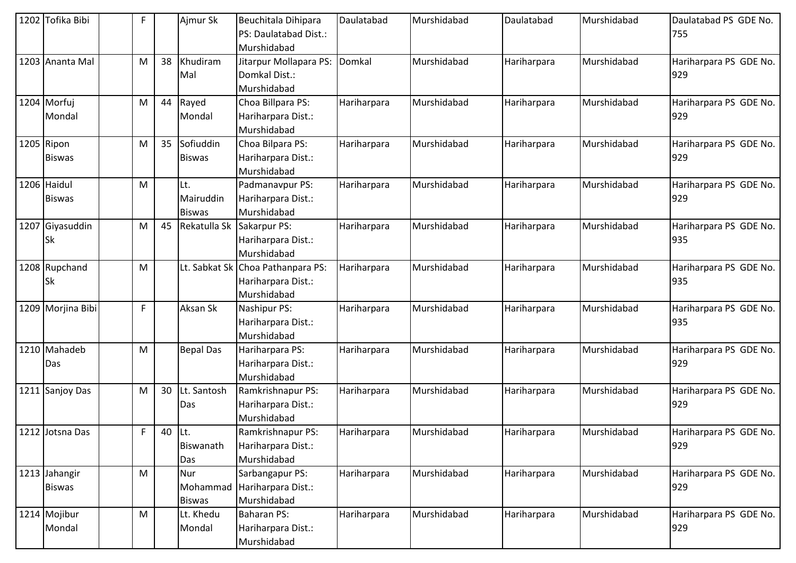| 1202 Tofika Bibi               | F            |        | Ajmur Sk                          | Beuchitala Dihipara<br>PS: Daulatabad Dist.:<br>Murshidabad            | Daulatabad  | Murshidabad | Daulatabad  | Murshidabad | Daulatabad PS GDE No.<br>755  |
|--------------------------------|--------------|--------|-----------------------------------|------------------------------------------------------------------------|-------------|-------------|-------------|-------------|-------------------------------|
| 1203 Ananta Mal                | M            | 38     | Khudiram<br>Mal                   | Jitarpur Mollapara PS:<br>Domkal Dist.:<br>Murshidabad                 | Domkal      | Murshidabad | Hariharpara | Murshidabad | Hariharpara PS GDE No.<br>929 |
| 1204 Morfuj<br><b>Mondal</b>   | M            | 44     | Rayed<br>Mondal                   | Choa Billpara PS:<br>Hariharpara Dist.:<br>Murshidabad                 | Hariharpara | Murshidabad | Hariharpara | Murshidabad | Hariharpara PS GDE No.<br>929 |
| 1205 Ripon<br><b>Biswas</b>    | M            | 35     | Sofiuddin<br><b>Biswas</b>        | Choa Bilpara PS:<br>Hariharpara Dist.:<br>Murshidabad                  | Hariharpara | Murshidabad | Hariharpara | Murshidabad | Hariharpara PS GDE No.<br>929 |
| 1206 Haidul<br><b>Biswas</b>   | M            |        | Lt.<br>Mairuddin<br><b>Biswas</b> | Padmanavpur PS:<br>Hariharpara Dist.:<br>Murshidabad                   | Hariharpara | Murshidabad | Hariharpara | Murshidabad | Hariharpara PS GDE No.<br>929 |
| 1207 Giyasuddin<br>Sk          | M            | 45     | Rekatulla Sk                      | Sakarpur PS:<br>Hariharpara Dist.:<br>Murshidabad                      | Hariharpara | Murshidabad | Hariharpara | Murshidabad | Hariharpara PS GDE No.<br>935 |
| 1208 Rupchand<br>Sk            | M            |        |                                   | Lt. Sabkat Sk Choa Pathanpara PS:<br>Hariharpara Dist.:<br>Murshidabad | Hariharpara | Murshidabad | Hariharpara | Murshidabad | Hariharpara PS GDE No.<br>935 |
| 1209 Morjina Bibi              | $\mathsf F$  |        | Aksan Sk                          | Nashipur PS:<br>Hariharpara Dist.:<br>Murshidabad                      | Hariharpara | Murshidabad | Hariharpara | Murshidabad | Hariharpara PS GDE No.<br>935 |
| 1210 Mahadeb<br>Das            | M            |        | <b>Bepal Das</b>                  | Hariharpara PS:<br>Hariharpara Dist.:<br>Murshidabad                   | Hariharpara | Murshidabad | Hariharpara | Murshidabad | Hariharpara PS GDE No.<br>929 |
| 1211 Sanjoy Das                | M            | 30     | Lt. Santosh<br>Das                | Ramkrishnapur PS:<br>Hariharpara Dist.:<br>Murshidabad                 | Hariharpara | Murshidabad | Hariharpara | Murshidabad | Hariharpara PS GDE No.<br>929 |
| 1212 Jotsna Das                | $\mathsf{F}$ | 40 Lt. | Biswanath<br>Das                  | Ramkrishnapur PS:<br>Hariharpara Dist.:<br>Murshidabad                 | Hariharpara | Murshidabad | Hariharpara | Murshidabad | Hariharpara PS GDE No.<br>929 |
| 1213 Jahangir<br><b>Biswas</b> | M            |        | Nur<br>Mohammad<br><b>Biswas</b>  | Sarbangapur PS:<br>Hariharpara Dist.:<br>Murshidabad                   | Hariharpara | Murshidabad | Hariharpara | Murshidabad | Hariharpara PS GDE No.<br>929 |
| 1214 Mojibur<br>Mondal         | M            |        | Lt. Khedu<br>Mondal               | Baharan PS:<br>Hariharpara Dist.:<br>Murshidabad                       | Hariharpara | Murshidabad | Hariharpara | Murshidabad | Hariharpara PS GDE No.<br>929 |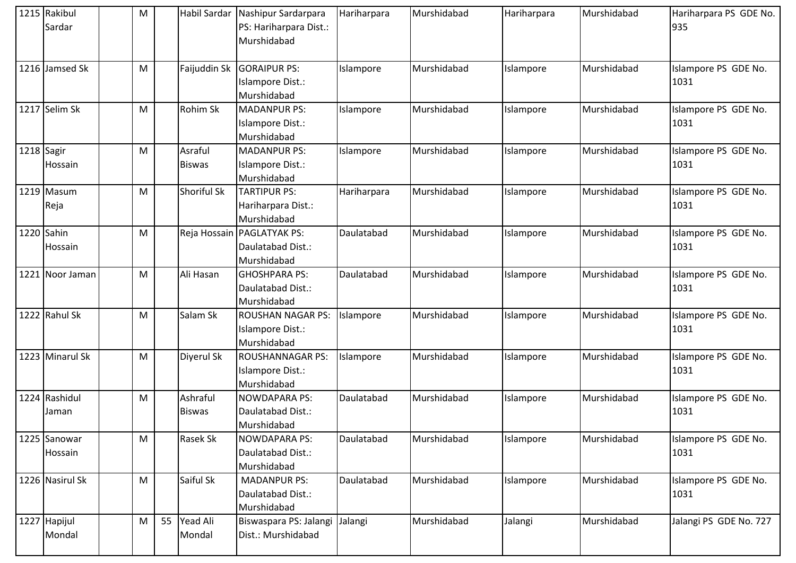| 1215 Rakibul<br>Sardar  | M | Habil Sardar              | Nashipur Sardarpara<br>PS: Hariharpara Dist.:<br>Murshidabad   | Hariharpara | Murshidabad | Hariharpara | Murshidabad | Hariharpara PS GDE No.<br>935 |
|-------------------------|---|---------------------------|----------------------------------------------------------------|-------------|-------------|-------------|-------------|-------------------------------|
| 1216 Jamsed Sk          | М | Faijuddin Sk              | <b>GORAIPUR PS:</b><br>Islampore Dist.:<br>Murshidabad         | Islampore   | Murshidabad | Islampore   | Murshidabad | Islampore PS GDE No.<br>1031  |
| 1217 Selim Sk           | M | Rohim Sk                  | <b>MADANPUR PS:</b><br>Islampore Dist.:<br>Murshidabad         | Islampore   | Murshidabad | Islampore   | Murshidabad | Islampore PS GDE No.<br>1031  |
| 1218 Sagir<br>Hossain   | M | Asraful<br><b>Biswas</b>  | <b>MADANPUR PS:</b><br>Islampore Dist.:<br>Murshidabad         | Islampore   | Murshidabad | Islampore   | Murshidabad | Islampore PS GDE No.<br>1031  |
| 1219 Masum<br>Reja      | M | Shoriful Sk               | <b>TARTIPUR PS:</b><br>Hariharpara Dist.:<br>Murshidabad       | Hariharpara | Murshidabad | Islampore   | Murshidabad | Islampore PS GDE No.<br>1031  |
| 1220 Sahin<br>Hossain   | M |                           | Reja Hossain PAGLATYAK PS:<br>Daulatabad Dist.:<br>Murshidabad | Daulatabad  | Murshidabad | Islampore   | Murshidabad | Islampore PS GDE No.<br>1031  |
| 1221 Noor Jaman         | M | Ali Hasan                 | <b>GHOSHPARA PS:</b><br>Daulatabad Dist.:<br>Murshidabad       | Daulatabad  | Murshidabad | Islampore   | Murshidabad | Islampore PS GDE No.<br>1031  |
| 1222 Rahul Sk           | M | Salam Sk                  | <b>ROUSHAN NAGAR PS:</b><br>Islampore Dist.:<br>Murshidabad    | Islampore   | Murshidabad | Islampore   | Murshidabad | Islampore PS GDE No.<br>1031  |
| 1223 Minarul Sk         | M | Diyerul Sk                | <b>ROUSHANNAGAR PS:</b><br>Islampore Dist.:<br>Murshidabad     | Islampore   | Murshidabad | Islampore   | Murshidabad | Islampore PS GDE No.<br>1031  |
| 1224 Rashidul<br>Jaman  | M | Ashraful<br><b>Biswas</b> | <b>NOWDAPARA PS:</b><br>Daulatabad Dist.:<br>Murshidabad       | Daulatabad  | Murshidabad | Islampore   | Murshidabad | Islampore PS GDE No.<br>1031  |
| 1225 Sanowar<br>Hossain | M | <b>Rasek Sk</b>           | <b>NOWDAPARA PS:</b><br>Daulatabad Dist.:<br>Murshidabad       | Daulatabad  | Murshidabad | Islampore   | Murshidabad | Islampore PS GDE No.<br>1031  |
| 1226 Nasirul Sk         | M | Saiful Sk                 | <b>MADANPUR PS:</b><br>Daulatabad Dist.:<br>Murshidabad        | Daulatabad  | Murshidabad | Islampore   | Murshidabad | Islampore PS GDE No.<br>1031  |
| 1227 Hapijul<br>Mondal  | M | 55 Yead Ali<br>Mondal     | Biswaspara PS: Jalangi<br>Dist.: Murshidabad                   | Jalangi     | Murshidabad | Jalangi     | Murshidabad | Jalangi PS GDE No. 727        |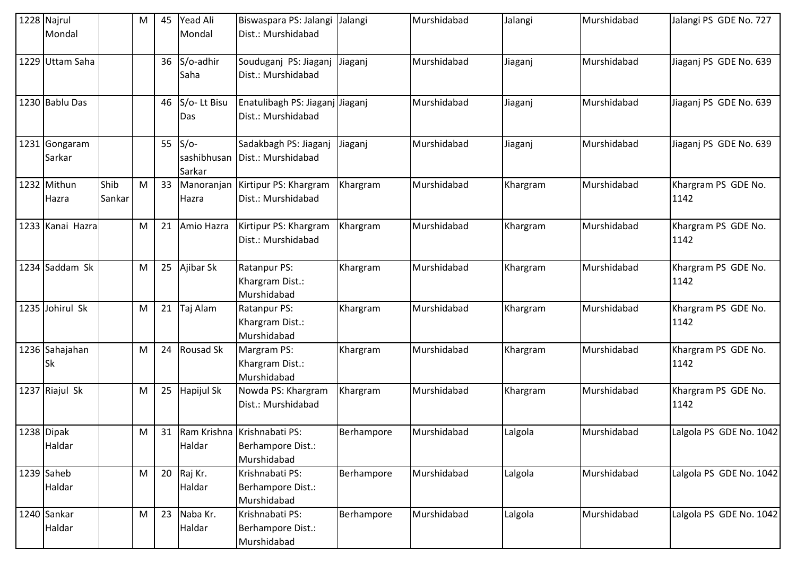|      | 1228 Najrul<br>Mondal |                | M | 45 | <b>Yead Ali</b><br>Mondal       | Biswaspara PS: Jalangi<br>Dist.: Murshidabad                    | Jalangi    | Murshidabad | Jalangi  | Murshidabad | Jalangi PS GDE No. 727      |
|------|-----------------------|----------------|---|----|---------------------------------|-----------------------------------------------------------------|------------|-------------|----------|-------------|-----------------------------|
|      | 1229 Uttam Saha       |                |   | 36 | S/o-adhir<br>Saha               | Souduganj PS: Jiaganj<br>Dist.: Murshidabad                     | Jiaganj    | Murshidabad | Jiaganj  | Murshidabad | Jiaganj PS GDE No. 639      |
|      | 1230 Bablu Das        |                |   | 46 | S/o-Lt Bisu<br>Das              | Enatulibagh PS: Jiaganj Jiaganj<br>Dist.: Murshidabad           |            | Murshidabad | Jiaganj  | Murshidabad | Jiaganj PS GDE No. 639      |
| 1231 | Gongaram<br>Sarkar    |                |   | 55 | $S/O-$<br>sashibhusan<br>Sarkar | Sadakbagh PS: Jiaganj<br>Dist.: Murshidabad                     | Jiaganj    | Murshidabad | Jiaganj  | Murshidabad | Jiaganj PS GDE No. 639      |
|      | 1232 Mithun<br>Hazra  | Shib<br>Sankar | M | 33 | Manoranjan<br>Hazra             | Kirtipur PS: Khargram<br>Dist.: Murshidabad                     | Khargram   | Murshidabad | Khargram | Murshidabad | Khargram PS GDE No.<br>1142 |
|      | 1233 Kanai Hazra      |                | M | 21 | Amio Hazra                      | Kirtipur PS: Khargram<br>Dist.: Murshidabad                     | Khargram   | Murshidabad | Khargram | Murshidabad | Khargram PS GDE No.<br>1142 |
|      | 1234 Saddam Sk        |                | M | 25 | Ajibar Sk                       | Ratanpur PS:<br>Khargram Dist.:<br>Murshidabad                  | Khargram   | Murshidabad | Khargram | Murshidabad | Khargram PS GDE No.<br>1142 |
|      | 1235 Johirul Sk       |                | M | 21 | Taj Alam                        | Ratanpur PS:<br>Khargram Dist.:<br>Murshidabad                  | Khargram   | Murshidabad | Khargram | Murshidabad | Khargram PS GDE No.<br>1142 |
|      | 1236 Sahajahan<br>Sk  |                | M | 24 | Rousad Sk                       | Margram PS:<br>Khargram Dist.:<br>Murshidabad                   | Khargram   | Murshidabad | Khargram | Murshidabad | Khargram PS GDE No.<br>1142 |
|      | 1237 Riajul Sk        |                | M | 25 | Hapijul Sk                      | Nowda PS: Khargram<br>Dist.: Murshidabad                        | Khargram   | Murshidabad | Khargram | Murshidabad | Khargram PS GDE No.<br>1142 |
|      | 1238 Dipak<br>Haldar  |                | M | 31 | Haldar                          | Ram Krishna Krishnabati PS:<br>Berhampore Dist.:<br>Murshidabad | Berhampore | Murshidabad | Lalgola  | Murshidabad | Lalgola PS GDE No. 1042     |
|      | 1239 Saheb<br>Haldar  |                | M | 20 | Raj Kr.<br>Haldar               | Krishnabati PS:<br>Berhampore Dist.:<br>Murshidabad             | Berhampore | Murshidabad | Lalgola  | Murshidabad | Lalgola PS GDE No. 1042     |
|      | 1240 Sankar<br>Haldar |                | M | 23 | Naba Kr.<br>Haldar              | Krishnabati PS:<br>Berhampore Dist.:<br>Murshidabad             | Berhampore | Murshidabad | Lalgola  | Murshidabad | Lalgola PS GDE No. 1042     |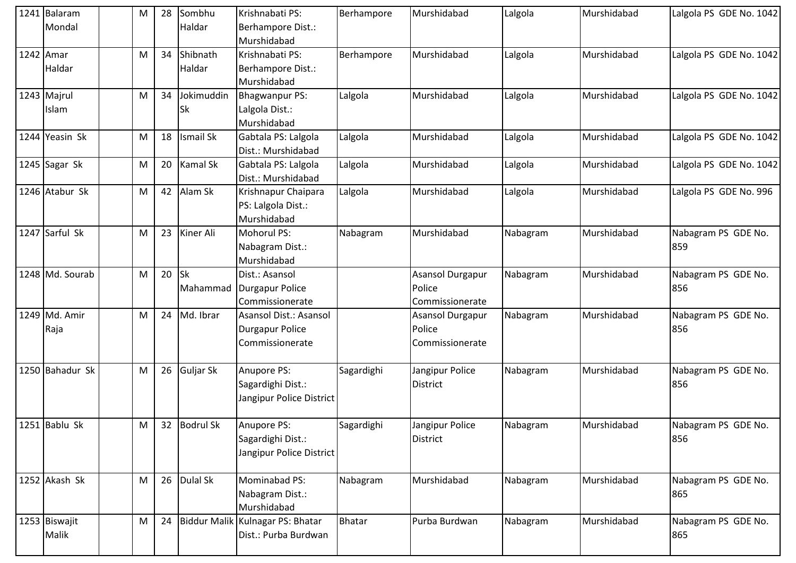| 1241 Balaram    | M | 28 | Sombhu           | Krishnabati PS:                  | Berhampore    | Murshidabad      | Lalgola  | Murshidabad | Lalgola PS GDE No. 1042 |
|-----------------|---|----|------------------|----------------------------------|---------------|------------------|----------|-------------|-------------------------|
| Mondal          |   |    | Haldar           | Berhampore Dist.:                |               |                  |          |             |                         |
|                 |   |    |                  | Murshidabad                      |               |                  |          |             |                         |
| 1242 Amar       | M | 34 | Shibnath         | Krishnabati PS:                  | Berhampore    | Murshidabad      | Lalgola  | Murshidabad | Lalgola PS GDE No. 1042 |
| Haldar          |   |    | Haldar           | Berhampore Dist.:                |               |                  |          |             |                         |
|                 |   |    |                  | Murshidabad                      |               |                  |          |             |                         |
| 1243 Majrul     | M | 34 | Jokimuddin       | Bhagwanpur PS:                   | Lalgola       | Murshidabad      | Lalgola  | Murshidabad | Lalgola PS GDE No. 1042 |
| Islam           |   |    | <b>Sk</b>        | Lalgola Dist.:                   |               |                  |          |             |                         |
|                 |   |    |                  | Murshidabad                      |               |                  |          |             |                         |
| 1244 Yeasin Sk  | M | 18 | <b>Ismail Sk</b> | Gabtala PS: Lalgola              | Lalgola       | Murshidabad      | Lalgola  | Murshidabad | Lalgola PS GDE No. 1042 |
|                 |   |    |                  | Dist.: Murshidabad               |               |                  |          |             |                         |
| 1245 Sagar Sk   | M | 20 | <b>Kamal Sk</b>  | Gabtala PS: Lalgola              | Lalgola       | Murshidabad      | Lalgola  | Murshidabad | Lalgola PS GDE No. 1042 |
|                 |   |    |                  | Dist.: Murshidabad               |               |                  |          |             |                         |
| 1246 Atabur Sk  | M | 42 | Alam Sk          | Krishnapur Chaipara              | Lalgola       | Murshidabad      | Lalgola  | Murshidabad | Lalgola PS GDE No. 996  |
|                 |   |    |                  | PS: Lalgola Dist.:               |               |                  |          |             |                         |
|                 |   |    |                  | Murshidabad                      |               |                  |          |             |                         |
| 1247 Sarful Sk  | M | 23 | Kiner Ali        | Mohorul PS:                      | Nabagram      | Murshidabad      | Nabagram | Murshidabad | Nabagram PS GDE No.     |
|                 |   |    |                  | Nabagram Dist.:                  |               |                  |          |             | 859                     |
|                 |   |    |                  | Murshidabad                      |               |                  |          |             |                         |
| 1248 Md. Sourab | M | 20 | <b>Sk</b>        | Dist.: Asansol                   |               | Asansol Durgapur | Nabagram | Murshidabad | Nabagram PS GDE No.     |
|                 |   |    | Mahammad         | Durgapur Police                  |               | Police           |          |             | 856                     |
|                 |   |    |                  | Commissionerate                  |               | Commissionerate  |          |             |                         |
| 1249 Md. Amir   | M | 24 | Md. Ibrar        | Asansol Dist.: Asansol           |               | Asansol Durgapur | Nabagram | Murshidabad | Nabagram PS GDE No.     |
| Raja            |   |    |                  | <b>Durgapur Police</b>           |               | Police           |          |             | 856                     |
|                 |   |    |                  | Commissionerate                  |               | Commissionerate  |          |             |                         |
|                 |   |    |                  |                                  |               |                  |          |             |                         |
| 1250 Bahadur Sk | M | 26 | Guljar Sk        | Anupore PS:                      | Sagardighi    | Jangipur Police  | Nabagram | Murshidabad | Nabagram PS GDE No.     |
|                 |   |    |                  | Sagardighi Dist.:                |               | District         |          |             | 856                     |
|                 |   |    |                  | Jangipur Police District         |               |                  |          |             |                         |
|                 |   |    |                  |                                  |               |                  |          |             |                         |
| $1251$ Bablu Sk | M | 32 | <b>Bodrul Sk</b> | Anupore PS:                      | Sagardighi    | Jangipur Police  | Nabagram | Murshidabad | Nabagram PS GDE No.     |
|                 |   |    |                  | Sagardighi Dist.:                |               | <b>District</b>  |          |             | 856                     |
|                 |   |    |                  | Jangipur Police District         |               |                  |          |             |                         |
| 1252 Akash Sk   | M |    | 26 Dulal Sk      | Mominabad PS:                    | Nabagram      | Murshidabad      | Nabagram | Murshidabad | Nabagram PS GDE No.     |
|                 |   |    |                  | Nabagram Dist.:                  |               |                  |          |             | 865                     |
|                 |   |    |                  | Murshidabad                      |               |                  |          |             |                         |
| 1253 Biswajit   | M | 24 |                  | Biddur Malik Kulnagar PS: Bhatar | <b>Bhatar</b> | Purba Burdwan    | Nabagram | Murshidabad | Nabagram PS GDE No.     |
| Malik           |   |    |                  | Dist.: Purba Burdwan             |               |                  |          |             | 865                     |
|                 |   |    |                  |                                  |               |                  |          |             |                         |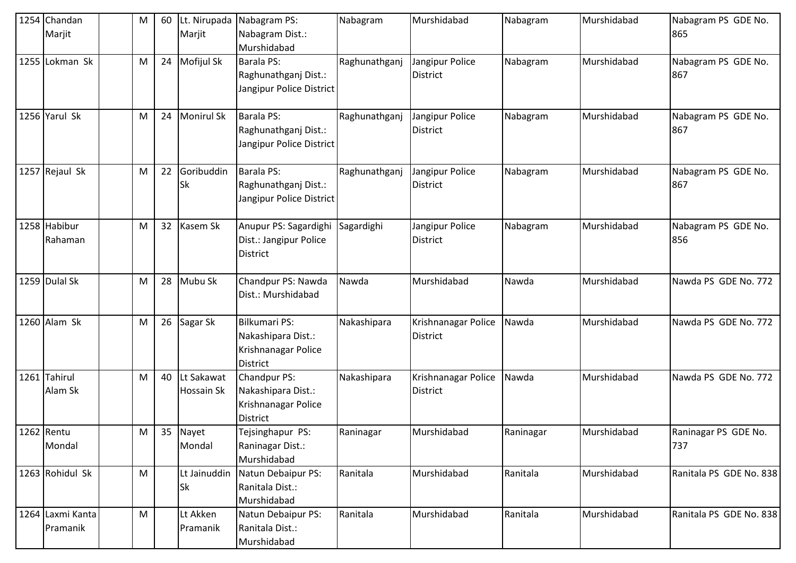|      | 1254 Chandan<br>Marjit       | ${\sf M}$ | 60 | Lt. Nirupada<br>Marjit          | Nabagram PS:<br>Nabagram Dist.:<br>Murshidabad                                       | Nabagram      | Murshidabad                            | Nabagram  | Murshidabad | Nabagram PS GDE No.<br>865  |
|------|------------------------------|-----------|----|---------------------------------|--------------------------------------------------------------------------------------|---------------|----------------------------------------|-----------|-------------|-----------------------------|
|      | 1255 Lokman Sk               | M         | 24 | Mofijul Sk                      | <b>Barala PS:</b><br>Raghunathganj Dist.:<br>Jangipur Police District                | Raghunathganj | Jangipur Police<br>District            | Nabagram  | Murshidabad | Nabagram PS GDE No.<br>867  |
|      | 1256 Yarul Sk                | M         | 24 | <b>Monirul Sk</b>               | <b>Barala PS:</b><br>Raghunathganj Dist.:<br>Jangipur Police District                | Raghunathganj | Jangipur Police<br><b>District</b>     | Nabagram  | Murshidabad | Nabagram PS GDE No.<br>867  |
|      | 1257 Rejaul Sk               | M         | 22 | Goribuddin<br><b>Sk</b>         | Barala PS:<br>Raghunathganj Dist.:<br>Jangipur Police District                       | Raghunathganj | Jangipur Police<br><b>District</b>     | Nabagram  | Murshidabad | Nabagram PS GDE No.<br>867  |
|      | 1258 Habibur<br>Rahaman      | M         | 32 | Kasem Sk                        | Anupur PS: Sagardighi<br>Dist.: Jangipur Police<br>District                          | Sagardighi    | Jangipur Police<br>District            | Nabagram  | Murshidabad | Nabagram PS GDE No.<br>856  |
|      | 1259 Dulal Sk                | M         | 28 | Mubu Sk                         | Chandpur PS: Nawda<br>Dist.: Murshidabad                                             | Nawda         | Murshidabad                            | Nawda     | Murshidabad | Nawda PS GDE No. 772        |
|      | 1260 Alam Sk                 | M         | 26 | Sagar Sk                        | <b>Bilkumari PS:</b><br>Nakashipara Dist.:<br>Krishnanagar Police<br><b>District</b> | Nakashipara   | Krishnanagar Police<br>District        | Nawda     | Murshidabad | Nawda PS GDE No. 772        |
| 1261 | Tahirul<br>Alam Sk           | M         | 40 | Lt Sakawat<br><b>Hossain Sk</b> | Chandpur PS:<br>Nakashipara Dist.:<br>Krishnanagar Police<br><b>District</b>         | Nakashipara   | Krishnanagar Police<br><b>District</b> | Nawda     | Murshidabad | Nawda PS GDE No. 772        |
|      | 1262 Rentu<br>Mondal         | M         |    | 35 Nayet<br>Mondal              | Tejsinghapur PS:<br>Raninagar Dist.:<br>Murshidabad                                  | Raninagar     | Murshidabad                            | Raninagar | Murshidabad | Raninagar PS GDE No.<br>737 |
|      | 1263 Rohidul Sk              | M         |    | Lt Jainuddin<br><b>Sk</b>       | Natun Debaipur PS:<br>Ranitala Dist.:<br>Murshidabad                                 | Ranitala      | Murshidabad                            | Ranitala  | Murshidabad | Ranitala PS GDE No. 838     |
|      | 1264 Laxmi Kanta<br>Pramanik | ${\sf M}$ |    | Lt Akken<br>Pramanik            | Natun Debaipur PS:<br>Ranitala Dist.:<br>Murshidabad                                 | Ranitala      | Murshidabad                            | Ranitala  | Murshidabad | Ranitala PS GDE No. 838     |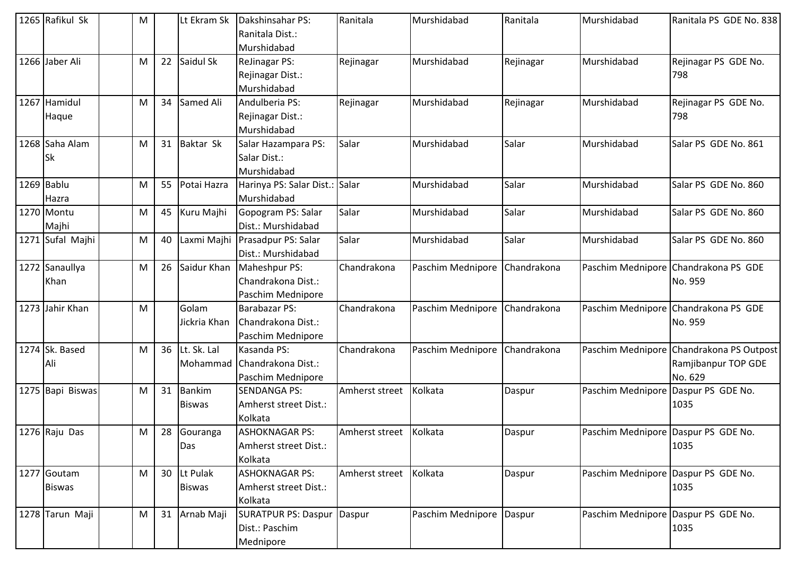| 1265 Rafikul Sk  | M |    | Lt Ekram Sk   | Dakshinsahar PS:                | Ranitala               | Murshidabad       | Ranitala    | Murshidabad                         | Ranitala PS GDE No. 838                  |
|------------------|---|----|---------------|---------------------------------|------------------------|-------------------|-------------|-------------------------------------|------------------------------------------|
|                  |   |    |               | Ranitala Dist.:                 |                        |                   |             |                                     |                                          |
|                  |   |    |               | Murshidabad                     |                        |                   |             |                                     |                                          |
| 1266 Jaber Ali   | M | 22 | Saidul Sk     | <b>ReJinagar PS:</b>            | Rejinagar              | Murshidabad       | Rejinagar   | Murshidabad                         | Rejinagar PS GDE No.                     |
|                  |   |    |               | Rejinagar Dist.:                |                        |                   |             |                                     | 798                                      |
|                  |   |    |               | Murshidabad                     |                        |                   |             |                                     |                                          |
| 1267 Hamidul     | M | 34 | Samed Ali     | Andulberia PS:                  | Rejinagar              | Murshidabad       | Rejinagar   | Murshidabad                         | Rejinagar PS GDE No.                     |
| Haque            |   |    |               | Rejinagar Dist.:                |                        |                   |             |                                     | 798                                      |
|                  |   |    |               | Murshidabad                     |                        |                   |             |                                     |                                          |
| 1268 Saha Alam   | M | 31 | Baktar Sk     | Salar Hazampara PS:             | Salar                  | Murshidabad       | Salar       | Murshidabad                         | Salar PS GDE No. 861                     |
| Sk               |   |    |               | Salar Dist.:                    |                        |                   |             |                                     |                                          |
|                  |   |    |               | Murshidabad                     |                        |                   |             |                                     |                                          |
| 1269 Bablu       | M | 55 | Potai Hazra   | Harinya PS: Salar Dist.: Salar  |                        | Murshidabad       | Salar       | Murshidabad                         | Salar PS GDE No. 860                     |
| Hazra            |   |    |               | Murshidabad                     |                        |                   |             |                                     |                                          |
| 1270 Montu       | M | 45 | Kuru Majhi    | Gopogram PS: Salar              | Salar                  | Murshidabad       | Salar       | Murshidabad                         | Salar PS GDE No. 860                     |
| Majhi            |   |    |               | Dist.: Murshidabad              |                        |                   |             |                                     |                                          |
| 1271 Sufal Majhi | M | 40 |               | Laxmi Majhi Prasadpur PS: Salar | Salar                  | Murshidabad       | Salar       | Murshidabad                         | Salar PS GDE No. 860                     |
|                  |   |    |               | Dist.: Murshidabad              |                        |                   |             |                                     |                                          |
| 1272 Sanaullya   | M | 26 | Saidur Khan   | Maheshpur PS:                   | Chandrakona            | Paschim Mednipore | Chandrakona |                                     | Paschim Mednipore Chandrakona PS GDE     |
| Khan             |   |    |               | Chandrakona Dist.:              |                        |                   |             |                                     | No. 959                                  |
|                  |   |    |               | Paschim Mednipore               |                        |                   |             |                                     |                                          |
| 1273 Jahir Khan  | M |    | Golam         | <b>Barabazar PS:</b>            | Chandrakona            | Paschim Mednipore | Chandrakona |                                     | Paschim Mednipore Chandrakona PS GDE     |
|                  |   |    | Jickria Khan  | Chandrakona Dist.:              |                        |                   |             |                                     | No. 959                                  |
|                  |   |    |               | Paschim Mednipore               |                        |                   |             |                                     |                                          |
| 1274 Sk. Based   | M | 36 | Lt. Sk. Lal   | Kasanda PS:                     | Chandrakona            | Paschim Mednipore | Chandrakona |                                     | Paschim Mednipore Chandrakona PS Outpost |
| Ali              |   |    | Mohammad      | Chandrakona Dist.:              |                        |                   |             |                                     | Ramjibanpur TOP GDE                      |
|                  |   |    |               | Paschim Mednipore               |                        |                   |             |                                     | No. 629                                  |
| 1275 Bapi Biswas | M | 31 | <b>Bankim</b> | <b>SENDANGA PS:</b>             | Amherst street         | Kolkata           | Daspur      | Paschim Mednipore Daspur PS GDE No. |                                          |
|                  |   |    | <b>Biswas</b> | Amherst street Dist.:           |                        |                   |             |                                     | 1035                                     |
|                  |   |    |               | Kolkata                         |                        |                   |             |                                     |                                          |
| 1276 Raju Das    | M | 28 | Gouranga      | <b>ASHOKNAGAR PS:</b>           | Amherst street Kolkata |                   | Daspur      | Paschim Mednipore Daspur PS GDE No. |                                          |
|                  |   |    | Das           | Amherst street Dist.:           |                        |                   |             |                                     | 1035                                     |
|                  |   |    |               | Kolkata                         |                        |                   |             |                                     |                                          |
| 1277 Goutam      | M | 30 | Lt Pulak      | <b>ASHOKNAGAR PS:</b>           | Amherst street         | Kolkata           | Daspur      | Paschim Mednipore Daspur PS GDE No. |                                          |
| <b>Biswas</b>    |   |    | <b>Biswas</b> | Amherst street Dist.:           |                        |                   |             |                                     | 1035                                     |
|                  |   |    |               | Kolkata                         |                        |                   |             |                                     |                                          |
| 1278 Tarun Maji  | M | 31 | Arnab Maji    | <b>SURATPUR PS: Daspur</b>      | Daspur                 | Paschim Mednipore | Daspur      | Paschim Mednipore Daspur PS GDE No. |                                          |
|                  |   |    |               | Dist.: Paschim                  |                        |                   |             |                                     | 1035                                     |
|                  |   |    |               | Mednipore                       |                        |                   |             |                                     |                                          |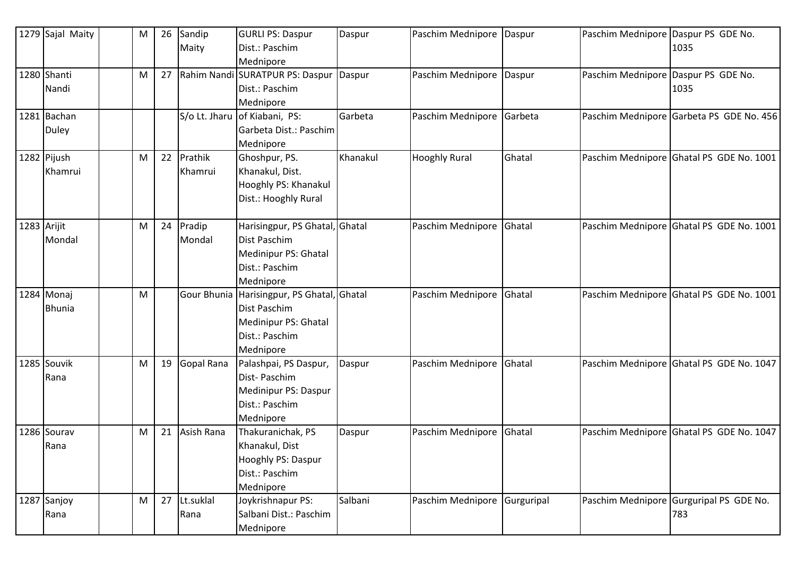|             | 1279 Sajal Maity | M | 26 | Sandip     | <b>GURLI PS: Daspur</b>                    | Daspur   | Paschim Mednipore    | Daspur     | Paschim Mednipore Daspur PS GDE No. |                                          |
|-------------|------------------|---|----|------------|--------------------------------------------|----------|----------------------|------------|-------------------------------------|------------------------------------------|
|             |                  |   |    | Maity      | Dist.: Paschim                             |          |                      |            |                                     | 1035                                     |
|             |                  |   |    |            | Mednipore                                  |          |                      |            |                                     |                                          |
|             | 1280 Shanti      | M | 27 |            | Rahim Nandi SURATPUR PS: Daspur            | Daspur   | Paschim Mednipore    | Daspur     | Paschim Mednipore Daspur PS GDE No. |                                          |
|             | Nandi            |   |    |            | Dist.: Paschim                             |          |                      |            |                                     | 1035                                     |
|             |                  |   |    |            | Mednipore                                  |          |                      |            |                                     |                                          |
|             | 1281 Bachan      |   |    |            | S/o Lt. Jharu of Kiabani, PS:              | Garbeta  | Paschim Mednipore    | Garbeta    |                                     | Paschim Mednipore Garbeta PS GDE No. 456 |
|             | Duley            |   |    |            | Garbeta Dist.: Paschim                     |          |                      |            |                                     |                                          |
|             |                  |   |    |            | Mednipore                                  |          |                      |            |                                     |                                          |
|             | 1282 Pijush      | M | 22 | Prathik    | Ghoshpur, PS.                              | Khanakul | <b>Hooghly Rural</b> | Ghatal     |                                     | Paschim Mednipore Ghatal PS GDE No. 1001 |
|             | Khamrui          |   |    | Khamrui    | Khanakul, Dist.                            |          |                      |            |                                     |                                          |
|             |                  |   |    |            | Hooghly PS: Khanakul                       |          |                      |            |                                     |                                          |
|             |                  |   |    |            | Dist.: Hooghly Rural                       |          |                      |            |                                     |                                          |
|             |                  |   |    |            |                                            |          |                      |            |                                     |                                          |
| 1283 Arijit |                  | M | 24 | Pradip     | Harisingpur, PS Ghatal, Ghatal             |          | Paschim Mednipore    | Ghatal     |                                     | Paschim Mednipore Ghatal PS GDE No. 1001 |
|             | Mondal           |   |    | Mondal     | Dist Paschim                               |          |                      |            |                                     |                                          |
|             |                  |   |    |            | Medinipur PS: Ghatal                       |          |                      |            |                                     |                                          |
|             |                  |   |    |            | Dist.: Paschim                             |          |                      |            |                                     |                                          |
|             |                  |   |    |            | Mednipore                                  |          |                      |            |                                     |                                          |
|             | 1284 Monaj       | M |    |            | Gour Bhunia Harisingpur, PS Ghatal, Ghatal |          | Paschim Mednipore    | Ghatal     |                                     | Paschim Mednipore Ghatal PS GDE No. 1001 |
|             | <b>Bhunia</b>    |   |    |            | Dist Paschim                               |          |                      |            |                                     |                                          |
|             |                  |   |    |            | Medinipur PS: Ghatal                       |          |                      |            |                                     |                                          |
|             |                  |   |    |            | Dist.: Paschim                             |          |                      |            |                                     |                                          |
|             |                  |   |    |            | Mednipore                                  |          |                      |            |                                     |                                          |
|             | 1285 Souvik      | M | 19 | Gopal Rana | Palashpai, PS Daspur,                      | Daspur   | Paschim Mednipore    | Ghatal     |                                     | Paschim Mednipore Ghatal PS GDE No. 1047 |
|             | Rana             |   |    |            | Dist-Paschim                               |          |                      |            |                                     |                                          |
|             |                  |   |    |            | Medinipur PS: Daspur                       |          |                      |            |                                     |                                          |
|             |                  |   |    |            | Dist.: Paschim                             |          |                      |            |                                     |                                          |
|             |                  |   |    |            | Mednipore                                  |          |                      |            |                                     |                                          |
|             | 1286 Sourav      | M | 21 | Asish Rana | Thakuranichak, PS                          | Daspur   | Paschim Mednipore    | Ghatal     |                                     | Paschim Mednipore Ghatal PS GDE No. 1047 |
|             | Rana             |   |    |            | Khanakul, Dist                             |          |                      |            |                                     |                                          |
|             |                  |   |    |            | Hooghly PS: Daspur                         |          |                      |            |                                     |                                          |
|             |                  |   |    |            | Dist.: Paschim                             |          |                      |            |                                     |                                          |
|             |                  |   |    |            | Mednipore                                  |          |                      |            |                                     |                                          |
|             | 1287 Sanjoy      | M | 27 | Lt.suklal  | Joykrishnapur PS:                          | Salbani  | Paschim Mednipore    | Gurguripal |                                     | Paschim Mednipore Gurguripal PS GDE No.  |
|             | Rana             |   |    | Rana       | Salbani Dist.: Paschim                     |          |                      |            |                                     | 783                                      |
|             |                  |   |    |            | Mednipore                                  |          |                      |            |                                     |                                          |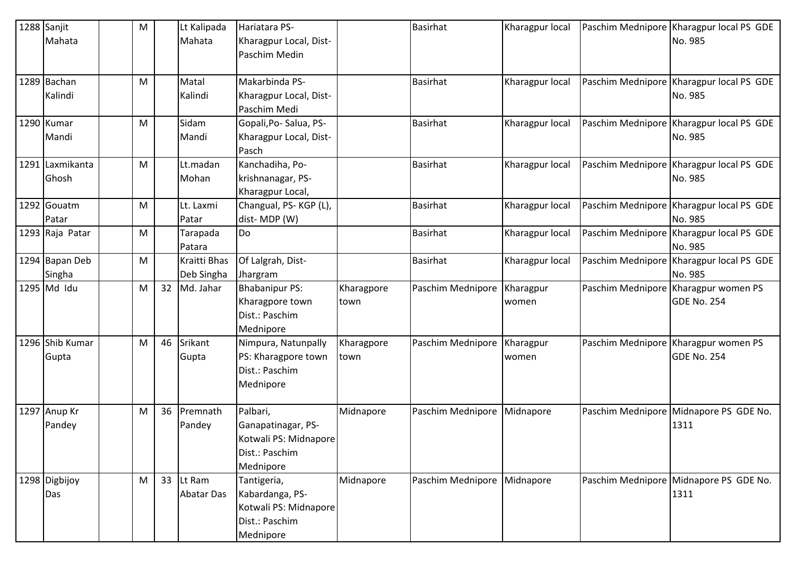| 1288 Sanjit          | M |    | Lt Kalipada        | Hariatara PS-                            |                    | <b>Basirhat</b>   | Kharagpur local    | Paschim Mednipore Kharagpur local PS GDE                   |
|----------------------|---|----|--------------------|------------------------------------------|--------------------|-------------------|--------------------|------------------------------------------------------------|
| Mahata               |   |    | Mahata             | Kharagpur Local, Dist-<br>Paschim Medin  |                    |                   |                    | No. 985                                                    |
| 1289 Bachan          | M |    | Matal              | Makarbinda PS-                           |                    | <b>Basirhat</b>   | Kharagpur local    | Paschim Mednipore Kharagpur local PS GDE                   |
| Kalindi              |   |    | Kalindi            | Kharagpur Local, Dist-<br>Paschim Medi   |                    |                   |                    | No. 985                                                    |
| 1290 Kumar           | M |    | Sidam              | Gopali, Po-Salua, PS-                    |                    | <b>Basirhat</b>   | Kharagpur local    | Paschim Mednipore Kharagpur local PS GDE                   |
| Mandi                |   |    | Mandi              | Kharagpur Local, Dist-<br>Pasch          |                    |                   |                    | No. 985                                                    |
| 1291 Laxmikanta      | M |    | Lt.madan           | Kanchadiha, Po-                          |                    | <b>Basirhat</b>   | Kharagpur local    | Paschim Mednipore Kharagpur local PS GDE                   |
| Ghosh                |   |    | Mohan              | krishnanagar, PS-                        |                    |                   |                    | No. 985                                                    |
|                      |   |    |                    | Kharagpur Local,                         |                    |                   |                    |                                                            |
| 1292 Gouatm<br>Patar | M |    | Lt. Laxmi<br>Patar | Changual, PS-KGP (L),<br>dist-MDP (W)    |                    | <b>Basirhat</b>   | Kharagpur local    | Paschim Mednipore Kharagpur local PS GDE<br>No. 985        |
| 1293 Raja Patar      | M |    | Tarapada           | Do                                       |                    | <b>Basirhat</b>   | Kharagpur local    | Paschim Mednipore Kharagpur local PS GDE                   |
|                      |   |    | Patara             |                                          |                    |                   |                    | No. 985                                                    |
| 1294 Bapan Deb       | M |    | Kraitti Bhas       | Of Lalgrah, Dist-                        |                    | <b>Basirhat</b>   | Kharagpur local    | Paschim Mednipore   Kharagpur local PS GDE                 |
| Singha               |   |    | Deb Singha         | Jhargram                                 |                    |                   |                    | No. 985                                                    |
| 1295 Md Idu          | M | 32 | Md. Jahar          | <b>Bhabanipur PS:</b><br>Kharagpore town | Kharagpore<br>town | Paschim Mednipore | Kharagpur<br>women | Paschim Mednipore Kharagpur women PS<br><b>GDE No. 254</b> |
|                      |   |    |                    | Dist.: Paschim                           |                    |                   |                    |                                                            |
|                      |   |    |                    | Mednipore                                |                    |                   |                    |                                                            |
| 1296 Shib Kumar      | M | 46 | Srikant            | Nimpura, Natunpally                      | Kharagpore         | Paschim Mednipore | Kharagpur          | Paschim Mednipore Kharagpur women PS                       |
| Gupta                |   |    | Gupta              | PS: Kharagpore town                      | town               |                   | women              | GDE No. 254                                                |
|                      |   |    |                    | Dist.: Paschim                           |                    |                   |                    |                                                            |
|                      |   |    |                    | Mednipore                                |                    |                   |                    |                                                            |
| 1297 Anup Kr         | M | 36 | Premnath           | Palbari,                                 | Midnapore          | Paschim Mednipore | Midnapore          | Paschim Mednipore Midnapore PS GDE No.                     |
| Pandey               |   |    | Pandey             | Ganapatinagar, PS-                       |                    |                   |                    | 1311                                                       |
|                      |   |    |                    | Kotwali PS: Midnapore                    |                    |                   |                    |                                                            |
|                      |   |    |                    | Dist.: Paschim                           |                    |                   |                    |                                                            |
|                      |   |    |                    | Mednipore                                |                    |                   |                    |                                                            |
| 1298 Digbijoy        | M |    | 33 Lt Ram          | Tantigeria,                              | Midnapore          | Paschim Mednipore | Midnapore          | Paschim Mednipore Midnapore PS GDE No.                     |
| Das                  |   |    | Abatar Das         | Kabardanga, PS-                          |                    |                   |                    | 1311                                                       |
|                      |   |    |                    | Kotwali PS: Midnapore                    |                    |                   |                    |                                                            |
|                      |   |    |                    | Dist.: Paschim                           |                    |                   |                    |                                                            |
|                      |   |    |                    | Mednipore                                |                    |                   |                    |                                                            |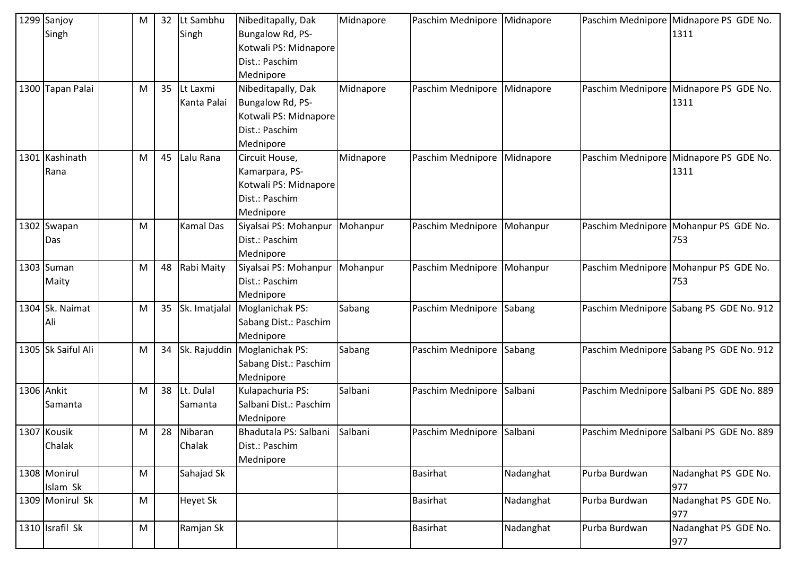| 1299 Sanjoy<br>Singh     | M | 32 | Lt Sambhu<br>Singh      | Nibeditapally, Dak<br>Bungalow Rd, PS-<br>Kotwali PS: Midnapore                                | Midnapore | Paschim Mednipore Midnapore |           |               | Paschim Mednipore Midnapore PS GDE No.<br>1311 |
|--------------------------|---|----|-------------------------|------------------------------------------------------------------------------------------------|-----------|-----------------------------|-----------|---------------|------------------------------------------------|
|                          |   |    |                         | Dist.: Paschim<br>Mednipore                                                                    |           |                             |           |               |                                                |
| 1300 Tapan Palai         | M | 35 | Lt Laxmi<br>Kanta Palai | Nibeditapally, Dak<br>Bungalow Rd, PS-<br>Kotwali PS: Midnapore<br>Dist.: Paschim<br>Mednipore | Midnapore | Paschim Mednipore           | Midnapore |               | Paschim Mednipore Midnapore PS GDE No.<br>1311 |
| 1301 Kashinath<br>Rana   | M | 45 | Lalu Rana               | Circuit House,<br>Kamarpara, PS-<br>Kotwali PS: Midnapore<br>Dist.: Paschim<br>Mednipore       | Midnapore | Paschim Mednipore Midnapore |           |               | Paschim Mednipore Midnapore PS GDE No.<br>1311 |
| 1302 Swapan<br>Das       | M |    | Kamal Das               | Siyalsai PS: Mohanpur   Mohanpur<br>Dist.: Paschim<br>Mednipore                                |           | Paschim Mednipore Mohanpur  |           |               | Paschim Mednipore Mohanpur PS GDE No.<br>753   |
| 1303 Suman<br>Maity      | M | 48 | Rabi Maity              | Siyalsai PS: Mohanpur   Mohanpur<br>Dist.: Paschim<br>Mednipore                                |           | Paschim Mednipore Mohanpur  |           |               | Paschim Mednipore Mohanpur PS GDE No.<br>753   |
| 1304 Sk. Naimat<br>Ali   | M | 35 | Sk. Imatjalal           | Moglanichak PS:<br>Sabang Dist.: Paschim<br>Mednipore                                          | Sabang    | Paschim Mednipore           | Sabang    |               | Paschim Mednipore Sabang PS GDE No. 912        |
| 1305 Sk Saiful Ali       | M | 34 | Sk. Rajuddin            | Moglanichak PS:<br>Sabang Dist.: Paschim<br>Mednipore                                          | Sabang    | Paschim Mednipore           | Sabang    |               | Paschim Mednipore Sabang PS GDE No. 912        |
| 1306 Ankit<br>Samanta    | M | 38 | Lt. Dulal<br>Samanta    | Kulapachuria PS:<br>Salbani Dist.: Paschim<br>Mednipore                                        | Salbani   | Paschim Mednipore           | Salbani   |               | Paschim Mednipore Salbani PS GDE No. 889       |
| 1307 Kousik<br>Chalak    | M |    | 28 Nibaran<br>Chalak    | Bhadutala PS: Salbani<br>Dist.: Paschim<br>Mednipore                                           | Salbani   | Paschim Mednipore Salbani   |           |               | Paschim Mednipore Salbani PS GDE No. 889       |
| 1308 Monirul<br>Islam Sk | M |    | Sahajad Sk              |                                                                                                |           | <b>Basirhat</b>             | Nadanghat | Purba Burdwan | Nadanghat PS GDE No.<br>977                    |
| 1309 Monirul Sk          | M |    | Heyet Sk                |                                                                                                |           | <b>Basirhat</b>             | Nadanghat | Purba Burdwan | Nadanghat PS GDE No.<br>977                    |
| 1310 Israfil Sk          | M |    | Ramjan Sk               |                                                                                                |           | <b>Basirhat</b>             | Nadanghat | Purba Burdwan | Nadanghat PS GDE No.<br>977                    |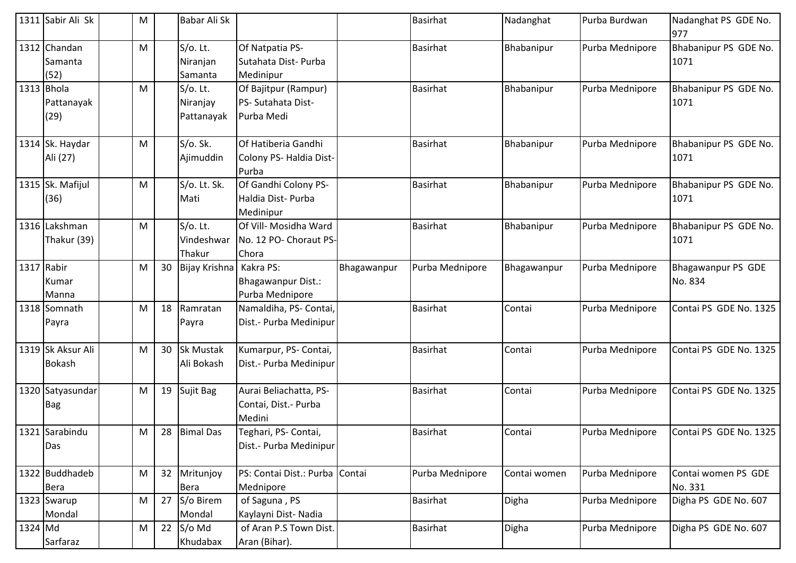|         | 1311 Sabir Ali Sk                  | M |    | Babar Ali Sk                          |                                                          |             | <b>Basirhat</b> | Nadanghat    | Purba Burdwan   | Nadanghat PS GDE No.<br>977    |
|---------|------------------------------------|---|----|---------------------------------------|----------------------------------------------------------|-------------|-----------------|--------------|-----------------|--------------------------------|
|         | 1312 Chandan<br>Samanta<br>(52)    | M |    | $S/O$ . Lt.<br>Niranjan<br>Samanta    | Of Natpatia PS-<br>Sutahata Dist-Purba<br>Medinipur      |             | <b>Basirhat</b> | Bhabanipur   | Purba Mednipore | Bhabanipur PS GDE No.<br>1071  |
| 1313    | Bhola<br>Pattanayak<br>(29)        | M |    | $S/O$ . Lt.<br>Niranjay<br>Pattanayak | Of Bajitpur (Rampur)<br>PS- Sutahata Dist-<br>Purba Medi |             | <b>Basirhat</b> | Bhabanipur   | Purba Mednipore | Bhabanipur PS GDE No.<br>1071  |
|         | 1314 Sk. Haydar<br>Ali (27)        | M |    | S/O. Sk.<br>Ajimuddin                 | Of Hatiberia Gandhi<br>Colony PS- Haldia Dist-<br>Purba  |             | <b>Basirhat</b> | Bhabanipur   | Purba Mednipore | Bhabanipur PS GDE No.<br>1071  |
|         | 1315 Sk. Mafijul<br>(36)           | M |    | S/o. Lt. Sk.<br>Mati                  | Of Gandhi Colony PS-<br>Haldia Dist- Purba<br>Medinipur  |             | <b>Basirhat</b> | Bhabanipur   | Purba Mednipore | Bhabanipur PS GDE No.<br>1071  |
|         | 1316 Lakshman<br>Thakur (39)       | M |    | S/o. Lt.<br>Vindeshwar<br>Thakur      | Of Vill- Mosidha Ward<br>No. 12 PO- Choraut PS-<br>Chora |             | <b>Basirhat</b> | Bhabanipur   | Purba Mednipore | Bhabanipur PS GDE No.<br>1071  |
|         | 1317 Rabir<br>Kumar<br>Manna       | M | 30 | Bijay Krishna   Kakra PS:             | Bhagawanpur Dist.:<br>Purba Mednipore                    | Bhagawanpur | Purba Mednipore | Bhagawanpur  | Purba Mednipore | Bhagawanpur PS GDE<br>No. 834  |
|         | 1318 Somnath<br>Payra              | M | 18 | Ramratan<br>Payra                     | Namaldiha, PS- Contai,<br>Dist.- Purba Medinipur         |             | <b>Basirhat</b> | Contai       | Purba Mednipore | Contai PS GDE No. 1325         |
|         | 1319 Sk Aksur Ali<br><b>Bokash</b> | M | 30 | <b>Sk Mustak</b><br>Ali Bokash        | Kumarpur, PS- Contai,<br>Dist.- Purba Medinipur          |             | <b>Basirhat</b> | Contai       | Purba Mednipore | Contai PS GDE No. 1325         |
|         | 1320 Satyasundar<br><b>Bag</b>     | M | 19 | Sujit Bag                             | Aurai Beliachatta, PS-<br>Contai, Dist.- Purba<br>Medini |             | Basirhat        | Contai       | Purba Mednipore | Contai PS GDE No. 1325         |
|         | 1321 Sarabindu<br>Das              | M | 28 | <b>Bimal Das</b>                      | Teghari, PS- Contai,<br>Dist.- Purba Medinipur           |             | <b>Basirhat</b> | Contai       | Purba Mednipore | Contai PS GDE No. 1325         |
|         | 1322 Buddhadeb<br>Bera             | M | 32 | Mritunjoy<br>Bera                     | PS: Contai Dist.: Purba Contai<br>Mednipore              |             | Purba Mednipore | Contai women | Purba Mednipore | Contai women PS GDE<br>No. 331 |
|         | 1323 Swarup<br>Mondal              | M | 27 | S/o Birem<br>Mondal                   | of Saguna, PS<br>Kaylayni Dist-Nadia                     |             | <b>Basirhat</b> | Digha        | Purba Mednipore | Digha PS GDE No. 607           |
| 1324 Md | Sarfaraz                           | M | 22 | S/o Md<br>Khudabax                    | of Aran P.S Town Dist.<br>Aran (Bihar).                  |             | <b>Basirhat</b> | Digha        | Purba Mednipore | Digha PS GDE No. 607           |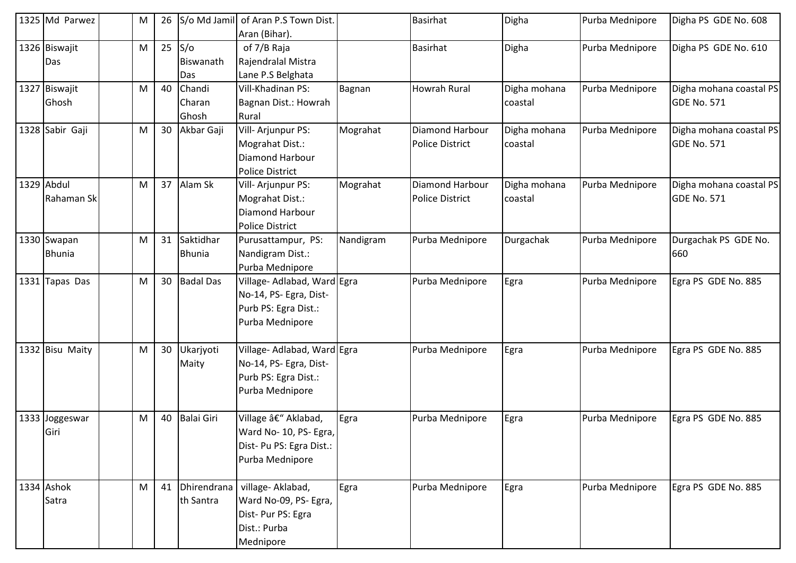| 1325 Md Parwez  | M | 26 |                   | S/o Md Jamil of Aran P.S Town Dist. |           | <b>Basirhat</b>        | Digha        | Purba Mednipore | Digha PS GDE No. 608    |
|-----------------|---|----|-------------------|-------------------------------------|-----------|------------------------|--------------|-----------------|-------------------------|
|                 |   |    |                   | Aran (Bihar).                       |           |                        |              |                 |                         |
| 1326 Biswajit   | M | 25 | S/O               | of 7/B Raja                         |           | <b>Basirhat</b>        | Digha        | Purba Mednipore | Digha PS GDE No. 610    |
| Das             |   |    | Biswanath         | Rajendralal Mistra                  |           |                        |              |                 |                         |
|                 |   |    | Das               | Lane P.S Belghata                   |           |                        |              |                 |                         |
| 1327 Biswajit   | M | 40 | Chandi            | Vill-Khadinan PS:                   | Bagnan    | <b>Howrah Rural</b>    | Digha mohana | Purba Mednipore | Digha mohana coastal PS |
| Ghosh           |   |    | Charan            | Bagnan Dist.: Howrah                |           |                        | coastal      |                 | GDE No. 571             |
|                 |   |    | Ghosh             | Rural                               |           |                        |              |                 |                         |
| 1328 Sabir Gaji | M | 30 | Akbar Gaji        | Vill-Arjunpur PS:                   | Mograhat  | Diamond Harbour        | Digha mohana | Purba Mednipore | Digha mohana coastal PS |
|                 |   |    |                   | Mograhat Dist.:                     |           | <b>Police District</b> | coastal      |                 | GDE No. 571             |
|                 |   |    |                   | Diamond Harbour                     |           |                        |              |                 |                         |
|                 |   |    |                   | <b>Police District</b>              |           |                        |              |                 |                         |
| 1329 Abdul      | M | 37 | Alam Sk           | Vill- Arjunpur PS:                  | Mograhat  | Diamond Harbour        | Digha mohana | Purba Mednipore | Digha mohana coastal PS |
| Rahaman Sk      |   |    |                   | Mograhat Dist.:                     |           | <b>Police District</b> | coastal      |                 | GDE No. 571             |
|                 |   |    |                   | Diamond Harbour                     |           |                        |              |                 |                         |
|                 |   |    |                   | <b>Police District</b>              |           |                        |              |                 |                         |
| 1330 Swapan     | M | 31 | Saktidhar         | Purusattampur, PS:                  | Nandigram | Purba Mednipore        | Durgachak    | Purba Mednipore | Durgachak PS GDE No.    |
| <b>Bhunia</b>   |   |    | <b>Bhunia</b>     | Nandigram Dist.:                    |           |                        |              |                 | 660                     |
|                 |   |    |                   | Purba Mednipore                     |           |                        |              |                 |                         |
| 1331 Tapas Das  | M | 30 | <b>Badal Das</b>  | Village- Adlabad, Ward Egra         |           | Purba Mednipore        | Egra         | Purba Mednipore | Egra PS GDE No. 885     |
|                 |   |    |                   | No-14, PS- Egra, Dist-              |           |                        |              |                 |                         |
|                 |   |    |                   | Purb PS: Egra Dist.:                |           |                        |              |                 |                         |
|                 |   |    |                   | Purba Mednipore                     |           |                        |              |                 |                         |
|                 |   |    |                   |                                     |           |                        |              |                 |                         |
| 1332 Bisu Maity | M | 30 | Ukarjyoti         | Village- Adlabad, Ward Egra         |           | Purba Mednipore        | Egra         | Purba Mednipore | Egra PS GDE No. 885     |
|                 |   |    | Maity             | No-14, PS- Egra, Dist-              |           |                        |              |                 |                         |
|                 |   |    |                   | Purb PS: Egra Dist.:                |           |                        |              |                 |                         |
|                 |   |    |                   | Purba Mednipore                     |           |                        |              |                 |                         |
|                 |   |    |                   |                                     |           |                        |              |                 |                         |
| 1333 Joggeswar  | M | 40 | <b>Balai Giri</b> | Village â€" Aklabad,                | Egra      | Purba Mednipore        | Egra         | Purba Mednipore | Egra PS GDE No. 885     |
| Giri            |   |    |                   | Ward No- 10, PS- Egra,              |           |                        |              |                 |                         |
|                 |   |    |                   | Dist- Pu PS: Egra Dist.:            |           |                        |              |                 |                         |
|                 |   |    |                   | Purba Mednipore                     |           |                        |              |                 |                         |
|                 |   |    |                   |                                     |           |                        |              |                 |                         |
| 1334 Ashok      | M | 41 | Dhirendrana       | village- Aklabad,                   | Egra      | Purba Mednipore        | Egra         | Purba Mednipore | Egra PS GDE No. 885     |
| Satra           |   |    | th Santra         | Ward No-09, PS- Egra,               |           |                        |              |                 |                         |
|                 |   |    |                   | Dist- Pur PS: Egra                  |           |                        |              |                 |                         |
|                 |   |    |                   | Dist.: Purba                        |           |                        |              |                 |                         |
|                 |   |    |                   | Mednipore                           |           |                        |              |                 |                         |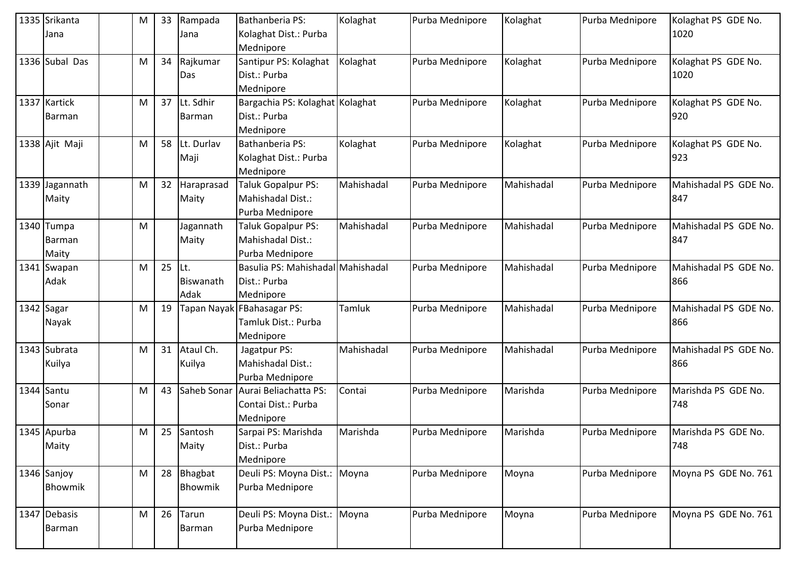| 1335 Srikanta<br>Jana         | M | 33 | Rampada<br>Jana           | Bathanberia PS:<br>Kolaghat Dist.: Purba<br>Mednipore          | Kolaghat   | Purba Mednipore | Kolaghat   | Purba Mednipore | Kolaghat PS GDE No.<br>1020  |
|-------------------------------|---|----|---------------------------|----------------------------------------------------------------|------------|-----------------|------------|-----------------|------------------------------|
| 1336 Subal Das                | M | 34 | Rajkumar<br>Das           | Santipur PS: Kolaghat<br>Dist.: Purba<br>Mednipore             | Kolaghat   | Purba Mednipore | Kolaghat   | Purba Mednipore | Kolaghat PS GDE No.<br>1020  |
| 1337 Kartick<br><b>Barman</b> | M | 37 | Lt. Sdhir<br>Barman       | Bargachia PS: Kolaghat Kolaghat<br>Dist.: Purba<br>Mednipore   |            | Purba Mednipore | Kolaghat   | Purba Mednipore | Kolaghat PS GDE No.<br>920   |
| 1338 Ajit Maji                | M | 58 | Lt. Durlav<br>Maji        | <b>Bathanberia PS:</b><br>Kolaghat Dist.: Purba<br>Mednipore   | Kolaghat   | Purba Mednipore | Kolaghat   | Purba Mednipore | Kolaghat PS GDE No.<br>923   |
| 1339 Jagannath<br>Maity       | M | 32 | Haraprasad<br>Maity       | Taluk Gopalpur PS:<br>Mahishadal Dist.:<br>Purba Mednipore     | Mahishadal | Purba Mednipore | Mahishadal | Purba Mednipore | Mahishadal PS GDE No.<br>847 |
| 1340 Tumpa<br>Barman<br>Maity | M |    | Jagannath<br>Maity        | Taluk Gopalpur PS:<br>Mahishadal Dist.:<br>Purba Mednipore     | Mahishadal | Purba Mednipore | Mahishadal | Purba Mednipore | Mahishadal PS GDE No.<br>847 |
| 1341 Swapan<br>Adak           | M | 25 | lLt.<br>Biswanath<br>Adak | Basulia PS: Mahishadal Mahishadal<br>Dist.: Purba<br>Mednipore |            | Purba Mednipore | Mahishadal | Purba Mednipore | Mahishadal PS GDE No.<br>866 |
| 1342 Sagar<br>Nayak           | M | 19 |                           | Tapan Nayak FBahasagar PS:<br>Tamluk Dist.: Purba<br>Mednipore | Tamluk     | Purba Mednipore | Mahishadal | Purba Mednipore | Mahishadal PS GDE No.<br>866 |
| 1343 Subrata<br>Kuilya        | M | 31 | Ataul Ch.<br>Kuilya       | Jagatpur PS:<br>Mahishadal Dist.:<br>Purba Mednipore           | Mahishadal | Purba Mednipore | Mahishadal | Purba Mednipore | Mahishadal PS GDE No.<br>866 |
| $1344$ Santu<br>Sonar         | M | 43 | Saheb Sonar               | Aurai Beliachatta PS:<br>Contai Dist.: Purba<br>Mednipore      | Contai     | Purba Mednipore | Marishda   | Purba Mednipore | Marishda PS GDE No.<br>748   |
| 1345 Apurba<br>Maity          | M | 25 | Santosh<br>Maity          | Sarpai PS: Marishda<br>Dist.: Purba<br>Mednipore               | Marishda   | Purba Mednipore | Marishda   | Purba Mednipore | Marishda PS GDE No.<br>748   |
| 1346 Sanjoy<br>Bhowmik        | M | 28 | Bhagbat<br>Bhowmik        | Deuli PS: Moyna Dist.:<br>Purba Mednipore                      | Moyna      | Purba Mednipore | Moyna      | Purba Mednipore | Moyna PS GDE No. 761         |
| 1347 Debasis<br>Barman        | M | 26 | Tarun<br>Barman           | Deuli PS: Moyna Dist.:<br>Purba Mednipore                      | Moyna      | Purba Mednipore | Moyna      | Purba Mednipore | Moyna PS GDE No. 761         |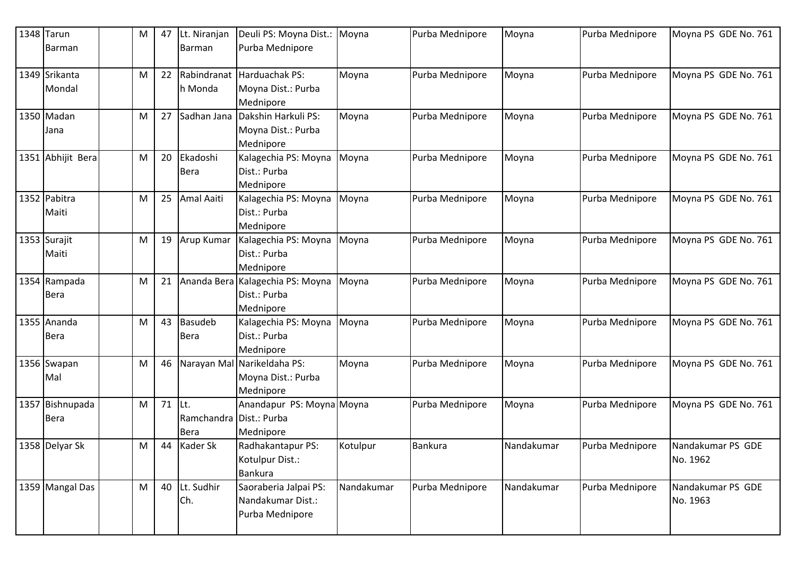| 1348 Tarun<br>Barman           | M | 47 | Lt. Niranjan<br>Barman                    | Deuli PS: Moyna Dist.:<br>Purba Mednipore                     | Moyna      | Purba Mednipore | Moyna      | Purba Mednipore | Moyna PS GDE No. 761          |
|--------------------------------|---|----|-------------------------------------------|---------------------------------------------------------------|------------|-----------------|------------|-----------------|-------------------------------|
| 1349 Srikanta<br>Mondal        | M | 22 | Rabindranat<br>h Monda                    | Harduachak PS:<br>Moyna Dist.: Purba<br>Mednipore             | Moyna      | Purba Mednipore | Moyna      | Purba Mednipore | Moyna PS GDE No. 761          |
| 1350 Madan<br>Jana             | M | 27 | Sadhan Jana                               | Dakshin Harkuli PS:<br>Moyna Dist.: Purba<br>Mednipore        | Moyna      | Purba Mednipore | Moyna      | Purba Mednipore | Moyna PS GDE No. 761          |
| 1351 Abhijit Bera              | M | 20 | Ekadoshi<br>Bera                          | Kalagechia PS: Moyna<br>Dist.: Purba<br>Mednipore             | Moyna      | Purba Mednipore | Moyna      | Purba Mednipore | Moyna PS GDE No. 761          |
| 1352 Pabitra<br>Maiti          | M | 25 | Amal Aaiti                                | Kalagechia PS: Moyna<br>Dist.: Purba<br>Mednipore             | Moyna      | Purba Mednipore | Moyna      | Purba Mednipore | Moyna PS GDE No. 761          |
| 1353 Surajit<br>Maiti          | M | 19 | Arup Kumar                                | Kalagechia PS: Moyna<br>Dist.: Purba<br>Mednipore             | Moyna      | Purba Mednipore | Moyna      | Purba Mednipore | Moyna PS GDE No. 761          |
| 1354 Rampada<br><b>Bera</b>    | M | 21 |                                           | Ananda Bera Kalagechia PS: Moyna<br>Dist.: Purba<br>Mednipore | Moyna      | Purba Mednipore | Moyna      | Purba Mednipore | Moyna PS GDE No. 761          |
| 1355 Ananda<br><b>Bera</b>     | M | 43 | <b>Basudeb</b><br>Bera                    | Kalagechia PS: Moyna<br>Dist.: Purba<br>Mednipore             | Moyna      | Purba Mednipore | Moyna      | Purba Mednipore | Moyna PS GDE No. 761          |
| 1356 Swapan<br>Mal             | M | 46 | Narayan Mal                               | Narikeldaha PS:<br>Moyna Dist.: Purba<br>Mednipore            | Moyna      | Purba Mednipore | Moyna      | Purba Mednipore | Moyna PS GDE No. 761          |
| 1357 Bishnupada<br><b>Bera</b> | M | 71 | ILt.<br>Ramchandra   Dist.: Purba<br>Bera | Anandapur PS: Moyna Moyna<br>Mednipore                        |            | Purba Mednipore | Moyna      | Purba Mednipore | Moyna PS GDE No. 761          |
| 1358 Delyar Sk                 | M | 44 | Kader Sk                                  | Radhakantapur PS:<br>Kotulpur Dist.:<br><b>Bankura</b>        | Kotulpur   | Bankura         | Nandakumar | Purba Mednipore | Nandakumar PS GDE<br>No. 1962 |
| 1359 Mangal Das                | M | 40 | Lt. Sudhir<br>Ch.                         | Saoraberia Jalpai PS:<br>Nandakumar Dist.:<br>Purba Mednipore | Nandakumar | Purba Mednipore | Nandakumar | Purba Mednipore | Nandakumar PS GDE<br>No. 1963 |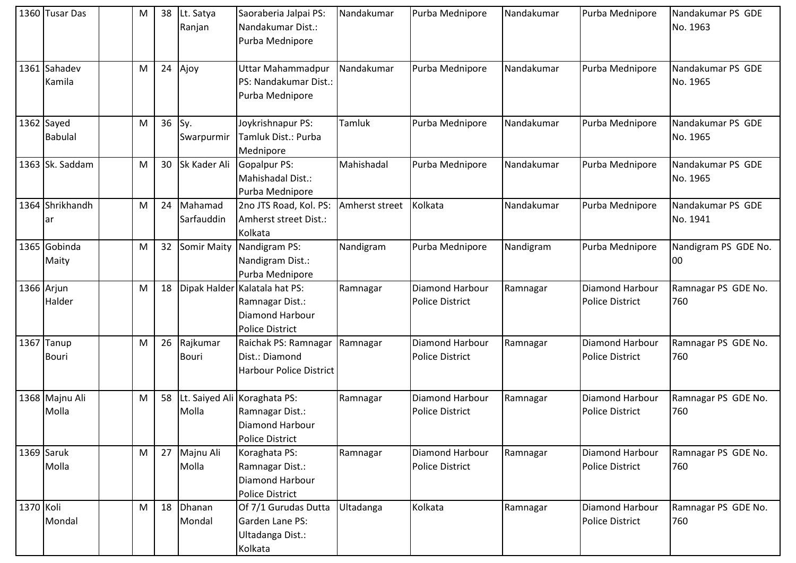|           | 1360 Tusar Das               | M | 38 | Lt. Satya<br>Ranjan   | Saoraberia Jalpai PS:<br>Nandakumar Dist.:<br>Purba Mednipore                            | Nandakumar     | Purba Mednipore                           | Nandakumar | Purba Mednipore                           | Nandakumar PS GDE<br>No. 1963 |
|-----------|------------------------------|---|----|-----------------------|------------------------------------------------------------------------------------------|----------------|-------------------------------------------|------------|-------------------------------------------|-------------------------------|
|           | 1361 Sahadev<br>Kamila       | M | 24 | Ajoy                  | Uttar Mahammadpur<br>PS: Nandakumar Dist.:<br>Purba Mednipore                            | Nandakumar     | Purba Mednipore                           | Nandakumar | Purba Mednipore                           | Nandakumar PS GDE<br>No. 1965 |
|           | 1362 Sayed<br><b>Babulal</b> | M | 36 | Sy.<br>Swarpurmir     | Joykrishnapur PS:<br>Tamluk Dist.: Purba<br>Mednipore                                    | Tamluk         | Purba Mednipore                           | Nandakumar | Purba Mednipore                           | Nandakumar PS GDE<br>No. 1965 |
|           | 1363 Sk. Saddam              | M | 30 | Sk Kader Ali          | Gopalpur PS:<br>Mahishadal Dist.:<br>Purba Mednipore                                     | Mahishadal     | Purba Mednipore                           | Nandakumar | Purba Mednipore                           | Nandakumar PS GDE<br>No. 1965 |
|           | 1364 Shrikhandh<br>ar        | M | 24 | Mahamad<br>Sarfauddin | 2no JTS Road, Kol. PS:<br>Amherst street Dist.:<br>Kolkata                               | Amherst street | Kolkata                                   | Nandakumar | Purba Mednipore                           | Nandakumar PS GDE<br>No. 1941 |
|           | 1365 Gobinda<br>Maity        | M | 32 | <b>Somir Maity</b>    | Nandigram PS:<br>Nandigram Dist.:<br>Purba Mednipore                                     | Nandigram      | Purba Mednipore                           | Nandigram  | Purba Mednipore                           | Nandigram PS GDE No.<br>00    |
|           | 1366 Arjun<br>Halder         | M | 18 | Dipak Halder          | Kalatala hat PS:<br>Ramnagar Dist.:<br>Diamond Harbour<br><b>Police District</b>         | Ramnagar       | Diamond Harbour<br><b>Police District</b> | Ramnagar   | Diamond Harbour<br><b>Police District</b> | Ramnagar PS GDE No.<br>760    |
|           | 1367 Tanup<br>Bouri          | M | 26 | Rajkumar<br>Bouri     | Raichak PS: Ramnagar<br>Dist.: Diamond<br><b>Harbour Police District</b>                 | Ramnagar       | Diamond Harbour<br><b>Police District</b> | Ramnagar   | Diamond Harbour<br><b>Police District</b> | Ramnagar PS GDE No.<br>760    |
|           | 1368 Majnu Ali<br>Molla      | M |    | Molla                 | 58 Lt. Saiyed Ali Koraghata PS:<br>Ramnagar Dist.:<br>Diamond Harbour<br>Police District | Ramnagar       | Diamond Harbour<br><b>Police District</b> | Ramnagar   | Diamond Harbour<br><b>Police District</b> | Ramnagar PS GDE No.<br>760    |
|           | 1369 Saruk<br>Molla          | M | 27 | Majnu Ali<br>Molla    | Koraghata PS:<br>Ramnagar Dist.:<br>Diamond Harbour<br><b>Police District</b>            | Ramnagar       | Diamond Harbour<br><b>Police District</b> | Ramnagar   | Diamond Harbour<br>Police District        | Ramnagar PS GDE No.<br>760    |
| 1370 Koli | Mondal                       | M | 18 | Dhanan<br>Mondal      | Of 7/1 Gurudas Dutta<br>Garden Lane PS:<br>Ultadanga Dist.:<br>Kolkata                   | Ultadanga      | Kolkata                                   | Ramnagar   | Diamond Harbour<br>Police District        | Ramnagar PS GDE No.<br>760    |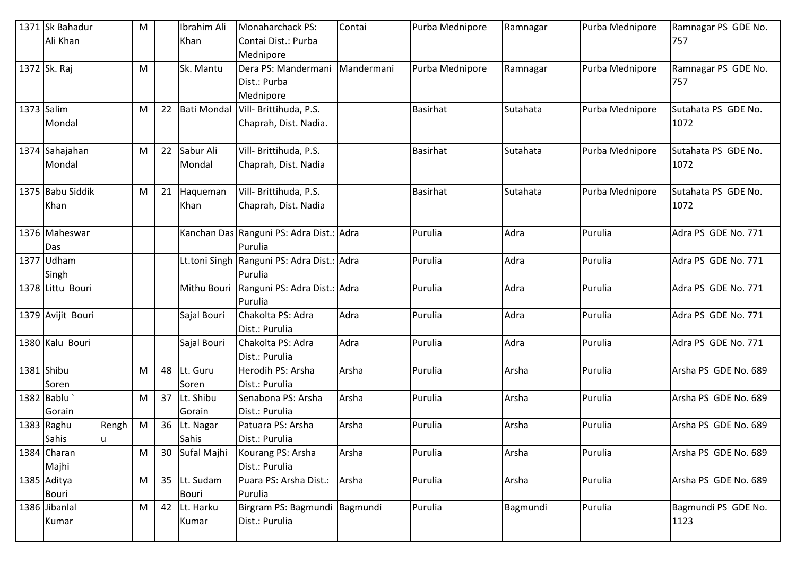| 1371 Sk Bahadur           |       | M |    | Ibrahim Ali        | <b>Monaharchack PS:</b>                  | Contai     | Purba Mednipore | Ramnagar | Purba Mednipore | Ramnagar PS GDE No.  |
|---------------------------|-------|---|----|--------------------|------------------------------------------|------------|-----------------|----------|-----------------|----------------------|
| Ali Khan                  |       |   |    | Khan               | Contai Dist.: Purba                      |            |                 |          |                 | 757                  |
|                           |       |   |    |                    | Mednipore                                |            |                 |          |                 |                      |
| 1372 Sk. Raj              |       | M |    | Sk. Mantu          | Dera PS: Mandermani                      | Mandermani | Purba Mednipore | Ramnagar | Purba Mednipore | Ramnagar PS GDE No.  |
|                           |       |   |    |                    | Dist.: Purba                             |            |                 |          |                 | 757                  |
|                           |       |   |    |                    | Mednipore                                |            |                 |          |                 |                      |
| 1373 Salim                |       | M | 22 | <b>Bati Mondal</b> | Vill- Brittihuda, P.S.                   |            | <b>Basirhat</b> | Sutahata | Purba Mednipore | Sutahata PS GDE No.  |
| Mondal                    |       |   |    |                    | Chaprah, Dist. Nadia.                    |            |                 |          |                 | 1072                 |
|                           |       |   |    |                    |                                          |            |                 |          |                 |                      |
| 1374 Sahajahan            |       | M | 22 | Sabur Ali          | Vill- Brittihuda, P.S.                   |            | <b>Basirhat</b> | Sutahata | Purba Mednipore | Sutahata PS GDE No.  |
| Mondal                    |       |   |    | Mondal             | Chaprah, Dist. Nadia                     |            |                 |          |                 | 1072                 |
|                           |       |   |    |                    |                                          |            |                 |          |                 |                      |
| 1375 Babu Siddik          |       | M | 21 | Haqueman           | Vill- Brittihuda, P.S.                   |            | <b>Basirhat</b> | Sutahata | Purba Mednipore | Sutahata PS GDE No.  |
| Khan                      |       |   |    | Khan               | Chaprah, Dist. Nadia                     |            |                 |          |                 | 1072                 |
|                           |       |   |    |                    |                                          |            |                 |          |                 |                      |
| 1376 Maheswar             |       |   |    |                    | Kanchan Das Ranguni PS: Adra Dist.: Adra |            | Purulia         | Adra     | Purulia         | Adra PS GDE No. 771  |
| Das                       |       |   |    |                    | Purulia                                  |            |                 |          |                 |                      |
| 1377 Udham                |       |   |    | Lt.toni Singh      | Ranguni PS: Adra Dist.: Adra<br>Purulia  |            | Purulia         | Adra     | Purulia         | Adra PS GDE No. 771  |
| Singh<br>1378 Littu Bouri |       |   |    | Mithu Bouri        | Ranguni PS: Adra Dist.: Adra             |            | Purulia         | Adra     | Purulia         | Adra PS GDE No. 771  |
|                           |       |   |    |                    | Purulia                                  |            |                 |          |                 |                      |
| 1379 Avijit Bouri         |       |   |    | Sajal Bouri        | Chakolta PS: Adra                        | Adra       | Purulia         | Adra     | Purulia         | Adra PS GDE No. 771  |
|                           |       |   |    |                    | Dist.: Purulia                           |            |                 |          |                 |                      |
| 1380 Kalu Bouri           |       |   |    | Sajal Bouri        | Chakolta PS: Adra                        | Adra       | Purulia         | Adra     | Purulia         | Adra PS GDE No. 771  |
|                           |       |   |    |                    | Dist.: Purulia                           |            |                 |          |                 |                      |
| 1381 Shibu                |       | M | 48 | Lt. Guru           | Herodih PS: Arsha                        | Arsha      | Purulia         | Arsha    | Purulia         | Arsha PS GDE No. 689 |
| Soren                     |       |   |    | Soren              | Dist.: Purulia                           |            |                 |          |                 |                      |
| 1382 Bablu                |       | M | 37 | Lt. Shibu          | Senabona PS: Arsha                       | Arsha      | Purulia         | Arsha    | Purulia         | Arsha PS GDE No. 689 |
| Gorain                    |       |   |    | Gorain             | Dist.: Purulia                           |            |                 |          |                 |                      |
| 1383 Raghu                | Rengh | M | 36 | Lt. Nagar          | Patuara PS: Arsha                        | Arsha      | Purulia         | Arsha    | Purulia         | Arsha PS GDE No. 689 |
| Sahis                     | u     |   |    | Sahis              | Dist.: Purulia                           |            |                 |          |                 |                      |
| 1384 Charan               |       | M | 30 | Sufal Majhi        | Kourang PS: Arsha                        | Arsha      | Purulia         | Arsha    | Purulia         | Arsha PS GDE No. 689 |
| Majhi                     |       |   |    |                    | Dist.: Purulia                           |            |                 |          |                 |                      |
| 1385 Aditya               |       | M |    | 35 Lt. Sudam       | Puara PS: Arsha Dist.:                   | Arsha      | Purulia         | Arsha    | Purulia         | Arsha PS GDE No. 689 |
| Bouri                     |       |   |    | <b>Bouri</b>       | Purulia                                  |            |                 |          |                 |                      |
| 1386 Jibanlal             |       | M | 42 | Lt. Harku          | Birgram PS: Bagmundi   Bagmundi          |            | Purulia         | Bagmundi | Purulia         | Bagmundi PS GDE No.  |
| Kumar                     |       |   |    | Kumar              | Dist.: Purulia                           |            |                 |          |                 | 1123                 |
|                           |       |   |    |                    |                                          |            |                 |          |                 |                      |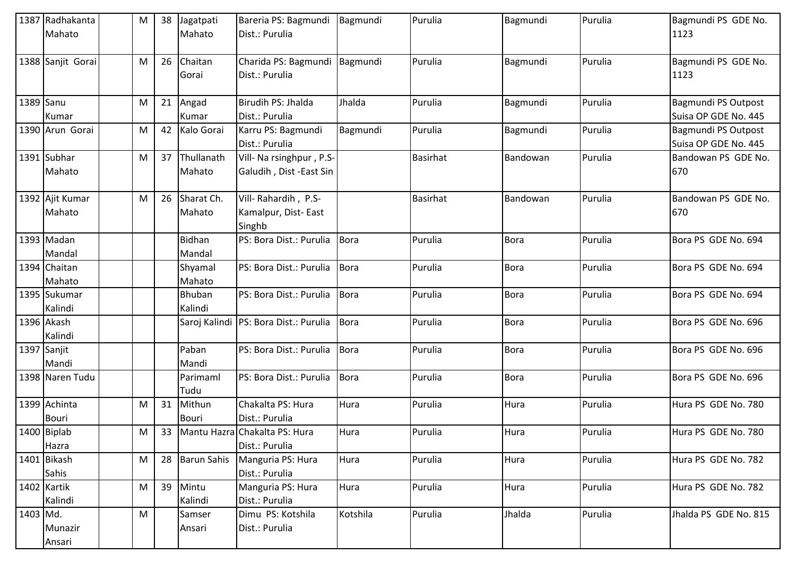|           | 1387 Radhakanta<br>Mahato    | M | 38 | Jagatpati<br>Mahato     | Bareria PS: Bagmundi<br>Dist.: Purulia               | Bagmundi    | Purulia         | Bagmundi    | Purulia | Bagmundi PS GDE No.<br>1123                 |
|-----------|------------------------------|---|----|-------------------------|------------------------------------------------------|-------------|-----------------|-------------|---------|---------------------------------------------|
|           | 1388 Sanjit Gorai            | M | 26 | Chaitan<br>Gorai        | Charida PS: Bagmundi<br>Dist.: Purulia               | Bagmundi    | Purulia         | Bagmundi    | Purulia | Bagmundi PS GDE No.<br>1123                 |
| 1389 Sanu | Kumar                        | M | 21 | Angad<br>Kumar          | Birudih PS: Jhalda<br>Dist.: Purulia                 | Jhalda      | Purulia         | Bagmundi    | Purulia | Bagmundi PS Outpost<br>Suisa OP GDE No. 445 |
|           | 1390 Arun Gorai              | M | 42 | Kalo Gorai              | Karru PS: Bagmundi<br>Dist.: Purulia                 | Bagmundi    | Purulia         | Bagmundi    | Purulia | Bagmundi PS Outpost<br>Suisa OP GDE No. 445 |
|           | 1391 Subhar<br>Mahato        | M | 37 | Thullanath<br>Mahato    | Vill- Na rsinghpur, P.S-<br>Galudih, Dist -East Sin  |             | <b>Basirhat</b> | Bandowan    | Purulia | Bandowan PS GDE No.<br>670                  |
|           | 1392 Ajit Kumar<br>Mahato    | M | 26 | Sharat Ch.<br>Mahato    | Vill-Rahardih, P.S-<br>Kamalpur, Dist-East<br>Singhb |             | <b>Basirhat</b> | Bandowan    | Purulia | Bandowan PS GDE No.<br>670                  |
|           | 1393 Madan<br>Mandal         |   |    | <b>Bidhan</b><br>Mandal | PS: Bora Dist.: Purulia                              | Bora        | Purulia         | <b>Bora</b> | Purulia | Bora PS GDE No. 694                         |
|           | 1394 Chaitan<br>Mahato       |   |    | Shyamal<br>Mahato       | PS: Bora Dist.: Purulia                              | Bora        | Purulia         | <b>Bora</b> | Purulia | Bora PS GDE No. 694                         |
|           | 1395 Sukumar<br>Kalindi      |   |    | Bhuban<br>Kalindi       | PS: Bora Dist.: Purulia                              | <b>Bora</b> | Purulia         | <b>Bora</b> | Purulia | Bora PS GDE No. 694                         |
|           | 1396 Akash<br>Kalindi        |   |    |                         | Saroj Kalindi   PS: Bora Dist.: Purulia              | <b>Bora</b> | Purulia         | <b>Bora</b> | Purulia | Bora PS GDE No. 696                         |
|           | 1397 Sanjit<br>Mandi         |   |    | Paban<br>Mandi          | PS: Bora Dist.: Purulia                              | Bora        | Purulia         | <b>Bora</b> | Purulia | Bora PS GDE No. 696                         |
|           | 1398 Naren Tudu              |   |    | Parimaml<br>Tudu        | PS: Bora Dist.: Purulia                              | <b>Bora</b> | Purulia         | <b>Bora</b> | Purulia | Bora PS GDE No. 696                         |
|           | 1399 Achinta<br><b>Bouri</b> | M | 31 | Mithun<br><b>Bouri</b>  | Chakalta PS: Hura<br>Dist.: Purulia                  | Hura        | Purulia         | Hura        | Purulia | Hura PS GDE No. 780                         |
|           | 1400 Biplab<br>Hazra         | M | 33 |                         | Mantu Hazra Chakalta PS: Hura<br>Dist.: Purulia      | Hura        | Purulia         | Hura        | Purulia | Hura PS GDE No. 780                         |
|           | 1401 Bikash<br>Sahis         | M | 28 | <b>Barun Sahis</b>      | Manguria PS: Hura<br>Dist.: Purulia                  | Hura        | Purulia         | Hura        | Purulia | Hura PS GDE No. 782                         |
|           | 1402 Kartik<br>Kalindi       | M | 39 | Mintu<br>Kalindi        | Manguria PS: Hura<br>Dist.: Purulia                  | Hura        | Purulia         | Hura        | Purulia | Hura PS GDE No. 782                         |
| 1403 Md.  | Munazir<br>Ansari            | M |    | Samser<br>Ansari        | Dimu PS: Kotshila<br>Dist.: Purulia                  | Kotshila    | Purulia         | Jhalda      | Purulia | Jhalda PS GDE No. 815                       |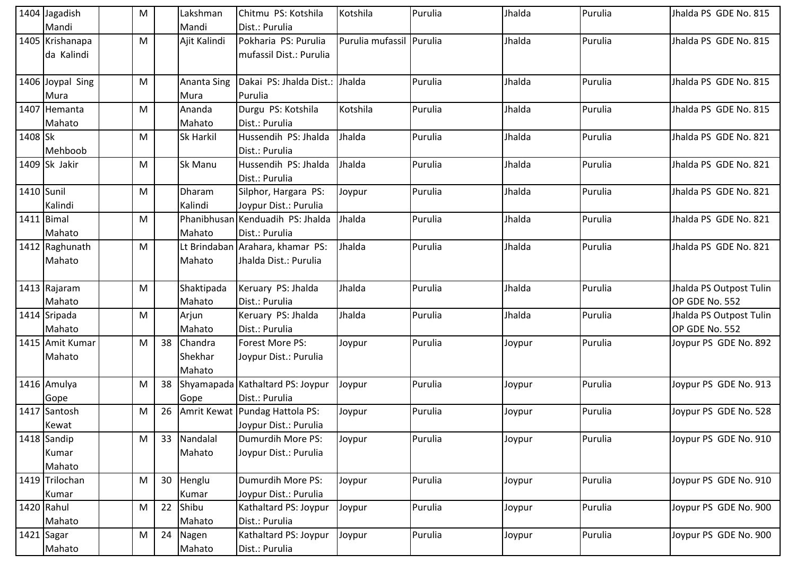|            | 1404 Jagadish<br>Mandi         | M |    | Lakshman<br>Mandi            | Chitmu PS: Kotshila<br>Dist.: Purulia                          | Kotshila                 | Purulia | Jhalda | Purulia | Jhalda PS GDE No. 815                     |
|------------|--------------------------------|---|----|------------------------------|----------------------------------------------------------------|--------------------------|---------|--------|---------|-------------------------------------------|
|            | 1405 Krishanapa<br>da Kalindi  | M |    | Ajit Kalindi                 | Pokharia PS: Purulia<br>mufassil Dist.: Purulia                | Purulia mufassil Purulia |         | Jhalda | Purulia | Jhalda PS GDE No. 815                     |
|            | 1406 Joypal Sing<br>Mura       | M |    | <b>Ananta Sing</b><br>Mura   | Dakai PS: Jhalda Dist.:<br>Purulia                             | Jhalda                   | Purulia | Jhalda | Purulia | Jhalda PS GDE No. 815                     |
|            | 1407 Hemanta<br>Mahato         | M |    | Ananda<br>Mahato             | Durgu PS: Kotshila<br>Dist.: Purulia                           | Kotshila                 | Purulia | Jhalda | Purulia | Jhalda PS GDE No. 815                     |
| 1408 Sk    | Mehboob                        | M |    | Sk Harkil                    | Hussendih PS: Jhalda<br>Dist.: Purulia                         | Jhalda                   | Purulia | Jhalda | Purulia | Jhalda PS GDE No. 821                     |
|            | $1409$ Sk Jakir                | M |    | Sk Manu                      | Hussendih PS: Jhalda<br>Dist.: Purulia                         | Jhalda                   | Purulia | Jhalda | Purulia | Jhalda PS GDE No. 821                     |
| 1410 Sunil | Kalindi                        | M |    | Dharam<br>Kalindi            | Silphor, Hargara PS:<br>Joypur Dist.: Purulia                  | Joypur                   | Purulia | Jhalda | Purulia | Jhalda PS GDE No. 821                     |
|            | 1411 Bimal<br>Mahato           | M |    | Mahato                       | Phanibhusan Kenduadih PS: Jhalda<br>Dist.: Purulia             | Jhalda                   | Purulia | Jhalda | Purulia | Jhalda PS GDE No. 821                     |
|            | 1412 Raghunath<br>Mahato       | M |    | Mahato                       | Lt Brindaban Arahara, khamar PS:<br>Jhalda Dist.: Purulia      | Jhalda                   | Purulia | Jhalda | Purulia | Jhalda PS GDE No. 821                     |
|            | 1413 Rajaram<br>Mahato         | M |    | Shaktipada<br>Mahato         | Keruary PS: Jhalda<br>Dist.: Purulia                           | Jhalda                   | Purulia | Jhalda | Purulia | Jhalda PS Outpost Tulin<br>OP GDE No. 552 |
|            | 1414 Sripada<br>Mahato         | M |    | Arjun<br>Mahato              | Keruary PS: Jhalda<br>Dist.: Purulia                           | Jhalda                   | Purulia | Jhalda | Purulia | Jhalda PS Outpost Tulin<br>OP GDE No. 552 |
|            | 1415 Amit Kumar<br>Mahato      | M | 38 | Chandra<br>Shekhar<br>Mahato | Forest More PS:<br>Joypur Dist.: Purulia                       | Joypur                   | Purulia | Joypur | Purulia | Joypur PS GDE No. 892                     |
|            | 1416 Amulya<br>Gope            | M |    | Gope                         | 38 Shyamapada Kathaltard PS: Joypur<br>Dist.: Purulia          | Joypur                   | Purulia | Joypur | Purulia | Joypur PS GDE No. 913                     |
|            | 1417 Santosh<br>Kewat          | M |    |                              | 26   Amrit Kewat   Pundag Hattola PS:<br>Joypur Dist.: Purulia | Joypur                   | Purulia | Joypur | Purulia | Joypur PS GDE No. 528                     |
|            | 1418 Sandip<br>Kumar<br>Mahato | M |    | 33 Nandalal<br>Mahato        | Dumurdih More PS:<br>Joypur Dist.: Purulia                     | Joypur                   | Purulia | Joypur | Purulia | Joypur PS GDE No. 910                     |
|            | 1419 Trilochan<br>Kumar        | M |    | 30 Henglu<br>Kumar           | Dumurdih More PS:<br>Joypur Dist.: Purulia                     | Joypur                   | Purulia | Joypur | Purulia | Joypur PS GDE No. 910                     |
|            | 1420 Rahul<br>Mahato           | M | 22 | Shibu<br>Mahato              | Kathaltard PS: Joypur<br>Dist.: Purulia                        | Joypur                   | Purulia | Joypur | Purulia | Joypur PS GDE No. 900                     |
|            | 1421 Sagar<br>Mahato           | M | 24 | Nagen<br>Mahato              | Kathaltard PS: Joypur<br>Dist.: Purulia                        | Joypur                   | Purulia | Joypur | Purulia | Joypur PS GDE No. 900                     |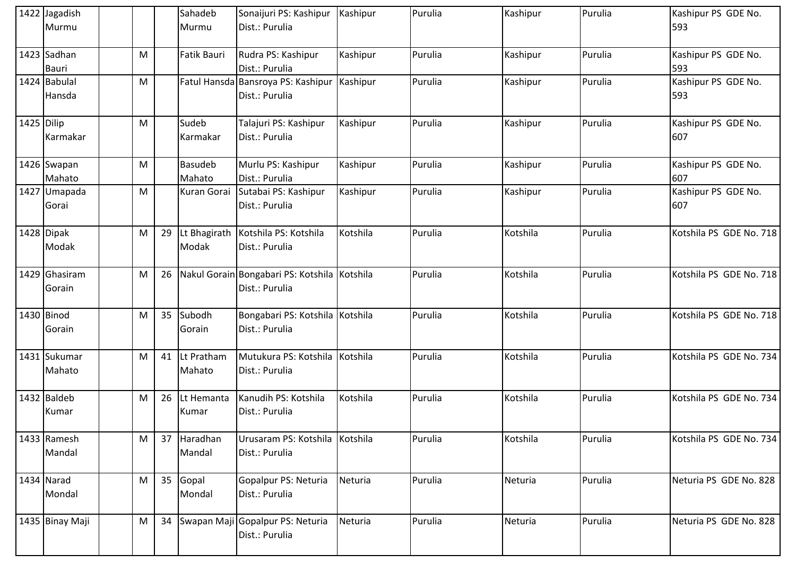|            | 1422 Jagadish<br>Murmu      |   |    | Sahadeb<br>Murmu         | Sonaijuri PS: Kashipur   Kashipur<br>Dist.: Purulia            |          | Purulia | Kashipur | Purulia | Kashipur PS GDE No.<br>593 |
|------------|-----------------------------|---|----|--------------------------|----------------------------------------------------------------|----------|---------|----------|---------|----------------------------|
|            | 1423 Sadhan<br><b>Bauri</b> | M |    | Fatik Bauri              | Rudra PS: Kashipur<br>Dist.: Purulia                           | Kashipur | Purulia | Kashipur | Purulia | Kashipur PS GDE No.<br>593 |
|            | 1424 Babulal<br>Hansda      | M |    |                          | Fatul Hansda Bansroya PS: Kashipur Kashipur<br>Dist.: Purulia  |          | Purulia | Kashipur | Purulia | Kashipur PS GDE No.<br>593 |
| 1425 Dilip | Karmakar                    | M |    | Sudeb<br>Karmakar        | Talajuri PS: Kashipur<br>Dist.: Purulia                        | Kashipur | Purulia | Kashipur | Purulia | Kashipur PS GDE No.<br>607 |
|            | 1426 Swapan<br>Mahato       | M |    | <b>Basudeb</b><br>Mahato | Murlu PS: Kashipur<br>Dist.: Purulia                           | Kashipur | Purulia | Kashipur | Purulia | Kashipur PS GDE No.<br>607 |
|            | 1427 Umapada<br>Gorai       | M |    | Kuran Gorai              | Sutabai PS: Kashipur<br>Dist.: Purulia                         | Kashipur | Purulia | Kashipur | Purulia | Kashipur PS GDE No.<br>607 |
|            | 1428 Dipak<br>Modak         | M | 29 | Lt Bhagirath<br>Modak    | Kotshila PS: Kotshila<br>Dist.: Purulia                        | Kotshila | Purulia | Kotshila | Purulia | Kotshila PS GDE No. 718    |
|            | 1429 Ghasiram<br>Gorain     | M | 26 |                          | Nakul Gorain Bongabari PS: Kotshila Kotshila<br>Dist.: Purulia |          | Purulia | Kotshila | Purulia | Kotshila PS GDE No. 718    |
|            | 1430 Binod<br>Gorain        | M | 35 | Subodh<br>Gorain         | Bongabari PS: Kotshila Kotshila<br>Dist.: Purulia              |          | Purulia | Kotshila | Purulia | Kotshila PS GDE No. 718    |
|            | 1431 Sukumar<br>Mahato      | M | 41 | Lt Pratham<br>Mahato     | Mutukura PS: Kotshila Kotshila<br>Dist.: Purulia               |          | Purulia | Kotshila | Purulia | Kotshila PS GDE No. 734    |
|            | 1432 Baldeb<br>Kumar        | M | 26 | Lt Hemanta<br>Kumar      | Kanudih PS: Kotshila<br>Dist.: Purulia                         | Kotshila | Purulia | Kotshila | Purulia | Kotshila PS GDE No. 734    |
|            | 1433 Ramesh<br>Mandal       | M | 37 | Haradhan<br>Mandal       | Urusaram PS: Kotshila Kotshila<br>Dist.: Purulia               |          | Purulia | Kotshila | Purulia | Kotshila PS GDE No. 734    |
|            | 1434 Narad<br>Mondal        | M | 35 | Gopal<br>Mondal          | Gopalpur PS: Neturia<br>Dist.: Purulia                         | Neturia  | Purulia | Neturia  | Purulia | Neturia PS GDE No. 828     |
|            | 1435 Binay Maji             | M | 34 |                          | Swapan Maji Gopalpur PS: Neturia<br>Dist.: Purulia             | Neturia  | Purulia | Neturia  | Purulia | Neturia PS GDE No. 828     |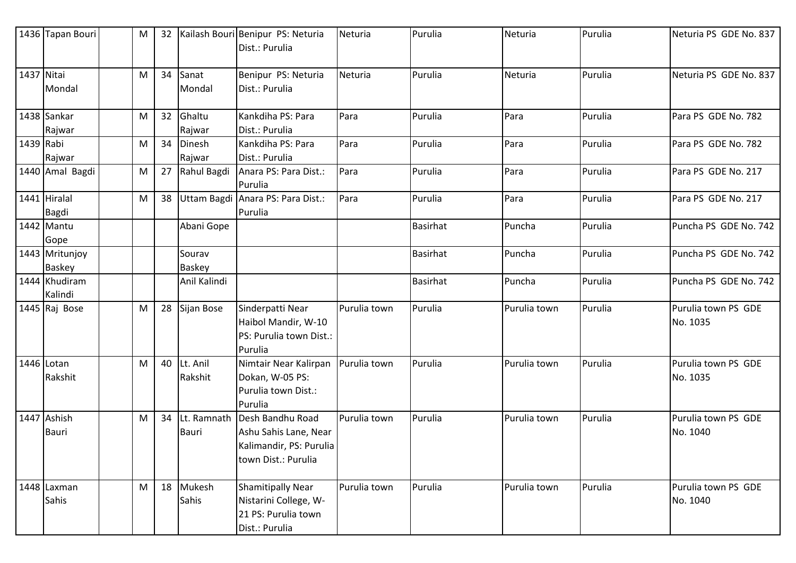|            | 1436 Tapan Bouri             | M | 32 |                             | Kailash Bouri Benipur PS: Neturia<br>Dist.: Purulia                                         | Neturia      | Purulia         | Neturia      | Purulia | Neturia PS GDE No. 837          |
|------------|------------------------------|---|----|-----------------------------|---------------------------------------------------------------------------------------------|--------------|-----------------|--------------|---------|---------------------------------|
| 1437 Nitai | Mondal                       | M | 34 | Sanat<br>Mondal             | Benipur PS: Neturia<br>Dist.: Purulia                                                       | Neturia      | Purulia         | Neturia      | Purulia | Neturia PS GDE No. 837          |
|            | 1438 Sankar<br>Rajwar        | M | 32 | Ghaltu<br>Rajwar            | Kankdiha PS: Para<br>Dist.: Purulia                                                         | Para         | Purulia         | Para         | Purulia | Para PS GDE No. 782             |
| 1439 Rabi  | Rajwar                       | M | 34 | Dinesh<br>Rajwar            | Kankdiha PS: Para<br>Dist.: Purulia                                                         | Para         | Purulia         | Para         | Purulia | Para PS GDE No. 782             |
|            | 1440 Amal Bagdi              | M | 27 | Rahul Bagdi                 | Anara PS: Para Dist.:<br>Purulia                                                            | Para         | Purulia         | Para         | Purulia | Para PS GDE No. 217             |
|            | 1441 Hiralal<br><b>Bagdi</b> | M | 38 | <b>Uttam Bagdi</b>          | Anara PS: Para Dist.:<br>Purulia                                                            | Para         | Purulia         | Para         | Purulia | Para PS GDE No. 217             |
|            | 1442 Mantu<br>Gope           |   |    | Abani Gope                  |                                                                                             |              | <b>Basirhat</b> | Puncha       | Purulia | Puncha PS GDE No. 742           |
|            | 1443 Mritunjoy<br>Baskey     |   |    | Sourav<br><b>Baskey</b>     |                                                                                             |              | <b>Basirhat</b> | Puncha       | Purulia | Puncha PS GDE No. 742           |
|            | 1444 Khudiram<br>Kalindi     |   |    | Anil Kalindi                |                                                                                             |              | <b>Basirhat</b> | Puncha       | Purulia | Puncha PS GDE No. 742           |
|            | 1445 Raj Bose                | M | 28 | Sijan Bose                  | Sinderpatti Near<br>Haibol Mandir, W-10<br>PS: Purulia town Dist.:<br>Purulia               | Purulia town | Purulia         | Purulia town | Purulia | Purulia town PS GDE<br>No. 1035 |
|            | 1446 Lotan<br>Rakshit        | M | 40 | Lt. Anil<br>Rakshit         | Nimtair Near Kalirpan<br>Dokan, W-05 PS:<br>Purulia town Dist.:<br>Purulia                  | Purulia town | Purulia         | Purulia town | Purulia | Purulia town PS GDE<br>No. 1035 |
|            | 1447 Ashish<br>Bauri         | M | 34 | Lt. Ramnath<br><b>Bauri</b> | Desh Bandhu Road<br>Ashu Sahis Lane, Near<br>Kalimandir, PS: Purulia<br>town Dist.: Purulia | Purulia town | Purulia         | Purulia town | Purulia | Purulia town PS GDE<br>No. 1040 |
|            | 1448 Laxman<br>Sahis         | M |    | 18 Mukesh<br>Sahis          | <b>Shamitipally Near</b><br>Nistarini College, W-<br>21 PS: Purulia town<br>Dist.: Purulia  | Purulia town | Purulia         | Purulia town | Purulia | Purulia town PS GDE<br>No. 1040 |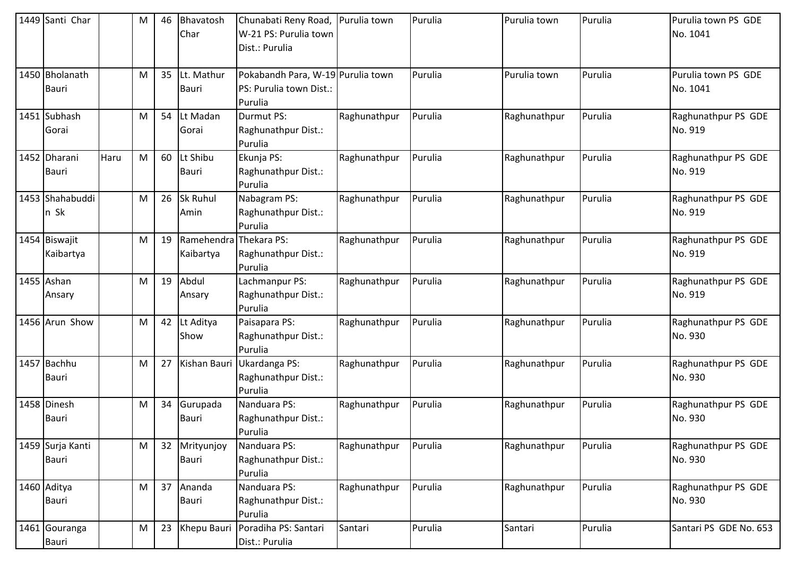| 1449 Santi Char                  |      | M | 46 | Bhavatosh<br>Char                   | Chunabati Reny Road,<br>W-21 PS: Purulia town<br>Dist.: Purulia         | Purulia town | Purulia | Purulia town | Purulia | Purulia town PS GDE<br>No. 1041 |
|----------------------------------|------|---|----|-------------------------------------|-------------------------------------------------------------------------|--------------|---------|--------------|---------|---------------------------------|
| 1450 Bholanath<br><b>Bauri</b>   |      | M | 35 | Lt. Mathur<br>Bauri                 | Pokabandh Para, W-19 Purulia town<br>PS: Purulia town Dist.:<br>Purulia |              | Purulia | Purulia town | Purulia | Purulia town PS GDE<br>No. 1041 |
| 1451 Subhash<br>Gorai            |      | M | 54 | Lt Madan<br>Gorai                   | Durmut PS:<br>Raghunathpur Dist.:<br>Purulia                            | Raghunathpur | Purulia | Raghunathpur | Purulia | Raghunathpur PS GDE<br>No. 919  |
| 1452 Dharani<br><b>Bauri</b>     | Haru | M | 60 | Lt Shibu<br>Bauri                   | Ekunja PS:<br>Raghunathpur Dist.:<br>Purulia                            | Raghunathpur | Purulia | Raghunathpur | Purulia | Raghunathpur PS GDE<br>No. 919  |
| 1453 Shahabuddi<br>n Sk          |      | M | 26 | Sk Ruhul<br>Amin                    | Nabagram PS:<br>Raghunathpur Dist.:<br>Purulia                          | Raghunathpur | Purulia | Raghunathpur | Purulia | Raghunathpur PS GDE<br>No. 919  |
| 1454 Biswajit<br>Kaibartya       |      | M | 19 | Ramehendra Thekara PS:<br>Kaibartya | Raghunathpur Dist.:<br>Purulia                                          | Raghunathpur | Purulia | Raghunathpur | Purulia | Raghunathpur PS GDE<br>No. 919  |
| 1455 Ashan<br>Ansary             |      | M | 19 | Abdul<br>Ansary                     | Lachmanpur PS:<br>Raghunathpur Dist.:<br>Purulia                        | Raghunathpur | Purulia | Raghunathpur | Purulia | Raghunathpur PS GDE<br>No. 919  |
| 1456 Arun Show                   |      | M | 42 | Lt Aditya<br>Show                   | Paisapara PS:<br>Raghunathpur Dist.:<br>Purulia                         | Raghunathpur | Purulia | Raghunathpur | Purulia | Raghunathpur PS GDE<br>No. 930  |
| 1457 Bachhu<br><b>Bauri</b>      |      | M | 27 | Kishan Bauri                        | Ukardanga PS:<br>Raghunathpur Dist.:<br>Purulia                         | Raghunathpur | Purulia | Raghunathpur | Purulia | Raghunathpur PS GDE<br>No. 930  |
| 1458 Dinesh<br><b>Bauri</b>      |      | M | 34 | Gurupada<br>Bauri                   | Nanduara PS:<br>Raghunathpur Dist.:<br>Purulia                          | Raghunathpur | Purulia | Raghunathpur | Purulia | Raghunathpur PS GDE<br>No. 930  |
| 1459 Surja Kanti<br><b>Bauri</b> |      | M | 32 | Mrityunjoy<br>Bauri                 | Nanduara PS:<br>Raghunathpur Dist.:<br>Purulia                          | Raghunathpur | Purulia | Raghunathpur | Purulia | Raghunathpur PS GDE<br>No. 930  |
| 1460 Aditya<br><b>Bauri</b>      |      | M | 37 | Ananda<br>Bauri                     | Nanduara PS:<br>Raghunathpur Dist.:<br>Purulia                          | Raghunathpur | Purulia | Raghunathpur | Purulia | Raghunathpur PS GDE<br>No. 930  |
| 1461 Gouranga<br>Bauri           |      | M | 23 | Khepu Bauri                         | Poradiha PS: Santari<br>Dist.: Purulia                                  | Santari      | Purulia | Santari      | Purulia | Santari PS GDE No. 653          |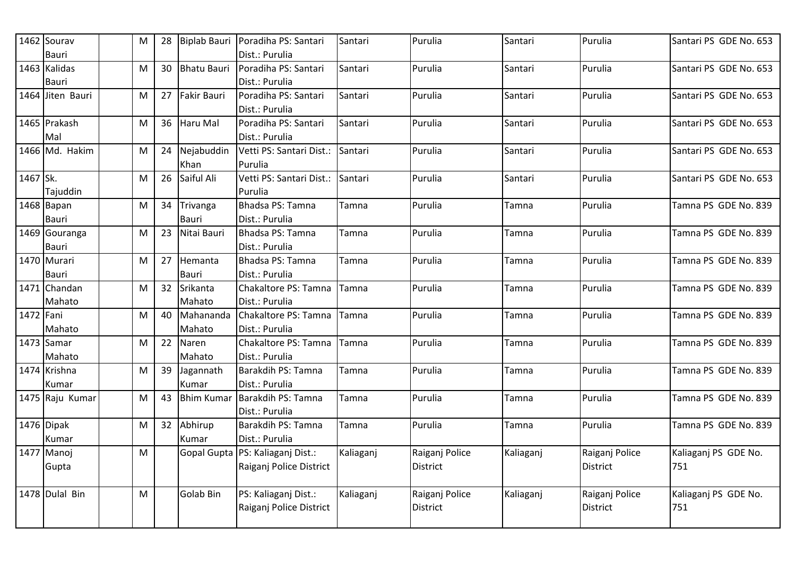|           | 1462 Sourav                   | M                                                                                                          | 28 |                     | Biplab Bauri Poradiha PS: Santari                           | Santari   | Purulia                    | Santari   | Purulia                           | Santari PS GDE No. 653      |
|-----------|-------------------------------|------------------------------------------------------------------------------------------------------------|----|---------------------|-------------------------------------------------------------|-----------|----------------------------|-----------|-----------------------------------|-----------------------------|
|           | <b>Bauri</b><br>1463 Kalidas  | M                                                                                                          | 30 | <b>Bhatu Bauri</b>  | Dist.: Purulia<br>Poradiha PS: Santari                      | Santari   | Purulia                    | Santari   | Purulia                           | Santari PS GDE No. 653      |
|           | Bauri                         |                                                                                                            |    |                     | Dist.: Purulia                                              |           |                            |           |                                   |                             |
|           | 1464 Jiten Bauri              | M                                                                                                          | 27 | Fakir Bauri         | Poradiha PS: Santari<br>Dist.: Purulia                      | Santari   | Purulia                    | Santari   | Purulia                           | Santari PS GDE No. 653      |
|           | 1465 Prakash<br>Mal           | M                                                                                                          | 36 | Haru Mal            | Poradiha PS: Santari<br>Dist.: Purulia                      | Santari   | Purulia                    | Santari   | Purulia                           | Santari PS GDE No. 653      |
|           | 1466 Md. Hakim                | M                                                                                                          | 24 | Nejabuddin<br>Khan  | Vetti PS: Santari Dist.:<br>Purulia                         | Santari   | Purulia                    | Santari   | Purulia                           | Santari PS GDE No. 653      |
| 1467 Sk.  | Tajuddin                      | M                                                                                                          | 26 | Saiful Ali          | Vetti PS: Santari Dist.:<br>Purulia                         | Santari   | Purulia                    | Santari   | Purulia                           | Santari PS GDE No. 653      |
|           | 1468 Bapan<br>Bauri           | M                                                                                                          | 34 | Trivanga<br>Bauri   | Bhadsa PS: Tamna<br>Dist.: Purulia                          | Tamna     | Purulia                    | Tamna     | Purulia                           | Tamna PS GDE No. 839        |
|           | 1469 Gouranga<br><b>Bauri</b> | M                                                                                                          | 23 | Nitai Bauri         | Bhadsa PS: Tamna<br>Dist.: Purulia                          | Tamna     | Purulia                    | Tamna     | Purulia                           | Tamna PS GDE No. 839        |
|           | 1470 Murari<br><b>Bauri</b>   | ${\sf M}$                                                                                                  | 27 | Hemanta<br>Bauri    | Bhadsa PS: Tamna<br>Dist.: Purulia                          | Tamna     | Purulia                    | Tamna     | Purulia                           | Tamna PS GDE No. 839        |
|           | 1471 Chandan<br>Mahato        | $\mathsf{M}% _{T}=\mathsf{M}_{T}\!\left( a,b\right) ,\ \mathsf{M}_{T}=\mathsf{M}_{T}\!\left( a,b\right) ,$ | 32 | Srikanta<br>Mahato  | Chakaltore PS: Tamna<br>Dist.: Purulia                      | Tamna     | Purulia                    | Tamna     | Purulia                           | Tamna PS GDE No. 839        |
| 1472 Fani | Mahato                        | M                                                                                                          | 40 | Mahananda<br>Mahato | Chakaltore PS: Tamna<br>Dist.: Purulia                      | Tamna     | Purulia                    | Tamna     | Purulia                           | Tamna PS GDE No. 839        |
|           | 1473 Samar<br>Mahato          | ${\sf M}$                                                                                                  | 22 | Naren<br>Mahato     | Chakaltore PS: Tamna<br>Dist.: Purulia                      | Tamna     | Purulia                    | Tamna     | Purulia                           | Tamna PS GDE No. 839        |
|           | 1474 Krishna<br>Kumar         | M                                                                                                          | 39 | Jagannath<br>Kumar  | Barakdih PS: Tamna<br>Dist.: Purulia                        | Tamna     | Purulia                    | Tamna     | Purulia                           | Tamna PS GDE No. 839        |
|           | 1475 Raju Kumar               | M                                                                                                          | 43 | <b>Bhim Kumar</b>   | Barakdih PS: Tamna<br>Dist.: Purulia                        | Tamna     | Purulia                    | Tamna     | Purulia                           | Tamna PS GDE No. 839        |
|           | 1476 Dipak<br>Kumar           | M                                                                                                          | 32 | Abhirup<br>Kumar    | Barakdih PS: Tamna<br>Dist.: Purulia                        | Tamna     | Purulia                    | Tamna     | Purulia                           | Tamna PS GDE No. 839        |
|           | 1477 Manoj<br>Gupta           | M                                                                                                          |    |                     | Gopal Gupta PS: Kaliaganj Dist.:<br>Raiganj Police District | Kaliaganj | Raiganj Police<br>District | Kaliaganj | Raiganj Police<br><b>District</b> | Kaliaganj PS GDE No.<br>751 |
|           | 1478 Dulal Bin                | M                                                                                                          |    | <b>Golab Bin</b>    | PS: Kaliaganj Dist.:<br>Raiganj Police District             | Kaliaganj | Raiganj Police<br>District | Kaliaganj | Raiganj Police<br><b>District</b> | Kaliaganj PS GDE No.<br>751 |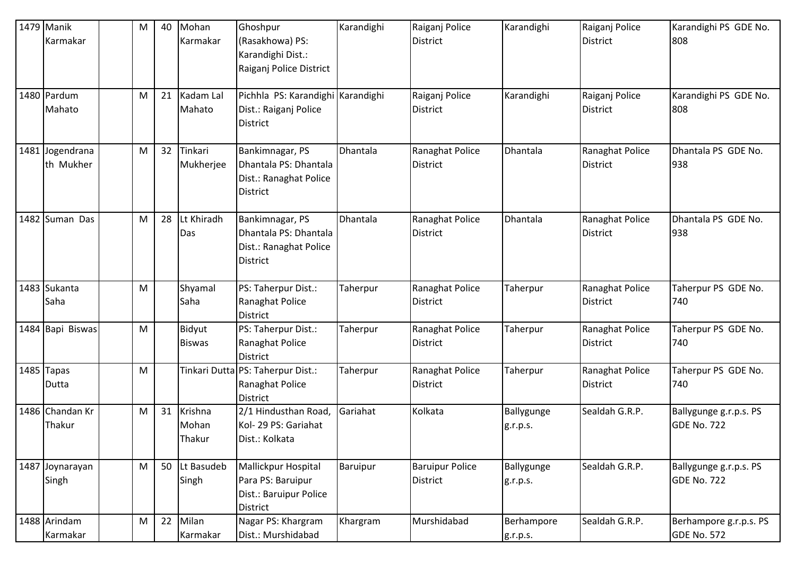| 1479 Manik<br>Karmakar       | M | 40 | Mohan<br>Karmakar          | Ghoshpur<br>(Rasakhowa) PS:<br>Karandighi Dist.:<br>Raiganj Police District           | Karandighi | Raiganj Police<br>District         | Karandighi             | Raiganj Police<br><b>District</b>  | Karandighi PS GDE No.<br>808                 |
|------------------------------|---|----|----------------------------|---------------------------------------------------------------------------------------|------------|------------------------------------|------------------------|------------------------------------|----------------------------------------------|
| 1480 Pardum<br>Mahato        | M | 21 | Kadam Lal<br>Mahato        | Pichhla PS: Karandighi Karandighi<br>Dist.: Raiganj Police<br><b>District</b>         |            | Raiganj Police<br><b>District</b>  | Karandighi             | Raiganj Police<br><b>District</b>  | Karandighi PS GDE No.<br>808                 |
| 1481 Jogendrana<br>th Mukher | M | 32 | Tinkari<br>Mukherjee       | Bankimnagar, PS<br>Dhantala PS: Dhantala<br>Dist.: Ranaghat Police<br>District        | Dhantala   | Ranaghat Police<br>District        | Dhantala               | Ranaghat Police<br><b>District</b> | Dhantala PS GDE No.<br>938                   |
| 1482 Suman Das               | M | 28 | Lt Khiradh<br>Das          | Bankimnagar, PS<br>Dhantala PS: Dhantala<br>Dist.: Ranaghat Police<br><b>District</b> | Dhantala   | Ranaghat Police<br><b>District</b> | Dhantala               | Ranaghat Police<br><b>District</b> | Dhantala PS GDE No.<br>938                   |
| 1483 Sukanta<br>Saha         | M |    | Shyamal<br>Saha            | PS: Taherpur Dist.:<br>Ranaghat Police<br><b>District</b>                             | Taherpur   | Ranaghat Police<br><b>District</b> | Taherpur               | Ranaghat Police<br><b>District</b> | Taherpur PS GDE No.<br>740                   |
| 1484 Bapi Biswas             | M |    | Bidyut<br><b>Biswas</b>    | PS: Taherpur Dist.:<br>Ranaghat Police<br><b>District</b>                             | Taherpur   | Ranaghat Police<br><b>District</b> | Taherpur               | Ranaghat Police<br><b>District</b> | Taherpur PS GDE No.<br>740                   |
| 1485 Tapas<br>Dutta          | M |    |                            | Tinkari Dutta PS: Taherpur Dist.:<br>Ranaghat Police<br><b>District</b>               | Taherpur   | Ranaghat Police<br>District        | Taherpur               | Ranaghat Police<br><b>District</b> | Taherpur PS GDE No.<br>740                   |
| 1486 Chandan Kr<br>Thakur    | M | 31 | Krishna<br>Mohan<br>Thakur | 2/1 Hindusthan Road,<br>Kol- 29 PS: Gariahat<br>Dist.: Kolkata                        | Gariahat   | Kolkata                            | Ballygunge<br>g.r.p.s. | Sealdah G.R.P.                     | Ballygunge g.r.p.s. PS<br><b>GDE No. 722</b> |
| 1487 Joynarayan<br>Singh     | M |    | 50 Lt Basudeb<br>Singh     | Mallickpur Hospital<br>Para PS: Baruipur<br>Dist.: Baruipur Police<br>District        | Baruipur   | <b>Baruipur Police</b><br>District | Ballygunge<br>g.r.p.s. | Sealdah G.R.P.                     | Ballygunge g.r.p.s. PS<br><b>GDE No. 722</b> |
| 1488 Arindam<br>Karmakar     | M | 22 | Milan<br>Karmakar          | Nagar PS: Khargram<br>Dist.: Murshidabad                                              | Khargram   | Murshidabad                        | Berhampore<br>g.r.p.s. | Sealdah G.R.P.                     | Berhampore g.r.p.s. PS<br><b>GDE No. 572</b> |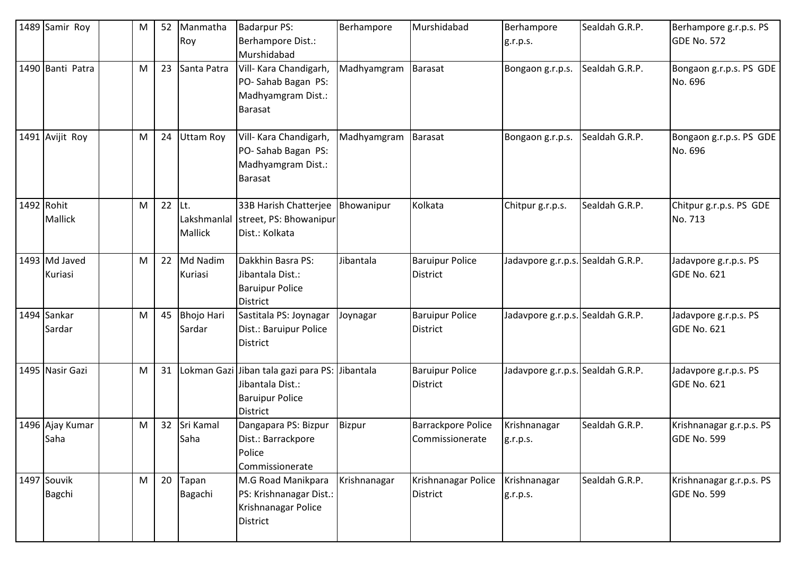| 1489 Samir Roy               | M | 52 | Manmatha<br>Roy                          | <b>Badarpur PS:</b><br>Berhampore Dist.:<br>Murshidabad                                                         | Berhampore   | Murshidabad                                  | Berhampore<br>g.r.p.s.            | Sealdah G.R.P. | Berhampore g.r.p.s. PS<br>GDE No. 572          |
|------------------------------|---|----|------------------------------------------|-----------------------------------------------------------------------------------------------------------------|--------------|----------------------------------------------|-----------------------------------|----------------|------------------------------------------------|
| 1490 Banti Patra             | M | 23 | Santa Patra                              | Vill- Kara Chandigarh,<br>PO-Sahab Bagan PS:<br>Madhyamgram Dist.:<br>Barasat                                   | Madhyamgram  | Barasat                                      | Bongaon g.r.p.s.                  | Sealdah G.R.P. | Bongaon g.r.p.s. PS GDE<br>No. 696             |
| 1491 Avijit Roy              | M | 24 | <b>Uttam Roy</b>                         | Vill- Kara Chandigarh,<br>PO-Sahab Bagan PS:<br>Madhyamgram Dist.:<br>Barasat                                   | Madhyamgram  | <b>Barasat</b>                               | Bongaon g.r.p.s.                  | Sealdah G.R.P. | Bongaon g.r.p.s. PS GDE<br>No. 696             |
| 1492 Rohit<br>Mallick        | M | 22 | $ $ Lt.<br>Lakshmanlal<br><b>Mallick</b> | 33B Harish Chatterjee   Bhowanipur<br>street, PS: Bhowanipur<br>Dist.: Kolkata                                  |              | Kolkata                                      | Chitpur g.r.p.s.                  | Sealdah G.R.P. | Chitpur g.r.p.s. PS GDE<br>No. 713             |
| 1493 Md Javed<br>Kuriasi     | M | 22 | Md Nadim<br>Kuriasi                      | Dakkhin Basra PS:<br>Jibantala Dist.:<br><b>Baruipur Police</b><br><b>District</b>                              | Jibantala    | <b>Baruipur Police</b><br><b>District</b>    | Jadavpore g.r.p.s. Sealdah G.R.P. |                | Jadavpore g.r.p.s. PS<br>GDE No. 621           |
| 1494 Sankar<br>Sardar        | M | 45 | <b>Bhojo Hari</b><br>Sardar              | Sastitala PS: Joynagar<br>Dist.: Baruipur Police<br>District                                                    | Joynagar     | <b>Baruipur Police</b><br><b>District</b>    | Jadavpore g.r.p.s. Sealdah G.R.P. |                | Jadavpore g.r.p.s. PS<br>GDE No. 621           |
| 1495 Nasir Gazi              | M | 31 |                                          | Lokman Gazi Jiban tala gazi para PS: Jibantala<br>Jibantala Dist.:<br><b>Baruipur Police</b><br><b>District</b> |              | <b>Baruipur Police</b><br><b>District</b>    | Jadavpore g.r.p.s. Sealdah G.R.P. |                | Jadavpore g.r.p.s. PS<br>GDE No. 621           |
| 1496 Ajay Kumar<br>Saha      | M | 32 | Sri Kamal<br>Saha                        | Dangapara PS: Bizpur<br>Dist.: Barrackpore<br>Police<br>Commissionerate                                         | Bizpur       | <b>Barrackpore Police</b><br>Commissionerate | Krishnanagar<br>g.r.p.s.          | Sealdah G.R.P. | Krishnanagar g.r.p.s. PS<br>GDE No. 599        |
| 1497 Souvik<br><b>Bagchi</b> | M | 20 | Tapan<br>Bagachi                         | M.G Road Manikpara<br>PS: Krishnanagar Dist.:<br>Krishnanagar Police<br>District                                | Krishnanagar | Krishnanagar Police<br><b>District</b>       | Krishnanagar<br>g.r.p.s.          | Sealdah G.R.P. | Krishnanagar g.r.p.s. PS<br><b>GDE No. 599</b> |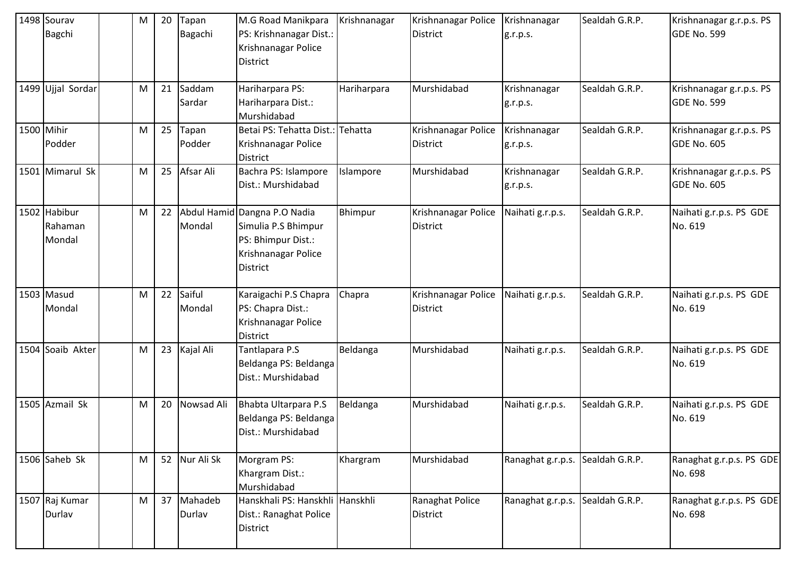|      | 1498 Sourav<br>Bagchi        | M | 20 | Tapan<br>Bagachi     | M.G Road Manikpara<br>PS: Krishnanagar Dist.:<br>Krishnanagar Police<br><b>District</b>                             | Krishnanagar | Krishnanagar Police<br><b>District</b> | Krishnanagar<br>g.r.p.s. | Sealdah G.R.P. | Krishnanagar g.r.p.s. PS<br>GDE No. 599        |
|------|------------------------------|---|----|----------------------|---------------------------------------------------------------------------------------------------------------------|--------------|----------------------------------------|--------------------------|----------------|------------------------------------------------|
|      | 1499 Ujjal Sordar            | M | 21 | Saddam<br>Sardar     | Hariharpara PS:<br>Hariharpara Dist.:<br>Murshidabad                                                                | Hariharpara  | Murshidabad                            | Krishnanagar<br>g.r.p.s. | Sealdah G.R.P. | Krishnanagar g.r.p.s. PS<br>GDE No. 599        |
|      | 1500 Mihir<br>Podder         | M | 25 | Tapan<br>Podder      | Betai PS: Tehatta Dist.:<br>Krishnanagar Police<br><b>District</b>                                                  | Tehatta      | Krishnanagar Police<br>District        | Krishnanagar<br>g.r.p.s. | Sealdah G.R.P. | Krishnanagar g.r.p.s. PS<br><b>GDE No. 605</b> |
|      | 1501 Mimarul Sk              | M | 25 | Afsar Ali            | Bachra PS: Islampore<br>Dist.: Murshidabad                                                                          | Islampore    | Murshidabad                            | Krishnanagar<br>g.r.p.s. | Sealdah G.R.P. | Krishnanagar g.r.p.s. PS<br><b>GDE No. 605</b> |
| 1502 | Habibur<br>Rahaman<br>Mondal | M | 22 | Mondal               | Abdul Hamid Dangna P.O Nadia<br>Simulia P.S Bhimpur<br>PS: Bhimpur Dist.:<br>Krishnanagar Police<br><b>District</b> | Bhimpur      | Krishnanagar Police<br>District        | Naihati g.r.p.s.         | Sealdah G.R.P. | Naihati g.r.p.s. PS GDE<br>No. 619             |
|      | 1503 Masud<br>Mondal         | M | 22 | Saiful<br>Mondal     | Karaigachi P.S Chapra<br>PS: Chapra Dist.:<br>Krishnanagar Police<br><b>District</b>                                | Chapra       | Krishnanagar Police<br>District        | Naihati g.r.p.s.         | Sealdah G.R.P. | Naihati g.r.p.s. PS GDE<br>No. 619             |
| 1504 | Soaib Akter                  | M | 23 | Kajal Ali            | Tantlapara P.S<br>Beldanga PS: Beldanga<br>Dist.: Murshidabad                                                       | Beldanga     | Murshidabad                            | Naihati g.r.p.s.         | Sealdah G.R.P. | Naihati g.r.p.s. PS GDE<br>No. 619             |
|      | 1505 Azmail Sk               | M | 20 | Nowsad Ali           | Bhabta Ultarpara P.S<br>Beldanga PS: Beldanga<br>Dist.: Murshidabad                                                 | Beldanga     | Murshidabad                            | Naihati g.r.p.s.         | Sealdah G.R.P. | Naihati g.r.p.s. PS GDE<br>No. 619             |
|      | 1506 Saheb Sk                | M |    | 52 Nur Ali Sk        | Morgram PS:<br>Khargram Dist.:<br>Murshidabad                                                                       | Khargram     | Murshidabad                            | Ranaghat g.r.p.s.        | Sealdah G.R.P. | Ranaghat g.r.p.s. PS GDE<br>No. 698            |
|      | 1507 Raj Kumar<br>Durlav     | M |    | 37 Mahadeb<br>Durlav | Hanskhali PS: Hanskhli Hanskhli<br>Dist.: Ranaghat Police<br><b>District</b>                                        |              | Ranaghat Police<br>District            | Ranaghat g.r.p.s.        | Sealdah G.R.P. | Ranaghat g.r.p.s. PS GDE<br>No. 698            |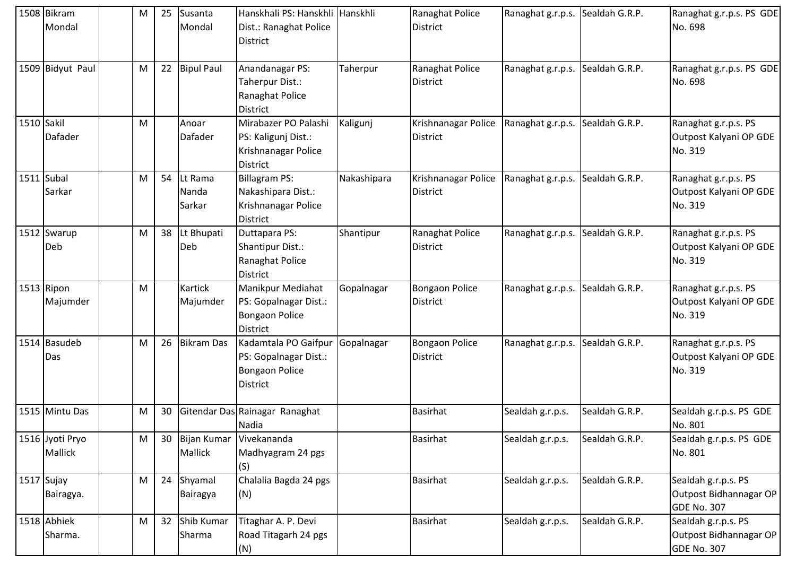|            | 1508 Bikram<br>Mondal             | M | 25 | Susanta<br>Mondal          | Hanskhali PS: Hanskhli Hanskhli<br>Dist.: Ranaghat Police<br><b>District</b>                  |             | Ranaghat Police<br><b>District</b>       | Ranaghat g.r.p.s. Sealdah G.R.P. |                | Ranaghat g.r.p.s. PS GDE<br>No. 698                                 |
|------------|-----------------------------------|---|----|----------------------------|-----------------------------------------------------------------------------------------------|-------------|------------------------------------------|----------------------------------|----------------|---------------------------------------------------------------------|
|            | 1509 Bidyut Paul                  | M |    | 22 Bipul Paul              | Anandanagar PS:<br>Taherpur Dist.:<br>Ranaghat Police<br><b>District</b>                      | Taherpur    | Ranaghat Police<br><b>District</b>       | Ranaghat g.r.p.s. Sealdah G.R.P. |                | Ranaghat g.r.p.s. PS GDE<br>No. 698                                 |
| 1510 Sakil | Dafader                           | M |    | Anoar<br><b>Dafader</b>    | Mirabazer PO Palashi<br>PS: Kaligunj Dist.:<br>Krishnanagar Police<br><b>District</b>         | Kaligunj    | Krishnanagar Police<br><b>District</b>   | Ranaghat g.r.p.s. Sealdah G.R.P. |                | Ranaghat g.r.p.s. PS<br>Outpost Kalyani OP GDE<br>No. 319           |
| 1511 Subal | Sarkar                            | M | 54 | Lt Rama<br>Nanda<br>Sarkar | <b>Billagram PS:</b><br>Nakashipara Dist.:<br>Krishnanagar Police<br><b>District</b>          | Nakashipara | Krishnanagar Police<br><b>District</b>   | Ranaghat g.r.p.s. Sealdah G.R.P. |                | Ranaghat g.r.p.s. PS<br>Outpost Kalyani OP GDE<br>No. 319           |
|            | 1512 Swarup<br>Deb                | M |    | 38 Lt Bhupati<br>Deb       | Duttapara PS:<br><b>Shantipur Dist.:</b><br>Ranaghat Police<br><b>District</b>                | Shantipur   | Ranaghat Police<br><b>District</b>       | Ranaghat g.r.p.s. Sealdah G.R.P. |                | Ranaghat g.r.p.s. PS<br>Outpost Kalyani OP GDE<br>No. 319           |
|            | 1513 Ripon<br>Majumder            | M |    | <b>Kartick</b><br>Majumder | <b>Manikpur Mediahat</b><br>PS: Gopalnagar Dist.:<br><b>Bongaon Police</b><br><b>District</b> | Gopalnagar  | <b>Bongaon Police</b><br><b>District</b> | Ranaghat g.r.p.s. Sealdah G.R.P. |                | Ranaghat g.r.p.s. PS<br>Outpost Kalyani OP GDE<br>No. 319           |
|            | 1514 Basudeb<br>Das               | M | 26 | <b>Bikram Das</b>          | Kadamtala PO Gaifpur<br>PS: Gopalnagar Dist.:<br><b>Bongaon Police</b><br><b>District</b>     | Gopalnagar  | <b>Bongaon Police</b><br><b>District</b> | Ranaghat g.r.p.s. Sealdah G.R.P. |                | Ranaghat g.r.p.s. PS<br>Outpost Kalyani OP GDE<br>No. 319           |
|            | 1515 Mintu Das                    | M | 30 |                            | Gitendar Das Rainagar Ranaghat<br>Nadia                                                       |             | <b>Basirhat</b>                          | Sealdah g.r.p.s.                 | Sealdah G.R.P. | Sealdah g.r.p.s. PS GDE<br>No. 801                                  |
|            | 1516 Jyoti Pryo<br><b>Mallick</b> | M | 30 | Bijan Kumar<br>Mallick     | Vivekananda<br>Madhyagram 24 pgs<br>(S)                                                       |             | Basirhat                                 | Sealdah g.r.p.s.                 | Sealdah G.R.P. | Sealdah g.r.p.s. PS GDE<br>No. 801                                  |
|            | 1517 Sujay<br>Bairagya.           | M | 24 | Shyamal<br>Bairagya        | Chalalia Bagda 24 pgs<br>(N)                                                                  |             | <b>Basirhat</b>                          | Sealdah g.r.p.s.                 | Sealdah G.R.P. | Sealdah g.r.p.s. PS<br>Outpost Bidhannagar OP<br><b>GDE No. 307</b> |
|            | 1518 Abhiek<br>Sharma.            | M |    | 32 Shib Kumar<br>Sharma    | Titaghar A. P. Devi<br>Road Titagarh 24 pgs<br>(N)                                            |             | <b>Basirhat</b>                          | Sealdah g.r.p.s.                 | Sealdah G.R.P. | Sealdah g.r.p.s. PS<br>Outpost Bidhannagar OP<br><b>GDE No. 307</b> |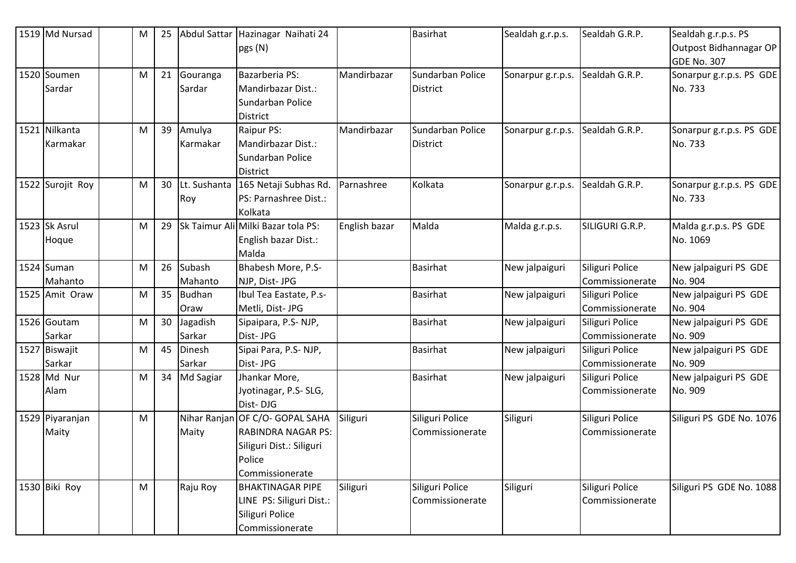| 1519 Md Nursad            | M | 25 | Abdul Sattar            | Hazinagar Naihati 24<br>pgs (N)                                                                                       |               | <b>Basirhat</b>                     | Sealdah g.r.p.s.  | Sealdah G.R.P.                     | Sealdah g.r.p.s. PS<br>Outpost Bidhannagar OP<br>GDE No. 307 |
|---------------------------|---|----|-------------------------|-----------------------------------------------------------------------------------------------------------------------|---------------|-------------------------------------|-------------------|------------------------------------|--------------------------------------------------------------|
| 1520 Soumen<br>Sardar     | M | 21 | Gouranga<br>Sardar      | Bazarberia PS:<br>Mandirbazar Dist.:<br>Sundarban Police<br><b>District</b>                                           | Mandirbazar   | Sundarban Police<br>District        | Sonarpur g.r.p.s. | Sealdah G.R.P.                     | Sonarpur g.r.p.s. PS GDE<br>No. 733                          |
| 1521 Nilkanta<br>Karmakar | M | 39 | Amulya<br>Karmakar      | Raipur PS:<br>Mandirbazar Dist.:<br>Sundarban Police<br><b>District</b>                                               | Mandirbazar   | Sundarban Police<br><b>District</b> | Sonarpur g.r.p.s. | Sealdah G.R.P.                     | Sonarpur g.r.p.s. PS GDE<br>No. 733                          |
| 1522 Surojit Roy          | M | 30 | Lt. Sushanta<br>Roy     | 165 Netaji Subhas Rd.<br>PS: Parnashree Dist.:<br>Kolkata                                                             | Parnashree    | Kolkata                             | Sonarpur g.r.p.s. | Sealdah G.R.P.                     | Sonarpur g.r.p.s. PS GDE<br>No. 733                          |
| 1523 Sk Asrul<br>Hoque    | M | 29 |                         | Sk Taimur Ali Milki Bazar tola PS:<br>English bazar Dist.:<br>Malda                                                   | English bazar | Malda                               | Malda g.r.p.s.    | SILIGURI G.R.P.                    | Malda g.r.p.s. PS GDE<br>No. 1069                            |
| 1524 Suman<br>Mahanto     | M | 26 | Subash<br>Mahanto       | Bhabesh More, P.S-<br>NJP, Dist- JPG                                                                                  |               | <b>Basirhat</b>                     | New jalpaiguri    | Siliguri Police<br>Commissionerate | New jalpaiguri PS GDE<br>No. 904                             |
| 1525 Amit Oraw            | M | 35 | <b>Budhan</b><br>Oraw   | Ibul Tea Eastate, P.s-<br>Metli, Dist- JPG                                                                            |               | <b>Basirhat</b>                     | New jalpaiguri    | Siliguri Police<br>Commissionerate | New jalpaiguri PS GDE<br>No. 904                             |
| 1526 Goutam<br>Sarkar     | M | 30 | Jagadish<br>Sarkar      | Sipaipara, P.S-NJP,<br>Dist-JPG                                                                                       |               | <b>Basirhat</b>                     | New jalpaiguri    | Siliguri Police<br>Commissionerate | New jalpaiguri PS GDE<br>No. 909                             |
| 1527 Biswajit<br>Sarkar   | M | 45 | <b>Dinesh</b><br>Sarkar | Sipai Para, P.S-NJP,<br>Dist-JPG                                                                                      |               | <b>Basirhat</b>                     | New jalpaiguri    | Siliguri Police<br>Commissionerate | New jalpaiguri PS GDE<br>No. 909                             |
| 1528 Md Nur<br>Alam       | M | 34 | Md Sagiar               | Jhankar More,<br>Jyotinagar, P.S-SLG,<br>Dist-DJG                                                                     |               | <b>Basirhat</b>                     | New jalpaiguri    | Siliguri Police<br>Commissionerate | New jalpaiguri PS GDE<br>No. 909                             |
| 1529 Piyaranjan<br>Maity  | M |    | Maity                   | Nihar Ranjan OF C/O- GOPAL SAHA<br><b>RABINDRA NAGAR PS:</b><br>Siliguri Dist.: Siliguri<br>Police<br>Commissionerate | Siliguri      | Siliguri Police<br>Commissionerate  | Siliguri          | Siliguri Police<br>Commissionerate | Siliguri PS GDE No. 1076                                     |
| 1530 Biki Roy             | M |    | Raju Roy                | <b>BHAKTINAGAR PIPE</b><br>LINE PS: Siliguri Dist.:<br>Siliguri Police<br>Commissionerate                             | Siliguri      | Siliguri Police<br>Commissionerate  | Siliguri          | Siliguri Police<br>Commissionerate | Siliguri PS GDE No. 1088                                     |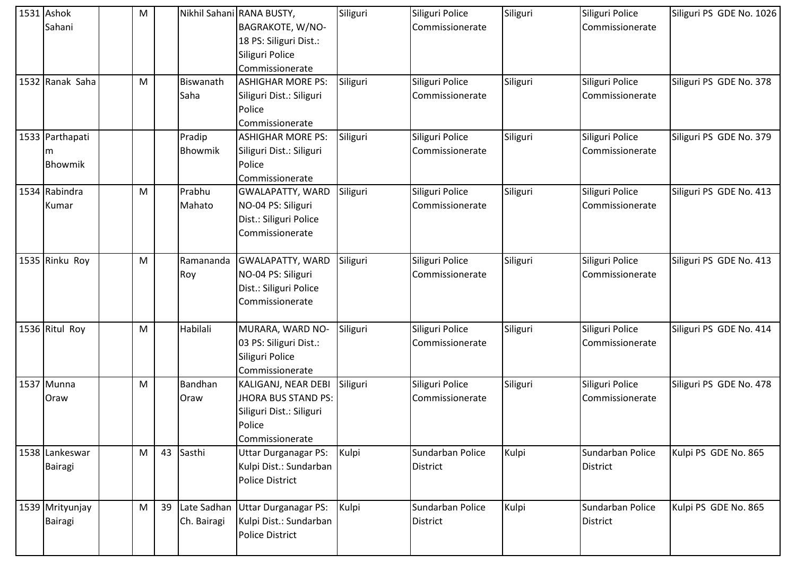| 1531 Ashok      | M |    |             | Nikhil Sahani RANA BUSTY,   | Siliguri | Siliguri Police  | Siliguri | Siliguri Police  | Siliguri PS GDE No. 1026 |
|-----------------|---|----|-------------|-----------------------------|----------|------------------|----------|------------------|--------------------------|
| Sahani          |   |    |             | BAGRAKOTE, W/NO-            |          | Commissionerate  |          | Commissionerate  |                          |
|                 |   |    |             | 18 PS: Siliguri Dist.:      |          |                  |          |                  |                          |
|                 |   |    |             | Siliguri Police             |          |                  |          |                  |                          |
|                 |   |    |             | Commissionerate             |          |                  |          |                  |                          |
| 1532 Ranak Saha | M |    | Biswanath   | <b>ASHIGHAR MORE PS:</b>    | Siliguri | Siliguri Police  | Siliguri | Siliguri Police  | Siliguri PS GDE No. 378  |
|                 |   |    | Saha        | Siliguri Dist.: Siliguri    |          | Commissionerate  |          | Commissionerate  |                          |
|                 |   |    |             | Police                      |          |                  |          |                  |                          |
|                 |   |    |             | Commissionerate             |          |                  |          |                  |                          |
| 1533 Parthapati |   |    | Pradip      | <b>ASHIGHAR MORE PS:</b>    | Siliguri | Siliguri Police  | Siliguri | Siliguri Police  | Siliguri PS GDE No. 379  |
| m               |   |    | Bhowmik     | Siliguri Dist.: Siliguri    |          | Commissionerate  |          | Commissionerate  |                          |
| Bhowmik         |   |    |             | Police                      |          |                  |          |                  |                          |
|                 |   |    |             | Commissionerate             |          |                  |          |                  |                          |
| 1534 Rabindra   | M |    | Prabhu      | <b>GWALAPATTY, WARD</b>     | Siliguri | Siliguri Police  | Siliguri | Siliguri Police  | Siliguri PS GDE No. 413  |
| Kumar           |   |    | Mahato      | NO-04 PS: Siliguri          |          | Commissionerate  |          | Commissionerate  |                          |
|                 |   |    |             | Dist.: Siliguri Police      |          |                  |          |                  |                          |
|                 |   |    |             | Commissionerate             |          |                  |          |                  |                          |
|                 |   |    |             |                             |          |                  |          |                  |                          |
| 1535 Rinku Roy  | M |    | Ramananda   | <b>GWALAPATTY, WARD</b>     | Siliguri | Siliguri Police  | Siliguri | Siliguri Police  | Siliguri PS GDE No. 413  |
|                 |   |    | Roy         | NO-04 PS: Siliguri          |          | Commissionerate  |          | Commissionerate  |                          |
|                 |   |    |             | Dist.: Siliguri Police      |          |                  |          |                  |                          |
|                 |   |    |             | Commissionerate             |          |                  |          |                  |                          |
|                 |   |    |             |                             |          |                  |          |                  |                          |
| 1536 Ritul Roy  | M |    | Habilali    | MURARA, WARD NO-            | Siliguri | Siliguri Police  | Siliguri | Siliguri Police  | Siliguri PS GDE No. 414  |
|                 |   |    |             | 03 PS: Siliguri Dist.:      |          | Commissionerate  |          | Commissionerate  |                          |
|                 |   |    |             | Siliguri Police             |          |                  |          |                  |                          |
|                 |   |    |             | Commissionerate             |          |                  |          |                  |                          |
| 1537 Munna      | M |    | Bandhan     | KALIGANJ, NEAR DEBI         | Siliguri | Siliguri Police  | Siliguri | Siliguri Police  | Siliguri PS GDE No. 478  |
| Oraw            |   |    | Oraw        | <b>JHORA BUS STAND PS:</b>  |          | Commissionerate  |          | Commissionerate  |                          |
|                 |   |    |             | Siliguri Dist.: Siliguri    |          |                  |          |                  |                          |
|                 |   |    |             | Police                      |          |                  |          |                  |                          |
|                 |   |    |             | Commissionerate             |          |                  |          |                  |                          |
| 1538 Lankeswar  | M |    | 43 Sasthi   | <b>Uttar Durganagar PS:</b> | Kulpi    | Sundarban Police | Kulpi    | Sundarban Police | Kulpi PS GDE No. 865     |
| Bairagi         |   |    |             | Kulpi Dist.: Sundarban      |          | District         |          | <b>District</b>  |                          |
|                 |   |    |             | <b>Police District</b>      |          |                  |          |                  |                          |
| 1539 Mrityunjay | M | 39 | Late Sadhan | <b>Uttar Durganagar PS:</b> | Kulpi    | Sundarban Police | Kulpi    | Sundarban Police | Kulpi PS GDE No. 865     |
|                 |   |    | Ch. Bairagi | Kulpi Dist.: Sundarban      |          | <b>District</b>  |          | District         |                          |
| <b>Bairagi</b>  |   |    |             | <b>Police District</b>      |          |                  |          |                  |                          |
|                 |   |    |             |                             |          |                  |          |                  |                          |